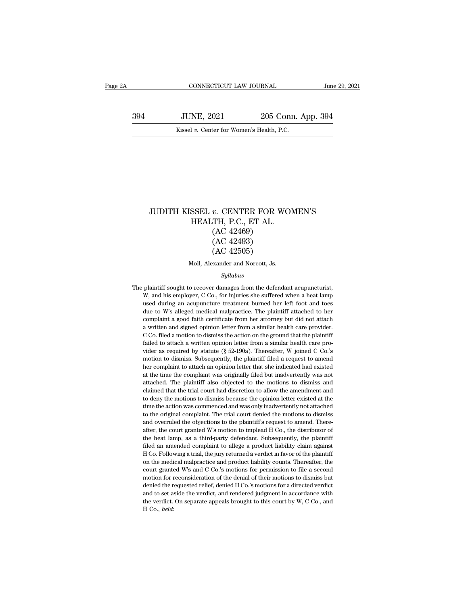CONNECTICUT LAW JOURNAL June 29, 2021<br>394 JUNE, 2021 205 Conn. App. 394<br>Kissel v. Center for Women's Health, P.C. CONNECTICUT LAW JOURNAL Jun<br>JUNE, 2021 205 Conn. App. 394<br>Kissel *v*. Center for Women's Health, P.C.

## JUDITH KISSEL *v.* CENTER FOR WOMEN'S<br>HEALTH, P.C., ET AL.<br>(AC 42460) SSEL v. CENTER FOR WOITHEALTH, P.C., ET AL. *v.* CENTER FOR W<br>(TH, P.C., ET AL.<br>(AC 42469)<br>(AC 42493)<br>(AC 42505) *v.* CENTER FOR W<br>TH, P.C., ET AL.<br>(AC 42469)<br>(AC 42493)<br>(AC 42505) *v.* CENTER FOR W<br>TH, P.C., ET AL.<br>(AC 42469)<br>(AC 42493)<br>(AC 42505)<br>xxander and Norcott, Js. HEALTH, P.C., ET AL.<br>(AC 42469)<br>(AC 42493)<br>(AC 42505)<br>Moll, Alexander and Norcott, Js.

## *Syllabus*

 $(AC 42495)$ <br>  $(AC 42505)$ <br>
Moll, Alexander and Norcott, Js.<br>  $Syllabus$ <br>
The plaintiff sought to recover damages from the defendant acupuncturist,<br>
W, and his employer, C Co., for injuries she suffered when a heat lamp  $(AC 42505)$ <br>Moll, Alexander and Norcott, Js.<br>Syllabus<br>plaintiff sought to recover damages from the defendant acupuncturist,<br>W, and his employer, C Co., for injuries she suffered when a heat lamp<br>used during an acupuncture Moll, Alexander and Norcott, Js.<br>Syllabus<br>plaintiff sought to recover damages from the defendant acupuncturist,<br>W, and his employer, C Co., for injuries she suffered when a heat lamp<br>used during an acupuncture treatment bu Syllabus<br>
Syllabus<br>
Duatiff sought to recover damages from the defendant acupuncturist,<br>
W, and his employer, C Co., for injuries she suffered when a heat lamp<br>
used during an acupuncture treatment burned her left foot and  $Syllabus$ <br>plaintiff sought to recover damages from the defendant acupuncturist,<br>W, and his employer, C Co., for injuries she suffered when a heat lamp<br>used during an acupuncture treatment burned her left foot and toes<br>due to plaintiff sought to recover damages from the defendant acupuncturist,<br>W, and his employer, C Co., for injuries she suffered when a heat lamp<br>used during an acupuncture treatment burned her left foot and toes<br>due to W's all plantant bolght to recover dialiges from the derendant deplated and, W, and his employer, C Co., for injuries she suffered when a heat lamp used during an acupuncture treatment burned her left foot and toes due to W's alle W, and his employer, C Co., for injuries she suffered when a heat lamp used during an acupuncture treatment burned her left foot and toes due to W's alleged medical malpractice. The plaintiff attached to her complaint a g due to W's alleged medical malpractice. The plaintiff attached to her complaint a good faith certificate from her attorney but did not attach a written and signed opinion letter from a similar health care provider. C Co. f and the more interesting to dismiss the entire that the plaintiff complaint a good faith certificate from her attorney but did not attach a written and signed opinion letter from a similar health care provider. C Co. filed a written and signed opinion letter from a similar health care provider.<br>C Co. filed a motion to dismiss the action on the ground that the plaintiff<br>failed to attach a written opinion letter from a similar health care proat the time the complaint of the complaint was originally filed but individually failed to attach a written opinion letter from a similar health care provider as required by statute (§ 52-190a). Thereafter, W joined C Co.' East of the attached to dismiss and determined a similar health care provider as required by statute (§ 52-190a). Thereafter, W joined C Co.'s motion to dismiss. Subsequently, the plaintiff filed a request to amend her com rance to attach a written option feater from a similar reclain care provider as required by statute (§ 52-190a). Thereafter, W joined C Co.'s motion to dismiss. Subsequently, the plaintiff filed a request to amend her com the motion to dismiss. Subsequently, the plaintiff filed a request to amend her complaint to attach an opinion letter that she indicated had existed at the time the complaint was originally filed but inadvertently was not the action was commenced and was only inadvertently was not attached the time the complaint was originally filed but inadvertently was not attached. The plaintiff also objected to the motions to dismiss and claimed that th The trial complaint of added the complaint was originally filed but inadvertently was not attached. The plaintiff also objected to the motions to dismiss and claimed that the trial court had discretion to allow the amendme attached. The plaintiff also objected to the motions to dismiss and claimed that the trial court had discretion to allow the amendment and to deny the motions to dismiss because the opinion letter existed at the time the a dialenced. The plantant daso objected to the intotable to dismiss the claimed that the trial court had discretion to allow the amendment and to deny the motions to dismiss because the opinion letter existed at the time the the heat lamp, as a third-party defendant. Subsequently, the plaintiff filed an amended complaint. The trial court denied the motions to dismiss and overruled the objections to the plaintiff's request to amend. Thereafter, filed an amended complaint to allege a product liability claim against HCo. Following a product differently not attached to the original complaint. The trial court denied the motions to dismiss and overruled the objections to the original complaint. The trial court denied the motions to dismiss and overruled the objections to the plaintiff's request to amend. Thereafter, the court granted W's motion to implead H Co., the distributor of the on the medical malpractice and product liability counts. The medical malpractice and overruled the objections to the plaintiff's request to amend. Thereafter, the court granted W's motion to implead H Co., the distributor and overtured are objected W's motion to implead H Co., the distributor of the heat lamp, as a third-party defendant. Subsequently, the plaintiff filed an amended complaint to allege a product liability claim against H Co. the heat lamp, as a third-party defendant. Subsequently, the plaintiff filed an amended complaint to allege a product liability claim against H Co. Following a trial, the jury returned a verdict in favor of the plaintiff o filed an amended complaint to allege a product liability claim against H Co. Following a trial, the jury returned a verdict in favor of the plaintiff on the medical malpractice and product liability counts. Thereafter, th Also are uncertainty of the plane of the plane of the plane of the plane of the court granted wis and C Co.'s motions for permission to file a second motion for reconsideration of the denial of their motions to dismiss bu the verdictal malpractice and product liability counts. Thereafter, the court granted W's and C Co.'s motions for permission to file a second motion for reconsideration of the denial of their motions to dismiss but denied court granted W's and C Co.'s motions for permission to file a second motion for reconsideration of the denial of their motions to dismiss but denied the requested relief, denied H Co.'s motions for a directed verdict and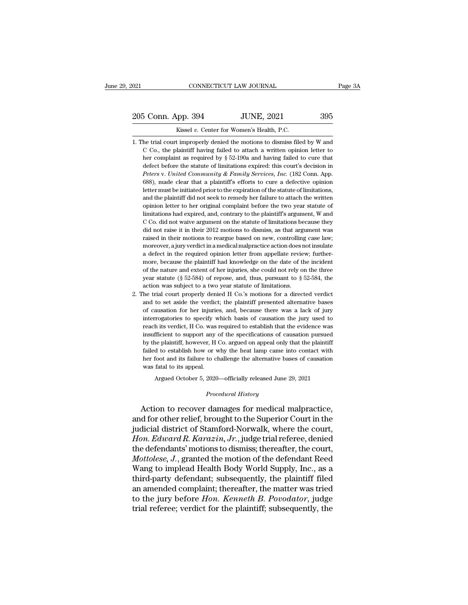## EXECUTE DE CONNECTICUT LAW JOURNAL Page 3A<br>205 Conn. App. 394 JUNE, 2021 395<br>Kissel v. Center for Women's Health, P.C. Xissel *v.* Center for Women's Health, P.C.<br>
The trial court improperly denied the motions to dismiss filed by W and

- 205 Conn. App. 394 JUNE, 2021 395<br>Kissel v. Center for Women's Health, P.C.<br>1. The trial court improperly denied the motions to dismiss filed by W and<br>C Co., the plaintiff having failed to attach a written opinion letter t Co., the plaintiff having failed to attach a written opinion letter to the complaint as required by § 52-190a and having failed to cure that  $\frac{1}{2}$  co., the plaintiff having failed to attach a written opinion letter to **Solution Complete Solution**<br> **HERE COMPLE SOLUTE ASSEM SOLUTE ASSEM SOLUTE AS REPLAIN FOR THE COMPLE SOLUTE AS COMPT AND COMPT AND COMPLE COMPLE COMPLE COMPLE COMPLE COMPLE AS required by § 52-190a and having failed to c** defect before the statute of limitations is dismissed by W and C Co., the plaintiff having failed to attach a written opinion letter to ther complaint as required by § 52-190a and having failed to cure that defect before *Kissel v.* Center for Women's Health, P.C.<br> *Peters* in the trial court improperly denied the motions to dismiss filed by W and<br> *C* Co., the plaintiff having failed to attach a written opinion letter to<br> *Peters* complai he trial court improperly denied the motions to dismiss filed by W and C Co., the plaintiff having failed to attach a written opinion letter to her complaint as required by  $\S$  52-190a and having failed to cure that defec <sup>12</sup> Co., the plaintiff having failed to attach a written opinion letter to her complaint as required by § 52-190a and having failed to cure that defect before the statute of limitations expired: this court's decision in be remaintant as required by § 52-190a and having failed to cure that defect before the statute of limitations expired: this court's decision in *Peters v. United Community & Family Services, Inc.* (182 Conn. App. 688), m defect before the statute of limitations expired: this court's decision in *Peters v. United Community & Family Services, Inc.* (182 Conn. App. 688), made clear that a plaintiff's efforts to cure a defective opinion letter Peters v. United Community & Family Services, Inc. (182 Conn. App. 688), made clear that a plaintiff's efforts to cure a defective opinion letter must be initiated prior to the expiration of the statute of limitations, and 688), made clear that a plaintiff's efforts to cure a defective opinion letter must be initiated prior to the expiration of the statute of limitations, and the plaintiff did not seek to remedy her failure to attach the wr letter must be initiated prior to the expiration of the statute of limitations, and the plaintiff did not seek to remedy her failure to attach the written opinion letter to her original complaint before the two year statut and the plaintiff did not seek to remedy her failure to attach the written<br>opinion letter to her original complaint before the two year statute of<br>limitations had expired, and, contrary to the plaintiff's argument, W and<br>C opinion letter to her original complaint before the two year statute of limitations had expired, and, contrary to the plaintiff's argument, W and C Co. did not vaive argument on the statute of limitations because they did opinion letter to her original complaint before the two year statute of limitations had expired, and, contrary to the plaintiff's argument, W and C Co. did not vaive argument on the statute of limitations because they did  $\alpha$  Co. did not waive argument on the statute of limitations because they Go. did not vaive argument on the statute of limitations because they did not raise it in their 2012 motions to dismiss, as that argument was rais did not raise it in their 2012 motions to dismiss, as that argument was raised in their motions to reargue based on new, controlling case law; moreover, a jury verdict in a medical malpractice action does not insulate a d raised in their motions to reargue based on new, controlling case law;<br>moreover, a jury verdict in a medical malpractice action does not insulate<br>a defect in the required opinion letter from appellate review; further-<br>mor % year statute ( $\S 52-584$ ) of repose, and, thus, pursuant to  $\S 52-584$ , the action was subject to a two year statute of limitations.<br>2. The trial court properly denied H Co.'s motions for a directed verdict a defect in the required opinion letter from appellate review; furthermore, because the plaintiff had knowledge on the date of the incident of the nature and extent of her injuries, she could not rely on the three year st more, because the plaintiff had knowledge on the date of the incident of the nature and extent of her injuries, she could not rely on the three year statute  $(\S 52-584)$  of repose, and, thus, pursuant to  $\S 52-584$ , the a
- of the nature and extent of her injuries, she could not rely on the three year statute (§ 52-584) of repose, and, thus, pursuant to § 52-584, the action was subject to a two year statute of limitations.<br>he trial court pro year statute  $(\S 52-584)$  of repose, and, thus, pursuant to  $\S 52-584$ , the action was subject to a two year statute of limitations.<br>he trial court properly denied H Co.'s motions for a directed verdict and to set aside t action was subject to a two year statute of limitations.<br>
the trial court properly denied H Co.'s motions for a directed verdict<br>
and to set aside the verdict; the plaintiff presented alternative bases<br>
of causation for he he trial court properly denied H Co.'s motions for a directed verdict<br>and to set aside the verdict; the plaintiff presented alternative bases<br>of causation for her injuries, and, because there was a lack of jury<br>interrogato and to set aside the verdict; the plaintiff presented alternative bases of causation for her injuries, and, because there was a lack of jury interrogatories to specify which basis of causation the jury used to reach its ve of causation for her injuries, and, because there was a lack of jury<br>interrogatories to specify which basis of causation the jury used to<br>reach its verdict, H Co. was required to establish that the evidence was<br>insufficien interrogatories to specify which basis of causation the jury used to reach its verdict, H Co. was required to establish that the evidence was insufficient to support any of the specifications of causation pursued by the pl reach its verdict, H Co. was required to establish that the evidence was insufficient to support any of the specifications of causation pursued by the plaintiff, however, H Co. argued on appeal only that the plaintiff fail fficient to support any of the specifications of causation pursued<br>the plaintiff, however, H Co. argued on appeal only that the plaintiff<br>d to establish how or why the heat lamp came into contact with<br>foot and its failure Failed to establish how or why the heat lamp came into contact with<br>her foot and its failure to challenge the alternative bases of causation<br>was fatal to its appeal.<br>Argued October 5, 2020—officially released June 29, 2021

Argued October 5, 2020—officially released June 29, 2021<br>*Procedural History*<br>Action to recover damages for medical malpractice, her foot and its failure to challenge the alternative bases of causation<br>was fatal to its appeal.<br>Argued October 5, 2020—officially released June 29, 2021<br>*Procedural History*<br>Action to recover damages for medical malpract was fatal to its appeal.<br>
Argued October 5, 2020—officially released June 29, 2021<br>
Procedural History<br>
Action to recover damages for medical malpractice,<br>
and for other relief, brought to the Superior Court in the<br>
judici *Argued October 5, 2020—officially released June 29, 2021<br>
<i>Procedural History*<br> *Action to recover damages for medical malpractice,*<br>
and for other relief, brought to the Superior Court in the<br>
judicial district of Stamfo *Procedural History*<br>Action to recover damages for medical malpractice,<br>and for other relief, brought to the Superior Court in the<br>judicial district of Stamford-Norwalk, where the court,<br>*Hon. Edward R. Karazin, Jr.*, judg *Motetata History*<br>Action to recover damages for medical malpractice,<br>and for other relief, brought to the Superior Court in the<br>judicial district of Stamford-Norwalk, where the court,<br>*Hon. Edward R. Karazin, Jr.*, judge Action to recover damages for medical malpractice,<br>and for other relief, brought to the Superior Court in the<br>judicial district of Stamford-Norwalk, where the court,<br>*Hon. Edward R. Karazin, Jr.*, judge trial referee, deni and for other relief, brought to the Superior Court in the<br>judicial district of Stamford-Norwalk, where the court,<br>*Hon. Edward R. Karazin, Jr.*, judge trial referee, denied<br>the defendants' motions to dismiss; thereafter, judicial district of Stamford-Norwalk, where the court,<br> *Hon. Edward R. Karazin, Jr.*, judge trial referee, denied<br>
the defendants' motions to dismiss; thereafter, the court,<br> *Mottolese, J.*, granted the motion of the de Hon. Edward R. Karazin, Jr., judge trial referee, denied<br>the defendants' motions to dismiss; thereafter, the court,<br>Mottolese, J., granted the motion of the defendant Reed<br>Wang to implead Health Body World Supply, Inc., as the defendants' motions to dismiss; thereafter, the court, *Mottolese*, J., granted the motion of the defendant Reed Wang to implead Health Body World Supply, Inc., as a third-party defendant; subsequently, the plaintiff f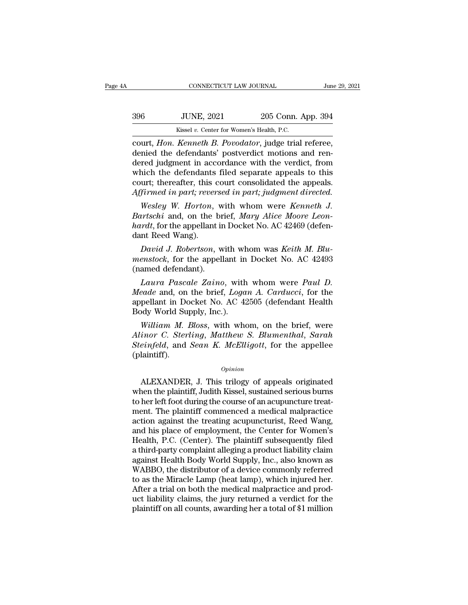| A   | CONNECTICUT LAW JOURNAL                           |                    | June 29, 2021 |
|-----|---------------------------------------------------|--------------------|---------------|
| 396 | <b>JUNE, 2021</b>                                 | 205 Conn. App. 394 |               |
|     | Kissel v. Center for Women's Health, P.C.         |                    |               |
|     | court Hon Kenneth R Povodator judge trial referee |                    |               |

connectricut LAW JOURNAL June 29, 2<br>
396 JUNE, 2021 205 Conn. App. 394<br>
Kissel v. Center for Women's Health, P.C.<br>
court, *Hon. Kenneth B. Povodator*, judge trial referee,<br>
denied the defendants' postverdict motions and re denied the defendants' posterior and the verdict.<br>
Hon. Kenneth B. Povodator, judge trial referee,<br>
denied the defendants' postverdict motions and ren-<br>
dered judgment in accordance with the verdict, from<br>
which the defend  $396$  JUNE,  $2021$   $205$  Conn. App. 394<br>  $\frac{Kissel v. \text{ Center for Women's Health, P.C.}}{\text{court, } Hon. \text{ Kenneth } B. \text{ Povodator, judge trial reference,}$ <br>
denied the defendants' postverdict motions and rendered judgment in accordance with the verdict, from<br>
which the defendants fil  $396$  UNE,  $2021$   $205$  Conn. App.  $394$ <br>  $Kissel v. Center for Women's Health, P.C.$ <br>
court, *Hon. Kenneth B. Povodator*, judge trial referee,<br>
denied the defendants' postverdict motions and ren-<br>
dered judgment in accordance with the verdict, fro Kissel v. Center for Women's Health, P.C.<br>
court, *Hon. Kenneth B. Povodator*, judge trial referee,<br>
denied the defendants' postverdict motions and ren-<br>
denied judgment in accordance with the verdict, from<br>
which the defe *Kissel v. Center for Women's Health, P.C.*<br> **Court,** *Hon. Kenneth B. Povodator*, judge trial referee,<br>
denied the defendants' postverdict motions and ren-<br>
dered judgment in accordance with the verdict, from<br>
which the d *Wesley W. Hornorical Mary Alice Mechanis* in the verdict, from<br>*Wesley W. Hornorical Subsettering W. Horewise and ren-*<br>*Wesley W. Horton*, with whom were *Kenneth J.*<br>*Wesley W. Horton*, with whom were *Kenneth J.*<br>*Wesl* denied the defendants' postverdict motions and ren-<br>dered judgment in accordance with the verdict, from<br>which the defendants filed separate appeals to this<br>court; thereafter, this court consolidated the appeals.<br>Affirmed i

dered judgment in accordance with the verdict, from<br>which the defendants filed separate appeals to this<br>court; thereafter, this court consolidated the appeals.<br>Affirmed in part; reversed in part; judgment directed.<br>Wesley which the defendants<br>court; thereafter, this of<br>*Affirmed in part; rever*<br>Wesley W. Horton,<br>Bartschi and, on the l<br>hardt, for the appellant<br>dant Reed Wang).<br>David J. Robertson, *Firmed in part, reversed in part, judgment directed.*<br>*Wesley W. Horton, with whom were Kenneth J.*<br>*prtschi* and, on the brief, *Mary Alice Moore Leon-*<br>*Parth*, for the appellant in Docket No. AC 42469 (defen-<br>*David J. Wesley W. Horton, with whom were Kenneth J.*<br>*Bartschi* and, on the brief, *Mary Alice Moore Leon-hardt*, for the appellant in Docket No. AC 42469 (defen-<br>dant Reed Wang).<br>*David J. Robertson, with whom was Keith M. Blu-m* westey *w. Horton*, w<br>Bartschi and, on the br<br>hardt, for the appellant in<br>dant Reed Wang).<br>David J. Robertson, w<br>menstock, for the appell<br>(named defendant).<br>Laura Pascale Zaino

*Laura Pascale Zaino*, with whom was *Keith M. Blu-*<br>*David J. Robertson*, with whom was *Keith M. Blu-*<br>*Pavid J. Robertson*, with whom was *Keith M. Blu-*<br>*Pascale Zaino*, with whom were *Paul D.*<br>*Laura Pascale Zaino*,

dant Reed Wang).<br> *David J. Robertson*, with whom was *Keith M. Blu-<br>
menstock*, for the appellant in Docket No. AC 42493<br>
(named defendant).<br> *Laura Pascale Zaino*, with whom were *Paul D.*<br> *Meade* and, on the brief, *Lo* David J. Robertson, with whom was Keith M. Blu-<br>menstock, for the appellant in Docket No. AC 42493<br>(named defendant).<br>Laura Pascale Zaino, with whom were Paul D.<br>Meade and, on the brief, Logan A. Carducci, for the<br>appellan David J. Robertson, with write<br>menstock, for the appellant in<br>(named defendant).<br>Laura Pascale Zaino, with<br>Meade and, on the brief, Loga<br>appellant in Docket No. AC 42<br>Body World Supply, Inc.).<br>William M. Bloss, with who *Maura Pascale Zaino*, with whom were *Paul D.*<br> *Laura Pascale Zaino*, with whom were *Paul D.*<br> *eade* and, on the brief, *Logan A. Carducci*, for the<br>
pellant in Docket No. AC 42505 (defendant Health<br>
ody World Supply, *Laura Pascale Zaino*, with whom were *Paul D.*<br>*Meade* and, on the brief, *Logan A. Carducci*, for the<br>appellant in Docket No. AC 42505 (defendant Health<br>Body World Supply, Inc.).<br>*William M. Bloss*, with whom, on the bri

*Laura Pascale Zamo*, with whom were *Paul D.*<br>*Meade* and, on the brief, *Logan A. Carducci*, for the<br>appellant in Docket No. AC 42505 (defendant Health<br>Body World Supply, Inc.).<br>*William M. Bloss*, with whom, on the brie (plaintiff). William M. Bloss, with whom, on the brief, were<br>
inor C. Sterling, Matthew S. Blumenthal, Sarah<br>
einfeld, and Sean K. McElligott, for the appellee<br>
laintiff).<br>
Opinion<br>
ALEXANDER, J. This trilogy of appeals originated<br>
nen

## *Opinion*

Alinor C. Sterling, Matthew S. Blumenthal, Sarah<br>Steinfeld, and Sean K. McElligott, for the appellee<br>(plaintiff).<br> $opinion$ <br>ALEXANDER, J. This trilogy of appeals originated<br>when the plaintiff, Judith Kissel, sustained serious Steinfeld, and Sean K. McElligott, for the appellee<br>
(plaintiff).<br>  $\begin{array}{c} 0 \text{p} \text{inion} \end{array}$ <br>
ALEXANDER, J. This trilogy of appeals originated<br>
when the plaintiff, Judith Kissel, sustained serious burns<br>
to her left foo (plaintiff).<br>  $\begin{array}{c}\n\text{opinion} \\
\text{ALEXAMPLER, J. This trilogy of apeals originated} \\
\text{when the plaintiff, Judith Kissel, sustained serious burns} \\
\text{to her left foot during the course of an acupuncture treatment. The plaintiff commenced a medical malpractic} \\
\text{action against the treating acupuncturist, Reed Wang,} \\
\text{and his place of amloument, the Center for Women's} \end{array}$  $o_{pinion}$ <br>ALEXANDER, J. This trilogy of appeals originated<br>when the plaintiff, Judith Kissel, sustained serious burns<br>to her left foot during the course of an acupuncture treat-<br>ment. The plaintiff commenced a medical malpr opinion<br>ALEXANDER, J. This trilogy of appeals originated<br>when the plaintiff, Judith Kissel, sustained serious burns<br>to her left foot during the course of an acupuncture treat-<br>ment. The plaintiff commenced a medical malpra ALEXANDER, J. This trilogy of appeals originated<br>when the plaintiff, Judith Kissel, sustained serious burns<br>to her left foot during the course of an acupuncture treat-<br>ment. The plaintiff commenced a medical malpractice<br>ac when the plaintiff, Judith Kissel, sustained serious burns<br>to her left foot during the course of an acupuncture treat-<br>ment. The plaintiff commenced a medical malpractice<br>action against the treating acupuncturist, Reed Wan to her left foot during the course of an acupuncture treat-<br>ment. The plaintiff commenced a medical malpractice<br>action against the treating acupuncturist, Reed Wang,<br>and his place of employment, the Center for Women's<br>Heal ment. The plaintiff commenced a medical malpractice<br>action against the treating acupuncturist, Reed Wang,<br>and his place of employment, the Center for Women's<br>Health, P.C. (Center). The plaintiff subsequently filed<br>a thirdaction against the treating acupuncturist, Reed Wang,<br>and his place of employment, the Center for Women's<br>Health, P.C. (Center). The plaintiff subsequently filed<br>a third-party complaint alleging a product liability claim<br>a and his place of employment, the Center for Women's<br>Health, P.C. (Center). The plaintiff subsequently filed<br>a third-party complaint alleging a product liability claim<br>against Health Body World Supply, Inc., also known as<br>W Health, P.C. (Center). The plaintiff subsequently filed<br>a third-party complaint alleging a product liability claim<br>against Health Body World Supply, Inc., also known as<br>WABBO, the distributor of a device commonly referred<br> a third-party complaint alleging a product liability claim<br>against Health Body World Supply, Inc., also known as<br>WABBO, the distributor of a device commonly referred<br>to as the Miracle Lamp (heat lamp), which injured her.<br>A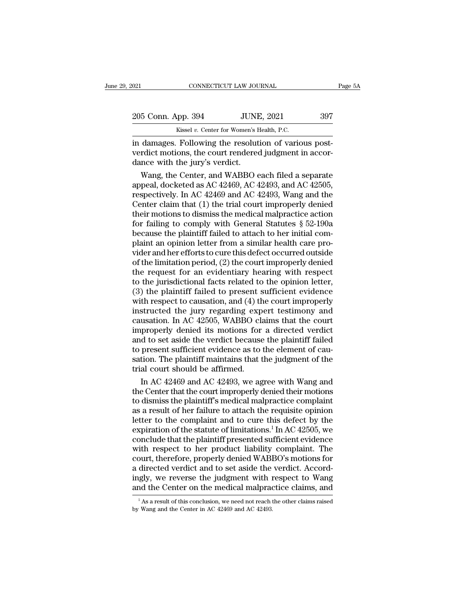| 2021                                                  | CONNECTICUT LAW JOURNAL                   | Page 5A |
|-------------------------------------------------------|-------------------------------------------|---------|
| 205 Conn. App. 394                                    | <b>JUNE, 2021</b>                         | 397     |
|                                                       | Kissel v. Center for Women's Health, P.C. |         |
| in damages. Following the resolution of various nost- |                                           |         |

Following CONNECTICUT LAW JOURNAL<br>
205 Conn. App. 394 JUNE, 2021 397<br>
Kissel v. Center for Women's Health, P.C.<br>
in damages. Following the resolution of various post-<br>
verdict motions, the court rendered judgment in accor-205 Conn. App. 394 JUNE, 2021 397<br>Kissel v. Center for Women's Health, P.C.<br>in damages. Following the resolution of various post-<br>verdict motions, the court rendered judgment in accor-<br>dance with the jury's verdict. 205 Conn. App. 394 JUNE<br>
Kissel v. Center for Women's H<br>
in damages. Following the resolut<br>
verdict motions, the court rendered<br>
dance with the jury's verdict.<br>
Wang, the Center, and WABBO 6 5 Conn. App. 394 JUNE, 2021 397<br>
Kissel v. Center for Women's Health, P.C.<br>
damages. Following the resolution of various post-<br>
rdict motions, the court rendered judgment in accor-<br>
nce with the jury's verdict.<br>
Wang, the

Example 18 Kissel v. Center for Women's Health, P.C.<br>
in damages. Following the resolution of various post-<br>
verdict motions, the court rendered judgment in accor-<br>
dance with the jury's verdict.<br>
Wang, the Center, and WA respectively. In damages. Following the resolution of various post-<br>verdict motions, the court rendered judgment in accordance with the jury's verdict.<br>Wang, the Center, and WABBO each filed a separate<br>appeal, docketed as in damages. Following the resolution of various post-<br>verdict motions, the court rendered judgment in accor-<br>dance with the jury's verdict.<br>Wang, the Center, and WABBO each filed a separate<br>appeal, docketed as AC 42469, AC verdict motions, the court rendered judgment in accordance with the jury's verdict.<br>
Wang, the Center, and WABBO each filed a separate<br>
appeal, docketed as AC 42469, AC 42493, and AC 42505,<br>
respectively. In AC 42469 and A dance with the jury's verdict.<br>
Wang, the Center, and WABBO each filed a separate<br>
appeal, docketed as AC 42469, AC 42493, and AC 42505,<br>
respectively. In AC 42469 and AC 42493, Wang and the<br>
Center claim that (1) the tri Wang, the Center, and WABBO each filed a separate<br>appeal, docketed as AC 42469, AC 42493, and AC 42505,<br>respectively. In AC 42469 and AC 42493, Wang and the<br>Center claim that (1) the trial court improperly denied<br>their mot appeal, docketed as AC 42469, AC 42493, and AC 42505, respectively. In AC 42469 and AC 42493, Wang and the Center claim that (1) the trial court improperly denied their motions to dismiss the medical malpractice action fo respectively. In AC 42469 and AC 42493, Wang and the<br>Center claim that (1) the trial court improperly denied<br>their motions to dismiss the medical malpractice action<br>for failing to comply with General Statutes § 52-190a<br>bec Center claim that (1) the trial court improperly denied<br>their motions to dismiss the medical malpractice action<br>for failing to comply with General Statutes § 52-190a<br>because the plaintiff failed to attach to her initial co their motions to dismiss the medical malpractice action<br>for failing to comply with General Statutes  $\S$  52-190a<br>because the plaintiff failed to attach to her initial com-<br>plaint an opinion letter from a similar health car for failing to comply with General Statutes  $\S$  52-190a<br>because the plaintiff failed to attach to her initial com-<br>plaint an opinion letter from a similar health care pro-<br>vider and her efforts to cure this defect occurre because the plaintiff failed to attach to her initial complaint an opinion letter from a similar health care provider and her efforts to cure this defect occurred outside of the limitation period, (2) the court improperly plaint an opinion letter from a similar health care pro-<br>vider and her efforts to cure this defect occurred outside<br>of the limitation period, (2) the court improperly denied<br>the request for an evidentiary hearing with resp vider and her efforts to cure this defect occurred outside<br>of the limitation period, (2) the court improperly denied<br>the request for an evidentiary hearing with respect<br>to the jurisdictional facts related to the opinion le of the limitation period, (2) the court improperly denied<br>the request for an evidentiary hearing with respect<br>to the jurisdictional facts related to the opinion letter,<br>(3) the plaintiff failed to present sufficient eviden the request for an evidentiary hearing with respect<br>to the jurisdictional facts related to the opinion letter,<br>(3) the plaintiff failed to present sufficient evidence<br>with respect to causation, and (4) the court improperly to the jurisdictional facts related to the opinion letter,<br>
(3) the plaintiff failed to present sufficient evidence<br>
with respect to causation, and (4) the court improperly<br>
instructed the jury regarding expert testimony a (3) the plaintiff failed to present sufficient evidence<br>with respect to causation, and (4) the court improperly<br>instructed the jury regarding expert testimony and<br>causation. In AC 42505, WABBO claims that the court<br>improp with respect to causation, and (4) the court improperly<br>instructed the jury regarding expert testimony and<br>causation. In AC 42505, WABBO claims that the court<br>improperly denied its motions for a directed verdict<br>and to set instructed the jury regarding exp<br>causation. In AC 42505, WABBO cla<br>improperly denied its motions for<br>and to set aside the verdict because<br>to present sufficient evidence as to<br>sation. The plaintiff maintains that t<br>trial c usation. In AC 42505, WABBO claims that the court<br>properly denied its motions for a directed verdict<br>d to set aside the verdict because the plaintiff failed<br>present sufficient evidence as to the element of cau-<br>tion. The p improperly denied its motions for a directed verdict<br>and to set aside the verdict because the plaintiff failed<br>to present sufficient evidence as to the element of cau-<br>sation. The plaintiff maintains that the judgment of t

and to set aside the verdict because the plaintiff failed<br>to present sufficient evidence as to the element of cau-<br>sation. The plaintiff maintains that the judgment of the<br>trial court should be affirmed.<br>In AC 42469 and AC to present sufficient evidence as to the element of causation. The plaintiff maintains that the judgment of the<br>trial court should be affirmed.<br>In AC 42469 and AC 42493, we agree with Wang and<br>the Center that the court im sation. The plaintiff maintains that the judgment of the<br>trial court should be affirmed.<br>In AC 42469 and AC 42493, we agree with Wang and<br>the Center that the court improperly denied their motions<br>to dismiss the plaintiff' trial court should be affirmed.<br>
In AC 42469 and AC 42493, we agree with Wang and<br>
the Center that the court improperly denied their motions<br>
to dismiss the plaintiff's medical malpractice complaint<br>
as a result of her fai In AC 42469 and AC 42493, we agree with Wang and<br>the Center that the court improperly denied their motions<br>to dismiss the plaintiff's medical malpractice complaint<br>as a result of her failure to attach the requisite opinio the Center that the court improperly denied their motions<br>to dismiss the plaintiff's medical malpractice complaint<br>as a result of her failure to attach the requisite opinion<br>letter to the complaint and to cure this defect to dismiss the plaintiff's medical malpractice complaint<br>as a result of her failure to attach the requisite opinion<br>letter to the complaint and to cure this defect by the<br>expiration of the statute of limitations.<sup>1</sup> In AC as a result of her failure to attach the requisite opinion<br>letter to the complaint and to cure this defect by the<br>expiration of the statute of limitations.<sup>1</sup> In AC 42505, we<br>conclude that the plaintiff presented sufficien letter to the complaint and to cure this defect by the expiration of the statute of limitations.<sup>1</sup> In AC 42505, we conclude that the plaintiff presented sufficient evidence with respect to her product liability complaint. expiration of the statute of limitations.<sup>1</sup> In AC 42505, we conclude that the plaintiff presented sufficient evidence with respect to her product liability complaint. The court, therefore, properly denied WABBO's motions court, therefore, properly denied WABBO's motions for<br>a directed verdict and to set aside the verdict. Accord-<br>ingly, we reverse the judgment with respect to Wang<br>and the Center on the medical malpractice claims, and<br> $\frac{$ a directed verdict and to set aside the verdict. Accord-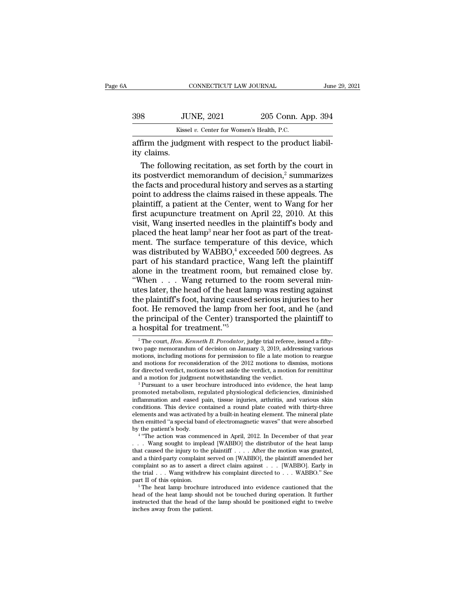|             | CONNECTICUT LAW JOURNAL                                 |                    | June 29, 2021 |
|-------------|---------------------------------------------------------|--------------------|---------------|
| 398         | <b>JUNE, 2021</b>                                       | 205 Conn. App. 394 |               |
|             | Kissel v. Center for Women's Health, P.C.               |                    |               |
| ity claims. | affirm the judgment with respect to the product liabil- |                    |               |
|             | The following recitation, as set forth by the court in  |                    |               |

 $394$ <br>  $\frac{\text{Kissel } v. \text{ Center for Women's Health, P.C.}}{\text{firm the judgment with respect to the product liability.}}$ <br>
The following recitation, as set forth by the court in<br>
Following recitation, as set forth by the court in<br>
Fostverdict memorandum of decision,<sup>2</sup> summarizes<br>
a facts and p  $398$  JUNE, 2021 205 Conn. App. 394<br>
Kissel v. Center for Women's Health, P.C.<br>
affirm the judgment with respect to the product liability<br>
claims.<br>
The following recitation, as set forth by the court in<br>
its postverdict m Kissel v. Center for Women's Health, P.C.<br>
affirm the judgment with respect to the product liabil-<br>
ity claims.<br>
The following recitation, as set forth by the court in<br>
its postverdict memorandum of decision,<sup>2</sup> summarize massed in the second with respect to the product liability claims.<br>
The following recitation, as set forth by the court in<br>
its postverdict memorandum of decision,<sup>2</sup> summarizes<br>
the facts and procedural history and serve affirm the judgment with respect to the product liabil-<br>ity claims.<br>The following recitation, as set forth by the court in<br>its postverdict memorandum of decision,<sup>2</sup> summarizes<br>the facts and procedural history and serves a ity claims.<br>The following recitation, as set forth by the court in<br>its postverdict memorandum of decision,<sup>2</sup> summarizes<br>the facts and procedural history and serves as a starting<br>point to address the claims raised in these The following recitation, as set forth by the court in<br>its postverdict memorandum of decision,<sup>2</sup> summarizes<br>the facts and procedural history and serves as a starting<br>point to address the claims raised in these appeals. T The following recitation, as set forth by the court in<br>its postverdict memorandum of decision,<sup>2</sup> summarizes<br>the facts and procedural history and serves as a starting<br>point to address the claims raised in these appeals. T the facts and procedural history and serves as a starting<br>point to address the claims raised in these appeals. The<br>plaintiff, a patient at the Center, went to Wang for her<br>first acupuncture treatment on April 22, 2010. At point to address the claims raised in these appeals. The<br>plaintiff, a patient at the Center, went to Wang for her<br>first acupuncture treatment on April 22, 2010. At this<br>visit, Wang inserted needles in the plaintiff's body plaintiff, a patient at the Center, went to Wang for her<br>first acupuncture treatment on April 22, 2010. At this<br>visit, Wang inserted needles in the plaintiff's body and<br>placed the heat lamp<sup>3</sup> near her foot as part of the first acupuncture treatment on April 22, 2010. At this<br>visit, Wang inserted needles in the plaintiff's body and<br>placed the heat lamp<sup>3</sup> near her foot as part of the treat-<br>ment. The surface temperature of this device, whi visit, Wang inserted needles in the plaintiff's body and<br>placed the heat lamp<sup>3</sup> near her foot as part of the treat-<br>ment. The surface temperature of this device, which<br>was distributed by WABBO,<sup>4</sup> exceeded 500 degrees. A placed the heat lamp<sup>3</sup> near her foot as part of the treat-<br>ment. The surface temperature of this device, which<br>was distributed by WABBO,<sup>4</sup> exceeded 500 degrees. As<br>part of his standard practice, Wang left the plaintiff<br>a ment. The surface temperature of this device, which<br>was distributed by WABBO,<sup>4</sup> exceeded 500 degrees. As<br>part of his standard practice, Wang left the plaintiff<br>alone in the treatment room, but remained close by.<br>"When  $\d$ was distributed by WABBO,<sup>4</sup> exceeded 500 degrees. As<br>part of his standard practice, Wang left the plaintiff<br>alone in the treatment room, but remained close by.<br>"When  $\dots$  Wang returned to the room several min-<br>utes later part of his standard practice, Wang left the plaintiff alone in the treatment room, but remained close by.<br>
"When  $\dots$  Wang returned to the room several minutes later, the head of the heat lamp was resting against<br>
the pl alone in the treatment room, but<br>
"When  $\ldots$  Wang returned to the When  $\ldots$  Wang returned to the lutes later, the head of the heat lang<br>
the plaintiff's foot, having caused<br>
foot. He removed the lamp from<br>
the principal the plaintiff's foot, having caused serious injuries to her<br>foot. He removed the lamp from her foot, and he (and<br>the principal of the Center) transported the plaintiff to<br>a hospital for treatment."<sup>5</sup><br><sup>2</sup>The court, *Hon. K* foot. He removed the lamp from her foot, and he (and<br>the principal of the Center) transported the plaintiff to<br>a hospital for treatment."<sup>5</sup><br> $^2$ The court, *Hon. Kenneth B. Povodator*, judge trial referee, issued a fifty-

conditions. This device contained a round plate coated with thirty-three<br>elements and was activated by a built-in heating element. The mineral plate<br>then emitted "a special band of electromagnetic waves" that were absorbe elements and was activated by a built-in heating element. The mineral plate<br>then emitted "a special band of electromagnetic waves" that were absorbed<br>by the patient's body.<br>"The action was commenced in April, 2012. In Dece then emitted "a special band of electromagnetic waves" that were absorbed<br>by the patient's body.<br>
"The action was commenced in April, 2012. In December of that year<br>
. . . . Wang sought to implead [WABBO] the distributor by the patient's body.<br>
"The action was commenced in April, 2012. In December of that year<br>
. . . . Wang sought to implead [WABBO] the distributor of the heat lamp<br>
that caused the injury to the plaintiff . . . . After the <sup>4</sup> "The action was commenced in April, 2012. In December of that year . . . . Wang sought to implead [WABBO] the distributor of the heat lamp that caused the injury to the plaintiff . . . . After the motion was granted, that caused the injury to the plaintiff . . . . After the motion was granted, and a third-party complaint served on [WABBO], the plaintiff amended her complaint so as to assert a direct claim against . . . [WABBO]. Early the trial . . . Wang withdrew his complaint directed to . . . WABBO." See

and a third-party complaint served on [WABBO], the plaintiff amended her complaint so as to assert a direct claim against . . . [WABBO]. Early in the trial . . . Wang withdrew his complaint directed to . . . WABBO." See p

motions, i.e. Fernoved the lamp from her foot, and he (and<br>the principal of the Center) transported the plaintiff to<br>a hospital for treatment."<sup>5</sup><br> $^2$ The court, *Hon. Kenneth B. Povodator*, judge trial referee, issued a the principal of the Center) transported the plaintiff to<br>
a hospital for treatment."<sup>5</sup><br>
<sup>2</sup> The court, *Hon. Kenneth B. Povodator*, judge trial referee, issued a fifty-<br>
two page memorandum of decision on January 3, 201 **a** hospital for treatment."<sup>5</sup><br><sup>2</sup> The court, *Hon. Kenneth B. Povodator*, judge trial referee, issued a fifty-<br>two page memorandum of decision on January 3, 2019, addressing various<br>motions, including motions for permis <sup>2</sup> The court, *Hon. Kenneth B. Povodator*, judge trial referee, issued a fifty-<br>two page memorandum of decision on January 3, 2019, addressing various<br>motions, including motions for permission to file a late motion to re two page memorandum of decision on January 3, 2019, addressing various<br>motions, including motions for permission to file a late motion to reargue<br>and motions for reconsideration of the 2012 motions to dismiss, motions<br>for

motions, including motions for permission to file a late motion to reargue<br>and motions for reconsideration of the 2012 motions to dismiss, motions<br>for directed verdict, motions to set aside the verdict, a motion for remitt and motions for reconsideration of the 2012 motions to dismiss, motions for directed verdict, motions to set aside the verdict, a motion for remittitur and a motion for judgment notwithstanding the verdict.<br>
<sup>3</sup> Pursuant t for directed verdict, motions to set aside the verdict, a motion for remittitur<br>and a motion for judgment notwithstanding the verdict.<br><sup>3</sup> Pursuant to a user brochure introduced into evidence, the heat lamp<br>promoted metabo and a motion for judgment notwithstanding the verdict.<br>
<sup>3</sup> Pursuant to a user brochure introduced into evidence, the heat lamp<br>
promoted metabolism, regulated physiological deficiencies, diminished<br>
inflammation and eased <sup>3</sup> Pursuant to a user bro<br>promoted metabolism, real<br>inflammation and eased p<br>conditions. This device co<br>elements and was activated<br>then emitted "a special ban<br>by the patient's body.<br> $\frac{4}{100}$  action was comm moted metabolism, regulated physiological deficiencies, diminished<br>ammation and eased pain, tissue injuries, arthritis, and various skin<br>ditions. This device contained a round plate coated with thirty-three<br>ments and was a inflammation and eased pain, tissue injuries, arthritis, and various skin<br>conditions. This device contained a round plate coated with thirty-three<br>elements and was activated by a built-in heating element. The mineral plate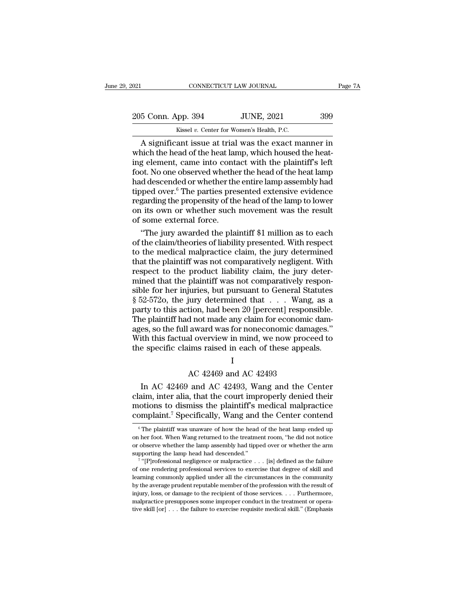| 021                | CONNECTICUT LAW JOURNAL                              | Page 7A |
|--------------------|------------------------------------------------------|---------|
| 205 Conn. App. 394 | <b>JUNE, 2021</b>                                    | 399     |
|                    | Kissel v. Center for Women's Health, P.C.            |         |
|                    | A significant issue at trial was the exact manner in |         |

 $\begin{array}{ccc}\n & \text{COMRECTICUT LAW JOURNAL} & \text{Page 7A} \\
 \hline\n 5 \text{ Conn. App. 394} & \text{JUNE, 2021} & \text{399} \\
 \text{Kissel } v. \text{ Center for Women's Health, P.C.} \\
 \hline\n \text{A significant issue at trial was the exact manner in} \\
 \text{inich the head of the heat lamp, which housed the heat-} \\
 \hline\n \text{dement came into contact with the plaintiff's left} & \text{def} \\
 \end{array}$ 205 Conn. App. 394 JUNE, 2021 399<br>Kissel v. Center for Women's Health, P.C.<br>A significant issue at trial was the exact manner in<br>which the head of the heat lamp, which housed the heat-<br>froot No one observed whether the hea 205 Conn. App. 394 JUNE, 2021 399<br>
Kissel v. Center for Women's Health, P.C.<br>
A significant issue at trial was the exact manner in<br>
which the head of the heat lamp, which housed the heat-<br>
ing element, came into contact w 205 Conn. App. 394 JUNE, 2021 399<br>
Kissel v. Center for Women's Health, P.C.<br>
A significant issue at trial was the exact manner in<br>
which the head of the heat lamp, which housed the heat-<br>
ing element, came into contact w Kissel v. Center for Women's Health, P.C.<br>
A significant issue at trial was the exact manner in<br>
which the head of the heat lamp, which housed the heat-<br>
ing element, came into contact with the plaintiff's left<br>
foot. No Kissel v. Center for Women's Health, P.C.<br>
A significant issue at trial was the exact manner in<br>
which the head of the heat lamp, which housed the heat-<br>
ing element, came into contact with the plaintiff's left<br>
foot. No A significant issue at trial was the exact manner in<br>which the head of the heat lamp, which housed the heat-<br>ing element, came into contact with the plaintiff's left<br>foot. No one observed whether the head of the heat lamp which the head of the heat lamp, which housed the heat-<br>ing element, came into contact with the plaintiff's left<br>foot. No one observed whether the head of the heat lamp<br>had descended or whether the entire lamp assembly had ing element, came into conta<br>foot. No one observed whethe<br>had descended or whether the<br>tipped over.<sup>6</sup> The parties pres<br>regarding the propensity of the<br>on its own or whether such<br>of some external force.<br>"The jury awarded t ot. No one observed whether the head of the heat lamp<br>d descended or whether the entire lamp assembly had<br>pped over.<sup>6</sup> The parties presented extensive evidence<br>garding the propensity of the head of the lamp to lower<br>its o had descended or whether the entire lamp assembly had<br>tipped over.<sup>6</sup> The parties presented extensive evidence<br>regarding the propensity of the head of the lamp to lower<br>on its own or whether such movement was the result<br>of

tipped over.<sup>6</sup> The parties presented extensive evidence<br>regarding the propensity of the head of the lamp to lower<br>on its own or whether such movement was the result<br>of some external force.<br>"The jury awarded the plaintiff regarding the propensity of the head of the lamp to lower<br>on its own or whether such movement was the result<br>of some external force.<br>"The jury awarded the plaintiff \$1 million as to each<br>of the claim/theories of liability on its own or whether such movement was the result<br>of some external force.<br>"The jury awarded the plaintiff \$1 million as to each<br>of the claim/theories of liability presented. With respect<br>to the medical malpractice claim, of some external force.<br>
"The jury awarded the plaintiff \$1 million as to each<br>
of the claim/theories of liability presented. With respect<br>
to the medical malpractice claim, the jury determined<br>
that the plaintiff was not "The jury awarded the plaintiff \$1 million as to each<br>of the claim/theories of liability presented. With respect<br>to the medical malpractice claim, the jury determined<br>that the plaintiff was not comparatively negligent. Wi of the claim/theories of liability presented. With respect<br>to the medical malpractice claim, the jury determined<br>that the plaintiff was not comparatively negligent. With<br>respect to the product liability claim, the jury det to the medical malpractice claim, the jury determined<br>that the plaintiff was not comparatively negligent. With<br>respect to the product liability claim, the jury deter-<br>mined that the plaintiff was not comparatively respon-<br> that the plaintiff was not comparatively negligent. With<br>respect to the product liability claim, the jury deter-<br>mined that the plaintiff was not comparatively respon-<br>sible for her injuries, but pursuant to General Statu respect to the product liability claim, the jury deter-<br>mined that the plaintiff was not comparatively respon-<br>sible for her injuries, but pursuant to General Statutes<br>§ 52-5720, the jury determined that . . . Wang, as a<br>p mined that the plaintiff was not comparatively responsible for her injuries, but pursuant to General Statutes § 52-5720, the jury determined that . . . Wang, as a party to this action, had been 20 [percent] responsible. Th sible for her injuries, but pursuant to General Statutes  $\S$  52-572o, the jury determined that  $\dots$  Wang, as a party to this action, had been 20 [percent] responsible.<br>The plaintiff had not made any claim for economic dam Figure 1.20 (percent) responses that the any claim for economic award was for noneconomic dama<br>al overview in mind, we now proce ims raised in each of these appeal<br>I<br>AC 42469 and AC 42493<br>and AC 42493, Wang and the Co es, so the full award was for noneconomic damages."<br>
ith this factual overview in mind, we now proceed to<br>
e specific claims raised in each of these appeals.<br>
I<br>
AC 42469 and AC 42493<br>
In AC 42469 and AC 42493, Wang and th

## I

With this factual overview in mind, we now proceed to<br>the specific claims raised in each of these appeals.<br> $I$ <br>AC 42469 and AC 42493<br>In AC 42469 and AC 42493, Wang and the Center<br>claim, inter alia, that the court improper the specific claims raised in each of these appeals.<br>
I<br>
AC 42469 and AC 42493<br>
In AC 42469 and AC 42493, Wang and the Center<br>
claim, inter alia, that the court improperly denied their<br>
motions to dismiss the plaintiff's m I<br>
AC 42469 and AC 42493<br>
In AC 42469 and AC 42493, Wang and the Center<br>
claim, inter alia, that the court improperly denied their<br>
motions to dismiss the plaintiff's medical malpractice<br>
complaint.<sup>7</sup> Specifically, Wang a In AC 42469 and AC 42493, Wang and the Center<br>aim, inter alia, that the court improperly denied their<br>otions to dismiss the plaintiff's medical malpractice<br>omplaint.<sup>7</sup> Specifically, Wang and the Center contend<br> $\frac{6}{10}$ claim, inter alia, that the court improperly denied their<br>motions to dismiss the plaintiff's medical malpractice<br>complaint.<sup>7</sup> Specifically, Wang and the Center contend<br> $\frac{1}{\pi}$  The plaintiff was unaware of how the head

motions to dismiss the plaintiff's medical malpractice<br>complaint.<sup>7</sup> Specifically, Wang and the Center contend<br><sup>6</sup> The plaintiff was unaware of how the head of the heat lamp ended up<br>on her foot. When Wang returned to the complaint.<sup>7</sup> Specifically, Wang and<br>  $\overline{\ }$  <sup>6</sup> The plaintiff was unaware of how the head<br>
on her foot. When Wang returned to the treatme<br>
or observe whether the lamp assembly had tippe<br>
supporting the lamp head had des The plaintiff was unaware of how the head of the heat lamp ended up<br>The plaintiff was unaware of how the head of the heat lamp ended up<br>her foot. When Wang returned to the treatment room, "he did not notice<br>bbserve whether The plaintiff was unaware of how the head of the heat lamp ended up<br>on her foot. When Wang returned to the treatment room, "he did not notice<br>or observe whether the lamp assembly had tipped over or whether the arm<br>support

on her foot. When Wang returned to the treatment room, "he did not notice or observe whether the lamp assembly had tipped over or whether the arm supporting the lamp head had descended."<br>
<sup>7</sup> "[P]rofessional negligence or on her foot. When Wang returned to the treatment room, "he did not notice or observe whether the lamp assembly had tipped over or whether the arm supporting the lamp head had descended."<br>
<sup>7</sup> "[P]rofessional negligence or supporting the lamp head had descended."<br>
<sup>7</sup> "[P]rofessional negligence or malpractice . . . [is] defined as the failure<br>
of one rendering professional services to exercise that degree of skill and<br>
learning commonly app <sup>7</sup> "[P]rofessional negligence or malpractice  $\ldots$  [is] defined as the failure of one rendering professional services to exercise that degree of skill and learning commonly applied under all the circumstances in the comm The performance of the professional services to exercise that degree of skill and learning commonly applied under all the circumstances in the community by the average prudent reputable member of the profession with the r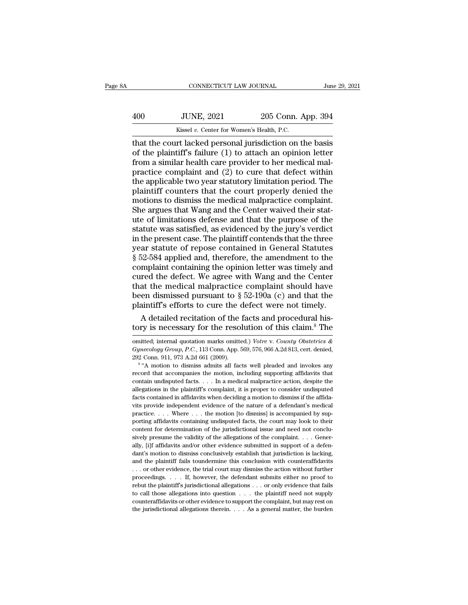# CONNECTICUT LAW JOURNAL June 29, 2021<br>400 JUNE, 2021 205 Conn. App. 394<br>Kissel v. Center for Women's Health, P.C. CONNECTICUT LAW JOURNAL Jun<br>
400 JUNE, 2021 205 Conn. App. 394<br>
Kissel *v.* Center for Women's Health, P.C.<br>
that the court lacked personal jurisdiction on the basis

CONNECTICUT LAW JOURNAL June 29, 2021<br>  $\frac{1}{205}$  Conn. App. 394<br>  $\frac{1}{205}$  Kissel v. Center for Women's Health, P.C.<br>
that the court lacked personal jurisdiction on the basis<br>
of the plaintiff's failure (1) to attach 400 JUNE, 2021 205 Conn. App. 394<br>
Kissel v. Center for Women's Health, P.C.<br>
that the court lacked personal jurisdiction on the basis<br>
of the plaintiff's failure (1) to attach an opinion letter<br>
from a similar health care 400 JUNE,  $2021$   $205$  Conn. App. 394<br>  $\frac{Kissel v. \text{ Center for Women's Health, P.C.}}{Kissel v. \text{ Center for Women's Health, P.C.}}$ <br>
that the court lacked personal jurisdiction on the basis<br>
of the plaintiff's failure (1) to attach an opinion letter<br>
from a similar healt  $\frac{100}{205}$  JUNE, 2021 205 Conn. App. 394<br>  $\frac{100}{205}$  Kissel v. Center for Women's Health, P.C.<br>
that the court lacked personal jurisdiction on the basis<br>
of the plaintiff's failure (1) to attach an opinion letter<br>
f EXECUTE:  $\frac{2621}{269 \text{ Cofit}}$ <br>
Kissel v. Center for Women's Health, P.C.<br>
that the court lacked personal jurisdiction on the basis<br>
of the plaintiff's failure (1) to attach an opinion letter<br>
from a similar health care pro Kissel v. Center for Women's Health, P.C.<br>
that the court lacked personal jurisdiction on the basis<br>
of the plaintiff's failure (1) to attach an opinion letter<br>
from a similar health care provider to her medical mal-<br>
pra that the court lacked personal jurisdiction on the basis<br>of the plaintiff's failure (1) to attach an opinion letter<br>from a similar health care provider to her medical mal-<br>practice complaint and (2) to cure that defect wit of the plaintiff's failure (1) to attach an opinion letter<br>from a similar health care provider to her medical mal-<br>practice complaint and (2) to cure that defect within<br>the applicable two year statutory limitation period. from a similar health care provider to her medical mal-<br>practice complaint and (2) to cure that defect within<br>the applicable two year statutory limitation period. The<br>plaintiff counters that the court properly denied the<br>m practice complaint and (2) to cure that defect within<br>the applicable two year statutory limitation period. The<br>plaintiff counters that the court properly denied the<br>motions to dismiss the medical malpractice complaint.<br>She the applicable two year statutory limitation period. The plaintiff counters that the court properly denied the motions to dismiss the medical malpractice complaint. She argues that Wang and the Center waived their statute plaintiff counters that the court properly denied the<br>motions to dismiss the medical malpractice complaint.<br>She argues that Wang and the Center waived their stat-<br>ute of limitations defense and that the purpose of the<br>stat motions to dismiss the medical malpractice complaint.<br>She argues that Wang and the Center waived their stat-<br>ute of limitations defense and that the purpose of the<br>statute was satisfied, as evidenced by the jury's verdict<br> She argues that Wang and the Center waived their stat-<br>ute of limitations defense and that the purpose of the<br>statute was satisfied, as evidenced by the jury's verdict<br>in the present case. The plaintiff contends that the t ute of limitations defense and that the purpose of the<br>statute was satisfied, as evidenced by the jury's verdict<br>in the present case. The plaintiff contends that the three<br>year statute of repose contained in General Statut statute was satisfied, as evidenced by the jury's verdict<br>in the present case. The plaintiff contends that the three<br>year statute of repose contained in General Statutes<br> $\S 52-584$  applied and, therefore, the amendment to in the present case. The plaintiff contends that the three<br>year statute of repose contained in General Statutes<br>§ 52-584 applied and, therefore, the amendment to the<br>complaint containing the opinion letter was timely and<br> year statute of repose contained in General Statutes  $\S$  52-584 applied and, therefore, the amendment to the complaint containing the opinion letter was timely and cured the defect. We agree with Wang and the Center that 52-584 applied and, therefore, the amendment to the mplaint containing the opinion letter was timely and red the defect. We agree with Wang and the Center at the medical malpractice complaint should have en dismissed purs complaint containing the opinion letter was timely and<br>cured the defect. We agree with Wang and the Center<br>that the medical malpractice complaint should have<br>been dismissed pursuant to § 52-190a (c) and that the<br>plaintiff

been dismissed pursuant to § 52-190a (C) and that the<br>plaintiff's efforts to cure the defect were not timely.<br>A detailed recitation of the facts and procedural his-<br>tory is necessary for the resolution of this claim.<sup>8</sup> Th

plaintiff's efforts to cure the defect were not timely.<br> *A* detailed recitation of the facts and procedural his-<br>
tory is necessary for the resolution of this claim.<sup>8</sup> The<br>
omitted; internal quotation marks omitted.) *Vo* A detailed recitation of the  $\frac{1}{2}$  tory is necessary for the resol<br>omitted; internal quotation marks omitted<br> $Gynecology Group, P.C., 113 Conn. App.  $\frac{292}{8}$  Conn. 911, 973 A.2d 661 (2009).  
 $\frac{8}{8}$  A motion to dismiss admits all fac$ The detailed recreasion of the races and procedural history is necessary for the resolution of this claim.<sup>8</sup> The litted; internal quotation marks omitted.) *Votre v. County Obstetrics* & *aecology Group, P.C.*, 113 Conn.

record that accompanies the motion, including supporting affidavits that contain undispected facts. . . . In a medical malpractice action, despite the motion including supporting affidavits that companies the motion, inclu omitted; internal quotation marks omitted.) Votre v. County Obstetrics & Gynecology Group, P.C., 113 Conn. App. 569, 576, 966 A.2d 813, cert. denied, 292 Conn. 911, 973 A.2d 661 (2009).<br><sup>8</sup> "A motion to dismiss admits all *Gynecology Group, P.C.*, 113 Conn. App. 569, 576, 966 A.2d 813, cert. denied, 292 Conn. 911, 973 A.2d 661 (2009).<br><sup>8</sup> "A motion to dismiss admits all facts well pleaded and invokes any record that accompanies the motion, 292 Conn. 911, 973 A.2d 661 (2009).<br>
<sup>8</sup> "A motion to dismiss admits all facts well pleaded and invokes any<br>
record that accompanies the motion, including supporting affidavits that<br>
contain undisputed facts.... In a medi <sup>2</sup> <sup>8</sup> <sup>4</sup> A motion to dismiss admits all facts well pleaded and invokes any record that accompanies the motion, including supporting affidavits that contain undisputed facts. . . . In a medical malpractice action, despi precord that accompanies the motion, including supporting affidavits that contain undisputed facts. . . . In a medical malpractice action, despite the allegations in the plaintiff's complaint, it is proper to consider und probability contain undisputed facts. The medical malpractice action, despite the allegations in the plaintiff's complaint, it is proper to consider undisputed facts contained in affidavits when deciding a motion to dismis content for determination of the jurisdictional issue and need not consider undisputed<br>facts contained in affidavits when deciding a motion to dismiss if the affida-<br>vits provide independent evidence of the nature of a de facts contained in affidavits when deciding a motion to dismiss if the affidavits provide independent evidence of the nature of a defendant's medical practice. . . . Where . . . the motion [to dismiss] is accompanied by s wits provide independent evidence of the nature of a defendant's medical practice. . . . Where . . . the motion [to dismiss] is accompanied by supporting affidavits containing undisputed facts, the court may look to their practice.... Where ... the motion [to dismiss] is accompanied by supporting affidavits containing undisputed facts, the court may look to their content for determination of the jurisdictional issue and need not conclusive porting affidavits containing undisputed facts, the court may look to their content for determination of the jurisdictional issue and need not conclusively presume the validity of the allegations of the complaint. . . . G Forms and for determination of the jurisdictional issue and need not conclusively presume the validity of the allegations of the complaint. . . . Generally, [i]f affidavits and/or other evidence submitted in support of a sively presume the validity of the allegations of the complaint. . . . Generally, [i]f affidavits and/or other evidence submitted in support of a defendant's motion to dismiss conclusively establish that jurisdiction is l sively presume the validity of the allegations of the complaint. . . . Generally, [i]f affidavits and/or other evidence submitted in support of a defendant's motion to dismiss conclusively establish that jurisdiction is l the dant's motion to dismiss conclusively establish that jurisdiction is lacking, and the plaintiff fails toundermine this conclusion with counteraffidavits . . . or other evidence, the trial court may dismiss the action and the plaintiff fails toundermine this conclusion with counteraffidavits ... or other evidence, the trial court may dismiss the action without further proceedings. . . . If, however, the defendant submits either no proo ... or other evidence, the trial court may dismiss the action without further proceedings. . . . If, however, the defendant submits either no proof to rebut the plaintiff's jurisdictional allegations . . . or only evidenc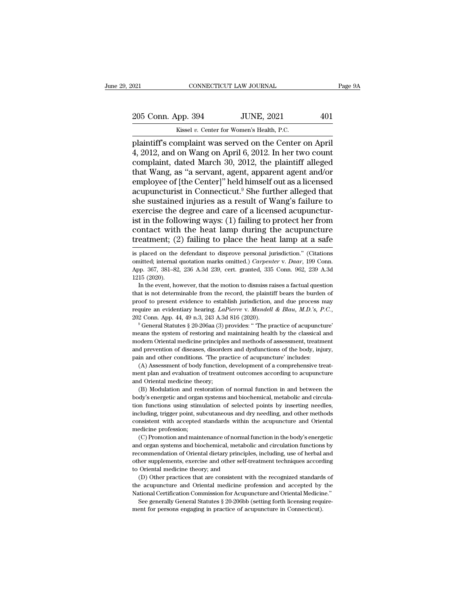EXECUTE DAN JOURNAL Page 9A<br>
205 Conn. App. 394 JUNE, 2021 401<br>
Kissel v. Center for Women's Health, P.C.

CONNECTICUT LAW JOURNAL<br>
205 Conn. App. 394 JUNE, 2021 401<br>
Kissel *v.* Center for Women's Health, P.C.<br>
plaintiff's complaint was served on the Center on April 021 CONNECTICUT LAW JOURNAL Page !<br>
205 Conn. App. 394 JUNE, 2021 401<br>
Kissel v. Center for Women's Health, P.C.<br>
plaintiff's complaint was served on the Center on April<br>
4, 2012, and on Wang on April 6, 2012. In her two c 205 Conn. App. 394 JUNE, 2021 401<br>Kissel v. Center for Women's Health, P.C.<br>plaintiff's complaint was served on the Center on April<br>4, 2012, and on Wang on April 6, 2012. In her two count<br>complaint, dated March 30, 2012, t 205 Conn. App. 394 JUNE, 2021 401<br>
Kissel v. Center for Women's Health, P.C.<br>
plaintiff's complaint was served on the Center on April<br>
4, 2012, and on Wang on April 6, 2012. In her two count<br>
complaint, dated March 30, 20 205 Conn. App. 394 JUNE, 2021 401<br>
Kissel v. Center for Women's Health, P.C.<br>
plaintiff's complaint was served on the Center on April<br>
4, 2012, and on Wang on April 6, 2012. In her two count<br>
complaint, dated March 30, 20 Example 19 Served Center, 2021<br>
Example 19 Served Center of Nomen's Health, P.C.<br>
plaintiff's complaint was served on the Center on April<br>
4, 2012, and on Wang on April 6, 2012. In her two count<br>
complaint, dated March 30 Kissel v. Center for Women's Health, P.C.<br>plaintiff's complaint was served on the Center on April<br>4, 2012, and on Wang on April 6, 2012. In her two count<br>complaint, dated March 30, 2012, the plaintiff alleged<br>that Wang, a plaintiff's complaint was served on the Center on April 4, 2012, and on Wang on April 6, 2012. In her two count<br>complaint, dated March 30, 2012, the plaintiff alleged<br>that Wang, as "a servant, agent, apparent agent and/or<br>  $\tilde{A}$ , 2012, and on Wang on April 6, 2012. In her two count complaint, dated March 30, 2012, the plaintiff alleged that Wang, as "a servant, agent, apparent agent and/or employee of [the Center]" held himself out as a complaint, dated March 30, 2012, the plaintiff alleged<br>that Wang, as "a servant, agent, apparent agent and/or<br>employee of [the Center]" held himself out as a licensed<br>acupuncturist in Connecticut.<sup>9</sup> She further alleged th that Wang, as "a servant, agent, apparent agent and/or<br>employee of [the Center]" held himself out as a licensed<br>acupuncturist in Connecticut.<sup>9</sup> She further alleged that<br>she sustained injuries as a result of Wang's failure employee of [the Center]" held himself out as a licensed<br>acupuncturist in Connecticut.<sup>9</sup> She further alleged that<br>she sustained injuries as a result of Wang's failure to<br>exercise the degree and care of a licensed acupunct exercise the degree and care of a licensed acupuncturist in the following ways: (1) failing to protect her from contact with the heat lamp during the acupuncture treatment; (2) failing to place the heat lamp at a safe is ist in the following ways: (1) failing to protect her from<br>contact with the heat lamp during the acupuncture<br>treatment; (2) failing to place the heat lamp at a safe<br>is placed on the defendant to disprove personal jurisdict

contact with the heat lamp during the acupuncture<br>treatment; (2) failing to place the heat lamp at a safe<br>is placed on the defendant to disprove personal jurisdiction." (Citations<br>omitted, internal quotation marks omitted **treatment;** (2) failing to place the heat lamp at a safe is placed on the defendant to disprove personal jurisdiction." (Citations omitted; internal quotation marks omitted.) *Carpenter* v. *Daar*, 199 Conn. App. 367, 38 Fraction of the defendant to disprove personal jurisdiction." (Citations initted; internal quotation marks omitted.) Carpenter v. Daar, 199 Conn.<br>p. 367, 381–82, 236 A.3d 239, cert. granted, 335 Conn. 962, 239 A.3d 15 (20 is placed on the defendant to disprove personal jurisdiction." (Citations omitted; internal quotation marks omitted.) *Carpenter* v. *Daar*, 199 Conn. App. 367, 381–82, 236 A.3d 239, cert. granted, 335 Conn. 962, 239 A.3d

provided internal quotation marks omitted.) *Carpenter v. Daar*, 199 Conn.<br>App. 367, 381–82, 236 A.3d 239, cert. granted, 335 Conn. 962, 239 A.3d<br>1215 (2020).<br>In the event, however, that the motion to dismiss raises a fac App. 367, 381–82, 236 A.3d 239, cert. granted, 335 Conn. 962, 239 A.3d 1215 (2020).<br>
In the event, however, that the motion to dismiss raises a factual question<br>
that is not determinable from the record, the plaintiff bear that is not determinable from the record, the plaintiff bears the burden of proof to present evidence to establish jurisdiction, and due process may require an evidentiary hearing. *LaPierre* v. *Mandell & Blau, M.D.*'s,

proof to present evidence to establish jurisdiction, and due process may require an evidentiary hearing. *LaPierre* v. *Mandell & Blau, M.D.*'s, *P.C.*, 202 Conn. App. 44, 49 n.3, 243 A.3d 816 (2020).<br><sup>9</sup> General Statutes require an evidentiary hearing. *LaPierre* v. *Mandell & Blau, M.D.*'s, P.C., 202 Conn. App. 44, 49 n.3, 243 A.3d 816 (2020).<br><sup>9</sup> General Statutes § 20-206aa (3) provides: "The practice of acupuncture" means the system of Paya Conn. App. 44, 49 n.3, 243 A.3d 816 (2020).<br>
<sup>9</sup> General Statutes § 20-206aa (3) provides: "The practice of acupunct<br>
<sup>9</sup> General Statutes § 20-206aa (3) provides: "The practice of acupunct<br>
means the system of restor From The Hyrace of acupuncture's eneral Statutes § 20-206aa (3) provides: "The practice of acupuncture's eneral statutes § 20-206aa (3) provides: "The practice of acupuncture' and odern Oriental medicine principles and me means the system of restoring and maintaining health by the classical and modern Oriental medicine principles and methods of assessment, treatment and prevention of diseases, disorders and dysfunctions of the body, injury, modern Oriental medicine principle<br>and prevention of diseases, disorde<br>pain and other conditions. The pra<br>(A) Assessment of body function,<br>ment plan and evaluation of treatm<br>and Oriental medicine theory;<br>(B) Modulation and

designed by the body, injury, and other conditions. The practice of acupunctions of the body, injury, in and other conditions. The practice of acupuncture' includes:<br>(A) Assessment of body function, development of a compre

point and other conditions. "The practice of acupuncture' includes:<br>
(A) Assessment of body function, development of a comprehensive treat-<br>
ment plan and evaluation of treatment outcomes according to acupuncture<br>
and Orie (A) Assessment of body function, development of a comprehensive treatment plan and evaluation of treatment outcomes according to acupuncture and Oriental medicine theory;<br>(B) Modulation and restoration of normal function i including, the discussion of treatment outcomes according to acupuncture<br>and Oriental medicine theory;<br>(B) Modulation and restoration of normal function in and between the<br>body's energetic and organ systems and biochemical ment Oriental medicine theory;<br>
(B) Modulation and restoration of normal function in and between the<br>
body's energetic and organ systems and biochemical, metabolic and circula-<br>
tion functions using stimulation of selected (B) Modulation and respective different conditions (B) Modulation and respective functions using stime including, trigger point, successitent with accepted medicine profession; (C) Promotion and main (d) is energetic and organ systems and biochemical, metabolic and circula-<br>on functions using stimulation of selected points by inserting needles,<br>cluding, trigger point, subcutaneous and dry needling, and other methods<br>ns For the functions using stimulation of selected points by inserting needles, including, trigger point, subcutaneous and dry needling, and other methods consistent with accepted standards within the acupuncture and Orienta

including, trigger point, subcutaneous and dry needling, and other methods consistent with accepted standards within the acupuncture and Oriental medicine profession;<br>(C) Promotion and maintenance of normal function in the consistent with accepted standards within the acupuncture and Oriental<br>medicine profession;<br>(C) Promotion and maintenance of normal function in the body's energetic<br>and organ systems and biochemical, metabolic and circulat medicine profession;<br>
(C) Promotion and maintenance of normal<br>
and organ systems and biochemical, metabol<br>
recommendation of Oriental dietary principle<br>
other supplements, exercise and other self-t<br>
to Oriental medicine th (C) Promotion and maintenance of normal function in the body's energetic d organ systems and biochemical, metabolic and circulation functions by commendation of Oriental dietary principles, including, use of herbal and th The acupuration of Oriental medicine of interactional methodic and circulation functions by recommendation of Oriental dietary principles, including, use of herbal and other supplements, exercise and other self-treatment t The commendation of Oriental dietary principles, including, use of herbal and other supplements, exercise and other self-treatment techniques according to Oriental medicine theory; and (D) Other practices that are consiste

For supplements, exercise and other self-treatment techniques according<br>Oriental medicine theory; and<br>(D) Other practices that are consistent with the recognized standards of<br>a compuncture and Oriental medicine profession to Oriental medicine theory; and<br>
(D) Other practices that are consistent with the recognized standards of<br>
the acupuncture and Oriental medicine profession and accepted by the<br>
National Certification Commission for Acupun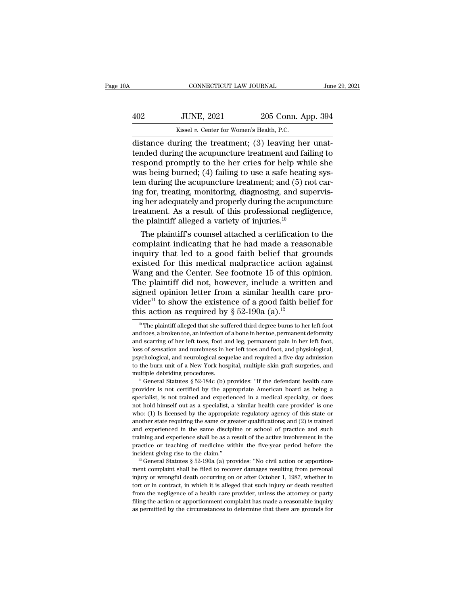| 0A  | CONNECTICUT LAW JOURNAL                                  |                    | June 29, 2021 |
|-----|----------------------------------------------------------|--------------------|---------------|
| 402 | <b>JUNE, 2021</b>                                        | 205 Conn. App. 394 |               |
|     | Kissel v. Center for Women's Health, P.C.                |                    |               |
|     | $distance$ during the treatment: $(3)$ leaving her unat- |                    |               |

CONNECTICUT LAW JOURNAL<br>
distance during the treatment; (3) leaving her unat-<br>
distance during the treatment; (3) leaving her unat-<br>
tended during the acupuncture treatment and failing to<br>
respond promptly to the her cries TUNE, 2021 205 Conn. App. 394<br>
Kissel v. Center for Women's Health, P.C.<br>
distance during the treatment; (3) leaving her unat-<br>
tended during the acupuncture treatment and failing to<br>
respond promptly to the her cries for Fig. 2021 205 Conn. App. 394<br>  $\frac{\text{Kissel }v. \text{ Center for Women's Health, P.C.}}{\text{distance during the treatment; (3) leaving her unattended during the acupuncture treatment and failing to respond promptly to the her crises for help while she was being burned; (4) failing to use a safe heating system during the acupuncture treatment: and (5) not car \frac{402}{100}$  JUNE, 2021 205 Conn. App. 394<br>  $\frac{402}{100}$  Kissel v. Center for Women's Health, P.C.<br>
distance during the treatment; (3) leaving her unat-<br>
tended during the acupuncture treatment and failing to<br>
respond p EXECTE:  $\frac{1}{2021}$  and  $\frac{1}{2020}$  collar. Exp. 051<br>distance during the treatment; (3) leaving her unat-<br>tended during the acupuncture treatment and failing to<br>respond promptly to the her cries for help while she<br>was b Exissel v. Center for Women's Health, P.C.<br>
distance during the treatment; (3) leaving her unat-<br>
tended during the acupuncture treatment and failing to<br>
respond promptly to the her cries for help while she<br>
was being bur distance during the treatment; (3) leaving her unat-<br>tended during the acupuncture treatment and failing to<br>respond promptly to the her cries for help while she<br>was being burned; (4) failing to use a safe heating sys-<br>tem tended during the acupuncture treatment and failing to<br>respond promptly to the her cries for help while she<br>was being burned; (4) failing to use a safe heating sys-<br>tem during the acupuncture treatment; and (5) not car-<br>i respond promptly to the her cries for help whi<br>was being burned; (4) failing to use a safe heatin<br>tem during the acupuncture treatment; and (5) n<br>ing for, treating, monitoring, diagnosing, and suj<br>ing her adequately and p as being burned; (4) failing to use a safe heating sys-<br>m during the acupuncture treatment; and (5) not car-<br>g for, treating, monitoring, diagnosing, and supervis-<br>g her adequately and properly during the acupuncture<br>eatme tem during the acupuncture treatment; and  $(5)$  not caring for, treating, monitoring, diagnosing, and supervising her adequately and properly during the acupuncture treatment. As a result of this professional negligence,

ing for, treating, monitoring, diagnosing, and supervis-<br>ing her adequately and properly during the acupuncture<br>treatment. As a result of this professional negligence,<br>the plaintiff alleged a variety of injuries.<sup>10</sup><br>The p ing her adequately and properly during the acupuncture<br>treatment. As a result of this professional negligence,<br>the plaintiff alleged a variety of injuries.<sup>10</sup><br>The plaintiff's counsel attached a certification to the<br>compla treatment. As a result of this professional negligence,<br>the plaintiff alleged a variety of injuries.<sup>10</sup><br>The plaintiff's counsel attached a certification to the<br>complaint indicating that he had made a reasonable<br>inquiry th the plaintiff alleged a variety of injuries.<sup>10</sup><br>The plaintiff's counsel attached a certification to the<br>complaint indicating that he had made a reasonable<br>inquiry that led to a good faith belief that grounds<br>existed for The plaintiff's counsel attached a certification to the complaint indicating that he had made a reasonable inquiry that led to a good faith belief that grounds existed for this medical malpractice action against Wang and complaint indicating that he had made a reasonable<br>inquiry that led to a good faith belief that grounds<br>existed for this medical malpractice action against<br>Wang and the Center. See footnote 15 of this opinion.<br>The plainti inquiry that led to a good faith belief that given<br>existed for this medical malpractice action a<br>Wang and the Center. See footnote 15 of this or<br>The plaintiff did not, however, include a writt<br>signed opinion letter from a the plaintiff did not, however, include a written and gned opinion letter from a similar health care pro-<br>der<sup>11</sup> to show the existence of a good faith belief for<br>is action as required by § 52-190a (a).<sup>12</sup><br><sup>10</sup> The plain signed opinion letter from a similar health care pro-<br>vider<sup>11</sup> to show the existence of a good faith belief for<br>this action as required by § 52-190a (a).<sup>12</sup><br><sup>10</sup> The plaintiff alleged that she suffered third degree burn

vider<sup>11</sup> to show the existence of a good faith belief for<br>this action as required by § 52-190a (a).<sup>12</sup><br><sup>10</sup> The plaintiff alleged that she suffered third degree burns to her left foot<br>and toes, a broken toe, an infectio this action as required by § 52-190a (a).<sup>12</sup><br><sup>10</sup> The plaintiff alleged that she suffered third degree burns to her left foot<br>and toes, a broken toe, an infection of a bone in her toe, permanent deformity<br>and scarring of This action as required by  $S$  32-1908 (a).<sup>23</sup><br><sup>10</sup> The plaintiff alleged that she suffered third degree burns to her left foot<br>and toes, a broken toe, an infection of a bone in her toe, permanent deformity<br>and scarring <sup>10</sup> The plaintiff alleged that she suffered third degree burns to her left foot and toes, a broken toe, an infection of a bone in her toe, permanent deformity and scarring of her left toes, foot and leg, permanent pain i and toes, a broken toe, an infection of a bone in her toe, permanent deformity and scarring of her left toes, foot and leg, permanent pain in her left foot, loss of sensation and numbness in her left toes and foot, and ph also sof sensation and numbness in her left toes and foot, and physiological, psychological, and neurological sequelae and required a five day admission to the burn unit of a New York hospital, multiple skin graft surgeri

by psychological, and neurological sequelae and required a five day admission<br>to the burn unit of a New York hospital, multiple skin graft surgeries, and<br>multiple debriding procedures.<br> $\frac{11}{10}$  General Statutes § 52-18 For the burn unit of a New York hospital, multiple skin graft surgeries, and multiple debriding procedures.<br><sup>11</sup> General Statutes § 52-184c (b) provides: "If the defendant health care provider is not certified by the appro multiple debriding procedures.<br>
" General Statutes § 52-184c (b) provides: "If the defendant health care<br>
provider is not certified by the appropriate American board as being a<br>
specialist, is not trained and experienced and if General Statutes § 52-184c (b) provides: "If the defendant health care<br>provider is not certified by the appropriate American board as being a<br>specialist, is not trained and experienced in a medical specialty, or do provider is not certified by the appropriate American board as being a specialist, is not trained and experienced in a medical specialty, or does not hold himself out as a specialist, a 'similar health care provider' is on procedulist, is not trained and experienced in a medical specialty, or does not hold himself out as a specialist, a 'similar health care provider' is one who: (1) Is licensed by the appropriate regulatory agency of this st proton and himself out as a specialist, a 'similar health care provider' is one who: (1) Is licensed by the appropriate regulatory agency of this state or another state requiring the same or greater qualifications; and (2) who: (1) Is licensed by the appropriate regulatory agency of this state or another state requiring the same or greater qualifications; and (2) is trained and experienced in the same discipline or school of practice and su another state requiring the same or greater qualifications; and (2) is trained<br>and experienced in the same discipline or school of practice and such<br>training and experience shall be as a result of the active involvement i

training and experience shall be as a result of the active involvement in the practice or teaching of medicine within the five-year period before the incident giving rise to the claim."<br>
<sup>12</sup> General Statutes § 52-190a (a practice or teaching of medicine within the five-year period before the incident giving rise to the claim."<br>
<sup>12</sup> General Statutes § 52-190a (a) provides: "No civil action or apportion-<br>
ment complaint shall be filed to r incident giving rise to the claim."<br>
<sup>12</sup> General Statutes § 52-190a (a) provides: "No civil action or apportion-<br>
<sup>12</sup> General Statutes § 52-190a (a) provides: "No civil action or apportion-<br>
ment complaint shall be file <sup>12</sup> General Statutes § 52-190a (a) provides: "No civil action or apportion-<br>ment complaint shall be filed to recover damages resulting from personal<br>injury or wrongful death occurring on or after October 1, 1987, whether ment complaint shall be filed to recover damages resulting from personal<br>injury or wrongful death occurring on or after October 1, 1987, whether in<br>tort or in contract, in which it is alleged that such injury or death resu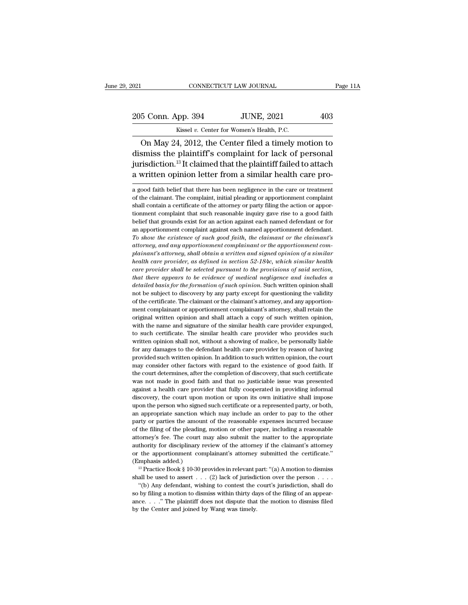021 CONNECTICUT LAW JOURNAL Page 11A<br>
205 Conn. App. 394 JUNE, 2021 403<br>
Kissel v. Center for Women's Health, P.C.

CONNECTICUT LAW JOURNAL<br>
205 Conn. App. 394 JUNE, 2021 403<br>
Kissel *v.* Center for Women's Health, P.C.<br>
On May 24, 2012, the Center filed a timely motion to CONNECTICUT LAW JOURNAL Page 11A<br>
5 Conn. App. 394 JUNE, 2021 403<br>
Kissel v. Center for Women's Health, P.C.<br>
On May 24, 2012, the Center filed a timely motion to<br>
smiss the plaintiff's complaint for lack of personal<br>
sing 205 Conn. App. 394 JUNE, 2021 403<br>Kissel v. Center for Women's Health, P.C.<br>On May 24, 2012, the Center filed a timely motion to<br>dismiss the plaintiff's complaint for lack of personal<br>jurisdiction.<sup>13</sup> It claimed that the 205 Conn. App. 394 JUNE, 2021 403<br>
Kissel v. Center for Women's Health, P.C.<br>
On May 24, 2012, the Center filed a timely motion to<br>
dismiss the plaintiff's complaint for lack of personal<br>
jurisdiction.<sup>13</sup> It claimed that 205 Conn. App. 394 JUNE, 2021 403<br>Kissel v. Center for Women's Health, P.C.<br>On May 24, 2012, the Center filed a timely motion to<br>dismiss the plaintiff's complaint for lack of personal<br>jurisdiction.<sup>13</sup> It claimed that the on May 24, 2012, the Center fied a timely motion to<br>dismiss the plaintiff's complaint for lack of personal<br>jurisdiction.<sup>13</sup> It claimed that the plaintiff failed to attach<br>a written opinion letter from a similar health car dismiss the plaintiff's complaint for lack of personal<br>jurisdiction.<sup>13</sup> It claimed that the plaintiff failed to attach<br>a written opinion letter from a similar health care pro-<br>a good faith belief that there has been negli

jurisdiction.<sup>13</sup> It claimed that the plaintiff failed to attach a written opinion letter from a similar health care pro-<br>a good faith belief that there has been negligence in the care or treatment<br>of the claimant. The com a written opinion letter from a similar health care pro-<br>a good faith belief that there has been negligence in the care or treatment<br>of the claimant. The complaint, initial pleading or apportionment complaint<br>shall contain a written opinion retter from a similar freamf care pro-<br>a good faith belief that there has been negligence in the care or treatment<br>of the claimant. The complaint, initial pleading or apportionment complaint<br>shall contain a good faith belief that there has been negligence in the care or treatment of the claimant. The complaint, initial pleading or apportionment complaint shall contain a certificate of the attorney or party filing the action *To show the existence of such and approximation or the claimant* complaint shall contain a certificate of the attorney or party filing the action or apportionment complaint that such reasonable inquiry gave rise to a good From the calimatic rise complaint, indical pectating or apportionment complaint<br>shall contain a certificate of the attorney or party filing the action or apportionment complaint that such reasonable inquiry gave rise to a *plainaries* to a good faith belief that grounds exist for an action against each named defendant or for an apportionment complaint against each named apportionment defendant. To show the existence of such good faith, the *health care provider, as defined in section and the provider in a apportionment complaint against each named defendant or for an apportionment complaint against each named apportionment defendant. To show the existence of care all gounds care to the distribution* and apportionment defendant.<br>To show the existence of such good faith, the claimant or the claimant's attorney, and any apportionment complainant or the apportionment complainant' *the show the existence of such good faith, the claimant or the claimant's*<br>*thow the existence of such good faith, the claimant or the claimant's*<br>*attorney, and any apportionment complainant or the apportionment com-<br>pla detailed basis for the formation of such opinion.*<br> *ditorney, and any apportionment complainant or the apportionment complainant's attorney, shall obtain a written and signed opinion of a similar health*<br> *health care pr* plainant's attorney, shall obtain a written and signed opinion of a similar<br>health care provider, as defined in section 52-184c, which similar health<br>care provider shall be selected pursuant to the provisions of said secti health care provider, as defined in section 52-184c, which similar health care provider shall be selected pursuant to the provisions of said section, that there appears to be evidence of medical negligence and includes a care provider shall be selected pursuant to the provisions of said section,<br>that there appears to be evidence of medical negligence and includes a<br>detailed basis for the formation of such opinion. Such written opinion shal that there appears to be evidence of medical negligence and includes a detailed basis for the formation of such opinion. Such written opinion shall not be subject to discovery by any party except for questioning the valid detailed basis for the formation of such opinion. Such written opinion shall<br>not be subject to discovery by any party except for questioning the validity<br>of the certificate. The claimant or the claimant's attorney, and any not be subject to discovery by any party except for questioning the validity of the certificate. The claimant or the claimant's attorney, and any apportionment complainant or apportionment complainant's attorney, shall ret where the certificate. The claimant or the claimant's attorney, and any apportion-<br>ment complainant or apportionment complainant's attorney, shall retain the<br>original written opinion and shall attach a copy of such written ment complainant or apportionment complainant's attorney, shall retain the original written opinion and shall attach a copy of such written opinion, with the name and signature of the similar health care provider expunged, provided written opinion. In addition to such written opinion, with the name and signature of the similar health care provider expunged, to such certificate. The similar health care provider who provides such written opini with the name and signature of the similar health care provider expunged, to such certificate. The similar health care provider who provides such written opinion shall not, without a showing of malice, be personally liabl to such certificate. The similar health care provider who provides such written opinion shall not, without a showing of malice, be personally liable for any damages to the defendant health care provider by reason of having written opinion shall not, without a showing of malice, be personally liable<br>for any damages to the defendant health care provider by reason of having<br>provided such written opinion. In addition to such written opinion, the For any damages to the defendant health care provider by reason of having provided such written opinion. In addition to such written opinion, the court may consider other factors with regard to the existence of good faith. beyouted such written opinion. In addition to such written opinion, the court may consider other factors with regard to the existence of good faith. If the court determines, after the completion of discovery, that such cer may consider other factors with regard to the existence of good faith. If the court determines, after the completion of discovery, that such certificate was not made in good faith and that no justiciable issue was presente and court determines, after the completion of discovery, that such certificate was not made in good faith and that no justiciable issue was presented against a health care provider that fully cooperated in providing inform was not made in good faith and that no justiciable issue was presented against a health care provider that fully cooperated in providing informal discovery, the court upon motion or upon its own initiative shall impose upo magnet a health care provider that fully cooperated in providing informal discovery, the court upon motion or upon its own initiative shall impose upon the person who signed such certificate or a represented party, or both discovery, the court upon motion or upon its wan inference in the court upon the person who signed such certificate or a represented party, or both, an appropriate sanction which may include an order to pay to the other pa ally upon the person who signed such certificate or a represented party, or both, an appropriate sanction which may include an order to pay to the other party or parties the amount of the reasonable expenses incurred becau an appropriate sanction which may include an order to pay to the other<br>party or parties the amount of the reasonable expenses incurred because<br>of the filing of the pleading, motion or other paper, including a reasonable<br>at marty or parties the amoun<br>of the filing of the pleading<br>attorney's fee. The court is<br>authority for disciplinary r<br>or the apportionment con<br>(Emphasis added.)<br><sup>13</sup> Practice Book § 10-30 p the filing of the pleading, motion or other paper, including a reasonable torney's fee. The court may also submit the matter to the appropriate thority for disciplinary review of the attorney if the claimant's attorney th shall be used to assert . . . (2) lack of jurisdiction over the person . . . . the apportionment complainant's attorney if the claimant's attorney<br>the apportionment complainant's attorney submitted the certificate."<br>
Imphasis added.)<br>
<sup>13</sup> Practice Book § 10-30 provides in relevant part: "(a) A moti

shall be used to assert  $\dots$  (2) lack of jurisdiction over the person  $\dots$ .

authority for disciplinary review of the attorney if the claimant's attorney<br>or the apportionment complainant's attorney submitted the certificate."<br>(Emphasis added.)<br><sup>13</sup> Practice Book § 10-30 provides in relevant part: Emphasis added.)<br>
<sup>13</sup> Practice Book § 10-30 provides in relevant part: "(a) A motion to dismiss shall be used to assert . . . . (2) lack of jurisdiction over the person . . . . "(b) Any defendant, wishing to contest the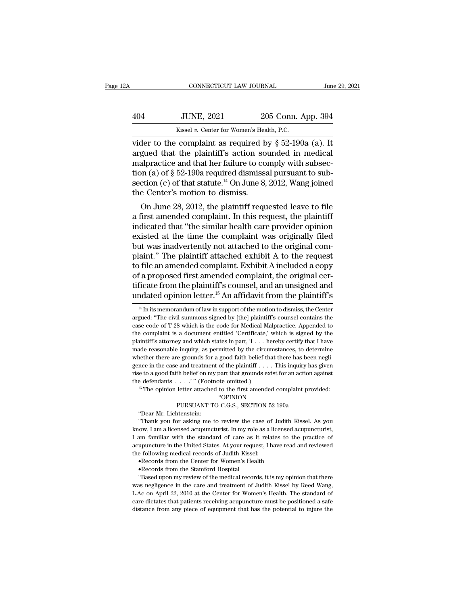| A   | CONNECTICUT LAW JOURNAL                                               |                    | June 29, 2021 |
|-----|-----------------------------------------------------------------------|--------------------|---------------|
| 404 | <b>JUNE, 2021</b>                                                     | 205 Conn. App. 394 |               |
|     | Kissel v. Center for Women's Health, P.C.                             |                    |               |
|     | vider to the complaint as required by $\delta$ 52-190 $\alpha$ (a) It |                    |               |

CONNECTICUT LAW JOURNAL June 29, 202<br>
404 JUNE, 2021 205 Conn. App. 394<br>
6 Kissel v. Center for Women's Health, P.C.<br>
7 Vider to the complaint as required by § 52-190a (a). It<br>
8 argued that the plaintiff's action sounded 404 JUNE, 2021 205 Conn. App. 394<br>Kissel v. Center for Women's Health, P.C.<br>vider to the complaint as required by  $\S 52-190a$  (a). It<br>argued that the plaintiff's action sounded in medical<br>malpractice and that her failure 404 JUNE, 2021 205 Conn. App. 394<br>
Kissel v. Center for Women's Health, P.C.<br>
vider to the complaint as required by  $\S$  52-190a (a). It<br>
argued that the plaintiff's action sounded in medical<br>
malpractice and that her fail 404 JUNE, 2021 205 Conn. App. 394<br>
Kissel v. Center for Women's Health, P.C.<br>
vider to the complaint as required by  $\S$  52-190a (a). It<br>
argued that the plaintiff's action sounded in medical<br>
malpractice and that her fail Example 12 Optics, 2011<br>
Kissel v. Center for Women's Health, P.C.<br>
vider to the complaint as required by § 52-190a (a). It<br>
argued that the plaintiff's action sounded in medical<br>
malpractice and that her failure to compl Example 10. Center for Women's Healty<br>vider to the complaint as required by argued that the plaintiff's action so<br>malpractice and that her failure to co<br>tion (a) of § 52-190a required dismiss.<br>section (c) of that statute. Ler to the complaint as required by  $\S$  32-190a (a). It gued that the plaintiff's action sounded in medical alpractice and that her failure to comply with subsection (a) of  $\S$  52-190a required dismissal pursuant to subcr argued that the plaintiff s action sounded in inedical<br>malpractice and that her failure to comply with subsec-<br>tion (c) of that statute.<sup>14</sup> On June 8, 2012, Wang joined<br>the Center's motion to dismiss.<br>On June 28, 2012, t

mapractice and that her lantife to comply with subsection (a) of  $\S$  52-190a required dismissal pursuant to subsection (c) of that statute.<sup>14</sup> On June 8, 2012, Wang joined the Center's motion to dismiss.<br>On June 28, 2012 tion (a) or  $\S$  32-190a required distinssal pursuant to subsection (c) of that statute.<sup>14</sup> On June 8, 2012, Wang joined<br>the Center's motion to dismiss.<br>On June 28, 2012, the plaintiff requested leave to file<br>a first amen section (c) of that statute. On June 8, 2012, wang joined<br>the Center's motion to dismiss.<br>On June 28, 2012, the plaintiff requested leave to file<br>a first amended complaint. In this request, the plaintiff<br>indicated that "th on June 28, 2012, the plaintiff requested leave to file<br>a first amended complaint. In this request, the plaintiff<br>indicated that "the similar health care provider opinion<br>existed at the time the complaint was originally fi On June 28, 2012, the plaintiff requested leave to file<br>a first amended complaint. In this request, the plaintiff<br>indicated that "the similar health care provider opinion<br>existed at the time the complaint was originally fi a first amended complaint. In this request, the plaintiff<br>indicated that "the similar health care provider opinion<br>existed at the time the complaint was originally filed<br>but was inadvertently not attached to the original c indicated that "the similar health care provider opinion<br>existed at the time the complaint was originally filed<br>but was inadvertently not attached to the original com-<br>plaint." The plaintiff attached exhibit A to the reque existed at the time the complaint was originally filed<br>but was inadvertently not attached to the original com-<br>plaint." The plaintiff attached exhibit A to the request<br>to file an amended complaint. Exhibit A included a cop if the an amended complaint. Exhibit A included a copy<br>f a proposed first amended complaint, the original cer-<br>ficate from the plaintiff's counsel, and an unsigned and<br>ndated opinion letter.<sup>15</sup> An affidavit from the plai of a proposed first amended complaint, the original certificate from the plaintiff's counsel, and an unsigned and undated opinion letter.<sup>15</sup> An affidavit from the plaintiff's  $\frac{14 \text{ In its memorandum of law in support of the motion to dismiss, the Center argued: "The civil summons signed by [the] plaintiff's course contains the case code of T$ 

''OPINION

the defendants . . . . '" (Footnote omitted.)<br>
<sup>15</sup> The opinion letter attached to the first amended complaint provided:<br>
"OPINION<br>
<u>PURSUANT TO C.G.S., SECTION 52-190a</u><br>
"Dear Mr. Lichtenstein:<br>
"Thank you for asking me Example of a different state of the first amended complaint provided:<br>
"The opinion letter attached to the first amended complaint provided:<br>
"OPINION"<br>
"Dear Mr. Lichtenstein:<br>
"Thank you for asking me to review the case If The opinion letter attached to the first amended complaint provided:<br>
"OPINION" PURSUANT TO C.G.S., SECTION 52-190a"<br>
"Dear Mr. Lichtenstein:<br>
"Thank you for asking me to review the case of Judith Kissel. As you<br>
know, The spinstracted catalacted computants computed computed computed computed computed with the standard of care as it relates to the practice of acupuncturies in am familiar with the standard of care as it relates to the pra PURSUANT TO C.G.S., SECTION 52-190a<br>
"Dear Mr. Lichtenstein:<br>
"Thank you for asking me to review the case of Judith Kissel. As you<br>
know, I am a licensed acupuncturist. In my role as a licensed acupuncturist,<br>
I am familia The following medical records of Judith I<br>know, I am a licensed acupuncturist. In my role as a licensed<br>I am familiar with the standard of care as it relates to the<br>acupuncture in the United States. At your request, I have • The Stamford Hospital Hospital Constant Constant Constant Constant Constant Constant Constant Constant Constant Constant Constant Constant Constant Constant Constant Constant Constant Constant Constant Constant Constant For the medial records of the medial records, it is my opinion that there are medial records of Judith Kissel:<br>
The medial records of Judith Kissel:<br>
Records from the Center for Women's Health<br>
Records from the Stanford Ho

acupuncture in the United States. At your request, I have read and reviewed<br>the following medical records of Judith Kissel:<br>
•Records from the Center for Women's Health<br>
•Records from the Stamford Hospital<br>
"Based upon my L.Ac on April 22, 2010 at the Center for Women's Health<br>L.A.Communication and Center for Women's Health<br>welcords from the Center for Women's Health<br>"Based upon my review of the medical records, it is my opinion that there<br> **Example 19 Constant Constant Constant Constant Constant Chernole Chernole Chernole Chernole Chernole Chernole Chernole Chernole and traditioned a safely acupuncture must be positioned a safe distance from any piece of equ** "Based upon my review of the medical records, it is my opinion that there was negligence in the care and treatment of Judith Kissel by Reed Wang, L.Ac on April  $22$ ,  $2010$  at the Center for Women's Health. The standard o

tificate from the plaintiff's counsel, and an unsigned and<br>undated opinion letter.<sup>15</sup> An affidavit from the plaintiff's<br> $\frac{14 \text{ In its memorandum of law in support of the motion to dismiss, the Center  
argued: "The civil summons signed by [the] plaintiff's coursel contains the  
case code of T 28 which is the code for Medical Malpractic. Appended to  
the complaint is a document entitled 'Certificate,' which is signed by the$ **undated opinion letter.**<sup>15</sup> An affidavit from the plaintiff's<br>
<sup>14</sup> In its memorandum of law in support of the motion to dismiss, the Center<br>
argued: "The civil summons signed by [the] plaintiff's counsel contains the<br>  $\frac{14 \text{ h}}{4}$  in its memorandum of law in support of the motion to dismiss, the Center argued: "The civil summons signed by [the] plaintiff's counsel contains the case code of T 28 which is the code for Medical Malpract <sup>14</sup> In its memorandum of law in support of the motion to dismiss, the Center argued: "The civil summons signed by [the] plaintiff's counsel contains the case code of T 28 which is the code for Medical Malpractice. Append argued: "The civil summons signed by [the] plaintiff's counsel contains the case code of T 28 which is the code for Medical Malpractice. Appended to the complaint is a document entitled 'Certificate,' which is signed by t exase code of T 28 which is the code for Medical Malpractice. Appended to the complaint is a document entitled 'Certificate,' which is signed by the plaintiff's attorney and which states in part, '1 . . . hereby certify t the complaint is a document entitled 'Certificate,' which is signed by the plaintiff's attorney and which states in part, 'I . . . hereby certify that I have made reasonable inquiry, as permitted by the circumstances, to plaintiff's attorney and which states in part, 'I . . . he made reasonable inquiry, as permitted by the circum whether there are grounds for a good faith belief thagence in the case and treatment of the plaintiff . . . . and e reasonable inquiry, as permitted by the circumstances, to determine<br>nether there are grounds for a good faith belief that there has been negli-<br>nce in the case and treatment of the plaintiff . . . . This inquiry has % gence in the case and treatment of the plaintiff . . . . This inquiry has given rise to a good faith belief on my part that grounds exist for an action against the defendants . . . . '" (Footnote omitted.)<br><sup>15</sup> The opin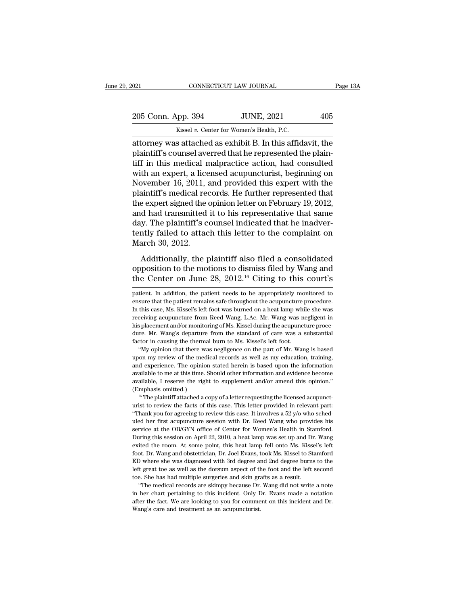CONNECTICUT LAW JOURNAL<br>
205 Conn. App. 394 JUNE, 2021 405<br>
Kissel *v.* Center for Women's Health, P.C.<br>
attorney was attached as exhibit B. In this affidavit, the on the US-CONNECTICUT LAW JOURNAL Page 13A<br>
205 Conn. App. 394 JUNE, 2021 405<br>
Kissel v. Center for Women's Health, P.C.<br>
attorney was attached as exhibit B. In this affidavit, the plaintiff's counsel averred that he repre 205 Conn. App. 394 JUNE, 2021 405<br>Kissel v. Center for Women's Health, P.C.<br>attorney was attached as exhibit B. In this affidavit, the<br>plaintiff's counsel averred that he represented the plain-<br>tiff in this medical malprac 205 Conn. App. 394 JUNE, 2021 405<br>
Kissel v. Center for Women's Health, P.C.<br>
attorney was attached as exhibit B. In this affidavit, the<br>
plaintiff's counsel averred that he represented the plain-<br>
tiff in this medical ma 205 Conn. App. 394 JUNE, 2021 405<br>
Kissel v. Center for Women's Health, P.C.<br>
attorney was attached as exhibit B. In this affidavit, the<br>
plaintiff's counsel averred that he represented the plain-<br>
tiff in this medical ma Kissel v. Center for Women's Health, P.C.<br>
attorney was attached as exhibit B. In this affidavit, the<br>
plaintiff's counsel averred that he represented the plain-<br>
tiff in this medical malpractice action, had consulted<br>
wit Example 18. Center for women's Health, P.C.<br>attorney was attached as exhibit B. In this affidavit, the<br>plaintiff's counsel averred that he represented the plain-<br>tiff in this medical malpractice action, had consulted<br>with attorney was attached as exhibit B. In this affidavit, the plaintiff's counsel averred that he represented the plaintiff in this medical malpractice action, had consulted with an expert, a licensed acupuncturist, beginning plaintiff's counsel averred that he represented the plaintiff in this medical malpractice action, had consulted<br>with an expert, a licensed acupuncturist, beginning on<br>November 16, 2011, and provided this expert with the<br>pl tiff in this medical malpractice action, had consulted<br>with an expert, a licensed acupuncturist, beginning on<br>November 16, 2011, and provided this expert with the<br>plaintiff's medical records. He further represented that<br>t with an expert, a licensed acupuncturist, beginning on<br>November 16, 2011, and provided this expert with the<br>plaintiff's medical records. He further represented that<br>the expert signed the opinion letter on February 19, 2012 November 16, 2011, a<br>plaintiff's medical red<br>the expert signed the e<br>and had transmitted<br>day. The plaintiff's c<br>tently failed to attac<br>March 30, 2012.<br>Additionally, the p Expect the opinion letter on February 19, 2012,<br>
a had transmitted it to his representative that same<br>
y. The plaintiff's counsel indicated that he inadver-<br>
ntly failed to attach this letter to the complaint on<br>
arch 30, and had transmitted it to his representative that same<br>day. The plaintiff's counsel indicated that he inadver-<br>tently failed to attach this letter to the complaint on<br>March 30, 2012.<br>Additionally, the plaintiff also filed day. The plaintiff's counsel indicated that he inadvertently failed to attach this letter to the complaint on March 30, 2012.<br>Additionally, the plaintiff also filed a consolidated opposition to the motions to dismiss file

Additionally, the plaintiff also filed a consolidated<br>opposition to the motions to dismiss filed by Wang and<br>the Center on June 28, 2012.<sup>16</sup> Citing to this court's<br>patient. In addition, the patient needs to be appropriat Additionally, the plaintiff also filed a consolidated<br>opposition to the motions to dismiss filed by Wang and<br>the Center on June 28, 2012.<sup>16</sup> Citing to this court's<br>patient. In addition, the patient needs to be appropriate

his placement and/or monitoring of Ms. Kissel during the acupuncture procedure. Mr. Wang's departure from the standard of care was a substantial factor in causing the thermal burn to Ms. Kissel's left foot. "My opinion tha dure. Mr. Wang's departure from the standard of care was a substantial factor in causing the thermal burn to Ms. Kissel's left foot.<br>"My opinion that there was negligence on the part of Mr. Wang is based upon my review of factor in causing the thermal burn to Ms. Kissel's left foot.<br>
"My opinion that there was negligence on the part of Mr. Wang is based upon my review of the medical records as well as my education, training, and experience. "My opinion that there was<br>upon my review of the mediand experience. The opinion<br>available to me at this time. S<br>available, I reserve the righ<br>(Emphasis omitted.)<br><sup>16</sup> The plaintiff attached a co 16, The plaintiff attached a copy of a letter requesting the licensed acupunction, training, dexperience. The opinion stated herein is based upon the information ailable to me at this time. Should other information and evi Equal experience. The opinion stated herein is based upon the information available to me at this time. Should other information and evidence become available, I reserve the right to supplement and/or amend this opinion." and experience. The opinion stated herein is based upon the information available to me at this time. Should other information and evidence become available, I reserve the right to supplement and/or amend this opinion." (

available, I reserve the right to supplement and/or amend this opinion."<br>(Emphasis omitted.)<br><sup>16</sup> The plaintiff attached a copy of a letter requesting the licensed acupunct-<br>urist to review the facts of this case. This le Emphasis omitted.)<br>
<sup>16</sup> The plaintiff attached a copy of a letter requesting the licensed acupunct-<br>
urist to review the facts of this case. This letter provided in relevant part:<br>
"Thank you for agreeing to review this <sup>16</sup> The plaintiff attached a copy of a letter requesting the licensed acupunct-<br><sup>16</sup> The plaintiff attached a copy of a letter provided in relevant part:<br>"Thank you for agreeing to review this case. It involves a 52 y/o exited the room. At some point, this heat lamp fell onto Ms. Kissel's left for the facts of this case. This letter provided in relevant part:<br>"Thank you for agreeing to review this case. It involves a 52 y/o who sched-<br>ule "Thank you for agreeing to review this case. It involves a  $52$  y/o who sched-<br>uled her first acupuncture session with Dr. Reed Wang who provides his<br>service at the OB/GYN office of Center for Women's Health in Stamford.<br> uled her first acupuncture session with Dr. Reed Wang who provides his service at the OB/GYN office of Center for Women's Health in Stamford. During this session on April 22, 2010, a heat lamp was set up and Dr. Wang exite service at the OB/GYN office of Center for Women's Health in Stamford.<br>During this session on April 22, 2010, a heat lamp was set up and Dr. Wang<br>exited the room. At some point, this heat lamp fell onto Ms. Kissel's left<br>f During this session on April 22, 2010, a heat lamp was set up and Dr. Wang exited the room. At some point, this heat lamp fell onto Ms. Kissel's left foot. Dr. Wang and obstetrician, Dr. Joel Evans, took Ms. Kissel to Stam the medical records are skimpy because Dr. Wang did not write a note that Dr. Wang and obstetrician, Dr. Joel Evans, took Ms. Kissel to Stamford D where she was diagnosed with 3rd degree and 2nd degree burns to the differe foot. Dr. Wang and obstetrician, Dr. Joel Evans, took Ms. Kissel to Stamford ED where she was diagnosed with 3rd degree and 2nd degree burns to the left great toe as well as the dorsum aspect of the foot and the left secon left great toe as well as the dorsum aspect of the foot and the left second

ED where she was diagnosed with 3rd degree and 2nd degree burns to the left great toe as well as the dorsum aspect of the foot and the left second toe. She has had multiple surgeries and skin grafts as a result. "The medi

opposition to the motions to dismiss filed by Wang and<br>the Center on June 28, 2012.<sup>16</sup> Citing to this court's<br>patient. In addition, the patient needs to be appropriately monitored to<br>ensure that the patient remains safe t the Center on June 28,  $2012.^{16}$  Citing to this court's<br>patient. In addition, the patient needs to be appropriately monitored to<br>ensure that the patient remains safe throughout the acupuncture procedure.<br>In this case, M here certical of the patient and and the patient and the patient. In addition, the patient needs to be appropriately monitored to ensure that the patient remains safe throughout the acupuncture procedure. In this case, Ms. patient. In addition, the patient needs to be appropriately monitored to<br>ensure that the patient remains safe throughout the acupuncture procedure.<br>In this case, Ms. Kissel's left foot was burned on a heat lamp while she w ensure that the patient remains safe throughout the acupuncture procedure.<br>In this case, Ms. Kissel's left foot was burned on a heat lamp while she was<br>receiving acupuncture from Reed Wang, LAc. Mr. Wang was negligent in<br>h this case, Ms. Kissel's left foot was burned on a heat lamp while she was ceiving acupuncture from Reed Wang, L.Ac. Mr. Wang was negligent in splacement and/or monitoring of Ms. Kissel during the acupuncture proce-<br>re. Mr. mean the medical records as well as my email and experience medical recording acupuncture from Reed Wang, L.Ac. Mr. Wang was negligent in his placement and/or monitoring of Ms. Kissel during the acupuncture procedure. Mr.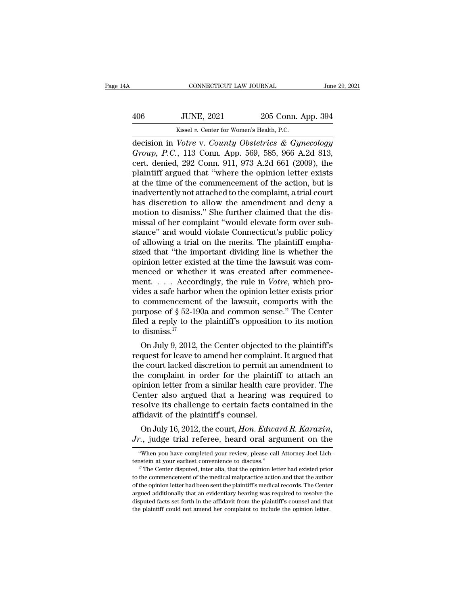| A   | CONNECTICUT LAW JOURNAL                            |                    | June 29, 2021 |
|-----|----------------------------------------------------|--------------------|---------------|
| 406 | <b>JUNE, 2021</b>                                  | 205 Conn. App. 394 |               |
|     | Kissel v. Center for Women's Health, P.C.          |                    |               |
|     | decision in Votre y County Obstetrics & Gymecology |                    |               |

CONNECTICUT LAW JOURNAL June 29, 2021<br>
406 JUNE, 2021 205 Conn. App. 394<br>
<sup>Kissel v. Center for Women's Health, P.C.</sup><br>
decision in *Votre* v. *County Obstetrics & Gynecology*<br> *Group*, *P.C.*, 113 Conn. App. 569, 585, 966 *Group, P.C., 113* Conn. App. 394<br> *Group, P.C., 113* Conn. App. 569, 585, 966 A.2d 813, cert. denied, 292 Conn. 911, 973 A.2d 661 (2009), the plaintiff argued that "where the opinion letter exists 406 JUNE, 2021 205 Conn. App. 394<br>
Kissel v. Center for Women's Health, P.C.<br>
decision in *Votre v. County Obstetrics & Gynecology*<br> *Group, P.C.*, 113 Conn. App. 569, 585, 966 A.2d 813,<br>
cert. denied, 292 Conn. 911, 973 406 JUNE, 2021 205 Conn. App. 394<br>
Kissel v. Center for Women's Health, P.C.<br>
decision in *Votre v. County Obstetrics & Gynecology*<br> *Group*, *P.C.*, 113 Conn. App. 569, 585, 966 A.2d 813,<br>
cert. denied, 292 Conn. 911, 97 Example 2011, 1911 1923 Comment of the comment of the comment of the comment of the comment of the comment of the comment of the comment of the comment of the action, but is inadvertently not attached to the complaint, a Example 18 Except to the comments Health, P.C.<br>decision in *Votre* v. *County Obstetrics* & *Gynecology*<br>*Group, P.C.*, 113 Conn. App. 569, 585, 966 A.2d 813,<br>cert. denied, 292 Conn. 911, 973 A.2d 661 (2009), the<br>plaintif decision in *Votre v. County Obstetrics & Gynecology*<br> *Group*, *P.C.*, 113 Conn. App. 569, 585, 966 A.2d 813,<br>
cert. denied, 292 Conn. 911, 973 A.2d 661 (2009), the<br>
plaintiff argued that "where the opinion letter exists Group, P.C., 113 Conn. App. 569, 585, 966 A.2d 813,<br>cert. denied, 292 Conn. 911, 973 A.2d 661 (2009), the<br>plaintiff argued that "where the opinion letter exists<br>at the time of the commencement of the action, but is<br>inadver cert. denied, 292 Conn. 911, 973 A.2d 661 (2009), the plaintiff argued that "where the opinion letter exists at the time of the commencement of the action, but is inadvertently not attached to the complaint, a trial court plaintiff argued that "where the opinion letter exists<br>at the time of the commencement of the action, but is<br>inadvertently not attached to the complaint, a trial court<br>has discretion to allow the amendment and deny a<br>motio at the time of the commencement of the action, but is<br>inadvertently not attached to the complaint, a trial court<br>has discretion to allow the amendment and deny a<br>motion to dismiss." She further claimed that the dis-<br>missal inadvertently not attached to the complaint, a trial court<br>has discretion to allow the amendment and deny a<br>motion to dismiss." She further claimed that the dis-<br>missal of her complaint "would elevate form over sub-<br>stance has discretion to allow the amendment and deny a<br>motion to dismiss." She further claimed that the dis-<br>missal of her complaint "would elevate form over sub-<br>stance" and would violate Connecticut's public policy<br>of allowing motion to dismiss." She further claimed that the dismissal of her complaint "would elevate form over substance" and would violate Connecticut's public policy of allowing a trial on the merits. The plaintiff emphasized tha missal of her complaint "would elevate form over substance" and would violate Connecticut's public policy of allowing a trial on the merits. The plaintiff emphasized that "the important dividing line is whether the opinion stance" and would violate Connecticut's public policy<br>of allowing a trial on the merits. The plaintiff empha-<br>sized that "the important dividing line is whether the<br>opinion letter existed at the time the lawsuit was com-<br> of allowing a trial on the merits. The plaintiff emphasized that "the important dividing line is whether the opinion letter existed at the time the lawsuit was commenced or whether it was created after commencement. . . . sized that "the important dividing line is whether the opinion letter existed at the time the lawsuit was commenced or whether it was created after commencement. . . . Accordingly, the rule in *Votre*, which provides a sa opinion letter existed at the time the lawsuit was commenced or whether it was created after commence-<br>ment. . . . Accordingly, the rule in *Votre*, which pro-<br>vides a safe harbor when the opinion letter exists prior<br>to c menced or wheth<br>ment.... Accorvides a safe harbor<br>to commencemen<br>purpose of § 52-19<br>filed a reply to the<br>to dismiss.<sup>17</sup><br>On July 9, 2012, EIN.  $\ldots$  Accordingly, the fulle in *Votre*, which pro-<br>des a safe harbor when the opinion letter exists prior<br>commencement of the lawsuit, comports with the<br>urpose of § 52-190a and common sense." The Center<br>ed a reply t vides a sale habor when the opmori letter exists prior<br>to commencement of the lawsuit, comports with the<br>purpose of  $\S 52{\text -}190{\text a}$  and common sense." The Center<br>filed a reply to the plaintiff's opposition to its motion

to confinence<br>heat of the lawsuit, composition the purpose of  $\S$  52-190<br>a and common sense." The Center filed a reply to the plaintiff's opposition to its motion<br>to dismiss.<sup>17</sup><br>On July 9, 2012, the Center objected to th purpose of y<sub>3</sub> 32-1904 and common sense. The Center<br>filed a reply to the plaintiff's opposition to its motion<br>to dismiss.<sup>17</sup><br>On July 9, 2012, the Center objected to the plaintiff's<br>request for leave to amend her complain med a reply to the plaintin's opposition to its inotion<br>to dismiss.<sup>17</sup><br>On July 9, 2012, the Center objected to the plaintiff's<br>request for leave to amend her complaint. It argued that<br>the court lacked discretion to permit to usintss.<br>
On July 9, 2012, the Center objected to the plaintiff's<br>
request for leave to amend her complaint. It argued that<br>
the court lacked discretion to permit an amendment to<br>
the complaint in order for the plaintif On July 9, 2012, the Center objected to the plaintiff's<br>request for leave to amend her complaint. It argued that<br>the court lacked discretion to permit an amendment to<br>the complaint in order for the plaintiff to attach an<br>o request for leave to amend her complain<br>the court lacked discretion to permit ar<br>the complaint in order for the plainti<br>opinion letter from a similar health car<br>Center also argued that a hearing w<br>resolve its challenge to e court lacked discretion to permit an amendment to<br>e complaint in order for the plaintiff to attach an<br>inion letter from a similar health care provider. The<br>enter also argued that a hearing was required to<br>solve its chall The complaint in order for the plaintin to attach and<br>
opinion letter from a similar health care provider. The<br>
Center also argued that a hearing was required to<br>
resolve its challenge to certain facts contained in the<br>
af

Tridavit of the plaintiff's counsel.<br>
On July 16, 2012, the court, *Hon. Edward R. Karazin*,<br> *r.*, judge trial referee, heard oral argument on the<br>
"When you have completed your review, please call Attorney Joel Lich-<br>
st

on July 16, 2012, the court, *Hon. Edward R. Karazin*,  $Jr$ ., judge trial referee, heard oral argument on the "When you have completed your review, please call Attorney Joel Lichtenstein at your earliest convenience to di *Jr.*, judge trial referee, heard oral argument on the "When you have completed your review, please call Attorney Joel Lichtenstein at your earliest convenience to discuss." " The Center disputed, inter alia, that the opi of the opinion letter had been sent the plaintiff's medical records. The center of the commencement of the medical malpractice action and that the author  $\frac{17}{10}$  The Center disputed, inter alia, that the opinion lette "When you have completed your review, please call Attorney Joel Lichtenstein at your earliest convenience to discuss."<br>  $\frac{17}{7}$  The Center disputed, inter alia, that the opinion letter had existed prior to the commence tenstein at your earliest convenience to discuss."<br>
<sup>17</sup> The Center disputed, inter alia, that the opinion letter had existed prior<br>
to the commencement of the medical malpractice action and that the author<br>
of the opinio to the commencement of the medical malpractice action and that the author of the opinion letter had been sent the plaintiff's medical records. The Center argued additionally that an evidentiary hearing was required to reso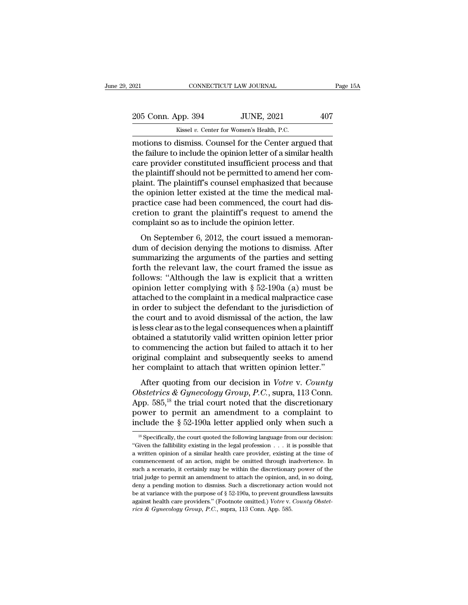| 021                | CONNECTICUT LAW JOURNAL                                        | Page 15A |
|--------------------|----------------------------------------------------------------|----------|
|                    |                                                                |          |
| 205 Conn. App. 394 | <b>JUNE, 2021</b><br>Kissel v. Center for Women's Health, P.C. | 407      |
|                    | motions to dismiss. Counsel for the Center argued that         |          |

 $\begin{array}{lll}\n \text{021} & \text{CONRECTICUT LAW JOURNAL} & \text{Page 15,} \ \n \text{205 Conn. App. 394} & \text{JUNE, 2021} & \text{407} \ \n \text{Kissel } v. \text{ Center for Women's Health, P.C.} \n \text{motions to dismiss.} \text{Counds for the Center argued that} \n \text{the failure to include the opinion letter of a similar health} \n \text{202} & \text{323} & \text{44} & \text{45} \n \end{array}$ 205 Conn. App. 394 JUNE, 2021 407<br>Kissel v. Center for Women's Health, P.C.<br>motions to dismiss. Counsel for the Center argued that<br>the failure to include the opinion letter of a similar health<br>care provider constituted ins 205 Conn. App. 394 JUNE, 2021 407<br>
Kissel v. Center for Women's Health, P.C.<br>
motions to dismiss. Counsel for the Center argued that<br>
the failure to include the opinion letter of a similar health<br>
care provider constitute 205 Conn. App. 394 JUNE, 2021 407<br>
Kissel v. Center for Women's Health, P.C.<br>
motions to dismiss. Counsel for the Center argued that<br>
the failure to include the opinion letter of a similar health<br>
care provider constitute Kissel v. Center for Women's Health, P.C.<br>
motions to dismiss. Counsel for the Center argued that<br>
the failure to include the opinion letter of a similar health<br>
care provider constituted insufficient process and that<br>
the Kissel v. Center for Women's Health, P.C.<br>
motions to dismiss. Counsel for the Center argued that<br>
the failure to include the opinion letter of a similar health<br>
care provider constituted insufficient process and that<br>
th motions to dismiss. Counsel for the Center argued that<br>the failure to include the opinion letter of a similar health<br>care provider constituted insufficient process and that<br>the plaintiff should not be permitted to amend he the failure to include the opinion letter of a similar health<br>care provider constituted insufficient process and that<br>the plaintiff should not be permitted to amend her com-<br>plaint. The plaintiff's counsel emphasized that care provider constituted insufficient process and<br>the plaintiff should not be permitted to amend her<br>plaint. The plaintiff's counsel emphasized that be<br>the opinion letter existed at the time the medical<br>practice case had in The plaintiff's counsel emphasized that because<br>e opinion letter existed at the time the medical mal-<br>actice case had been commenced, the court had dis-<br>etion to grant the plaintiff's request to amend the<br>mplaint so as plant. The plant in s courser emphasized that because<br>the opinion letter existed at the time the medical mal-<br>practice case had been commenced, the court had dis-<br>cretion to grant the plaintiff's request to amend the<br>compl

Fractice case had been commenced, the court had discretion to grant the plaintiff's request to amend the complaint so as to include the opinion letter.<br>On September 6, 2012, the court issued a memorandum of decision denyin practice case had been confinenced, the court had discretion to grant the plaintiff's request to amend the complaint so as to include the opinion letter.<br>On September 6, 2012, the court issued a memorandum of decision den creased by grant the plaintin's request to antend the<br>complaint so as to include the opinion letter.<br>On September 6, 2012, the court issued a memoran-<br>dum of decision denying the motions to dismiss. After<br>summarizing the On September 6, 2012, the court issued a memorandum of decision denying the motions to dismiss. After summarizing the arguments of the parties and setting forth the relevant law, the court framed the issue as follows: "Al On September 6, 2012, the court issued a memorandum of decision denying the motions to dismiss. After summarizing the arguments of the parties and setting forth the relevant law, the court framed the issue as follows: "Al dum of decision denying the motions to dismiss. After<br>summarizing the arguments of the parties and setting<br>forth the relevant law, the court framed the issue as<br>follows: "Although the law is explicit that a written<br>opinio summarizing the arguments of the parties and setting<br>forth the relevant law, the court framed the issue as<br>follows: "Although the law is explicit that a written<br>opinion letter complying with § 52-190a (a) must be<br>attached forth the relevant law, the court framed the issue as follows: "Although the law is explicit that a written opinion letter complying with  $\S 52-190a$  (a) must be attached to the complaint in a medical malpractice case in follows: "Although the law is explicit that a written<br>opinion letter complying with  $\S 52-190a$  (a) must be<br>attached to the complaint in a medical malpractice case<br>in order to subject the defendant to the jurisdiction of<br> opinion letter complying with § 52-190a (a) must be<br>attached to the complaint in a medical malpractice case<br>in order to subject the defendant to the jurisdiction of<br>the court and to avoid dismissal of the action, the law<br>i attached to the complaint in a medical malpractice case<br>in order to subject the defendant to the jurisdiction of<br>the court and to avoid dismissal of the action, the law<br>is less clear as to the legal consequences when a pla in order to subject the defendant to the jurisdiction of<br>the court and to avoid dismissal of the action, the law<br>is less clear as to the legal consequences when a plaintiff<br>obtained a statutorily valid written opinion lett less clear as to the legal consequences when a plaintiff<br>tained a statutorily valid written opinion letter prior<br>commencing the action but failed to attach it to her<br>iginal complaint and subsequently seeks to amend<br>r compl *S* respects as to the regar consequences when a plantin obtained a statutorily valid written opinion letter prior to commencing the action but failed to attach it to her original complaint and subsequently seeks to amend

to commencing the action but failed to attach it to her original complaint and subsequently seeks to amend<br>her complaint to attach that written opinion letter."<br>After quoting from our decision in *Votre v. County*<br>Obstetr power to permit and subsequently seeks to amend<br>her complaint to attach that written opinion letter."<br>After quoting from our decision in *Votre v. County*<br>Obstetrics & Gynecology Group, P.C., supra, 113 Conn.<br>App. 585,<sup>18</sup> For complaint and subsequently seeks to antend<br>her complaint to attach that written opinion letter."<br>After quoting from our decision in *Votre v. County*<br>Obstetrics & Gynecology Group, P.C., supra, 113 Conn.<br>App. 585,<sup>18</sup> Obstetrics & Gynecology Group, P.C., supra, 113 Conn.<br>App. 585,<sup>18</sup> the trial court noted that the discretionary<br>power to permit an amendment to a complaint to<br>include the § 52-190a letter applied only when such a<br><sup>18</sup> Sp App. 585,<sup>18</sup> the trial court noted that the discretionary<br>power to permit an amendment to a complaint to<br>include the § 52-190a letter applied only when such a<br><sup>18</sup> Specifically, the court quoted the following language fr

power to permit an amendment to a complaint to include the § 52-190a letter applied only when such a  $\frac{18}{}$  specifically, the court quoted the following language from our decision: "Given the fallibility existing in th include the § 52-190a letter applied only when such a<br>
<sup>18</sup> Specifically, the court quoted the following language from our decision:<br>
"Given the fallibility existing in the legal profession . . . it is possible that<br>
a wr is Specifically, the court quoted the following language from our decision:<br>
"Specifically, the court quoted the following language from our decision:<br>
"Given the fallibility existing in the legal profession . . . it is p <sup>18</sup> Specifically, the court quoted the following language from our decision:<br>"Given the fallibility existing in the legal profession  $\ldots$  it is possible that<br>a written opinion of a similar health care provider, existing "Given the fallibility existing in the legal profession... it is possible that a written opinion of a similar health care provider, existing at the time of commencement of an action, might be omitted through inadvertence. a written opinion of a similar health care provider, existing at the time of commencement of an action, might be omitted through inadvertence. In such a scenario, it certainly may be within the discretionary power of the commencement of an action, might be omitted through inadvertence. In such a scenario, it certainly may be within the discretionary power of the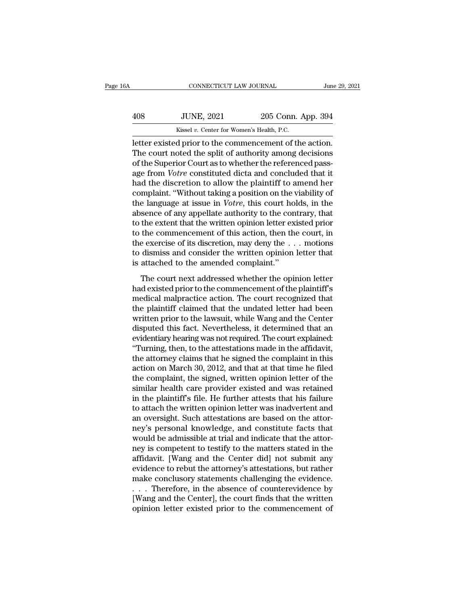| А   | CONNECTICUT LAW JOURNAL |                    | June 29, 2021 |
|-----|-------------------------|--------------------|---------------|
|     |                         |                    |               |
| 408 | <b>JUNE, 2021</b>       | 205 Conn. App. 394 |               |

CONNECTICUT LAW JOURNAL June 29, 2<br>
408 JUNE, 2021 205 Conn. App. 394<br>
Kissel v. Center for Women's Health, P.C.<br>
Letter existed prior to the commencement of the action.<br>
The court noted the split of authority among decisi THE 408 JUNE, 2021 205 Conn. App. 394<br>
Kissel v. Center for Women's Health, P.C.<br>
Letter existed prior to the commencement of the action.<br>
The court noted the split of authority among decisions<br>
of the Superior Court as to  $\begin{tabular}{ll} \multicolumn{1}{l}{{\textbf{408}}}&J\text{UNE, 2021}&205\text{ Conn. App. }394\\ \hline \textbf{Kissel }v.\textbf{ Center for Women's Health, P.C.}\\ \hline \textbf{letter existed prior to the component of the action.}\\ \textbf{The court noted the split of authority among decisions of the Superior Court as to whether the referenced passage from *Votre* constituted dicta and concluded that it had the discretion to allow the plaintiff to amend her.\end{tabular}$ 408 JUNE, 2021 205 Conn. App. 394<br>
<sup>Kissel v. Center for Women's Health, P.C.<br>
letter existed prior to the commencement of the action.<br>
The court noted the split of authority among decisions<br>
of the Superior Court as to wh</sup> Kissel v. Center for Women's Health, P.C.<br>
Letter existed prior to the commencement of the action.<br>
The court noted the split of authority among decisions<br>
of the Superior Court as to whether the referenced pass-<br>
age from Example 18 when the commencement of the action.<br>The court noted the split of authority among decisions<br>of the Superior Court as to whether the referenced pass-<br>age from *Votre* constituted dicta and concluded that it<br>had letter existed prior to the commencement of the action.<br>The court noted the split of authority among decisions<br>of the Superior Court as to whether the referenced pass-<br>age from *Votre* constituted dicta and concluded that The court noted the split of authority among decisions<br>of the Superior Court as to whether the referenced pass-<br>age from *Votre* constituted dicta and concluded that it<br>had the discretion to allow the plaintiff to amend he of the Superior Court as to whether the referenced pass-<br>age from *Votre* constituted dicta and concluded that it<br>had the discretion to allow the plaintiff to amend her<br>complaint. "Without taking a position on the viabilit age from *Votre* constituted dicta and concluded that it<br>had the discretion to allow the plaintiff to amend her<br>complaint. "Without taking a position on the viability of<br>the language at issue in *Votre*, this court holds, had the discretion to allow the plaintiff to amend her complaint. "Without taking a position on the viability of the language at issue in *Votre*, this court holds, in the absence of any appellate authority to the contrar complaint. "Without taking a position on the viability of<br>the language at issue in *Votre*, this court holds, in the<br>absence of any appellate authority to the contrary, that<br>to the extent that the written opinion letter e the language at issue in *Votre*, this court ho<br>absence of any appellate authority to the con<br>to the extent that the written opinion letter ex<br>to the commencement of this action, then th<br>the exercise of its discretion, may the extent that the written opinion letter existed prior<br>the commencement of this action, then the court, in<br>exercise of its discretion, may deny the  $\dots$  motions<br>dismiss and consider the written opinion letter that<br>attac to the chack and the written opinion retter existed prior<br>to the commencement of this action, then the court, in<br>the exercise of its discretion, may deny the  $\dots$  motions<br>to dismiss and consider the written opinion letter

the exercise of its discretion, may deny the  $\ldots$  motions<br>to dismiss and consider the written opinion letter that<br>is attached to the amended complaint."<br>The court next addressed whether the opinion letter<br>had existed pri to dismiss and consider the written opinion letter that<br>is attached to the amended complaint."<br>The court next addressed whether the opinion letter<br>had existed prior to the commencement of the plaintiff's<br>medical malpracti is attached to the amended complaint."<br>
The court next addressed whether the opinion letter<br>
had existed prior to the commencement of the plaintiff's<br>
medical malpractice action. The court recognized that<br>
the plaintiff cl disputation of the different complement.<br>The court next addressed whether the opinion letter<br>had existed prior to the commencement of the plaintiff's<br>medical malpractice action. The court recognized that<br>the plaintiff clai The court next addressed whether the opinion letter<br>had existed prior to the commencement of the plaintiff's<br>medical malpractice action. The court recognized that<br>the plaintiff claimed that the undated letter had been<br>writ had existed prior to the commencement of the plaintiff's<br>
medical malpractice action. The court recognized that<br>
the plaintiff claimed that the undated letter had been<br>
written prior to the lawsuit, while Wang and the Cent medical malpractice action. The court recognized that<br>the plaintiff claimed that the undated letter had been<br>written prior to the lawsuit, while Wang and the Center<br>disputed this fact. Nevertheless, it determined that an<br>e the plaintiff claimed that the undated letter had been<br>written prior to the lawsuit, while Wang and the Center<br>disputed this fact. Nevertheless, it determined that an<br>evidentiary hearing was not required. The court explain written prior to the lawsuit, while Wang and the Center<br>disputed this fact. Nevertheless, it determined that an<br>evidentiary hearing was not required. The court explained:<br>"Turning, then, to the attestations made in the aff disputed this fact. Nevertheless, it determined that an evidentiary hearing was not required. The court explained:<br>"Turning, then, to the attestations made in the affidavit, the attorney claims that he signed the complaint evidentiary hearing was not required. The court explained:<br>"Turning, then, to the attestations made in the affidavit,<br>the attorney claims that he signed the complaint in this<br>action on March 30, 2012, and that at that time "Turning, then, to the attestations made in the affidavit,<br>the attorney claims that he signed the complaint in this<br>action on March 30, 2012, and that at that time he filed<br>the complaint, the signed, written opinion letter the attorney claims that he signed the complaint in this action on March 30, 2012, and that at that time he filed the complaint, the signed, written opinion letter of the similar health care provider existed and was retain action on March 30, 2012, and that at that time he filed<br>the complaint, the signed, written opinion letter of the<br>similar health care provider existed and was retained<br>in the plaintiff's file. He further attests that his f the complaint, the signed, written opinion letter of the similar health care provider existed and was retained<br>in the plaintiff's file. He further attests that his failure<br>to attach the written opinion letter was inadverte similar health care provider existed and was retained<br>in the plaintiff's file. He further attests that his failure<br>to attach the written opinion letter was inadvertent and<br>an oversight. Such attestations are based on the a in the plaintiff's file. He further attests that his failure<br>to attach the written opinion letter was inadvertent and<br>an oversight. Such attestations are based on the attor-<br>ney's personal knowledge, and constitute facts t to attach the written opinion letter was inadvertent and<br>an oversight. Such attestations are based on the attor-<br>ney's personal knowledge, and constitute facts that<br>would be admissible at trial and indicate that the attoran oversight. Such attestations are based on the attor-<br>ney's personal knowledge, and constitute facts that<br>would be admissible at trial and indicate that the attor-<br>ney is competent to testify to the matters stated in the ney's personal knowledge, and constitute facts that<br>would be admissible at trial and indicate that the attor-<br>ney is competent to testify to the matters stated in the<br>affidavit. [Wang and the Center did] not submit any<br>evi would be admissible at trial and indicate that the attor-<br>ney is competent to testify to the matters stated in the<br>affidavit. [Wang and the Center did] not submit any<br>evidence to rebut the attorney's attestations, but rath ney is competent to testify to the matters stated in the affidavit. [Wang and the Center did] not submit any evidence to rebut the attorney's attestations, but rather make conclusory statements challenging the evidence.<br>
.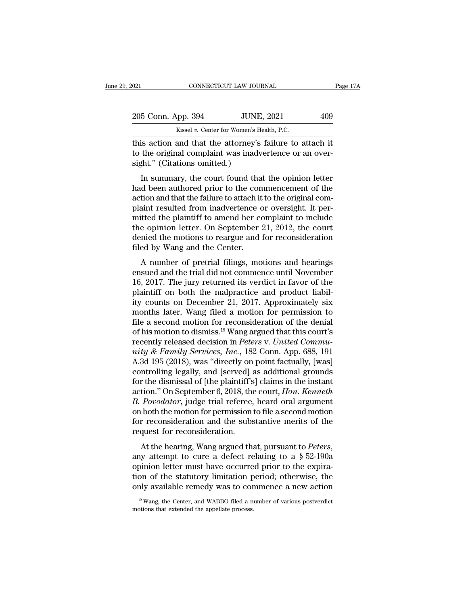| 2021               |                              | CONNECTICUT LAW JOURNAL                                                                                            | Page 17A |
|--------------------|------------------------------|--------------------------------------------------------------------------------------------------------------------|----------|
| 205 Conn. App. 394 |                              | <b>JUNE, 2021</b>                                                                                                  | 409      |
|                    |                              | Kissel v. Center for Women's Health, P.C.                                                                          |          |
|                    | sight." (Citations omitted.) | this action and that the attorney's failure to attach it<br>to the original complaint was inadvertence or an over- |          |
|                    |                              | In summary, the court found that the opinion letter                                                                |          |

205 Conn. App. 394 JUNE, 2021 409<br>Kissel v. Center for Women's Health, P.C.<br>this action and that the attorney's failure to attach it<br>to the original complaint was inadvertence or an over-<br>sight." (Citations omitted.)  $\frac{5 \text{ Conn. App. 394}}{\text{Kissel } v. \text{ Center for Women's Health, P.C.}}$ <br>
is action and that the attorney's failure to attach it<br>
the original complaint was inadvertence or an over-<br>
ght." (Citations omitted.)<br>
In summary, the court found that the opini

Kissel v. Center for Women's Health, P.C.<br>
this action and that the attorney's failure to attach it<br>
to the original complaint was inadvertence or an over-<br>
sight." (Citations omitted.)<br>
In summary, the court found that t this action and that the attorney's failure to attach it<br>to the original complaint was inadvertence or an over-<br>sight." (Citations omitted.)<br>In summary, the court found that the opinion letter<br>had been authored prior to th the original complaint was inadvertence or an over-<br>sight." (Citations omitted.)<br>In summary, the court found that the opinion letter<br>had been authored prior to the commencement of the<br>action and that the failure to attach to the original complaint was madvertence of an over-<br>sight." (Citations omitted.)<br>In summary, the court found that the opinion letter<br>had been authored prior to the commencement of the<br>action and that the failure to attac In summary, the court found that the opinion letter<br>had been authored prior to the commencement of the<br>action and that the failure to attach it to the original com-<br>plaint resulted from inadvertence or oversight. It per-<br>m In summary, the court found that the opinion letter<br>had been authored prior to the commencement of the<br>action and that the failure to attach it to the original com-<br>plaint resulted from inadvertence or oversight. It per-<br>m had been authored prior to the con<br>action and that the failure to attach it<br>plaint resulted from inadvertence of<br>mitted the plaintiff to amend her co<br>the opinion letter. On September :<br>denied the motions to reargue and<br>fil Figure 1.2017<br>A number of prediction indiversed to the original contradint resulted from inadvertence or oversight. It per-<br>itted the plaintiff to amend her complaint to include<br>e opinion letter. On September 21, 2012, the plant resulted from madvertence of oversignt. It permitted the plaintiff to amend her complaint to include<br>the opinion letter. On September 21, 2012, the court<br>denied the motions to reargue and for reconsideration<br>filed by

matted the plantin to antend iter complaint to include<br>the opinion letter. On September 21, 2012, the court<br>denied the motions to reargue and for reconsideration<br>filed by Wang and the Center.<br>A number of pretrial filings, denied the motions to reargue and for reconsideration<br>filed by Wang and the Center.<br>A number of pretrial filings, motions and hearings<br>ensued and the trial did not commence until November<br>16, 2017. The jury returned its ve filed by Wang and the Center.<br>
A number of pretrial filings, motions and hearings<br>
ensued and the trial did not commence until November<br>
16, 2017. The jury returned its verdict in favor of the<br>
plaintiff on both the malpra A number of pretrial filings, motions and hearings<br>ensued and the trial did not commence until November<br>16, 2017. The jury returned its verdict in favor of the<br>plaintiff on both the malpractice and product liabil-<br>ity cou A number of pretrial filings, motions and hearings<br>ensued and the trial did not commence until November<br>16, 2017. The jury returned its verdict in favor of the<br>plaintiff on both the malpractice and product liabil-<br>ity cou ensued and the trial did not commence until November 16, 2017. The jury returned its verdict in favor of the plaintiff on both the malpractice and product liability counts on December 21, 2017. Approximately six months la 16, 2017. The jury returned its verdict in favor of the plaintiff on both the malpractice and product liability counts on December 21, 2017. Approximately six months later, Wang filed a motion for permission to file a sec plaintiff on both the malpractice and product liability counts on December 21, 2017. Approximately six<br>months later, Wang filed a motion for permission to<br>file a second motion for reconsideration of the denial<br>of his motio ity counts on December 21, 2017. Approximately six<br>months later, Wang filed a motion for permission to<br>file a second motion for reconsideration of the denial<br>of his motion to dismiss.<sup>19</sup> Wang argued that this court's<br>rece months later, Wang filed a motion for permission to<br>file a second motion for reconsideration of the denial<br>of his motion to dismiss.<sup>19</sup> Wang argued that this court's<br>recently released decision in *Peters* v. United Commu file a second motion for reconsideration of the denial<br>of his motion to dismiss.<sup>19</sup> Wang argued that this court's<br>recently released decision in *Peters v. United Commu-<br>nity & Family Services, Inc.*, 182 Conn. App. 688, 1 of his motion to dismiss.<sup>19</sup> Wang argued that this court's<br>recently released decision in *Peters v. United Commu-<br>nity & Family Services, Inc.*, 182 Conn. App. 688, 191<br>A.3d 195 (2018), was "directly on point factually, [ recently released decision in *Peters* v. United Community & Family Services, Inc., 182 Conn. App. 688, 191<br>A.3d 195 (2018), was "directly on point factually, [was]<br>controlling legally, and [served] as additional grounds<br>f mity & Family Services, Inc., 182 Conn. App. 688, 191<br>A.3d 195 (2018), was "directly on point factually, [was]<br>controlling legally, and [served] as additional grounds<br>for the dismissal of [the plaintiff's] claims in the in A.3d 195 (2018), was "directly on point factually, [was] controlling legally, and [served] as additional grounds for the dismissal of [the plaintiff's] claims in the instant action." On September 6, 2018, the court, *Hon.* controlling legally, and [served] as additional grounds<br>for the dismissal of [the plaintiff's] claims in the instant<br>action." On September 6, 2018, the court, *Hon. Kenneth*<br> $B. Povo dator$ , judge trial referee, heard oral argum For the dishissal of the plantin speakins in the filstant<br>action." On September 6, 2018, the court, *Hon. Kenneth*<br>*B. Povodator*, judge trial referee, heard oral argument<br>on both the motion for permission to file a second

on both the motion for permission to file a second motion<br>for reconsideration and the substantive merits of the<br>request for reconsideration.<br>At the hearing, Wang argued that, pursuant to *Peters*,<br>any attempt to cure a de for reconsideration and the substantive merits of the<br>request for reconsideration.<br>At the hearing, Wang argued that, pursuant to *Peters*,<br>any attempt to cure a defect relating to a  $\S~52-190a$ <br>opinion letter must have oc request for reconsideration and the substantive interins of the request for reconsideration.<br>At the hearing, Wang argued that, pursuant to *Peters*, any attempt to cure a defect relating to a  $\S 52-190a$  opinion letter mu any attempt to cure a defect relating to a  $\S$  52-190a<br>opinion letter must have occurred prior to the expira-<br>tion of the statutory limitation period; otherwise, the<br>only available remedy was to commence a new action<br> $\frac{$ only available remedy was to commence a new action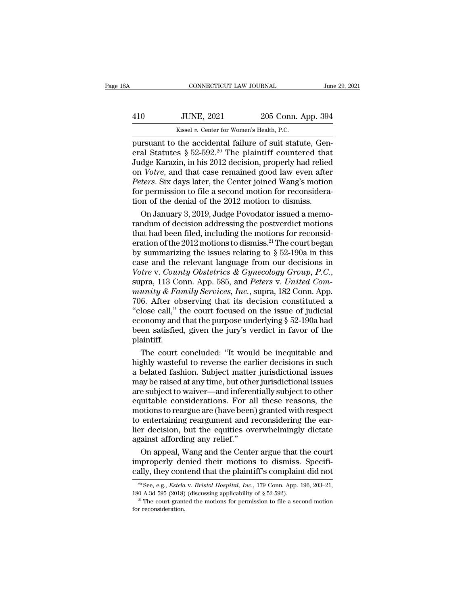|     | CONNECTICUT LAW JOURNAL                                  |                    | June 29, 2021 |
|-----|----------------------------------------------------------|--------------------|---------------|
| 410 | <b>JUNE, 2021</b>                                        | 205 Conn. App. 394 |               |
|     | Kissel v. Center for Women's Health, P.C.                |                    |               |
|     | pursuant to the accidental failure of suit statute, Gen- |                    |               |

CONNECTICUT LAW JOURNAL<br>
June JUNE, 2021 205 Conn. App. 394<br>
Kissel v. Center for Women's Health, P.C.<br>
pursuant to the accidental failure of suit statute, General Statutes § 52-592.<sup>20</sup> The plaintiff countered that<br>
Judge Fig. 2021 205 Conn. App. 394<br>
Exissel v. Center for Women's Health, P.C.<br>
pursuant to the accidental failure of suit statute, General Statutes § 52-592.<sup>20</sup> The plaintiff countered that<br>
Judge Karazin, in his 2012 decision  $\frac{JUNE, 2021}{205}$  Conn. App. 394<br>  $\frac{Kissel v. Center for Women's Health, P.C.}{205}$ <br>
pursuant to the accidental failure of suit statute, General Statutes § 52-592.<sup>20</sup> The plaintiff countered that<br>
Judge Karazin, in his 2012 decision, properly h *JUNE, 2021* 205 Conn. App. 394<br> *Kissel v. Center for Women's Health, P.C.*<br>
pursuant to the accidental failure of suit statute, General Statutes § 52-592.<sup>20</sup> The plaintiff countered that<br>
Judge Karazin, in his 2012 deci *Resear Worte, 2021*<br> *Peter for Women's Health, P.C.*<br> *Personant to the accidental failure of suit statute, General Statutes § 52-592.<sup>20</sup> The plaintiff countered that<br>
Judge Karazin, in his 2012 decision, properly had r Kissel v. Center for Women's Health, P.C.*<br>
pursuant to the accidental failure of suit statute, General Statutes  $\S 52-592.^{20}$  The plaintiff countered that<br>
Judge Karazin, in his 2012 decision, properly had relied<br>
on pursuant to the accidental failure of suit statute, General Statutes § 52-592.<sup>20</sup> The plaintiff countered tha Judge Karazin, in his 2012 decision, properly had relieved on *Votre*, and that case remained good law even aft al Statutes  $\S$  52-592.<sup>20</sup> The plaintiff countered that<br>dge Karazin, in his 2012 decision, properly had relied<br>i *Votre*, and that case remained good law even after<br>*ters*. Six days later, the Center joined Wang's motion Judge Karazin, in his 2012 decision, properly had relied<br>on *Votre*, and that case remained good law even after<br>*Peters*. Six days later, the Center joined Wang's motion<br>for permission to file a second motion for reconsid

on *Votre*, and that case remained good law even after<br>*Peters*. Six days later, the Center joined Wang's motion<br>for permission to file a second motion for reconsidera-<br>tion of the denial of the 2012 motion to dismiss.<br>On Peters. Six days later, the Center joined Wang's motion<br>for permission to file a second motion for reconsidera-<br>tion of the denial of the 2012 motion to dismiss.<br>On January 3, 2019, Judge Povodator issued a memo-<br>randum o for permission to file a second motion for reconsideration of the denial of the 2012 motion to dismiss.<br>On January 3, 2019, Judge Povodator issued a memorandum of decision addressing the postverdict motions<br>that had been tion of the denial of the 2012 motion to dismiss.<br>
On January 3, 2019, Judge Povodator issued a memo-<br>
randum of decision addressing the postverdict motions<br>
that had been filed, including the motions for reconsid-<br>
erati *Von January 3, 2019, Judge Povodator issued a memorrandum of decision addressing the postverdict motions that had been filed, including the motions for reconsideration of the 2012 motions to dismiss.<sup>21</sup> The court began b* that had been filed, including the motions for reconsideration of the 2012 motions to dismiss.<sup>21</sup> The court began<br>by summarizing the issues relating to § 52-190a in this<br>case and the relevant language from our decisions i eration of the 2012 motions to dismiss.<sup>21</sup> The court began<br>by summarizing the issues relating to § 52-190a in this<br>case and the relevant language from our decisions in<br>Votre v. County Obstetrics & Gynecology Group, P.C., by summarizing the issues relating to  $\S$  52-190a in this<br>case and the relevant language from our decisions in<br>Votre v. County Obstetrics & Gynecology Group, P.C.,<br>supra, 113 Conn. App. 585, and Peters v. United Com-<br>muni case and the relevant language from our decisions in Votre v. County Obstetrics & Gynecology Group, P.C., supra, 113 Conn. App. 585, and Peters v. United Community & Family Services, Inc., supra, 182 Conn. App. 706. After Votre v. County Obstetrics & Gynecology Group, P.C.,<br>supra, 113 Conn. App. 585, and Peters v. United Com-<br>munity & Family Services, Inc., supra, 182 Conn. App.<br>706. After observing that its decision constituted a<br>"close ca plaintiff. unity & Family Services, Inc., supra, 182 Conn. App.<br>6. After observing that its decision constituted a<br>lose call," the court focused on the issue of judicial<br>onomy and that the purpose underlying  $\S$  52-190a had<br>en satis 706. After observing that its decision constituted a<br>
"close call," the court focused on the issue of judicial<br>
economy and that the purpose underlying  $\S$  52-190a had<br>
been satisfied, given the jury's verdict in favor of

"close call," the court focused on the issue of judicial<br>economy and that the purpose underlying § 52-190a had<br>been satisfied, given the jury's verdict in favor of the<br>plaintiff.<br>The court concluded: "It would be inequitab economy and that the purpose underlying § 52-190a had<br>been satisfied, given the jury's verdict in favor of the<br>plaintiff.<br>The court concluded: "It would be inequitable and<br>highly wasteful to reverse the earlier decisions i been satisfied, given the jury's verdict in favor of the<br>plaintiff.<br>The court concluded: "It would be inequitable and<br>highly wasteful to reverse the earlier decisions in such<br>a belated fashion. Subject matter jurisdictiona plaintiff.<br>The court concluded: "It would be inequitable and<br>highly wasteful to reverse the earlier decisions in such<br>a belated fashion. Subject matter jurisdictional issues<br>may be raised at any time, but other jurisdictio The court concluded: "It would be inequitable and<br>highly wasteful to reverse the earlier decisions in such<br>a belated fashion. Subject matter jurisdictional issues<br>may be raised at any time, but other jurisdictional issues<br> highly wasteful to reverse the earlier decisions in such<br>a belated fashion. Subject matter jurisdictional issues<br>may be raised at any time, but other jurisdictional issues<br>are subject to waiver—and inferentially subject to a belated fashion. Subject matter jurisdictional issues<br>may be raised at any time, but other jurisdictional issues<br>are subject to waiver—and inferentially subject to other<br>equitable considerations. For all these reasons, t may be raised at any time, but othe<br>are subject to waiver—and inferer<br>equitable considerations. For al<br>motions to reargue are (have been<br>to entertaining reargument and r<br>lier decision, but the equities ov<br>against affording e subject to waiver—and inferentially subject to other<br>uitable considerations. For all these reasons, the<br>otions to reargue are (have been) granted with respect<br>entertaining reargument and reconsidering the ear-<br>r decision equitable considerations. For all these reasons, the<br>motions to reargue are (have been) granted with respect<br>to entertaining reargument and reconsidering the ear-<br>lier decision, but the equities overwhelmingly dictate<br>agai motions to reargue are (have been) granted with respect<br>to entertaining reargument and reconsidering the ear-<br>lier decision, but the equities overwhelmingly dictate<br>against affording any relief."<br>On appeal, Wang and the C

against affording any relief."<br>
On appeal, Wang and the Center argue that the court<br>
improperly denied their motions to dismiss. Specifi-<br>
cally, they contend that the plaintiff's complaint did not<br>
<sup>20</sup> See, e.g., *Estela* On appeal, Wang and the Center argue that the court<br>improperly denied their motions to dismiss. Specifi-<br>cally, they contend that the plaintiff's complaint did not<br><sup>20</sup> See, e.g., *Estela* v. *Bristol Hospital*, *Inc.*, 1

cally, they contend that the plaintiff's complaint did not  $\frac{1}{20}$  See, e.g., *Estela v. Bristol Hospital, Inc.*, 179 Conn. App. 196, 203–21, 180 A.3d 595 (2018) (discussing applicability of § 52-592). <sup>21</sup> The court g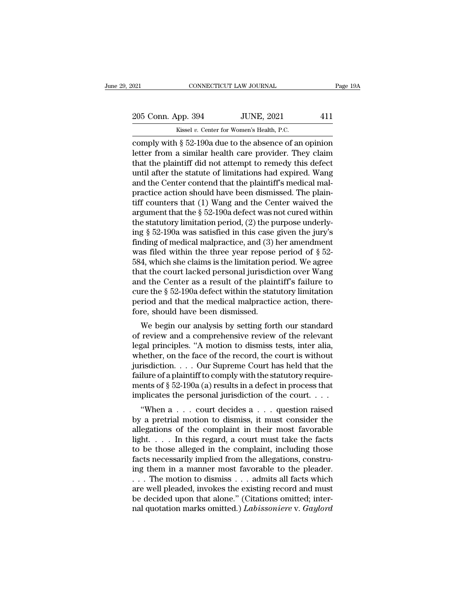021 CONNECTICUT LAW JOURNAL Page 19A<br>
205 Conn. App. 394 JUNE, 2021 411<br>
Kissel v. Center for Women's Health, P.C.

CONNECTICUT LAW JOURNAL<br>
205 Conn. App. 394 JUNE, 2021 411<br>
Kissel *v*. Center for Women's Health, P.C.<br>
Comply with § 52-190a due to the absence of an opinion connectricut LAW JOURNAL Page 19A<br>
205 Conn. App. 394 JUNE, 2021 411<br>
Kissel v. Center for Women's Health, P.C.<br>
comply with § 52-190a due to the absence of an opinion<br>
letter from a similar health care provider. They clai 205 Conn. App. 394 JUNE, 2021 411<br>
Kissel v. Center for Women's Health, P.C.<br>
comply with § 52-190a due to the absence of an opinion<br>
letter from a similar health care provider. They claim<br>
that the plaintiff did not attem 205 Conn. App. 394 JUNE, 2021 411<br>
Kissel v. Center for Women's Health, P.C.<br>
comply with  $\S$  52-190a due to the absence of an opinion<br>
letter from a similar health care provider. They claim<br>
that the plaintiff did not at 205 Conn. App. 394 JUNE, 2021 411<br>
Kissel v. Center for Women's Health, P.C.<br>
comply with § 52-190a due to the absence of an opinion<br>
letter from a similar health care provider. They claim<br>
that the plaintiff did not atte Example 1988 Excelsion Contends Health, P.C.<br>
comply with § 52-190a due to the absence of an opinion<br>
letter from a similar health care provider. They claim<br>
that the plaintiff did not attempt to remedy this defect<br>
until EXAMPLE IN A SISSEM UP ON MORE IS A CONDITY WITH SEAL COMPLY WITH SEAL COMPLY WITH SEAL COMPLETE: They claim that the plaintiff did not attempt to remedy this defect until after the statute of limitations had expired. Wan comply with  $\S$  52-190a due to the absence of an opinion<br>letter from a similar health care provider. They claim<br>that the plaintiff did not attempt to remedy this defect<br>until after the statute of limitations had expired. letter from a similar health care provider. They claim<br>that the plaintiff did not attempt to remedy this defect<br>until after the statute of limitations had expired. Wang<br>and the Center contend that the plaintiff's medical that the plaintiff did not attempt to remedy this defect<br>until after the statute of limitations had expired. Wang<br>and the Center contend that the plaintiff's medical mal-<br>practice action should have been dismissed. The pl until after the statute of limitations had expired. Wang<br>and the Center contend that the plaintiff's medical mal-<br>practice action should have been dismissed. The plain-<br>tiff counters that (1) Wang and the Center waived th and the Center contend that the plaintiff's medical mal-<br>practice action should have been dismissed. The plain-<br>tiff counters that (1) Wang and the Center waived the<br>argument that the  $\S 52-190a$  defect was not cured with practice action should have been dismissed. The plaintiff counters that (1) Wang and the Center waived the argument that the  $\S$  52-190a defect was not cured within the statutory limitation period, (2) the purpose underly tiff counters that (1) Wang and the Center waived the<br>argument that the  $\S$  52-190a defect was not cured within<br>the statutory limitation period, (2) the purpose underly-<br>ing  $\S$  52-190a was satisfied in this case given th argument that the  $\S$  52-190a defect was not cured within<br>the statutory limitation period, (2) the purpose underly-<br>ing  $\S$  52-190a was satisfied in this case given the jury's<br>finding of medical malpractice, and (3) her a the statutory limitation period, (2) the purpose underly-<br>ing  $\S$  52-190a was satisfied in this case given the jury's<br>finding of medical malpractice, and (3) her amendment<br>was filed within the three year repose period of ing  $\S$  52-190a was satisfied in this case given the jury's<br>finding of medical malpractice, and (3) her amendment<br>was filed within the three year repose period of  $\S$  52-<br>584, which she claims is the limitation period. We finding of medical malpractice, and  $(3)$  her amendment was filed within the three year repose period of  $\S$  52-584, which she claims is the limitation period. We agree that the court lacked personal jurisdiction over Wan was filed within the three year repose 584, which she claims is the limitation per that the court lacked personal jurisdict and the Center as a result of the plain cure the  $\S 52-190a$  defect within the state period and t 4, which she claims is the inhibited period. We agree<br>at the court lacked personal jurisdiction over Wang<br>d the Center as a result of the plaintiff's failure to<br>re the  $\S 52-190a$  defect within the statutory limitation<br>ri and the Center as a result of the plaintiff's failure to<br>cure the § 52-190a defect within the statutory limitation<br>period and that the medical malpractice action, there-<br>fore, should have been dismissed.<br>We begin our analy

and the Center as a result of the plaintin's rande to<br>cure the § 52-190a defect within the statutory limitation<br>period and that the medical malpractice action, there-<br>fore, should have been dismissed.<br>We begin our analysis cure the y 32-190a defect whill the statutory initiation<br>period and that the medical malpractice action, there-<br>fore, should have been dismissed.<br>We begin our analysis by setting forth our standard<br>of review and a comprehe period and that the method mappractice action, there-<br>fore, should have been dismissed.<br>We begin our analysis by setting forth our standard<br>of review and a comprehensive review of the relevant<br>legal principles. "A motion t We begin our analysis by setting forth our standard<br>of review and a comprehensive review of the relevant<br>legal principles. "A motion to dismiss tests, inter alia,<br>whether, on the face of the record, the court is without<br>j We begin our analysis by setting forth our standard<br>of review and a comprehensive review of the relevant<br>legal principles. "A motion to dismiss tests, inter alia,<br>whether, on the face of the record, the court is without<br>j of review and a comprehensive review of the relevant<br>legal principles. "A motion to dismiss tests, inter alia,<br>whether, on the face of the record, the court is without<br>jurisdiction. . . . Our Supreme Court has held that t an principles. A motion to dismiss tests, inter ana,<br>
nether, on the face of the record, the court is without<br>
risdiction.... Our Supreme Court has held that the<br>
ilure of a plaintiff to comply with the statutory requirewhether, on the race of the record, the court is whilout<br>jurisdiction. . . . Our Supreme Court has held that the<br>failure of a plaintiff to comply with the statutory require-<br>ments of § 52-190a (a) results in a defect in p

failure of a plaintiff to comply with the statutory require-<br>ments of § 52-190a (a) results in a defect in process that<br>implicates the personal jurisdiction of the court...<br>"When a ... court decides a ... question raised<br> rantice of a plantific to compty which the statutory requirements of § 52-190a (a) results in a defect in process that<br>implicates the personal jurisdiction of the court....<br>"When a ... court decides a ... question raised<br> thents or  $\S$  32-190a (a) results in a defect in process that<br>implicates the personal jurisdiction of the court....<br>"When a ... court decides a ... question raised<br>by a pretrial motion to dismiss, it must consider the<br>all facts necessarily implied from the allegations, constru-"When a  $\dots$  court decides a  $\dots$  question raised<br>by a pretrial motion to dismiss, it must consider the<br>allegations of the complaint in their most favorable<br>light.  $\dots$  In this regard, a court must take the facts<br>to be th by a pretrial motion to dismiss, it must consider the allegations of the complaint in their most favorable light. . . . In this regard, a court must take the facts to be those alleged in the complaint, including those fac allegations of the complaint in their most favorable<br>light. . . . In this regard, a court must take the facts<br>to be those alleged in the complaint, including those<br>facts necessarily implied from the allegations, constru-<br> light. . . . . In this regard, a court must take the facts<br>to be those alleged in the complaint, including those<br>facts necessarily implied from the allegations, constru-<br>ing them in a manner most favorable to the pleader. to be those alleged in the complaint, including those facts necessarily implied from the allegations, construing them in a manner most favorable to the pleader.<br>
. . . The motion to dismiss . . . admits all facts which are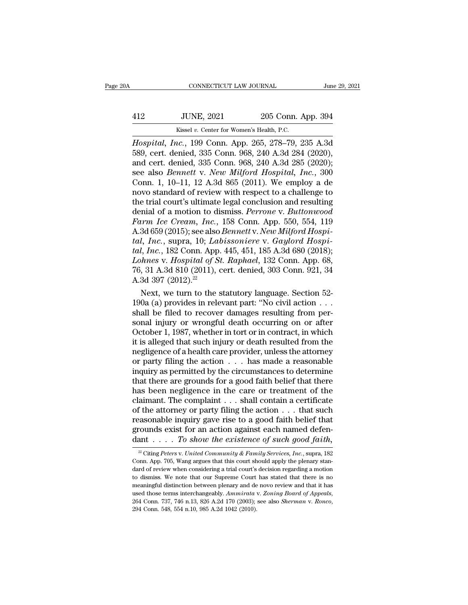|     | CONNECTICUT LAW JOURNAL                                      |                    | June 29, 2021 |
|-----|--------------------------------------------------------------|--------------------|---------------|
| 412 | <b>JUNE, 2021</b>                                            | 205 Conn. App. 394 |               |
|     | Kissel v. Center for Women's Health, P.C.                    |                    |               |
|     | <i>Hospital, Inc.</i> , 199 Conn. App. 265, 278–79, 235 A.3d |                    |               |

*CONNECTICUT LAW JOURNAL June 29, 2021*<br> *Hospital, Inc.*, 199 Conn. App. 265, 278–79, 235 A.3d<br> *Hospital, Inc.*, 199 Conn. App. 265, 278–79, 235 A.3d<br>
589, cert. denied, 335 Conn. 968, 240 A.3d 284 (2020),<br>
and cert de 12 JUNE, 2021 205 Conn. App. 394<br>
Kissel v. Center for Women's Health, P.C.<br>
Hospital, Inc., 199 Conn. App. 265, 278–79, 235 A.3d<br>
589, cert. denied, 335 Conn. 968, 240 A.3d 284 (2020),<br>
and cert. denied, 335 Conn. 968, 24 412 JUNE, 2021 205 Conn. App. 394<br>
Kissel v. Center for Women's Health, P.C.<br>
Hospital, Inc., 199 Conn. App. 265, 278–79, 235 A.3d<br>
589, cert. denied, 335 Conn. 968, 240 A.3d 284 (2020);<br>
and cert. denied, 335 Conn. 968, 2 Solution 112 and 120 and 1205 Conn. App. 394<br>
Fissel v. Center for Women's Health, P.C.<br> *Hospital, Inc.*, 199 Conn. App. 265, 278–79, 235 A.3d<br>
589, cert. denied, 335 Conn. 968, 240 A.3d 284 (2020),<br>
and cert. denied, 335 Kissel v. Center for Women's Health, P.C.<br>
Hospital, Inc., 199 Conn. App. 265, 278–79, 235 A.3d<br>
589, cert. denied, 335 Conn. 968, 240 A.3d 284 (2020),<br>
and cert. denied, 335 Conn. 968, 240 A.3d 285 (2020);<br>
see also *Benn* Kissel v. Center for Women's Health, P.C.<br> *Hospital, Inc.*, 199 Conn. App. 265, 278–79, 235 A.3d<br>
589, cert. denied, 335 Conn. 968, 240 A.3d 284 (2020),<br>
and cert. denied, 335 Conn. 968, 240 A.3d 285 (2020);<br>
see also *B* Hospital, Inc., 199 Conn. App. 265, 278–79, 235 A.3d<br>589, cert. denied, 335 Conn. 968, 240 A.3d 284 (2020),<br>and cert. denied, 335 Conn. 968, 240 A.3d 285 (2020);<br>see also *Bennett v. New Milford Hospital*, Inc., 300<br>Conn. 589, cert. denied, 335 Conn. 968, 240 A.3d 284 (2020),<br>and cert. denied, 335 Conn. 968, 240 A.3d 285 (2020);<br>see also *Bennett* v. *New Milford Hospital*, *Inc.*, 300<br>Conn. 1, 10–11, 12 A.3d 865 (2011). We employ a de<br>novo and cert. denied, 335 Conn. 968, 240 A.3d 285 (2020);<br>see also *Bennett v. New Milford Hospital, Inc.*, 300<br>Conn. 1, 10–11, 12 A.3d 865 (2011). We employ a de<br>novo standard of review with respect to a challenge to<br>the tria see also *Bennett* v. *New Milford Hospital*, *Inc.*, 300<br>Conn. 1, 10–11, 12 A.3d 865 (2011). We employ a de<br>novo standard of review with respect to a challenge to<br>the trial court's ultimate legal conclusion and resulting<br> Conn. 1, 10–11, 12 A.3d 865 (2011). We employ a de<br>novo standard of review with respect to a challenge to<br>the trial court's ultimate legal conclusion and resulting<br>denial of a motion to dismiss. *Perrone* v. *Buttonwood*<br> novo standard of review with respect to a challenge to<br>the trial court's ultimate legal conclusion and resulting<br>denial of a motion to dismiss. *Perrone v. Buttonwood*<br>*Farm Ice Cream, Inc.*, 158 Conn. App. 550, 554, 119<br>A the trial court's ultimate legal conclusion and resulting<br>denial of a motion to dismiss. *Perrone* v. *Buttonwood*<br>*Farm Ice Cream, Inc.*, 158 Conn. App. 550, 554, 119<br>A.3d 659 (2015); see also *Bennett* v. *New Milford Ho* denial of a motion to dismiss. *Perrone v. Buttonwood*<br>Farm Ice Cream, Inc., 158 Conn. App. 550, 554, 119<br>A.3d 659 (2015); see also *Bennett v. New Milford Hospital*, Inc., supra, 10; Labissoniere v. Gaylord Hospital, Inc. Farm Ice Cream, Inc.,<br>A.3d 659 (2015); see also<br>tal, Inc., supra, 10; Lai<br>tal, Inc., 182 Conn. App<br>Lohnes v. Hospital of S<br>76, 31 A.3d 810 (2011), 0<br>A.3d 397 (2012).<sup>22</sup><br>Next, we turn to the : 3d 659 (2015); see also *Bennett* v. *New Mutford Hospil, Inc.*, supra, 10; *Labissoniere* v. *Gaylord Hospil, Inc.*, 182 Conn. App. 445, 451, 185 A.3d 680 (2018); *hnes v. Hospital of St. Raphael*, 132 Conn. App. 68, 31 tal, Inc., supra, 10; Labussonnere v. Gaylord Hosputal, Inc., 182 Conn. App. 445, 451, 185 A.3d 680 (2018); Lohnes v. Hospital of St. Raphael, 132 Conn. App. 68, 76, 31 A.3d 810 (2011), cert. denied, 303 Conn. 921, 34 A.3

tal, Inc., 182 Conn. App. 445, 451, 185 A.3d 680 (2018);<br> *Lohnes v. Hospital of St. Raphael*, 132 Conn. App. 68,<br>
76, 31 A.3d 810 (2011), cert. denied, 303 Conn. 921, 34<br>
A.3d 397 (2012).<sup>22</sup><br>
Next, we turn to the statut Lohnes v. Hospital of St. Raphael, 132 Conn. App. 68,<br>76, 31 A.3d 810 (2011), cert. denied, 303 Conn. 921, 34<br>A.3d 397 (2012).<sup>22</sup><br>Next, we turn to the statutory language. Section 52-<br>190a (a) provides in relevant part: " 76, 31 A.3d 810 (2011), cert. denied, 303 Conn. 921, 34<br>A.3d 397 (2012).<sup>22</sup><br>Next, we turn to the statutory language. Section 52-<br>190a (a) provides in relevant part: "No civil action  $\dots$ <br>shall be filed to recover damages A.3d 397 (2012).<sup>22</sup><br>Next, we turn to the statutory language. Section 52-<br>190a (a) provides in relevant part: "No civil action . . .<br>shall be filed to recover damages resulting from per-<br>sonal injury or wrongful death occ Next, we turn to the statutory language. Section 52-<br>190a (a) provides in relevant part: "No civil action . . .<br>shall be filed to recover damages resulting from per-<br>sonal injury or wrongful death occurring on or after<br>Oc 190a (a) provides in relevant part: "No civil action . . . .<br>shall be filed to recover damages resulting from per-<br>sonal injury or wrongful death occurring on or after<br>October 1, 1987, whether in tort or in contract, in w shall be filed to recover damages resulting from per-<br>sonal injury or wrongful death occurring on or after<br>October 1, 1987, whether in tort or in contract, in which<br>it is alleged that such injury or death resulted from the sonal injury or wrongful death occurring on or after<br>October 1, 1987, whether in tort or in contract, in which<br>it is alleged that such injury or death resulted from the<br>negligence of a health care provider, unless the att October 1, 1987, whether in tort or in contract, in which<br>it is alleged that such injury or death resulted from the<br>negligence of a health care provider, unless the attorney<br>or party filing the action  $\ldots$  has made a rea it is alleged that such injury or death resulted from the negligence of a health care provider, unless the attorney<br>or party filing the action  $\dots$  has made a reasonable<br>inquiry as permitted by the circumstances to determ negligence of a health care provider, unless the attorney<br>or party filing the action . . . has made a reasonable<br>inquiry as permitted by the circumstances to determine<br>that there are grounds for a good faith belief that th or party filing the action . . . has made a reasonable<br>inquiry as permitted by the circumstances to determine<br>that there are grounds for a good faith belief that there<br>has been negligence in the care or treatment of the<br>c inquiry as permitted by the circumstances to determine<br>that there are grounds for a good faith belief that there<br>has been negligence in the care or treatment of the<br>claimant. The complaint . . . shall contain a certificat that there are grounds for a good faith belief that there<br>has been negligence in the care or treatment of the<br>claimant. The complaint . . . shall contain a certificate<br>of the attorney or party filing the action . . . that 22 Citing *Peters* v. *United Community & Family Services, Inc.*, supra, 182  $\frac{2}{\pi}$  Citing *Peters* v. *United Community & Family Services, Inc.*, supra, 182  $\frac{2}{\pi}$  Citing *Peters* v. *United Community & Family Se* reasonable inquiry gave rise to a good faith belief that<br>grounds exist for an action against each named defen-<br>dant . . . . To show the existence of such good faith,<br> $\frac{1}{2}$  Citing Peters v. United Community & Family Se

grounds exist for an action against each named defendant . . . . To show the existence of such good faith,<br> $\frac{1}{2}$ Citing Peters v. United Community & Family Services, Inc., supra, 182<br>Conn. App. 705, Wang argues that th dant . . . . To show the existence of such good faith,<br> $\frac{1}{2}$  Citing Peters v. United Community & Family Services, Inc., supra, 182<br>Conn. App. 705, Wang argues that this court should apply the plenary stan-<br>dard of rev Mantel  $\ldots$  10 Show the extistence of Such good future,<br>
<sup>22</sup> Citing Peters v. United Community & Family Services, Inc., supra, 182<br>
Conn. App. 705, Wang argues that this court should apply the plenary stan-<br>
dard of rev <sup>22</sup> Citing *Peters* v. *United Community & Family Services, Inc.*, supra, 182 Conn. App. 705, Wang argues that this court should apply the plenary standard of review when considering a trial court's decision regarding a m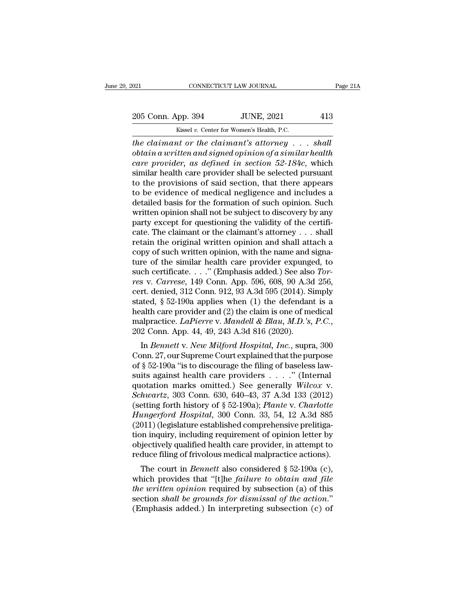EXECUTE DAN JOURNAL Page 21A<br>
205 Conn. App. 394 JUNE, 2021 413<br>
205 Conn. App. 394 JUNE, 2021 413

CONNECTICUT LAW JOURNAL<br>
205 Conn. App. 394 JUNE, 2021 413<br>
Kissel *v.* Center for Women's Health, P.C.<br> *The claimant or the claimant's attorney ... shall* <sup>021</sup> CONNECTICUT LAW JOURNAL Page 2<br>
205 Conn. App. 394 JUNE, 2021 413<br> *time claimant or the claimant's attorney* . . . *shall*<br> *obtain a written and signed opinion of a similar health*<br> *the claimant or the claimant's obtain a written and signed in section 12.13*<br>*Kissel v. Center for Women's Health, P.C.*<br>*obtain a written and signed opinion of a similar health*<br>*care provider, as defined in section 52-184c, which*<br>cimilar health care <sup>205</sup> Conn. App. 394 *JUNE*, 2021 413<br> *Kissel v. Center for Women's Health, P.C.*<br> *che claimant or the claimant's attorney ... shall*<br> *cottain a written and signed opinion of a similar health*<br> *care provider, as defin* 205 Conn. App. 394 JUNE, 2021 413<br>
Kissel v. Center for Women's Health, P.C.<br>
the claimant or the claimant's attorney . . . shall<br>
obtain a written and signed opinion of a similar health<br>
care provider, as defined in sect Example 1980 of the provisions of state in the claim of the claim and signed opinion of a similar health<br>care provider, as defined in section 52-184c, which<br>similar health care provider, as defined in section 52-184c, whi Existed v. Center for Women's Health, P.C.<br>
the claimant or the claimant's attorney . . . shall<br>
obtain a written and signed opinion of a similar health<br>
care provider, as defined in section 52-184c, which<br>
similar health the claimant or the claimant's attorney . . . . shall<br>obtain a written and signed opinion of a similar health<br>care provider, as defined in section 52-184c, which<br>similar health care provider shall be selected pursuant<br>to obtain a written and signed opinion of a similar health<br>care provider, as defined in section 52-184c, which<br>similar health care provider shall be selected pursuant<br>to the provisions of said section, that there appears<br>to care provider, as defined in section 52-184c, which<br>similar health care provider shall be selected pursuant<br>to the provisions of said section, that there appears<br>to be evidence of medical negligence and includes a<br>detaile similar health care provider shall be selected pursuant<br>to the provisions of said section, that there appears<br>to be evidence of medical negligence and includes a<br>detailed basis for the formation of such opinion. Such<br>writt to the provisions of said section, that there appears<br>to be evidence of medical negligence and includes a<br>detailed basis for the formation of such opinion. Such<br>written opinion shall not be subject to discovery by any<br>par to be evidence of medical negligence and includes a<br>detailed basis for the formation of such opinion. Such<br>written opinion shall not be subject to discovery by any<br>party except for questioning the validity of the certifidetailed basis for the formation of such opinion. Such<br>written opinion shall not be subject to discovery by any<br>party except for questioning the validity of the certifi-<br>cate. The claimant or the claimant's attorney . . . written opinion shall not be subject to discovery by any<br>party except for questioning the validity of the certifi-<br>cate. The claimant or the claimant's attorney . . . shall<br>retain the original written opinion and shall att party except for questioning the validity of the certificate. The claimant or the claimant's attorney . . . shall retain the original written opinion and shall attach a copy of such written opinion, with the name and signa cate. The claimant or the claimant's attorney . . . shall<br>retain the original written opinion and shall attach a<br>copy of such written opinion, with the name and signa-<br>ture of the similar health care provider expunged, to retain the original written opinion and shall attach a<br>copy of such written opinion, with the name and signa-<br>ture of the similar health care provider expunged, to<br>such certificate. . . . ." (Emphasis added.) See also *To* copy of such written opinion, with the name and signature of the similar health care provider expunged, to such certificate. . . ." (Emphasis added.) See also *Torres v. Carrese*, 149 Conn. App. 596, 608, 90 A.3d 256, cer ture of the similar health care provider expunged, to<br>such certificate. . . ." (Emphasis added.) See also *Tor-<br>res* v. *Carrese*, 149 Conn. App. 596, 608, 90 A.3d 256,<br>cert. denied, 312 Conn. 912, 93 A.3d 595 (2014). Simp In *Bennett* v. *New Milford Hospital, Inc.*, supra, 300<br>In *Bennett* v. *New Millong A.3d 595* (2014). Simply<br>ated, § 52-190a applies when (1) the defendant is a<br>alth care provider and (2) the claim is one of medical<br>alpr cent. defined, 312 Collit. 312, 35 A.5d 355 (2014). Shippy<br>stated, § 52-190a applies when (1) the defendant is a<br>health care provider and (2) the claim is one of medical<br>malpractice. *LaPierre* v. *Mandell & Blau*, *M.D.* 

stated, § 52-190a applies when (1) the defendant is a<br>health care provider and (2) the claim is one of medical<br>malpractice. *LaPierre* v. *Mandell & Blau, M.D.*'s, P.C.,<br>202 Conn. App. 44, 49, 243 A.3d 816 (2020).<br>In *Ben* malpractice. *LaPierre v. Mandell & Blau, M.D.'s, P.C.*,<br>202 Conn. App. 44, 49, 243 A.3d 816 (2020).<br>In *Bennett v. New Milford Hospital, Inc.*, supra, 300<br>Conn. 27, our Supreme Court explained that the purpose<br>of § 52-19 marpractice. *Lar* terre v. manded & *Blaut, M.D.* s, T.C.,<br>202 Conn. App. 44, 49, 243 A.3d 816 (2020).<br>In *Bennett* v. *New Milford Hospital, Inc.*, supra, 300<br>Conn. 27, our Supreme Court explained that the purpose<br>of § 5 *Soz* Conn. App. 44, 45, 245 A.5d 510 (2020).<br>
In *Bennett v. New Milford Hospital, Inc.*, supra, 300<br>
Conn. 27, our Supreme Court explained that the purpose<br>
of § 52-190a "is to discourage the filing of baseless law-<br>
sui In *Bennett* v. *New Milford Hospital*, *Inc.*, supra, 300<br>Conn. 27, our Supreme Court explained that the purpose<br>of § 52-190a "is to discourage the filing of baseless law-<br>suits against health care providers . . . . . " ( Conn. 27, our Supreme Court explained that the purpose<br>of § 52-190a "is to discourage the filing of baseless law-<br>suits against health care providers . . . . ." (Internal<br>quotation marks omitted.) See generally *Wilcox v.<br>* %  $\frac{1}{2}$  52-190a "is to discourage the filing of baseless lawsuits against health care providers . . . . " (Internal quotation marks omitted.) See generally *Wilcox v. Schwartz*, 303 Conn. 630, 640–43, 37 A.3d 133 (201 suits against health care providers . . . ." (Internal<br>quotation marks omitted.) See generally *Wilcox v.*<br>Schwartz, 303 Conn. 630, 640–43, 37 A.3d 133 (2012)<br>(setting forth history of § 52-190a); *Plante v. Charlotte*<br>*H* quotation marks omitted.) See generally *Wilcox v.*<br>Schwartz, 303 Conn. 630, 640–43, 37 A.3d 133 (2012)<br>(setting forth history of  $\S$  52-190a); *Plante v. Charlotte*<br>Hungerford Hospital, 300 Conn. 33, 54, 12 A.3d 885<br>(201 Schwartz, 303 Conn. 630, 640–43, 37 A.3d 133 (2012)<br>(setting forth history of § 52-190a); *Plante v. Charlotte*<br>*Hungerford Hospital*, 300 Conn. 33, 54, 12 A.3d 885<br>(2011) (legislature established comprehensive prelitiga-Example in this consideration. 33, 54, 12 A.3d 885<br>011) (legislature established comprehensive prelitiga-<br>011) (legislature established comprehensive prelitiga-<br>on inquiry, including requirement of opinion letter by<br>igecti Trangerjora Trospitat, 300 Coluit. 35, 34, 12 A.5d 865<br>(2011) (legislature established comprehensive prelitiga-<br>tion inquiry, including requirement of opinion letter by<br>objectively qualified health care provider, in attemp

(2011) (legislature established comprehensive prentigation inquiry, including requirement of opinion letter by objectively qualified health care provider, in attempt to reduce filing of frivolous medical malpractice actio sectively qualified health care provider, in attempt to reduce filing of frivolous medical malpractice actions).<br>The court in *Bennett* also considered § 52-190a (c), which provides that "[t]he *failure to obtain and file* % objectively qualified health care provider, in attempt to reduce filing of frivolous medical malpractice actions).<br>The court in *Bennett* also considered  $\S$  52-190a (c), which provides that "[t]he *failure to obtain an*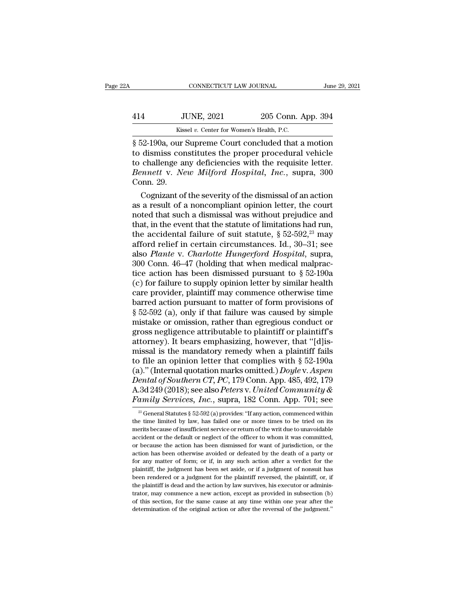| łА  | CONNECTICUT LAW JOURNAL                                         |                    | June 29, 2021 |
|-----|-----------------------------------------------------------------|--------------------|---------------|
| 414 | <b>JUNE, 2021</b>                                               | 205 Conn. App. 394 |               |
|     | Kissel v. Center for Women's Health, P.C.                       |                    |               |
|     | 8.52-190 <sub>8</sub> our Supreme Court concluded that a motion |                    |               |

FRIENCE CONNECTICUT LAW JOURNAL June 29, 2021<br>
SUDE 2021 205 Conn. App. 394<br>
Sissel v. Center for Women's Health, P.C.<br>
Sissel v. Center for Women's Health, P.C.<br>
Sissel 2-190a, our Supreme Court concluded that a motion<br>
t 114 JUNE, 2021 205 Conn. App. 394<br>
Kissel v. Center for Women's Health, P.C.<br>
852-190a, our Supreme Court concluded that a motion<br>
10 to dismiss constitutes the proper procedural vehicle<br>
10 to challenge any deficiencies w  $\frac{414}{\text{Kissel }v}$ . Center for Women's Health, P.C.<br>  $\frac{8}{9}$  52-190a, our Supreme Court concluded that a motion<br>
to dismiss constitutes the proper procedural vehicle<br>
to challenge any deficiencies with the requisite let *Bennetter Women's Health, P.C.*<br> *Bennetter v. Center for Women's Health, P.C.*<br> *Bennett* v. *New Milford Hospital, Inc.*, supra, 300<br> *Bennett v. New Milford Hospital, Inc.*, supra, 300<br> *Conn.* 29. Kiss<br>
§ 52-190a, our<br>
to dismiss cor<br>
to challenge an<br> *Bennett* v. *Ne*<br>
Conn. 29.<br>
Cognizant of Example 1821 at the severity concluded that a motion<br>dismiss constitutes the proper procedural vehicle<br>challenge any deficiencies with the requisite letter.<br>*nnett* v. *New Milford Hospital*, *Inc.*, supra, 300<br>pnn. 29.<br>C  $\S$  52-190a, our Supreme Court concluded that a motion<br>to dismiss constitutes the proper procedural vehicle<br>to challenge any deficiencies with the requisite letter.<br>*Bennett* v. *New Milford Hospital*, *Inc.*, supra, 300<br>

to dismiss constitutes the proper procedural vehicle<br>to challenge any deficiencies with the requisite letter.<br>Bennett v. New Milford Hospital, Inc., supra, 300<br>Conn. 29.<br>Cognizant of the severity of the dismissal of an ac to challenge any deficiencies with the requisite letter.<br> *Bennett v. New Milford Hospital, Inc.*, supra, 300<br>
Conn. 29.<br>
Cognizant of the severity of the dismissal of an action<br>
as a result of a noncompliant opinion lett *Bennett v. New Milford Hospital, Inc.,* supra, 300<br>Conn. 29.<br>Cognizant of the severity of the dismissal of an action<br>as a result of a noncompliant opinion letter, the court<br>noted that such a dismissal was without prejudi Conn. 29.<br>
Cognizant of the severity of the dismissal of an action<br>
as a result of a noncompliant opinion letter, the court<br>
noted that such a dismissal was without prejudice and<br>
that, in the event that the statute of li Cognizant of the severity of the dismissal of an action<br>as a result of a noncompliant opinion letter, the court<br>noted that such a dismissal was without prejudice and<br>that, in the event that the statute of limitations had r as a result of a noncompliant opinion letter, the court<br>noted that such a dismissal was without prejudice and<br>that, in the event that the statute of limitations had run,<br>the accidental failure of suit statute,  $\S 52-592,^{$ noted that such a dismissal was without prejudice and<br>that, in the event that the statute of limitations had run,<br>the accidental failure of suit statute,  $\S 52-592$ ,<sup>23</sup> may<br>afford relief in certain circumstances. Id., 30 that, in the event that the statute of limitations had run,<br>the accidental failure of suit statute,  $\S 52-592,^{23}$  may<br>afford relief in certain circumstances. Id., 30–31; see<br>also *Plante* v. *Charlotte Hungerford Hospit* the accidental failure of suit statute,  $\S 52-592<sup>23</sup>$  may<br>afford relief in certain circumstances. Id., 30–31; see<br>also *Plante* v. *Charlotte Hungerford Hospital*, supra,<br>300 Conn. 46–47 (holding that when medical ma afford relief in certain circumstances. Id., 30–31; see<br>also *Plante* v. *Charlotte Hungerford Hospital*, supra,<br>300 Conn. 46–47 (holding that when medical malprac-<br>tice action has been dismissed pursuant to  $\S 52-190a$ <br>( also *Plante* v. *Charlotte Hungerford Hospital*, supra, 300 Conn. 46–47 (holding that when medical malpractice action has been dismissed pursuant to  $\S$  52-190a (c) for failure to supply opinion letter by similar health 300 Conn. 46–47 (holding that when medical malpractice action has been dismissed pursuant to  $\S$  52-190a<br>(c) for failure to supply opinion letter by similar health<br>care provider, plaintiff may commence otherwise time<br>barr tice action has been dismissed pursuant to  $\S 52{\text -}190{\text a}$ <br>(c) for failure to supply opinion letter by similar health<br>care provider, plaintiff may commence otherwise time<br>barred action pursuant to matter of form provisi (c) for failure to supply opinion letter by similar health care provider, plaintiff may commence otherwise time barred action pursuant to matter of form provisions of  $\S 52-592$  (a), only if that failure was caused by sim care provider, plaintiff may commence otherwise time<br>barred action pursuant to matter of form provisions of<br> $\S 52-592$  (a), only if that failure was caused by simple<br>mistake or omission, rather than egregious conduct or<br>g barred action pursuant to matter of form provisions of<br>
§ 52-592 (a), only if that failure was caused by simple<br>
mistake or omission, rather than egregious conduct or<br>
gross negligence attributable to plaintiff or plainti § 52-592 (a), only if that failure was caused by simple<br>mistake or omission, rather than egregious conduct or<br>gross negligence attributable to plaintiff or plaintiff's<br>attorney). It bears emphasizing, however, that "[d]ismistake or omission, rather than egregious conduct or<br>gross negligence attributable to plaintiff or plaintiff's<br>attorney). It bears emphasizing, however, that "[d]is-<br>missal is the mandatory remedy when a plaintiff fails<br>t gross negligence attributable to plaintiff or plaintiff's<br>attorney). It bears emphasizing, however, that "[d]is-<br>missal is the mandatory remedy when a plaintiff fails<br>to file an opinion letter that complies with § 52-190a<br> attorney). It bears emphasizing, however, that "[d]ismissal is the mandatory remedy when a plaintiff fails<br>to file an opinion letter that complies with § 52-190a<br>(a)." (Internal quotation marks omitted.) *Doyle* v. Aspen<br> (a)." (Internal quotation marks omitted.) *Doyle* v. Aspen<br>ental of Southern CT, PC, 179 Conn. App. 485, 492, 179<br>3d 249 (2018); see also Peters v. United Community &<br>amily Services, Inc., supra, 182 Conn. App. 701; see<br>Dental of Southern CT, PC, 179 Conn. App. 485, 492, 179<br>A.3d 249 (2018); see also Peters v. United Community &<br>Family Services, Inc., supra, 182 Conn. App. 701; see<br> $\frac{1}{2}$  General Statutes § 52-592 (a) provides: "If an Family Services, Inc., supra, 182 Conn. App. 701; see

A.3d 249 (2018); see also *Peters* v. United Community & Family Services, Inc., supra, 182 Conn. App. 701; see  $\frac{1}{2}$  General Statutes § 52-592(a) provides: "If any action, commenced within the time limited by law, has **PURICUS, THE.**, Supra, 182 COIII. App. 101; See<br>
<sup>23</sup> General Statutes § 52-592 (a) provides: "If any action, commenced within<br>
the time limited by law, has failed one or more times to be tried on its<br>
merits because of <sup>23</sup> General Statutes § 52-592 (a) provides: "If any action, commenced within the time limited by law, has failed one or more times to be tried on its merits because of insufficient service or return of the writ due to un the time limited by law, has failed one or more times to be tried on its merits because of insufficient service or return of the writ due to unavoidable accident or the default or neglect of the officer to whom it was comm merits because of insufficient service or return of the writ due to unavoidable accident or the default or neglect of the officer to whom it was committed, or because the action has been dismissed for want of jurisdiction, accident or the default or neglect of the officer to whom it was committed, or because the action has been dismissed for want of jurisdiction, or the action has been otherwise avoided or defeated by the death of a party o or because the action has been dismissed for want of jurisdiction, or the action has been otherwise avoided or defeated by the death of a party or for any matter of form; or if, in any such action after a verdict for the action has been otherwise avoided or defeated by the death of a party or for any matter of form; or if, in any such action after a verdict for the plaintiff, the judgment has been set aside, or if a judgment of nonsuit ha for any matter of form; or if, in any such action after a verdict for the plaintiff, the judgment has been set aside, or if a judgment of nonsuit has been rendered or a judgment for the plaintiff reversed, the plaintiff, o plaintiff, the judgment has been set aside, or if a judgment of nonsuit has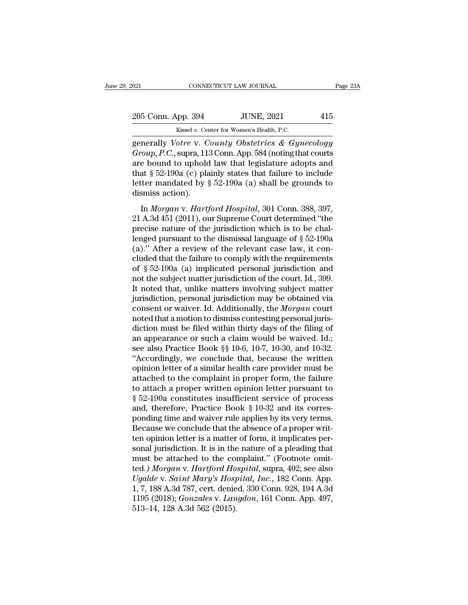| 2021               | CONNECTICUT LAW JOURNAL                           | Page 23A |
|--------------------|---------------------------------------------------|----------|
| 205 Conn. App. 394 | <b>JUNE, 2021</b>                                 | 415      |
|                    | Kissel v. Center for Women's Health, P.C.         |          |
|                    | generally Votre v. County Obstetrics & Gynecology |          |

on CONNECTICUT LAW JOURNAL Page 23A<br>
205 Conn. App. 394 JUNE, 2021 415<br>
Kissel v. Center for Women's Health, P.C.<br>
generally *Votre* v. *County Obstetrics & Gynecology*<br> *Group, P.C.*, supra, 113 Conn. App. 584 (noting tha 205 Conn. App. 394 JUNE, 2021 415<br>
Kissel v. Center for Women's Health, P.C.<br> **Group, P.C.**, supra, 113 Conn. App. 584 (noting that courts<br>
are bound to uphold law that legislature adopts and<br>
that 8.52.100a (a) plainly st 205 Conn. App. 394 JUNE, 2021 415<br>
Kissel v. Center for Women's Health, P.C.<br>
generally *Votre v. County Obstetrics & Gynecology*<br> *Group, P.C.*, supra, 113 Conn. App. 584 (noting that courts<br>
are bound to uphold law that 205 Conn. App. 394 JUNE, 2021 415<br>
Kissel v. Center for Women's Health, P.C.<br>
generally *Votre v. County Obstetrics & Gynecology*<br> *Group, P.C.*, supra, 113 Conn. App. 584 (noting that courts<br>
are bound to uphold law that EVENCE PRESERVING TO USEN THE RESERVING RESERVING SERVING SUPERTER MOVED GROUP, P.C., supra, 113 Conn. App. 584 (noting that courts are bound to uphold law that legislature adopts and that § 52-190a (c) plainly states tha  $\begin{array}{ll} \text{Kissel } v. \text{ Cer} \\\text{generally } Votre \text{ v. } C \\\text{Group, P.C., supra, 11:} \\\text{are bound to uphold} \\\text{that § 52-190a (c) pla \\\text{letter mandated by } \\\text{dismiss action).} \\\text{In } Morgan \text{ v. } Hart \end{array}$ In *Morgan* v. *Hartford Hospital*, 301 Conn. 388, 397,<br>
In *Morgan* v. *Hartford Hospital*, 301 Conn. 388, 397,<br>
A.3d 451 (2011), our Supreme Court determined "the<br>
acise nature of the invisibility which is to be aballed are bound to uphold law that legislature adopts and<br>that § 52-190a (c) plainly states that failure to include<br>letter mandated by § 52-190a (a) shall be grounds to<br>dismiss action).<br>In *Morgan* v. *Hartford Hospital*, 301 C

that § 52-190a (c) plainly states that failure to include<br>letter mandated by § 52-190a (a) shall be grounds to<br>dismiss action).<br>In *Morgan* v. *Hartford Hospital*, 301 Conn. 388, 397,<br>21 A.3d 451 (2011), our Supreme Court letter mandated by § 52-190a (a) shall be grounds to<br>dismiss action).<br>In *Morgan* v. *Hartford Hospital*, 301 Conn. 388, 397,<br>21 A.3d 451 (2011), our Supreme Court determined "the<br>precise nature of the jurisdiction which (a). The review of the relation of the relationships action).<br>
In *Morgan v. Hartford Hospital*, 301 Conn. 388, 397, 21 A.3d 451 (2011), our Supreme Court determined "the precise nature of the jurisdiction which is to be In *Morgan v. Hartford Hospital*, 301 Conn. 388, 397, 21 A.3d 451 (2011), our Supreme Court determined "the precise nature of the jurisdiction which is to be challenged pursuant to the dismissal language of  $\S$  52-190a (a In *Morgan v. Hartford Hospital*, 301 Conn. 388, 397, 21 A.3d 451 (2011), our Supreme Court determined "the precise nature of the jurisdiction which is to be challenged pursuant to the dismissal language of  $\S$  52-190a (a 21 A.3d 451 (2011), our Supreme Court determined "the precise nature of the jurisdiction which is to be challenged pursuant to the dismissal language of  $\S$  52-190a (a)." After a review of the relevant case law, it conclu precise nature of the jurisdiction which is to be chal-<br>lenged pursuant to the dismissal language of  $\S$  52-190a<br>(a)." After a review of the relevant case law, it con-<br>cluded that the failure to comply with the requiremen lenged pursuant to the dismissal language of  $\S$  52-190a<br>(a)." After a review of the relevant case law, it con-<br>cluded that the failure to comply with the requirements<br>of  $\S$  52-190a (a) implicated personal jurisdiction a (a)." After a review of the relevant case law, it concluded that the failure to comply with the requirements of  $\S$  52-190a (a) implicated personal jurisdiction and not the subject matter jurisdiction of the court. Id., 3 cluded that the failure to comply with the requirements<br>of  $\S$  52-190a (a) implicated personal jurisdiction and<br>not the subject matter jurisdiction of the court. Id., 399.<br>It noted that, unlike matters involving subject m of § 52-190a (a) implicated personal jurisdiction and<br>not the subject matter jurisdiction of the court. Id., 399.<br>It noted that, unlike matters involving subject matter<br>jurisdiction, personal jurisdiction may be obtained not the subject matter jurisdiction of the court. Id., 399.<br>It noted that, unlike matters involving subject matter<br>jurisdiction, personal jurisdiction may be obtained via<br>consent or waiver. Id. Additionally, the *Morgan* c It noted that, unlike matters involving subject matter<br>jurisdiction, personal jurisdiction may be obtained via<br>consent or waiver. Id. Additionally, the *Morgan* court<br>noted that a motion to dismiss contesting personal juri jurisdiction, personal jurisdiction may be obtained via<br>
consent or waiver. Id. Additionally, the *Morgan* court<br>
noted that a motion to dismiss contesting personal juris-<br>
diction must be filed within thirty days of the f consent or waiver. Id. Additionally, the *Morgan* court<br>noted that a motion to dismiss contesting personal juris-<br>diction must be filed within thirty days of the filing of<br>an appearance or such a claim would be waived. Id noted that a motion to dismiss contesting personal jurisdiction must be filed within thirty days of the filing of<br>an appearance or such a claim would be waived. Id.;<br>see also Practice Book §§ 10-6, 10-7, 10-30, and 10-32.<br> diction must be filed within thirty days of the filing of<br>an appearance or such a claim would be waived. Id.;<br>see also Practice Book §§ 10-6, 10-7, 10-30, and 10-32.<br>"Accordingly, we conclude that, because the written<br>opi an appearance or such a claim would be waived. Id.;<br>see also Practice Book §§ 10-6, 10-7, 10-30, and 10-32.<br>"Accordingly, we conclude that, because the written<br>opinion letter of a similar health care provider must be<br>atta see also Practice Book §§ 10-6, 10-7, 10-30, and 10-32.<br>
"Accordingly, we conclude that, because the written<br>
opinion letter of a similar health care provider must be<br>
attached to the complaint in proper form, the failure "Accordingly, we conclude that, because the written<br>opinion letter of a similar health care provider must be<br>attached to the complaint in proper form, the failure<br>to attach a proper written opinion letter pursuant to<br> $\S 5$ opinion letter of a similar health care provider must be attached to the complaint in proper form, the failure to attach a proper written opinion letter pursuant to § 52-190a constitutes insufficient service of process and attached to the complaint in proper form, the failure<br>to attach a proper written opinion letter pursuant to<br>§ 52-190a constitutes insufficient service of process<br>and, therefore, Practice Book § 10-32 and its corres-<br>pondin to attach a proper written opinion letter pursuant to  $\S$  52-190a constitutes insufficient service of process<br>and, therefore, Practice Book  $\S$  10-32 and its corres-<br>ponding time and waiver rule applies by its very terms. § 52-190a constitutes insufficient service of process<br>and, therefore, Practice Book § 10-32 and its corres-<br>ponding time and waiver rule applies by its very terms.<br>Because we conclude that the absence of a proper writ-<br>te and, therefore, Practice Book § 10-32 and its corresponding time and waiver rule applies by its very terms.<br>Because we conclude that the absence of a proper written opinion letter is a matter of form, it implicates persona ponding time and waiver rule applies by its very terms.<br> *Because we conclude that the absence of a proper written opinion letter is a matter of form, it implicates personal jurisdiction. It is in the nature of a pleading* Because we conclude that the absence of a proper writ-<br>ten opinion letter is a matter of form, it implicates per-<br>sonal jurisdiction. It is in the nature of a pleading that<br>must be attached to the complaint." (Footnote omi ten opinion letter is a matter of form, it implicates per-<br>sonal jurisdiction. It is in the nature of a pleading that<br>must be attached to the complaint." (Footnote omit-<br>ted.) Morgan v. *Hartford Hospital*, supra, 402; see sonal jurisdiction. It is in the<br>must be attached to the cor<br>ted.) Morgan v. Hartford Ho.<br>Ugalde v. Saint Mary's Hosp<br>1, 7, 188 A.3d 787, cert. denie<br>1195 (2018); Gonzales v. Lan<br>513–14, 128 A.3d 562 (2015).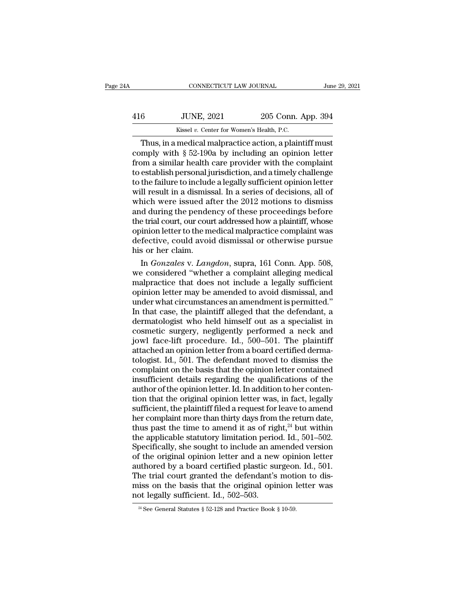| A   | CONNECTICUT LAW JOURNAL                               |                    | June 29, 2021 |
|-----|-------------------------------------------------------|--------------------|---------------|
| 416 | <b>JUNE, 2021</b>                                     | 205 Conn. App. 394 |               |
|     | Kissel v. Center for Women's Health, P.C.             |                    |               |
|     | Thus in a medical malpractice action a plaintiff must |                    |               |

CONNECTICUT LAW JOURNAL June 29, 202<br>
6 JUNE, 2021 205 Conn. App. 394<br>
Kissel v. Center for Women's Health, P.C.<br>
Thus, in a medical malpractice action, a plaintiff must<br>
mply with § 52-190a by including an opinion letter<br> THE 416 JUNE, 2021 205 Conn. App. 394<br>
Exissel v. Center for Women's Health, P.C.<br>
Thus, in a medical malpractice action, a plaintiff must<br>
comply with § 52-190a by including an opinion letter<br>
from a similar health care p 416 JUNE, 2021 205 Conn. App. 394<br>Kissel v. Center for Women's Health, P.C.<br>Thus, in a medical malpractice action, a plaintiff must<br>comply with § 52-190a by including an opinion letter<br>from a similar health care provider 416 JUNE, 2021 205 Conn. App. 394<br>
Kissel v. Center for Women's Health, P.C.<br>
Thus, in a medical malpractice action, a plaintiff must<br>
comply with § 52-190a by including an opinion letter<br>
from a similar health care provi Thus, in a medical malpractice action, a plaintiff must<br>comply with § 52-190a by including an opinion letter<br>from a similar health care provider with the complaint<br>to establish personal jurisdiction, and a timely challeng Kissel v. Center for Women's Health, P.C.<br>
Thus, in a medical malpractice action, a plaintiff must<br>
comply with  $\S$  52-190a by including an opinion letter<br>
from a similar health care provider with the complaint<br>
to establ Thus, in a medical malpractice action, a plaintiff must<br>comply with  $\S$  52-190a by including an opinion letter<br>from a similar health care provider with the complaint<br>to establish personal jurisdiction, and a timely challe comply with § 52-190a by including an opinion letter<br>from a similar health care provider with the complaint<br>to establish personal jurisdiction, and a timely challenge<br>to the failure to include a legally sufficient opinion from a similar health care provider with the complaint<br>to establish personal jurisdiction, and a timely challenge<br>to the failure to include a legally sufficient opinion letter<br>will result in a dismissal. In a series of dec to establish personal jurisdiction, and a timely challenge<br>to the failure to include a legally sufficient opinion letter<br>will result in a dismissal. In a series of decisions, all of<br>which were issued after the 2012 motions to the failure to include a legally sufficient opinion letter<br>will result in a dismissal. In a series of decisions, all of<br>which were issued after the 2012 motions to dismiss<br>and during the pendency of these proceedings be will result in a dismiss<br>which were issued af<br>and during the pende<br>the trial court, our cour<br>opinion letter to the m<br>defective, could avoid<br>his or her claim.<br>In *Gonzales* v. Lang inch were issued after the 2012 motions to dismiss<br>id during the pendency of these proceedings before<br>e trial court, our court addressed how a plaintiff, whose<br>inion letter to the medical malpractice complaint was<br>fective, and during the pendency of these proceedings before<br>the trial court, our court addressed how a plaintiff, whose<br>opinion letter to the medical malpractice complaint was<br>defective, could avoid dismissal or otherwise pursue<br>h

the trial court, our court addressed how a plaintiff, whose<br>opinion letter to the medical malpractice complaint was<br>defective, could avoid dismissal or otherwise pursue<br>his or her claim.<br>In *Gonzales* v. *Langdon*, supra, opinion letter to the medical malpractice complaint was<br>defective, could avoid dismissal or otherwise pursue<br>his or her claim.<br>In *Gonzales* v. *Langdon*, supra, 161 Conn. App. 508,<br>we considered "whether a complaint alleg defective, could avoid dismissal or otherwise pursue<br>his or her claim.<br>In *Gonzales* v. *Langdon*, supra, 161 Conn. App. 508,<br>we considered "whether a complaint alleging medical<br>malpractice that does not include a legally his or her claim.<br>
In *Gonzales* v. *Langdon*, supra, 161 Conn. App. 508,<br>
we considered "whether a complaint alleging medical<br>
malpractice that does not include a legally sufficient<br>
opinion letter may be amended to avoid In *Gonzales* v. *Langdon*, supra, 161 Conn. App. 508,<br>we considered "whether a complaint alleging medical<br>malpractice that does not include a legally sufficient<br>opinion letter may be amended to avoid dismissal, and<br>under we considered "whether a complaint alleging medical<br>malpractice that does not include a legally sufficient<br>opinion letter may be amended to avoid dismissal, and<br>under what circumstances an amendment is permitted."<br>In that malpractice that does not include a legally sufficient<br>opinion letter may be amended to avoid dismissal, and<br>under what circumstances an amendment is permitted."<br>In that case, the plaintiff alleged that the defendant, a<br>de opinion letter may be amended to avoid dismissal, and<br>under what circumstances an amendment is permitted."<br>In that case, the plaintiff alleged that the defendant, a<br>dermatologist who held himself out as a specialist in<br>cos under what circumstances an amendment is permitted."<br>In that case, the plaintiff alleged that the defendant, a<br>dermatologist who held himself out as a specialist in<br>cosmetic surgery, negligently performed a neck and<br>jowl f In that case, the plaintiff alleged that the defendant, a<br>dermatologist who held himself out as a specialist in<br>cosmetic surgery, negligently performed a neck and<br>jowl face-lift procedure. Id., 500–501. The plaintiff<br>attac dermatologist who held himself out as a specialist in<br>cosmetic surgery, negligently performed a neck and<br>jowl face-lift procedure. Id., 500–501. The plaintiff<br>attached an opinion letter from a board certified derma-<br>tologi cosmetic surgery, negligently performed a neck and<br>jowl face-lift procedure. Id., 500–501. The plaintiff<br>attached an opinion letter from a board certified derma-<br>tologist. Id., 501. The defendant moved to dismiss the<br>compl jowl face-lift procedure. Id., 500–501. The plaintiff<br>attached an opinion letter from a board certified derma-<br>tologist. Id., 501. The defendant moved to dismiss the<br>complaint on the basis that the opinion letter contained attached an opinion letter from a board certified derma-<br>tologist. Id., 501. The defendant moved to dismiss the<br>complaint on the basis that the opinion letter contained<br>insufficient details regarding the qualifications of tologist. Id., 501. The defendant moved to dismiss the complaint on the basis that the opinion letter contained insufficient details regarding the qualifications of the author of the opinion letter. Id. In addition to her complaint on the basis that the opinion letter contained<br>insufficient details regarding the qualifications of the<br>author of the opinion letter. Id. In addition to her conten-<br>tion that the original opinion letter was, in f insufficient details regarding the qualifications of the author of the opinion letter. Id. In addition to her contention that the original opinion letter was, in fact, legally sufficient, the plaintiff filed a request for author of the opinion letter. Id. In addition to her contention that the original opinion letter was, in fact, legally sufficient, the plaintiff filed a request for leave to amend her complaint more than thirty days from t tion that the original opinion letter was, in fact, legally<br>sufficient, the plaintiff filed a request for leave to amend<br>her complaint more than thirty days from the return date,<br>thus past the time to amend it as of right sufficient, the plaintiff filed a request for leave to amend<br>her complaint more than thirty days from the return date,<br>thus past the time to amend it as of right,<sup>24</sup> but within<br>the applicable statutory limitation period. her complaint more than thirty days from the return date,<br>thus past the time to amend it as of right,<sup>24</sup> but within<br>the applicable statutory limitation period. Id., 501–502.<br>Specifically, she sought to include an amended the time to amend it as of right,<sup>24</sup> but within<br>the applicable statutory limitation period. Id., 501–502.<br>Specifically, she sought to include an amended version<br>of the original opinion letter and a new opinion letter<br>auth the applicable statutory limitation periofly Specifically, she sought to include an are of the original opinion letter and a new authored by a board certified plastic sufficient. The trial court granted the defendant's mi thored by a board certified plastic surgeon<br>the trial court granted the defendant's moticis on the basis that the original opinion l<br>of legally sufficient. Id., 502–503.<br><sup>24</sup> See General Statutes § 52-128 and Practice Boo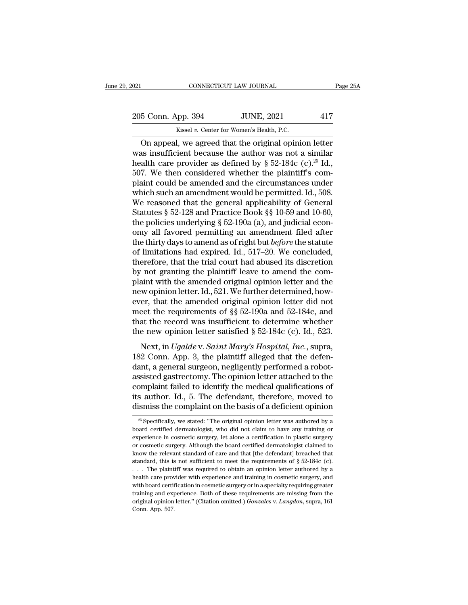021 CONNECTICUT LAW JOURNAL Page 25A<br>
205 Conn. App. 394 JUNE, 2021 417<br>
Kissel v. Center for Women's Health, P.C. CONNECTICUT LAW JOURNAL<br>
205 Conn. App. 394 JUNE, 2021 417<br>
Kissel *v.* Center for Women's Health, P.C.<br>
On appeal, we agreed that the original opinion letter

CONNECTICUT LAW JOURNAL Page 25A<br>
5 Conn. App. 394 JUNE, 2021 417<br>
Kissel v. Center for Women's Health, P.C.<br>
On appeal, we agreed that the original opinion letter<br>
as insufficient because the author was not a similar<br>
ra 205 Conn. App. 394 JUNE, 2021 417<br>
Kissel v. Center for Women's Health, P.C.<br>
On appeal, we agreed that the original opinion letter<br>
was insufficient because the author was not a similar<br>
health care provider as defined b 205 Conn. App. 394 JUNE, 2021 417<br>
Kissel v. Center for Women's Health, P.C.<br>
On appeal, we agreed that the original opinion letter<br>
was insufficient because the author was not a similar<br>
health care provider as defined b 205 Conn. App. 394 JUNE, 2021 417<br>
Kissel v. Center for Women's Health, P.C.<br>
On appeal, we agreed that the original opinion letter<br>
was insufficient because the author was not a similar<br>
health care provider as defined b Example 12 Exception 2021.<br>
Existed v. Center for Women's Health, P.C.<br>
On appeal, we agreed that the original opinion letter<br>
was insufficient because the author was not a similar<br>
health care provider as defined by § 52 Example 1 which such a simulation in the sum of the sum of the sum of the sum amendment because the author was not a similar health care provider as defined by  $\S$  52-184c (c).<sup>25</sup> Id., 507. We then considered whether the On appeal, we agreed that the original opinion letter<br>was insufficient because the author was not a similar<br>health care provider as defined by § 52-184c (c).<sup>25</sup> Id.,<br>507. We then considered whether the plaintiff's com-<br>p was insufficient because the author was not a similar<br>health care provider as defined by  $\S 52-184c$  (c).<sup>25</sup> Id.,<br>507. We then considered whether the plaintiff's com-<br>plaint could be amended and the circumstances under<br>w health care provider as defined by  $\S$  52-184c (c).<sup>25</sup> Id.,<br>507. We then considered whether the plaintiff's com-<br>plaint could be amended and the circumstances under<br>which such an amendment would be permitted. Id., 508.<br>W 507. We then considered whether the plaintiff's complaint could be amended and the circumstances under which such an amendment would be permitted. Id., 508. We reasoned that the general applicability of General Statutes plaint could be amended and the circumstances under<br>which such an amendment would be permitted. Id., 508.<br>We reasoned that the general applicability of General<br>Statutes § 52-128 and Practice Book §§ 10-59 and 10-60,<br>the po which such an amendment would be permitted. Id., 508.<br>We reasoned that the general applicability of General<br>Statutes § 52-128 and Practice Book §§ 10-59 and 10-60,<br>the policies underlying § 52-190a (a), and judicial econ-We reasoned that the general applicability of General<br>Statutes § 52-128 and Practice Book §§ 10-59 and 10-60,<br>the policies underlying § 52-190a (a), and judicial econ-<br>omy all favored permitting an amendment filed after<br>t Statutes § 52-128 and Practice Book §§ 10-59 and 10-60,<br>the policies underlying § 52-190a (a), and judicial econ-<br>omy all favored permitting an amendment filed after<br>the thirty days to amend as of right but *before* the s the policies underlying  $\S$  52-190a (a), and judicial econ-<br>omy all favored permitting an amendment filed after<br>the thirty days to amend as of right but *before* the statute<br>of limitations had expired. Id., 517–20. We con omy all favored permitting an amendment filed after<br>the thirty days to amend as of right but *before* the statute<br>of limitations had expired. Id., 517–20. We concluded,<br>therefore, that the trial court had abused its discr the thirty days to amend as of right but *before* the statute<br>of limitations had expired. Id., 517–20. We concluded,<br>therefore, that the trial court had abused its discretion<br>by not granting the plaintiff leave to amend t of limitations had expired. Id., 517–20. We concluded,<br>therefore, that the trial court had abused its discretion<br>by not granting the plaintiff leave to amend the com-<br>plaint with the amended original opinion letter and th therefore, that the trial court had abused its discretion<br>by not granting the plaintiff leave to amend the com-<br>plaint with the amended original opinion letter and the<br>new opinion letter. Id., 521. We further determined, by not granting the plaintiff leave to amend the complaint with the amended original opinion letter and the new opinion letter. Id., 521. We further determined, however, that the amended original opinion letter did not me and what the antended original opinion letter and the<br>wopinion letter. Id., 521. We further determined, how-<br>er, that the amended original opinion letter did not<br>eet the requirements of §§ 52-190a and 52-184c, and<br>at the r new opmortater. Tal, 021. We raracted accordinated, now<br>
ever, that the amended original opinion letter did not<br>
meet the requirements of §§ 52-190a and 52-184c, and<br>
that the record was insufficient to determine whether<br>

dentify the medical surface of  $\S$ § 52-190a and 52-184c, and<br>that the record was insufficient to determine whether<br>the new opinion letter satisfied § 52-184c (c). Id., 523.<br>Next, in *Ugalde* v. *Saint Mary's Hospital, Inc* that the record was insufficient to determine whether<br>the new opinion letter satisfied § 52-184c (c). Id., 523.<br>Next, in *Ugalde* v. *Saint Mary's Hospital*, *Inc.*, supra,<br>182 Conn. App. 3, the plaintiff alleged that the the new opinion letter satisfied  $\S$  52-184c (c). Id., 523.<br>Next, in *Ugalde* v. *Saint Mary's Hospital*, *Inc.*, supra, 182 Conn. App. 3, the plaintiff alleged that the defen-<br>dant, a general surgeon, negligently perform It is a mean of the Weylian Fetter statistica's 5.2 To te (c). Tal., 525.<br>
Next, in Ugalde v. Saint Mary's Hospital, Inc., supra,<br>
182 Conn. App. 3, the plaintiff alleged that the defen-<br>
dant, a general surgeon, negligent Next, in *Ugalde* v. *Saint Mary's Hospital, Inc.*, supra, 182 Conn. App. 3, the plaintiff alleged that the defendant, a general surgeon, negligently performed a robot-assisted gastrectomy. The opinion letter attached to assisted gastrectomy. The opinion letter attached to the complaint failed to identify the medical qualifications of its author. Id., 5. The defendant, therefore, moved to dismiss the complaint on the basis of a deficient complaint failed to identify the medical qualifications of<br>its author. Id., 5. The defendant, therefore, moved to<br>dismiss the complaint on the basis of a deficient opinion<br> $\frac{1}{25}$  Specifically, we stated: "The original

its author. Id., 5. The defendant, therefore, moved to dismiss the complaint on the basis of a deficient opinion  $\frac{1}{\sqrt{2}}$  Specifically, we stated: "The original opinion letter was authored by a board certified dermato dismiss the complaint on the basis of a deficient opinion  $\frac{1}{x^5}$  Specifically, we stated: "The original opinion letter was authored by a board certified dermatologist, who did not claim to have any training or experi <sup>25</sup> Specifically, we stated: "The original opinion letter was authored by a board certified dermatologist, who did not claim to have any training or experience in cosmetic surgery, let alone a certification in plastic su <sup>25</sup> Specifically, we stated: "The original opinion letter was authored by a board certified dermatologist, who did not claim to have any training or experience in cosmetic surgery, let alone a certification in plastic su board certified dermatologist, who did not claim to have any training or experience in cosmetic surgery, let alone a certification in plastic surgery or cosmetic surgery. Although the board certified dermatologist claimed experience in cosmetic surgery, let alone a certification in plastic surgery<br>or cosmetic surgery. Although the board certified dermatologist claimed to<br>know the relevant standard of care and that [the defendant] breached or cosmetic surgery. Although the board certified dermatologist claimed to know the relevant standard of care and that [the defendant] breached that standard, this is not sufficient to meet the requirements of  $\S$  52-184c show the relevant standard of care and that [the defendant] breached that standard, this is not sufficient to meet the requirements of  $\S$  52-184c (c).<br>
... The plaintiff was required to obtain an opinion letter authored standard, this is not sufficient to meet the requirements of  $\S$  52-184c (c).<br>
. . . The plaintiff was required to obtain an opinion letter authored by a<br>
health care provider with experience and training in cosmetic surg ... The plaintiff was required to obtain an opinion letter authored by a health care provider with experience and training in cosmetic surgery, and with board certification in cosmetic surgery or in a specialty requiring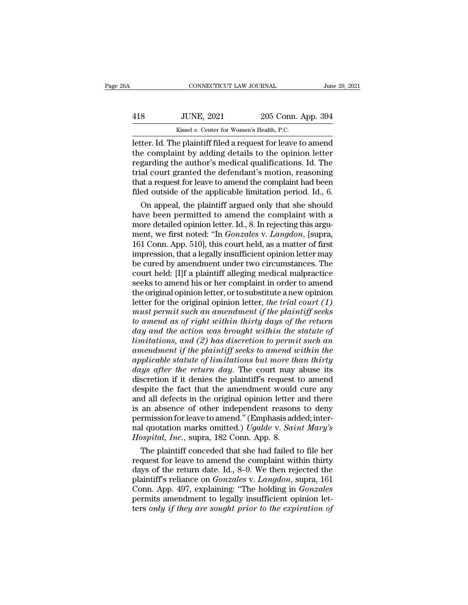|     | CONNECTICUT LAW JOURNAL                                      |                    | June 29, 2021 |
|-----|--------------------------------------------------------------|--------------------|---------------|
| 418 | <b>JUNE, 2021</b>                                            | 205 Conn. App. 394 |               |
|     | Kissel v. Center for Women's Health, P.C.                    |                    |               |
|     | letter. Id. The plaintiff filed a request for leave to amend |                    |               |

CONNECTICUT LAW JOURNAL June 29, 2021<br>
JUNE, 2021 205 Conn. App. 394<br>
Kissel v. Center for Women's Health, P.C.<br>
Letter. Id. The plaintiff filed a request for leave to amend<br>
the complaint by adding details to the opinion TUNE, 2021 205 Conn. App. 394<br>
118 JUNE, 2021 205 Conn. App. 394<br>
1205 Conn. App. 394<br>
1205 Conn. App. 394<br>
1205 Conn. App. 394<br>
1205 Conn. App. 394<br>
1205 Conn. App. 394<br>
1205 Conn. App. 394<br>
1205 Conn. App. 394<br>
1205 Conn Fig. 3021 205 Conn. App. 394<br>  $\frac{\text{Kissel }v. \text{ Center for Women's Health, P.C.}}{\text{letter. Id. The plaintiff filed a request for leave to amend}$ <br>
the complaint by adding details to the opinion letter<br>
regarding the author's medical qualifications. Id. The<br>
trial court granted the defendant's  $\frac{394}{18}$  JUNE, 2021 205 Conn. App. 394<br>  $\frac{1}{18}$  Kissel v. Center for Women's Health, P.C.<br>
Letter. Id. The plaintiff filed a request for leave to amend<br>
the complaint by adding details to the opinion letter<br>
regard Kissel v. Center for Women's Health, P.C.<br>
Letter. Id. The plaintiff filed a request for leave to amend<br>
the complaint by adding details to the opinion letter<br>
regarding the author's medical qualifications. Id. The<br>
trial Kissel v. Center for Women's Health, P.C.<br>letter. Id. The plaintiff filed a request for leave to amend<br>the complaint by adding details to the opinion letter<br>regarding the author's medical qualifications. Id. The<br>trial cour ter. Id. The plaintiff filed a request for leave to amend<br>e complaint by adding details to the opinion letter<br>garding the author's medical qualifications. Id. The<br>al court granted the defendant's motion, reasoning<br>at a req the complaint by adding details to the opinion letter<br>regarding the author's medical qualifications. Id. The<br>trial court granted the defendant's motion, reasoning<br>that a request for leave to amend the complaint had been<br>f

regarding the author's medical qualifications. Id. The<br>trial court granted the defendant's motion, reasoning<br>that a request for leave to amend the complaint had been<br>filed outside of the applicable limitation period. Id., trial court granted the defendant's motion, reasoning<br>that a request for leave to amend the complaint had been<br>filed outside of the applicable limitation period. Id., 6.<br>On appeal, the plaintiff argued only that she should that a request for leave to amend the complaint had been<br>filed outside of the applicable limitation period. Id., 6.<br>On appeal, the plaintiff argued only that she should<br>have been permitted to amend the complaint with a<br>mor filed outside of the applicable limitation period. Id., 6.<br>
On appeal, the plaintiff argued only that she should<br>
have been permitted to amend the complaint with a<br>
more detailed opinion letter. Id., 8. In rejecting this a On appeal, the plaintiff argued only that she should<br>have been permitted to amend the complaint with a<br>more detailed opinion letter. Id., 8. In rejecting this argu-<br>ment, we first noted: "In *Gonzales* v. *Langdon*, [supra have been permitted to amend the complaint with a<br>more detailed opinion letter. Id., 8. In rejecting this argu-<br>ment, we first noted: "In *Gonzales v. Langdon*, [supra,<br>161 Conn. App. 510], this court held, as a matter of more detailed opinion letter. Id., 8. In rejecting this argument, we first noted: "In *Gonzales v. Langdon*, [supra, 161 Conn. App. 510], this court held, as a matter of first impression, that a legally insufficient opinio ment, we first noted: "In *Gonzales v. Langdon*, [supra, 161 Conn. App. 510], this court held, as a matter of first impression, that a legally insufficient opinion letter may be cured by amendment under two circumstances. 161 Conn. App. 510], this court held, as a matter of first<br>impression, that a legally insufficient opinion letter may<br>be cured by amendment under two circumstances. The<br>court held: [I]f a plaintiff alleging medical malprac impression, that a legally insufficient opinion letter may<br>be cured by amendment under two circumstances. The<br>court held: [I]f a plaintiff alleging medical malpractice<br>seeks to amend his or her complaint in order to amend<br> be cured by amendment under two circumstances. The<br>court held: [I]f a plaintiff alleging medical malpractice<br>seeks to amend his or her complaint in order to amend<br>the original opinion letter, or to substitute a new opinion *court held:* [I]f a plaintiff alleging medical malpractice seeks to amend his or her complaint in order to amend the original opinion letter, or to substitute a new opinion letter for the original opinion letter, *the tri* seeks to amend his or her complaint in order to amend<br>the original opinion letter, or to substitute a new opinion<br>letter for the original opinion letter, *the trial court* (1)<br>must permit such an amendment if the plaintiff *definal opinion letter, or to substitute a new opinion*<br> *amend for the original opinion letter, the trial court (1)*<br> *must permit such an amendment if the plaintiff seeks*<br> *to amend as of right within thirty days of th* Letter for the original opinion letter, *the trial court (1)*<br> *must permit such an amendment if the plaintiff seeks*<br> *to amend as of right within thirty days of the return*<br> *day and the action was brought within the sta defining the plaintiff seeks*<br>to amend as of right within thirty days of the return<br>day and the action was brought within the statute of<br>limitations, and (2) has discretion to permit such an<br>amendment if the plaintiff see to amend as of right within thirty days of the return<br>day and the action was brought within the statute of<br>limitations, and (2) has discretion to permit such an<br>amendment if the plaintiff seeks to amend within the<br>applicab day and the action was brought within the statute of<br>limitations, and (2) has discretion to permit such an<br>amendment if the plaintiff seeks to amend within the<br>applicable statute of limitations but more than thirty<br>days af limitations, and  $(2)$  has discretion to permit such an amendment if the plaintiff seeks to amend within the applicable statute of limitations but more than thirty days after the return day. The court may abuse its discre amendment if the plaintiff seeks to amend within the<br>applicable statute of limitations but more than thirty<br>days after the return day. The court may abuse its<br>discretion if it denies the plaintiff's request to amend<br>despit applicable statute of limitations but more than thirty<br>days after the return day. The court may abuse its<br>discretion if it denies the plaintiff's request to amend<br>despite the fact that the amendment would cure any<br>and all days after the return day. The court may abuse its<br>discretion if it denies the plaintiff's request to amend<br>despite the fact that the amendment would cure any<br>and all defects in the original opinion letter and there<br>is an discretion if it denies the plaintiff's request if despite the fact that the amendment would and all defects in the original opinion letter is an absence of other independent reasons permission for leave to amend." (Emphas spite the fact that the amendment would cure any<br>d all defects in the original opinion letter and there<br>an absence of other independent reasons to deny<br>rmission for leave to amend." (Emphasis added; inter-<br>l quotation mar and all defects in the original opinion letter and there<br>is an absence of other independent reasons to deny<br>permission for leave to amend." (Emphasis added; inter-<br>nal quotation marks omitted.) Ugalde v. Saint Mary's<br>Hosp

is an absence of other independent reasons to deny<br>permission for leave to amend." (Emphasis added; inter-<br>nal quotation marks omitted.) Ugalde v. Saint Mary's<br>Hospital, Inc., supra, 182 Conn. App. 8.<br>The plaintiff conced permission for leave to amend." (Emphasis added; inter-<br>nal quotation marks omitted.) Ugalde v. Saint Mary's<br>Hospital, Inc., supra, 182 Conn. App. 8.<br>The plaintiff conceded that she had failed to file her<br>request for leave nal quotation marks omitted.) Ugalde v. Saint Mary's<br>Hospital, Inc., supra, 182 Conn. App. 8.<br>The plaintiff conceded that she had failed to file her<br>request for leave to amend the complaint within thirty<br>days of the return *Hospital, Inc.*, supra, 182 Conn. App. 8.<br>The plaintiff conceded that she had failed to file her request for leave to amend the complaint within thirty days of the return date. Id., 8–9. We then rejected the plaintiff's r The plaintiff conceded that she had failed to file her<br>request for leave to amend the complaint within thirty<br>days of the return date. Id., 8–9. We then rejected the<br>plaintiff's reliance on *Gonzales* v. *Langdon*, supra,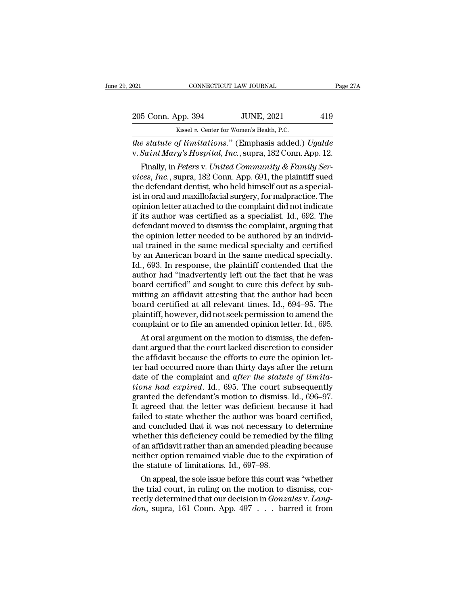| 2021               | CONNECTICUT LAW JOURNAL                                            | Page 27A |
|--------------------|--------------------------------------------------------------------|----------|
| 205 Conn. App. 394 | <b>JUNE, 2021</b>                                                  | 419      |
|                    | Kissel v. Center for Women's Health, P.C.                          |          |
|                    | <i>the statute of limitations</i> " (Emphasis added) <i>Haalde</i> |          |

<sup>021</sup> CONNECTICUT LAW JOURNAL Page 27A<br>
205 Conn. App. 394 JUNE, 2021 419<br>
<sup>Kissel v. Center for Women's Health, P.C.<br> *the statute of limitations.*'' (Emphasis added.) *Ugalde*<br>
v. *Saint Mary's Hospital, Inc.*, supra, 18</sup> 205 Conn. App. 394 JUNE, 2021 419<br>Kissel v. Center for Women's Health, P.C.<br>*The statute of limitations.*" (Emphasis added.) Ugalde<br>v. Saint Mary's Hospital, Inc., supra, 182 Conn. App. 12.<br>Finally, in Peters v. United Com

Form. App. 394 JUNE, 2021 419<br>
Kissel v. Center for Women's Health, P.C.<br> *e statute of limitations.*" (Emphasis added.) Ugalde<br>
Saint Mary's Hospital, Inc., supra, 182 Conn. App. 12.<br>
Finally, in Peters v. United Communit 205 Conn. App. 394 JUNE, 2021 419<br> *Kissel v. Center for Women's Health, P.C.*<br> *the statute of limitations.*" (Emphasis added.) Ugalde<br> *v. Saint Mary's Hospital, Inc.*, supra, 182 Conn. App. 12.<br>
Finally, in Peters v. Un Kissel v. Center for Women's Health, P.C.<br>
the statute of limitations." (Emphasis added.) Ugalde<br>
v. Saint Mary's Hospital, Inc., supra, 182 Conn. App. 12.<br>
Finally, in Peters v. United Community & Family Services, Inc., s *istimations.*" (Emphasis added.) Ugalde<br>
v. Saint Mary's Hospital, Inc., supra, 182 Conn. App. 12.<br>
Finally, in Peters v. United Community & Family Services, Inc., supra, 182 Conn. App. 691, the plaintiff sued<br>
the defend *une statute of trimitations.* (Empnasis added.) *Ugatae* v. *Saint Mary's Hospital, Inc.*, supra, 182 Conn. App. 12.<br>Finally, in *Peters v. United Community & Family Services, Inc.*, supra, 182 Conn. App. 691, the plaint v. Sauth mary s Hospital, Inc., supra, 182 Conn. App. 12.<br>
Finally, in Peters v. United Community & Family Services, Inc., supra, 182 Conn. App. 691, the plaintiff sued<br>
the defendant dentist, who held himself out as a sp Finally, in *Peters v. United Community & Family Services, Inc.*, supra, 182 Conn. App. 691, the plaintiff sued<br>the defendant dentist, who held himself out as a special-<br>ist in oral and maxillofacial surgery, for malpract *vices, Inc.*, supra, 182 Conn. App. 691, the plaintiff sued<br>the defendant dentist, who held himself out as a special-<br>ist in oral and maxillofacial surgery, for malpractice. The<br>opinion letter attached to the complaint di the defendant dentist, who held himself out as a specialist in oral and maxillofacial surgery, for malpractice. The opinion letter attached to the complaint did not indicate if its author was certified as a specialist. Id. ist in oral and maxillofacial surgery, for malpractice. The<br>opinion letter attached to the complaint did not indicate<br>if its author was certified as a specialist. Id., 692. The<br>defendant moved to dismiss the complaint, arg opinion letter attached to the complaint did not indicate<br>if its author was certified as a specialist. Id., 692. The<br>defendant moved to dismiss the complaint, arguing that<br>the opinion letter needed to be authored by an ind if its author was certified as a specialist. Id., 692. The<br>defendant moved to dismiss the complaint, arguing that<br>the opinion letter needed to be authored by an individ-<br>ual trained in the same medical specialty and certif defendant moved to dismiss the complaint, arguing that<br>the opinion letter needed to be authored by an individ-<br>ual trained in the same medical specialty and certified<br>by an American board in the same medical specialty.<br>Id. the opinion letter needed to be authored by an individual trained in the same medical specialty and certified<br>by an American board in the same medical specialty.<br>Id., 693. In response, the plaintiff contended that the<br>auth ual trained in the same medical specialty and certified<br>by an American board in the same medical specialty.<br>Id., 693. In response, the plaintiff contended that the<br>author had "inadvertently left out the fact that he was<br>bo by an American board in the same medical specialty.<br>Id., 693. In response, the plaintiff contended that the<br>author had "inadvertently left out the fact that he was<br>board certified" and sought to cure this defect by sub-<br>mi Id., 693. In response, the plaintiff contended that the author had "inadvertently left out the fact that he was board certified" and sought to cure this defect by submitting an affidavit attesting that the author had been the maximum argument out the fact that he was<br>aard certified" and sought to cure this defect by sub-<br>itting an affidavit attesting that the author had been<br>bard certified at all relevant times. Id., 694–95. The<br>aintiff, ho board certified and sought to cure this defect by sub-<br>mitting an affidavit attesting that the author had been<br>board certified at all relevant times. Id., 694–95. The<br>plaintiff, however, did not seek permission to amend th

mitting an amdavit attesting that the attinor had been<br>board certified at all relevant times. Id., 694–95. The<br>plaintiff, however, did not seek permission to amend the<br>complaint or to file an amended opinion letter. Id., 6 board certified at all relevant times. Id., 694–95. The<br>plaintiff, however, did not seek permission to amend the<br>complaint or to file an amended opinion letter. Id., 695.<br>At oral argument on the motion to dismiss, the def plantiff, however, did not seek permission to amend the<br>complaint or to file an amended opinion letter. Id., 695.<br>At oral argument on the motion to dismiss, the defen-<br>dant argued that the court lacked discretion to consid *the complaint or to the an amended opmion letter. Id., 695.*<br>*At oral argument on the motion to dismiss, the defendant argued that the court lacked discretion to consider the affidavit because the efforts to cure the opin* At oral argument on the motion to dismiss, the defendant argued that the court lacked discretion to consider<br>the affidavit because the efforts to cure the opinion let-<br>ter had occurred more than thirty days after the retur dant argued that the court lacked discretion to consider<br>the affidavit because the efforts to cure the opinion let-<br>ter had occurred more than thirty days after the return<br>date of the complaint and *after the statute of li* the affidavit because the efforts to cure the opinion let-<br>ter had occurred more than thirty days after the return<br>date of the complaint and *after the statute of limita-*<br>tions had expired. Id., 695. The court subsequentl ter had occurred more than thirty days after the return<br>date of the complaint and *after the statute of limita-<br>tions had expired*. Id., 695. The court subsequently<br>granted the defendant's motion to dismiss. Id., 696–97.<br>I date of the complaint and *after the statute of limita-<br>tions had expired*. Id., 695. The court subsequently<br>granted the defendant's motion to dismiss. Id., 696–97.<br>It agreed that the letter was deficient because it had<br>fa tions had expired. Id., 695. The court subsequently<br>granted the defendant's motion to dismiss. Id., 696–97.<br>It agreed that the letter was deficient because it had<br>failed to state whether the author was board certified,<br>an granted the defendant's motion to dismiss. Id., 696–97.<br>It agreed that the letter was deficient because it had<br>failed to state whether the author was board certified,<br>and concluded that it was not necessary to determine<br>wh It agreed that the letter was deficient becaused failed to state whether the author was boa and concluded that it was not necessary to whether this deficiency could be remedied of an affidavit rather than an amended plead ded to state whether the author was board certified,<br>d concluded that it was not necessary to determine<br>nether this deficiency could be remedied by the filing<br>an affidavit rather than an amended pleading because<br>ither opti and concluded that it was not necessary to determine<br>whether this deficiency could be remedied by the filing<br>of an affidavit rather than an amended pleading because<br>neither option remained viable due to the expiration of<br>

whether this deficiency could be remedied by the filing<br>of an affidavit rather than an amended pleading because<br>neither option remained viable due to the expiration of<br>the statute of limitations. Id., 697–98.<br>On appeal, th or an amdavit rather than an amended pleading because<br>neither option remained viable due to the expiration of<br>the statute of limitations. Id., 697–98.<br>On appeal, the sole issue before this court was "whether<br>the trial cour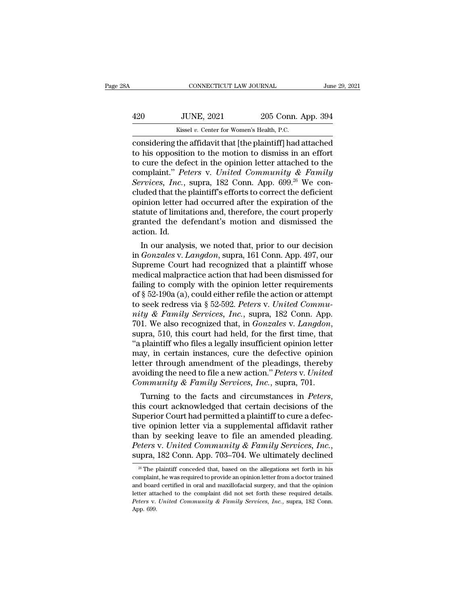|     | CONNECTICUT LAW JOURNAL                                    |                    | June 29, 2021 |
|-----|------------------------------------------------------------|--------------------|---------------|
| 420 | <b>JUNE, 2021</b>                                          | 205 Conn. App. 394 |               |
|     | Kissel v. Center for Women's Health, P.C.                  |                    |               |
|     | considering the affidavit that lthe plaintiff had attached |                    |               |

CONNECTICUT LAW JOURNAL June 29, 2021<br>
420 JUNE, 2021 205 Conn. App. 394<br>
Kissel v. Center for Women's Health, P.C.<br>
considering the affidavit that [the plaintiff] had attached<br>
to his opposition to the motion to dismiss i 120 JUNE, 2021 205 Conn. App. 394<br>
120 Kissel v. Center for Women's Health, P.C.<br>
1205 Conn. App. 394<br>
1205 Conn. App. 394<br>
1205 Conn. App. 394<br>
1205 Conn. App. 394<br>
1205 Conn. App. 394<br>
1205 Conn. App. 394<br>
1205 Connelist 420 JUNE, 2021 205 Conn. App. 394<br>
Kissel v. Center for Women's Health, P.C.<br>
considering the affidavit that [the plaintiff] had attached<br>
to his opposition to the motion to dismiss in an effort<br>
to cure the defect in the 420 JUNE, 2021 205 Conn. App. 394<br>
<sup>Kissel v. Center for Women's Health, P.C.<br>
considering the affidavit that [the plaintiff] had attached<br>
to his opposition to the motion to dismiss in an effort<br>
to cure the defect in the</sup> *Services, 2021 Services, 2021*<br> *Kissel v. Center for Women's Health, P.C.*<br> **Considering the affidavit that [the plaintiff] had attached**<br> **to his opposition to the motion to dismiss in an effort**<br> **to cure the defect** Example 18 Examples 16. Center for Women's Health, P.C.<br>
considering the affidavit that [the plaintiff] had attached<br>
to his opposition to the motion to dismiss in an effort<br>
to cure the defect in the opinion letter attac considering the affidavit that [the plaintiff] had attached<br>to his opposition to the motion to dismiss in an effort<br>to cure the defect in the opinion letter attached to the<br>complaint." *Peters* v. *United Community & Fami* to his opposition to the motion to dismiss in an effort<br>to cure the defect in the opinion letter attached to the<br>complaint." Peters v. United Community & Family<br>Services, Inc., supra, 182 Conn. App. 699.<sup>26</sup> We con-<br>clude to cure the defect in the opinion letter attached to the complaint." *Peters* v. *United Community & Family Services, Inc.*, supra, 182 Conn. App. 699.<sup>26</sup> We concluded that the plaintiff's efforts to correct the deficien complaint." Pe.<br>Services, Inc.,<br>cluded that the<br>opinion letter h<br>statute of limita<br>granted the de<br>action. Id.<br>In our analys rvices, *Inc.*, supra, 182 Conn. App. 699.<sup>23</sup> we con-<br>ided that the plaintiff's efforts to correct the deficient<br>inion letter had occurred after the expiration of the<br>atute of limitations and, therefore, the court properl cituded that the plaintiff s enorts to correct the deficient<br>opinion letter had occurred after the expiration of the<br>statute of limitations and, therefore, the court properly<br>granted the defendant's motion and dismissed th

opmon letter nad occurred after the expiration of the<br>statute of limitations and, therefore, the court properly<br>granted the defendant's motion and dismissed the<br>action. Id.<br>In our analysis, we noted that, prior to our deci statute of imitations and, therefore, the court properly<br>granted the defendant's motion and dismissed the<br>action. Id.<br>In our analysis, we noted that, prior to our decision<br>in *Gonzales* v. *Langdon*, supra, 161 Conn. App. granted the detendant s motion and dismissed the<br>action. Id.<br>In our analysis, we noted that, prior to our decision<br>in *Gonzales* v. *Langdon*, supra, 161 Conn. App. 497, our<br>Supreme Court had recognized that a plaintiff w action. Id.<br>
In our analysis, we noted that, prior to our decision<br>
in *Gonzales v. Langdon*, supra, 161 Conn. App. 497, our<br>
Supreme Court had recognized that a plaintiff whose<br>
medical malpractice action that had been d In our analysis, we noted that, prior to our decision<br>in *Gonzales* v. *Langdon*, supra, 161 Conn. App. 497, our<br>Supreme Court had recognized that a plaintiff whose<br>medical malpractice action that had been dismissed for<br>fa in *Gonzales* v. *Langdon*, supra, 161 Conn. App. 497, our<br>
Supreme Court had recognized that a plaintiff whose<br>
medical malpractice action that had been dismissed for<br>
failing to comply with the opinion letter requirement Supreme Court had recognized that a plaintiff whose<br>medical malpractice action that had been dismissed for<br>failing to comply with the opinion letter requirements<br>of § 52-190a (a), could either refile the action or attempt<br> failing to comply with the opinion letter requirements<br>
of § 52-190a (a), could either refile the action or attempt<br>
to seek redress via § 52-592. Peters v. United Commu-<br>
nity & Family Services, Inc., supra, 182 Conn. Ap of § 52-190a (a), could either refile the action or attempt<br>to seek redress via § 52-592. Peters v. United Commu-<br>nity & Family Services, Inc., supra, 182 Conn. App.<br>701. We also recognized that, in *Gonzales* v. Langdon, to seek redress via § 52-592. Peters v. United Community & Family Services, Inc., supra, 182 Conn. App.<br>701. We also recognized that, in *Gonzales v. Langdon*, supra, 510, this court had held, for the first time, that "a mity & Family Services, Inc., supra, 182 Conn. App.<br>701. We also recognized that, in *Gonzales v. Langdon*,<br>supra, 510, this court had held, for the first time, that<br>"a plaintiff who files a legally insufficient opinion le 701. We also recognized that, in *Gonzales* v. *Langdon*, supra, 510, this court had held, for the first time, that "a plaintiff who files a legally insufficient opinion letter may, in certain instances, cure the defective supra, 510, this court had held, for the first time, that<br>"a plaintiff who files a legally insufficient opinion letter<br>may, in certain instances, cure the defective opinion<br>letter through amendment of the pleadings, thereb

may, in certain instances, cure the defective opinion<br>letter through amendment of the pleadings, thereby<br>avoiding the need to file a new action." Peters v. United<br>Community & Family Services, Inc., supra, 701.<br>Turning to t tetter through amendment of the pleadings, thereby<br>avoiding the need to file a new action." Peters v. United<br>Community & Family Services, Inc., supra, 701.<br>Turning to the facts and circumstances in Peters,<br>this court ackn avolaing the need to file a new action." *Peters v. United*<br>Community & Family Services, Inc., supra, 701.<br>Turning to the facts and circumstances in Peters,<br>this court acknowledged that certain decisions of the<br>Superior Co *Community & Family Services, Inc.*, supra, 701.<br>
Turning to the facts and circumstances in *Peters*,<br>
this court acknowledged that certain decisions of the<br>
Superior Court had permitted a plaintiff to cure a defec-<br>
tive we opinion letter via a supplemental affidavit rather<br>nan by seeking leave to file an amended pleading.<br>*eters* v. *United Community & Family Services*, *Inc.*,<br>pra, 182 Conn. App. 703–704. We ultimately declined<br><sup>26</sup> The than by seeking leave to file an amended pleading.<br> *Peters v. United Community & Family Services, Inc.*, supra, 182 Conn. App. 703–704. We ultimately declined<br>
<sup>26</sup> The plaintiff conceded that, based on the allegations s

Peters v. United Community & Family Services, Inc.,<br>supra, 182 Conn. App. 703–704. We ultimately declined<br> $\frac{26}{100}$  The plaintiff conceded that, based on the allegations set forth in his<br>complaint, he was required to p supra, 182 Conn. App. 703–704. We ultimately declined  $\frac{1}{26}$  The plaintiff conceded that, based on the allegations set forth in his complaint, he was required to provide an opinion letter from a doctor trained and boa **PETER 182 CONT. App. 703–704. We ultimately declined**<br><sup>26</sup> The plaintiff conceded that, based on the allegations set forth in his complaint, he was required to provide an opinion letter from a doctor trained and board cer  $\frac{26}{\text{m}}$  The property complain<br>and boardetter attack<br>detter attack<br>Peters v.<br>App. 699.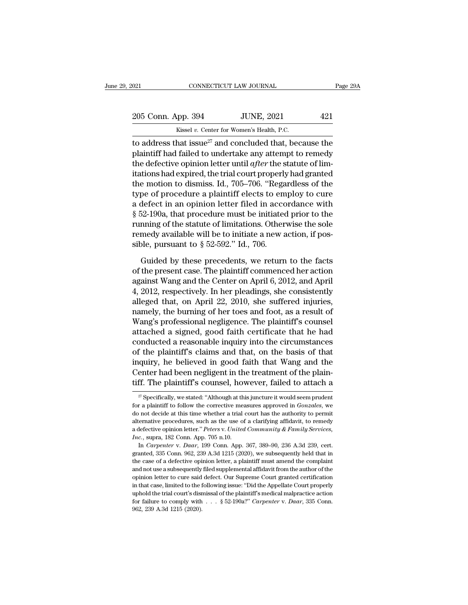$\frac{1}{2021}$  CONNECTICUT LAW JOURNAL<br>  $\frac{205 \text{ Conn. App. 394}}{\text{Kissel } v. \text{ Center for Women's Health, P.C.}}$ <br>
to address that issue<sup>27</sup> and concluded that, because the to address that issue<sup>27</sup> and concluded that, because the plaintiff had failed to undertake any attempt to remedy the defective opinion letter until after the etative of limits. 205 Conn. App. 394 JUNE, 2021 421<br>
Kissel v. Center for Women's Health, P.C.<br>
to address that issue<sup>27</sup> and concluded that, because the<br>
plaintiff had failed to undertake any attempt to remedy<br>
the defective opinion lette 205 Conn. App. 394 JUNE, 2021 421<br>
Kissel v. Center for Women's Health, P.C.<br>
to address that issue<sup>27</sup> and concluded that, because the<br>
plaintiff had failed to undertake any attempt to remedy<br>
the defective opinion letter 205 Conn. App. 394 JUNE, 2021 421<br>
Kissel v. Center for Women's Health, P.C.<br>
to address that issue<sup>27</sup> and concluded that, because the<br>
plaintiff had failed to undertake any attempt to remedy<br>
the defective opinion lette Example 12 Except Women's Health, P.C.<br>
to address that issue<sup>27</sup> and concluded that, because the<br>
plaintiff had failed to undertake any attempt to remedy<br>
the defective opinion letter until *after* the statute of limitat Alsser *v.* Celler for women's health, P.C.<br>to address that issue<sup>27</sup> and concluded that, because the<br>plaintiff had failed to undertake any attempt to remedy<br>the defective opinion letter until *after* the statute of lim-<br> to address that issue<sup>27</sup> and concluded that, because the plaintiff had failed to undertake any attempt to remedy the defective opinion letter until *after* the statute of limitations had expired, the trial court properly plaintiff had failed to undertake any attempt to remedy<br>the defective opinion letter until *after* the statute of lim-<br>itations had expired, the trial court properly had granted<br>the motion to dismiss. Id., 705–706. "Regar the defective opinion letter until *after* the statute of limitations had expired, the trial court properly had granted<br>the motion to dismiss. Id., 705–706. "Regardless of the<br>type of procedure a plaintiff elects to emplo itations had expired, the trial court properly had granted<br>the motion to dismiss. Id., 705–706. "Regardless of the<br>type of procedure a plaintiff elects to employ to cure<br>a defect in an opinion letter filed in accordance w the motion to dismiss. Id., 705–706. "Regatype of procedure a plaintiff elects to em<br>a defect in an opinion letter filed in acco<br>§ 52-190a, that procedure must be initiated<br>running of the statute of limitations. Other<br>rem defect in an opinion letter filed in accordance with<br>52-190a, that procedure must be initiated prior to the<br>nning of the statute of limitations. Otherwise the sole<br>medy available will be to initiate a new action, if pos-<br>  $\S$  52-190a, that procedure must be initiated prior to the<br>running of the statute of limitations. Otherwise the sole<br>remedy available will be to initiate a new action, if pos-<br>sible, pursuant to  $\S$  52-592." Id., 706.<br>Gui

running of the statute of limitations. Otherwise the sole<br>remedy available will be to initiate a new action, if pos-<br>sible, pursuant to  $\S$  52-592." Id., 706.<br>Guided by these precedents, we return to the facts<br>of the pres remedy available will be to initiate a new action, if possible, pursuant to  $\S 52-592$ ." Id., 706.<br>Guided by these precedents, we return to the facts<br>of the present case. The plaintiff commenced her action<br>against Wang an sible, pursuant to § 52-592." Id., 706.<br>
Guided by these precedents, we return to the facts<br>
of the present case. The plaintiff commenced her action<br>
against Wang and the Center on April 6, 2012, and April<br>
4, 2012, respe Guided by these precedents, we return to the facts<br>of the present case. The plaintiff commenced her action<br>against Wang and the Center on April 6, 2012, and April<br>4, 2012, respectively. In her pleadings, she consistently<br>a Guided by these precedents, we return to the facts<br>of the present case. The plaintiff commenced her action<br>against Wang and the Center on April 6, 2012, and April<br>4, 2012, respectively. In her pleadings, she consistently<br>a of the present case. The plaintiff commenced her action<br>against Wang and the Center on April 6, 2012, and April<br>4, 2012, respectively. In her pleadings, she consistently<br>alleged that, on April 22, 2010, she suffered injuri against Wang and the Center on April 6, 2012, and April<br>4, 2012, respectively. In her pleadings, she consistently<br>alleged that, on April 22, 2010, she suffered injuries,<br>namely, the burning of her toes and foot, as a resul 4, 2012, respectively. In her pleadings, she consistently<br>alleged that, on April 22, 2010, she suffered injuries,<br>namely, the burning of her toes and foot, as a result of<br>Wang's professional negligence. The plaintiff's cou alleged that, on April 22, 2010, she suffered injuries,<br>namely, the burning of her toes and foot, as a result of<br>Wang's professional negligence. The plaintiff's counsel<br>attached a signed, good faith certificate that he had namely, the burning of her toes and foot, as a result of Wang's professional negligence. The plaintiff's counsel<br>attached a signed, good faith certificate that he had<br>conducted a reasonable inquiry into the circumstances<br>o Wang's professional negligence. The plaintiff's counsel<br>attached a signed, good faith certificate that he had<br>conducted a reasonable inquiry into the circumstances<br>of the plaintiff's claims and that, on the basis of that<br> of the plaintiff's claims and that, on the basis of that<br>inquiry, he believed in good faith that Wang and the<br>Center had been negligent in the treatment of the plain-<br>tiff. The plaintiff's counsel, however, failed to atta inquiry, he believed in good faith that Wang and the Center had been negligent in the treatment of the plaintiff. The plaintiff's counsel, however, failed to attach a  $\frac{27}{7}$  Specifically, we stated: "Although at this j

Center had been negligent in the treatment of the plain-<br>tiff. The plaintiff's counsel, however, failed to attach a<br> $\frac{1}{\sqrt{2}}$  Specifically, we stated: "Although at this juncture it would seem prudent<br>for a plaintiff to **Let the main in the plaintiff's counsel, however, failed to attach a**<br>
<sup>27</sup> Specifically, we stated: "Although at this juncture it would seem prudent<br>
for a plaintiff to follow the corrective measures approved in *Gonzal* <sup>27</sup> Specifically, we stated: "Although at this juncture it would seem prudent for a plaintiff to follow the corrective measures approved in *Gonzales*, we do not decide at this time whether a trial court has the authority <sup>27</sup> Specifically, we stated: "Although at the for a plaintiff to follow the corrective meado not decide at this time whether a trial determative procedures, such as the use of a defective opinion letter." *Peters v. Unit* r a plaintiff to follow the corrective measures approved in *Gonzales*, we not decide at this time whether a trial court has the authority to permit ernative procedures, such as the use of a clarifying affidavit, to remedy do not decide at this time whether a trial court has the authority to permit alternative procedures, such as the use of a clarifying affidavit, to remedy a defective opinion letter." *Peters v. United Community & Family Se* 

alternative procedures, such as the use of a clarifying affidavit, to remedy<br>a defective opinion letter." Peters v. United Community & Family Services,<br>Inc., supra, 182 Conn. App. 705 n.10.<br>In Carpenter v. Daar, 199 Conn. and defective opinion letter." *Peters v. United Community & Family Services*, *Inc.*, supra, 182 Conn. App. 705 n.10.<br>In *Carpenter v. Daar*, 199 Conn. App. 367, 389–90, 236 A.3d 239, cert. granted, 335 Conn. 962, 239 A.3 *Inc.*, supra, 182 Conn. App. 705 n.10.<br>Inc., supra, 182 Conn. App. 705 n.10.<br>In Carpenter v. Daar, 199 Conn. App. 367, 389–90, 236 A.3d 239, cert.<br>granted, 335 Conn. 962, 239 A.3d 1215 (2020), we subsequently held that in in Carpenter v. Daar, 199 Conn. App. 367, 389–90, 236 A.3d 239, cert.<br>granted, 335 Conn. 962, 239 A.3d 1215 (2020), we subsequently held that in<br>the case of a defective opinion letter, a plaintiff must amend the complaint<br> granted, 335 Conn. 962, 239 A.3d 1215 (2020), we subsequently held that in the case of a defective opinion letter, a plaintiff must amend the complaint and not use a subsequently filed supplemental affidavit from the auth granted, 335 Conn. 962, 239 A.3d 1215 (2020), we subsequently held that in the case of a defective opinion letter, a plaintiff must amend the complaint and not use a subsequently filed supplemental affidavit from the auth and not use a subsequently filed supplemental affidavit from the author of the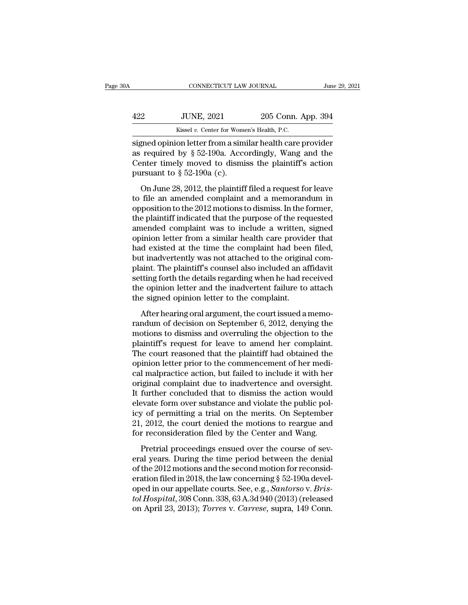|     | CONNECTICUT LAW JOURNAL                                   |                    | June 29, 2021 |
|-----|-----------------------------------------------------------|--------------------|---------------|
| 422 | <b>JUNE, 2021</b>                                         | 205 Conn. App. 394 |               |
|     | Kissel v. Center for Women's Health, P.C.                 |                    |               |
|     | signed opinion letter from a similar health care provider |                    |               |

CONNECTICUT LAW JOURNAL June 29, 2021<br>
Signed Opinion letter from a similar health care provider<br>
signed opinion letter from a similar health care provider<br>
as required by § 52-190a. Accordingly, Wang and the<br>
Contex timel 422 JUNE, 2021 205 Conn. App. 394<br>Kissel v. Center for Women's Health, P.C.<br>signed opinion letter from a similar health care provider<br>as required by § 52-190a. Accordingly, Wang and the<br>Center timely moved to dismiss the p 422 JUNE, 2021 205 Conn. App. 394<br>Kissel v. Center for Women's Health, P.C.<br>signed opinion letter from a similar health care provider<br>as required by § 52-190a. Accordingly, Wang and the<br>Center timely moved to dismiss the signed opinion letter from a similar health care provider<br>as required by  $\S$  52-190a. Accordingly, Wang and the<br>Center timely moved to dismiss the plaintiff's action<br>pursuant to  $\S$  52-190a (c).<br>On June 28, 2012, the plai Kissel v. Center for Women's Health, P.C.<br>
gned opinion letter from a similar health care provider<br>
required by § 52-190a. Accordingly, Wang and the<br>
enter timely moved to dismiss the plaintiff's action<br>
resuant to § 52-1 signed opinion letter from a similar health care provider<br>as required by  $\S 52-190a$ . Accordingly, Wang and the<br>Center timely moved to dismiss the plaintiff's action<br>pursuant to  $\S 52-190a$  (c).<br>On June 28, 2012, the plai

as required by § 52-190a. Accordingly, Wang and the<br>Center timely moved to dismiss the plaintiff's action<br>pursuant to § 52-190a (c).<br>On June 28, 2012, the plaintiff filed a request for leave<br>to file an amended complaint a the plaintiff indicated that the purpose of the request for leave<br>to file an amended complaint if filed a request for leave<br>to file an amended complaint and a memorandum in<br>opposition to the 2012 motions to dismiss. In th between the state of distribution of the planner of  $\S$  52-190a (c).<br>On June 28, 2012, the plaintiff filed a request for leave<br>to file an amended complaint and a memorandum in<br>opposition to the 2012 motions to dismiss. In on June 28, 2012, the plaintiff filed a request for leave<br>to file an amended complaint and a memorandum in<br>opposition to the 2012 motions to dismiss. In the former,<br>the plaintiff indicated that the purpose of the requeste On June 28, 2012, the plaintiff filed a request for leave<br>to file an amended complaint and a memorandum in<br>opposition to the 2012 motions to dismiss. In the former,<br>the plaintiff indicated that the purpose of the requested to file an amended complaint and a memorandum in<br>opposition to the 2012 motions to dismiss. In the former,<br>the plaintiff indicated that the purpose of the requested<br>amended complaint was to include a written, signed<br>opinio opposition to the 2012 motions to dismiss. In the former,<br>the plaintiff indicated that the purpose of the requested<br>amended complaint was to include a written, signed<br>opinion letter from a similar health care provider that the plaintiff indicated that the purpose of the requested<br>amended complaint was to include a written, signed<br>opinion letter from a similar health care provider that<br>had existed at the time the complaint had been filed,<br>but amended complaint was to include a written, signed<br>opinion letter from a similar health care provider that<br>had existed at the time the complaint had been filed,<br>but inadvertently was not attached to the original com-<br>plain opinion letter from a similar health care provid<br>had existed at the time the complaint had been<br>but inadvertently was not attached to the origina<br>plaint. The plaintiff's counsel also included an at<br>setting forth the detail After hearing oral argument, the completed an affidavity thin and section in the details regarding when he had received e-opinion letter and the inadvertent failure to attache signed opinion letter to the complaint.<br>After randum of decision on September 6, 2012, denying the motions to discussed an activate opinion letter and the inadvertent failure to attach<br>the opinion letter and the inadvertent failure to attach<br>the signed opinion letter

plants. The plants of solution and the indiverse and the details regarding when he had received<br>the opinion letter and the inadvertent failure to attach<br>the signed opinion letter to the complaint.<br>After hearing oral argume plantiff or an alternative to attach the opinion letter and the inadvertent failure to attach the signed opinion letter to the complaint.<br>After hearing oral argument, the court issued a memorandum of decision on September The signed opinion letter to the complaint.<br>
After hearing oral argument, the court issued a memo-<br>
randum of decision on September 6, 2012, denying the<br>
motions to dismiss and overruling the objection to the<br>
plaintiff's After hearing oral argument, the court issued a memo-<br>randum of decision on September 6, 2012, denying the<br>motions to dismiss and overruling the objection to the<br>plaintiff's request for leave to amend her complaint.<br>The co After hearing oral argument, the court issued a memo-<br>randum of decision on September 6, 2012, denying the<br>motions to dismiss and overruling the objection to the<br>plaintiff's request for leave to amend her complaint.<br>The co randum of decision on September 6, 2012, denying the<br>motions to dismiss and overruling the objection to the<br>plaintiff's request for leave to amend her complaint.<br>The court reasoned that the plaintiff had obtained the<br>opini motions to dismiss and overruling the objection to the plaintiff's request for leave to amend her complaint.<br>The court reasoned that the plaintiff had obtained the opinion letter prior to the commencement of her medical ma plaintiff's request for leave to amend her complaint.<br>The court reasoned that the plaintiff had obtained the<br>opinion letter prior to the commencement of her medi-<br>cal malpractice action, but failed to include it with her<br>o The court reasoned that the plaintiff had obtained the<br>opinion letter prior to the commencement of her medi-<br>cal malpractice action, but failed to include it with her<br>original complaint due to inadvertence and oversight.<br>I opinion letter prior to the commencement of her medical malpractice action, but failed to include it with her original complaint due to inadvertence and oversight.<br>It further concluded that to dismiss the action would elev cal malpractice action, but failed to include it with her original complaint due to inadvertence and oversight.<br>It further concluded that to dismiss the action would elevate form over substance and violate the public polic retrial proceedings ensued over the course of sev-<br>prediction would evaluate form over substance and violate the public pol-<br>y of permitting a trial on the merits. On September<br>, 2012, the court denied the motions to rearg elevate form over substance and violate the public pol-<br>icy of permitting a trial on the merits. On September<br>21, 2012, the court denied the motions to reargue and<br>for reconsideration filed by the Center and Wang.<br>Pretria

icy of permitting a trial on the merits. On September<br>21, 2012, the court denied the motions to reargue and<br>for reconsideration filed by the Center and Wang.<br>Pretrial proceedings ensued over the course of sev-<br>eral years. 21, 2012, the court denied the motions to reargue and<br>for reconsideration filed by the Center and Wang.<br>Pretrial proceedings ensued over the course of sev-<br>eral years. During the time period between the denial<br>of the 2012 open. The court defined the motions to related the for reconsideration filed by the Center and Wang.<br>
Pretrial proceedings ensued over the course of several years. During the time period between the denial<br>
of the 2012 mot Fretrial proceedings ensued over the course of several years. During the time period between the denial of the 2012 motions and the second motion for reconsideration filed in 2018, the law concerning § 52-190a developed in Pretrial proceedings ensued over the course of several years. During the time period between the denial of the 2012 motions and the second motion for reconsideration filed in 2018, the law concerning § 52-190a developed in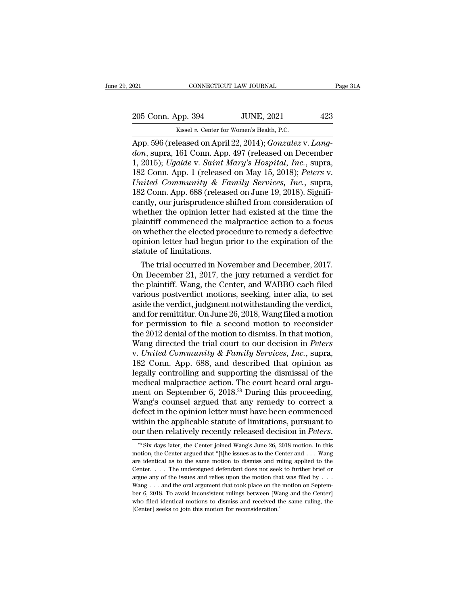Fig. 2021 CONNECTICUT LAW JOURNAL<br>205 Conn. App. 394 JUNE, 2021 423<br>Kissel v. Center for Women's Health, P.C.<br>App. 596 (released on April 22, 2014); *Gonzalez* v. *Lang* CONNECTICUT LAW JOURNAL<br>
205 Conn. App. 394 JUNE, 2021 423<br>
Kissel v. Center for Women's Health, P.C.<br>
App. 596 (released on April 22, 2014); *Gonzalez* v. *Lang-<br>
don*, supra, 161 Conn. App. 497 (released on December<br>
1 2 205 Conn. App. 394 JUNE, 2021 423<br> *Kissel v. Center for Women's Health, P.C.*<br>
App. 596 (released on April 22, 2014); *Gonzalez* v. *Lang-<br>
don*, supra, 161 Conn. App. 497 (released on December<br>
1, 2015); *Ugalde* v. *Sai* 205 Conn. App. 394 JUNE, 2021 423<br>
Kissel v. Center for Women's Health, P.C.<br>
App. 596 (released on April 22, 2014); *Gonzalez* v. *Lang-<br>
don*, supra, 161 Conn. App. 497 (released on December<br>
1, 2015); *Ugalde* v. *Saint* 205 Conn. App. 394 JUNE, 2021 423<br>
Kissel v. Center for Women's Health, P.C.<br>
App. 596 (released on April 22, 2014); *Gonzalez* v. *Lang-<br>
don*, supra, 161 Conn. App. 497 (released on December<br>
1, 2015); *Ugalde* v. *Saint United Community & Family Services, Inc.*, supraently our initially Community Community Community Services, Inc., supra, 182 Community & Family Services, Inc., supra, 182 Community & Family Services, Inc., supra, 182 Comm Example 182 Excel v. Center for Women's Health, P.C.<br>
App. 596 (released on April 22, 2014); *Gonzalez v. Lang-*<br> *don*, supra, 161 Conn. App. 497 (released on December<br>
1, 2015); *Ugalde v. Saint Mary's Hospital, Inc.*, App. 596 (released on April 22, 2014); *Gonzalez* v. *Lang-<br>don*, supra, 161 Conn. App. 497 (released on December<br>1, 2015); *Ugalde* v. *Saint Mary's Hospital, Inc.*, supra,<br>182 Conn. App. 1 (released on May 15, 2018); *Pe* don, supra, 161 Conn. App. 497 (released on December 1, 2015); Ugalde v. Saint Mary's Hospital, Inc., supra, 182 Conn. App. 1 (released on May 15, 2018); Peters v. United Community & Family Services, Inc., supra, 182 Conn. 1, 2015); Ugalde v. Saint Mary's Hospital, Inc., supra,<br>182 Conn. App. 1 (released on May 15, 2018); Peters v.<br>United Community & Family Services, Inc., supra,<br>182 Conn. App. 688 (released on June 19, 2018). Significantly 182 Conn. App. 1 (released on May 15, 2018); *Peters v.*<br>
United Community & Family Services, Inc., supra,<br>
182 Conn. App. 688 (released on June 19, 2018). Significantly, our jurisprudence shifted from consideration of<br>
w United Community & Family Services, Inc., supra,<br>182 Conn. App. 688 (released on June 19, 2018). Significantly, our jurisprudence shifted from consideration of<br>whether the opinion letter had existed at the time the<br>plainti 182 Conn. App. 688 (release cantly, our jurisprudence si<br>whether the opinion letter<br>plaintiff commenced the m<br>on whether the elected proo<br>opinion letter had begun p<br>statute of limitations.<br>The trial occurred in Nov muy, our jurisprudence sinited from consideration of<br>nether the opinion letter had existed at the time the<br>aintiff commenced the malpractice action to a focus<br>whether the elected procedure to remedy a defective<br>inion lette whether the opinion letter had existed at the time the<br>plaintiff commenced the malpractice action to a focus<br>on whether the elected procedure to remedy a defective<br>opinion letter had begun prior to the expiration of the<br>st

plaintiff. Commenced the malpractice action to a focus<br>on whether the elected procedure to remedy a defective<br>opinion letter had begun prior to the expiration of the<br>statute of limitations.<br>The trial occurred in November a on whether the elected procedure to remedy a defective<br>opinion letter had begun prior to the expiration of the<br>statute of limitations.<br>The trial occurred in November and December, 2017.<br>On December 21, 2017, the jury retur opinion letter nad begun prior to the expiration of the<br>statute of limitations.<br>The trial occurred in November and December, 2017.<br>On December 21, 2017, the jury returned a verdict for<br>the plaintiff. Wang, the Center, and statute or imitations.<br>
The trial occurred in November and December, 2017.<br>
On December 21, 2017, the jury returned a verdict for<br>
the plaintiff. Wang, the Center, and WABBO each filed<br>
various postverdict motions, seeking The trial occurred in November and December, 2017.<br>On December 21, 2017, the jury returned a verdict for<br>the plaintiff. Wang, the Center, and WABBO each filed<br>various postverdict motions, seeking, inter alia, to set<br>aside On December 21, 2017, the jury returned a verdict for<br>the plaintiff. Wang, the Center, and WABBO each filed<br>various postverdict motions, seeking, inter alia, to set<br>aside the verdict, judgment notwithstanding the verdict, the plaintiff. Wang, the Center, and WABBO each filed<br>various postverdict motions, seeking, inter alia, to set<br>aside the verdict, judgment notwithstanding the verdict,<br>and for remittitur. On June 26, 2018, Wang filed a mot various postverdict motions, seeking, inter alia, to set<br>aside the verdict, judgment notwithstanding the verdict,<br>and for remittitur. On June 26, 2018, Wang filed a motion<br>for permission to file a second motion to reconsid aside the verdict, judgment notwithstanding the verdict,<br>and for remittitur. On June 26, 2018, Wang filed a motion<br>for permission to file a second motion to reconsider<br>the 2012 denial of the motion to dismiss. In that moti and for remittitur. On June 26, 2018, Wang filed a motion<br>for permission to file a second motion to reconsider<br>the 2012 denial of the motion to dismiss. In that motion,<br>Wang directed the trial court to our decision in *Pe* for permission to file a second motion to reconsider<br>the 2012 denial of the motion to dismiss. In that motion,<br>Wang directed the trial court to our decision in *Peters*<br>v. United Community & Family Services, Inc., supra,<br> the 2012 denial of the motion to dismiss. In that motion,<br>Wang directed the trial court to our decision in *Peters*<br>v. United Community & Family Services, Inc., supra,<br>182 Conn. App. 688, and described that opinion as<br>lega Wang directed the trial court to our decision in *Peters*<br>v. United Community & Family Services, Inc., supra,<br>182 Conn. App. 688, and described that opinion as<br>legally controlling and supporting the dismissal of the<br>medic v. United Community & Family Services, Inc., supra,<br>182 Conn. App. 688, and described that opinion as<br>legally controlling and supporting the dismissal of the<br>medical malpractice action. The court heard oral argu-<br>ment on S 182 Conn. App. 688, and described that opinion as<br>legally controlling and supporting the dismissal of the<br>medical malpractice action. The court heard oral argu-<br>ment on September 6, 2018.<sup>28</sup> During this proceeding,<br>Wang' legally controlling and supporting the dismissal of the<br>medical malpractice action. The court heard oral argu-<br>ment on September 6, 2018.<sup>28</sup> During this proceeding,<br>Wang's counsel argued that any remedy to correct a<br>defec 'ang's counsel argued that any remedy to correct a<br>efect in the opinion letter must have been commenced<br>ithin the applicable statute of limitations, pursuant to<br>ur then relatively recently released decision in *Peters*.<br><sup></sup> defect in the opinion letter must have been commenced<br>within the applicable statute of limitations, pursuant to<br>our then relatively recently released decision in *Peters*.<br> $\frac{1}{8}$  Six days later, the Center joined Wang'

within the applicable statute of limitations, pursuant to<br>our then relatively recently released decision in *Peters*.<br><sup>28</sup> Six days later, the Center joined Wang's June 26, 2018 motion. In this<br>motion, the Center argued t within the applicable statute of limitations, pursuant to<br>our then relatively recently released decision in *Peters*.<br><sup>26</sup> Six days later, the Center joined Wang's June 26, 2018 motion. In this<br>motion, the Center argued t our then relatively recently released decision in *Feters*.<br><sup>28</sup> Six days later, the Center joined Wang's June 26, 2018 motion. In this motion, the Center argued that "[t]he issues as to the Center and . . . Wang are iden <sup>28</sup> Six days later, the Center joined Wang's June 26, 2018 motion. In this motion, the Center argued that "[t]he issues as to the Center and . . . Wang are identical as to the same motion to dismiss and ruling applied to motion, the Center argued that "[t]he issues as to the Center and . . . Wang<br>are identical as to the same motion to dismiss and ruling applied to the<br>Center. . . . The undersigned defendant does not seek to further brief are identical as to the same motion to dismiss and ruling applied to the Center. . . . The undersigned defendant does not seek to further brief or argue any of the issues and relies upon the motion that was filed by . . . Center.  $\ldots$  The undersigned defendant does not seek to further brief or argue any of the issues and relies upon the motion that was filed by  $\ldots$  Wang  $\ldots$  and the oral argument that took place on the motion on Septem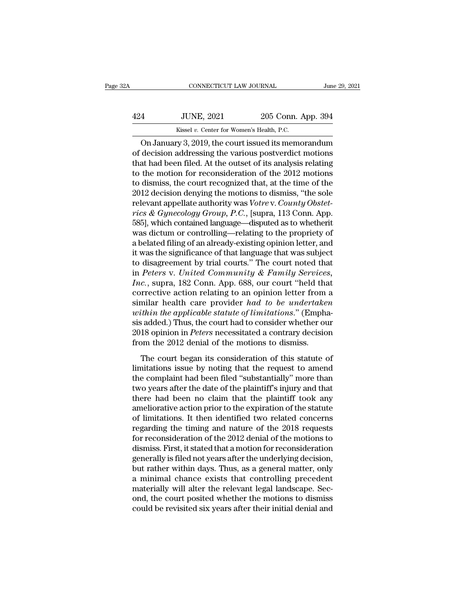| 2A  | CONNECTICUT LAW JOURNAL                              |                    | June 29, 2021 |
|-----|------------------------------------------------------|--------------------|---------------|
| 424 | <b>JUNE, 2021</b>                                    | 205 Conn. App. 394 |               |
|     | Kissel v. Center for Women's Health, P.C.            |                    |               |
|     | On January $3, 2019$ the court issued its memorandum |                    |               |

CONNECTICUT LAW JOURNAL June 29, 2021<br>
4 JUNE, 2021 205 Conn. App. 394<br>
Kissel v. Center for Women's Health, P.C.<br>
On January 3, 2019, the court issued its memorandum<br>
decision addressing the various postverdict motions<br>
a 424 JUNE, 2021 205 Conn. App. 394<br>Kissel v. Center for Women's Health, P.C.<br>On January 3, 2019, the court issued its memorandum<br>of decision addressing the various postverdict motions<br>that had been filed. At the outset of i  $\frac{424}{\text{Kissel } v. \text{ Center for Women's Health, P.C.}}$ <br>
On January 3, 2019, the court issued its memorandum<br>
of decision addressing the various postverdict motions<br>
that had been filed. At the outset of its analysis relating<br>
to the motion for  $\frac{424}{\text{Kissel } v. \text{ Center for Women's Health, P.C.}}$ <br>
On January 3, 2019, the court issued its memorandum<br>
of decision addressing the various postverdict motions<br>
that had been filed. At the outset of its analysis relating<br>
to the motion for Kissel v. Center for Women's Health, P.C.<br>
On January 3, 2019, the court issued its memorandum<br>
of decision addressing the various postverdict motions<br>
that had been filed. At the outset of its analysis relating<br>
to the mo EXECUTE IN THE MORE IS NOTE THAN THE MORE THAN THE MORE THAN AN ORDER THAN AND BELTICALLY ON A BUT ALSO HERE THE MORE THAN THE SOLET HAND AND RELATION AND THE SUPERVIST AS CHANGED THAN A SUPERVIST AND THE SOLET SOLET AND On January 3, 2019, the court issued its memorandum<br>of decision addressing the various postverdict motions<br>that had been filed. At the outset of its analysis relating<br>to the motion for reconsideration of the 2012 motions<br>t of decision addressing the various postverdict motions<br>that had been filed. At the outset of its analysis relating<br>to the motion for reconsideration of the 2012 motions<br>to dismiss, the court recognized that, at the time of that had been filed. At the outset of its analysis relating<br>to the motion for reconsideration of the 2012 motions<br>to dismiss, the court recognized that, at the time of the<br>2012 decision denying the motions to dismiss, "the to the motion for reconsideration of the 2012 motions<br>to dismiss, the court recognized that, at the time of the<br>2012 decision denying the motions to dismiss, "the sole<br>relevant appellate authority was *Votre* v. *County Ob* to dismiss, the court recognized that, at the time of the<br>2012 decision denying the motions to dismiss, "the sole<br>relevant appellate authority was *Votre* v. *County Obstet-<br>rics & Gynecology Group, P.C.*, [supra, 113 Conn 2012 decision denying the motions to dismiss, "the sole<br>relevant appellate authority was *Votre* v. *County Obstet-<br>rics* & *Gynecology Group*, *P.C.*, [supra, 113 Conn. App.<br>585], which contained language—disputed as to relevant appellate authority was *Votre* v. *County Obstetrics & Gynecology Group, P.C.*, [supra, 113 Conn. App. 585], which contained language—disputed as to whetherit was dictum or controlling—relating to the propriety rics & *Gynecology Group*, *P.C.*, [supra, 113 Conn. App. 585], which contained language—disputed as to whetherit was dictum or controlling—relating to the propriety of a belated filing of an already-existing opinion lette 585], which contained language—disputed as to whetherit was dictum or controlling—relating to the propriety of a belated filing of an already-existing opinion letter, and it was the significance of that language that was s was dictum or controlling—relating to the propriety of<br>a belated filing of an already-existing opinion letter, and<br>it was the significance of that language that was subject<br>to disagreement by trial courts." The court note a belated filing of an already-existing opinion letter, and<br>it was the significance of that language that was subject<br>to disagreement by trial courts." The court noted that<br>in *Peters v. United Community & Family Services it* was the significance of that language that was subject<br>to disagreement by trial courts." The court noted that<br>in *Peters v. United Community & Family Services,*<br>*Inc.*, supra, 182 Conn. App. 688, our court "held that<br> to disagreement by trial courts." The court noted that<br>in *Peters* v. United Community & Family Services,<br>Inc., supra, 182 Conn. App. 688, our court "held that<br>corrective action relating to an opinion letter from a<br>similar in *Peters* v. United Community & Family Services,<br>Inc., supra, 182 Conn. App. 688, our court "held that<br>corrective action relating to an opinion letter from a<br>similar health care provider had to be undertaken<br>within the a *Inc.*, supra, 182 Conn. App. 688, our court "held the corrective action relating to an opinion letter from similar health care provider *had to be undertake within the applicable statute of limitations.*" (Emphasis added. milar health care provider *had to be undertaken*<br>thin the applicable statute of limitations." (Empha-<br>sadded.) Thus, the court had to consider whether our<br>18 opinion in *Peters* necessitated a contrary decision<br>om the 20 mind that the provider had to be an<br>absorbance within the applicable statute of limitations." (Emphasis added.) Thus, the court had to consider whether our<br>2018 opinion in *Peters* necessitated a contrary decision<br>from th

the complete that the court had to consider whether our 2018 opinion in *Peters* necessitated a contrary decision from the 2012 denial of the motions to dismiss.<br>The court began its consideration of this statute of limitat 2018 opinion in *Peters* necessitated a contrary decision<br>from the 2012 denial of the motions to dismiss.<br>The court began its consideration of this statute of<br>limitations issue by noting that the request to amend<br>the comp The court began its consideration of this statute of<br>the court began its consideration of this statute of<br>limitations issue by noting that the request to amend<br>the complaint had been filed "substantially" more than<br>two yea The court began its consideration of this statute of<br>limitations issue by noting that the request to amend<br>the complaint had been filed "substantially" more than<br>two years after the date of the plaintiff's injury and that<br> The court began its consideration of this statute of<br>limitations issue by noting that the request to amend<br>the complaint had been filed "substantially" more than<br>two years after the date of the plaintiff's injury and that<br> limitations issue by noting that the request to amend<br>the complaint had been filed "substantially" more than<br>two years after the date of the plaintiff's injury and that<br>there had been no claim that the plaintiff took any<br>a the complaint had been filed "substantially" more than<br>two years after the date of the plaintiff's injury and that<br>there had been no claim that the plaintiff took any<br>ameliorative action prior to the expiration of the stat two years after the date of the plaintiff's injury and that<br>there had been no claim that the plaintiff took any<br>ameliorative action prior to the expiration of the statute<br>of limitations. It then identified two related conc there had been no claim that the plaintiff took any<br>ameliorative action prior to the expiration of the statute<br>of limitations. It then identified two related concerns<br>regarding the timing and nature of the 2018 requests<br>fo ameliorative action prior to the expiration of the statute<br>of limitations. It then identified two related concerns<br>regarding the timing and nature of the 2018 requests<br>for reconsideration of the 2012 denial of the motions of limitations. It then identified two related concerns<br>regarding the timing and nature of the 2018 requests<br>for reconsideration of the 2012 denial of the motions to<br>dismiss. First, it stated that a motion for reconsiderat regarding the timing and nature of the 2018 requests<br>for reconsideration of the 2012 denial of the motions to<br>dismiss. First, it stated that a motion for reconsideration<br>generally is filed not years after the underlying de for reconsideration of the 2012 denial of the motions to<br>dismiss. First, it stated that a motion for reconsideration<br>generally is filed not years after the underlying decision,<br>but rather within days. Thus, as a general ma dismiss. First, it stated that a motion for reconsideration<br>generally is filed not years after the underlying decision,<br>but rather within days. Thus, as a general matter, only<br>a minimal chance exists that controlling prece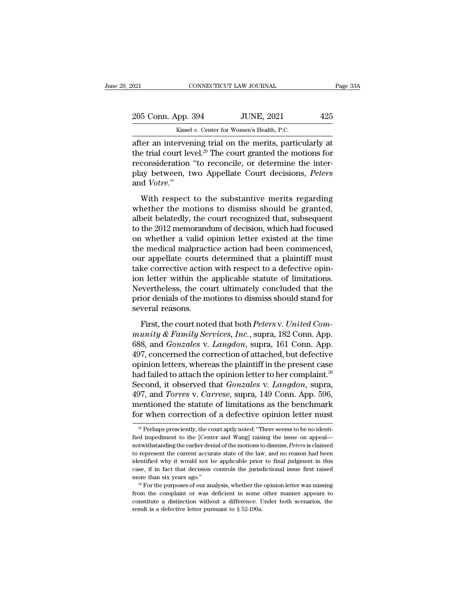| 2021               | CONNECTICUT LAW JOURNAL                                   | Page 33A |
|--------------------|-----------------------------------------------------------|----------|
| 205 Conn. App. 394 | <b>JUNE, 2021</b>                                         | 425      |
|                    | Kissel v. Center for Women's Health, P.C.                 |          |
|                    | after an intervening trial on the merits, particularly at |          |

 $\begin{array}{|l|l|} \hline \text{18.4}\text{cm} & \text{18.4}\text{cm} & \text{19.4}\text{cm} & \text{19.4}\text{cm} \end{array}$ <br>
205 Conn. App. 394 JUNE, 2021 425<br>  $\begin{array}{|l|l|} \hline \text{Kissel }v. \text{ Center for Women's Health, P.C.} \hline \text{after an intervening trial on the merits, particularly at} \hline \text{the trial court level.}^{29} \hline \text{The court granted the motions for reconsideration, "to recognize or determine the intra-$ 205 Conn. App. 394 JUNE, 2021 425<br>
Kissel v. Center for Women's Health, P.C.<br>
after an intervening trial on the merits, particularly at<br>
the trial court level.<sup>29</sup> The court granted the motions for<br>
reconsideration "to rec 205 Conn. App. 394 JUNE, 2021 425<br>Kissel v. Center for Women's Health, P.C.<br>after an intervening trial on the merits, particularly at<br>the trial court level.<sup>29</sup> The court granted the motions for<br>reconsideration "to reconc 205 Conn. App. 394 JUNE, 2021 425<br>
Kissel v. Center for Women's Health, P.C.<br>
after an intervening trial on the merits, particularly at<br>
the trial court level.<sup>29</sup> The court granted the motions for<br>
reconsideration "to rec and *Votre*.'' ter an intervening trial on the merits, particularly at<br>e trial court level.<sup>29</sup> The court granted the motions for<br>consideration "to reconcile, or determine the inter-<br>ay between, two Appellate Court decisions, *Peters*<br>d the trial court level.<sup>29</sup> The court granted the motions for<br>reconsideration "to reconcile, or determine the inter-<br>play between, two Appellate Court decisions, *Peters*<br>and *Votre."*<br>With respect to the substantive merit

albeit belate belate that in the court granded are inter-<br>play between, two Appellate Court decisions, *Peters*<br>and *Votre.*"<br>With respect to the substantive merits regarding<br>whether the motions to dismiss should be grante play between, two Appellate Court decisions, *Peters*<br>and *Votre.*"<br>With respect to the substantive merits regarding<br>whether the motions to dismiss should be granted,<br>albeit belatedly, the court recognized that, subsequent and *Votre.*"<br>
With respect to the substantive merits regarding<br>
whether the motions to dismiss should be granted,<br>
albeit belatedly, the court recognized that, subsequent<br>
to the 2012 memorandum of decision, which had foc With respect to the substantive merits regarding<br>whether the motions to dismiss should be granted,<br>albeit belatedly, the court recognized that, subsequent<br>to the 2012 memorandum of decision, which had focused<br>on whether a With respect to the substantive merits regarding<br>whether the motions to dismiss should be granted,<br>albeit belatedly, the court recognized that, subsequent<br>to the 2012 memorandum of decision, which had focused<br>on whether a whether the motions to dismiss should be granted,<br>albeit belatedly, the court recognized that, subsequent<br>to the 2012 memorandum of decision, which had focused<br>on whether a valid opinion letter existed at the time<br>the medi albeit belatedly, the court recognized that, subsequent<br>to the 2012 memorandum of decision, which had focused<br>on whether a valid opinion letter existed at the time<br>the medical malpractice action had been commenced,<br>our app to the 2012 memorandum of decision, which had focused<br>on whether a valid opinion letter existed at the time<br>the medical malpractice action had been commenced,<br>our appellate courts determined that a plaintiff must<br>take corr on whether a valid opinion letter existed at the time<br>the medical malpractice action had been commenced,<br>our appellate courts determined that a plaintiff must<br>take corrective action with respect to a defective opin-<br>ion le the medical malpract<br>our appellate courts<br>take corrective action<br>ion letter within the<br>Nevertheless, the cou<br>prior denials of the m<br>several reasons.<br>First, the court note First, the court is determined that a plantin mass<br>ke corrective action with respect to a defective opin-<br>n letter within the applicable statute of limitations.<br>evertheless, the court ultimately concluded that the<br>ior deni rance corrective action with respect to a derective opin<br>
ion letter within the applicable statute of limitations.<br>
Nevertheless, the court ultimately concluded that the<br>
prior denials of the motions to dismiss should stan

For Footer Wrath the apprecise statute of Initiatedrich.<br>Nevertheless, the court ultimately concluded that the<br>prior denials of the motions to dismiss should stand for<br>several reasons.<br>First, the court noted that both *Pet* From denials of the motions to dismiss should stand for<br>several reasons.<br>First, the court noted that both *Peters v. United Com-*<br>munity & Family Services, Inc., supra, 182 Conn. App.<br>688, and *Gonzales v. Langdon*, supra several reasons.<br>
First, the court noted that both *Peters v. United Community & Family Services, Inc.*, supra, 182 Conn. App.<br>
688, and *Gonzales v. Langdon*, supra, 161 Conn. App.<br>
497, concerned the correction of attach First, the court noted that both *Peters v. United Community & Family Services, Inc.*, supra, 182 Conn. App.<br>688, and *Gonzales v. Langdon*, supra, 161 Conn. App.<br>497, concerned the correction of attached, but defective<br>o First, the court noted that both *Peters* v. *United Community & Family Services, Inc.*, supra, 182 Conn. App. 688, and *Gonzales* v. *Langdon*, supra, 161 Conn. App. 497, concerned the correction of attached, but defectiv munity & Family Services, Inc., supra, 182 Conn. App.<br>688, and *Gonzales v. Langdon*, supra, 161 Conn. App.<br>497, concerned the correction of attached, but defective<br>opinion letters, whereas the plaintiff in the present cas 688, and *Gonzales* v. *Langdon*, supra, 161 Conn. App.<br>497, concerned the correction of attached, but defective<br>opinion letters, whereas the plaintiff in the present case<br>had failed to attach the opinion letter to her co 497, concerned the correction of attached, but defective<br>opinion letters, whereas the plaintiff in the present case<br>had failed to attach the opinion letter to her complaint.<sup>30</sup><br>Second, it observed that *Gonzales* v. *Lan* Second, it observed that *Gonzales* v. *Langdon*, supra, 497, and *Torres* v. *Carrese*, supra, 149 Conn. App. 596, mentioned the statute of limitations as the benchmark for when correction of a defective opinion letter m 497, and *Torres* v. *Carrese*, supra, 149 Conn. App. 596,<br>mentioned the statute of limitations as the benchmark<br>for when correction of a defective opinion letter must<br> $\frac{1}{20}$  Perhaps presciently, the court aptly noted

mentioned the statute of limitations as the benchmark<br>for when correction of a defective opinion letter must<br> $\frac{1}{20}$  Perhaps presciently, the court aptly noted: "There seems to be no identi-<br>fied impediment to the [Cent for when correction of a defective opinion letter must<br>  $\frac{1}{20}$  Perhaps presciently, the court aptly noted: "There seems to be no identi-<br>
fied impediment to the [Center and Wang] raising the issue on appeal—<br>
notwiths fied impediment to the [Center and Wang] raising the issue on appeal—<br>notwithstanding the earlier denial of the motions to dismiss, *Peters* is claimed<br>to represent the current accurate state of the law, and no reason had <sup>29</sup> Perhaps presciently, the court aptly noted: "There seems to be no identified impediment to the [Center and Wang] raising the issue on appeal—notwithstanding the earlier denial of the motions to dismiss, *Peters* is c fied impediment to the [Center and Wang] raising the issue on appeal—<br>notwithstanding the earlier denial of the motions to dismiss, *Peters* is claimed<br>to represent the current accurate state of the law, and no reason had from the complaint of the complaint of the complete the complete to represent the current accurate state of the law, and no reason had been identified why it would not be applicable prior to final judgment in this case, if

identified why it would not be applicable prior to final judgment in this case, if in fact that decision controls the jurisdictional issue first raised more than six years ago."<br><sup>30</sup> For the purposes of our analysis, whet case, if in fact that decision controls the jurisdictional issue first raised more than six years ago."<br><sup>30</sup> For the purposes of our analysis, whether the opinion letter was missing from the complaint or was deficient in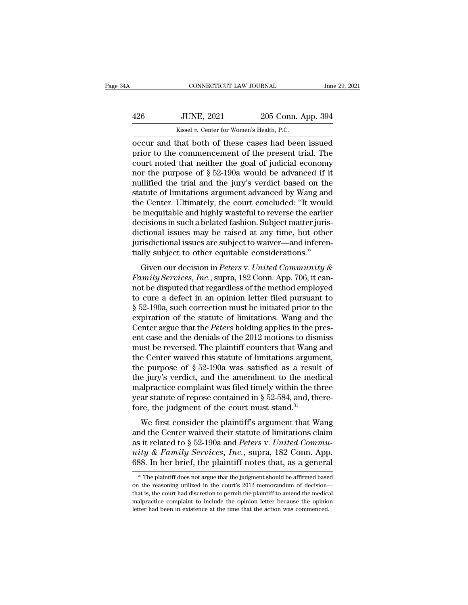| ŀΑ  | CONNECTICUT LAW JOURNAL                            |                    | June 29, 2021 |
|-----|----------------------------------------------------|--------------------|---------------|
| 426 | <b>JUNE, 2021</b>                                  | 205 Conn. App. 394 |               |
|     | Kissel v. Center for Women's Health, P.C.          |                    |               |
|     | occur and that both of these cases had been issued |                    |               |

CONNECTICUT LAW JOURNAL June 29, 2021<br>
426 JUNE, 2021 205 Conn. App. 394<br>
Kissel v. Center for Women's Health, P.C.<br>
Coccur and that both of these cases had been issued<br>
prior to the commencement of the present trial. The Fig. 394<br>
Prior to the comments of these cases had been issued<br>
prior to the commencement of the present trial. The<br>
prior to the commencement of the present trial. The<br>
court noted that neither the goal of judicial econom 426 JUNE, 2021 205 Conn. App. 394<br>
Kissel v. Center for Women's Health, P.C.<br>
occur and that both of these cases had been issued<br>
prior to the commencement of the present trial. The<br>
court noted that neither the goal of j 426 JUNE, 2021 205 Conn. App. 394<br>
Kissel v. Center for Women's Health, P.C.<br>
occur and that both of these cases had been issued<br>
prior to the commencement of the present trial. The<br>
court noted that neither the goal of j Kissel v. Center for Women's Health, P.C.<br>
occur and that both of these cases had been issued<br>
prior to the commencement of the present trial. The<br>
court noted that neither the goal of judicial economy<br>
nor the purpose of statute of these cases had been issued<br>prior to the commencement of the present trial. The<br>court noted that neither the goal of judicial economy<br>nor the purpose of  $\S 52-190a$  would be advanced if it<br>nullified the trial a occur and that both of these cases had been issued<br>prior to the commencement of the present trial. The<br>court noted that neither the goal of judicial economy<br>nor the purpose of § 52-190a would be advanced if it<br>nullified th prior to the commencement of the present trial. The<br>court noted that neither the goal of judicial economy<br>nor the purpose of § 52-190a would be advanced if it<br>nullified the trial and the jury's verdict based on the<br>statute court noted that neither the goal of judicial economy<br>nor the purpose of  $\S 52-190a$  would be advanced if it<br>nullified the trial and the jury's verdict based on the<br>statute of limitations argument advanced by Wang and<br>the nor the purpose of § 52-190a would be advanced if it<br>nullified the trial and the jury's verdict based on the<br>statute of limitations argument advanced by Wang and<br>the Center. Ultimately, the court concluded: "It would<br>be in nullified the trial and the jury's verdict based on the statute of limitations argument advanced by Wang and the Center. Ultimately, the court concluded: "It would be inequitable and highly wasteful to reverse the earlier statute of limitations argument advanced by Wang an<br>the Center. Ultimately, the court concluded: "It woul<br>be inequitable and highly wasteful to reverse the earlie<br>decisions in such a belated fashion. Subject matter juris<br>d Frequitable and highly wasteful to reverse the earlier<br>cisions in such a belated fashion. Subject matter juris-<br>ctional issues may be raised at any time, but other<br>risdictional issues are subject to waiver—and inferen-<br>lly *Family Services*, *Family Master Converse the cannet* decisions in such a belated fashion. Subject matter jurisdictional issues may be raised at any time, but other jurisdictional issues are subject to waiver—and inferent

dictional issues may be raised at any time, but other<br>jurisdictional issues are subject to waiver—and inferen-<br>tially subject to other equitable considerations."<br>Given our decision in *Peters v. United Community &*<br>*Famil* dictional issues may be raised at any time, but other<br>jurisdictional issues are subject to waiver—and inferen-<br>tially subject to other equitable considerations."<br>Given our decision in *Peters* v. United Community &<br>Family fully subject to other equitable considerations."<br>
Given our decision in *Peters v. United Community &*<br> *Family Services, Inc.*, supra, 182 Conn. App. 706, it cannot be disputed that regardless of the method employed<br>
to Given our decision in *Peters* v. United Community &<br>Family Services, Inc., supra, 182 Conn. App. 706, it can-<br>not be disputed that regardless of the method employed<br>to cure a defect in an opinion letter filed pursuant to Given our decision in *Peters* v. United Community &<br>Family Services, Inc., supra, 182 Conn. App. 706, it can-<br>not be disputed that regardless of the method employed<br>to cure a defect in an opinion letter filed pursuant to<br> Family Services, Inc., supra, 182 Conn. App. 706, it cannot be disputed that regardless of the method employed to cure a defect in an opinion letter filed pursuant to  $\S 52-190$ a, such correction must be initiated prior t not be disputed that regardless of the method employed<br>to cure a defect in an opinion letter filed pursuant to<br>§ 52-190a, such correction must be initiated prior to the<br>expiration of the statute of limitations. Wang and t to cure a defect in an opinion letter filed pursuant to  $\S$  52-190a, such correction must be initiated prior to the expiration of the statute of limitations. Wang and the Center argue that the *Peters* holding applies in  $\S$  52-190a, such correction must be initiated prior to the expiration of the statute of limitations. Wang and the Center argue that the *Peters* holding applies in the present case and the denials of the 2012 motions to expiration of the statute of limitations. Wang and the Center argue that the *Peters* holding applies in the present case and the denials of the 2012 motions to dismiss must be reversed. The plaintiff counters that Wang a Center argue that the *Peters* holding applies in the present case and the denials of the 2012 motions to dismiss<br>must be reversed. The plaintiff counters that Wang and<br>the Center waived this statute of limitations argume ent case and the denials of the 2012 motions to dismiss<br>must be reversed. The plaintiff counters that Wang and<br>the Center waived this statute of limitations argument,<br>the purpose of  $\S$  52-190a was satisfied as a result o must be reversed. The plaintiff counters that Wang at the Center waived this statute of limitations argume the purpose of  $\S 52-190a$  was satisfied as a result the jury's verdict, and the amendment to the medi malpractice E center waved and statute of miniations argument,<br>
e purpose of § 52-190a was satisfied as a result of<br>
e jury's verdict, and the amendment to the medical<br>
alpractice complaint was filed timely within the three<br>
ar statu the jury's verdict, and the amendment to the medical<br>malpractice complaint was filed timely within the three<br>year statute of repose contained in § 52-584, and, there-<br>fore, the judgment of the court must stand.<sup>31</sup><br>We fir

as it relates to and the antendment to the included<br>malpractice complaint was filed timely within the three<br>year statute of repose contained in § 52-584, and, there-<br>fore, the judgment of the court must stand.<sup>31</sup><br>We first *niapractice complaint was fied timely which the time*<br>year statute of repose contained in § 52-584, and, there-<br>fore, the judgment of the court must stand.<sup>31</sup><br>We first consider the plaintiff's argument that Wang<br>and the fore, the judgment of the court must stand.<sup>31</sup><br>We first consider the plaintiff's argument that Wang<br>and the Center waived their statute of limitations claim<br>as it related to § 52-190a and *Peters* v. *United Commu-<br>nity* 31 The plaintiff does not argue that the judgment should be affirmed based in the reasoning utilized in the court's 2012 memorandum of decision—<br>31 The plaintiff does not argue that the judgment should be affirmed based<br>3 as it related to § 52-190a and *Peters* v. *United Community & Family Services, Inc.*, supra, 182 Conn. App. 688. In her brief, the plaintiff notes that, as a general  $\frac{31}{10}$  The plaintiff does not argue that the judg

mity & Family Services, Inc., supra, 182 Conn. App.<br>688. In her brief, the plaintiff notes that, as a general<br><sup>31</sup> The plaintiff does not argue that the judgment should be affirmed based<br>on the reasoning utilized in the c 688. In her brief, the plaintiff notes that, as a general  $\frac{3!}{1!}$  The plaintiff does not argue that the judgment should be affirmed based on the reasoning utilized in the court's 2012 memorandum of decision—that is, t <sup>31</sup> The plaintiff does not argue that the judgment should be affirmed based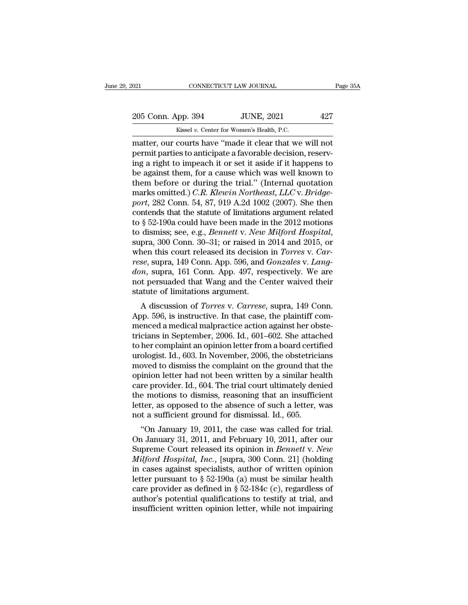CONNECTICUT LAW JOURNAL<br>
205 Conn. App. 394 JUNE, 2021 427<br>
Kissel *v.* Center for Women's Health, P.C.<br>
matter, our courts have "made it clear that we will not  $\begin{array}{ccc}\n 0.21 & \text{CONRECTICUT LAW JOURNAL} & \text{Page 35}\n\hline\n 205 & \text{Conn. App. 394} & \text{JUNE, 2021} & 427\n \hline\n Kissel v. Center for Women's Health, P.C.\n matter, our courts have "made it clear that we will not permit parties to anticipate a favorable decision, reserv-  
\ning a right to impose h it or set it aside if it happens to$ 205 Conn. App. 394 JUNE, 2021 427<br>
Kissel v. Center for Women's Health, P.C.<br>
matter, our courts have "made it clear that we will not<br>
permit parties to anticipate a favorable decision, reserv-<br>
ing a right to impeach it o 205 Conn. App. 394 JUNE, 2021 427<br>
Kissel v. Center for Women's Health, P.C.<br>
matter, our courts have "made it clear that we will not<br>
permit parties to anticipate a favorable decision, reserv-<br>
ing a right to impeach it 205 Conn. App. 394 JUNE, 2021 427<br>
Kissel v. Center for Women's Health, P.C.<br>
matter, our courts have "made it clear that we will not<br>
permit parties to anticipate a favorable decision, reserv-<br>
ing a right to impeach it Example 1982 Contact Prepries 2 Contact Prepries 2 Contact Prepries 2 Contact Prepries to anticipate it clear that we will not<br>permit parties to anticipate a favorable decision, reserving a right to impeach it or set it a Kissel v. Center for Women's Health, P.C.<br>
matter, our courts have "made it clear that we will not<br>
permit parties to anticipate a favorable decision, reserv-<br>
ing a right to impeach it or set it aside if it happens to<br>
be matter, our courts have "made it clear that we will not<br>permit parties to anticipate a favorable decision, reserv-<br>ing a right to impeach it or set it aside if it happens to<br>be against them, for a cause which was well know permit parties to anticipate a favorable decision, reserving a right to impeach it or set it aside if it happens to<br>be against them, for a cause which was well known to<br>them before or during the trial." (Internal quotation ing a right to impeach it or set it aside if it happens to<br>be against them, for a cause which was well known to<br>them before or during the trial." (Internal quotation<br>marks omitted.) *C.R. Klewin Northeast*, *LLC* v. *Brid* to dismission disministic disministic disministic disminarks omitted.) *C.R. Klewin Northeast, LLC v. Bridgeport*, 282 Conn. 54, 87, 919 A.2d 1002 (2007). She then contends that the statute of limitations argument related marks omitted.) *C.R. Klewin Northeast, LLC* v. *Bridge-*<br>port, 282 Conn. 54, 87, 919 A.2d 1002 (2007). She then<br>contends that the statute of limitations argument related<br>to § 52-190a could have been made in the 2012 motio *resepert,* 282 Conn. 54, 87, 919 A.2d 1002 (2007). She then contends that the statute of limitations argument related to § 52-190a could have been made in the 2012 motions to dismiss; see, e.g., *Bennett v. New Milford Ho* contends that the statute of limitations argument related<br>to § 52-190a could have been made in the 2012 motions<br>to dismiss; see, e.g., *Bennett v. New Milford Hospital*,<br>supra, 300 Conn. 30–31; or raised in 2014 and 2015, to § 52-190a could have been made in the 2012 motions<br>to dismiss; see, e.g., *Bennett v. New Milford Hospital*,<br>supra, 300 Conn. 30–31; or raised in 2014 and 2015, or<br>when this court released its decision in *Torres v. Car* to dismiss; see, e.g., *Bennett v. New*<br>supra, 300 Conn. 30–31; or raised in<br>when this court released its decision<br>*rese*, supra, 149 Conn. App. 596, and *don*, supra, 161 Conn. App. 497, res<br>not persuaded that Wang and th pra, 500 Conn. 50–51, or raised in 2014 and 2015, or<br>hen this court released its decision in *Torres* v. *Car-*<br>se, supra, 149 Conn. App. 596, and *Gonzales* v. *Lang-*<br>*n*, supra, 161 Conn. App. 497, respectively. We are<br> when this court released its decision in Torres v. Car-<br>rese, supra, 149 Conn. App. 596, and *Gonzales v. Lang-<br>don*, supra, 161 Conn. App. 497, respectively. We are<br>not persuaded that Wang and the Center waived their<br>stat

rese, supra, 149 Collit. App. 390, and Gonzales v. Lang-<br>don, supra, 161 Conn. App. 497, respectively. We are<br>not persuaded that Wang and the Center waived their<br>statute of limitations argument.<br>A discussion of *Torres* v. tricians in September, 2006. Id., 601–602. She attached urgles is the complement of limitations argument.<br>A discussion of *Torres* v. *Carrese*, supra, 149 Conn.<br>App. 596, is instructive. In that case, the plaintiff com-<br>m flot persuated that wang and the Center warved then<br>statute of limitations argument.<br>A discussion of *Torres* v. *Carrese*, supra, 149 Conn.<br>App. 596, is instructive. In that case, the plaintiff com-<br>menced a medical malpr A discussion of *Torres* v. *Carrese*, supra, 149 Conn.<br>App. 596, is instructive. In that case, the plaintiff com-<br>menced a medical malpractice action against her obste-<br>tricians in September, 2006. Id., 601–602. She attac A discussion of *Torres* v. *Carrese*, supra, 149 Conn.<br>App. 596, is instructive. In that case, the plaintiff com-<br>menced a medical malpractice action against her obste-<br>tricians in September, 2006. Id., 601–602. She attac App. 596, is instructive. In that case, the plaintiff com-<br>menced a medical malpractice action against her obste-<br>tricians in September, 2006. Id., 601–602. She attached<br>to her complaint an opinion letter from a board cert menced a medical malpractice action against her obste-<br>tricians in September, 2006. Id., 601–602. She attached<br>to her complaint an opinion letter from a board certified<br>urologist. Id., 603. In November, 2006, the obstetric tricians in September, 2006. Id., 601–602. She attached<br>to her complaint an opinion letter from a board certified<br>urologist. Id., 603. In November, 2006, the obstetricians<br>moved to dismiss the complaint on the ground that to her complaint an opinion letter from a board certified<br>urologist. Id., 603. In November, 2006, the obstetricians<br>moved to dismiss the complaint on the ground that the<br>opinion letter had not been written by a similar hea urologist. Id., 603. In November, 2006, the obstetrici<br>moved to dismiss the complaint on the ground that<br>opinion letter had not been written by a similar hear<br>care provider. Id., 604. The trial court ultimately den<br>the mot by each of dishuss the complaint on the ground that the<br>
inion letter had not been written by a similar health<br>
re provider. Id., 604. The trial court ultimately denied<br>
e motions to dismiss, reasoning that an insufficient opmon letter had not been written by a sinthar heath<br>care provider. Id., 604. The trial court ultimately denied<br>the motions to dismiss, reasoning that an insufficient<br>letter, as opposed to the absence of such a letter, wa

care provider. Id., 004. The trial court difficient<br>the motions to dismiss, reasoning that an insufficient<br>letter, as opposed to the absence of such a letter, was<br>not a sufficient ground for dismissal. Id., 605.<br>"On Januar Interminations to distinss, reasoning that an insufficient<br> *Meter,* as opposed to the absence of such a letter, was<br>
not a sufficient ground for dismissal. Id., 605.<br>
"On January 19, 2011, the case was called for trial.<br> ietter, as opposed to the absence of such a fetter, was<br>not a sufficient ground for dismissal. Id., 605.<br>"On January 19, 2011, the case was called for trial.<br>On January 31, 2011, and February 10, 2011, after our<br>Supreme C letter pursuant to summissal. Id., 005.<br>
"On January 19, 2011, the case was called for trial.<br>
On January 31, 2011, and February 10, 2011, after our<br>
Supreme Court released its opinion in *Bennett v. New*<br> *Milford Hospit* "On January 19, 2011, the case was called for trial.<br>On January 31, 2011, and February 10, 2011, after our<br>Supreme Court released its opinion in *Bennett v. New*<br>*Milford Hospital, Inc.*, [supra, 300 Conn. 21] (holding<br>in On January 31, 2011, and February 10, 2011, after our<br>Supreme Court released its opinion in *Bennett v. New*<br>*Milford Hospital, Inc.*, [supra, 300 Conn. 21] (holding<br>in cases against specialists, author of written opinion Supreme Court released its opinion in *Bennett* v. New *Milford Hospital, Inc.*, [supra, 300 Conn. 21] (holding in cases against specialists, author of written opinion letter pursuant to  $\S 52-190a$  (a) must be similar he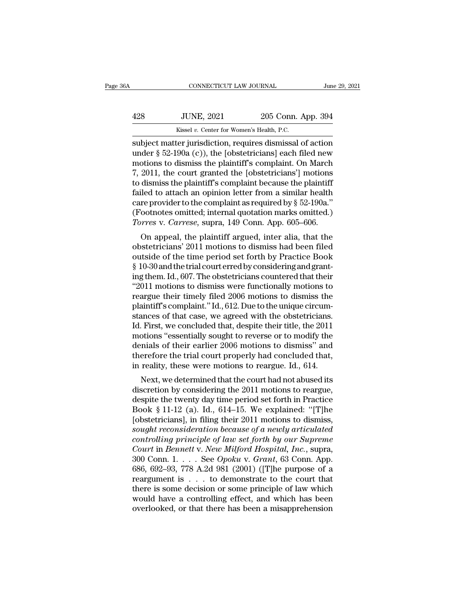| А   | CONNECTICUT LAW JOURNAL                                  |                    | June 29, 2021 |
|-----|----------------------------------------------------------|--------------------|---------------|
| 428 | <b>JUNE, 2021</b>                                        | 205 Conn. App. 394 |               |
|     | Kissel v. Center for Women's Health, P.C.                |                    |               |
|     | subject matter iurisdiction requires dismissal of action |                    |               |

CONNECTICUT LAW JOURNAL June 29, 2021<br>
Subject Missel v. Center for Women's Health, P.C.<br>
Subject matter jurisdiction, requires dismissal of action<br>
under § 52-190a (c)), the [obstetricians] each filed new<br>
motions to dism UNE, 2021 205 Conn. App. 394<br>
Kissel v. Center for Women's Health, P.C.<br>
Subject matter jurisdiction, requires dismissal of action<br>
under § 52-190a (c)), the [obstetricians] each filed new<br>
motions to dismiss the plaintiff  $\frac{428}{428}$  JUNE, 2021 205 Conn. App. 394<br>  $\frac{428}{428}$  Existel v. Center for Women's Health, P.C.<br>
subject matter jurisdiction, requires dismissal of action<br>
under § 52-190a (c)), the [obstetricians] each filed new<br>
m 428 JUNE, 2021 205 Conn. App. 394<br>
Kissel v. Center for Women's Health, P.C.<br>
subject matter jurisdiction, requires dismissal of action<br>
under  $\S$  52-190a (c)), the [obstetricians] each filed new<br>
motions to dismiss the p Example 1980 of the plaintiff's complaint of the plaintiff's complaint.<br>
Subject matter jurisdiction, requires dismissal of action<br>
under § 52-190a (c)), the [obstetricians] each filed new<br>
motions to dismiss the plaintif kissel v. Center for Women's Health, P.C.<br>subject matter jurisdiction, requires dismissal of action<br>under § 52-190a (c)), the [obstetricians] each filed new<br>motions to dismiss the plaintiff's complaint. On March<br>7, 2011, subject matter jurisdiction, requires dismissal of action<br>under § 52-190a (c)), the [obstetricians] each filed new<br>motions to dismiss the plaintiff's complaint. On March<br>7, 2011, the court granted the [obstetricians'] moti under § 52-190a (c)), the [obstetricians] each filed new<br>motions to dismiss the plaintiff's complaint. On March<br>7, 2011, the court granted the [obstetricians'] motions<br>to dismiss the plaintiff's complaint because the plai motions to dismiss the plaintiff's complaint. On March 7, 2011, the court granted the [obstetricians'] motions to dismiss the plaintiff's complaint because the plaintiff failed to attach an opinion letter from a similar he 2011, the court granted the [obstetricians ] motions<br>dismiss the plaintiff's complaint because the plaintiff<br>iled to attach an opinion letter from a similar health<br>reprovider to the complaint as required by  $\S 52-190a$ ."<br> to distins the plantific scoliplant because the plantifical<br>failed to attach an opinion letter from a similar health<br>care provider to the complaint as required by  $\S 52-190a$ ."<br>(Footnotes omitted; internal quotation marks

raned to attach an opinion letter front a similar heath<br>care provider to the complaint as required by  $\S$  52-190a."<br>(Footnotes omitted; internal quotation marks omitted.)<br>*Torres v. Carrese*, supra, 149 Conn. App. 605–606 Care provider to the complaint as required by s<sup>32-150</sup>a.<br>(Footnotes omitted; internal quotation marks omitted.)<br>Torres v. Carrese, supra, 149 Conn. App. 605–606.<br>On appeal, the plaintiff argued, inter alia, that the<br>obste Torres v. Carrese, supra, 149 Conn. App. 605–606.<br>
On appeal, the plaintiff argued, inter alia, that the<br>
obstetricians' 2011 motions to dismiss had been filed<br>
outside of the time period set forth by Practice Book<br>
§ 10-3 Torres v. Carrese, supra, 149 Conn. App. 005–000.<br>
On appeal, the plaintiff argued, inter alia, that the<br>
obstetricians' 2011 motions to dismiss had been filed<br>
outside of the time period set forth by Practice Book<br>
§ 10-3 On appeal, the plaintiff argued, inter alia, that the<br>obstetricians' 2011 motions to dismiss had been filed<br>outside of the time period set forth by Practice Book<br>§ 10-30 and the trial court erred by considering and grant-<br> obstetricians' 2011 motions to dismiss had been filed<br>outside of the time period set forth by Practice Book<br>§ 10-30 and the trial court erred by considering and grant-<br>ing them. Id., 607. The obstetricians countered that t outside of the time period set forth by Practice Book § 10-30 and the trial court erred by considering and granting them. Id., 607. The obstetricians countered that their "2011 motions to dismiss were functionally motions  $\S$  10-30 and the trial court erred by considering and grant-<br>ing them. Id., 607. The obstetricians countered that their<br>"2011 motions to dismiss were functionally motions to<br>reargue their timely filed 2006 motions to dis ing them. Id., 607. The obstetricians countered that their<br>"2011 motions to dismiss were functionally motions to<br>reargue their timely filed 2006 motions to dismiss the<br>plaintiff's complaint." Id., 612. Due to the unique ci "2011 motions to dismiss were functionally motions to<br>reargue their timely filed 2006 motions to dismiss the<br>plaintiff's complaint." Id., 612. Due to the unique circum-<br>stances of that case, we agreed with the obstetricia reargue their timely filed 2006 motions to dismiss the plaintiff's complaint." Id., 612. Due to the unique circumstances of that case, we agreed with the obstetricians.<br>Id. First, we concluded that, despite their title, th plaintiff's complaint." Id., 612. Due to the unique circum-<br>stances of that case, we agreed with the obstetricians.<br>Id. First, we concluded that, despite their title, the 2011<br>motions "essentially sought to reverse or to m inces of that case, we agreed with the obstetricians.<br>
First, we concluded that, despite their title, the 2011<br>
otions "essentially sought to reverse or to modify the<br>
mials of their earlier 2006 motions to dismiss" and<br>
e discretion of their earlier and, despite their the, the 2011<br>motions "essentially sought to reverse or to modify the<br>denials of their earlier 2006 motions to dismiss" and<br>therefore the trial court properly had concluded t

motions essentially sought to reverse of to modify the<br>denials of their earlier 2006 motions to dismiss" and<br>therefore the trial court properly had concluded that,<br>in reality, these were motions to reargue. Id., 614.<br>Next definals of their earlier 2000 motions to dishlissed and<br>therefore the trial court properly had concluded that,<br>in reality, these were motions to reargue. Id., 614.<br>Next, we determined that the court had not abused its<br>dis therefore the trial court property had concruded that,<br>in reality, these were motions to reargue. Id., 614.<br>Next, we determined that the court had not abused its<br>discretion by considering the 2011 motions to reargue,<br>desp In reality, these were motions to reargue. 1d., 014.<br>
Next, we determined that the court had not abused its<br>
discretion by considering the 2011 motions to reargue,<br>
despite the twenty day time period set forth in Practice<br> Next, we determined that the court had not abused its<br>discretion by considering the 2011 motions to reargue,<br>despite the twenty day time period set forth in Practice<br>Book § 11-12 (a). Id., 614–15. We explained: "[T]he<br>[obs discretion by considering the 2011 motions to reargue,<br>despite the twenty day time period set forth in Practice<br>Book § 11-12 (a). Id., 614–15. We explained: "[T]he<br>[obstetricians], in filing their 2011 motions to dismiss,<br> despite the twenty day time period set forth in Practice<br>Book § 11-12 (a). Id., 614–15. We explained: "[T]he<br>[obstetricians], in filing their 2011 motions to dismiss,<br>sought reconsideration because of a newly articulated<br>c Book § 11-12 (a). Id., 614–15. We explained: "[T]he<br>[obstetricians], in filing their 2011 motions to dismiss,<br>sought reconsideration because of a newly articulated<br>controlling principle of law set forth by our Supreme<br>Cou [obstetricians], in filing their 2011 motions to dismiss,<br>sought reconsideration because of a newly articulated<br>controlling principle of law set forth by our Supreme<br>Court in Bennett v. New Milford Hospital, Inc., supra,<br> sought reconsideration because of a newly articulated<br>controlling principle of law set forth by our Supreme<br>Court in Bennett v. New Milford Hospital, Inc., supra,<br>300 Conn. 1. . . . See Opoku v. Grant, 63 Conn. App.<br>686, 6 controlling principle of law set forth by our Supreme<br>Court in Bennett v. New Milford Hospital, Inc., supra,<br>300 Conn. 1. . . . See Opoku v. Grant, 63 Conn. App.<br>686, 692–93, 778 A.2d 981 (2001) ([T]he purpose of a<br>reargu Court in Bennett v. New Milford Hospital, Inc., supra, 300 Conn. 1. . . . See Opoku v. Grant, 63 Conn. App. 686, 692–93, 778 A.2d 981 (2001) ([T]he purpose of a reargument is . . . to demonstrate to the court that there i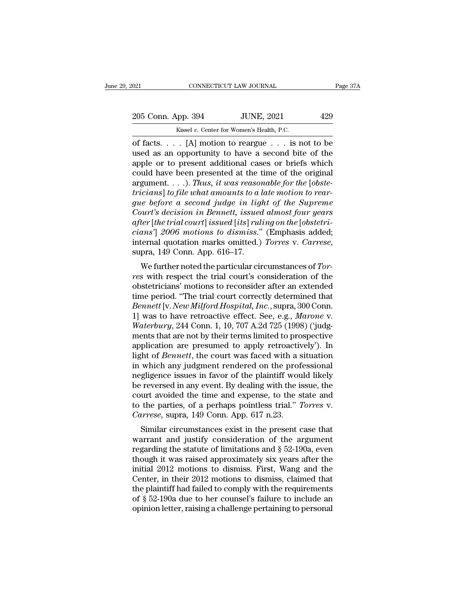ORI CONNECTICUT LAW JOURNAL Page 37A<br>
205 Conn. App. 394 JUNE, 2021 429<br>
Kissel v. Center for Women's Health, P.C.<br>
of facts. . . . [A] motion to reargue . . . is not to be<br>
used as an opportunity to have a second bite of 205 Conn. App. 394 JUNE, 2021 429<br>
Kissel v. Center for Women's Health, P.C.<br>
of facts.... [A] motion to reargue ... is not to be<br>
used as an opportunity to have a second bite of the<br>
apple or to present additional cases o 205 Conn. App. 394 JUNE, 2021 429<br>
Kissel v. Center for Women's Health, P.C.<br>
of facts.... [A] motion to reargue ... is not to be<br>
used as an opportunity to have a second bite of the<br>
apple or to present additional cases 205 Conn. App. 394 JUNE, 2021 429<br>
Kissel v. Center for Women's Health, P.C.<br>
of facts. . . . [A] motion to reargue . . . is not to be<br>
used as an opportunity to have a second bite of the<br>
apple or to present additional c Example 1988 Extreme the Control of facts. . . . [A] motion to reargue . . . is not to be used as an opportunity to have a second bite of the apple or to present additional cases or briefs which could have been presented a *the usual v. Center for Women's Health, P.C.*<br>
of facts. . . . [A] motion to reargue . . . is not to be<br>
used as an opportunity to have a second bite of the<br>
apple or to present additional cases or briefs which<br>
could hav of facts. . . . [A] motion to reargue . . . is not to be<br>used as an opportunity to have a second bite of the<br>apple or to present additional cases or briefs which<br>could have been presented at the time of the original<br>argume *Court in a second bite of the*<br>apple or to present additional cases or briefs which<br>could have been presented at the time of the original<br>argument....). *Thus, it was reasonable for the* [*obste-*<br>tricians] to file what a *apple or to present additional cases or briefs which could have been presented at the time of the original argument. . . .). Thus, it was reasonable for the [obstetricians] to file what amounts to a late motion to reargue could have been presented at the time of the original argument....). Thus, it was reasonable for the [obste-tricians] to file what amounts to a late motion to reargue before a second judge in light of the Supreme Court's* argument. . . .). *Thus, it was reasonable for the [obste-*<br>tricians] to file what amounts to a late motion to rear-<br>gue before a second judge in light of the Supreme<br>Court's decision in Bennett, issued almost four years<br>a e before a second flage in tight of the supreme<br>
nurt's decision in Bennett, issued almost four years<br>
ter [the trial court] issued [its] ruling on the [obstetri-<br>
ans'] 2006 motions to dismiss." (Emphasis added;<br>
ternal q *giter* [*the trial court*] issued its] *ruling on the [obstetricians'*] 2006 *motions to dismiss.*" (Emphasis added; internal quotation marks omitted.) *Torres v. Carrese*, supra, 149 Conn. App. 616–17.<br>We further noted t

tyter [the Francourt] issued [tts] rating on the [obstetric-<br>cians'] 2006 motions to dismiss." (Emphasis added;<br>internal quotation marks omitted.) Torres v. Carrese,<br>supra, 149 Conn. App. 616–17.<br>We further noted the part trans J 2000 motions to atsmiss. (Eniphasis added,<br>internal quotation marks omitted.) Torres v. Carrese,<br>supra, 149 Conn. App. 616–17.<br>We further noted the particular circumstances of Tor-<br>res with respect the trial court *Bennetta duotation marks onlitted.) Torres v. Carrese,*<br> *Bennetter* and *Bennetter* and *Bennett* and *Bennett* is consideration of the<br> *Bennett* increase increases of *Bennett* increases of *Bennett* [v. *New Milford H* supra, 149 Coluit. App. 010–17.<br>
We further noted the particular circumstances of *Tor-*<br>
res with respect the trial court's consideration of the<br>
obstetricians' motions to reconsider after an extended<br>
time period. "The t *We further noted the particular circumstances of Tor-*<br>*res* with respect the trial court's consideration of the<br>obstetricians' motions to reconsider after an extended<br>time period. "The trial court correctly determined th res with respect the trial court's consideration of the<br>obstetricians' motions to reconsider after an extended<br>time period. "The trial court correctly determined that<br>*Bennett* [v. *New Milford Hospital, Inc.*, supra, 300 obstetricians' motions to reconsider after an extended<br>time period. "The trial court correctly determined that<br>*Bennett* [v. *New Milford Hospital, Inc.*, supra, 300 Conn.<br>1] was to have retroactive effect. See, e.g., *Mar* time period. "The trial court correctly determined that *Bennett* [v. *New Milford Hospital, Inc.*, supra, 300 Conn.<br>1] was to have retroactive effect. See, e.g., *Marone* v.<br>*Waterbury*, 244 Conn. 1, 10, 707 A.2d 725 (199 Bennett [v. New Milford Hospital, Inc., supra, 300 Conn.<br>1] was to have retroactive effect. See, e.g., Marone v.<br>Waterbury, 244 Conn. 1, 10, 707 A.2d 725 (1998) ('judg-<br>ments that are not by their terms limited to prospect 1] was to have retroactive effect. See, e.g., *Marone v.*<br>Waterbury, 244 Conn. 1, 10, 707 A.2d 725 (1998) ('judg-<br>ments that are not by their terms limited to prospective<br>application are presumed to apply retroactively'). *Waterbury*, 244 Conn. 1, 10, 707 A.2d 725 (1998) ('judgments that are not by their terms limited to prospective application are presumed to apply retroactively'). In light of *Bennett*, the court was faced with a situati ments that are not by their terms limited to prospective<br>application are presumed to apply retroactively'). In<br>light of *Bennett*, the court was faced with a situation<br>in which any judgment rendered on the professional<br>ne application are presumed to apply retroactively'). In<br>light of *Bennett*, the court was faced with a situation<br>in which any judgment rendered on the professional<br>negligence issues in favor of the plaintiff would likely<br>be light of *Bennett*, the court was faced with a s<br>in which any judgment rendered on the prof<br>negligence issues in favor of the plaintiff wou<br>be reversed in any event. By dealing with the is<br>court avoided the time and expens which any judgment rendered on the professional gligence issues in favor of the plaintiff would likely reversed in any event. By dealing with the issue, the urt avoided the time and expense, to the state and the parties, be reversed in any event. By dealing with the issue, the<br>court avoided the time and expense, to the state and<br>to the parties, of a perhaps pointless trial." *Torres* v.<br>*Carrese*, supra, 149 Conn. App. 617 n.23.<br>Similar c

be reversed in any event. By dealing while interest in the state and<br>to the parties, of a perhaps pointless trial." *Torres* v.<br>Carrese, supra, 149 Conn. App. 617 n.23.<br>Similar circumstances exist in the present case that to the parties, of a perhaps pointless trial." Torres v.<br>
Carrese, supra, 149 Conn. App. 617 n.23.<br>
Similar circumstances exist in the present case that<br>
warrant and justify consideration of the argument<br>
regarding the st for the parties, of a perhaps pointless trial. Torres v.<br>
Carrese, supra, 149 Conn. App. 617 n.23.<br>
Similar circumstances exist in the present case that<br>
warrant and justify consideration of the argument<br>
regarding the st Carrese, supra, 149 Confi. App. 017 ft.25.<br>
Similar circumstances exist in the present case that<br>
warrant and justify consideration of the argument<br>
regarding the statute of limitations and  $\S$  52-190a, even<br>
though it wa Similar circumstances exist in the present case that<br>warrant and justify consideration of the argument<br>regarding the statute of limitations and  $\S$  52-190a, even<br>though it was raised approximately six years after the<br>init warrant and justify consideration of the argument<br>regarding the statute of limitations and  $\S$  52-190a, even<br>though it was raised approximately six years after the<br>initial 2012 motions to dismiss. First, Wang and the<br>Cent regarding the statute of limitations and  $\S$  52-190a, even<br>though it was raised approximately six years after the<br>initial 2012 motions to dismiss. First, Wang and the<br>Center, in their 2012 motions to dismiss, claimed that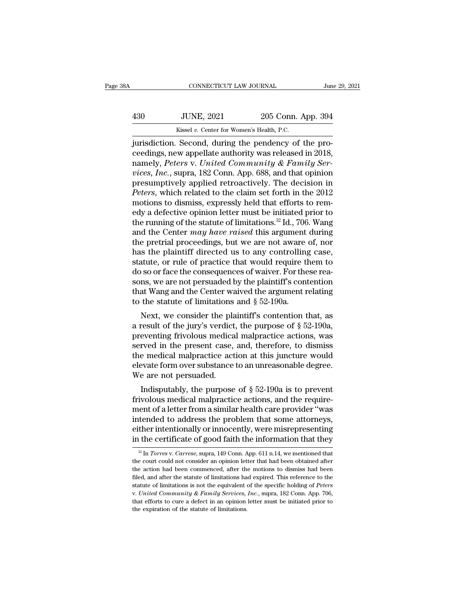|     | CONNECTICUT LAW JOURNAL                              |                    | June 29, 2021 |
|-----|------------------------------------------------------|--------------------|---------------|
| 430 | <b>JUNE, 2021</b>                                    | 205 Conn. App. 394 |               |
|     | Kissel v. Center for Women's Health, P.C.            |                    |               |
|     | jurisdiction. Second during the pendency of the pro- |                    |               |

CONNECTICUT LAW JOURNAL<br>
430 JUNE, 2021 205 Conn. App. 394<br>
430 Kissel v. Center for Women's Health, P.C.<br>
1994 Kissel v. Center for Women's Health, P.C.<br>
1995 Connection. Second, during the pendency of the pro-<br>
1996 Conn 430 JUNE, 2021 205 Conn. App. 394<br>Kissel v. Center for Women's Health, P.C.<br>jurisdiction. Second, during the pendency of the proceedings, new appellate authority was released in 2018,<br>namely, *Peters v. United Community &* 130 JUNE, 2021 205 Conn. App. 394<br>
<sup>Kissel v. Center for Women's Health, P.C.<br>
jurisdiction. Second, during the pendency of the pro-<br>
ceedings, new appellate authority was released in 2018,<br>
namely, *Peters* v. *United Com</sup> VINE, 2021* 205 Conn. App. 394<br> *Kissel v. Center for Women's Health, P.C.*<br> *jurisdiction.* Second, during the pendency of the proceedings, new appellate authority was released in 2018,<br>
namely, *Peters v. United Communi* Kissel v. Center for Women's Health, P.C.<br>
jurisdiction. Second, during the pendency of the pro-<br>
ceedings, new appellate authority was released in 2018,<br>
namely, *Peters v. United Community & Family Ser-*<br>
vices, *Inc.*, *FREER V. Center for Women's Health, P.C.*<br> *Periodings, new appellate authority was released in 2018,*<br> *Peters v. United Community & Family Services, Inc., supra, 182 Conn. App. 688, and that opinion*<br> *Peters, which rel* jurisdiction. Second, during the pendency of the proceedings, new appellate authority was released in 2018, namely, *Peters v. United Community & Family Services, Inc.*, supra, 182 Conn. App. 688, and that opinion presump ceedings, new appellate authority was released in 2018,<br>namely, *Peters v. United Community & Family Services, Inc.*, supra, 182 Conn. App. 688, and that opinion<br>presumptively applied retroactively. The decision in<br>*Peters* namely, *Peters v. United Community & Family Services, Inc.*, supra, 182 Conn. App. 688, and that opinion presumptively applied retroactively. The decision in *Peters*, which related to the claim set forth in the 2012 mot *vices, Inc.*, supra, 182 Conn. App. 688, and that opinion<br>presumptively applied retroactively. The decision in<br>*Peters*, which related to the claim set forth in the 2012<br>motions to dismiss, expressly held that efforts to presumptively applied retroactively. The decision in *Peters*, which related to the claim set forth in the 2012 motions to dismiss, expressly held that efforts to remedy a defective opinion letter must be initiated prior t Peters, which related to the claim set forth in the 2012<br>motions to dismiss, expressly held that efforts to rem-<br>edy a defective opinion letter must be initiated prior to<br>the running of the statute of limitations.<sup>32</sup> Id., motions to dismiss, expressly held that efforts to rem-<br>edy a defective opinion letter must be initiated prior to<br>the running of the statute of limitations.<sup>32</sup> Id., 706. Wang<br>and the Center *may have raised* this argumen edy a defective opinion letter must be initiated prior to<br>the running of the statute of limitations.<sup>32</sup> Id., 706. Wang<br>and the Center *may have raised* this argument during<br>the pretrial proceedings, but we are not aware o the running of the statute of limitations.<sup>32</sup> Id., 706. Wang<br>and the Center *may have raised* this argument during<br>the pretrial proceedings, but we are not aware of, nor<br>has the plaintiff directed us to any controlling c and the Center *may have raised* this argument during<br>the pretrial proceedings, but we are not aware of, nor<br>has the plaintiff directed us to any controlling case,<br>statute, or rule of practice that would require them to<br>d the pretrial proceedings, but we are not aware<br>has the plaintiff directed us to any controlling<br>statute, or rule of practice that would require tl<br>do so or face the consequences of waiver. For the<br>sons, we are not persuade s the plaintiff directed us to any controlling case,<br>atute, or rule of practice that would require them to<br>so or face the consequences of waiver. For these rea-<br>ns, we are not persuaded by the plaintiff's contention<br>at Wa statute, or rule of practice that would require them to<br>do so or face the consequences of waiver. For these reasons, we are not persuaded by the plaintiff's contention<br>that Wang and the Center waived the argument relating

do so or lace the consequences or waiver. For these reasons, we are not persuaded by the plaintiff's contention<br>that Wang and the Center waived the argument relating<br>to the statute of limitations and  $\S 52-190a$ .<br>Next, we sons, we are not persuaded by the plaintin's contention<br>that Wang and the Center waived the argument relating<br>to the statute of limitations and  $\S$  52-190a.<br>Next, we consider the plaintiff's contention that, as<br>a result o that wang and the Center warved the argument relating<br>to the statute of limitations and  $\S$  52-190a.<br>Next, we consider the plaintiff's contention that, as<br>a result of the jury's verdict, the purpose of  $\S$  52-190a,<br>preven b the statute of mintations and  $\frac{1}{2}$  of  $\frac{1}{2}$  ontention that, as a result of the jury's verdict, the purpose of  $\S$  52-190a, preventing frivolous medical malpractice actions, was served in the present case, and, Next, we consider the pla<br>a result of the jury's verdict<br>preventing frivolous medica<br>served in the present case,<br>the medical malpractice act<br>elevate form over substance<br>We are not persuaded.<br>Indisputably, the purpose It is the purpose of § 52-190a, eventing frivolous medical malpractice actions, was rved in the present case, and, therefore, to dismiss e medical malpractice action at this juncture would evate form over substance to an preventing frivolous medical mapractice actions, was<br>served in the present case, and, therefore, to dismiss<br>the medical malpractice action at this juncture would<br>elevate form over substance to an unreasonable degree.<br>We ar

served in the present case, and, therefore, to dishuss<br>the medical malpractice action at this juncture would<br>elevate form over substance to an unreasonable degree.<br>We are not persuaded.<br>Indisputably, the purpose of § 52-19 the medical marphactice action at this juncture would<br>elevate form over substance to an unreasonable degree.<br>We are not persuaded.<br>Indisputably, the purpose of § 52-190a is to prevent<br>frivolous medical malpractice actions, elevate form over substance to an unreasonable degree.<br>We are not persuaded.<br>Indisputably, the purpose of § 52-190a is to prevent<br>frivolous medical malpractice actions, and the require-<br>ment of a letter from a similar heal in the certificate of good faith the information that they  $\frac{1}{2}$  in *forecal* matrice actions, and the requirement of a letter from a similar health care provider "was intended to address the problem that some attorne ient of a letter from a similar health care provider "was<br>tended to address the problem that some attorneys,<br>ther intentionally or innocently, were misrepresenting<br>the certificate of good faith the information that they<br> $\$ intended to address the problem that some attorneys,<br>either intentionally or innocently, were misrepresenting<br>in the certificate of good faith the information that they<br> $\frac{1}{2}$  In *Torres* v. *Carrese*, supra, 149 Conn.

either intentionally or innocently, were misrepresenting<br>in the certificate of good faith the information that they<br> $\frac{1}{2}$  In Torres v. Carrese, supra, 149 Conn. App. 611 n.14, we mentioned that<br>the court could not con in the certificate of good faith the information that they<br>  $\frac{1}{2}$  In *Torres* v. *Carrese*, supra, 149 Conn. App. 611 n.14, we mentioned that<br>
the court could not consider an opinion letter that had been obtained afte It the certificate of good faith the fillofifiation that they<br>
<sup>22</sup> In *Torres* v. *Carrese*, supra, 149 Conn. App. 611 n.14, we mentioned that<br>
the court could not consider an opinion letter that had been obtained after<br> the court could not consider an opinion letter that had been obtained after the action had been commenced, after the motions to dismiss had been filed, and after the statute of limitations had expired. This reference to th the action had been commenced, after the motions to dismiss had been filed, and after the statute of limitations had expired. This reference to the statute of limitations is not the equivalent of the specific holding of P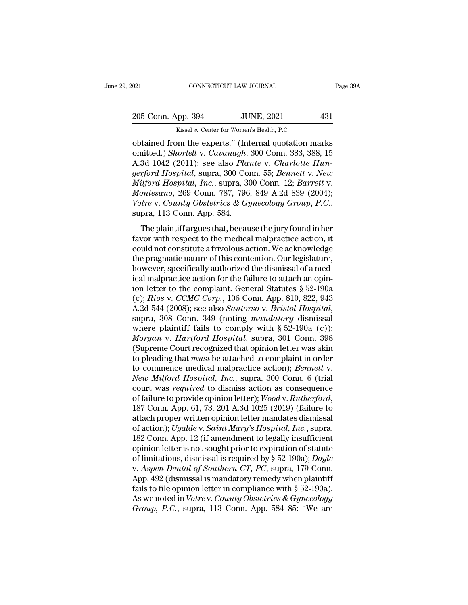Kissel *v.* Center for Women's Health, P.C. 021 CONNECTICUT LAW JOURNAL Page 39A<br>
205 Conn. App. 394 JUNE, 2021 431<br>
Kissel v. Center for Women's Health, P.C.<br>
obtained from the experts.'' (Internal quotation marks<br>
omitted.) Shortell v. Cavanagh, 300 Conn. 383, 388 205 Conn. App. 394 JUNE, 2021 431<br>
Kissel v. Center for Women's Health, P.C.<br> **Obtained from the experts.'' (Internal quotation marks**<br>
comitted.) *Shortell* v. *Cavanagh*, 300 Conn. 383, 388, 15<br>
A.3d 1042 (2011); see als 205 Conn. App. 394 JUNE, 2021 431<br>
Kissel v. Center for Women's Health, P.C.<br>
obtained from the experts." (Internal quotation marks<br>
omitted.) *Shortell* v. *Cavanagh*, 300 Conn. 383, 388, 15<br>
A.3d 1042 (2011); see also *P gerford Hospital, Inc.*, supra, 300 Conn. 12; *Barrett* v. *Montescare* 280 Conn. 55; *Bennett* v. *New*<br>*gerford Hospital*, supra, 300 Conn. 383, 388, 15<br>*A.3d 1042 (2011); see also Plante v. Charlotte Hungerford Hospita Kissel v. Center for Women's Health, P.C.*<br> **Contained from the experts." (Internal quotation marks**<br>
contited.) *Shortell v. Cavanagh*, 300 Conn. 383, 388, 15<br>
A.3d 1042 (2011); see also *Plante v. Charlotte Hun-<br>
gerfor Massel v. Center for Women's Health, P.C.*<br> *Monted from the experts."* (Internal quotation marks<br>
omitted.) *Shortell v. Cavanagh*, 300 Conn. 383, 388, 15<br> *A.3d 1042 (2011); see also Plante v. Charlotte Hun-<br>
<i>gerford H Votained from the experts."* (Internal quotation marks omitted.) *Shortell v. Cavanagh*, 300 Conn. 383, 388, 15<br>A.3d 1042 (2011); see also *Plante v. Charlotte Hungerford Hospital*, supra, 300 Conn. 55; *Bennett v. New*<br> or To El (2011), see also Trance V. Charlotte Tranch<br>rford Hospital, supra, 300 Conn. 55; Bennett v. New<br>ilford Hospital, Inc., supra, 300 Conn. 12; Barrett v.<br>pressano, 269 Conn. 787, 796, 849 A.2d 839 (2004);<br>tre v. Cou *Milford Hospital, Bapta, 330 Coldition, 28, Bohnest V. Hotel Milford Hospital, Inc., supra, 300 Conn. 12; Barrett v.*<br> *Montesano, 269 Conn. 787, 796, 849 A.2d 839 (2004); Votre v. County Obstetrics & Gynecology Group, P* 

mayora Hospital, Her., Sapid, 330 Cond. 12, Darrett V.<br>
Montesano, 269 Conn. 787, 796, 849 A.2d 839 (2004);<br>
Votre v. County Obstetrics & Gynecology Group, P.C.,<br>
supra, 113 Conn. App. 584.<br>
The plaintiff argues that, beca Notice v. County Obstetrics & Gynecology Group, P.C.,<br>Votre v. County Obstetrics & Gynecology Group, P.C.,<br>supra, 113 Conn. App. 584.<br>The plaintiff argues that, because the jury found in her<br>favor with respect to the medi Force it coaling constricts a chylocology crosset  $\mu$ , 113, supra, 113 Conn. App. 584.<br>The plaintiff argues that, because the jury found in her favor with respect to the medical malpractice action, it could not constitut The plaintiff argues that, because the jury found in her favor with respect to the medical malpractice action, it could not constitute a frivolous action. We acknowledge the pragmatic nature of this contention. Our legisl The plaintiff argues that, because the jury found in her favor with respect to the medical malpractice action, it could not constitute a frivolous action. We acknowledge the pragmatic nature of this contention. Our legisl favor with respect to the medical malpractice action, it<br>could not constitute a frivolous action. We acknowledge<br>the pragmatic nature of this contention. Our legislature,<br>however, specifically authorized the dismissal of a could not constitute a frivolous action. We acknowledge<br>the pragmatic nature of this contention. Our legislature,<br>however, specifically authorized the dismissal of a med-<br>ical malpractice action for the failure to attach a however, specifically authorized the dismissal of a medical malpractice action for the failure to attach an opin-<br>ion letter to the complaint. General Statutes § 52-190a<br>(c); *Rios v. CCMC Corp.*, 106 Conn. App. 810, 822, ical malpractice action for the failure to attach an opin-<br>ion letter to the complaint. General Statutes § 52-190a<br>(c); *Rios v. CCMC Corp.*, 106 Conn. App. 810, 822, 943<br>A.2d 544 (2008); see also *Santorso v. Bristol Hosp* ion letter to the complaint. General Statutes  $\S$  52-190a<br>(c); *Rios v. CCMC Corp.*, 106 Conn. App. 810, 822, 943<br>A.2d 544 (2008); see also *Santorso v. Bristol Hospital*,<br>supra, 308 Conn. 349 (noting *mandatory* dismissa (c); *Rios v. CCMC Corp.*, 106 Conn. App. 810, 822, 943<br>A.2d 544 (2008); see also *Santorso v. Bristol Hospital*,<br>supra, 308 Conn. 349 (noting *mandatory* dismissal<br>where plaintiff fails to comply with  $\S$  52-190a (c));<br> A.2d 544 (2008); see also *Santorso v. Bristol Hospital*,<br>supra, 308 Conn. 349 (noting *mandatory* dismissal<br>where plaintiff fails to comply with § 52-190a (c));<br>*Morgan v. Hartford Hospital*, supra, 301 Conn. 398<br>(Supreme supra, 308 Conn. 349 (noting *mandatory* dismissal<br>where plaintiff fails to comply with § 52-190a (c));<br>*Morgan* v. *Hartford Hospital*, supra, 301 Conn. 398<br>(Supreme Court recognized that opinion letter was akin<br>to pleadi where plaintiff fails to comply with § 52-190a (c));<br>Morgan v. Hartford Hospital, supra, 301 Conn. 398<br>(Supreme Court recognized that opinion letter was akin<br>to pleading that *must* be attached to complaint in order<br>to com Morgan v. *Hartford Hospital*, supra, 301 Conn. 398<br>(Supreme Court recognized that opinion letter was akin<br>to pleading that *must* be attached to complaint in order<br>to commence medical malpractice action); *Bennett* v.<br>*Ne* to pleading that *must* be attached to complaint in order<br>to commence medical malpractice action); *Bennett* v.<br>*New Milford Hospital, Inc.*, supra, 300 Conn. 6 (trial<br>court was *required* to dismiss action as consequence to commence medical malpractice action); *Bennett v.*<br> *New Milford Hospital, Inc.*, supra, 300 Conn. 6 (trial<br>
court was *required* to dismiss action as consequence<br>
of failure to provide opinion letter); *Wood v. Rutherf* New Milford Hospital, Inc., supra, 300 Conn. 6 (trial<br>court was required to dismiss action as consequence<br>of failure to provide opinion letter); Wood v. Rutherford,<br>187 Conn. App. 61, 73, 201 A.3d 1025 (2019) (failure to<br> court was *required* to dismiss action as consequence<br>of failure to provide opinion letter); Wood v. Rutherford,<br>187 Conn. App. 61, 73, 201 A.3d 1025 (2019) (failure to<br>attach proper written opinion letter mandates dismis of failure to provide opinion letter); *Wood v. Rutherford*,<br>187 Conn. App. 61, 73, 201 A.3d 1025 (2019) (failure to<br>attach proper written opinion letter mandates dismissal<br>of action); *Ugalde v. Saint Mary's Hospital*, *I* 187 Conn. App. 61, 73, 201 A.3d 1025 (2019) (failure to<br>attach proper written opinion letter mandates dismissal<br>of action); *Ugalde* v. *Saint Mary's Hospital*, *Inc.*, supra,<br>182 Conn. App. 12 (if amendment to legally ins attach proper written opinion letter mandates dismissal<br>of action); Ugalde v. Saint Mary's Hospital, Inc., supra,<br>182 Conn. App. 12 (if amendment to legally insufficient<br>opinion letter is not sought prior to expiration of of action); *Ugalde* v. *Saint Mary's Hospital, Inc.*, supra, 182 Conn. App. 12 (if amendment to legally insufficient opinion letter is not sought prior to expiration of statute of limitations, dismissal is required by § 182 Conn. App. 12 (if amendment to legally insufficient<br>opinion letter is not sought prior to expiration of statute<br>of limitations, dismissal is required by § 52-190a); *Doyle*<br>v. *Aspen Dental of Southern CT*, *PC*, supra opinion letter is not sought prior to expiration of statute<br>of limitations, dismissal is required by § 52-190a); *Doyle*<br>v. *Aspen Dental of Southern CT*, *PC*, supra, 179 Conn.<br>App. 492 (dismissal is mandatory remedy when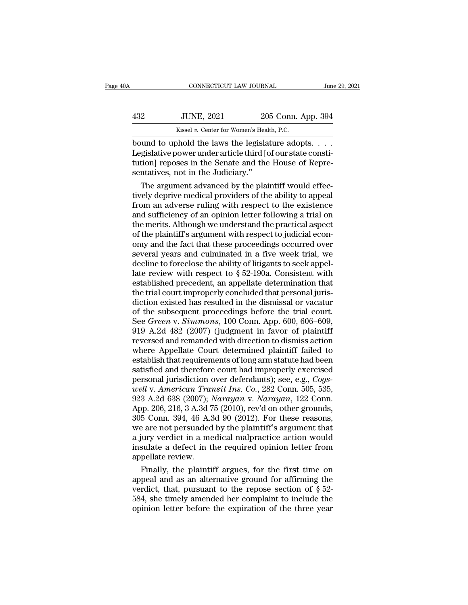| )A  | CONNECTICUT LAW JOURNAL                         |                    | June 29, 2021 |
|-----|-------------------------------------------------|--------------------|---------------|
| 432 | <b>JUNE, 2021</b>                               | 205 Conn. App. 394 |               |
|     | Kissel v. Center for Women's Health, P.C.       |                    |               |
|     | hound to uphold the laws the legislature adopts |                    |               |

CONNECTICUT LAW JOURNAL June 29, 2<br>
432 JUNE, 2021 205 Conn. App. 394<br>
6 Kissel v. Center for Women's Health, P.C.<br>
bound to uphold the laws the legislature adopts. . . .<br>
Legislative power under article third [of our stat 132 JUNE, 2021 205 Conn. App. 394<br>
Kissel v. Center for Women's Health, P.C.<br>
bound to uphold the laws the legislature adopts. . . .<br>
Legislative power under article third [of our state consti-<br>
tution] reposes in the Sena  $\frac{432}{100}$  JUNE, 2021 205 Conn. App. 394<br>  $\frac{432}{100}$  Exissel v. Center for Women's Health, P.C.<br>
bound to uphold the laws the legislature adopts. . . .<br>
Legislative power under article third [of our state constituti  $\begin{tabular}{c c c} \multicolumn{1}{c}{{\bf 322}} & {\bf JUNE, 2021} & {\bf 20}\\ \hline \multicolumn{1}{c}{{\bf 822}} & {\bf 8221} & {\bf 2021} & {\bf 2021} & {\bf 2021} & {\bf 2021} & {\bf 2021} & {\bf 2021} & {\bf 2021} & {\bf 2021} & {\bf 2021} & {\bf 2021} & {\bf 2021} & {\bf 2021} & {\bf 2021} & {\bf 2021} & {\bf 2021} & {\bf 2021} &$ Kissel v. Center for Women's Health, P.C.<br>
uund to uphold the laws the legislature adopts. . . .<br>
gislative power under article third [of our state consti-<br>
tion] reposes in the Senate and the House of Repre-<br>
ntatives, n The depth of the laws the legislature adopts. . . . .<br>Legislative power under article third [of our state constitution] reposes in the Senate and the House of Representatives, not in the Judiciary."<br>The argument advanced b

bound to uphold the laws the legislature adopts. . . .<br>Legislative power under article third [of our state constitution] reposes in the Senate and the House of Representatives, not in the Judiciary."<br>The argument advanced Legislative power under article third [of our state constitution] reposes in the Senate and the House of Representatives, not in the Judiciary."<br>The argument advanced by the plaintiff would effectively deprive medical prov tution] reposes in the Senate and the House of Representatives, not in the Judiciary."<br>The argument advanced by the plaintiff would effectively deprive medical providers of the ability to appeal<br>from an adverse ruling with sentatives, not in the Judiciary."<br>The argument advanced by the plaintiff would effec-<br>tively deprive medical providers of the ability to appeal<br>from an adverse ruling with respect to the existence<br>and sufficiency of an op The argument advanced by the plaintiff would effec-<br>tively deprive medical providers of the ability to appeal<br>from an adverse ruling with respect to the existence<br>and sufficiency of an opinion letter following a trial on<br>t tively deprive medical providers of the ability to appeal<br>from an adverse ruling with respect to the existence<br>and sufficiency of an opinion letter following a trial on<br>the merits. Although we understand the practical aspe from an adverse ruling with respect to the existence<br>and sufficiency of an opinion letter following a trial on<br>the merits. Although we understand the practical aspect<br>of the plaintiff's argument with respect to judicial e and sufficiency of an opinion letter following a trial on<br>the merits. Although we understand the practical aspect<br>of the plaintiff's argument with respect to judicial econ-<br>omy and the fact that these proceedings occurred the merits. Although we understand the practical aspect<br>of the plaintiff's argument with respect to judicial econ-<br>omy and the fact that these proceedings occurred over<br>several years and culminated in a five week trial, we of the plaintiff's argument with respect to judicial econ-<br>omy and the fact that these proceedings occurred over<br>several years and culminated in a five week trial, we<br>decline to foreclose the ability of litigants to seek omy and the fact that these proceedings occurred over<br>several years and culminated in a five week trial, we<br>decline to foreclose the ability of litigants to seek appel-<br>late review with respect to § 52-190a. Consistent wit several years and culminated in a five week trial, we<br>decline to foreclose the ability of litigants to seek appel-<br>late review with respect to  $\S 52-190a$ . Consistent with<br>established precedent, an appellate determination decline to foreclose the ability of litigants to seek appel-<br>late review with respect to § 52-190a. Consistent with<br>established precedent, an appellate determination that<br>the trial court improperly concluded that personal late review with respect to  $\S$  52-190a. Consistent with<br>established precedent, an appellate determination that<br>the trial court improperly concluded that personal juris-<br>diction existed has resulted in the dismissal or va established precedent, an appellate determination that<br>the trial court improperly concluded that personal juris-<br>diction existed has resulted in the dismissal or vacatur<br>of the subsequent proceedings before the trial court the trial court improperly concluded that personal juris-<br>diction existed has resulted in the dismissal or vacatur<br>of the subsequent proceedings before the trial court.<br>See *Green v. Simmons*, 100 Conn. App. 600, 606–609,<br> diction existed has resulted in the dismissal or vacatur<br>of the subsequent proceedings before the trial court.<br>See *Green v. Simmons*, 100 Conn. App. 600, 606–609,<br>919 A.2d 482 (2007) (judgment in favor of plaintiff<br>revers of the subsequent proceedings before the trial court.<br>See *Green v. Simmons*, 100 Conn. App. 600, 606–609,<br>919 A.2d 482 (2007) (judgment in favor of plaintiff<br>reversed and remanded with direction to dismiss action<br>where Ap See *Green* v. *Simmons*, 100 Conn. App. 600, 606–609, 919 A.2d 482 (2007) (judgment in favor of plaintiff reversed and remanded with direction to dismiss action where Appellate Court determined plaintiff failed to establi 919 A.2d 482 (2007) (judgment in favor of plaintiff<br>reversed and remanded with direction to dismiss action<br>where Appellate Court determined plaintiff failed to<br>establish that requirements of long arm statute had been<br>satis reversed and remanded with direction to dismiss action<br>where Appellate Court determined plaintiff failed to<br>establish that requirements of long arm statute had been<br>satisfied and therefore court had improperly exercised<br>pe where Appellate Court determined plaintiff failed to<br>establish that requirements of long arm statute had been<br>satisfied and therefore court had improperly exercised<br>personal jurisdiction over defendants); see, e.g., *Cogs*establish that requirements of long arm statute had been<br>satisfied and therefore court had improperly exercised<br>personal jurisdiction over defendants); see, e.g., *Cogs-<br>well* v. *American Transit Ins. Co.*, 282 Conn. 505, satisfied and therefore court had improperly exercised<br>personal jurisdiction over defendants); see, e.g., *Cogs-<br>well v. American Transit Ins. Co.*, 282 Conn. 505, 535,<br>923 A.2d 638 (2007); *Narayan v. Narayan*, 122 Conn.<br> personal jurisdiction over defendants); see, e.g., *Cogs-*<br>well v. American Transit Ins. Co., 282 Conn. 505, 535,<br>923 A.2d 638 (2007); *Narayan v. Narayan*, 122 Conn.<br>App. 206, 216, 3 A.3d 75 (2010), rev'd on other grounds well v. American Transit Ins. Co., 282 Conn. 505, 535, 923 A.2d 638 (2007); Narayan v. Narayan, 122 Conn.<br>App. 206, 216, 3 A.3d 75 (2010), rev'd on other grounds, 305 Conn. 394, 46 A.3d 90 (2012). For these reasons, we are 923 A.2d 638  $(2007)$ ; *l*<br>App. 206, 216, 3 A.3d 7<br>305 Conn. 394, 46 A.5<br>we are not persuaded<br>a jury verdict in a me<br>insulate a defect in t<br>appellate review.<br>Finally, the plainti bp. 206, 216, 3 A.3d 75 (2010), rev'd on other grounds,<br>5 Conn. 394, 46 A.3d 90 (2012). For these reasons,<br>a are not persuaded by the plaintiff's argument that<br>jury verdict in a medical malpractice action would<br>sulate a d 305 Conn. 394, 46 A.3d 90 (2012). For these reasons,<br>we are not persuaded by the plaintiff's argument that<br>a jury verdict in a medical malpractice action would<br>insulate a defect in the required opinion letter from<br>appella

we are not persuaded by the plaintiff's argument that<br>
a jury verdict in a medical malpractice action would<br>
insulate a defect in the required opinion letter from<br>
appellate review.<br>
Finally, the plaintiff argues, for the a jury verdict in a medical malpractice action would<br>insulate a defect in the required opinion letter from<br>appellate review.<br>Finally, the plaintiff argues, for the first time on<br>appeal and as an alternative ground for aff insulate a defect in the required opinion letter from<br>appellate review.<br>Finally, the plaintiff argues, for the first time on<br>appeal and as an alternative ground for affirming the<br>verdict, that, pursuant to the repose sect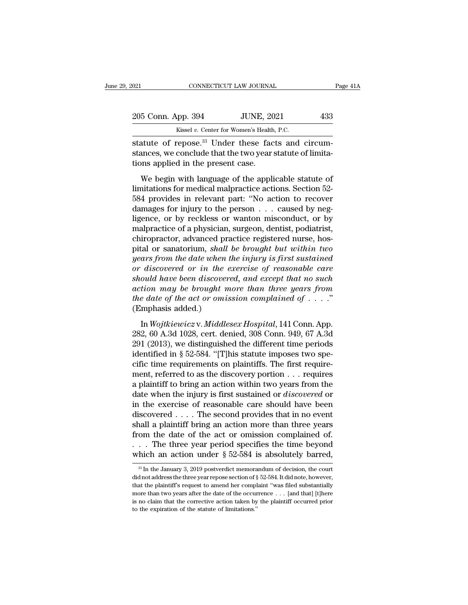| 2021                              | CONNECTICUT LAW JOURNAL                                                                                                     | Page 41A |
|-----------------------------------|-----------------------------------------------------------------------------------------------------------------------------|----------|
| 205 Conn. App. 394                | <b>JUNE, 2021</b>                                                                                                           | 433      |
|                                   | Kissel v. Center for Women's Health, P.C.                                                                                   |          |
| tions applied in the present case | statute of repose. <sup>33</sup> Under these facts and circum-<br>stances, we conclude that the two year statute of limita- |          |

205 Conn. App. 394 JUNE, 2021 433<br>Kissel v. Center for Women's Health, P.C.<br>statute of repose.<sup>33</sup> Under these facts and circum-<br>stances, we conclude that the two year statute of limita-<br>tions applied in the present case. 205 Conn. App. 394 JUNE, 20<br>
Kissel v. Center for Women's Health<br>
statute of repose.<sup>33</sup> Under these face<br>
stances, we conclude that the two year:<br>
tions applied in the present case.<br>
We begin with language of the appli  $\frac{60}{100}$  SUCOM. App. 394 JUNE, 2021 433<br>
Kissel v. Center for Women's Health, P.C.<br>
atute of repose.<sup>33</sup> Under these facts and circum-<br>
ances, we conclude that the two year statute of limita-<br>
musical in the present c

Example 1  $v$ . Center for Women's Health, P.C.<br>
statute of repose.<sup>33</sup> Under these facts and circumstances, we conclude that the two year statute of limitations applied in the present case.<br>
We begin with language of the statute of repose.<sup>33</sup> Under these facts and circum-<br>stances, we conclude that the two year statute of limita-<br>tions applied in the present case.<br>We begin with language of the applicable statute of<br>limitations for medical barances, we conclude that the two year statute of limitations applied in the present case.<br>We begin with language of the applicable statute of limitations for medical malpractice actions. Section 52-<br>584 provides in relev Ligence, we conclude that the two year statute of minitations applied in the present case.<br>We begin with language of the applicable statute of limitations for medical malpractice actions. Section 52-<br>584 provides in releva We begin with language of the applicable statute of<br>limitations for medical malpractice actions. Section 52-<br>584 provides in relevant part: "No action to recover<br>damages for injury to the person . . . caused by neg-<br>ligenc We begin with language of the applicable statute of<br>limitations for medical malpractice actions. Section 52-<br>584 provides in relevant part: "No action to recover<br>damages for injury to the person  $\dots$  caused by neg-<br>ligenc limitations for medical malpractice actions. Section 52-<br>584 provides in relevant part: "No action to recover<br>damages for injury to the person . . . caused by neg-<br>ligence, or by reckless or wanton misconduct, or by<br>malpra 584 provides in relevant part: "No action to recover<br>damages for injury to the person . . . caused by neg-<br>ligence, or by reckless or wanton misconduct, or by<br>malpractice of a physician, surgeon, dentist, podiatrist,<br>chiro damages for injury to the person . . . caused by neg-<br>ligence, or by reckless or wanton misconduct, or by<br>malpractice of a physician, surgeon, dentist, podiatrist,<br>chiropractor, advanced practice registered nurse, hos-<br>pit ligence, or by reckless or wanton misconduct, or by<br>malpractice of a physician, surgeon, dentist, podiatrist,<br>chiropractor, advanced practice registered nurse, hos-<br>pital or sanatorium, *shall be brought but within two<br>yea* malpractice of a physician, surgeon, dentist, podiatrist,<br>chiropractor, advanced practice registered nurse, hos-<br>pital or sanatorium, *shall be brought but within two*<br>years from the date when the injury is first sustained chiropractor, advanced practice registered nurse, hos-<br>pital or sanatorium, *shall be brought but within two*<br>*years from the date when the injury is first sustained*<br>or discovered or in the exercise of reasonable care<br>sho pital or sanatorium, *shall*<br>years from the date when t<br>or discovered or in the e<br>should have been discover<br>action may be brought m<br>the date of the act or omis<br>(Emphasis added.)<br>In Wojtkiewicz v. Middle: discovered or in the exercise of reasonable care<br>ould have been discovered, and except that no such<br>tion may be brought more than three years from<br>e date of the act or omission complained of . . . ."<br>mphasis added.)<br>In Woj should have been discovered, and except that no such<br>action may be brought more than three years from<br>the date of the act or omission complained of  $\dots$ ."<br>(Emphasis added.)<br>In Wojtkiewicz v. Middlesex Hospital, 141 Conn.

action may be brought more than three years from<br>action may be brought more than three years from<br>the date of the act or omission complained of  $\dots$ ."<br>(Emphasis added.)<br>In Wojtkiewicz v. Middlesex Hospital, 141 Conn. App. the date of the act or omission complained of  $\ldots$ ."<br>
(Emphasis added.)<br>
In Wojtkiewicz v. Middlesex Hospital, 141 Conn. App.<br>
282, 60 A.3d 1028, cert. denied, 308 Conn. 949, 67 A.3d<br>
291 (2013), we distinguished the dif (Emphasis added.)<br>
In *Wojtkiewicz* v. *Middlesex Hospital*, 141 Conn. App.<br>
282, 60 A.3d 1028, cert. denied, 308 Conn. 949, 67 A.3d<br>
291 (2013), we distinguished the different time periods<br>
identified in § 52-584. "[T]hi In Wojtkiewicz v. Middlesex Hospital, 141 Conn. App.<br>282, 60 A.3d 1028, cert. denied, 308 Conn. 949, 67 A.3d<br>291 (2013), we distinguished the different time periods<br>identified in § 52-584. "[T]his statute imposes two spe-In *Wojtkiewicz* v. *Middlesex Hospital*, 141 Conn. App.<br>282, 60 A.3d 1028, cert. denied, 308 Conn. 949, 67 A.3d<br>291 (2013), we distinguished the different time periods<br>identified in § 52-584. "[T]his statute imposes two 282, 60 A.3d 1028, cert. denied, 308 Conn. 949, 67 A.3d<br>291 (2013), we distinguished the different time periods<br>identified in § 52-584. "[T]his statute imposes two spe-<br>cific time requirements on plaintiffs. The first requ 291 (2013), we distinguished the different time periods<br>identified in § 52-584. "[T]his statute imposes two spe-<br>cific time requirements on plaintiffs. The first require-<br>ment, referred to as the discovery portion  $\dots$  re identified in § 52-584. "[T]his statute imposes two specific time requirements on plaintiffs. The first requirement, referred to as the discovery portion  $\ldots$  requires a plaintiff to bring an action within two years from cific time requirements on plaintiffs. The first requirement, referred to as the discovery portion  $\ldots$  requires a plaintiff to bring an action within two years from the date when the injury is first sustained or *discov* ment, referred to as the discovery portion . . . requires<br>a plaintiff to bring an action within two years from the<br>date when the injury is first sustained or *discovered* or<br>in the exercise of reasonable care should have a plaintiff to bring an action within two years from the<br>date when the injury is first sustained or *discovered* or<br>in the exercise of reasonable care should have been<br>discovered . . . . The second provides that in no eve date when the injury is first sustained or *discovered* or<br>in the exercise of reasonable care should have been<br>discovered . . . . The second provides that in no event<br>shall a plaintiff bring an action more than three year Figure 1 appears om the date of the act or omission complained of.<br>  $\therefore$  The three year period specifies the time beyond<br>
hich an action under § 52-584 is absolutely barred,<br>  $\frac{1}{3}$  In the January 3, 2019 postverdict from the date of the act or omission complained of.<br>  $\dots$  The three year period specifies the time beyond<br>
which an action under § 52-584 is absolutely barred,<br>
<sup>33</sup> In the January 3, 2019 postverdict memorandum of decisi

<sup>...</sup> The three year period specifies the time beyond which an action under  $\S 52-584$  is absolutely barred,<br><sup>38</sup> In the January 3, 2019 postverdict memorandum of decision, the court did not address the three year repose se which an action under § 52-584 is absolutely barred,<br>
<sup>33</sup> In the January 3, 2019 postverdict memorandum of decision, the court<br>
did not address the three year repose section of § 52-584. It did note, however,<br>
that the p <sup>38</sup> In the January 3, 2019 postverdict memorandum of decision, the court did not address the three year repose section of § 52-584. It did note, however, that the plaintiff's request to amend her complaint "was filed sub  $\frac{30}{10}$  In the January 3, 2019 postverdict memorar did not address the three year repose section of  $\S$  that the plaintiff's request to amend her complemore than two years after the date of the occurs is no claim that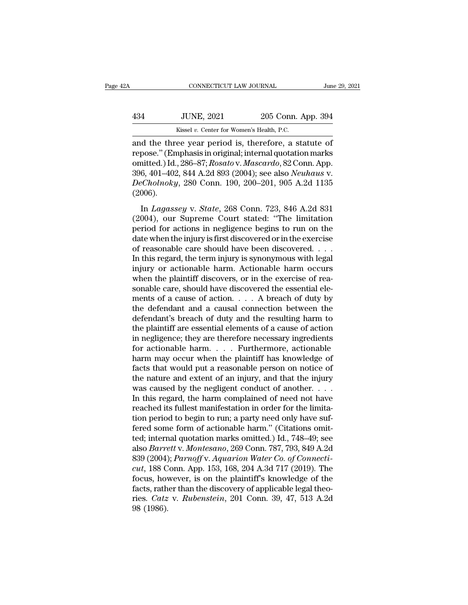| Ά   | CONNECTICUT LAW JOURNAL                             |                    | June 29, 2021 |
|-----|-----------------------------------------------------|--------------------|---------------|
| 434 | <b>JUNE, 2021</b>                                   | 205 Conn. App. 394 |               |
|     | Kissel v. Center for Women's Health, P.C.           |                    |               |
|     | and the three year period is therefore a statute of |                    |               |

CONNECTICUT LAW JOURNAL June 29, 202<br>
434 JUNE, 2021 205 Conn. App. 394<br>
6 Kissel v. Center for Women's Health, P.C.<br>
205 Conn. App. 394<br>
6 Kissel v. Center for Women's Health, P.C.<br>
206 Conn. App. 394<br>
7 Conn. App. 396 87 134 JUNE, 2021 205 Conn. App. 394<br>
134 Kissel v. Center for Women's Health, P.C.<br>
138 Kissel v. Center for Women's Health, P.C.<br>
138 Kissel in original; internal quotation marks<br>
139 Conn. App. 206 101 102 844 A 24 803 (20 134 JUNE, 2021 205 Conn. App. 394<br>
Kissel v. Center for Women's Health, P.C.<br>
and the three year period is, therefore, a statute of<br>
repose." (Emphasis in original; internal quotation marks<br>
omitted.) Id., 286–87; *Rosato* 394<br>
394<br>
394<br>
396, 800 Eissel v. Center for Women's Health, P.C.<br>
394<br>
301 the three year period is, therefore, a statute of<br>
396. "(Emphasis in original; internal quotation marks<br>
396, 401–402, 844 A.2d 893 (2004); see a *DECASE v. Center for Women's Health, P.C.*<br>
and the three year period is, therefore, a statute of<br>
repose." (Emphasis in original; internal quotation marks<br>
omitted.) Id., 286–87; *Rosato v. Mascardo*, 82 Conn. App.<br>
396, (2006). id and ance year period is, ancreasing, a statute of<br>pose." (Emphasis in original; internal quotation marks<br>nitted.) Id., 286–87; Rosato v. Mascardo, 82 Conn. App.<br>6, 401–402, 844 A.2d 893 (2004); see also *Neuhaus* v.<br>*Ch* repeser (Emphasis in enginal, mernal quotation matrix<br>
omitted.) Id., 286–87; Rosato v. Mascardo, 82 Conn. App.<br>
396, 401–402, 844 A.2d 893 (2004); see also Neuhaus v.<br>
DeCholnoky, 280 Conn. 190, 200–201, 905 A.2d 1135<br>
(2

996, 401–402, 844 A.2d 893 (2004); see also *Neuhaus* v.<br> *DeCholnoky*, 280 Conn. 190, 200–201, 905 A.2d 1135<br>
(2006).<br>
In *Lagassey* v. *State*, 268 Conn. 723, 846 A.2d 831<br>
(2004), our Supreme Court stated: "The limitat DeCholnoky, 280 Conn. 190, 200–201, 905 A.2d 1135<br>(2006).<br>In *Lagassey* v. *State*, 268 Conn. 723, 846 A.2d 831<br>(2004), our Supreme Court stated: "The limitation<br>period for actions in negligence begins to run on the<br>date (2006).<br>
In *Lagassey* v. *State*, 268 Conn. 723, 846 A.2d 831<br>
(2004), our Supreme Court stated: "The limitation<br>
period for actions in negligence begins to run on the<br>
date when the injury is first discovered or in the In *Lagassey* v. *State*, 268 Conn. 723, 846 A.2d 831 (2004), our Supreme Court stated: "The limitation period for actions in negligence begins to run on the date when the injury is first discovered or in the exercise of In *Lagassey* v. *State*, 268 Conn. 723, 846 A.2d 831 (2004), our Supreme Court stated: "The limitation period for actions in negligence begins to run on the date when the injury is first discovered or in the exercise of (2004), our Supreme Court stated: "The limitation<br>period for actions in negligence begins to run on the<br>date when the injury is first discovered or in the exercise<br>of reasonable care should have been discovered. . . .<br>In period for actions in negligence begins to run on the<br>date when the injury is first discovered or in the exercise<br>of reasonable care should have been discovered. . . .<br>In this regard, the term injury is synonymous with leg date when the injury is first discovered or in the exercise<br>of reasonable care should have been discovered. . . .<br>In this regard, the term injury is synonymous with legal<br>injury or actionable harm. Actionable harm occurs<br> of reasonable care should have been discovered. . . .<br>In this regard, the term injury is synonymous with legal<br>injury or actionable harm. Actionable harm occurs<br>when the plaintiff discovers, or in the exercise of rea-<br>son In this regard, the term injury is synonymous with legal<br>
injury or actionable harm. Actionable harm occurs<br>
when the plaintiff discovers, or in the exercise of rea-<br>
sonable care, should have discovered the essential eleinjury or actionable harm. Actionable harm occurs<br>when the plaintiff discovers, or in the exercise of rea-<br>sonable care, should have discovered the essential ele-<br>ments of a cause of action.  $\ldots$  A breach of duty by<br>the when the plaintiff discovers, or in the exercise of reasonable care, should have discovered the essential elements of a cause of action.  $\ldots$  A breach of duty by the defendant and a causal connection between the defendan sonable care, should have discovered the essential elements of a cause of action. . . . . A breach of duty by<br>the defendant and a causal connection between the<br>defendant's breach of duty and the resulting harm to<br>the plai ments of a cause of action. . . . . A breach of duty by<br>the defendant and a causal connection between the<br>defendant's breach of duty and the resulting harm to<br>the plaintiff are essential elements of a cause of action<br>in n the defendant and a causal connection between the<br>defendant's breach of duty and the resulting harm to<br>the plaintiff are essential elements of a cause of action<br>in negligence; they are therefore necessary ingredients<br>for a defendant's breach of duty and the resulting harm to<br>the plaintiff are essential elements of a cause of action<br>in negligence; they are therefore necessary ingredients<br>for actionable harm.... Furthermore, actionable<br>harm ma the plaintiff are essential elements of a cause of action<br>in negligence; they are therefore necessary ingredients<br>for actionable harm.... Furthermore, actionable<br>harm may occur when the plaintiff has knowledge of<br>facts th in negligence; they are therefore necessary ingredients<br>for actionable harm  $\dots$ . Furthermore, actionable<br>harm may occur when the plaintiff has knowledge of<br>facts that would put a reasonable person on notice of<br>the nature for actionable harm. . . . . Furthermore, actionable harm may occur when the plaintiff has knowledge of facts that would put a reasonable person on notice of the nature and extent of an injury, and that the injury was cau harm may occur when the plaintiff has knowledge of<br>facts that would put a reasonable person on notice of<br>the nature and extent of an injury, and that the injury<br>was caused by the negligent conduct of another.  $\dots$ <br>In this facts that would put a reasonable person on notice of<br>the nature and extent of an injury, and that the injury<br>was caused by the negligent conduct of another.  $\dots$ <br>In this regard, the harm complained of need not have<br>reach the nature and extent of an injury, and that the injury<br>was caused by the negligent conduct of another. . . .<br>In this regard, the harm complained of need not have<br>reached its fullest manifestation in order for the limitawas caused by the negligent conduct of another. . . . .<br>In this regard, the harm complained of need not have<br>reached its fullest manifestation in order for the limita-<br>tion period to begin to run; a party need only have su In this regard, the harm complained of need not have<br>reached its fullest manifestation in order for the limita-<br>tion period to begin to run; a party need only have suf-<br>fered some form of actionable harm." (Citations omitreached its fullest manifestation in order for the limitation period to begin to run; a party need only have suffered some form of actionable harm." (Citations omitted; internal quotation marks omitted.) Id., 748–49; see a tion period to begin to run; a party need only have suf-<br>fered some form of actionable harm." (Citations omit-<br>ted; internal quotation marks omitted.) Id., 748–49; see<br>also *Barrett* v. *Montesano*, 269 Conn. 787, 793, 84 fered some form of actionable harm." (Citations omitted; internal quotation marks omitted.) Id., 748–49; see also *Barrett v. Montesano*, 269 Conn. 787, 793, 849 A.2d 839 (2004); *Parnoff v. Aquarion Water Co. of Connecti* ted; internal quotation marks omitted.) Id., 748–49; see<br>also *Barrett v. Montesano*, 269 Conn. 787, 793, 849 A.2d<br>839 (2004); *Parnoff v. Aquarion Water Co. of Connecti-*<br>*cut*, 188 Conn. App. 153, 168, 204 A.3d 717 (2019 also *Barre*<br>839 (2004)<br>*cut*, 188 C<br>focus, hov<br>facts, rath<br>ries. *Catz*<br>98 (1986).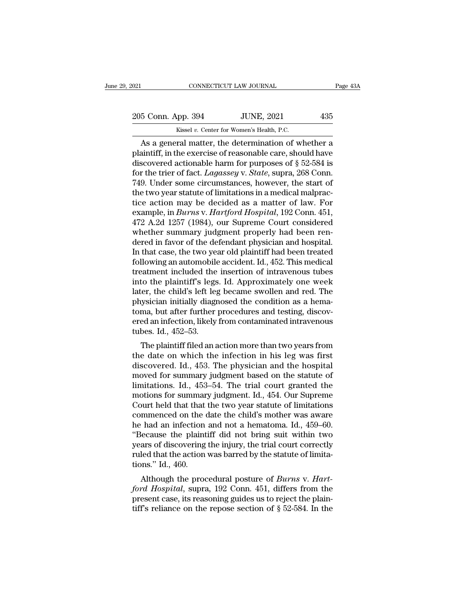EXERCISE CONNECTICUT LAW JOURNAL Page 43A<br>205 Conn. App. 394 JUNE, 2021 435<br>Kissel v. Center for Women's Health, P.C. CONNECTICUT LAW JOURNAL<br>
205 Conn. App. 394 JUNE, 2021 435<br>
Kissel *v.* Center for Women's Health, P.C.<br>
As a general matter, the determination of whether a

CONNECTICUT LAW JOURNAL Page 43A<br>
5 Conn. App. 394 JUNE, 2021 435<br>
Kissel v. Center for Women's Health, P.C.<br>
As a general matter, the determination of whether a<br>
aintiff, in the exercise of reasonable care, should have<br> 205 Conn. App. 394 JUNE, 2021 435<br>Kissel v. Center for Women's Health, P.C.<br>As a general matter, the determination of whether a<br>plaintiff, in the exercise of reasonable care, should have<br>discovered actionable harm for purp 205 Conn. App. 394 JUNE, 2021 435<br>
Kissel v. Center for Women's Health, P.C.<br>
As a general matter, the determination of whether a<br>
plaintiff, in the exercise of reasonable care, should have<br>
discovered actionable harm for For the trier of Nomen's Health, P.C.<br> **Example 19 A.S. As a general matter, the determination of whether a**<br>
plaintiff, in the exercise of reasonable care, should have<br>
discovered actionable harm for purposes of § 52-584 Example 2012. The Collection Collection and Kissel v. Center for Women's Health, P.C.<br>
As a general matter, the determination of whether a<br>
plaintiff, in the exercise of reasonable care, should have<br>
discovered actionable the two wears Health, P.C.<br>
As a general matter, the determination of whether a<br>
plaintiff, in the exercise of reasonable care, should have<br>
discovered actionable harm for purposes of § 52-584 is<br>
for the trier of fact. As a general matter, the determination of whether a<br>plaintiff, in the exercise of reasonable care, should have<br>discovered actionable harm for purposes of § 52-584 is<br>for the trier of fact. *Lagassey* v. *State*, supra, 26 plaintiff, in the exercise of reasonable care, should have<br>discovered actionable harm for purposes of § 52-584 is<br>for the trier of fact. *Lagassey* v. *State*, supra, 268 Conn.<br>749. Under some circumstances, however, the s discovered actionable harm for purposes of § 52-584 is<br>for the trier of fact. *Lagassey* v. *State*, supra, 268 Conn.<br>749. Under some circumstances, however, the start of<br>the two year statute of limitations in a medical ma for the trier of fact. *Lagassey* v. *State*, supra, 268 Conn.<br>749. Under some circumstances, however, the start of<br>the two year statute of limitations in a medical malprac-<br>tice action may be decided as a matter of law. F 749. Under some circumstances, however, the start of<br>the two year statute of limitations in a medical malprac-<br>tice action may be decided as a matter of law. For<br>example, in *Burns v. Hartford Hospital*, 192 Conn. 451,<br>472 the two year statute of limitations in a medical malpractice action may be decided as a matter of law. For example, in *Burns v. Hartford Hospital*, 192 Conn. 451, 472 A.2d 1257 (1984), our Supreme Court considered whether tice action may be decided as a matter of law. For<br>example, in *Burns* v. *Hartford Hospital*, 192 Conn. 451,<br>472 A.2d 1257 (1984), our Supreme Court considered<br>whether summary judgment properly had been ren-<br>dered in favo example, in *Burns* v. *Hartford Hospital*, 192 Conn. 451,<br>472 A.2d 1257 (1984), our Supreme Court considered<br>whether summary judgment properly had been ren-<br>dered in favor of the defendant physician and hospital.<br>In that 472 A.2d 1257 (1984), our Supreme Court considered<br>whether summary judgment properly had been ren-<br>dered in favor of the defendant physician and hospital.<br>In that case, the two year old plaintiff had been treated<br>following whether summary judgment properly had been rendered in favor of the defendant physician and hospital.<br>In that case, the two year old plaintiff had been treated following an automobile accident. Id., 452. This medical treat dered in favor of the defendant physician and hospital.<br>In that case, the two year old plaintiff had been treated<br>following an automobile accident. Id., 452. This medical<br>treatment included the insertion of intravenous tub In that case, the two year old plaintiff had been treated following an automobile accident. Id., 452. This medical treatment included the insertion of intravenous tubes into the plaintiff's legs. Id. Approximately one week following an automobile accident. Id., 452. This medical<br>treatment included the insertion of intravenous tubes<br>into the plaintiff's legs. Id. Approximately one week<br>later, the child's left leg became swollen and red. The<br>p treatment included the<br>into the plaintiff's legs<br>later, the child's left leg<br>physician initially diagr<br>toma, but after further<br>ered an infection, likely<br>tubes. Id., 452–53.<br>The plaintiff filed an a For the plaintiff steps. Id. Approximately one week<br>ter, the child's left leg became swollen and red. The<br>ysician initially diagnosed the condition as a hema-<br>ma, but after further procedures and testing, discov-<br>ed an inf rater, the child's left leg became swohen and red. The<br>physician initially diagnosed the condition as a hema-<br>toma, but after further procedures and testing, discov-<br>ered an infection, likely from contaminated intravenous<br>

physician initiany diagnosed the condition as a hema-<br>toma, but after further procedures and testing, discov-<br>ered an infection, likely from contaminated intravenous<br>tubes. Id., 452–53.<br>The plaintiff filed an action more t for summary independent based on the status for summary independent of the method in the status. Id., 452–53.<br>The plaintiff filed an action more than two years from<br>the date on which the infection in his leg was first<br>dis relea an infection, intery from containmated intravenous<br>tubes. Id., 452–53.<br>The plaintiff filed an action more than two years from<br>the date on which the infection in his leg was first<br>discovered. Id., 453. The physician a The plaintiff filed an action more than two years from<br>the date on which the infection in his leg was first<br>discovered. Id., 453. The physician and the hospital<br>moved for summary judgment based on the statute of<br>limitatio The plaintiff filed an action more than two years from<br>the date on which the infection in his leg was first<br>discovered. Id., 453. The physician and the hospital<br>moved for summary judgment based on the statute of<br>limitation the date on which the infection in his leg was first<br>discovered. Id., 453. The physician and the hospital<br>moved for summary judgment based on the statute of<br>limitations. Id., 453–54. The trial court granted the<br>motions for discovered. Id., 453. The physician and the hospital<br>moved for summary judgment based on the statute of<br>limitations. Id., 453–54. The trial court granted the<br>motions for summary judgment. Id., 454. Our Supreme<br>Court held t moved for summary judgment based on the statute of<br>
limitations. Id., 453–54. The trial court granted the<br>
motions for summary judgment. Id., 454. Our Supreme<br>
Court held that that the two year statute of limitations<br>
comm limitations. Id., 453–54. The trial court granted the<br>motions for summary judgment. Id., 454. Our Supreme<br>Court held that that the two year statute of limitations<br>commenced on the date the child's mother was aware<br>he had a motions for summary judgment. Id., 454. Our Supreme<br>Court held that that the two year statute of limitations<br>commenced on the date the child's mother was aware<br>he had an infection and not a hematoma. Id., 459–60.<br>"Because Court held that that<br>
commenced on the<br>
he had an infection<br>
"Because the plaint<br>
years of discovering<br>
ruled that the action<br>
tions." Id., 460.<br>
Although the proc Although the procedural posture of *Burns* v. *Hart-*<br>Although the procedural posture of *Burns* of discovering the injury, the trial court correctly<br>led that the action was barred by the statute of limita-<br>pose," Id., 460 *ford Hospital*, supra, 192 Conn. 451, differs from the present case, its reasoning guides us to reject the plain-<br>*ford Hospital*, supra, 192 Conn. 451, differs from the present case, its reasoning guides us to reject the

because the plantiful that flot bling suit within two<br>years of discovering the injury, the trial court correctly<br>ruled that the action was barred by the statute of limita-<br>tions." Id., 460.<br>Although the procedural posture between the action was barred by the statute of limitations." Id., 460.<br>Although the procedural posture of *Burns v. Hartford Hospital*, supra, 192 Conn. 451, differs from the present case, its reasoning guides us to rejec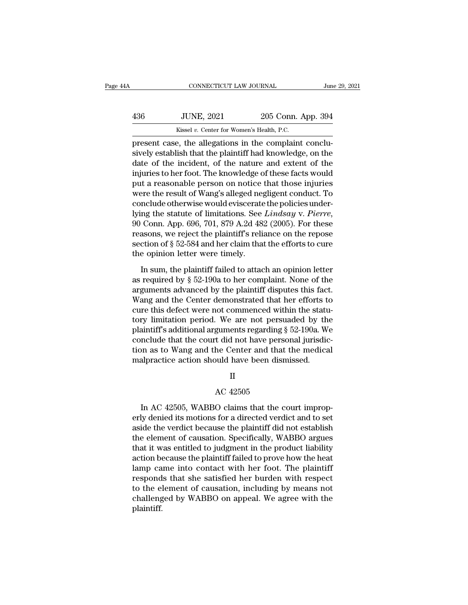| 4Α  | CONNECTICUT LAW JOURNAL                               |                    | June 29, 2021 |
|-----|-------------------------------------------------------|--------------------|---------------|
| 436 | <b>JUNE, 2021</b>                                     | 205 Conn. App. 394 |               |
|     | Kissel v. Center for Women's Health, P.C.             |                    |               |
|     | present case the allegations in the complaint conclu- |                    |               |

FREE CONNECTICUT LAW JOURNAL<br>
FREE CONNECTICUT LAW JOURNAL<br>
FREE CONNECTIONS IN 2015 Conn. App. 394<br>
FREE CONNECTIONS IN 2015 Conn. App. 394<br>
FREE CONNECTIONS IN THE CONNECTION CONNECTION STATES IN A SUBJECT OF THE CONNECT Simulation and the plantiff had knowledge, on the plaintiff had knowledge, on the plaintiff had knowledge, on the date of the incident, of the nature and extent of the injuries to be foot. The knowledge of these foots woul  $\frac{436}{436}$  JUNE, 2021 205 Conn. App. 394<br>  $\frac{436}{436}$  Existel v. Center for Women's Health, P.C.<br>
present case, the allegations in the complaint conclusively establish that the plaintiff had knowledge, on the<br>
date o  $\frac{36}{436}$  JUNE, 2021 205 Conn. App. 394<br>  $\frac{1}{368}$  Kissel v. Center for Women's Health, P.C.<br>
present case, the allegations in the complaint conclusively establish that the plaintiff had knowledge, on the<br>
date of th Example 19 Excel w. Center for Women's Health, P.C.<br>present case, the allegations in the complaint conclusively establish that the plaintiff had knowledge, on the<br>date of the incident, of the nature and extent of the<br>inju where the results of the allegations in the complaint conclusively establish that the plaintiff had knowledge, on the date of the incident, of the nature and extent of the injuries to her foot. The knowledge of these fact present case, the allegations in the complaint conclusively establish that the plaintiff had knowledge, on the date of the incident, of the nature and extent of the injuries to her foot. The knowledge of these facts would sively establish that the plaintiff had knowledge, on the<br>date of the incident, of the nature and extent of the<br>injuries to her foot. The knowledge of these facts would<br>put a reasonable person on notice that those injuries injuries to her foot. The knowledge of these facts would<br>put a reasonable person on notice that those injuries<br>were the result of Wang's alleged negligent conduct. To<br>conclude otherwise would eviscerate the policies underput a reasonable person on notice that those injuries<br>were the result of Wang's alleged negligent conduct. To<br>conclude otherwise would eviscerate the policies under-<br>lying the statute of limitations. See *Lindsay* v. Pierr were the result of Wang's alleged neg<br>conclude otherwise would eviscerate<br>lying the statute of limitations. See<br>90 Conn. App. 696, 701, 879 A.2d 48:<br>reasons, we reject the plaintiff's reli.<br>section of § 52-584 and her clai In statute of limitations. See *Lindsay v. Pierre*,<br>
Conn. App. 696, 701, 879 A.2d 482 (2005). For these<br>
asons, we reject the plaintiff's reliance on the repose<br>
ction of § 52-584 and her claim that the efforts to cure<br> as required by 696, 701, 879 A.2d 482 (2005). For these<br>reasons, we reject the plaintiff's reliance on the repose<br>section of  $\S 52-584$  and her claim that the efforts to cure<br>the opinion letter were timely.<br>In sum, the pl

France present the plaintiff's reliance on the repose<br>section of § 52-584 and her claim that the efforts to cure<br>the opinion letter were timely.<br>In sum, the plaintiff failed to attach an opinion letter<br>as required by § 52section of  $\S$  52-584 and her claim that the efforts to cure<br>the opinion letter were timely.<br>In sum, the plaintiff failed to attach an opinion letter<br>as required by  $\S$  52-190a to her complaint. None of the<br>arguments adva the opinion letter were timely.<br>
In sum, the plaintiff failed to attach an opinion letter<br>
as required by § 52-190a to her complaint. None of the<br>
arguments advanced by the plaintiff disputes this fact.<br>
Wang and the Cent In sum, the plaintiff failed to attach an opinion letter<br>as required by  $\S$  52-190a to her complaint. None of the<br>arguments advanced by the plaintiff disputes this fact.<br>Wang and the Center demonstrated that her efforts t In sum, the plaintiff failed to attach an opinion letter<br>as required by  $\S$  52-190a to her complaint. None of the<br>arguments advanced by the plaintiff disputes this fact.<br>Wang and the Center demonstrated that her efforts t as required by  $\S$  52-190a to her complaint. None of the arguments advanced by the plaintiff disputes this fact.<br>Wang and the Center demonstrated that her efforts to cure this defect were not commenced within the statutor arguments advanced by the plaintiff disputes this fact.<br>Wang and the Center demonstrated that her efforts to<br>cure this defect were not commenced within the statu-<br>tory limitation period. We are not persuaded by the<br>plaint Wang and the Center demonstrated that her efforts to cure this defect were not commenced within the statutory limitation period. We are not persuaded by th plaintiff's additional arguments regarding  $\S 52-190a$ . We conclu guments regarding §<br>
t did not have persc<br>
he Center and that<br>
uild have been dism<br>
II<br>
AC 42505<br>
O claims that the co

II

In as to Wang and the Center and that the medical<br>alpractice action should have been dismissed.<br>II<br>AC 42505<br>In AC 42505, WABBO claims that the court improp-<br>ly denied its motions for a directed verdict and to set<br>ide the v malpractice action should have been dismissed.<br>
II<br>
AC 42505<br>
In AC 42505, WABBO claims that the court improperly<br>
denied its motions for a directed verdict and to set<br>
aside the verdict because the plaintiff did not estab II<br>AC 42505<br>In AC 42505, WABBO claims that the court improp-<br>erly denied its motions for a directed verdict and to set<br>aside the verdict because the plaintiff did not establish<br>the element of causation. Specifically, WABBO  $\,$   $\,$  AC 42505  $\,$   $\,$  MC 42505, WABBO claims that the court improperly denied its motions for a directed verdict and to set aside the verdict because the plaintiff did not establish the element of causation. Specif AC 42505<br>In AC 42505, WABBO claims that the court improp-<br>erly denied its motions for a directed verdict and to set<br>aside the verdict because the plaintiff did not establish<br>the element of causation. Specifically, WABBO ar In AC 42505, WABBO claims that the court improp-<br>erly denied its motions for a directed verdict and to set<br>aside the verdict because the plaintiff did not establish<br>the element of causation. Specifically, WABBO argues<br>that In AC 42505, WABBO claims that the court improperly denied its motions for a directed verdict and to set aside the verdict because the plaintiff did not establish the element of causation. Specifically, WABBO argues that i erly denied its motions for a directed verdict and to set<br>aside the verdict because the plaintiff did not establish<br>the element of causation. Specifically, WABBO argues<br>that it was entitled to judgment in the product liabi aside the verdict because the plaintiff did not establish<br>the element of causation. Specifically, WABBO argues<br>that it was entitled to judgment in the product liability<br>action because the plaintiff failed to prove how the the element of causation. Specifically, WABBO argues<br>that it was entitled to judgment in the product liability<br>action because the plaintiff failed to prove how the heat<br>lamp came into contact with her foot. The plaintiff<br>r plaintiff.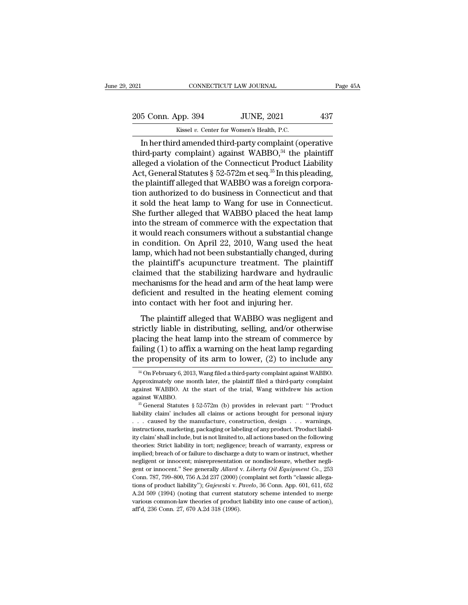CONNECTICUT LAW JOURNAL Page 45A<br>
5 Conn. App. 394 JUNE, 2021 437<br>
Kissel v. Center for Women's Health, P.C.<br>
In her third amended third-party complaint (operative<br>
ird-party complaint) against WABBO,<sup>34</sup> the plaintiff 205 Conn. App. 394 JUNE, 2021 437<br>Kissel v. Center for Women's Health, P.C.<br>In her third amended third-party complaint (operative<br>third-party complaint) against WABBO,<sup>34</sup> the plaintiff<br>alleged a violation of the Connecti 205 Conn. App. 394 JUNE, 2021 437<br>
Kissel v. Center for Women's Health, P.C.<br>
In her third amended third-party complaint (operative<br>
third-party complaint) against WABBO,<sup>34</sup> the plaintiff<br>
alleged a violation of the Conn 205 Conn. App. 394 JUNE, 2021 437<br>
Kissel v. Center for Women's Health, P.C.<br>
In her third amended third-party complaint (operative<br>
third-party complaint) against WABBO,<sup>34</sup> the plaintiff<br>
alleged a violation of the Conn Kissel v. Center for Women's Health, P.C.<br>
In her third amended third-party complaint (operative<br>
third-party complaint) against WABBO,<sup>34</sup> the plaintiff<br>
alleged a violation of the Connecticut Product Liability<br>
Act, Gene Kissel v. Center for Women's Health, P.C.<br>
In her third amended third-party complaint (operative<br>
third-party complaint) against WABBO,<sup>34</sup> the plaintiff<br>
alleged a violation of the Connecticut Product Liability<br>
Act, Gen In her third amended third-party complaint (operative<br>third-party complaint) against WABBO,<sup>34</sup> the plaintiff<br>alleged a violation of the Connecticut Product Liability<br>Act, General Statutes § 52-572m et seq.<sup>35</sup> In this ple third-party complaint) against WABBO,<sup>34</sup> the plaintiff<br>alleged a violation of the Connecticut Product Liability<br>Act, General Statutes § 52-572m et seq.<sup>35</sup> In this pleading,<br>the plaintiff alleged that WABBO was a foreign alleged a violation of the Connecticut Product Liability<br>Act, General Statutes § 52-572m et seq.<sup>35</sup> In this pleading,<br>the plaintiff alleged that WABBO was a foreign corpora-<br>tion authorized to do business in Connecticut a Act, General Statutes § 52-572m et seq.<sup>35</sup> In this pleading,<br>the plaintiff alleged that WABBO was a foreign corpora-<br>tion authorized to do business in Connecticut and that<br>it sold the heat lamp to Wang for use in Connecti the plaintiff alleged that WABBO was a foreign corporation authorized to do business in Connecticut and that<br>it sold the heat lamp to Wang for use in Connecticut.<br>She further alleged that WABBO placed the heat lamp<br>into th tion authorized to do business in Connecticut and that<br>it sold the heat lamp to Wang for use in Connecticut.<br>She further alleged that WABBO placed the heat lamp<br>into the stream of commerce with the expectation that<br>it woul it sold the heat lamp to Wang for use in Connecticut.<br>She further alleged that WABBO placed the heat lamp<br>into the stream of commerce with the expectation that<br>it would reach consumers without a substantial change<br>in condi She further alleged that WABBO placed the heat lamp<br>into the stream of commerce with the expectation that<br>it would reach consumers without a substantial change<br>in condition. On April 22, 2010, Wang used the heat<br>lamp, whic into the stream of commerce with the expectation that<br>it would reach consumers without a substantial change<br>in condition. On April 22, 2010, Wang used the heat<br>lamp, which had not been substantially changed, during<br>the pla it would reach consumers without a substantial change<br>in condition. On April 22, 2010, Wang used the heat<br>lamp, which had not been substantially changed, during<br>the plaintiff's acupuncture treatment. The plaintiff<br>claimed in condition. On April 22, 2010, Wang used the<br>lamp, which had not been substantially changed, c<br>the plaintiff's acupuncture treatment. The pla<br>claimed that the stabilizing hardware and hyd<br>mechanisms for the head and arm rep, when had not been substanting enlarged, daring<br>the plaintiff's acupuncture treatment. The plaintiff<br>aimed that the stabilizing hardware and hydraulic<br>echanisms for the head and arm of the heat lamp were<br>ficient and re strictly liable in distributing hardware and hydraulic<br>mechanisms for the head and arm of the heat lamp were<br>deficient and resulted in the heating element coming<br>into contact with her foot and injuring her.<br>The plaintiff a

mechanisms for the head and arm of the heat lamp were<br>deficient and resulted in the heating element coming<br>into contact with her foot and injuring her.<br>The plaintiff alleged that WABBO was negligent and<br>strictly liable in factorianally for the heat and anti-order heat lamp were<br>deficient and resulted in the heating element coming<br>into contact with her foot and injuring her.<br>The plaintiff alleged that WABBO was negligent and<br>strictly liable into contact with her foot and injuring her.<br>The plaintiff alleged that WABBO was negligent and<br>strictly liable in distributing, selling, and/or otherwise<br>placing the heat lamp into the stream of commerce by<br>failing (1) t Frictly hable in distributing, selling, and/or otherwise<br>lacing the heat lamp into the stream of commerce by<br>illing (1) to affix a warning on the heat lamp regarding<br>the propensity of its arm to lower, (2) to include any<br>placing the heat lamp into the stream of commerce by failing (1) to affix a warning on the heat lamp regarding the propensity of its arm to lower, (2) to include any  $\frac{34 \text{ On February 6, 2013, Wang filed a third-party complaint against WABBO.}$  Approximately one mon

failing (1) to affix a warning on the heat lamp regarding<br>the propensity of its arm to lower, (2) to include any<br> $\frac{1}{4}$  On February 6, 2013, Wang filed a third-party complaint against WABBO.<br>Approximately one month lat the propensity of its arm to lower, (2) to include any<br>
<sup>34</sup> On February 6, 2013, Wang filed a third-party complaint against WABBO.<br>
Approximately one month later, the plaintiff filed a third-party complaint<br>
against WABB <sup>34</sup> On February 6, 2013, Wang filed a third-party complaint against WABBO.<br>Approximately one month later, the plaintiff filed a third-party complaint against WABBO. At the start of the trial, Wang withdrew his action aga

Approximately one month later, the plaintiff filed a third-party complaint against WABBO. At the start of the trial, Wang withdrew his action against WABBO. At the start of the trial, Wang withdrew his action against WABB Approximately one month later, the plaintiff filed a third-party complaint against WABBO. At the start of the trial, Wang with<br>drew his action against WABBO. <br><sup>35</sup> General Statutes § 52-572m (b) provides in relevant part: against WABBO.<br>
<sup>36</sup> General Statutes § 52-572m (b) provides in relevant part: "Product liability claim' includes all claims or actions brought for personal injury ... caused by the manufacture, construction, design ... w <sup>16</sup> General Statutes § 52-572m (b) provides in relevant part: "Product liability claim' includes all claims or actions brought for personal injury . . . caused by the manufacture, construction, design . . . warnings, ins liability claim' includes all claims or actions brought for personal injury<br>
... caused by the manufacture, construction, design ... warnings,<br>
instructions, marketing, packaging or labeling of any product. Product liabilnegligent or innocent; misrepresentation or nondisclosure, whether negligent or innocent; misrepresentation, design  $\ldots$  warnings, instructions, marketing, packaging or labeling of any product. 'Product liability claim' instructions, marketing, packaging or labeling of any product. 'Product liability claim' shall include, but is not limited to, all actions based on the following theories: Strict liability in tort; negligence; breach of wa First claim' shall include, but is not limited to, all actions based on the following theories: Strict liability in tort; negligence; breach of warranty, express or implied; breach of or failure to discharge a duty to war theories: Strict liability in tort; negligence; breach of warranty, express or implied; breach of or failure to discharge a duty to warn or instruct, whether negligent or innocent; misrepresentation or nondisclosure, wheth implied; breach of or failure to discharge a duty to warn or instruct, whether negligent or innocent; misrepresentation or nondisclosure, whether negligent or innocent." See generally *Allard v. Liberty Oil Equipment Co.*, implied; breach of or failure to discharge a duty to warn or instruct, whether negligent or innocent." See generally *Allard* v. *Liberty Oil Equipment Co.*, 253 Conn. 787, 799–800, 756 A.2d 237 (2000) (complaint set fort gent or innocent." See generally Allard v. Liberty Oil Equipment Co., 253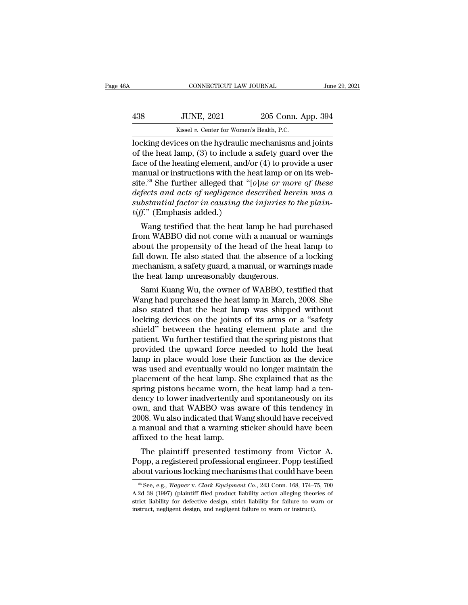|                   |                    | June 29, 2021                                                        |
|-------------------|--------------------|----------------------------------------------------------------------|
| <b>JUNE, 2021</b> | 205 Conn. App. 394 |                                                                      |
|                   |                    |                                                                      |
|                   |                    | CONNECTICUT LAW JOURNAL<br>Kissel v. Center for Women's Health, P.C. |

CONNECTICUT LAW JOURNAL June 29, 2021<br>
438 JUNE, 2021 205 Conn. App. 394<br>
Kissel v. Center for Women's Health, P.C.<br>
locking devices on the hydraulic mechanisms and joints<br>
of the heat lamp, (3) to include a safety guard 138 JUNE, 2021 205 Conn. App. 394<br>
Kissel v. Center for Women's Health, P.C.<br>
locking devices on the hydraulic mechanisms and joints<br>
of the heat lamp, (3) to include a safety guard over the<br>
face of the heating element, a 438 JUNE, 2021 205 Conn. App. 394<br>
Kissel v. Center for Women's Health, P.C.<br>
locking devices on the hydraulic mechanisms and joints<br>
of the heat lamp, (3) to include a safety guard over the<br>
face of the heating element, 438 JUNE, 2021 205 Conn. App. 394<br>Kissel v. Center for Women's Health, P.C.<br>locking devices on the hydraulic mechanisms and joints<br>of the heat lamp, (3) to include a safety guard over the<br>face of the heating element, and/ kissel v. Center for Women's Health, P.C.<br>locking devices on the hydraulic mechanisms and joints<br>of the heat lamp, (3) to include a safety guard over the<br>face of the heating element, and/or (4) to provide a user<br>manual or *Kissel v. Center for Women's Health, P.C.*<br>
locking devices on the hydraulic mechanisms and joints<br>
of the heat lamp, (3) to include a safety guard over the<br>
face of the heating element, and/or (4) to provide a user<br>
manu locking devices on the hydraulic mechanisms and joints<br>of the heat lamp, (3) to include a safety guard over the<br>face of the heating element, and/or (4) to provide a user<br>manual or instructions with the heat lamp or on its of the heat lamp, (3) to include a<br>face of the heating element, and/<br>manual or instructions with the h<br>site.<sup>36</sup> She further alleged that "<br>defects and acts of negligence d<br>substantial factor in causing the<br>tiff." (Emphasi ce of the heating element, and/or (4) to provide a user<br>anual or instructions with the heat lamp or on its web-<br>e.<sup>36</sup> She further alleged that "[o]*ne or more of these*<br>fects and acts of negligence described herein was a from WABBO did not come with the absonce of a locking<br>from WABBO did not come with a manual or warm and substantial factor in causing the injuries to the plain-<br>tiff." (Emphasis added.)<br>Wang testified that the heat lamp h

she." She further aneged that "forme" or more of these<br>defects and acts of negligence described herein was a<br>substantial factor in causing the injuries to the plain-<br>tiff." (Emphasis added.)<br>Wang testified that the heat la defects and acts of negligence described herein was a<br>substantial factor in causing the injuries to the plain-<br>tiff." (Emphasis added.)<br>Wang testified that the heat lamp he had purchased<br>from WABBO did not come with a manu substantial jactor in causing the injuries to the platn-<br>tiff." (Emphasis added.)<br>Wang testified that the heat lamp he had purchased<br>from WABBO did not come with a manual or warnings<br>about the propensity of the head of the  $\iota_{ij}$ . (Emphasis added.)<br>Wang testified that the heat lamp he had p<br>from WABBO did not come with a manual or<br>about the propensity of the head of the hea<br>fall down. He also stated that the absence of<br>mechanism, a safety wang testified that the heat lamp he had purchased<br>om WABBO did not come with a manual or warnings<br>out the propensity of the head of the heat lamp to<br>ll down. He also stated that the absence of a locking<br>echanism, a safety Tront WABBO did not come with a manual or warnings<br>about the propensity of the head of the heat lamp to<br>fall down. He also stated that the absence of a locking<br>mechanism, a safety guard, a manual, or warnings made<br>the heat

about the propensity of the heat of the heat lamp to<br>fall down. He also stated that the absence of a locking<br>mechanism, a safety guard, a manual, or warnings made<br>the heat lamp unreasonably dangerous.<br>Sami Kuang Wu, the ow rain down. He also stated that the absence of a locking<br>mechanism, a safety guard, a manual, or warnings made<br>the heat lamp unreasonably dangerous.<br>Sami Kuang Wu, the owner of WABBO, testified that<br>Wang had purchased the h mechanism, a safety guard, a manual, or warnings made<br>the heat lamp unreasonably dangerous.<br>Sami Kuang Wu, the owner of WABBO, testified that<br>Wang had purchased the heat lamp in March, 2008. She<br>also stated that the heat l the neat lamp unreasonably dangerous.<br>
Sami Kuang Wu, the owner of WABBO, testified that<br>
Wang had purchased the heat lamp in March, 2008. She<br>
also stated that the heat lamp was shipped without<br>
locking devices on the joi Sami Kuang Wu, the owner of WABBO, testified that<br>Wang had purchased the heat lamp in March, 2008. She<br>also stated that the heat lamp was shipped without<br>locking devices on the joints of its arms or a "safety<br>shield" betwe Wang had purchased the heat lamp in March, 2008. She<br>also stated that the heat lamp was shipped without<br>locking devices on the joints of its arms or a "safety<br>shield" between the heating element plate and the<br>patient. Wu f also stated that the heat lamp was shipped without<br>locking devices on the joints of its arms or a "safety<br>shield" between the heating element plate and the<br>patient. Wu further testified that the spring pistons that<br>provide locking devices on the joints of its arms or a "safety<br>shield" between the heating element plate and the<br>patient. Wu further testified that the spring pistons that<br>provided the upward force needed to hold the heat<br>lamp in shield" between the heating element plate and the patient. Wu further testified that the spring pistons that provided the upward force needed to hold the heat lamp in place would lose their function as the device was used patient. Wu further testified that the spring pistons that<br>provided the upward force needed to hold the heat<br>lamp in place would lose their function as the device<br>was used and eventually would no longer maintain the<br>placem provided the upward force needed to hold the heat<br>lamp in place would lose their function as the device<br>was used and eventually would no longer maintain the<br>placement of the heat lamp. She explained that as the<br>spring pist lamp in place would lose their function as the device<br>was used and eventually would no longer maintain the<br>placement of the heat lamp. She explained that as the<br>spring pistons became worn, the heat lamp had a ten-<br>dency to was used and eventually would no longer maintain the<br>placement of the heat lamp. She explained that as the<br>spring pistons became worn, the heat lamp had a ten-<br>dency to lower inadvertently and spontaneously on its<br>own, and placement of the heat lamp. S<br>spring pistons became worn, t<br>dency to lower inadvertently  $\varepsilon$ <br>own, and that WABBO was a<br>2008. Wu also indicated that W;<br>a manual and that a warning s<br>affixed to the heat lamp.<br>The plaintiff ring pistons became worn, the neat lamp had a ten-<br>ncy to lower inadvertently and spontaneously on its<br>vn, and that WABBO was aware of this tendency in<br>08. Wu also indicated that Wang should have received<br>manual and that a dency to lower madvertently and spontaneously on its<br>own, and that WABBO was aware of this tendency in<br>2008. Wu also indicated that Wang should have received<br>a manual and that a warning sticker should have been<br>affixed to bown, and that WABBO was aware of this tendency in 2008. Wu also indicated that Wang should have received a manual and that a warning sticker should have been affixed to the heat lamp.<br>The plaintiff presented testimony fro

The plaintiff presented testimony from Victor A.<br>opp, a registered professional engineer. Popp testified<br>pout various locking mechanisms that could have been<br><sup>36</sup> See, e.g., *Wagner* v. *Clark Equipment Co.*, 243 Conn. 168 A.2d 38 (1997) (plaintiff filed product liability action alleging theories of

strict liability for defective design, strict liability for failure to warn or about various locking mechanisms that could have been<br>  $*$  See, e.g., *Wagner v. Clark Equipment Co.*, 243 Conn. 168, 174–75, 700<br>
A.2d 38 (1997) (plaintiff filed product liability action alleging theories of<br>
strict liab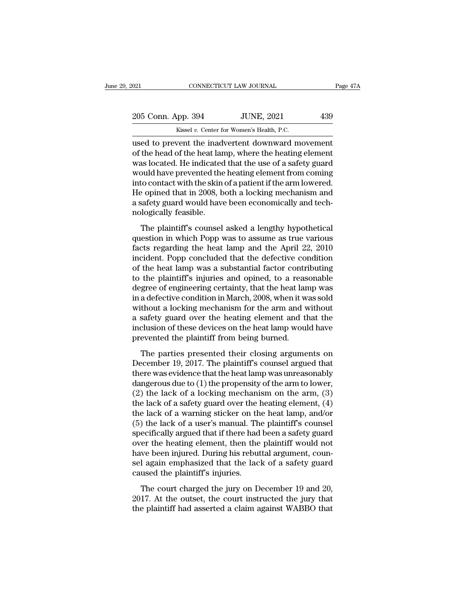| 2021               | CONNECTICUT LAW JOURNAL                   | Page 47A |
|--------------------|-------------------------------------------|----------|
|                    |                                           |          |
| 205 Conn. App. 394 | <b>JUNE, 2021</b>                         | 439      |
|                    | Kissel v. Center for Women's Health, P.C. |          |

 $\frac{1}{2021}$  CONNECTICUT LAW JOURNAL Page 471<br>  $\frac{205}{205}$  Conn. App. 394 JUNE, 2021 439<br>
Kissel v. Center for Women's Health, P.C.<br>
used to prevent the inadvertent downward movement<br>
of the head of the heat lamp, where 205 Conn. App. 394 JUNE, 2021 439<br>Kissel v. Center for Women's Health, P.C.<br>used to prevent the inadvertent downward movement<br>of the head of the heat lamp, where the heating element<br>was located. He indicated that the use o  $\frac{205 \text{ Conn. App. 394}}{\text{Kissel } v. \text{ Center for Women's Health, P.C.}}$ <br>used to prevent the inadvertent downward movement of the head of the heat lamp, where the heating element was located. He indicated that the use of a safety guard would have prev  $\frac{205 \text{ Conn. App. 394}}{\text{Kissel } v. \text{ Center for Women's Health, P.C.}}$ <br>used to prevent the inadvertent downward movement<br>of the head of the heat lamp, where the heating element<br>was located. He indicated that the use of a safety guard<br>would have prev Kissel v. Center for Women's Health, P.C.<br>
used to prevent the inadvertent downward movement<br>
of the head of the heat lamp, where the heating element<br>
was located. He indicated that the use of a safety guard<br>
would have pr Kissel v. Center for Women's Health, P.C.<br>
used to prevent the inadvertent downward movement<br>
of the head of the heat lamp, where the heating element<br>
was located. He indicated that the use of a safety guard<br>
would have pr used to prevent the inadvertent downward movement<br>of the head of the heat lamp, where the heating element<br>was located. He indicated that the use of a safety guard<br>would have prevented the heating element from coming<br>into c of the head of the heat lar<br>was located. He indicated<br>would have prevented the<br>into contact with the skin<br>He opined that in 2008, b<br>a safety guard would have<br>nologically feasible.<br>The plaintiff's counsel as located. The indicated that the use of a safety guard<br>build have prevented the heating element from coming<br>to contact with the skin of a patient if the arm lowered.<br>a poined that in 2008, both a locking mechanism and<br>af moto contact with the skin of a patient if the arm lowered.<br>He opined that in 2008, both a locking mechanism and<br>a safety guard would have been economically and tech-<br>nologically feasible.<br>The plaintiff's counsel asked a l

factor and the same of a pattern if the arm fowered.<br>He opined that in 2008, both a locking mechanism and<br>a safety guard would have been economically and tech-<br>nologically feasible.<br>The plaintiff's counsel asked a lengthy Incident would have been economically and tech-<br>nologically feasible.<br>The plaintiff's counsel asked a lengthy hypothetical<br>question in which Popp was to assume as true various<br>facts regarding the heat lamp and the April 22 nologically feasible.<br>
The plaintiff's counsel asked a lengthy hypothetical<br>
question in which Popp was to assume as true various<br>
facts regarding the heat lamp and the April 22, 2010<br>
incident. Popp concluded that the def The plaintiff's counsel asked a lengthy hypothetical<br>question in which Popp was to assume as true various<br>facts regarding the heat lamp and the April 22, 2010<br>incident. Popp concluded that the defective condition<br>of the he The plaintiff's counsel asked a lengthy hypothetical<br>question in which Popp was to assume as true various<br>facts regarding the heat lamp and the April 22, 2010<br>incident. Popp concluded that the defective condition<br>of the he question in which Popp was to assume as true various<br>facts regarding the heat lamp and the April 22, 2010<br>incident. Popp concluded that the defective condition<br>of the heat lamp was a substantial factor contributing<br>to the facts regarding the heat lamp and the April 22, 2010<br>incident. Popp concluded that the defective condition<br>of the heat lamp was a substantial factor contributing<br>to the plaintiff's injuries and opined, to a reasonable<br>degr incident. Popp concluded that the defective condition<br>of the heat lamp was a substantial factor contributing<br>to the plaintiff's injuries and opined, to a reasonable<br>degree of engineering certainty, that the heat lamp was<br>i of the heat lamp was a substantial factor contributing<br>to the plaintiff's injuries and opined, to a reasonable<br>degree of engineering certainty, that the heat lamp was<br>in a defective condition in March, 2008, when it was so to the plaintiff's injuries and opined, to a reas<br>degree of engineering certainty, that the heat lan<br>in a defective condition in March, 2008, when it w<br>without a locking mechanism for the arm and v<br>a safety guard over the a defective condition in March, 2008, when it was sold<br>thout a locking mechanism for the arm and without<br>safety guard over the heating element and that the<br>clusion of these devices on the heat lamp would have<br>evented the p ma decedro conduction in mater, 2000, when it was sold<br>without a locking mechanism for the arm and without<br>a safety guard over the heating element and that the<br>inclusion of these devices on the heat lamp would have<br>prevent

a safety guard over the heating element and that the<br>inclusion of these devices on the heat lamp would have<br>prevented the plaintiff from being burned.<br>The parties presented their closing arguments on<br>December 19, 2017. Th inclusion of these devices on the heat lamp would have<br>prevented the plaintiff from being burned.<br>The parties presented their closing arguments on<br>December 19, 2017. The plaintiff's counsel argued that<br>there was evidence measured the plaintiff from being burned.<br>The parties presented their closing arguments on<br>December 19, 2017. The plaintiff's counsel argued that<br>there was evidence that the heat lamp was unreasonably<br>dangerous due to (1) The parties presented their closing arguments on<br>December 19, 2017. The plaintiff's counsel argued that<br>there was evidence that the heat lamp was unreasonably<br>dangerous due to (1) the propensity of the arm to lower,<br>(2) t The parties presented their closing arguments on<br>December 19, 2017. The plaintiff's counsel argued that<br>there was evidence that the heat lamp was unreasonably<br>dangerous due to (1) the propensity of the arm to lower,<br>(2) th December 19, 2017. The plaintiff's counsel argued that<br>there was evidence that the heat lamp was unreasonably<br>dangerous due to (1) the propensity of the arm to lower,<br>(2) the lack of a locking mechanism on the arm, (3)<br>the there was evidence that the heat lamp was unreasonably<br>dangerous due to (1) the propensity of the arm to lower,<br>(2) the lack of a locking mechanism on the arm, (3)<br>the lack of a safety guard over the heating element, (4)<br>t dangerous due to  $(1)$  the propensity of the arm to lower,<br>  $(2)$  the lack of a locking mechanism on the arm,  $(3)$ <br>
the lack of a safety guard over the heating element,  $(4)$ <br>
the lack of a warning sticker on the heat la (2) the lack of a locking mechanism on the arm, (3) the lack of a safety guard over the heating element, (4) the lack of a warning sticker on the heat lamp, and/or (5) the lack of a user's manual. The plaintiff's counsel the lack of a safety guard over the heating element, (4)<br>the lack of a warning sticker on the heat lamp, and/or<br>(5) the lack of a user's manual. The plaintiff's counsel<br>specifically argued that if there had been a safety g the lack of a warning sticker on th<br>(5) the lack of a user's manual. Th<br>specifically argued that if there had<br>over the heating element, then the<br>have been injured. During his rebut<br>sel again emphasized that the lac<br>caused The court charged that if there had been a safety guard<br>ecifically argued that if there had been a safety guard<br>er the heating element, then the plaintiff would not<br>we been injured. During his rebuttal argument, coun-<br>lag by experimently argued and a linear hadden a sect a safety guard<br>over the heating element, then the plaintiff would not<br>have been injured. During his rebuttal argument, coun-<br>sel again emphasized that the lack of a safety bave been injured. During his rebuttal argument, counsel again emphasized that the lack of a safety guard caused the plaintiff's injuries.<br>The court charged the jury on December 19 and 20, 2017. At the outset, the court in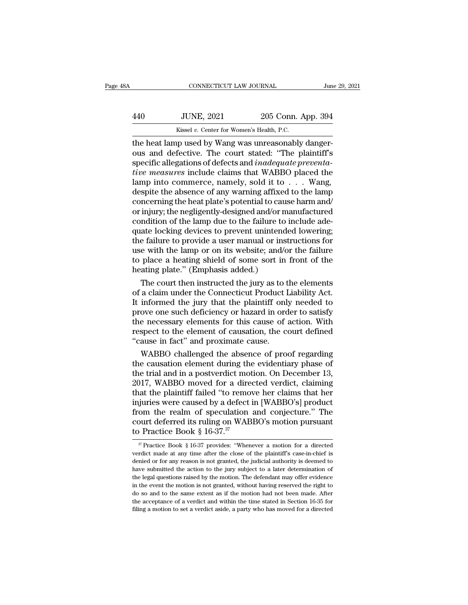|                   |                    | June 29, 2021                                                                                                               |
|-------------------|--------------------|-----------------------------------------------------------------------------------------------------------------------------|
| <b>JUNE, 2021</b> | 205 Conn. App. 394 |                                                                                                                             |
|                   |                    |                                                                                                                             |
|                   |                    | CONNECTICUT LAW JOURNAL<br>Kissel v. Center for Women's Health, P.C.<br>the heat lamn used by Wang was unreasonably danger- |

CONNECTICUT LAW JOURNAL<br>
1994<br>
1994 - Kissel v. Center for Women's Health, P.C.<br>
1994 - Kissel v. Center for Women's Health, P.C.<br>
1994 - The heat lamp used by Wang was unreasonably danger-<br>
1995 - The court stated: "The p 440 JUNE, 2021 205 Conn. App. 394<br>Kissel v. Center for Women's Health, P.C.<br>the heat lamp used by Wang was unreasonably danger-<br>ous and defective. The court stated: "The plaintiff's<br>specific allegations of defects and *ina* Specific allegations of defective and *indequate preventa-*<br>
specific allegations of defects and *inadequate preventa-*<br>
specific allegations of defects and *inadequate preventa-*<br>
specific allegations of defects and *inad tive measures* include the absence of any warning affixed to the lamp density density damagerous and defective. The court stated: "The plaintiff's specific allegations of defects and *inadequate preventative measures* inc Kissel v. Center for Women's Health, P.C.<br>
the heat lamp used by Wang was unreasonably danger-<br>
ous and defective. The court stated: "The plaintiff's<br>
specific allegations of defects and *inadequate preventa-*<br>
tive measur Kissel v. Center for Women's Health, P.C.<br>the heat lamp used by Wang was unreasonably danger-<br>ous and defective. The court stated: "The plaintiff's<br>specific allegations of defects and *inadequate preventa-<br>tive measures* the heat lamp used by Wang was unreasonably danger-<br>ous and defective. The court stated: "The plaintiff's<br>specific allegations of defects and *inadequate preventa-*<br>tive measures include claims that WABBO placed the<br>lamp i ous and defective. The court stated: "The plaintiff's<br>specific allegations of defects and *inadequate preventa-<br>tive measures* include claims that WABBO placed the<br>lamp into commerce, namely, sold it to . . . Wang,<br>despite specific allegations of defects and *inadequate preventa-<br>tive measures* include claims that WABBO placed the<br>lamp into commerce, namely, sold it to  $\dots$  Wang,<br>despite the absence of any warning affixed to the lamp<br>concer tive measures include claims that WABBO placed the<br>lamp into commerce, namely, sold it to  $\dots$  Wang,<br>despite the absence of any warning affixed to the lamp<br>concerning the heat plate's potential to cause harm and/<br>or injur lamp into commerce, namely, sold it to . . . Wang,<br>despite the absence of any warning affixed to the lamp<br>concerning the heat plate's potential to cause harm and/<br>or injury; the negligently-designed and/or manufactured<br>con despite the absence of any warning affixed to the lamp<br>concerning the heat plate's potential to cause harm and/<br>or injury; the negligently-designed and/or manufactured<br>condition of the lamp due to the failure to include ad concerning the heat plate's potential to cause harm and/<br>or injury; the negligently-designed and/or manufactured<br>condition of the lamp due to the failure to include ade-<br>quate locking devices to prevent unintended lowering or injury; the negligently-designed and/or m<br>condition of the lamp due to the failure to<br>quate locking devices to prevent unintend<br>the failure to provide a user manual or ins<br>use with the lamp or on its website; and/c<br>to p ndition of the lamp due to the failure to include ade-<br>ate locking devices to prevent unintended lowering;<br>e failure to provide a user manual or instructions for<br>e with the lamp or on its website; and/or the failure<br>place quate locking devices to prevent unintended lowering;<br>the failure to provide a user manual or instructions for<br>use with the lamp or on its website; and/or the failure<br>to place a heating shield of some sort in front of the<br>

the failure to provide a user manual or instructions for<br>use with the lamp or on its website; and/or the failure<br>to place a heating shield of some sort in front of the<br>heating plate." (Emphasis added.)<br>The court then instr use with the lamp or on its website; and/or the failure<br>to place a heating shield of some sort in front of the<br>heating plate." (Emphasis added.)<br>The court then instructed the jury as to the elements<br>of a claim under the Co to place a heating shield of some sort in front of the<br>heating plate." (Emphasis added.)<br>The court then instructed the jury as to the elements<br>of a claim under the Connecticut Product Liability Act.<br>It informed the jury th heating plate." (Emphasis added.)<br>The court then instructed the jury as to the elements<br>of a claim under the Connecticut Product Liability Act.<br>It informed the jury that the plaintiff only needed to<br>prove one such deficien The court then instructed the jury as to to f a claim under the Connecticut Product I<br>It informed the jury that the plaintiff only<br>prove one such deficiency or hazard in ord<br>the necessary elements for this cause of a<br>respe a claim under the Connecticut Product Liability Act.<br>informed the jury that the plaintiff only needed to<br>ove one such deficiency or hazard in order to satisfy<br>e necessary elements for this cause of action. With<br>spect to th It informed the jury that the plaintiff only needed to<br>prove one such deficiency or hazard in order to satisfy<br>the necessary elements for this cause of action. With<br>respect to the element of causation, the court defined<br>"c

prove one such deficiency or hazard in order to satisfy<br>the necessary elements for this cause of action. With<br>respect to the element of causation, the court defined<br>"cause in fact" and proximate cause.<br>WABBO challenged the the necessary elements for this cause of action. With<br>respect to the element of causation, the court defined<br>"cause in fact" and proximate cause.<br>WABBO challenged the absence of proof regarding<br>the causation element during respect to the element of causation, the court defined<br>
"cause in fact" and proximate cause.<br>
WABBO challenged the absence of proof regarding<br>
the causation element during the evidentiary phase of<br>
the trial and in a postv "cause in fact" and proximate cause.<br>
WABBO challenged the absence of proof regarding<br>
the causation element during the evidentiary phase of<br>
the trial and in a postverdict motion. On December 13,<br>
2017, WABBO moved for a WABBO challenged the absence of proof regarding<br>the causation element during the evidentiary phase of<br>the trial and in a postverdict motion. On December 13,<br>2017, WABBO moved for a directed verdict, claiming<br>that the plai the causation element during the evidentiary phase of<br>the trial and in a postverdict motion. On December 13,<br>2017, WABBO moved for a directed verdict, claiming<br>that the plaintiff failed "to remove her claims that her<br>inju the trial and in a postverdict mot 2017, WABBO moved for a direct<br>that the plaintiff failed "to removinjuries were caused by a defect if<br>from the realm of speculation<br>court deferred its ruling on WAB<br>to Practice Book § 16 given the realm of speculation and conjecture." The point deferred its ruling on WABBO's motion pursuant Practice Book § 16-37.<sup>37</sup><br>Practice Book § 16-37.<sup>37</sup><br><sup>37</sup> Practice Book § 16-37 provides: "Whenever a motion for a from the realm of speculation and conjecture." The<br>court deferred its ruling on WABBO's motion pursuant<br>to Practice Book § 16-37.<sup>37</sup><br> $\frac{\pi}{\pi}$  Practice Book § 16-37 provides: "Whenever a motion for a directed<br>verdict ma

court deferred its ruling on WABBO's motion pursuant<br>to Practice Book § 16-37.<sup>37</sup><br> $\frac{37}{7}$  Practice Book § 16-37 provides: "Whenever a motion for a directed<br>verdict made at any time after the close of the plaintiff's c to Practice Book § 16-37.<sup>37</sup><br>
<sup>37</sup> Practice Book § 16-37 provides: "Whenever a motion for a directed<br>
verdict made at any time after the close of the plaintiff's case-in-chief is<br>
denied or for any reason is not granted, to **Fractice Book § 10-37.**<br>
<sup>37</sup> Practice Book § 16-37 provides: "Whenever a motion for a directed verdict made at any time after the close of the plaintiff's case-in-chief is denied or for any reason is not granted, the <sup>37</sup> Practice Book § 16-37 provides: "Whenever a motion for a directed verdict made at any time after the close of the plaintiff's case-in-chief is denied or for any reason is not granted, the judicial authority is deemed verdict made at any time after the close of the plaintiff's case-in-chief is denied or for any reason is not granted, the judicial authority is deemed to have submitted the action to the jury subject to a later determinat denied or for any reason is not granted, the judicial authority is deemed to have submitted the action to the jury subject to a later determination of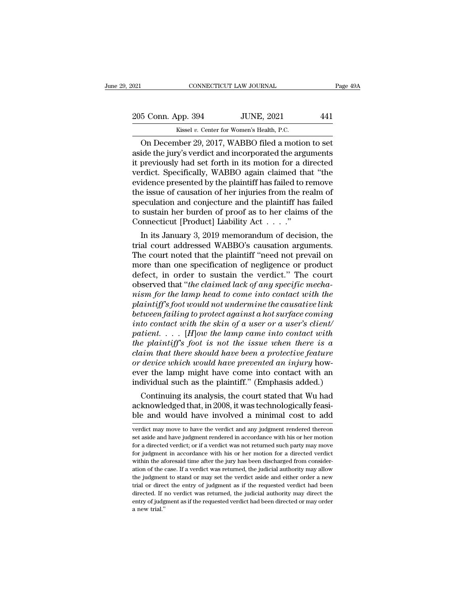EXECUTE DAN JOURNAL Page 49A<br>
205 Conn. App. 394 JUNE, 2021 441<br>
Kissel v. Center for Women's Health, P.C.

EXECUTE THE SOURNAL CONNECTICUT LAW JOURNAL<br>
205 Conn. App. 394 JUNE, 2021 441<br>
Kissel *v.* Center for Women's Health, P.C.<br>
On December 29, 2017, WABBO filed a motion to set CONNECTICUT LAW JOURNAL Page  $49/$ <br>
5 Conn. App. 394 JUNE, 2021 441<br>
Kissel v. Center for Women's Health, P.C.<br>
On December 29, 2017, WABBO filed a motion to set<br>
ide the jury's verdict and incorporated the arguments<br>
pro 205 Conn. App. 394 JUNE, 2021 441<br>
Kissel v. Center for Women's Health, P.C.<br>
On December 29, 2017, WABBO filed a motion to set<br>
aside the jury's verdict and incorporated the arguments<br>
it previously had set forth in its m 205 Conn. App. 394 JUNE, 2021 441<br>
Kissel v. Center for Women's Health, P.C.<br>
On December 29, 2017, WABBO filed a motion to set<br>
aside the jury's verdict and incorporated the arguments<br>
it previously had set forth in its 205 Conn. App. 394 JUNE, 2021 441<br>
Kissel v. Center for Women's Health, P.C.<br>
On December 29, 2017, WABBO filed a motion to set<br>
aside the jury's verdict and incorporated the arguments<br>
it previously had set forth in its Eventually by the plaintiff has failed<br>
Service presented by the planet presented the planet and incorporated the arguments<br>
it previously had set forth in its motion for a directed<br>
verdict. Specifically, WABBO again cla Kissel v. Center for Women's Health, P.C.<br>
On December 29, 2017, WABBO filed a motion to set<br>
aside the jury's verdict and incorporated the arguments<br>
it previously had set forth in its motion for a directed<br>
verdict. Spec On December 29, 2017, WABBO filed a motion to set<br>aside the jury's verdict and incorporated the arguments<br>it previously had set forth in its motion for a directed<br>verdict. Specifically, WABBO again claimed that "the<br>evide aside the jury's verdict and incorporated the arguments<br>it previously had set forth in its motion for a directed<br>verdict. Specifically, WABBO again claimed that "the<br>evidence presented by the plaintiff has failed to remov it previously had set forth in its motion for a d<br>verdict. Specifically, WABBO again claimed the<br>evidence presented by the plaintiff has failed to r<br>the issue of causation of her injuries from the re<br>speculation and conjec ratet. Specifically, WABBO again claimed that the<br>idence presented by the plaintiff has failed to remove<br>e issue of causation of her injuries from the realm of<br>eculation and conjecture and the plaintiff has failed<br>sustain evidence presented by the plaintiff has failed to remove<br>the issue of causation of her injuries from the realm of<br>speculation and conjecture and the plaintiff has failed<br>to sustain her burden of proof as to her claims of t

the issue of causation of her injuries from the realm of<br>speculation and conjecture and the plaintiff has failed<br>to sustain her burden of proof as to her claims of the<br>Connecticut [Product] Liability Act . . . . "<br>In its J speculation and conjecture and the plaintiff has failed<br>to sustain her burden of proof as to her claims of the<br>Connecticut [Product] Liability Act  $\dots$ ."<br>In its January 3, 2019 memorandum of decision, the<br>trial court addr to sustain her burden of proof as to her claims of the<br>Connecticut [Product] Liability Act  $\dots$ ."<br>In its January 3, 2019 memorandum of decision, the<br>trial court addressed WABBO's causation arguments.<br>The court noted that Connecticut [Product] Liability Act . . . . .<br>In its January 3, 2019 memorandum of decision, the<br>trial court addressed WABBO's causation arguments.<br>The court noted that the plaintiff "need not prevail on<br>more than one spec In its January 3, 2019 memorandum of decision, the<br>trial court addressed WABBO's causation arguments.<br>The court noted that the plaintiff "need not prevail on<br>more than one specification of negligence or product<br>defect, in *plainting trial court addressed WABBO's causation arguments.*<br> *Place court noted that the plaintiff "need not prevail on*<br> *more than one specification of negligence or product*<br> *defect, in order to sustain the verdict.* The court noted that the plaintiff "need not prevail on<br>more than one specification of negligence or product<br>defect, in order to sustain the verdict." The court<br>observed that "*the claimed lack of any specific mecha-*<br>*nis* more than one specification of negligence or product<br>defect, in order to sustain the verdict." The court<br>observed that "*the claimed lack of any specific mecha-*<br>*nism for the lamp head to come into contact with the*<br>plain defect, in order to sustain the verdict." The court<br>observed that "*the claimed lack of any specific mecha-*<br>*nism for the lamp head to come into contact with the*<br>plaintiff's foot would not undermine the causative link<br>be *the plaint of the claimed lack of any specific mechanism for the lamp head to come into contact with the plaintiff's foot would not undermine the causative link*<br>between failing to protect against a hot surface coming<br>int *claim for the lamp head to come into contact with the*<br>*plaintiff's foot would not undermine the causative link*<br>*between failing to protect against a hot surface coming*<br>*into contact with the skin of a user or a user's* plaintiff's foot would not undermine the causative link<br>between failing to protect against a hot surface coming<br>into contact with the skin of a user or a user's client/<br>patient. . . . [H]ow the lamp came into contact with<br> between failing to protect against a hot surface coming<br>into contact with the skin of a user or a user's client/<br>patient. . . . . [H]ow the lamp came into contact with<br>the plaintiff's foot is not the issue when there is a into contact with the skin of a user or a user's client/<br>patient.... [H]ow the lamp came into contact with<br>the plaintiff's foot is not the issue when there is a<br>claim that there should have been a protective feature<br>or de Then  $\ldots$  (H jow the tamp came into contact with<br>  $\ell$  plaintiff's foot is not the issue when there is a<br>
star in that there should have been a protective feature<br>
device which would have prevented an injury how-<br>
er the the plantity's joot is not the issue when there is a<br>claim that there should have been a protective feature<br>or device which would have prevented an injury how-<br>ever the lamp might have come into contact with an<br>individual claim that there should have been a protective jeature<br>or device which would have prevented an injury how-<br>ever the lamp might have come into contact with an<br>individual such as the plaintiff." (Emphasis added.)<br>Continuing

Franchular such as the plantini. (Emphasis added.)<br>Continuing its analysis, the court stated that Wu had<br>acknowledged that, in 2008, it was technologically feasi-<br>ble and would have involved a minimal cost to add<br>verdict m Continuing its analysis, the court stated that Wu had<br>acknowledged that, in 2008, it was technologically feasi-<br>ble and would have involved a minimal cost to add<br>verdict may move to have the verdict and any judgment render

acknowledged that, in 2008, it was technologically feasi-<br>ble and would have involved a minimal cost to add<br>verdict may move to have the verdict and any judgment rendered thereon<br>set aside and have judgment rendered in acc ble and would have involved a minimal cost to add<br>verdict may move to have the verdict and any judgment rendered thereon<br>set aside and have judgment rendered in accordance with his or her motion<br>for a directed verdict; or verdict may move to have the verdict and any judgment rendered thereon verdict may move to have the verdict and any judgment rendered thereon<br>set aside and have judgment rendered in accordance with his or her motion<br>for a directed verdict; or if a verdict was not returned such party may move<br> bet aside and have judgment rendered in accordance with his or her motion<br>for a directed verdict; or if a verdict was not returned such party may move<br>for judgment in accordance with his or her motion for a directed verdic For a directed verdict; or if a verdict was not returned such party may move<br>for a directed verdict; or if a verdict was not returned such party may move<br>for judgment in accordance with his or her motion for a directed ve for judgment in accordance with his or her motion for a directed verdict within the aforesaid time after the jury has been discharged from consideration of the case. If a verdict was returned, the judicial authority may a within the aforesaid time after the jury has been discharged from consideration of the case. If a verdict was returned, the judicial authority may allow the judgment to stand or may set the verdict aside and either order a the judgment to stand or may set the verdict aside and either order a new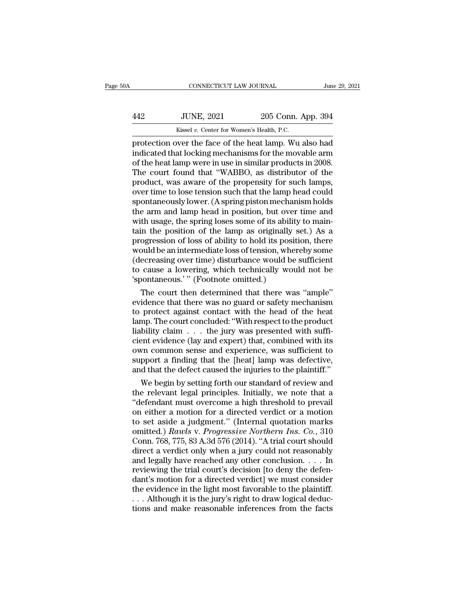|     | CONNECTICUT LAW JOURNAL                   |                    | June 29, 2021 |
|-----|-------------------------------------------|--------------------|---------------|
| 442 | <b>JUNE, 2021</b>                         | 205 Conn. App. 394 |               |
|     | Kissel v. Center for Women's Health, P.C. |                    |               |

FROM CONNECTICUT LAW JOURNAL June 29, 2021<br>
1999 JUNE, 2021 205 Conn. App. 394<br>
1999 Kissel v. Center for Women's Health, P.C.<br>
1999 Protection over the face of the heat lamp. Wu also had<br>
indicated that locking mechanisms IMME, 2021 205 Conn. App. 394<br>
IMME, 2021 205 Conn. App. 394<br>
Indicated that locking mechanisms for the movable arm<br>
Simulated that locking mechanisms for the movable arm<br>
of the heat lamp were in use in similar products i  $\frac{442}{442}$  JUNE, 2021 205 Conn. App. 394<br>  $\frac{442}{442}$  UNE, 2021 205 Conn. App. 394<br>
protection over the face of the heat lamp. Wu also had<br>
indicated that locking mechanisms for the movable arm<br>
of the heat lamp were  $\frac{442}{442}$  JUNE, 2021 205 Conn. App. 394<br>  $\frac{442}{442}$  Exissel v. Center for Women's Health, P.C.<br>
protection over the face of the heat lamp. Wu also had<br>
indicated that locking mechanisms for the movable arm<br>
of the EXECUTE, 2021<br>
EXECUTE: 200 COTTE, TIPP, 00 1<br>
protection over the face of the heat lamp. Wu also had<br>
indicated that locking mechanisms for the movable arm<br>
of the heat lamp were in use in similar products in 2008.<br>
The Kissel v. Center for Women's Health, P.C.<br>protection over the face of the heat lamp. Wu also had<br>indicated that locking mechanisms for the movable arm<br>of the heat lamp were in use in similar products in 2008.<br>The court fou protection over the face of the heat lamp. Wu also had<br>indicated that locking mechanisms for the movable arm<br>of the heat lamp were in use in similar products in 2008.<br>The court found that "WABBO, as distributor of the<br>prod indicated that locking mechanisms for the movable arm<br>of the heat lamp were in use in similar products in 2008.<br>The court found that "WABBO, as distributor of the<br>product, was aware of the propensity for such lamps,<br>over t of the heat lamp were in use in similar products in 2008.<br>The court found that "WABBO, as distributor of the<br>product, was aware of the propensity for such lamps,<br>over time to lose tension such that the lamp head could<br>spon The court found that "WABBO, as distributor of the product, was aware of the propensity for such lamps, over time to lose tension such that the lamp head could spontaneously lower. (A spring piston mechanism holds the arm product, was aware of the propensity for such lamps,<br>over time to lose tension such that the lamp head could<br>spontaneously lower. (A spring piston mechanism holds<br>the arm and lamp head in position, but over time and<br>with u over time to lose tension such that the lamp head could<br>spontaneously lower. (A spring piston mechanism holds<br>the arm and lamp head in position, but over time and<br>with usage, the spring loses some of its ability to main-<br>t spontaneously lower. (A spring piston mechanism holds<br>the arm and lamp head in position, but over time and<br>with usage, the spring loses some of its ability to main-<br>tain the position of the lamp as originally set.) As a<br>pr the arm and lamp head in position, but over time and<br>with usage, the spring loses some of its ability to main-<br>tain the position of the lamp as originally set.) As a<br>progression of loss of ability to hold its position, the with usage, the spring loses some of its abilit<br>tain the position of the lamp as originally<br>progression of loss of ability to hold its posit<br>would be an intermediate loss of tension, whe<br>(decreasing over time) disturbance in the position of the lamp as originally set.) As a<br>ogression of loss of ability to hold its position, there<br>buld be an intermediate loss of tension, whereby some<br>ecreasing over time) disturbance would be sufficient<br>cause progression of loss of ability to hold its position, there<br>would be an intermediate loss of tension, whereby some<br>(decreasing over time) disturbance would be sufficient<br>to cause a lowering, which technically would not be<br>'

would be an intermediate loss of tension, whereby some<br>(decreasing over time) disturbance would be sufficient<br>to cause a lowering, which technically would not be<br>'spontaneous.'" (Footnote omitted.)<br>The court then determine (decreasing over time) disturbance would be sufficient<br>to cause a lowering, which technically would not be<br>'spontaneous.'" (Footnote omitted.)<br>The court then determined that there was "ample"<br>evidence that there was no gu to cause a lowering, which technically would not be<br>
'spontaneous.'" (Footnote omitted.)<br>
The court then determined that there was "ample"<br>
evidence that there was no guard or safety mechanism<br>
to protect against contact w 'spontaneous.'" (Footnote omitted.)<br>The court then determined that there was "ample"<br>evidence that there was no guard or safety mechanism<br>to protect against contact with the head of the heat<br>lamp. The court concluded: "Wi The court then determined that there was "ample"<br>evidence that there was no guard or safety mechanism<br>to protect against contact with the head of the heat<br>lamp. The court concluded: "With respect to the product<br>liability evidence that there was no guard or safety mechanism<br>to protect against contact with the head of the heat<br>lamp. The court concluded: "With respect to the product<br>liability claim  $\ldots$  the jury was presented with suffi-<br>ci to protect against contact with the head of the heat<br>lamp. The court concluded: "With respect to the product<br>liability claim . . . the jury was presented with suffi-<br>cient evidence (lay and expert) that, combined with its<br> mp. The court concluded: "With respect to the product<br>bility claim . . . the jury was presented with suffi-<br>ent evidence (lay and expert) that, combined with its<br>vn common sense and experience, was sufficient to<br>pport a fi liability claim  $\ldots$  the jury was presented with sufficient evidence (lay and expert) that, combined with its<br>own common sense and experience, was sufficient to<br>support a finding that the [heat] lamp was defective,<br>and t

cient evidence (lay and expert) that, combined with its<br>
own common sense and experience, was sufficient to<br>
support a finding that the [heat] lamp was defective,<br>
and that the defect caused the injuries to the plaintiff." own common sense and experience, was sufficient to<br>support a finding that the [heat] lamp was defective,<br>and that the defect caused the injuries to the plaintiff."<br>We begin by setting forth our standard of review and<br>the r support a finding that the [heat] lamp was defective,<br>and that the defect caused the injuries to the plaintiff."<br>We begin by setting forth our standard of review and<br>the relevant legal principles. Initially, we note that and that the defect caused the injuries to the plaintiff."<br>
We begin by setting forth our standard of review and<br>
the relevant legal principles. Initially, we note that a<br>
"defendant must overcome a high threshold to preva We begin by setting forth our standard of review and<br>the relevant legal principles. Initially, we note that a<br>"defendant must overcome a high threshold to prevail<br>on either a motion for a directed verdict or a motion<br>to se the relevant legal principles. Initially, we note that a "defendant must overcome a high threshold to prevail<br>on either a motion for a directed verdict or a motion<br>to set aside a judgment." (Internal quotation marks<br>omitt "defendant must overcome a high threshold to prevail<br>on either a motion for a directed verdict or a motion<br>to set aside a judgment." (Internal quotation marks<br>omitted.) *Rawls* v. *Progressive Northern Ins. Co.*, 310<br>Conn on either a motion for a directed verdict or a motion<br>to set aside a judgment." (Internal quotation marks<br>omitted.) Rawls v. Progressive Northern Ins. Co., 310<br>Conn. 768, 775, 83 A.3d 576 (2014). "A trial court should<br>dir to set aside a judgment." (Internal quotation marks<br>
omitted.) *Rawls* v. *Progressive Northern Ins. Co.*, 310<br>
Conn. 768, 775, 83 A.3d 576 (2014). "A trial court should<br>
direct a verdict only when a jury could not reason omitted.) Rawls v. *Progressive Northern Ins. Co.*, 310<br>Conn. 768, 775, 83 A.3d 576 (2014). "A trial court should<br>direct a verdict only when a jury could not reasonably<br>and legally have reached any other conclusion. . . . Conn. 768, 775, 83 A.3d 576 (2014). "A trial court should<br>direct a verdict only when a jury could not reasonably<br>and legally have reached any other conclusion. . . . In<br>reviewing the trial court's decision [to deny the de direct a verdict only when a jury could not reasonably<br>and legally have reached any other conclusion. . . . In<br>reviewing the trial court's decision [to deny the defen-<br>dant's motion for a directed verdict] we must consider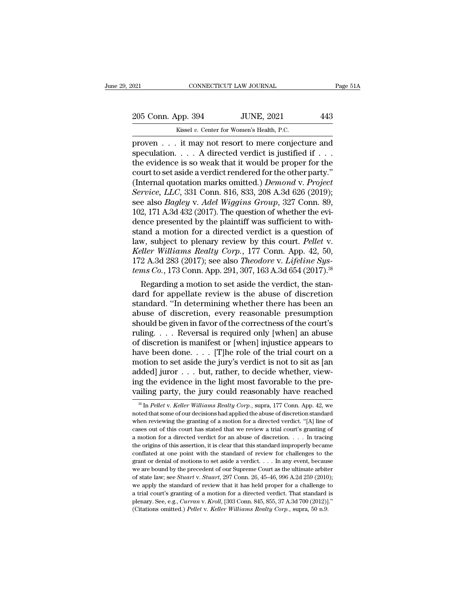021 CONNECTICUT LAW JOURNAL Page 51A<br>
205 Conn. App. 394 JUNE, 2021 443<br>
Kissel v. Center for Women's Health, P.C.

CONNECTICUT LAW JOURNAL<br>
205 Conn. App. 394 JUNE, 2021 443<br>
Kissel *v.* Center for Women's Health, P.C.<br>
proven . . . it may not resort to mere conjecture and  $\begin{array}{llll}\n & \text{COMRECTICUT LAW JOURNAL} & \text{Page 51A} \\
 & \text{205 Conn. App. 394} & \text{JUNE, 2021} & \text{443} \\
 & \text{Kissel } v. \text{ Center for Women's Health, P.C.} \\
 & \text{proven . . . it may not resort to mere conjecture and speculation. . . . A directed verdict is justified if . . .} \n\end{array}$ 205 Conn. App. 394 JUNE, 2021 443<br>
Kissel v. Center for Women's Health, P.C.<br>
proven . . . it may not resort to mere conjecture and<br>
speculation. . . . A directed verdict is justified if . . .<br>
the evidence is so weak that 205 Conn. App. 394 JUNE, 2021 443<br>
Kissel v. Center for Women's Health, P.C.<br>
proven . . . it may not resort to mere conjecture and<br>
speculation. . . . A directed verdict is justified if . . .<br>
the evidence is so weak tha 205 Conn. App. 394 JUNE, 2021 443<br>
Kissel v. Center for Women's Health, P.C.<br>
proven . . . it may not resort to mere conjecture and<br>
speculation. . . . A directed verdict is justified if . . .<br>
the evidence is so weak tha Kissel v. Center for Women's Health, P.C.<br>
proven . . . it may not resort to mere conjecture and<br>
speculation. . . . A directed verdict is justified if . . .<br>
the evidence is so weak that it would be proper for the<br>
court *Kissel v. Center for Women's Health, P.C.*<br>
proven . . . it may not resort to mere conjecture and<br>
speculation. . . . A directed verdict is justified if . . .<br>
the evidence is so weak that it would be proper for the<br>
cour proven . . . it may not resort to mere conjecture and<br>speculation. . . . A directed verdict is justified if . . .<br>the evidence is so weak that it would be proper for the<br>court to set aside a verdict rendered for the other speculation. . . . . A directed verdict is justified if . . .<br>the evidence is so weak that it would be proper for the<br>court to set aside a verdict rendered for the other party."<br>(Internal quotation marks omitted.) *Demond* the evidence is so weak that it would be proper for the court to set aside a verdict rendered for the other party."<br>(Internal quotation marks omitted.) *Demond v. Project* Service, LLC, 331 Conn. 816, 833, 208 A.3d 626 (20 court to set aside a verdict rendered for the other party."<br>(Internal quotation marks omitted.) *Demond v. Project*<br>*Service, LLC*, 331 Conn. 816, 833, 208 A.3d 626 (2019);<br>see also *Bagley v. Adel Wiggins Group*, 327 Con (Internal quotation marks omitted.) *Demond v. Project*<br>Service, LLC, 331 Conn. 816, 833, 208 A.3d 626 (2019);<br>see also *Bagley v. Adel Wiggins Group*, 327 Conn. 89,<br>102, 171 A.3d 432 (2017). The question of whether the ev *Service, LLC*, 331 Conn. 816, 833, 208 A.3d 626 (2019);<br>see also *Bagley v. Adel Wiggins Group*, 327 Conn. 89,<br>102, 171 A.3d 432 (2017). The question of whether the evi-<br>dence presented by the plaintiff was sufficient to see also *Bagley v. Adel Wiggins Group*, 327 Conn. 89, 102, 171 A.3d 432 (2017). The question of whether the evidence presented by the plaintiff was sufficient to withstand a motion for a directed verdict is a question of 102, 171 A.3d 432 (2017). The question of whether the evidence presented by the plaintiff was sufficient to with-<br>stand a motion for a directed verdict is a question of<br>law, subject to plenary review by this court. *Pellet* nce presented by the plantiff was sufficient to with-<br>and a motion for a directed verdict is a question of<br>w, subject to plenary review by this court. Pellet v.<br>ller Williams Realty Corp., 177 Conn. App. 42, 50,<br>2 A.3d 283 stand a motion for a directed verdict is a question of<br>law, subject to plenary review by this court. Pellet v.<br>Keller Williams Realty Corp., 177 Conn. App. 42, 50,<br>172 A.3d 283 (2017); see also *Theodore v. Lifeline Sys-<br>* 

law, subject to plenary review by this court. Pellet v.<br>
Keller Williams Realty Corp., 177 Conn. App. 42, 50,<br>
172 A.3d 283 (2017); see also *Theodore v. Lifeline Systems Co.*, 173 Conn. App. 291, 307, 163 A.3d 654 (2017). Reller Williams Realty Corp., 177 Conn. App. 42, 50,<br>172 A.3d 283 (2017); see also *Theodore v. Lifeline Systems Co.*, 173 Conn. App. 291, 307, 163 A.3d 654 (2017).<sup>38</sup><br>Regarding a motion to set aside the verdict, the sta 172 A.3d 283 (2017); see also *Theodore v. Lijeline Systems Co.*, 173 Conn. App. 291, 307, 163 A.3d 654 (2017).<sup>38</sup><br>Regarding a motion to set aside the verdict, the standard for appellate review is the abuse of discretion tems Co., 173 Conn. App. 291, 307, 163 A.3d 654 (2017).<sup>36</sup><br>Regarding a motion to set aside the verdict, the stan-<br>dard for appellate review is the abuse of discretion<br>standard. "In determining whether there has been an<br>a Regarding a motion to set aside the verdict, the standard for appellate review is the abuse of discretion standard. "In determining whether there has been an abuse of discretion, every reasonable presumption should be giv dard for appellate review is the abuse of discretion<br>standard. "In determining whether there has been an<br>abuse of discretion, every reasonable presumption<br>should be given in favor of the correctness of the court's<br>ruling. standard. "In determining whether there has been an abuse of discretion, every reasonable presumption should be given in favor of the correctness of the court's ruling. . . . Reversal is required only [when] an abuse of di abuse of discretion, every reasonable presumption<br>should be given in favor of the correctness of the court's<br>ruling.... Reversal is required only [when] an abuse<br>of discretion is manifest or [when] injustice appears to<br>ha should be given in favor of the correctness of the court's<br>ruling. . . . Reversal is required only [when] an abuse<br>of discretion is manifest or [when] injustice appears to<br>have been done. . . . [T]he role of the trial cou ruling.... Reversal is required only [when] an abuse<br>of discretion is manifest or [when] injustice appears to<br>have been done.... [T]he role of the trial court on a<br>motion to set aside the jury's verdict is not to sit as [ otion to set aside the jury's verdict is not to sit as [an dded] juror . . . but, rather, to decide whether, view-<br>g the evidence in the light most favorable to the pre-<br>ailing party, the jury could reasonably have reached added] juror . . . but, rather, to decide whether, view-<br>ing the evidence in the light most favorable to the pre-<br>vailing party, the jury could reasonably have reached<br> $\frac{1}{100}$  and  $\frac{1}{100}$  and  $\frac{1}{100}$  and  $\frac{1$ 

ing the evidence in the light most favorable to the prevailing party, the jury could reasonably have reached  $*$   $\frac{1}{\sqrt{2}}$   $\frac{1}{\sqrt{2}}$   $\frac{1}{\sqrt{2}}$   $\frac{1}{\sqrt{2}}$   $\frac{1}{\sqrt{2}}$   $\frac{1}{\sqrt{2}}$   $\frac{1}{\sqrt{2}}$   $\frac{1}{\sqrt{2}}$   $\frac{$ vailing party, the jury could reasonably have reached  $\frac{1}{100}$  as In Pellet v. Keller Williams Realty Corp., supra, 177 Conn. App. 42, we noted that some of our decisions had applied the abuse of discretion standard wh valify party, the Jury Could reasonably have reactived<br>
<sup>38</sup> In Pellet v. Keller Williams Realty Corp., supra, 177 Conn. App. 42, we<br>
noted that some of our decisions had applied the abuse of discretion standard<br>
when rev <sup>38</sup> In *Pellet v. Keller Williams Realty Corp.*, supra, 177 Conn. App. 42, we noted that some of our decisions had applied the abuse of discretion standard when reviewing the granting of a motion for a directed verdict. noted that some of our decisions had applied the abuse of discretion standard when reviewing the granting of a motion for a directed verdict. "[A] line of cases out of this court has stated that we review a trial court's when reviewing the granting of a motion for a directed verdict. "[A] line of cases out of this court has stated that we review a trial court's granting of a motion for a directed verdict for an abuse of discretion. . . . cases out of this court has stated that we review a trial court's granting of a motion for a directed verdict for an abuse of discretion. . . . In tracing the origins of this assertion, it is clear that this standard impr a motion for a directed verdict for an abuse of discretion. . . . . In tracing<br>the origins of this assertion, it is clear that this standard improperly became<br>conflated at one point with the standard of review for challeng we determine the standard intervals the origins of this assertion, it is clear that this standard improperly became conflated at one point with the standard of review for challenges to the grant or denial of motions to se conflated at one point with the standard of review for challenges to the grant or denial of motions to set a<br>side a verdict. . . . In any event, because we are bound by the precedent of our Supreme Court as the ultimate a grant or denial of motions to set aside a verdict. . . . In any event, because<br>we are bound by the precedent of our Supreme Court as the ultimate arbiter<br>of state law; see *Stuart* v. *Stuart*, 297 Conn. 26, 45–46, 996 A.2 we are bound by the precedent of our Supreme Court as the ultimate arbitted of state law; see *Stuart v. Stuart*, 297 Conn. 26, 45–46, 996 A.2d 259 (2010 we apply the standard of review that it has held proper for a challe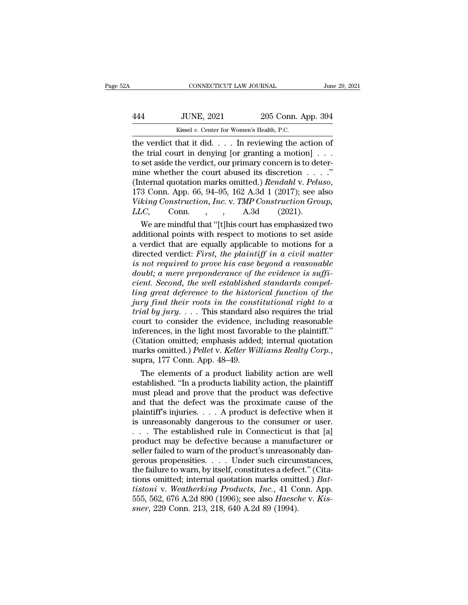| A   | CONNECTICUT LAW JOURNAL                   |                            | June 29, 2021 |
|-----|-------------------------------------------|----------------------------|---------------|
| 444 | <b>JUNE, 2021</b>                         | 205 Conn. App. 394         |               |
|     | Kissel v. Center for Women's Health, P.C. |                            |               |
|     | the verdict that it did                   | In reviewing the action of |               |

CONNECTICUT LAW JOURNAL June 29, 202<br>
444 JUNE, 2021 205 Conn. App. 394<br>
6 Kissel v. Center for Women's Health, P.C.<br>
the verdict that it did. . . . In reviewing the action of<br>
the trial court in denying [or granting a mot 144 JUNE, 2021 205 Conn. App. 394<br>
Kissel v. Center for Women's Health, P.C.<br>
the verdict that it did. . . . In reviewing the action of<br>
the trial court in denying [or granting a motion] . . .<br>
to set aside the verdict, ou 444 JUNE, 2021 205 Conn. App. 394<br>  $\frac{\text{Kissel }v. \text{ Center for Women's Health, P.C.}}{\text{the verdict that it did.}\n\dots In reviewing the action of the trial court in denying [or granting a motion] . . . to set aside the verdict, our primary concern is to determine whether the court abused its discretion . . . .'' (Internal quotation marks omitted). *Bendahl v. Pelves*$ 444 JUNE, 2021 205 Conn. App. 394<br>
Kissel v. Center for Women's Health, P.C.<br>
the verdict that it did. . . . In reviewing the action of<br>
the trial court in denying [or granting a motion] . . .<br>
to set aside the verdict, o Kissel v. Center for Women's Health, P.C.<br>
the verdict that it did. . . . In reviewing the action of<br>
the trial court in denying [or granting a motion] . . .<br>
to set aside the verdict, our primary concern is to deter-<br>
min *Viking Construction, Inc.* v. *TMP Construction Group, LLCC*, the armorig state were motion in the verdict, our primary concern is to det mine whether the court abused its discretion . . . . (Internal quotation marks omitted.) *Rendahl* v. *Pelu* 173 Conn. App. 66, 94–95, 162 set aside the verdict, our primary concern is to deter-<br>ine whether the court abused its discretion . . . ."<br>ternal quotation marks omitted.) *Rendahl* v. *Peluso*,<br>3 Conn. App. 66, 94–95, 162 A.3d 1 (2017); see also<br>*kin* mine whether the court abused its discretion . . . ."<br>(Internal quotation marks omitted.) *Rendahl v. Peluso*,<br>173 Conn. App. 66, 94–95, 162 A.3d 1 (2017); see also<br>*Viking Construction, Inc. v. TMP Construction Group*,<br>

(Internal quotation marks omitted.) *Rendahl v. Peluso*,<br>173 Conn. App. 66, 94–95, 162 A.3d 1 (2017); see also<br>Viking Construction, Inc. v. TMP Construction Group,<br>LLC, Conn., A.3d (2021).<br>We are mindful that "[t]his cour 173 Conn. App. 66, 94–95, 162 A.3d 1 (2017); see also<br>Viking Construction, Inc. v. TMP Construction Group,<br>LLC, Conn., A.3d (2021).<br>We are mindful that "[t]his court has emphasized two<br>additional points with respect to mot *Viking Construction, Inc. v. TMP Construction Group,*<br>*LLC*, Conn., , A.3d (2021).<br>We are mindful that "[t]his court has emphasized two<br>additional points with respect to motions to set aside<br>a verdict that are equally app *doubter that that "*[t]his court has emphasized two additional points with respect to motions to set aside a verdict that are equally applicable to motions for a directed verdict: *First, the plaintiff in a civil matter* We are mindful that "[t]his court has emphasized two<br>additional points with respect to motions to set aside<br>a verdict that are equally applicable to motions for a<br>directed verdict: *First*, *the plaintiff in a civil matter* additional points with respect to motions to set aside<br>a verdict that are equally applicable to motions for a<br>directed verdict: *First, the plaintiff in a civil matter*<br>is not required to prove his case beyond a reasonable a verdict that are equally applicable to motions for a<br>directed verdict: *First*, *the plaintiff in a civil matter*<br>is not required to prove his case beyond a reasonable<br>doubt; a mere preponderance of the evidence is suffi directed verdict: *First*, *the plaintiff in a civil matter* is not required to prove his case beyond a reasonable doubt; a mere preponderance of the evidence is sufficient. Second, the well established standards compellin is not required to prove his case beyond a reasonable<br>doubt; a mere preponderance of the evidence is suffi-<br>cient. Second, the well established standards compel-<br>ling great deference to the historical function of the<br>jury doubt; a mere preponderance of the evidence is sufficient. Second, the well established standards compelling great deference to the historical function of the jury find their roots in the constitutional right to a trial b cient. Second, the well established standards compel-<br>ling great deference to the historical function of the<br>jury find their roots in the constitutional right to a<br>trial by jury.... This standard also requires the trial<br>c ling great deference to the historical function of the<br>jury find their roots in the constitutional right to a<br>trial by jury.... This standard also requires the trial<br>court to consider the evidence, including reasonable<br>inf field by jury.... This standard also requires the trial<br>urt to consider the evidence, including reasonable<br>ferences, in the light most favorable to the plaintiff."<br>itation omitted; emphasis added; internal quotation<br>arks court to consider the evidence, including reasonable<br>inferences, in the light most favorable to the plaintiff."<br>(Citation omitted; emphasis added; internal quotation<br>marks omitted.) Pellet v. Keller Williams Realty Corp.,<br>

inferences, in the light most favorable to the plaintiff."<br>
(Citation omitted; emphasis added; internal quotation<br>
marks omitted.) Pellet v. Keller Williams Realty Corp.,<br>
supra, 177 Conn. App. 48–49.<br>
The elements of a p (Citation omitted; emphasis added; internal quotation<br>marks omitted.) Pellet v. Keller Williams Realty Corp.,<br>supra, 177 Conn. App. 48–49.<br>The elements of a product liability action are well<br>established. "In a products li marks omitted.) Pellet v. Keller Williams Realty Corp.,<br>supra, 177 Conn. App. 48–49.<br>The elements of a product liability action are well<br>established. "In a products liability action, the plaintiff<br>must plead and prove that supra, 177 Conn. App. 48–49.<br>
The elements of a product liability action are well<br>
established. "In a products liability action, the plaintiff<br>
must plead and prove that the product was defective<br>
and that the defect was The elements of a product liability action are well<br>established. "In a products liability action, the plaintiff<br>must plead and prove that the product was defective<br>and that the defect was the proximate cause of the<br>plaint established. "In a products liability action, the plaintiff<br>must plead and prove that the product was defective<br>and that the defect was the proximate cause of the<br>plaintiff's injuries. . . . A product is defective when it<br> must plead and prove that the product was defective<br>and that the defect was the proximate cause of the<br>plaintiff's injuries.... A product is defective when it<br>is unreasonably dangerous to the consumer or user.<br>... The est and that the defect was the proximate cause of the<br>plaintiff's injuries. . . . A product is defective when it<br>is unreasonably dangerous to the consumer or user.<br>. . . The established rule in Connecticut is that [a]<br>produc plaintiff's injuries. . . . A product is defective when it<br>is unreasonably dangerous to the consumer or user.<br>. . . The established rule in Connecticut is that [a]<br>product may be defective because a manufacturer or<br>seller is unreasonably dangerous to the consumer or user.<br>  $\ldots$  The established rule in Connecticut is that [a]<br>
product may be defective because a manufacturer or<br>
seller failed to warn of the product's unreasonably dangerous *tiff The established rule in Connecticut is that* [a] product may be defective because a manufacturer or seller failed to warn of the product's unreasonably dangerous propensities. . . . Under such circumstances, the fail product may be defective because a manufacturer or<br>seller failed to warn of the product's unreasonably dan-<br>gerous propensities. . . . Under such circumstances,<br>the failure to warn, by itself, constitutes a defect." (Cita-Figure failed to warn of the product's unreason<br>gerous propensities. . . . Under such circur<br>the failure to warn, by itself, constitutes a defections omitted; internal quotation marks omitt<br>tistoni v. Weatherking Products,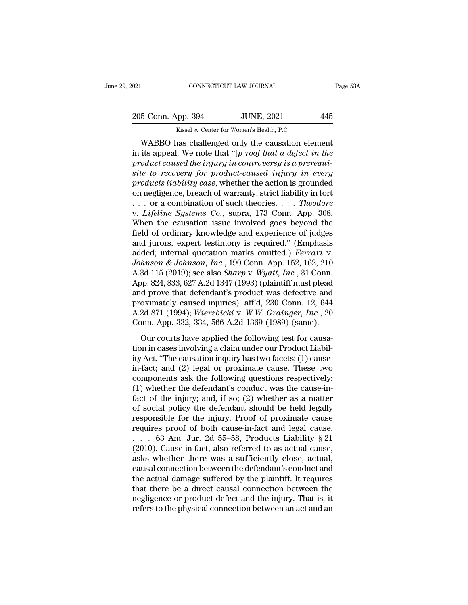EXECUTE DAN JOURNAL Page 53A<br>
205 Conn. App. 394 JUNE, 2021 445<br>
Kissel v. Center for Women's Health, P.C.

CONNECTICUT LAW JOURNAL<br>
205 Conn. App. 394 JUNE, 2021 445<br>
Kissel *v.* Center for Women's Health, P.C.<br>
WABBO has challenged only the causation element CONNECTICUT LAW JOURNAL Page 53/<br>
5 Conn. App. 394 JUNE, 2021 445<br>
Kissel v. Center for Women's Health, P.C.<br>
WABBO has challenged only the causation element<br>
its appeal. We note that "[p]roof that a defect in the<br>
reduct 205 Conn. App. 394 JUNE, 2021 445<br>
Kissel v. Center for Women's Health, P.C.<br>
WABBO has challenged only the causation element<br>
in its appeal. We note that "[*p*]*roof that a defect in the*<br>
product caused the injury in con *product a kissel v. Center for Women's Health, P.C.*<br> *product caused v. Center for Women's Health, P.C.*<br> **product caused the injury in controversy is a prerequi-**<br> *product caused the injury in controversy is a prerequi* 205 Conn. App. 394 JUNE, 2021 445<br> *Kissel v. Center for Women's Health, P.C.*<br> **WABBO has challenged only the causation element**<br>
in its appeal. We note that "[*p*]*roof that a defect in the*<br> *product caused the injury i product section is Health, P.C.*<br> *product caused the injury in controversy is a prerequisite to recovery for product caused injury in controversy is a prerequisite to recovery for product-caused injury in every products* Example 18 Except of Women's Health, P.C.<br>
WABBO has challenged only the causation element<br>
in its appeal. We note that "[p]roof that a defect in the<br>
product caused the injury in controversy is a prerequi-<br>
site to recov WABBO has challenged only the causation element<br>in its appeal. We note that "[ $p$ ]roof that a defect in the<br>product caused the injury in controversy is a prerequi-<br>site to recovery for product-caused injury in every<br>produ in its appeal. We note that "[p]*roof that a defect in the*<br>product caused the injury in controversy is a prerequi-<br>site to recovery for product-caused injury in every<br>products liability case, whether the action is grounde product caused the injury in controversy is a prerequisite to recovery for product-caused injury in every<br>products liability case, whether the action is grounded<br>on negligence, breach of warranty, strict liability in tort site to recovery for product-caused injury in every<br>products liability case, whether the action is grounded<br>on negligence, breach of warranty, strict liability in tort<br> $\dots$  or a combination of such theories.  $\dots$  Theodore products liability case, whether the action is grounded<br>on negligence, breach of warranty, strict liability in tort<br> $\ldots$  or a combination of such theories.  $\ldots$  Theodore<br>v. Lifeline Systems Co., supra, 173 Conn. App. 30 on negligence, breach of warranty, strict liability in tort<br> *x*. *.* or a combination of such theories. *... Theodore*<br> *y. Lifeline Systems Co.*, supra, 173 Conn. App. 308.<br>
When the causation issue involved goes beyon *Johnson & Johnson, Inc.*, 190 Conn. App. 308.<br> *Johnson & Johnson issue involved goes beyond the* field of ordinary knowledge and experience of judges and jurors, expert testimony is required." (Emphasis added; internal q v. *Lifeline Systems Co.*, supra, 173 Conn. App. 308.<br>When the causation issue involved goes beyond the<br>field of ordinary knowledge and experience of judges<br>and jurors, expert testimony is required." (Emphasis<br>added; inter When the causation issue involved goes beyond the<br>field of ordinary knowledge and experience of judges<br>and jurors, expert testimony is required." (Emphasis<br>added; internal quotation marks omitted.) *Ferrari* v.<br>Johnson & J field of ordinary knowledge and experience of judges<br>and jurors, expert testimony is required." (Emphasis<br>added; internal quotation marks omitted.) *Ferrari* v.<br>Johnson & Johnson, Inc., 190 Conn. App. 152, 162, 210<br>A.3d 1 and jurors, expert testimony is required." (Emphasis<br>added; internal quotation marks omitted.) *Ferrari* v.<br>Johnson & Johnson, Inc., 190 Conn. App. 152, 162, 210<br>A.3d 115 (2019); see also *Sharp* v. Wyatt, Inc., 31 Conn.<br>A added; internal quotation marks omitted.) *Ferrari* v.<br>*Johnson & Johnson, Inc.*, 190 Conn. App. 152, 162, 210<br>A.3d 115 (2019); see also *Sharp* v. *Wyatt, Inc.*, 31 Conn.<br>App. 824, 833, 627 A.2d 1347 (1993) (plaintiff mus Johnson & Johnson, Inc., 190 Conn. App. 152, 162, 210<br>A.3d 115 (2019); see also *Sharp* v. Wyatt, Inc., 31 Conn.<br>App. 824, 833, 627 A.2d 1347 (1993) (plaintiff must plead<br>and prove that defendant's product was defective an our courts have applied the following test for causa-<br>op. 824, 833, 627 A.2d 1347 (1993) (plaintiff must plead<br>d prove that defendant's product was defective and<br>oximately caused injuries), aff'd, 230 Conn. 12, 644<br>2d 871 tipp. 324, 339, 3211.24 1341 (1889) (plantal mass pread<br>and prove that defendant's product was defective and<br>proximately caused injuries), aff'd, 230 Conn. 12, 644<br>A.2d 871 (1994); *Wierzbicki* v. *W.W. Grainger*, *Inc.*,

and prove and detendance product was detective and<br>proximately caused injuries), aff'd, 230 Conn. 12, 644<br>A.2d 871 (1994); Wierzbicki v. W.W. Grainger, Inc., 20<br>Conn. App. 332, 334, 566 A.2d 1369 (1989) (same).<br>Our courts A.2d 871 (1994); *Wierzbicki* v. *W.W. Grainger*, *Inc.*, 20<br>Conn. App. 332, 334, 566 A.2d 1369 (1989) (same).<br>Our courts have applied the following test for causa-<br>tion in cases involving a claim under our Product Liabil components as the following designed in the following test for causation in cases involving a claim under our Product Liability Act. "The causation inquiry has two facets: (1) cause-<br>in-fact; and (2) legal or proximate ca Our courts have applied the following test for causa-<br>tion in cases involving a claim under our Product Liabil-<br>ity Act. "The causation inquiry has two facets: (1) cause-<br>in-fact; and (2) legal or proximate cause. These t Our courts have applied the following test for causation in cases involving a claim under our Product Liabil-<br>ity Act. "The causation inquiry has two facets: (1) cause-<br>in-fact; and (2) legal or proximate cause. These two<br> tion in cases involving a claim under our Product Liabil-<br>ity Act. "The causation inquiry has two facets: (1) cause-<br>in-fact; and (2) legal or proximate cause. These two<br>components ask the following questions respectively: ity Act. "The causation inquiry has two facets: (1) cause-<br>in-fact; and (2) legal or proximate cause. These two<br>components ask the following questions respectively:<br>(1) whether the defendant's conduct was the cause-in-<br>fa in-fact; and (2) legal or proximate cause. These two<br>components ask the following questions respectively:<br>(1) whether the defendant's conduct was the cause-in-<br>fact of the injury; and, if so; (2) whether as a matter<br>of so components ask the following questions respectively:<br>
(1) whether the defendant's conduct was the cause-in-<br>
fact of the injury; and, if so; (2) whether as a matter<br>
of social policy the defendant should be held legally<br> (1) whether the defendant's conduct was the cause-in-<br>fact of the injury; and, if so; (2) whether as a matter<br>of social policy the defendant should be held legally<br>responsible for the injury. Proof of proximate cause<br>requ fact of the injury; and, if so; (2) whether as a matter<br>of social policy the defendant should be held legally<br>responsible for the injury. Proof of proximate cause<br>requires proof of both cause-in-fact and legal cause.<br> $\dots$ of social policy the defendant should be held legally<br>responsible for the injury. Proof of proximate cause<br>requires proof of both cause-in-fact and legal cause.<br> $\ldots$  63 Am. Jur. 2d 55–58, Products Liability § 21<br>(2010). responsible for the injury. Proof of proximate cause<br>requires proof of both cause-in-fact and legal cause.<br>. . . . 63 Am. Jur. 2d 55–58, Products Liability § 21<br>(2010). Cause-in-fact, also referred to as actual cause,<br>ask requires proof of both cause-in-fact and legal cause.<br>  $\ldots$  63 Am. Jur. 2d 55–58, Products Liability § 21<br>
(2010). Cause-in-fact, also referred to as actual cause,<br>
asks whether there was a sufficiently close, actual,<br>
c . . . . 63 Am. Jur. 2d 55–58, Products Liability  $\S$  21 (2010). Cause-in-fact, also referred to as actual cause, asks whether there was a sufficiently close, actual, causal connection between the defendant's conduct and t (2010). Cause-in-fact, also referred to as actual cause, asks whether there was a sufficiently close, actual, causal connection between the defendant's conduct and the actual damage suffered by the plaintiff. It requires t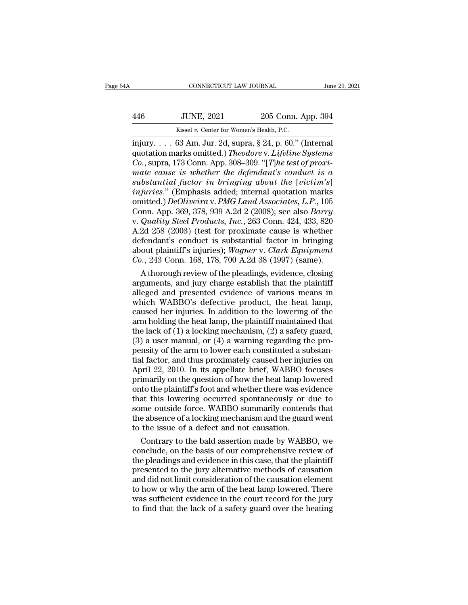# CONNECTICUT LAW JOURNAL June 29, 2021<br>446 JUNE, 2021 205 Conn. App. 394<br>Kissel v. Center for Women's Health, P.C. CONNECTICUT LAW JOURNAL<br>
Jun<br>
446 JUNE, 2021 205 Conn. App. 394<br>
Kissel *v.* Center for Women's Health, P.C.<br>
injury.... 63 Am. Jur. 2d, supra, § 24, p. 60." (Internal

cONNECTICUT LAW JOURNAL June 29, 20<br>
446 JUNE, 2021 205 Conn. App. 394<br>
Kissel v. Center for Women's Health, P.C.<br>
injury. . . . 63 Am. Jur. 2d, supra, § 24, p. 60.'' (Internal<br>
quotation marks omitted.) *Theodore* v. *Lif* quotation marks omitted.) *Theodore v. Lifeline Systems*<br>
Lightness of the Momen's Mealth, P.C.<br>
injury. . . . 63 Am. Jur. 2d, supra, § 24, p. 60." (Internal<br>
quotation marks omitted.) *Theodore v. Lifeline Systems*<br>
Co., *Co.*, superinted and the superinted and the superinted and the superinted.) Theodore v. Lifeline Systems Co., supra, 173 Conn. App. 308–309. "[*T*]*he test of proximate cause is whether the defendant's conduct is a substa mate cause is whether the defendant's conductaion marks omitted.) Theodore v. Lifeline Systems*<br> *Co.*, supra, 173 Conn. App. 308–309. "[The test of proximate cause is whether the defendant's conduct is a substantial fact *substrantial above Collar App.* 30<br> *Kissel v. Center for Women's Health, P.C.*<br>
injury.... 63 Am. Jur. 2d, supra, § 24, p. 60." (Internal<br>
quotation marks omitted.) *Theodore v. Lifeline Systems*<br> *Co.*, supra, 173 Conn. *Kissel v. Center for Women's Health, P.C.*<br> *injury.*... 63 Am. Jur. 2d, supra, § 24, p. 60." (Internal<br>
quotation marks omitted.) *Theodore v. Lifeline Systems*<br> *Co.*, supra, 173 Conn. App. 308–309. "[*T]he test of prox* injury. . . . 63 Am. Jur. 2d, supra, § 24, p. 60." (Internal<br>quotation marks omitted.) *Theodore v. Lifeline Systems*<br>*Co.*, supra, 173 Conn. App. 308–309. "[*T*]*he test of proxi-<br>mate cause is whether the defendant's con* quotation marks omitted.) *Theodore* v. *Lifeline Systems*<br>Co., supra, 173 Conn. App. 308–309. "[*T]he test of proxi-*<br>mate cause is whether the defendant's conduct is a<br>substantial factor in bringing about the [victim's]<br> *Co.*, supra, 173 Conn. App. 308–309. "[*T]he test of proximate cause is whether the defendant's conduct is a substantial factor in bringing about the [victim's] injuries." (Emphasis added; internal quotation marks omitted* mate cause is whether the defendant's conduct is a<br>substantial factor in bringing about the [victim's]<br>injuries." (Emphasis added; internal quotation marks<br>omitted.) DeOliveira v. PMG Land Associates, L.P., 105<br>Conn. App. substantial factor in bringing about the [victim's]<br>
injuries." (Emphasis added; internal quotation marks<br>
omitted.) DeOliveira v. PMG Land Associates, L.P., 105<br>
Conn. App. 369, 378, 939 A.2d 2 (2008); see also Barry<br>
v. injuries." (Emphasis added; internal quotation marks<br>omitted.) *DeOliveira v. PMG Land Associates, L.P.*, 105<br>Conn. App. 369, 378, 939 A.2d 2 (2008); see also *Barry*<br>v. *Quality Steel Products, Inc.*, 263 Conn. 424, 433, omitted.) *DeOliveira* v. *PMG Land Associates, L.P.*, 105<br>Conn. App. 369, 378, 939 A.2d 2 (2008); see also *Barry*<br>v. *Quality Steel Products, Inc.*, 263 Conn. 424, 433, 820<br>A.2d 258 (2003) (test for proximate cause is wh pm. App. 369, 378, 939 A.2d 2 (2008); see also *Barry*<br>Quality Steel Products, Inc., 263 Conn. 424, 433, 820<br>2d 258 (2003) (test for proximate cause is whether<br>fendant's conduct is substantial factor in bringing<br>out plain v. Quality Steel Products, Inc., 263 Conn. 424, 433, 820<br>A.2d 258 (2003) (test for proximate cause is whether<br>defendant's conduct is substantial factor in bringing<br>about plaintiff's injuries); Wagner v. Clark Equipment<br>Co

A.2d 258 (2003) (test for proximate cause is whether<br>defendant's conduct is substantial factor in bringing<br>about plaintiff's injuries); *Wagner v. Clark Equipment*<br> $Co.$ , 243 Conn. 168, 178, 700 A.2d 38 (1997) (same).<br>A th defendant's conduct is substantial factor in bringing<br>about plaintiff's injuries); Wagner v. Clark Equipment<br>Co., 243 Conn. 168, 178, 700 A.2d 38 (1997) (same).<br>A thorough review of the pleadings, evidence, closing<br>argumen about plaintiff's injuries); Wagner v. Clark Equipment<br>Co., 243 Conn. 168, 178, 700 A.2d 38 (1997) (same).<br>A thorough review of the pleadings, evidence, closing<br>arguments, and jury charge establish that the plaintiff<br>alle Co., 243 Conn. 168, 178, 700 A.2d 38 (1997) (same).<br>
A thorough review of the pleadings, evidence, closing<br>
arguments, and jury charge establish that the plaintiff<br>
alleged and presented evidence of various means in<br>
whic A thorough review of the pleadings, evidence, closing<br>arguments, and jury charge establish that the plaintiff<br>alleged and presented evidence of various means in<br>which WABBO's defective product, the heat lamp,<br>caused her in arguments, and jury charge establish that the plaintiff<br>alleged and presented evidence of various means in<br>which WABBO's defective product, the heat lamp,<br>caused her injuries. In addition to the lowering of the<br>arm holding alleged and presented evidence of various means in<br>which WABBO's defective product, the heat lamp,<br>caused her injuries. In addition to the lowering of the<br>arm holding the heat lamp, the plaintiff maintained that<br>the lack o which WABBO's defective product, the heat lamp,<br>caused her injuries. In addition to the lowering of the<br>arm holding the heat lamp, the plaintiff maintained that<br>the lack of (1) a locking mechanism, (2) a safety guard,<br>(3) caused her injuries. In addition to the lowering of the<br>arm holding the heat lamp, the plaintiff maintained that<br>the lack of (1) a locking mechanism, (2) a safety guard,<br>(3) a user manual, or (4) a warning regarding the pr arm holding the heat lamp, the plaintiff maintained that<br>the lack of (1) a locking mechanism, (2) a safety guard,<br>(3) a user manual, or (4) a warning regarding the pro-<br>pensity of the arm to lower each constituted a substa the lack of (1) a locking mechanism, (2) a safety guard, (3) a user manual, or (4) a warning regarding the pro-<br>pensity of the arm to lower each constituted a substantial factor, and thus proximately caused her injuries o (3) a user manual, or  $(4)$  a warning regarding the pro-<br>pensity of the arm to lower each constituted a substan-<br>tial factor, and thus proximately caused her injuries on<br>April 22, 2010. In its appellate brief, WABBO focus pensity of the arm to lower each constituted a substantial factor, and thus proximately caused her injuries on<br>April 22, 2010. In its appellate brief, WABBO focuses<br>primarily on the question of how the heat lamp lowered<br>on tial factor, and thus proximately caused her injuries on<br>April 22, 2010. In its appellate brief, WABBO focuses<br>primarily on the question of how the heat lamp lowered<br>onto the plaintiff's foot and whether there was evidence April 22, 2010. In its appellate brief, WABBO f<br>primarily on the question of how the heat lamp lc<br>onto the plaintiff's foot and whether there was ev<br>that this lowering occurred spontaneously or<br>some outside force. WABBO su imarily on the question of how the heat lamp lowered<br>to the plaintiff's foot and whether there was evidence<br>at this lowering occurred spontaneously or due to<br>me outside force. WABBO summarily contends that<br>e absence of a l onto the plaintiff's foot and whether there was evidence<br>that this lowering occurred spontaneously or due to<br>some outside force. WABBO summarily contends that<br>the absence of a locking mechanism and the guard went<br>to the is

that this lowering occurred spontaneously or due to<br>some outside force. WABBO summarily contends that<br>the absence of a locking mechanism and the guard went<br>to the issue of a defect and not causation.<br>Contrary to the bald a some outside force. WABBO summarily contends that<br>the absence of a locking mechanism and the guard went<br>to the issue of a defect and not causation.<br>Contrary to the bald assertion made by WABBO, we<br>conclude, on the basis of the absence of a locking mechanism and the guard went<br>to the issue of a defect and not causation.<br>Contrary to the bald assertion made by WABBO, we<br>conclude, on the basis of our comprehensive review of<br>the pleadings and evi to the issue of a defect and not causation.<br>Contrary to the bald assertion made by WABBO, we<br>conclude, on the basis of our comprehensive review of<br>the pleadings and evidence in this case, that the plaintiff<br>presented to th Contrary to the bald assertion made by WABBO, we<br>conclude, on the basis of our comprehensive review of<br>the pleadings and evidence in this case, that the plaintiff<br>presented to the jury alternative methods of causation<br>and conclude, on the basis of our comprehensive review of<br>the pleadings and evidence in this case, that the plaintiff<br>presented to the jury alternative methods of causation<br>and did not limit consideration of the causation elem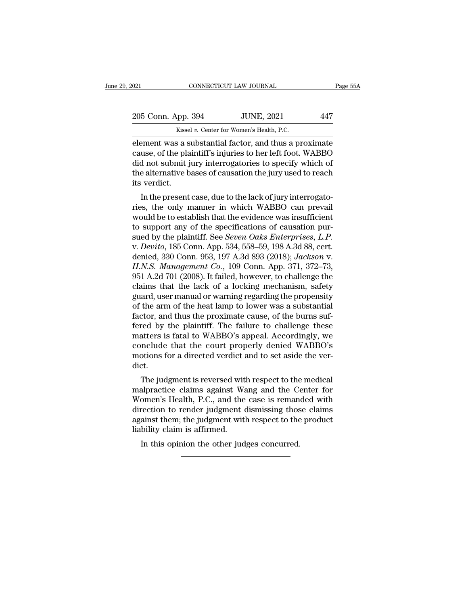| 2021               | CONNECTICUT LAW JOURNAL                                | Page 55A |
|--------------------|--------------------------------------------------------|----------|
| 205 Conn. App. 394 | <b>JUNE, 2021</b>                                      | 447      |
|                    | Kissel v. Center for Women's Health, P.C.              |          |
|                    | element was a substantial factor, and thus a proximate |          |

element was a substantial factor, and thus a proximate<br>
element was a substantial factor, and thus a proximate<br>
element was a substantial factor, and thus a proximate<br>
cause, of the plaintiff's injuries to her left foot. W 205 Conn. App. 394 JUNE, 2021 447<br>Kissel v. Center for Women's Health, P.C.<br>element was a substantial factor, and thus a proximate<br>cause, of the plaintiff's injuries to her left foot. WABBO<br>did not submit jury interrogator  $\frac{205 \text{ Conn. App. 394}}{\text{Kissel } v. \text{ Center for Women's Health, P.C.}}$ <br>
element was a substantial factor, and thus a proximate cause, of the plaintiff's injuries to her left foot. WABBO did not submit jury interrogatories to specify which of the alt 205 Conn. App. 394 JUNE, 2021 447<br>
Kissel v. Center for Women's Health, P.C.<br>
element was a substantial factor, and thus a proximate<br>
cause, of the plaintiff's injuries to her left foot. WABBO<br>
did not submit jury interro Example 12<br>
Kisse<br>
Element was a s<br>
cause, of the pla<br>
did not submit j<br>
the alternative b<br>
its verdict.<br>
In the present cause, of the plaintiff's injuries to her left foot. WABBO<br>did not submit jury interrogatories to specify which of<br>the alternative bases of causation the jury used to reach<br>its verdict.<br>In the present case, due to the lack relation was a substantial ractor, and thus a proximate<br>cause, of the plaintiff's injuries to her left foot. WABBO<br>did not submit jury interrogatories to specify which of<br>the alternative bases of causation the jury used to

cause, of the plaintin's injuries to her left foot. WABBO<br>did not submit jury interrogatories to specify which of<br>the alternative bases of causation the jury used to reach<br>its verdict.<br>In the present case, due to the lack the alternative bases of causation the jury used to reach<br>the alternative bases of causation the jury used to reach<br>its verdict.<br>In the present case, due to the lack of jury interrogato-<br>ries, the only manner in which WAB its verdict.<br>
In the present case, due to the lack of jury interrogatories, the only manner in which WABBO can prevail<br>
would be to establish that the evidence was insufficient<br>
to support any of the specifications of caus In the present case, due to the lack of jury interrogatories, the only manner in which WABBO can prevail<br>would be to establish that the evidence was insufficient<br>to support any of the specifications of causation pur-<br>sued In the present case, due to the lack of jury interrogato-<br>ries, the only manner in which WABBO can prevail<br>would be to establish that the evidence was insufficient<br>to support any of the specifications of causation pur-<br>sue ries, the only manner in which WABBO can prevail<br>would be to establish that the evidence was insufficient<br>to support any of the specifications of causation pur-<br>sued by the plaintiff. See *Seven Oaks Enterprises*, *L.P.*<br>v would be to establish that the evidence was insufficient<br>to support any of the specifications of causation pur-<br>sued by the plaintiff. See *Seven Oaks Enterprises*, *L.P.*<br>v. *Devito*, 185 Conn. App. 534, 558–59, 198 A.3d to support any of the specifications of causation pur-<br>sued by the plaintiff. See *Seven Oaks Enterprises*, *L.P.*<br>v. *Devito*, 185 Conn. App. 534, 558–59, 198 A.3d 88, cert.<br>denied, 330 Conn. 953, 197 A.3d 893 (2018); *Ja* sued by the plaintiff. See *Seven Oaks Enterprises, L.P.*<br>v. *Devito*, 185 Conn. App. 534, 558–59, 198 A.3d 88, cert.<br>denied, 330 Conn. 953, 197 A.3d 893 (2018); *Jackson v.*<br>*H.N.S. Management Co.*, 109 Conn. App. 371, 37 v. *Devito*, 185 Conn. App. 534, 558–59, 198 A.3d 88, cert.<br>denied, 330 Conn. 953, 197 A.3d 893 (2018); *Jackson v.*<br>*H.N.S. Management Co.*, 109 Conn. App. 371, 372–73,<br>951 A.2d 701 (2008). It failed, however, to challeng denied, 330 Conn. 953, 197 A.3d 893 (2018); *Jackson v.*<br>*H.N.S. Management Co.*, 109 Conn. App. 371, 372–73,<br>951 A.2d 701 (2008). It failed, however, to challenge the<br>claims that the lack of a locking mechanism, safety<br>gu H.N.S. Management Co., 109 Conn. App. 371, 372–73, 951 A.2d 701 (2008). It failed, however, to challenge the claims that the lack of a locking mechanism, safety guard, user manual or warning regarding the propensity of th 951 A.2d 701 (2008). It failed, however, to challenge the claims that the lack of a locking mechanism, safety guard, user manual or warning regarding the propensity of the arm of the heat lamp to lower was a substantial fa claims that the lack of a locking mechanism, safety<br>guard, user manual or warning regarding the propensity<br>of the arm of the heat lamp to lower was a substantial<br>factor, and thus the proximate cause, of the burns suf-<br>fere guard, user manual or warning regarding the propensity<br>of the arm of the heat lamp to lower was a substantial<br>factor, and thus the proximate cause, of the burns suf-<br>fered by the plaintiff. The failure to challenge these<br>m dict. Free by the plaintiff. The failure to challenge these<br>atters is fatal to WABBO's appeal. Accordingly, we<br>mclude that the court properly denied WABBO's<br>otions for a directed verdict and to set aside the ver-<br>et.<br>The judgmen referal by the plantin. The failure to channelige these<br>matters is fatal to WABBO's appeal. Accordingly, we<br>conclude that the court properly denied WABBO's<br>motions for a directed verdict and to set aside the ver-<br>dict.<br>The

matters is ratal to wABBO's appeal. Accordingly, we<br>conclude that the court properly denied WABBO's<br>motions for a directed verdict and to set aside the ver-<br>dict.<br>The judgment is reversed with respect to the medical<br>malpra conclude that the court property defied wABBO s<br>motions for a directed verdict and to set aside the ver-<br>dict.<br>The judgment is reversed with respect to the medical<br>malpractice claims against Wang and the Center for<br>Women's motions for a unected vertict and to set aside the ver-<br>dict.<br>The judgment is reversed with respect to the medical<br>malpractice claims against Wang and the Center for<br>Women's Health, P.C., and the case is remanded with<br>dire The judgment is reversed wit<br>malpractice claims against Wa<br>Women's Health, P.C., and the<br>direction to render judgment of<br>against them; the judgment with<br>liability claim is affirmed.<br>In this opinion the other jud The judgment is reversed what respect to the<br>alpractice claims against Wang and the Comen's Health, P.C., and the case is reman<br>rection to render judgment dismissing thos<br>ainst them; the judgment with respect to the<br>bility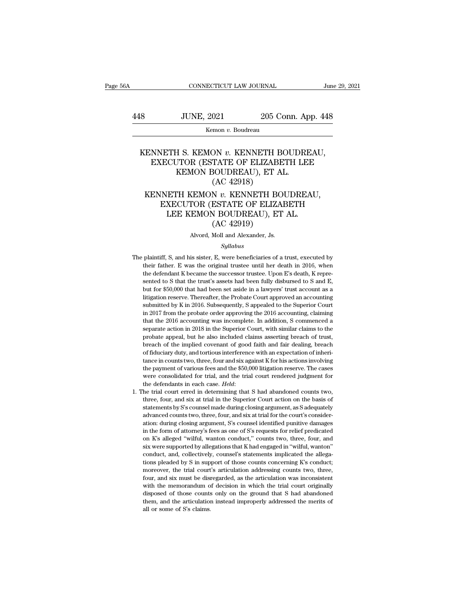# $\begin{tabular}{ll} \multicolumn{2}{l}{{\small\textbf{COMRECTICUT LAW JOURNAL}}} & \multicolumn{2}{l}{\textbf{June 29, 2021}}\\ \hline & \multicolumn{2}{l}{\textbf{JUNE, 2021}} & \multicolumn{2}{l}{\textbf{205 Conn. App. 448}}\\ & \multicolumn{2}{l}{\textbf{Kemon $v$. Boudreau}} \end{tabular}$

Kemon *v.* Boudreau

# XENNETH S. KEMON *v.* KENNETH BOUDREAU,<br>EXECUTOR (ESTATE OF ELIZABETH LEE<br>KENNETH S. KEMON *v.* KENNETH BOUDREAU,<br>EXECUTOR (ESTATE OF ELIZABETH LEE<br>KEMON BOUDREAU) ET AL JUNE, 2021 205 Conn. App. 448<br>
Kemon v. Boudreau<br>
NNETH S. KEMON v. KENNETH BOUDREAU,<br>
EXECUTOR (ESTATE OF ELIZABETH LEE<br>
KEMON BOUDREAU), ET AL. JUNE, 2021 205 Conn. Ap<br>
Kemon v. Boudreau<br>
H S. KEMON v. KENNETH BOUDR<br>
JTOR (ESTATE OF ELIZABETH LE<br>
KEMON BOUDREAU), ET AL. (AC 42918) (AC 42918)<br>
MON v. KENNETH B<br>
TATE OF ELIZABE<br>
SOUDREAU), ET A<br>
(AC 42918)<br>
N v. KENNETH BO ENNETH S. KEMON *v.* KENNETH BOUDREAU,<br>EXECUTOR (ESTATE OF ELIZABETH LEE<br>KEMON BOUDREAU), ET AL.<br>(AC 42918)<br>KENNETH KEMON *v.* KENNETH BOUDREAU,<br>EXECUTOR (ESTATE OF ELIZABETH<br>LEE KEMON BOUDREAU), ET AL. NETH S. KEMON v. KENNETH BOUDREAU,<br>KECUTOR (ESTATE OF ELIZABETH LEE<br>KEMON BOUDREAU), ET AL.<br>(AC 42918)<br>INETH KEMON v. KENNETH BOUDREAU,<br>EXECUTOR (ESTATE OF ELIZABETH<br>LEE KEMON BOUDREAU), ET AL. TH S. KEMON v. KENNETH BOUDREA<br>
CUTOR (ESTATE OF ELIZABETH LEE<br>
KEMON BOUDREAU), ET AL.<br>
(AC 42918)<br>
ETH KEMON v. KENNETH BOUDREAU<br>
XECUTOR (ESTATE OF ELIZABETH<br>
LEE KEMON BOUDREAU), ET AL.<br>
(AC 42919)

# TATE OF ELIZABE<br>30UDREAU), ET A<br>(AC 42918)<br>N v. KENNETH BC<br>ESTATE OF ELIZA<br>V BOUDREAU), ET<br>(AC 42919)<br>Moll and Alexander, Js. KENNETH KEMON  $v$ . KENNETH BOUDREAU,<br>EXECUTOR (ESTATE OF ELIZABETH<br>LEE KEMON BOUDREAU), ET AL.<br>(AC 42919)<br>Alvord, Moll and Alexander, Js.

## *Syllabus*

- LEE KEMON BOUDREAU), ET AL.<br>
(AC 42919)<br>
Alvord, Moll and Alexander, Js.<br>
Syllabus<br>
The plaintiff, S, and his sister, E, were beneficiaries of a trust, executed by<br>
their father. E was the original trustee until her death (AC 42919)<br>Alvord, Moll and Alexander, Js.<br>Syllabus<br>plaintiff, S, and his sister, E, were beneficiaries of a trust, executed by<br>their father. E was the original trustee until her death in 2016, when<br>the defendant K became The plaintiff, S, and his sister, E, were beneficiaries of a trust, executed by their father. E was the original trustee until her death in 2016, when the defendant K became the successor trustee. Upon E's death, K repres s.<br>Syllabus<br>Bullabus<br>Syllabus<br>That the trust's Singulary equals that the trust's assets had been fully disbursed to S and E,<br>Sented to S that the trust's assets had been fully disbursed to S and E,<br>but for \$50,000 that had  $Syllabus$ <br>plaintiff, S, and his sister, E, were beneficiaries of a trust, executed by<br>their father. E was the original trustee until her death in 2016, when<br>the defendant K became the successor trustee. Upon E's death, K repr plaintiff, S, and his sister, E, were beneficiaries of a trust, executed by<br>their father. E was the original trustee until her death in 2016, when<br>the defendant K became the successor trustee. Upon E's death, K repre-<br>sent plantant, 5, and its stister, 1, were octained to to a datas, executed by their father. E was the original trustee until her death in 2016, when the defendant K became the successor trustee. Upon E's death, K represented t in 2017 from the probate order approving the 2016 accounting, claiming that the 2016 account as a litigation reserve. Thereafter, the Probate Court approved an accounting submitted by K in 2016. Subsequently, S appealed to are detailed to S that the trust's assets had been fully disbursed to S and E, but for \$50,000 that had been set aside in a lawyers' trust account as a litigation reserve. Thereafter, the Probate Court approved an accounti sented to 5 diat the trust 3 assets had been rany dissoluted to 5 diat 1, but for \$50,000 that had been set aside in a lawyers' trust account as a litigation reserve. Thereafter, the Probate Court approved an accounting su but he also increases the also included claims as a litigation reserve. Thereafter, the Probate Court approved an accounting submitted by K in 2016. Subsequently, S appealed to the Superior Court in 2017 from the probate o magaaon reserve. Thereach, the Trobace court approved an accounting<br>submitted by K in 2016. Subsequently, S appealed to the Superior Court<br>in 2017 from the probate order approving the 2016 accounting, claiming<br>that the 201 of fiduciary duty, and tortious interference with an expectation of inheri-<br>and that the 2016 accounting was incomplete. In addition, S commenced a<br>separate action in 2018 in the Superior Court, with similar claims to the<br> that the 2016 accounting was incomplete. In addition, S commenced a separate action in 2018 in the Superior Court, with similar claims to the probate appeal, but he also included claims asserting breach of trust, breach of the payment of various fees and the final court, with similar claims to the probate appeal, but he also included claims asserting breach of trust, breach of the implied covenant of good faith and fair dealing, breach of fi beparate action in 2010 in the superior court, what shull criality be probate appeal, but he also included claims asserting breach of trust, breach of fiduciary duty, and tortious interference with an expectation of inheri the defendants in each case. *Held*: 1. The trial court erred in determining that S had abandoned counts two, three, four and six against K for his actions involving the payment of various fees and the \$50,000 litigation r % of fiduciary duty, and tortious interference with an expectation of inheritance in counts two, three, four and six against K for his actions involving the payment of various fees and the \$50,000 litigation reserve. The
- take in counts two, three, four and six against K for his actions involving<br>the payment of various fees and the \$50,000 litigation reserve. The cases<br>were consolidated for trial, and the trial court rendered judgment for<br>t advanced for trial, and the trial court rendered judgment for the defendants in each case. *Held*:<br>he trial court erred in determining that S had abandoned counts two, three, four, and six at trial in the Superior Court ac were consolidated for that, and the that could reintered judgment for<br>the defendants in each case. *Held*:<br>he trial court erred in determining that S had abandoned counts two,<br>three, four, and six at trial in the Superior the trial court erred in determining that S had abandoned counts two,<br>three, four, and six at trial in the Superior Court action on the basis of<br>statements by S's counsel made during closing argument, as S adequately<br>advan it and court circu in determining diated in and abandoned counts two, three, four, and six at trial in the Superior Court action on the basis of statements by S's counsel made during closing argument, as S adequately advan six were supported by allegations that K had engaged in ''wilful, wanton'' action of the basis of statements by S's counsel made during closing argument, as S adequately advanced counts two, three, four, and six at trial f statements by 5 scollect make during closing argument, as 5 adequately<br>advanced counts two, three, four, and six at trial for the court's consider-<br>ation: during closing argument, S's counsel identified punitive damages<br>in ation: during closing argument, S's counsel identified punitive damages<br>in the form of attorney's fees as one of S's requests for relief predicated<br>on K's alleged "wilful, wanton conduct," counts two, three, four, and<br>six ation: during cosing argument, b 3 courtsel radiative bundlet candiges<br>in the form of attorney's fees as one of S's requests for relief predicated<br>on K's alleged "wilful, wanton conduct," counts two, three, four, and<br>is we four, and six must be disregarded, as the articulation was incomponent K's alleged 'wilful, wanton conduct," counts two, three, four, and six were supported by allegations that K had engaged in "wilful, wanton" conduct, an on A s ancged windi, wanton conduct, counts two, tirect, four, and<br>six were supported by allegations that K had engaged in "wilful, wanton"<br>conduct, and, collectively, counsel's statements implicated the allega-<br>tions plea six were supported by ancgations unat Kinat engaged in Wind, wanton<br>conduct, and, collectively, counsel's statements implicated the allega-<br>tions pleaded by S in support of those counts concerning K's conduct;<br>moreover, th tondact, and, conceavely, consects statements impredact the anegations pleaded by S in support of those counts concerning K's conduct; moreover, the trial court's articulation addressing counts two, three, four, and six mu moreover, the trial court's articulation addressing counts two, three, four, and six must be disregarded, as the articulation was inconsistent with the memorandum of decision in which the trial court originally disposed of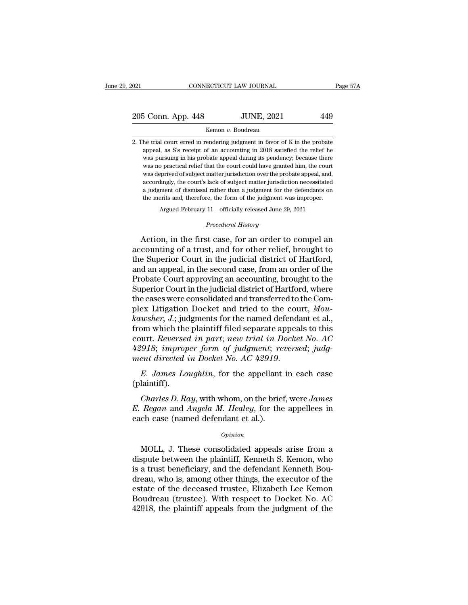# 021 CONNECTICUT LAW JOURNAL Page 57A<br>
205 Conn. App. 448 JUNE, 2021 449<br>
Kemon v. Boudreau

## Kemon *v.* Boudreau

205 Conn. App. 448 JUNE, 2021 449<br>
Kemon v. Boudreau<br>
2. The trial court erred in rendering judgment in favor of K in the probate<br>
appeal, as S's receipt of an accounting in 2018 satisfied the relief he appeal, as S's receipt of an accounting in 2018 satisfied the relief he S Conn. App. 448 JUNE,  $2021$  449<br>
Kemon v. Boudreau<br>
he trial court erred in rendering judgment in favor of K in the probate<br>
appeal, as S's receipt of an accounting in 2018 satisfied the relief he<br>
was pursuing in his p Kemon v. Boudreau<br>he trial court erred in rendering judgment in favor of K in the probate<br>appeal, as S's receipt of an accounting in 2018 satisfied the relief he<br>was pursuing in his probate appeal during its pendency; beca  $\begin{minipage}[t]{0.8\textwidth} \begin{tabular}{p{0.8cm}} \textbf{Kemon }v. \textbf{ Boudrea} \textbf{u} \end{tabular} \end{minipage} \begin{minipage}[t]{0.8cm}{\textbf{h} \textbf{a}} \textbf{a} \textbf{c} \textbf{b} \textbf{c} \textbf{b} \textbf{c} \textbf{c} \textbf{b} \textbf{c} \textbf{c} \textbf{c} \textbf{c} \textbf{c} \textbf{c} \textbf{c} \textbf{c} \textbf{c}} \textbf{b} \textbf{c} \textbf{c} \textbf{c} \text$ he trial court erred in rendering judgment in favor of K in the probate appeal, as S's receipt of an accounting in 2018 satisfied the relief he was pursuing in his probate appeal during its pendency; because there was no p appeal, as S's receipt of an accounting in 2018 satisfied the relief he was pursuing in his probate appeal during its pendency; because there was no practical relief that the court could have granted him, the court was dep Expectation in this probate appeal during its pendency; because there was no practical relief that the court could have granted him, the court was deprived of subject matter jurisdiction over the probate appeal, and, accor % practical relief that the court could have granted him, the court<br>prived of subject matter jurisdiction over the probate appeal, and,<br>lingly, the court's lack of subject matter jurisdiction necessitated<br>ment of dismissal  $\,$ a judgment of dismissal rather than a judgment for the defendants on the merits and, therefore, the form of the judgment was improper. Argued February 11—officially released June 29, 2021  $\,$  *Procedural History* Act Action, in the first case, for an order to compel and<br>cordingly, the court's lack of subject matter jurisdiction necessitated<br>a judgment of dismissal rather than a judgment for the defendants on<br>the merits and, therefore,

a judgment of dismissal rather than a judgment for the defendants on<br>the merits and, therefore, the form of the judgment was improper.<br>Argued February 11—officially released June 29, 2021<br>*Procedural History*<br>Action, in th the merits and, therefore, the form of the judgment was improper.<br>
Argued February 11—officially released June 29, 2021<br>
Procedural History<br>
Action, in the first case, for an order to compel an<br>
accounting of a trust, and Argued February 11—officially released June 29, 2021<br> *Procedural History*<br>
Action, in the first case, for an order to compel an<br>
accounting of a trust, and for other relief, brought to<br>
the Superior Court in the judicial *Procedural History*<br>Action, in the first case, for an order to compel an<br>accounting of a trust, and for other relief, brought to<br>the Superior Court in the judicial district of Hartford,<br>and an appeal, in the second case, Action, in the first case, for an order to compel an<br>accounting of a trust, and for other relief, brought to<br>the Superior Court in the judicial district of Hartford,<br>and an appeal, in the second case, from an order of the<br> Action, in the first case, for an order to compel an accounting of a trust, and for other relief, brought to the Superior Court in the judicial district of Hartford, and an appeal, in the second case, from an order of the accounting of a trust, and for other relief, brought to<br>the Superior Court in the judicial district of Hartford,<br>and an appeal, in the second case, from an order of the<br>Probate Court approving an accounting, brought to the the Superior Court in the judicial district of Hartford,<br>and an appeal, in the second case, from an order of the<br>Probate Court approving an accounting, brought to the<br>Superior Court in the judicial district of Hartford, wh and an appeal, in the second case, from an order of the<br>Probate Court approving an accounting, brought to the<br>Superior Court in the judicial district of Hartford, where<br>the cases were consolidated and transferred to the C Probate Court approving an accounting, brought to the<br>Superior Court in the judicial district of Hartford, where<br>the cases were consolidated and transferred to the Com-<br>plex Litigation Docket and tried to the court,  $Mou-$ <br> Superior Court in the judicial district of Hartford, where<br>the cases were consolidated and transferred to the Com-<br>plex Litigation Docket and tried to the court, *Mou-*<br>kawsher, J.; judgments for the named defendant et al. *the cases were consolidated and transferred to the Complex Litigation Docket and tried to the court, Mou-<br>kawsher, J.; judgments for the named defendant et al.,<br>from which the plaintiff filed separate appeals to this<br>cour Charles B. Reversed in part; new trial in Docket No. AC*<br> *AC*<br> *Charles improper form of judgment; reversed; judgent directed in Docket No. AC 42919.*<br> *E. James Loughlin,* for the appellant in each case<br>
laintiff).<br> *Ch* 

(plaintiff).

*A2918; improper form of judgment; reversed; judgment directed in Docket No. AC 42919.*<br>*E. James Loughlin,* for the appellant in each case (plaintiff).<br>*Charles D. Ray,* with whom, on the brief, were *James E. Regan* an ment directed in Docket No. AC 42919.<br>
E. James Loughlin, for the appellant<br>
(plaintiff).<br>
Charles D. Ray, with whom, on the brief<br>
E. Regan and Angela M. Healey, for the<br>
each case (named defendant et al.).<br>
<sub>Opinion</sub> Charles D. Ray, with whom, on the brief, were James<br>
Regan and Angela M. Healey, for the appellees in<br>
ch case (named defendant et al.).<br> *Opinion*<br>
MOLL, J. These consolidated appeals arise from a<br>
spute between the plain

## *Opinion*

Charles D. Ray, with whom, on the brief, were James<br>
E. Regan and Angela M. Healey, for the appellees in<br>
each case (named defendant et al.).<br>  $\frac{opinion}{opinion}$ <br>
MOLL, J. These consolidated appeals arise from a<br>
dispute between *E. Regan* and *Angela M. Healey*, for the appellees in<br>each case (named defendant et al.).<br> $\frac{opinion}{opinion}$ <br>MOLL, J. These consolidated appeals arise from a<br>dispute between the plaintiff, Kenneth S. Kemon, who<br>is a trust bene each case (named defendant et al.).<br>
opinion<br>
MOLL, J. These consolidated appeals arise from a<br>
dispute between the plaintiff, Kenneth S. Kemon, who<br>
is a trust beneficiary, and the defendant Kenneth Bou-<br>
dreau, who is, a Opinion<br>
MOLL, J. These consolidated appeals arise from a<br>
dispute between the plaintiff, Kenneth S. Kemon, who<br>
is a trust beneficiary, and the defendant Kenneth Bou-<br>
dreau, who is, among other things, the executor of th MOLL, J. These consolidated appeals arise from a dispute between the plaintiff, Kenneth S. Kemon, who is a trust beneficiary, and the defendant Kenneth Boudreau, who is, among other things, the executor of the estate of th MOLL, J. These consolidated appeals arise from a<br>dispute between the plaintiff, Kenneth S. Kemon, who<br>is a trust beneficiary, and the defendant Kenneth Bou-<br>dreau, who is, among other things, the executor of the<br>estate of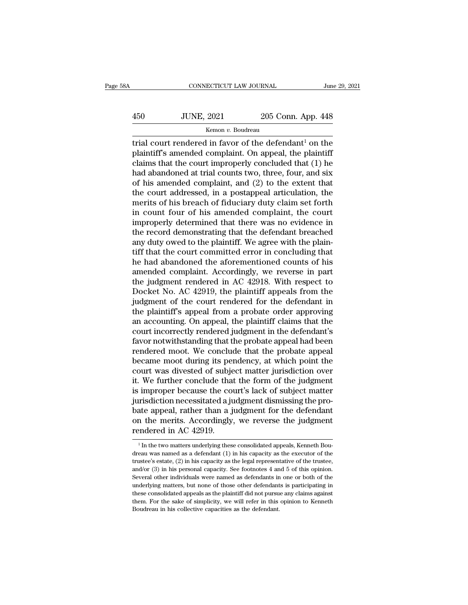# $\begin{tabular}{ll} \multicolumn{2}{l}{{\small\textbf{COMRECTICUT LAW JOURNAL}}} & \multicolumn{2}{l}{\textbf{June 29, 2021}}\\ \hline & {\small\textbf{JUNE, 2021}} & \multicolumn{2}{l}{\textbf{205 Conn. App. 448}}\\ & \multicolumn{2}{l}{\textbf{Kemon $v$. Boudreau}} \end{tabular}$

# Kemon *v.* Boudreau

CONNECTICUT LAW JOURNAL June 29, 2021<br>  $\frac{1}{205}$  Conn. App. 448<br>  $\frac{1}{205}$  Conn. App. 448<br>  $\frac{1}{205}$  Conn. App. 448<br>  $\frac{1}{205}$  Conn. App. 448<br>  $\frac{1}{205}$  Conn. App. 448<br>  $\frac{1}{205}$  Contremed in favor of the defe  $\frac{450}{\text{WNE, }2021}$  205 Conn. App. 448<br>  $\frac{450}{\text{Kemon } v.$  Boudreau<br>  $\frac{450}{\text{WINEN}}$  amended complaint. On appeal, the plaintiff<br>  $\frac{450}{\text{WINEN}}$  claims that the court improperly concluded that (1) he<br>
had abandoned at 450 JUNE, 2021 205 Conn. App. 448<br>
Kemon v. Boudreau<br>
trial court rendered in favor of the defendant<sup>1</sup> on the<br>
plaintiff's amended complaint. On appeal, the plaintiff<br>
claims that the court improperly concluded that (1)  $\frac{450}{\text{Kemon } v. \text{ Boudreau}}$  205 Conn. App. 448<br>
Trial court rendered in favor of the defendant<sup>1</sup> on the<br>
plaintiff's amended complaint. On appeal, the plaintiff<br>
claims that the court improperly concluded that (1) he<br>
had a Example 120 Social Lipper 120<br>
Kemon v. Boudreau<br>
trial court rendered in favor of the defendant<sup>1</sup> on the<br>
plaintiff's amended complaint. On appeal, the plaintiff<br>
claims that the court improperly concluded that (1) he<br> kemon v. Boudreau<br>
trial court rendered in favor of the defendant<sup>1</sup> on the<br>
plaintiff's amended complaint. On appeal, the plaintiff<br>
claims that the court improperly concluded that (1) he<br>
had abandoned at trial counts t trial court rendered in favor of the defendant<sup>1</sup> on the plaintiff's amended complaint. On appeal, the plaintiff claims that the court improperly concluded that (1) he had abandoned at trial counts two, three, four, and si plaintiff's amended complaint. On appeal, the plaintiff<br>claims that the court improperly concluded that (1) he<br>had abandoned at trial counts two, three, four, and six<br>of his amended complaint, and (2) to the extent that<br>th claims that the court improperly concluded that (1) he<br>had abandoned at trial counts two, three, four, and six<br>of his amended complaint, and (2) to the extent that<br>the court addressed, in a postappeal articulation, the<br>mer had abandoned at trial counts two, three, four, and six<br>of his amended complaint, and (2) to the extent that<br>the court addressed, in a postappeal articulation, the<br>merits of his breach of fiduciary duty claim set forth<br>in of his amended complaint, and (2) to the extent that<br>the court addressed, in a postappeal articulation, the<br>merits of his breach of fiduciary duty claim set forth<br>in count four of his amended complaint, the court<br>improperl the court addressed, in a postappeal articulation, the<br>merits of his breach of fiduciary duty claim set forth<br>in count four of his amended complaint, the court<br>improperly determined that there was no evidence in<br>the record merits of his breach of fiduciary duty claim set forth<br>in count four of his amended complaint, the court<br>improperly determined that there was no evidence in<br>the record demonstrating that the defendant breached<br>any duty owe in count four of his amended complaint, the court<br>improperly determined that there was no evidence in<br>the record demonstrating that the defendant breached<br>any duty owed to the plaintiff. We agree with the plain-<br>tiff that improperly determined that there was no evidence in<br>the record demonstrating that the defendant breached<br>any duty owed to the plaintiff. We agree with the plain-<br>tiff that the court committed error in concluding that<br>he ha the record demonstrating that the defendant breached<br>any duty owed to the plaintiff. We agree with the plain-<br>tiff that the court committed error in concluding that<br>he had abandoned the aforementioned counts of his<br>amended any duty owed to the plaintiff. We agree with the plaintiff that the court committed error in concluding that<br>he had abandoned the aforementioned counts of his<br>amended complaint. Accordingly, we reverse in part<br>the judgmen tiff that the court committed error in concluding that<br>he had abandoned the aforementioned counts of his<br>amended complaint. Accordingly, we reverse in part<br>the judgment rendered in AC 42918. With respect to<br>Docket No. AC 4 he had abandoned the aforementioned counts of his<br>amended complaint. Accordingly, we reverse in part<br>the judgment rendered in AC 42918. With respect to<br>Docket No. AC 42919, the plaintiff appeals from the<br>judgment of the co amended complaint. Accordingly, we reverse in part<br>the judgment rendered in AC 42918. With respect to<br>Docket No. AC 42919, the plaintiff appeals from the<br>judgment of the court rendered for the defendant in<br>the plaintiff's the judgment rendered in AC 42918. With respect to<br>Docket No. AC 42919, the plaintiff appeals from the<br>judgment of the court rendered for the defendant in<br>the plaintiff's appeal from a probate order approving<br>an accounting Docket No. AC 42919, the plaintiff appeals from the<br>judgment of the court rendered for the defendant in<br>the plaintiff's appeal from a probate order approving<br>an accounting. On appeal, the plaintiff claims that the<br>court in judgment of the court rendered for the defendant in<br>the plaintiff's appeal from a probate order approving<br>an accounting. On appeal, the plaintiff claims that the<br>court incorrectly rendered judgment in the defendant's<br>favor the plaintiff's appeal from a probate order approving<br>an accounting. On appeal, the plaintiff claims that the<br>court incorrectly rendered judgment in the defendant's<br>favor notwithstanding that the probate appeal had been<br>re an accounting. On appeal, the plaintiff claims that the court incorrectly rendered judgment in the defendant's favor notwithstanding that the probate appeal had been rendered moot. We conclude that the probate appeal becam court incorrectly rendered judgment in the defendant's<br>favor notwithstanding that the probate appeal had been<br>rendered moot. We conclude that the probate appeal<br>became moot during its pendency, at which point the<br>court was favor notwithstanding that the probate appeal had been<br>rendered moot. We conclude that the probate appeal<br>became moot during its pendency, at which point the<br>court was divested of subject matter jurisdiction over<br>it. We fu rendered moot. We conclude that the probate appeal<br>became moot during its pendency, at which point the<br>court was divested of subject matter jurisdiction over<br>it. We further conclude that the form of the judgment<br>is imprope became moot during its pendency, at which point the<br>court was divested of subject matter jurisdiction over<br>it. We further conclude that the form of the judgment<br>is improper because the court's lack of subject matter<br>jurisd court was divested of subjet.<br>it. We further conclude that<br>is improper because the conjurisdiction necessitated a ju<br>bate appeal, rather than a j<br>on the merits. Accordingly<br>rendered in AC 42919. jurisdiction necessitated a judgment dismissing the probate appeal, rather than a judgment for the defendant<br>on the merits. Accordingly, we reverse the judgment<br>rendered in AC 42919.<br> $\frac{1}{1}$ In the two matters underlying bate appeal, rather than a judgment for the defendant<br>on the merits. Accordingly, we reverse the judgment<br>rendered in AC 42919.<br> $\frac{1}{\ln}$  in the two matters underlying these consolidated appeals, Kenneth Bou-<br>dreau was n

on the merits. Accordingly, we reverse the judgment<br>rendered in AC 42919.<br> $\frac{1}{1}$  in the two matters underlying these consolidated appeals, Kenneth Boudreau was named as a defendant (1) in his capacity as the executor o Figure 2.1 in the two matters underlying these consolidated appeals, Kenneth Boudreau was named as a defendant (1) in his capacity as the executor of the trustee's estate, (2) in his capacity as the legal representative o Fritter in AC 42515.<br>
<sup>1</sup> In the two matters underlying these consolidated appeals, Kenneth Boudreau was named as a defendant (1) in his capacity as the executor of the trustee's estate, (2) in his capacity as the legal r <sup>1</sup> In the two matters underlying these consolidated appeals, Kenneth Boudreau was named as a defendant (1) in his capacity as the executor of the trustee's estate, (2) in his capacity as the legal representative of the t dreau was named as a defendant  $(1)$  in his capacity as the executor of the trustee, and/or  $(3)$  in his personal capacity. See footnotes 4 and 5 of this opinion. Several other individuals were named as defendants in one trustee's estate, (2) in his capacity as the legal representative of the trustee, and/or (3) in his personal capacity. See footnotes 4 and 5 of this opinion. Several other individuals were named as defendants in one or bo and/or  $(3)$  in his personal capacity. See footnotes 4 and 5 of this opinion.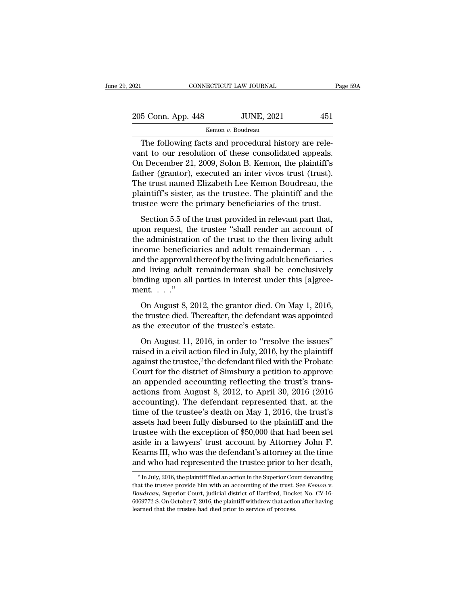| 2021               | CONNECTICUT LAW JOURNAL | Page 59A |  |
|--------------------|-------------------------|----------|--|
| 205 Conn. App. 448 | <b>JUNE, 2021</b>       | 451      |  |
|                    | Kemon v. Boudreau       |          |  |

CONNECTICUT LAW JOURNAL<br>
5 Conn. App. 448 JUNE, 2021 451<br>
Kemon v. Boudreau<br>
The following facts and procedural history are rele-<br>
nt to our resolution of these consolidated appeals.<br>
Negember 21, 2000, Solon B. Kemon, the 205 Conn. App. 448 JUNE, 2021 451<br>
Kemon v. Boudreau<br>
The following facts and procedural history are relevant to our resolution of these consolidated appeals.<br>
On December 21, 2009, Solon B. Kemon, the plaintiff's 205 Conn. App. 448 JUNE, 2021 451<br>
Kemon v. Boudreau<br>
The following facts and procedural history are relevant to our resolution of these consolidated appeals.<br>
On December 21, 2009, Solon B. Kemon, the plaintiff's<br>
father 205 Conn. App. 448 JUNE, 2021 451<br>
Kemon v. Boudreau<br>
The following facts and procedural history are relevant to our resolution of these consolidated appeals.<br>
On December 21, 2009, Solon B. Kemon, the plaintiff's<br>
father The following facts and procedural history are relevant to our resolution of these consolidated appeals.<br>On December 21, 2009, Solon B. Kemon, the plaintiff's father (grantor), executed an inter vivos trust (trust).<br>The t Remon *v*. Boudreau<br>The following facts and procedural history are rele-<br>vant to our resolution of these consolidated appeals.<br>On December 21, 2009, Solon B. Kemon, the plaintiff's<br>father (grantor), executed an inter vivos The following facts and procedural history are relevant to our resolution of these consolidated appeals.<br>On December 21, 2009, Solon B. Kemon, the plaintiff's father (grantor), executed an inter vivos trust (trust).<br>The tr In the call 12014209, Solon B. Kemon, the plaintiff's<br>
her (grantor), executed an inter vivos trust (trust).<br>
he trust named Elizabeth Lee Kemon Boudreau, the<br>
aintiff's sister, as the trustee. The plaintiff and the<br>
stee Extra Figure 11, 2000, 2000, 2010, 2010, are planting at<br>father (grantor), executed an inter vivos trust (trust).<br>The trust named Elizabeth Lee Kemon Boudreau, the<br>plaintiff's sister, as the trustee. The plaintiff and the<br>

The trust named Elizabeth Lee Kemon Boudreau, the<br>plaintiff's sister, as the trustee. The plaintiff and the<br>trustee were the primary beneficiaries of the trust.<br>Section 5.5 of the trust provided in relevant part that,<br>upon Fire also hands and<br>as checked to the trustee. The plaintiff and the trustee were the primary beneficiaries of the trust.<br>Section 5.5 of the trust provided in relevant part that,<br>upon request, the trustee "shall render an Francian s sisted, as are dialited the primary indicates the trust.<br>
Section 5.5 of the trust provided in relevant part that,<br>
upon request, the trustee "shall render an account of<br>
the administration of the trust to the Section 5.5 of the trust provided in relevant part that,<br>upon request, the trustee "shall render an account of<br>the administration of the trust to the then living adult<br>income beneficiaries and adult remainderman . . .<br>and Section 5.5 of the trust provided in relevant part that, upon request, the trustee "shall render an account of the administration of the trust to the then living adult income beneficiaries and adult remainderman  $\dots$  and upon request, the<br>the administration<br>income benefici<br>and the approval<br>and living adult<br>binding upon all<br>ment. . . . ."<br>On August 8, 2 come beneficiaries and adult remainderman  $\dots$ <br>d the approval thereof by the living adult beneficiaries<br>d living adult remainderman shall be conclusively<br>nding upon all parties in interest under this [a]gree-<br>ent.  $\dots$ ."<br> and the approval thereof by the living adult beneficiaries<br>and living adult remainderman shall be conclusively<br>binding upon all parties in interest under this [a]gree-<br>ment. . . ."<br>On August 8, 2012, the grantor died. On and the approval thereof by the living adult beneficiaries<br>and living adult remainderman shall be conclusively<br>binding upon all parties in interest under this [a]gree-<br>ment...."<br>On August 8, 2012, the grantor died. On May

nding upon all parties in interest under this [a]greent. . . ."<br>On August 8, 2012, the grantor died. On May 1, 2016,<br>e trustee died. Thereafter, the defendant was appointed<br>the executor of the trustee's estate.<br>On August

raised in a civil action filed. On May 1, 2016,<br>the trustee died. Thereafter, the defendant was appointed<br>as the executor of the trustee's estate.<br>On August 11, 2016, in order to "resolve the issues"<br>raised in a civil act On August 8, 2012, the grantor died. On May 1, 2016,<br>the trustee died. Thereafter, the defendant was appointed<br>as the executor of the trustee's estate.<br>On August 11, 2016, in order to "resolve the issues"<br>raised in a civi the trustee died. Thereafter, the defendant was appointed<br>as the executor of the trustee's estate.<br>On August 11, 2016, in order to "resolve the issues"<br>raised in a civil action filed in July, 2016, by the plaintiff<br>agains and a calculated accounting and the trustee's estate.<br>
On August 11, 2016, in order to "resolve the issues"<br>
raised in a civil action filed in July, 2016, by the plaintiff<br>
against the trustee,<sup>2</sup> the defendant filed with as the encested of the tracteges escale.<br>
On August 11, 2016, in order to "resolve the issues"<br>
raised in a civil action filed in July, 2016, by the plaintiff<br>
against the trustee,<sup>2</sup> the defendant filed with the Probate<br> On August 11, 2016, in order to "resolve the issues"<br>raised in a civil action filed in July, 2016, by the plaintiff<br>against the trustee,<sup>2</sup> the defendant filed with the Probate<br>Court for the district of Simsbury a petitio raised in a civil action filed in July, 2016, by the plaintiff<br>against the trustee,<sup>2</sup> the defendant filed with the Probate<br>Court for the district of Simsbury a petition to approve<br>an appended accounting reflecting the tru against the trustee,<sup>2</sup> the defendant filed with the Probate<br>Court for the district of Simsbury a petition to approve<br>an appended accounting reflecting the trust's trans-<br>actions from August 8, 2012, to April 30, 2016 (20 Court for the district of Simsbury a petition to approve<br>an appended accounting reflecting the trust's trans-<br>actions from August 8, 2012, to April 30, 2016 (2016<br>accounting). The defendant represented that, at the<br>time of an appended accounting reflecting the trust's trans-<br>actions from August 8, 2012, to April 30, 2016 (2016<br>accounting). The defendant represented that, at the<br>time of the trustee's death on May 1, 2016, the trust's<br>assets h actions from August 8, 2012, to April 30, 2016 (2016<br>accounting). The defendant represented that, at the<br>time of the trustee's death on May 1, 2016, the trust's<br>assets had been fully disbursed to the plaintiff and the<br>trus accounting). The defendant represented that, at the<br>time of the trustee's death on May 1, 2016, the trust's<br>assets had been fully disbursed to the plaintiff and the<br>trustee with the exception of \$50,000 that had been set<br> trustee with the exception of \$50,000 that had been set<br>aside in a lawyers' trust account by Attorney John F.<br>Kearns III, who was the defendant's attorney at the time<br>and who had represented the trustee prior to her death

aside in a lawyers' trust account by Attorney John F.<br>Kearns III, who was the defendant's attorney at the time<br>and who had represented the trustee prior to her death,<br> $\frac{2}{\text{In July, 2016, the plaintiff filed an action in the Superior Court demanding}$ <br>that the trustee provide and who had represented the trustee prior to her death,<br>
<sup>2</sup> In July, 2016, the plaintiff filed an action in the Superior Court demanding<br>
that the trustee provide him with an accounting of the trust. See *Kemon* v.<br> *Bou*  $2$  In July, 2016, the plaintiff filed an action in the Superior Court demanding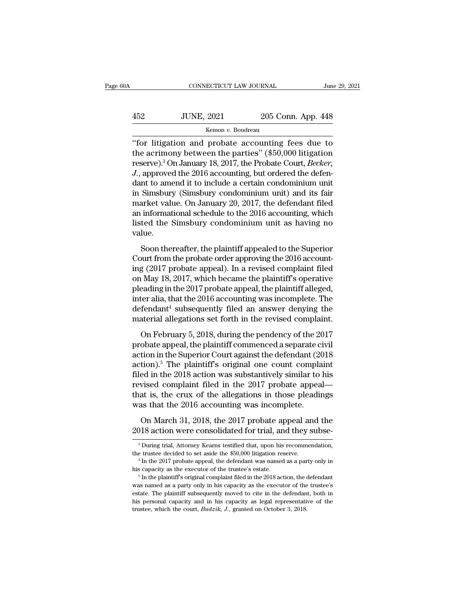| i0A | CONNECTICUT LAW JOURNAL |                    | June 29, 2021 |  |
|-----|-------------------------|--------------------|---------------|--|
|     |                         |                    |               |  |
| 452 | <b>JUNE, 2021</b>       | 205 Conn. App. 448 |               |  |
|     | Kemon v. Boudreau       |                    |               |  |

CONNECTICUT LAW JOURNAL June 29, 2021<br>
452 JUNE, 2021 205 Conn. App. 448<br>
Kemon v. Boudreau<br>
"for litigation and probate accounting fees due to<br>
the acrimony between the parties" (\$50,000 litigation<br>
reserve)<sup>3</sup> On January 152 JUNE, 2021 205 Conn. App. 448<br>
Kemon v. Boudreau<br>
"for litigation and probate accounting fees due to<br>
the acrimony between the parties" (\$50,000 litigation<br>
reserve).<sup>3</sup> On January 18, 2017, the Probate Court, *Becker* TUNE, 2021 205 Conn. App. 448<br>
<u>Kemon v. Boudreau</u><br>
"for litigation and probate accounting fees due to<br>
the acrimony between the parties" (\$50,000 litigation<br>
reserve).<sup>3</sup> On January 18, 2017, the Probate Court, *Becker*,<br> *JUNE, 2021* 205 Conn. App. 448<br>*Kemon v. Boudreau*<br>*Conn. App. 448*<br>*Connies the accounting fees due to* the acrimony between the parties" (\$50,000 litigation reserve).<sup>3</sup> On January 18, 2017, the Probate Court, *Becker* From *v*. Boudreau<br>
"for litigation and probate accounting fees due to<br>
the acrimony between the parties" (\$50,000 litigation<br>
reserve).<sup>3</sup> On January 18, 2017, the Probate Court, *Becker*,<br> *J.*, approved the 2016 accoun EXERCT: The acrimon v. Boudreau<br>
"for litigation and probate accounting fees due to<br>
the acrimony between the parties" (\$50,000 litigation<br>
reserve).<sup>3</sup> On January 18, 2017, the Probate Court, *Becker*,<br> *J.*, approved th "for litigation and probate accounting fees due to<br>the acrimony between the parties"  $(\$50,000$  litigation<br>reserve).<sup>3</sup> On January 18, 2017, the Probate Court, *Becker*,<br>*J.*, approved the 2016 accounting, but ordered the the acrimony between the parties" (\$50,000 litigation<br>reserve).<sup>3</sup> On January 18, 2017, the Probate Court, *Becker*,<br>J., approved the 2016 accounting, but ordered the defen-<br>dant to amend it to include a certain condominiu reserve).<sup>3</sup> On January 18, 2017, the Probate Court, *Becker*,<br>J., approved the 2016 accounting, but ordered the defen-<br>dant to amend it to include a certain condominium unit<br>in Simsbury (Simsbury condominium unit) and its value. Solution and the plant of certain controlled to the Simsbury (Simsbury condominium unit) and its fair arket value. On January 20, 2017, the defendant filed informational schedule to the 2016 accounting, which ted the Simsb m smastary (smastary concommunity and its random<br>market value. On January 20, 2017, the defendant filed<br>an informational schedule to the 2016 accounting, which<br>listed the Simsbury condominium unit as having no<br>value.<br>Soon

market variation schedule to the 2016 accounting, which<br>an informational schedule to the 2016 accounting, which<br>listed the Simsbury condominium unit as having no<br>value.<br>Soon thereafter, the plaintiff appealed to the Superi disted the Simsbury condominium unit as having no<br>listed the Simsbury condominium unit as having no<br>value.<br>Soon thereafter, the plaintiff appealed to the Superior<br>Court from the probate order approving the 2016 account-<br>in moved the similistary condominant time as naving its<br>value.<br>Soon thereafter, the plaintiff appealed to the Superior<br>Court from the probate order approving the 2016 account-<br>ing (2017 probate appeal). In a revised complaint Soon thereafter, the plaintiff appealed to the Superior<br>Court from the probate order approving the 2016 account-<br>ing (2017 probate appeal). In a revised complaint filed<br>on May 18, 2017, which became the plaintiff's operat Soon thereafter, the plaintiff appealed to the Superior<br>Court from the probate order approving the 2016 account-<br>ing (2017 probate appeal). In a revised complaint filed<br>on May 18, 2017, which became the plaintiff's operat Court from the probate order approving the 2016 accounting (2017 probate appeal). In a revised complaint filed on May 18, 2017, which became the plaintiff's operative pleading in the 2017 probate appeal, the plaintiff all May 18, 2017, which became the plaintiff's operative<br>
ading in the 2017 probate appeal, the plaintiff alleged,<br>
ter alia, that the 2016 accounting was incomplete. The<br>
fendant<sup>4</sup> subsequently filed an answer denying the<br> pleading in the 2017 probate appeal, the plaintiff alleged,<br>pleading in the 2017 probate appeal, the plaintiff alleged,<br>inter alia, that the 2016 accounting was incomplete. The<br>defendant<sup>4</sup> subsequently filed an answer de

From alia, that the 2016 accounting was incomplete. The<br>defendant<sup>4</sup> subsequently filed an answer denying the<br>material allegations set forth in the revised complaint.<br>On February 5, 2018, during the pendency of the 2017<br>p defendant<sup>4</sup> subsequently filed an answer denying the<br>material allegations set forth in the revised complaint.<br>On February 5, 2018, during the pendency of the 2017<br>probate appeal, the plaintiff commenced a separate civil<br> filed in the 2018 action was substantively similar to his revised complaint.<br>
On February 5, 2018, during the pendency of the 2017<br>
probate appeal, the plaintiff commenced a separate civil<br>
action in the Superior Court aga on February 5, 2018, during the pendency of the 2017<br>probate appeal, the plaintiff commenced a separate civil<br>action in the Superior Court against the defendant (2018<br>action).<sup>5</sup> The plaintiff's original one count complai On February 5, 2018, during the pendency of the 2017<br>probate appeal, the plaintiff commenced a separate civil<br>action in the Superior Court against the defendant (2018<br>action).<sup>5</sup> The plaintiff's original one count complai probate appeal, the plaintiff commenced a separate ci<br>action in the Superior Court against the defendant (20<br>action).<sup>5</sup> The plaintiff's original one count compla<br>filed in the 2018 action was substantively similar to<br>revis The plaintiff's original one count complaint<br>tion).<sup>5</sup> The plaintiff's original one count complaint<br>ed in the 2018 action was substantively similar to his<br>vised complaint filed in the 2017 probate appeal—<br>at is, the crux o died in the 2018 action was substantively similar to his revised complaint filed in the 2017 probate appeal—<br>that is, the crux of the allegations in those pleadings<br>was that the 2016 accounting was incomplete.<br>On March 31,

was that the 2016 accounting was incomplete.<br>
On March 31, 2018, the 2017 probate appeal and the<br>
2018 action were consolidated for trial, and they subse-<br>  $\frac{3}{10}$  During trial, Attorney Kearns testified that, upon his The trustee decided to set aside the 2017 probate appeal and the 2018 action were consolidated for trial, and they subse-<br><sup>3</sup> During trial, Attorney Kearns testified that, upon his recommendation, the trustee decided to s

<sup>2018</sup> action were consolidated for trial, and they subse-<br><sup>3</sup> During trial, Attorney Kearns testified that, upon his recommendation,<br>the trustee decided to set aside the \$50,000 litigation reserve.<br><sup>4</sup> In the 2017 probate  $^3$  During trial, Attorney Kearns testified that, upon his recommendation, the trustee decided to set aside the  $\$50,000$  litigation reserve.  $^4$  In the 2017 probate appeal, the defendant was named as a party only in hi the trustee decided to set aside the \$50,000 litigation reserve.<br>
<sup>4</sup> In the 2017 probate appeal, the defendant was named as a party only in<br>
his capacity as the executor of the trustee's estate.<br>
<sup>5</sup> In the plaintiff's or <sup>4</sup> In the 2017 probate appeal, the defendant was named as a party only in his capacity as the executor of the trustee's estate.<br><sup>5</sup> In the plaintiff's original complaint filed in the 2018 action, the defendant was named was named as a party only in his capacity as the executor of the trustee's estate. The plaintiff subsequently moved to cite in the defendant, both in his personal capacity and in his capacity as legal representative of the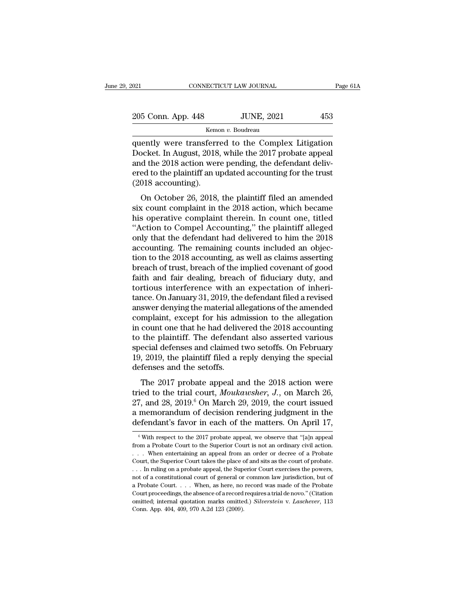$\begin{tabular}{l|c} 021 \quad \quad & \text{COMNECTICUT LAW JOURNAL} \quad \quad & \text{Page 61A} \\ \hline \end{tabular}$   $\begin{tabular}{c} 205 \quad \text{Conn. App. 448} \quad \quad & \text{JUNE, 2021} \\ \hline \text{Kemon $v$. Boudreau} \end{tabular}$ 

Kemon *v.* Boudreau

021 CONNECTICUT LAW JOURNAL Page 61A<br>
205 Conn. App. 448 JUNE, 2021 453<br>
Kemon v. Boudreau<br>
Quently were transferred to the Complex Litigation<br>
Docket. In August, 2018, while the 2017 probate appeal<br>
and the 2018 action we 205 Conn. App. 448 JUNE, 2021 453<br>
Kemon v. Boudreau<br>
Quently were transferred to the Complex Litigation<br>
Docket. In August, 2018, while the 2017 probate appeal<br>
and the 2018 action were pending, the defendant delivered to 205 Conn. App. 448 JUNE, 2021 453<br>
Kemon v. Boudreau<br>
quently were transferred to the Complex Litigation<br>
Docket. In August, 2018, while the 2017 probate appeal<br>
and the 2018 action were pending, the defendant deliv-<br>
ered 205 Conn. App. 448 JUNE, 2021 453<br>
Kemon v. Boudreau<br>
quently were transferred to the Complex Litigation<br>
Docket. In August, 2018, while the 2017 probate appeal<br>
and the 2018 action were pending, the defendant deliv-<br>
ere Example 122<br>
The Example 122<br>
The quently were transferr<br>
Docket. In August, 2018<br>
and the 2018 action wer<br>
ered to the plaintiff an u<br>
(2018 accounting).<br>
On October 26, 2018, ently were transferred to the Complex Litigation<br>
ocket. In August, 2018, while the 2017 probate appeal<br>
d the 2018 action were pending, the defendant deliv-<br>
ed to the plaintiff an updated accounting for the trust<br>
018 ac quentry were transferred to the complex intigation<br>Docket. In August, 2018, while the 2017 probate appeal<br>and the 2018 action were pending, the defendant deliv-<br>ered to the plaintiff an updated accounting for the trust<br>(20

Bocket. In August, 2010, while the 2017 probate appear<br>and the 2018 action were pending, the defendant deliv-<br>ered to the plaintiff an updated accounting for the trust<br>(2018 accounting).<br>On October 26, 2018, the plaintiff and the 2010 action were penally, the detendant delivered to the plaintiff an updated accounting for the trust<br>
(2018 accounting).<br>
On October 26, 2018, the plaintiff filed an amended<br>
six count complaint in the 2018 actio (2018 accounting).<br>
On October 26, 2018, the plaintiff filed an amended<br>
six count complaint in the 2018 action, which became<br>
his operative complaint therein. In count one, titled<br>
"Action to Compel Accounting," the plai On October 26, 2018, the plaintiff filed an amended<br>six count complaint in the 2018 action, which became<br>his operative complaint therein. In count one, titled<br>"Action to Compel Accounting," the plaintiff alleged<br>only that On October 26, 2018, the plaintiff filed an amended<br>six count complaint in the 2018 action, which became<br>his operative complaint therein. In count one, titled<br>"Action to Compel Accounting," the plaintiff alleged<br>only that six count complaint in the 2018 action, which became<br>his operative complaint therein. In count one, titled<br>"Action to Compel Accounting," the plaintiff alleged<br>only that the defendant had delivered to him the 2018<br>accounti his operative complaint therein. In count one, titled<br>
"Action to Compel Accounting," the plaintiff alleged<br>
only that the defendant had delivered to him the 2018<br>
accounting. The remaining counts included an objec-<br>
tion "Action to Compel Accounting," the plaintiff alleged<br>only that the defendant had delivered to him the 2018<br>accounting. The remaining counts included an objec-<br>tion to the 2018 accounting, as well as claims asserting<br>breac only that the defendant had delivered to him the 2018<br>accounting. The remaining counts included an objec-<br>tion to the 2018 accounting, as well as claims asserting<br>breach of trust, breach of the implied covenant of good<br>fai accounting. The remaining counts included an objection to the 2018 accounting, as well as claims asserting<br>breach of trust, breach of the implied covenant of good<br>faith and fair dealing, breach of fiduciary duty, and<br>torti tion to the 2018 accounting, as well as claims asserting<br>breach of trust, breach of the implied covenant of good<br>faith and fair dealing, breach of fiduciary duty, and<br>tortious interference with an expectation of inheri-<br>ta breach of trust, breach of the implied covenant of good<br>faith and fair dealing, breach of fiduciary duty, and<br>tortious interference with an expectation of inheri-<br>tance. On January 31, 2019, the defendant filed a revised<br>a faith and fair dealing, breach of fiduciary duty, and<br>tortious interference with an expectation of inheri-<br>tance. On January 31, 2019, the defendant filed a revised<br>answer denying the material allegations of the amended<br>co tortious interference with an expectation of inheritance. On January 31, 2019, the defendant filed a revised answer denying the material allegations of the amended complaint, except for his admission to the allegation in c tance. On January 31, 2019, the defendant filed a revised<br>answer denying the material allegations of the amended<br>complaint, except for his admission to the allegation<br>in count one that he had delivered the 2018 accounting<br> answer denying the material all<br>complaint, except for his adn<br>in count one that he had delive<br>to the plaintiff. The defendar<br>special defenses and claimed t<br>19, 2019, the plaintiff filed a r<br>defenses and the setoffs.<br>The 20 mphanic, except for this admission to the antigation<br>count one that he had delivered the 2018 accounting<br>the plaintiff. The defendant also asserted various<br>ecial defenses and claimed two setoffs. On February<br>2019, the pla to the plaintiff. The defendant also asserted various<br>special defenses and claimed two setoffs. On February<br>19, 2019, the plaintiff filed a reply denying the special<br>defenses and the setoffs.<br>The 2017 probate appeal and th

special defenses and claimed two setoffs. On February<br>19, 2019, the plaintiff filed a reply denying the special<br>defenses and the setoffs.<br>The 2017 probate appeal and the 2018 action were<br>tried to the trial court, *Moukaws* 19, 2019, the plaintiff filed a reply denying the special<br>defenses and the setoffs.<br>The 2017 probate appeal and the 2018 action were<br>tried to the trial court, *Moukawsher*, *J*., on March 26,<br>27, and 28, 2019.<sup>6</sup> On March To, 2010, the plant and the analytying the special defenses and the setoffs.<br>The 2017 probate appeal and the 2018 action were tried to the trial court, *Moukawsher*, *J*., on March 26, 27, and 28, 2019.<sup>6</sup> On March 29, 20 tried to the trial court, *Moukawsher*, *J*., on March 26, 27, and 28, 2019.<sup>6</sup> On March 29, 2019, the court issued a memorandum of decision rendering judgment in the defendant's favor in each of the matters. On April 17, 27, and 28, 2019.<sup>6</sup> On March 29, 2019, the court issued<br>a memorandum of decision rendering judgment in the<br>defendant's favor in each of the matters. On April 17,<br><sup>6</sup> With respect to the 2017 probate appeal, we observe th

a memorandum of decision rendering judgment in the defendant's favor in each of the matters. On April 17,<br>  $\sqrt[6]{}$  With respect to the 2017 probate appeal, we observe that "[a]n appeal from a Probate Court to the Superio defendant's favor in each of the matters. On April 17,<br>  $\overline{\phantom{a}}$  with respect to the 2017 probate appeal, we observe that "[a]n appeal from a Probate Court to the Superior Court is not an ordinary civil action.<br>  $\overline{\phant$ We refind that is favor in each of the intatters. On April 17,<br>
With respect to the 2017 probate appeal, we observe that "[a]n appeal<br>
from a Probate Court to the Superior Court is not an ordinary civil action.<br>  $\ldots$  Whe <sup>6</sup> With respect to the 2017 probate appeal, we observe that "[a]n appeal from a Probate Court to the Superior Court is not an ordinary civil action. . . . When entertaining an appeal from an order or decree of a Probate From a Probate Court to the Superior Court is not an ordinary civil action.<br>
... When entertaining an appeal from an order or decree of a Probate<br>
Court, the Superior Court takes the place of and sits as the court of prob The court when entertaining an appeal from an order or decree of a Probate Court, the Superior Court takes the place of and sits as the court of probate... In ruling on a probate appeal, the Superior Court exercises the p Ourt, the Superior Court takes the place of and sits as the court of probate.<br>
. . . In ruling on a probate appeal, the Superior Court exercises the powers,<br>
not of a constitutional court of general or common law jurisdict ... In ruling on a probate appeal, the Superior Court exercises the powers, not of a constitutional court of general or common law jurisdiction, but of a Probate Court  $\ldots$ ... When, as here, no record was made of the Pro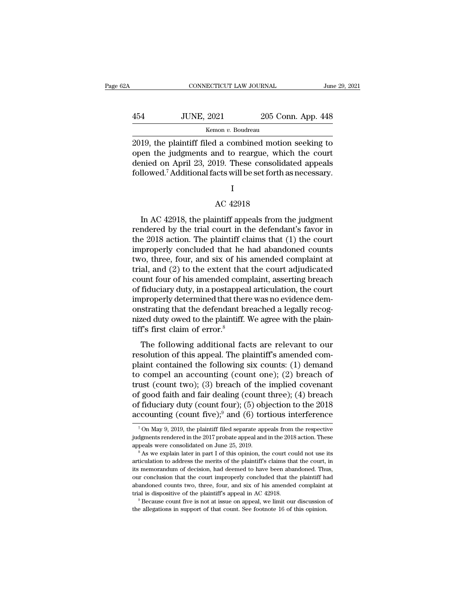| A   | CONNECTICUT LAW JOURNAL |                    | June 29, 2021 |  |
|-----|-------------------------|--------------------|---------------|--|
| 454 | <b>JUNE, 2021</b>       | 205 Conn. App. 448 |               |  |
|     | Kemon v. Boudreau       |                    |               |  |

CONNECTICUT LAW JOURNAL June 29, 2021<br>
2019, the plaintiff filed a combined motion seeking to<br>
2019, the plaintiff filed a combined motion seeking to<br>
open the judgments and to reargue, which the court<br>
donied on April 23, 454 JUNE,  $2021$  205 Conn. App. 448<br>  $\frac{\text{Kemon } v. \text{ Boudreau}}{2019, \text{ the plaintiff filed a combined motion seeking to open the judgments and to reargue, which the court denied on April 23, 2019. These consolidated appeals followed  $\frac{7}{4}$  Additional facts will be set forth as necessary.$  $\begin{tabular}{ c c c c} \multicolumn{1}{c}{{\text{454}}} & {\text{JUNE, 2021}} & {\text{205 Conn. App. 448}}\\ \hline & {\text{Kemon } v. Boudreau} \\ \hline \end{tabular}$ Followed.<sup>7</sup> Additional facts will be set forth as necessary.<br>
The plaintiff filed a combined motion seeking to<br>
open the judgments and to reargue, which the court<br>
denied on April 23, 2019. These consolidated appeals<br>
fol l a combined motio:<br>nd to reargue, which<br>19. These consolida<br>acts will be set forth a<br>I<br>AC 42918<br>intiff appeals from t

## I

Initial on April 23, 2019. These consolidated appeals<br>
Ilowed.<sup>7</sup> Additional facts will be set forth as necessary.<br>
I<br>
AC 42918<br>
In AC 42918, the plaintiff appeals from the judgment<br>
indered by the trial court in the defe rendered by the plaintiff appeals from the judgment<br>
I AC 42918<br>
In AC 42918, the plaintiff appeals from the judgment<br>
rendered by the trial court in the defendant's favor in<br>
the 2018 action. The plaintiff claims that (1) I<br>
AC 42918<br>
In AC 42918, the plaintiff appeals from the judgment<br>
rendered by the trial court in the defendant's favor in<br>
the 2018 action. The plaintiff claims that (1) the court<br>
improperly concluded that he had abandon  $\,$  IMAC 42918<br>
In AC 42918, the plaintiff appeals from the judgment<br>
rendered by the trial court in the defendant's favor in<br>
the 2018 action. The plaintiff claims that (1) the court<br>
improperly concluded that he had ab AC 42918<br>In AC 42918, the plaintiff appeals from the judgment<br>rendered by the trial court in the defendant's favor in<br>the 2018 action. The plaintiff claims that  $(1)$  the court<br>improperly concluded that he had abandoned c In AC 42918, the plaintiff appeals from the judgment<br>rendered by the trial court in the defendant's favor in<br>the 2018 action. The plaintiff claims that (1) the court<br>improperly concluded that he had abandoned counts<br>two, In AC 42918, the plaintiff appeals from the judgment<br>rendered by the trial court in the defendant's favor in<br>the 2018 action. The plaintiff claims that (1) the court<br>improperly concluded that he had abandoned counts<br>two, t rendered by the trial court in the defendant's favor in<br>the 2018 action. The plaintiff claims that (1) the court<br>improperly concluded that he had abandoned counts<br>two, three, four, and six of his amended complaint at<br>trial the 2018 action. The plaintiff claims that (1) the court<br>improperly concluded that he had abandoned counts<br>two, three, four, and six of his amended complaint at<br>trial, and (2) to the extent that the court adjudicated<br>count improperly concluded that he had abandoned counts<br>two, three, four, and six of his amended complaint at<br>trial, and (2) to the extent that the court adjudicated<br>count four of his amended complaint, asserting breach<br>of fiduc two, three, four, and six of his amended complaint at<br>trial, and (2) to the extent that the court adjudicated<br>count four of his amended complaint, asserting breach<br>of fiduciary duty, in a postappeal articulation, the court trial, and (2) to the extent that<br>count four of his amended come<br>of fiduciary duty, in a postappea<br>improperly determined that ther<br>onstrating that the defendant br<br>nized duty owed to the plaintiff.<br>tiff's first claim of er and four of this antended complaint, asserting order.<br>
fiduciary duty, in a postappeal articulation, the court<br>
properly determined that there was no evidence dem-<br>
strating that the defendant breached a legally recog-<br>
ge resolution of this appear and increased improperly determined that there was no evidence demonstrating that the defendant breached a legally recognized duty owed to the plaintiff. We agree with the plaintiff's first claim

maproperty determined that there was no evidence dent<br>onstrating that the defendant breached a legally recog-<br>nized duty owed to the plaintiff. We agree with the plain-<br>tiff's first claim of error.<sup>8</sup><br>The following additi mized duty owed to the plaintiff. We agree with the plaintiff's first claim of error.<sup>8</sup><br>The following additional facts are relevant to our<br>resolution of this appeal. The plaintiff's amended com-<br>plaint contained the foll tiff's first claim of error.<sup>8</sup><br>The following additional facts are relevant to our<br>resolution of this appeal. The plaintiff's amended com-<br>plaint contained the following six counts: (1) demand<br>to compel an accounting (cou The following additional facts are relevant to our resolution of this appeal. The plaintiff's amended complaint contained the following six counts: (1) demand to compel an accounting (count one); (2) breach of trust (coun The following additional facts are relevant to our<br>resolution of this appeal. The plaintiff's amended com-<br>plaint contained the following six counts: (1) demand<br>to compel an accounting (count one); (2) breach of<br>trust (co resolution of this appeal. The plaintiff's amended com-<br>plaint contained the following six counts: (1) demand<br>to compel an accounting (count one); (2) breach of<br>trust (count two); (3) breach of the implied covenant<br>of goo ust (count two); (3) breach of the implied covenant<br>f good faith and fair dealing (count three); (4) breach<br>f fiduciary duty (count four); (5) objection to the 2018<br>ccounting (count five);<sup>9</sup> and (6) tortious interference of good faith and fair dealing (count three); (4) breach<br>of fiduciary duty (count four); (5) objection to the 2018<br>accounting (count five);<sup>9</sup> and (6) tortious interference<br> $\frac{7 \text{ On May 9, 2019}}{\text{On May 9, 2019, the plaintiff filed separate appears from the respective  
judgments rendered in the$ 

of fiduciary duty (count four); (5) objection to the 2018<br>accounting (count five);<sup>9</sup> and (6) tortious interference<br> $\frac{7 \text{On May } 9, 2019}$ , the plaintiff filed separate appeals from the respective<br>judgments rendered in the

To a May 9, 2019, the plaintiff filed separate appeals from the respective judgments rendered in the 2017 probate appeals and in the 2018 action. These appeals were consolidated on June 25, 2019.<br>
<sup>8</sup> As we explain later  $^7$  On May 9, 2019, the plaintiff filed separate appeals from the respective judgments rendered in the 2017 probate appeal and in the 2018 action. These appeals were consolidated on June 25, 2019.<br>  $^8$  As we explain lat our conclusion that the court improperly concluded that the plaintiff had abandoned courts that the court could not use its articulation to address the merits of the plaintiff's claims that the court, in its memorandum of articulation to address the merits of the plaintiff's claims that the court, in<br>its memorandum of decision, had deemed to have been abandoned. Thus,<br>our conclusion that the court improperly concluded that the plaint<br>iff ha  $\degree$  As we explain later in part I of this opinion, the court could not use its articulation to address the merits of the plaintiff's claims that the court, in its memorandum of decision, had deemed to have been abandoned our conclusion that the court improperly concluded that the plaintiff had<br>abandoned counts two, three, four, and six of his amended complaint at<br>trial is dispositive of the plaintiff's appeal in AC 42918.<br><sup>9</sup> Because count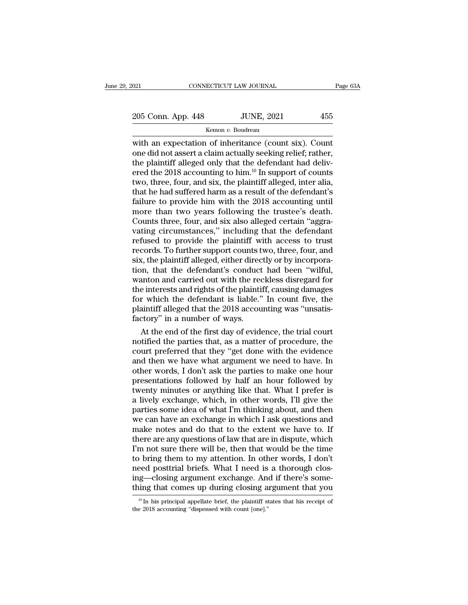021 CONNECTICUT LAW JOURNAL Page 63A<br>
205 Conn. App. 448 JUNE, 2021 455<br>
Kemon v. Boudreau

Kemon *v.* Boudreau

CONNECTICUT LAW JOURNAL Page 632<br>
205 Conn. App. 448 JUNE, 2021 455<br>
Kemon v. Boudreau<br>
With an expectation of inheritance (count six). Count<br>
one did not assert a claim actually seeking relief; rather,<br>
the plaintiff allo 205 Conn. App. 448 JUNE, 2021 455<br>
Kemon v. Boudreau<br>
with an expectation of inheritance (count six). Count<br>
one did not assert a claim actually seeking relief; rather,<br>
the plaintiff alleged only that the defendant had d 205 Conn. App. 448 JUNE, 2021 455<br>
Kemon v. Boudreau<br>
with an expectation of inheritance (count six). Count<br>
one did not assert a claim actually seeking relief; rather,<br>
the plaintiff alleged only that the defendant had d 205 Conn. App. 448 JUNE, 2021 455<br>
Kemon v. Boudreau<br>
with an expectation of inheritance (count six). Count<br>
one did not assert a claim actually seeking relief; rather,<br>
the plaintiff alleged only that the defendant had d Example 11.18 Exception we be seen to see the plaint. Tipp. The second with an expectation of inheritance (count six). Count<br>one did not assert a claim actually seeking relief; rather,<br>the plaintiff alleged only that the Kemon v. Boudreau<br>
with an expectation of inheritance (count six). Count<br>
one did not assert a claim actually seeking relief; rather,<br>
the plaintiff alleged only that the defendant had deliv-<br>
ered the 2018 accounting to with an expectation of inheritance (count six). Count<br>one did not assert a claim actually seeking relief; rather,<br>the plaintiff alleged only that the defendant had deliv-<br>ered the 2018 accounting to him.<sup>10</sup> In support of one did not assert a claim actually seeking relief; rather,<br>the plaintiff alleged only that the defendant had deliv-<br>ered the 2018 accounting to him.<sup>10</sup> In support of counts<br>two, three, four, and six, the plaintiff allege the plaintiff alleged only that the defendant had delivered the 2018 accounting to him.<sup>10</sup> In support of counts two, three, four, and six, the plaintiff alleged, inter alia, that he had suffered harm as a result of the de ered the 2018 accounting to him.<sup>10</sup> In support of counts<br>two, three, four, and six, the plaintiff alleged, inter alia,<br>that he had suffered harm as a result of the defendant's<br>failure to provide him with the 2018 accounti two, three, four, and six, the plaintiff alleged, inter alia, that he had suffered harm as a result of the defendant's failure to provide him with the 2018 accounting until more than two years following the trustee's death that he had suffered harm as a result of the defendant's<br>failure to provide him with the 2018 accounting until<br>more than two years following the trustee's death.<br>Counts three, four, and six also alleged certain "aggra-<br>vat failure to provide him with the 2018 accounting until<br>more than two years following the trustee's death.<br>Counts three, four, and six also alleged certain "aggra-<br>vating circumstances," including that the defendant<br>refused more than two years following the trustee's death.<br>Counts three, four, and six also alleged certain "aggra-<br>vating circumstances," including that the defendant<br>refused to provide the plaintiff with access to trust<br>records. Counts three, four, and six also alleged certain "aggravating circumstances," including that the defendant refused to provide the plaintiff with access to trust records. To further support counts two, three, four, and six, vating circumstances," including that the defendant<br>refused to provide the plaintiff with access to trust<br>records. To further support counts two, three, four, and<br>six, the plaintiff alleged, either directly or by incorpora refused to provide the plaintiff with access to trust<br>records. To further support counts two, three, four, and<br>six, the plaintiff alleged, either directly or by incorpora-<br>tion, that the defendant's conduct had been "wilfu records. To further support counts two, three, four, and<br>six, the plaintiff alleged, either directly or by incorpora-<br>tion, that the defendant's conduct had been "wilful,<br>wanton and carried out with the reckless disregard six, the plaintiff alleged, either direction, that the defendant's conduct<br>wanton and carried out with the recthe interests and rights of the plaintif<br>for which the defendant is liable."<br>plaintiff alleged that the 2018 acc ) in that the defendant's conduct had been "wilful,<br>anton and carried out with the reckless disregard for<br>e interests and rights of the plaintiff, causing damages<br>r which the defendant is liable." In count five, the<br>aintif wanton and carried out with the reckless disregard for<br>the interests and rights of the plaintiff, causing damages<br>for which the defendant is liable." In count five, the<br>plaintiff alleged that the 2018 accounting was "unsat

the interests and rights of the plaintiff, causing damages<br>for which the defendant is liable." In count five, the<br>plaintiff alleged that the 2018 accounting was "unsatis-<br>factory" in a number of ways.<br>At the end of the fir for which the defendant is liable." In count five, the<br>plaintiff alleged that the 2018 accounting was "unsatis-<br>factory" in a number of ways.<br>At the end of the first day of evidence, the trial court<br>notified the parties th plaintiff alleged that the 2018 accounting was "unsatis-<br>factory" in a number of ways.<br>At the end of the first day of evidence, the trial court<br>notified the parties that, as a matter of procedure, the<br>court preferred that factory" in a number of ways.<br>
At the end of the first day of evidence, the trial court<br>
notified the parties that, as a matter of procedure, the<br>
court preferred that they "get done with the evidence<br>
and then we have wha At the end of the first day of evidence, the trial court<br>notified the parties that, as a matter of procedure, the<br>court preferred that they "get done with the evidence<br>and then we have what argument we need to have. In<br>oth notified the parties that, as a matter of procedure, the<br>court preferred that they "get done with the evidence<br>and then we have what argument we need to have. In<br>other words, I don't ask the parties to make one hour<br>presen court preferred that they "get done with the evidence<br>and then we have what argument we need to have. In<br>other words, I don't ask the parties to make one hour<br>presentations followed by half an hour followed by<br>twenty minut and then we have what argument we need to have. In<br>other words, I don't ask the parties to make one hour<br>presentations followed by half an hour followed by<br>twenty minutes or anything like that. What I prefer is<br>a lively ex other words, I don't ask the parties to make one hour<br>presentations followed by half an hour followed by<br>twenty minutes or anything like that. What I prefer is<br>a lively exchange, which, in other words, I'll give the<br>partie presentations followed by half an hour followed by<br>twenty minutes or anything like that. What I prefer is<br>a lively exchange, which, in other words, I'll give the<br>parties some idea of what I'm thinking about, and then<br>we ca It wenty minutes or anything like that. What I prefer is<br>a lively exchange, which, in other words, I'll give the<br>parties some idea of what I'm thinking about, and then<br>we can have an exchange in which I ask questions and<br>m a lively exchange, which, in other words, I'll give the<br>parties some idea of what I'm thinking about, and then<br>we can have an exchange in which I ask questions and<br>make notes and do that to the extent we have to. If<br>there parties some idea of what I'm thinking about, and then<br>we can have an exchange in which I ask questions and<br>make notes and do that to the extent we have to. If<br>there are any questions of law that are in dispute, which<br>I'm we can have an exchange in which I ask questions and<br>make notes and do that to the extent we have to. If<br>there are any questions of law that are in dispute, which<br>I'm not sure there will be, then that would be the time<br>to make notes and do that to the extent we have to. If there are any questions of law that are in dispute, which I'm not sure there will be, then that would be the time to bring them to my attention. In other words, I don't 10 bring them to my attention. In other words, I don't eed posttrial briefs. What I need is a thorough clos-<br>ig—closing argument exchange. And if there's some-<br>ing that comes up during closing argument that you<br><sup>10</sup> In hi need posttrial briefs. What I need is<br>ing—closing argument exchange. An<br>thing that comes up during closing a<br><sup>10</sup> In his principal appellate brief, the plaintiff st<br>the 2018 accounting "dispensed with count [one]."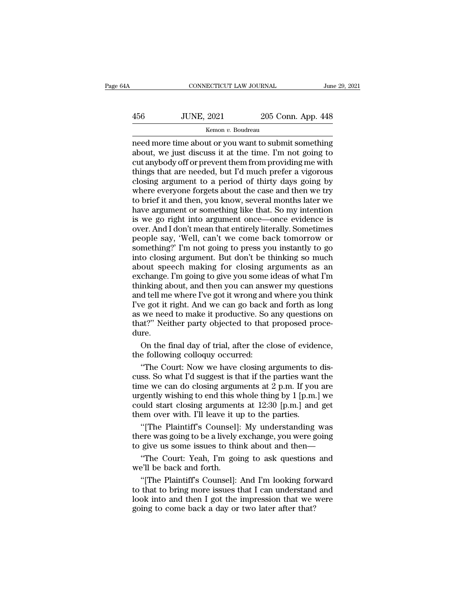# $\begin{tabular}{ll} \multicolumn{2}{l}{{\small\textbf{COMRECTICUT LAW JOURNAL}}} & \multicolumn{2}{l}{\small\textbf{June 29, 2021}}\\ \hline & \multicolumn{2}{l}{\small\textbf{JUNE, 2021}} & \multicolumn{2}{l}{\small 205 Conn. App. 448} \\ & \multicolumn{2}{l}{\small\textbf{Kemon $v. Boudreau}} & \multicolumn{2}{l}{\small\textbf{1.}} \end{tabular}$

# Kemon *v.* Boudreau

 $\begin{tabular}{ll} \multicolumn{1}{l}{{\bf CONNECTICUT LAW JOURNAL}} & June 29, 2021\\ \hline & {\bf 1UNE, 2021} & 205 & Conn. App. 448\\ \hline & \multicolumn{1}{l}{\bf 1-ME, 2021} & 205 & Conn. App. 448\\ \hline & \multicolumn{1}{l}{\bf 1-ME, 2021} & 205 & Conn. App. 448\\ \hline & 205 & Common. By. 448\\ \hline & 205 & Common. 448 & 205\\ \hline & 205 & Common. 448 & 206\\ \hline$ 456 JUNE, 2021 205 Conn. App. 448<br>
Kemon v. Boudreau<br>
Remon v. Boudreau<br>
Remon v. Boudreau<br>
Remon v. Boudreau<br>
Remon v. Boudreau<br>
Remon v. Boudreau<br>
Remonstration submit something<br>
about, we just discuss it at the time. I' 456 JUNE, 2021 205 Conn. App. 448<br>
<u>kemon v. Boudreau</u><br>
need more time about or you want to submit something<br>
about, we just discuss it at the time. I'm not going to<br>
cut anybody off or prevent them from providing me with  $\frac{156}{\text{H}} = \frac{1000 \text{ N}}{1000 \text{ N}} = 205 \text{ C}$  and  $\frac{148}{\text{ N}} = 205 \text{ C}$  and  $\frac{148}{\text{ N}} = 448 \text{ C}$  meed more time about or you want to submit something about, we just discuss it at the time. I'm not going to cut an EXECLOSION TREES THE SERVICE THE REFORMATION REFORM THE REFORMATION and about, we just discuss it at the time. I'm not going to cut anybody off or prevent them from providing me with things that are needed, but I'd much p Kemon v. Boudreau<br>
meed more time about or you want to submit something<br>
about, we just discuss it at the time. I'm not going to<br>
cut anybody off or prevent them from providing me with<br>
things that are needed, but I'd much need more time about or you want to submit something<br>about, we just discuss it at the time. I'm not going to<br>cut anybody off or prevent them from providing me with<br>things that are needed, but I'd much prefer a vigorous<br>clo about, we just discuss it at the time. I'm not going to<br>cut anybody off or prevent them from providing me with<br>things that are needed, but I'd much prefer a vigorous<br>closing argument to a period of thirty days going by<br>whe cut anybody off or prevent them from providing me with<br>things that are needed, but I'd much prefer a vigorous<br>closing argument to a period of thirty days going by<br>where everyone forgets about the case and then we try<br>to br things that are needed, but I'd much prefer a vigorous<br>closing argument to a period of thirty days going by<br>where everyone forgets about the case and then we try<br>to brief it and then, you know, several months later we<br>have closing argument to a period of thirty days going by<br>where everyone forgets about the case and then we try<br>to brief it and then, you know, several months later we<br>have argument or something like that. So my intention<br>is we where everyone forgets about the case and then we try<br>to brief it and then, you know, several months later we<br>have argument or something like that. So my intention<br>is we go right into argument once—once evidence is<br>over. A to brief it and then, you know, several months later we<br>have argument or something like that. So my intention<br>is we go right into argument once—once evidence is<br>over. And I don't mean that entirely literally. Sometimes<br>peo have argument or something like that. So my intention<br>is we go right into argument once—once evidence is<br>over. And I don't mean that entirely literally. Sometimes<br>people say, 'Well, can't we come back tomorrow or<br>something is we go right into argument once—once evidence is<br>over. And I don't mean that entirely literally. Sometimes<br>people say, 'Well, can't we come back tomorrow or<br>something?' I'm not going to press you instantly to go<br>into clo over. And I don't mean that entirely literally. Sometimes<br>people say, 'Well, can't we come back tomorrow or<br>something?' I'm not going to press you instantly to go<br>into closing argument. But don't be thinking so much<br>about people say, 'Well, can't we come back tomorrow or<br>people say, 'Well, can't we come back tomorrow or<br>something?' I'm not going to press you instantly to go<br>into closing argument. But don't be thinking so much<br>about speech m Fragmenting?' I'm not going to press you instantly to go<br>into closing argument. But don't be thinking so much<br>about speech making for closing arguments as an<br>exchange. I'm going to give you some ideas of what I'm<br>thinking best and the spaning of prior the spaning of prior the spaning into closing argument. But don't be thinking so much about speech making for closing arguments as an exchange. I'm going to give you some ideas of what I'm thi that there is a serve of a matter of a serve of any about speech making for closing arguments as an exchange. I'm going to give you some ideas of what I'm thinking about, and then you can answer my questions and tell me wh dure. inking about, and then you can answer my questions<br>d tell me where I've got it wrong and where you think<br>e got it right. And we can go back and forth as long<br>we need to make it productive. So any questions on<br>at?" Neither and tell me where I've got it wrong and<br>I've got it right. And we can go back a<br>as we need to make it productive. So a<br>that?" Neither party objected to that<br>dure.<br>On the final day of trial, after the cl<br>the following collo e got it right. And we can go back and forth as long<br>we need to make it productive. So any questions on<br>at?" Neither party objected to that proposed proce-<br>re.<br>On the final day of trial, after the close of evidence,<br>e foll

as we need to make it productive. So any questions on<br>that?" Neither party objected to that proposed proce-<br>dure.<br>On the final day of trial, after the close of evidence,<br>the following colloquy occurred:<br>"The Court: Now we that?" Neither party objected to that proposed procedure.<br>
On the final day of trial, after the close of evidence,<br>
the following colloquy occurred:<br>
"The Court: Now we have closing arguments to dis-<br>
cuss. So what I'd su on the final day of trial, after the close of evidence,<br>the following colloquy occurred:<br>"The Court: Now we have closing arguments to dis-<br>cuss. So what I'd suggest is that if the parties want the<br>time we can do closing ar On the final day of trial, after the close of evidence,<br>the following colloquy occurred:<br>"The Court: Now we have closing arguments to dis-<br>cuss. So what I'd suggest is that if the parties want the<br>time we can do closing a the following colloquy occurred:<br>
"The Court: Now we have closing arguments to<br>
cuss. So what I'd suggest is that if the parties want<br>
time we can do closing arguments at 2 p.m. If you<br>
urgently wishing to end this whole t "The Court: Now we have closing arguments to disses. So what I'd suggest is that if the parties want the<br>ne we can do closing arguments at 2 p.m. If you are<br>gently wishing to end this whole thing by 1 [p.m.] we<br>uld start cuss. So what I'd suggest is that if the parties want the<br>time we can do closing arguments at 2 p.m. If you are<br>urgently wishing to end this whole thing by 1 [p.m.] we<br>could start closing arguments at 12:30 [p.m.] and get time we can do closing arguments at 2 p.m. If you are<br>urgently wishing to end this whole thing by 1 [p.m.] we<br>could start closing arguments at 12:30 [p.m.] and get<br>them over with. I'll leave it up to the parties.<br>"[The Pl

gently wishing to end this whole thing by 1 [p.m.] we<br>uld start closing arguments at 12:30 [p.m.] and get<br>em over with. I'll leave it up to the parties.<br>"[The Plaintiff's Counsel]: My understanding was<br>ere was going to be could start closing argument<br>them over with. I'll leave it u<br>"[The Plaintiff's Counsel]<br>there was going to be a lively<br>to give us some issues to thi<br>"The Court: Yeah, I'm goi<br>we'll be back and forth.<br>"[The Plaintiff's Coun "[The Plaintiff's Counsel]: My understanding was<br>ere was going to be a lively exchange, you were going<br>give us some issues to think about and then—<br>"The Court: Yeah, I'm going to ask questions and<br>"Il be back and forth.<br>"[

The Plaintiff's Counsel]: My understanding was<br>there was going to be a lively exchange, you were going<br>to give us some issues to think about and then—<br>"The Court: Yeah, I'm going to ask questions and<br>we'll be back and fort there was going to be a lively exchange, you were going<br>to give us some issues to think about and then—<br>"The Court: Yeah, I'm going to ask questions and<br>we'll be back and forth.<br>"[The Plaintiff's Counsel]: And I'm looking to give us some issues to think about and then—<br>
"The Court: Yeah, I'm going to ask questions<br>
we'll be back and forth.<br>
"[The Plaintiff's Counsel]: And I'm looking for<br>
to that to bring more issues that I can understand<br>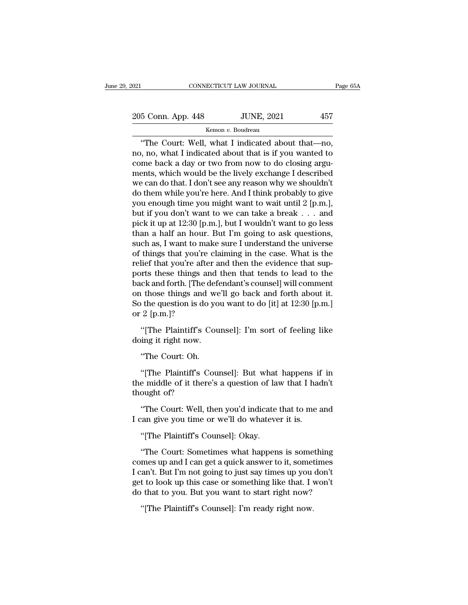205 Conn. App. 448 JUNE, 2021 <sup>457</sup>

Kemon *v.* Boudreau

CONNECTICUT LAW JOURNAL Page (<br>
5 Conn. App. 448 JUNE, 2021 457<br>
Kemon v. Boudreau<br>
"The Court: Well, what I indicated about that—no,<br>
, no, what I indicated about that is if you wanted to 205 Conn. App. 448 JUNE, 2021 457<br>
Kemon v. Boudreau<br>
"The Court: Well, what I indicated about that—no,<br>
no, no, what I indicated about that is if you wanted to<br>
come back a day or two from now to do closing argu-<br>
ments 205 Conn. App. 448 JUNE, 2021 457<br>
Kemon v. Boudreau<br>
"The Court: Well, what I indicated about that—no,<br>
no, no, what I indicated about that is if you wanted to<br>
come back a day or two from now to do closing argu-<br>
ments, 205 Conn. App. 448 JUNE, 2021 457<br>
Kemon v. Boudreau<br>
"The Court: Well, what I indicated about that—no,<br>
no, no, what I indicated about that is if you wanted to<br>
come back a day or two from now to do closing argu-<br>
ments, We can do that. I don't see any reason why we shouldn't do them while you're here. And I think probably to give any can do that. I don't see any reason why we shouldn't do them while you're here. And I think probably to g Remon v. Boudreau<br>
"The Court: Well, what I indicated about that—no,<br>
no, no, what I indicated about that is if you wanted to<br>
come back a day or two from now to do closing argu-<br>
ments, which would be the lively exchange "The Court: Well, what I indicated about that—no,<br>no, no, what I indicated about that is if you wanted to<br>come back a day or two from now to do closing argu-<br>ments, which would be the lively exchange I described<br>we can do no, no, what I indicated about that is if you wanted to<br>come back a day or two from now to do closing argu-<br>ments, which would be the lively exchange I described<br>we can do that. I don't see any reason why we shouldn't<br>do t come back a day or two from now to do closing arguments, which would be the lively exchange I described<br>we can do that. I don't see any reason why we shouldn't<br>do them while you're here. And I think probably to give<br>you en ments, which would be the lively exchange I described<br>we can do that. I don't see any reason why we shouldn't<br>do them while you're here. And I think probably to give<br>you enough time you might want to wait until 2 [p.m.],<br>b we can do that. I don't see any reason why we shouldn't<br>do them while you're here. And I think probably to give<br>you enough time you might want to wait until 2 [p.m.],<br>but if you don't want to we can take a break . . . and<br> do them while you're here. And I think probably to give<br>you enough time you might want to wait until 2 [p.m.],<br>but if you don't want to we can take a break . . . and<br>pick it up at 12:30 [p.m.], but I wouldn't want to go le you enough time you might want to wait until 2 [p.m.], but if you don't want to we can take a break . . . and pick it up at 12:30 [p.m.], but I wouldn't want to go less than a half an hour. But I'm going to ask questions, but if you don't want to we can take a break . . . and<br>pick it up at 12:30 [p.m.], but I wouldn't want to go less<br>than a half an hour. But I'm going to ask questions,<br>such as, I want to make sure I understand the universe<br> pick it up at 12:30 [p.m.], but I wouldn't want to go less<br>than a half an hour. But I'm going to ask questions,<br>such as, I want to make sure I understand the universe<br>of things that you're claiming in the case. What is the than a half an hour. But I'm going to ask questions,<br>such as, I want to make sure I understand the universe<br>of things that you're claiming in the case. What is the<br>relief that you're after and then the evidence that sup-<br> such as, I want to make sure I understand the universe<br>of things that you're claiming in the case. What is the<br>relief that you're after and then the evidence that sup-<br>ports these things and then that tends to lead to the<br> of things that you're<br>relief that you're afte<br>ports these things are<br>back and forth. [The con those things and<br>So the question is do<br>or 2 [p.m.]?<br>"[The Plaintiff's C The Plaintiff's Counsel]: I'm sort of feeling like ing it right now.<br>
"However," I'm sort of feeling like  $\mu$  and  $\mu$  and  $\mu$  is done.<br>
"How the question is do you want to do [it] at 12:30 [p.m.]<br>
2 [p.m.]? "[The Plain back and forth. [The defe<br>on those things and we<br>So the question is do yo<br>or 2 [p.m.]?<br>"[The Plaintiff's Cou<br>doing it right now.<br>"The Court: Oh. The question is do youther question is do youther question is do youther all the Plaintiff's Court: Oh.<br>"The Court: Oh."<br>The Court: Oh."<br>The Plaintiff's Court: Oh."

2 [p.m.]?<br>"[The Plaintiff's Counsel]: I'm sort of feeling like<br>ing it right now.<br>"The Court: Oh.<br>"[The Plaintiff's Counsel]: But what happens if in<br>e middle of it there's a question of law that I hadn't<br>ought of? "[The Plaintiff's Counsel]: I'm sort of feeling like<br>doing it right now.<br>"The Court: Oh.<br>"[The Plaintiff's Counsel]: But what happens if in<br>the middle of it there's a question of law that I hadn't<br>thought of? The Plaintiff's C<br>doing it right now.<br>"The Court: Oh.<br>"[The Plaintiff's C<br>the middle of it ther<br>thought of?"<br>"The Court: Well, 1 "The Court: Oh.<br>"[The Plaintiff's Counsel]: But what happens if in<br>e middle of it there's a question of law that I hadn't<br>ought of?<br>"The Court: Well, then you'd indicate that to me and<br>can give you time or we'll do whateve Ine Court: On.<br>
"[The Plaintiff's Counsel]: But what happens if<br>
the middle of it there's a question of law that I had<br>
thought of?<br>
"The Court: Well, then you'd indicate that to me a<br>
I can give you time or we'll do whate The Plaintiff's Counsel]: But what<br>
e middle of it there's a question of lam<br>
ought of?<br>
"The Court: Well, then you'd indicate<br>
"The Plaintiff's Counsel]: Okay.<br>
"The Court: Sometimes what happen

ought of?<br>
"The Court: Well, then you'd indicate that to me and<br>
"Ine Plaintiff's Counsel]: Okay.<br>
"The Court: Sometimes what happens is something<br>
"The Court: Sometimes what happens is something<br>
mes up and I can get a qu "The Court: Well, then you'd indicate that to me and<br>I can give you time or we'll do whatever it is.<br>"[The Plaintiff's Counsel]: Okay.<br>"The Court: Sometimes what happens is something<br>comes up and I can get a quick answer t Ine Court: Well, then you a malcate that to me and<br>I can give you time or we'll do whatever it is.<br>"[The Plaintiff's Counsel]: Okay.<br>"The Court: Sometimes what happens is something<br>comes up and I can get a quick answer to I can give you time or well do whatever it is.<br>
"[The Plaintiff's Counsel]: Okay.<br>
"The Court: Sometimes what happens is something<br>
comes up and I can get a quick answer to it, sometimes<br>
I can't. But I'm not going to just "[The Plaintiff's Counsel]: Okay.<br>"The Court: Sometimes what happens is something<br>comes up and I can get a quick answer to it, sometimes<br>I can't. But I'm not going to just say times up you don't<br>get to look up this case or "The Court: Sometimes what happens is some mes up and I can get a quick answer to it, sometan't. But I'm not going to just say times up you t to look up this case or something like that. I v that to you. But you want to st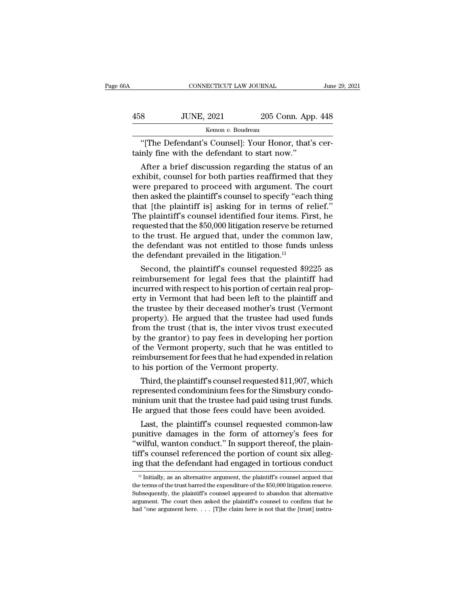| jА  | CONNECTICUT LAW JOURNAL                                                                             |                    | June 29, 2021 |
|-----|-----------------------------------------------------------------------------------------------------|--------------------|---------------|
| 458 | <b>JUNE, 2021</b>                                                                                   | 205 Conn. App. 448 |               |
|     | Kemon v. Boudreau                                                                                   |                    |               |
|     | "The Defendant's Counsel]: Your Honor, that's cer-<br>tainly fine with the defendant to start now." |                    |               |
|     | After a brief discussion regarding the status of an                                                 |                    |               |

 $\noindent\text{3} \quad \text{JUNE, 2021} \quad \text{205 Conn. App. 448} \quad \text{Kemon } v. \text{ Boudreau}$ "[The Defendant's Counsel]: Your Honor, that's cerinly fine with the defendant to start now."<br>After a brief discussion regarding the status of an hibit, counsel f 458 JUNE, 2021 205 Conn. App. 448<br>
Kemon v. Boudreau<br>
"[The Defendant's Counsel]: Your Honor, that's certainly fine with the defendant to start now."<br>
After a brief discussion regarding the status of an<br>
exhibit, counsel Kemon v. Boudreau<br>
"[The Defendant's Counsel]: Your Honor, that's certainly fine with the defendant to start now."<br>
After a brief discussion regarding the status of an<br>
exhibit, counsel for both parties reaffirmed that th "[The Defendant's Counsel]: Your Honor, that's certainly fine with the defendant to start now."<br>After a brief discussion regarding the status of an<br>exhibit, counsel for both parties reaffirmed that they<br>were prepared to pr [The Detendant s Counser]: Your Honor, that s certainly fine with the defendant to start now."<br>After a brief discussion regarding the status of an exhibit, counsel for both parties reaffirmed that they<br>were prepared to pro tainly line with the detendant to start now.<br>
After a brief discussion regarding the status of an<br>
exhibit, counsel for both parties reaffirmed that they<br>
were prepared to proceed with argument. The court<br>
then asked the p After a brief discussion regarding the status of an exhibit, counsel for both parties reaffirmed that they were prepared to proceed with argument. The court then asked the plaintiff's counsel to specify "each thing that [t exhibit, counsel for both parties reaffirmed that they<br>were prepared to proceed with argument. The court<br>then asked the plaintiff's counsel to specify "each thing<br>that [the plaintiff' is] asking for in terms of relief."<br>Th were prepared to proceed with argument. The court<br>then asked the plaintiff's counsel to specify "each thing<br>that [the plaintiff is] asking for in terms of relief."<br>The plaintiff's counsel identified four items. First, he<br> then asked the plaintiff's counsel to specify "eacl<br>that [the plaintiff is] asking for in terms of r<br>The plaintiff's counsel identified four items. Fi<br>requested that the \$50,000 litigation reserve be re<br>to the trust. He ar at [the plaintiff's counsel identified four items. First, he<br>quested that the \$50,000 litigation reserve be returned<br>the trust. He argued that, under the common law,<br>e defendant was not entitled to those funds unless<br>e de The plaintiff s counsel identified four items. First, ne<br>requested that the \$50,000 litigation reserve be returned<br>to the trust. He argued that, under the common law,<br>the defendant was not entitled to those funds unless<br>t

requested that the \$50,000 intgation reserve be returned<br>to the trust. He argued that, under the common law,<br>the defendant was not entitled to those funds unless<br>the defendant prevailed in the litigation.<sup>11</sup><br>Second, the p to the trust. He argued that, under the common law,<br>the defendant was not entitled to those funds unless<br>the defendant prevailed in the litigation.<sup>11</sup><br>Second, the plaintiff's counsel requested \$9225 as<br>reimbursement for the defendant was not entitled to those funds unless<br>the defendant prevailed in the litigation.<sup>11</sup><br>Second, the plaintiff's counsel requested \$9225 as<br>reimbursement for legal fees that the plaintiff had<br>incurred with respe the defendant prevalled in the infigation."<br>
Second, the plaintiff's counsel requested \$9225 as<br>
reimbursement for legal fees that the plaintiff had<br>
incurred with respect to his portion of certain real prop-<br>
erty in Verm Second, the plaintiff's counsel requested \$9225 as<br>reimbursement for legal fees that the plaintiff had<br>incurred with respect to his portion of certain real prop-<br>erty in Vermont that had been left to the plaintiff and<br>the reimbursement for legal fees that the plaintiff had<br>incurred with respect to his portion of certain real prop-<br>erty in Vermont that had been left to the plaintiff and<br>the trustee by their deceased mother's trust (Vermont<br>p incurred with respect to his portion of certain real property in Vermont that had been left to the plaintiff and<br>the trustee by their deceased mother's trust (Vermont<br>property). He argued that the trustee had used funds<br>fr erty in Vermont that had been left to the plaintiff and<br>the trustee by their deceased mother's trust (Vermont<br>property). He argued that the trustee had used funds<br>from the trust (that is, the inter vivos trust executed<br>by the trustee by their deceased mother's trust<br>property). He argued that the trustee had us<br>from the trust (that is, the inter vivos trust<br>by the grantor) to pay fees in developing he<br>of the Vermont property, such that he wa operty). He argued that the trustee had used runds<br>om the trust (that is, the inter vivos trust executed<br>the grantor) to pay fees in developing her portion<br>the Vermont property, such that he was entitled to<br>imbursement for rrom the trust (that is, the inter vivos trust executed<br>by the grantor) to pay fees in developing her portion<br>of the Vermont property, such that he was entitled to<br>reimbursement for fees that he had expended in relation<br>to

by the grantor) to pay rees in developing her portion<br>of the Vermont property, such that he was entitled to<br>reimbursement for fees that he had expended in relation<br>to his portion of the Vermont property.<br>Third, the plainti or the vermont property, such that he was entitled to<br>reimbursement for fees that he had expended in relation<br>to his portion of the Vermont property.<br>Third, the plaintiff's counsel requested \$11,907, which<br>represented cond his portion of the Vermont property.<br>Third, the plaintiff's counsel requested \$11,907, which<br>presented condominium fees for the Simsbury condo-<br>inium unit that the trustee had paid using trust funds.<br>e argued that those fe Third, the plaintiff's counsel requested \$11,907, which<br>represented condominium fees for the Simsbury condo-<br>minium unit that the trustee had paid using trust funds.<br>He argued that those fees could have been avoided.<br>Last

Third, the plaintiff s counsel requested  $\frac{1}{2}$  and  $\frac{1}{2}$  and represented condominium fees for the Simsbury condominium unit that the trustee had paid using trust funds. He argued that those fees could have been av represented condominium rees for the Simsbury condominium unit that the trustee had paid using trust funds.<br>He argued that those fees could have been avoided.<br>Last, the plaintiff's counsel requested common-law<br>punitive dam minium unit that the trustee had paid using trust runds.<br>He argued that those fees could have been avoided.<br>Last, the plaintiff's counsel requested common-law<br>punitive damages in the form of attorney's fees for<br>"wilful, wa unitive damages in the form of attorney's fees for<br>wilful, wanton conduct." In support thereof, the plain-<br>ff's counsel referenced the portion of count six alleg-<br>ig that the defendant had engaged in tortious conduct<br><sup>11</sup> "wilful, wanton conduct." In support thereof, the plaintiff's counsel referenced the portion of count six alleging that the defendant had engaged in tortious conduct  $\frac{11}{11}$  Initially, as an alternative argument, the

tiff's counsel referenced the portion of count six alleging that the defendant had engaged in tortious conduct<br>  $\frac{1}{1}$  Initially, as an alternative argument, the plaintiff's counsel argued that<br>
the terms of the trust ing that the defendant had engaged in tortious conduct<br>  $\frac{1}{1}$  Initially, as an alternative argument, the plaintiff's counsel argued that<br>
the terms of the trust barred the expenditure of the \$50,000 litigation reserve  $<sup>11</sup>$  Initially, as an alternative argument, the plaintiff's counsel argued that</sup>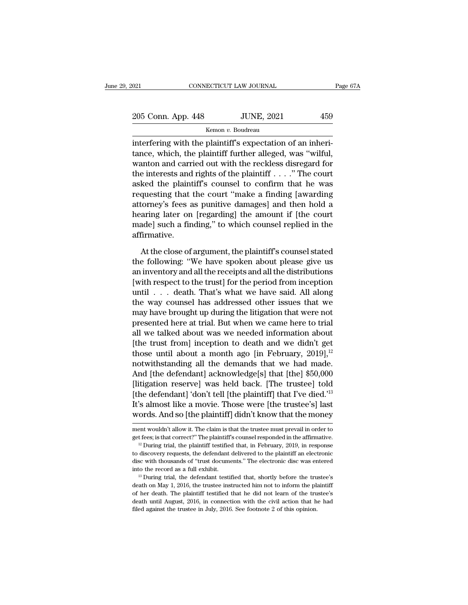| 2021               | CONNECTICUT LAW JOURNAL | Page 67A |
|--------------------|-------------------------|----------|
| 205 Conn. App. 448 | <b>JUNE, 2021</b>       | 459      |
|                    | Kemon v. Boudreau       |          |

olehorger of the plaintiff's expectation of an inheritance, which, the plaintiff further alleged, was "wilful, wenter and carried out with the reckless disrected for 205 Conn. App. 448 JUNE, 2021 459<br>
Kemon v. Boudreau<br>
interfering with the plaintiff's expectation of an inheritance, which, the plaintiff further alleged, was "wilful,<br>
wanton and carried out with the reckless disregard f 205 Conn. App. 448 JUNE, 2021 459<br>
Kemon v. Boudreau<br>
interfering with the plaintiff's expectation of an inheritance, which, the plaintiff further alleged, was "wilful, wanton and carried out with the reckless disregard f 205 Conn. App. 448 JUNE, 2021 459<br>  $\frac{\text{Kemon } v. \text{ Boudreau}}{\text{interfering with the plaintiff's expectation of an inherit-}$ <br>
tance, which, the plaintiff further alleged, was "wilful,<br>
wanton and carried out with the reckless disregard for<br>
the interests and rights of the pl Example 12 Kemon v. Boudreau<br>
interfering with the plaintiff's expectation of an inheri-<br>
tance, which, the plaintiff further alleged, was "wilful,<br>
wanton and carried out with the reckless disregard for<br>
the interests an reflering with the plaintiff's expectation of an inheritance, which, the plaintiff further alleged, was "wilful, wanton and carried out with the reckless disregard for the interests and rights of the plaintiff . . . ." The interfering with the plaintiff's expectation of an inheritance, which, the plaintiff further alleged, was "wilful, wanton and carried out with the reckless disregard for the interests and rights of the plaintiff . . . . " tance, which, the plaintiff further alleged, was "wilful,<br>wanton and carried out with the reckless disregard for<br>the interests and rights of the plaintiff . . . ." The court<br>asked the plaintiff's counsel to confirm that h wanton and carried out with the reckless disregard for<br>the interests and rights of the plaintiff . . . ." The court<br>asked the plaintiff's counsel to confirm that he was<br>requesting that the court "make a finding [awarding<br> affirmative. questing that the court "make a finding [awarding<br>torney's fees as punitive damages] and then hold a<br>aring later on [regarding] the amount if [the court<br>ade] such a finding," to which counsel replied in the<br>firmative.<br>At t attorney's fees as punitive damages] and then hold a<br>hearing later on [regarding] the amount if [the court<br>made] such a finding," to which counsel replied in the<br>affirmative.<br>At the close of argument, the plaintiff's couns

hearing later on [regarding] the amount if [the court<br>made] such a finding," to which counsel replied in the<br>affirmative.<br>At the close of argument, the plaintiff's counsel stated<br>the following: "We have spoken about please made] such a finding," to which counsel replied in the<br>affirmative.<br>At the close of argument, the plaintiff's counsel stated<br>the following: "We have spoken about please give us<br>an inventory and all the receipts and all the affirmative.<br>
At the close of argument, the plaintiff's counsel stated<br>
the following: "We have spoken about please give us<br>
an inventory and all the receipts and all the distributions<br>
[with respect to the trust] for the At the close of argument, the plaintiff's counsel stated<br>the following: "We have spoken about please give us<br>an inventory and all the receipts and all the distributions<br>[with respect to the trust] for the period from incep At the close of argument, the plaintiff's counsel stated<br>the following: "We have spoken about please give us<br>an inventory and all the receipts and all the distributions<br>[with respect to the trust] for the period from incep the following: "We have spoken about please give us<br>an inventory and all the receipts and all the distributions<br>[with respect to the trust] for the period from inception<br>until  $\ldots$  death. That's what we have said. All al an inventory and all the receipts and all the distributions<br>[with respect to the trust] for the period from inception<br>until  $\ldots$  death. That's what we have said. All along<br>the way counsel has addressed other issues that [with respect to the trust] for the period from inception<br>until . . . death. That's what we have said. All along<br>the way counsel has addressed other issues that we<br>may have brought up during the litigation that were not<br>p until . . . death. That's what we have said. All along<br>the way counsel has addressed other issues that we<br>may have brought up during the litigation that were not<br>presented here at trial. But when we came here to trial<br>all the way counsel has addressed other issues that we<br>may have brought up during the litigation that were not<br>presented here at trial. But when we came here to trial<br>all we talked about was we needed information about<br>[the tr may have brought up during the litigation that were not<br>presented here at trial. But when we came here to trial<br>all we talked about was we needed information about<br>[the trust from] inception to death and we didn't get<br>thos presented here at trial. But when we came here to trial<br>all we talked about was we needed information about<br>[the trust from] inception to death and we didn't get<br>those until about a month ago [in February, 2019],<sup>12</sup><br>notwi all we talked about was we needed information about<br>[the trust from] inception to death and we didn't get<br>those until about a month ago [in February, 2019],<sup>12</sup><br>notwithstanding all the demands that we had made.<br>And [the de [the trust from] inception to death and we didn't get<br>those until about a month ago [in February, 2019],<sup>12</sup><br>notwithstanding all the demands that we had made.<br>And [the defendant] acknowledge[s] that [the] \$50,000<br>[litigat those until about a month ago [in February, 2019],<sup>12</sup><br>notwithstanding all the demands that we had made.<br>And [the defendant] acknowledge[s] that [the] \$50,000<br>[litigation reserve] was held back. [The trustee] told<br>[the de [litigation reserve] was held back. [The trustee] told [the defendant] 'don't tell [the plaintiff] that I've died.'<sup>13</sup> It's almost like a movie. Those were [the trustee's] last words. And so [the plaintiff] didn't know t [the defendant] 'don't tell [the plaintiff] that I've died.'<sup>13</sup><br>It's almost like a movie. Those were [the trustee's] last<br>words. And so [the plaintiff] didn't know that the money<br>ment wouldn't allow it. The claim is that

**words.** And so [the plaintiff] didn't know that the money ment wouldn't allow it. The claim is that the trustee must prevail in order to get fees; is that correct?" The plaintiff's counsel responded in the affirmative. <sup></sup> words. And so [the planntin] didn't Know that the money<br>ment wouldn't allow it. The claim is that the trustee must prevail in order to<br>get fees; is that correct?" The plaintiff's counsel responded in the affirmative.<br>"<sup>2</sup> ment wouldn't allow it. The claim is that the trustee must prevail in order to get fees; is that correct?" The plaintiff's counsel responded in the affirmative.<br><sup>12</sup> During trial, the plaintiff testified that, in February <sup>12</sup> During trial, the plaintiff testified that, in February, 2019, in response to discovery requests, the defendant delivered to the plaintiff an electronic disc with thousands of "trust documents." The electronic disc w

to discovery requests, the defendant delivered to the plaintiff an electronic disc with thousands of "trust documents." The electronic disc was entered into the record as a full exhibit.<br><sup>13</sup> During trial, the defendant t disc with thousands of "trust documents." The electronic disc was entered<br>into the record as a full exhibit.<br><sup>13</sup> During trial, the defendant testified that, shortly before the trustee's<br>death on May 1, 2016, the trustee i  $^{13}$  During trial, the defendant testified that, shortly before the trustee's death on May 1, 2016, the trustee instructed him not to inform the plaintiff of her death. The plaintiff testified that he did not learn of t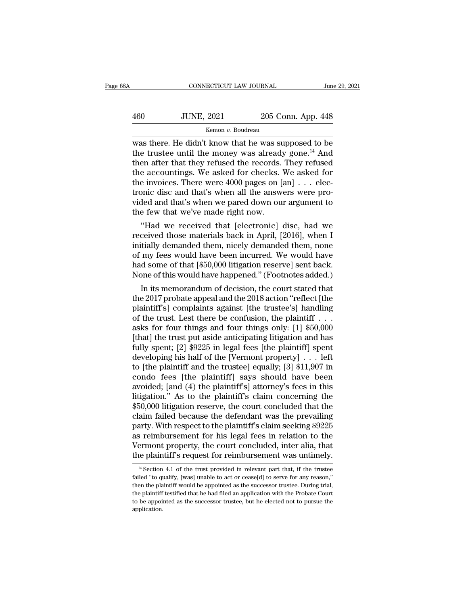| 3A  |                   | CONNECTICUT LAW JOURNAL |  |
|-----|-------------------|-------------------------|--|
| 460 | <b>JUNE, 2021</b> | 205 Conn. App. 448      |  |
|     | Kemon v. Boudreau |                         |  |

CONNECTICUT LAW JOURNAL June 29, 2021<br>  $\frac{1}{205}$  Conn. App. 448<br>
Kemon v. Boudreau<br>
Was there. He didn't know that he was supposed to be<br>
the trustee until the money was already gone.<sup>14</sup> And<br>
then after that they refus TUNE, 2021 205 Conn. App. 448<br>
Kemon v. Boudreau<br>
Was there. He didn't know that he was supposed to be<br>
the trustee until the money was already gone.<sup>14</sup> And<br>
then after that they refused the records. They refused<br>
the acc  $\frac{160}{1200}$  JUNE, 2021 205 Conn. App. 448<br>  $\frac{160}{1200}$   $\frac{160}{1200}$   $\frac{160}{1200}$   $\frac{160}{1200}$   $\frac{160}{1200}$   $\frac{160}{1200}$   $\frac{160}{1200}$   $\frac{160}{1200}$   $\frac{160}{1200}$   $\frac{160}{1200}$   $\frac{160}{1200}$   $\frac{160}{12$  $\frac{460}{205 \text{ Conn.} \text{ App. } 448}$ <br>  $\frac{448}{205 \text{ Conn.} \text{ App. } 448}$ <br>
was there. He didn't know that he was supposed to be<br>
the trustee until the money was already gone.<sup>14</sup> And<br>
then after that they refused the records. They ref Example 1200 better. The involvement was there. He didn't know that he was supposed to be the trustee until the money was already gone.<sup>14</sup> And then after that they refused the records. They refused the accountings. We as kemon v. Boudreau<br>was there. He didn't know that he was supposed to be<br>the trustee until the money was already gone.<sup>14</sup> And<br>then after that they refused the records. They refused<br>the accountings. We asked for checks. We was there. He didn't know that he was supposed to be<br>the trustee until the money was already gone.<sup>14</sup> And<br>then after that they refused the records. They refused<br>the accountings. We asked for checks. We asked for<br>the invo the trustee until the money was already<br>then after that they refused the records.<br>the accountings. We asked for checks.<br>the invoices. There were 4000 pages on [<br>tronic disc and that's when all the answ-<br>vided and that's wh e accountings. We asked for checks. We asked for<br>
e accountings. We asked for checks. We asked for<br>
e invoices. There were 4000 pages on [an] . . . elec-<br>
binic disc and that's when all the answers were pro-<br>
ded and that' the accountings. We asked for checks. We asked for<br>the invoices. There were 4000 pages on [an] . . . elec-<br>tronic disc and that's when all the answers were pro-<br>vided and that's when we pared down our argument to<br>the few t

the invoices. There were 4000 pages on  $\lbrack$  and  $\lbrack$  . . . electronic disc and that's when all the answers were provided and that's when we pared down our argument to the few that we've made right now.<br>
"Had we receiv tronic disc and that's when all the answers were pro-<br>vided and that's when we pared down our argument to<br>the few that we've made right now.<br>"Had we received that [electronic] disc, had we<br>received those materials back in vided and that s when we pared down our argument to<br>the few that we've made right now.<br>"Had we received that [electronic] disc, had we<br>received those materials back in April, [2016], when I<br>initially demanded them, nicely the rew that we ve made right now.<br>
"Had we received that [electronic] disc, had we<br>
received those materials back in April, [2016], when I<br>
initially demanded them, nicely demanded them, none<br>
of my fees would have been i Frad we received that [electronic] disc, had we<br>ceived those materials back in April, [2016], when I<br>itially demanded them, nicely demanded them, none<br>my fees would have been incurred. We would have<br>d some of that [\$50,000 received those materials back in April, [2016], when I<br>initially demanded them, nicely demanded them, none<br>of my fees would have been incurred. We would have<br>had some of that [\$50,000 litigation reserve] sent back.<br>None of

mutally demanded them, nicely demanded them, none<br>of my fees would have been incurred. We would have<br>had some of that [\$50,000 litigation reserve] sent back.<br>None of this would have happened." (Footnotes added.)<br>In its mem of my rees would have been incurred. We would have<br>had some of that [\$50,000 litigation reserve] sent back.<br>None of this would have happened." (Footnotes added.)<br>In its memorandum of decision, the court stated that<br>the 201 nad some of that [\$50,000 litigation reserve] sent back.<br>None of this would have happened." (Footnotes added.)<br>In its memorandum of decision, the court stated that<br>the 2017 probate appeal and the 2018 action "reflect [the None or this would have happened. (Foothotes added.)<br>
In its memorandum of decision, the court stated that<br>
the 2017 probate appeal and the 2018 action "reflect [the<br>
plaintiff"s] complaints against [the trustee's] handli In its memorandum of decision, the court stated that<br>the 2017 probate appeal and the 2018 action "reflect [the<br>plaintiff"s] complaints against [the trustee's] handling<br>of the trust. Lest there be confusion, the plaintiff the 2017 probate appeal and the 2018 action "reflect [the<br>plaintiff's] complaints against [the trustee's] handling<br>of the trust. Lest there be confusion, the plaintiff . . .<br>asks for four things and four things only: [1] \$ plaintiff's] complaints against [the trustee's] handling<br>of the trust. Lest there be confusion, the plaintiff . . .<br>asks for four things and four things only: [1] \$50,000<br>[that] the trust put aside anticipating litigation of the trust. Lest there be confusion, the plaintiff . . .<br>asks for four things and four things only: [1] \$50,000<br>[that] the trust put aside anticipating litigation and has<br>fully spent; [2] \$9225 in legal fees [the plaint asks for four things and four things only: [1] \$50,000 [that] the trust put aside anticipating litigation and has fully spent; [2] \$9225 in legal fees [the plaintiff] spent developing his half of the [Vermont property]  $\$ [that] the trust put aside anticipating litigation and has<br>fully spent; [2] \$9225 in legal fees [the plaintiff] spent<br>developing his half of the [Vermont property]  $\ldots$  left<br>to [the plaintiff and the trustee] equally; [3 fully spent; [2] \$9225 in legal fees [the plaintiff] spent<br>developing his half of the [Vermont property] . . . left<br>to [the plaintiff and the trustee] equally; [3] \$11,907 in<br>condo fees [the plaintiff] says should have be developing his half of the [Vermont property] . . . left<br>to [the plaintiff and the trustee] equally; [3] \$11,907 in<br>condo fees [the plaintiff] says should have been<br>avoided; [and (4) the plaintiff's] attorney's fees in thi to [the plaintiff and the trustee] equally; [3] \$11,907 in<br>condo fees [the plaintiff] says should have been<br>avoided; [and (4) the plaintiff's] attorney's fees in this<br>litigation." As to the plaintiff's claim concerning the condo fees [the plaintiff] says should have been<br>avoided; [and (4) the plaintiff's] attorney's fees in this<br>litigation." As to the plaintiff's claim concerning the<br>\$50,000 litigation reserve, the court concluded that the<br>c avoided; [and (4) the plaintiff's] attorney's fees in this<br>litigation." As to the plaintiff's claim concerning the<br>\$50,000 litigation reserve, the court concluded that the<br>claim failed because the defendant was the prevail litigation." As to the plaintiff's claim concerning the  $$50,000$  litigation reserve, the court concluded that the claim failed because the defendant was the prevailing party. With respect to the plaintiff's claim seeking arty. With respect to the plaintiff's claim seeking \$9225<br>s reimbursement for his legal fees in relation to the<br>ermont property, the court concluded, inter alia, that<br>e plaintiff's request for reimbursement was untimely.<br><sup></sup> as reimbursement for his legal fees in relation to the Vermont property, the court concluded, inter alia, that the plaintiff's request for reimbursement was untimely.<br>
<sup>14</sup> Section 4.1 of the trust provided in relevant pa

Vermont property, the court concluded, inter alia, that<br>the plaintiff's request for reimbursement was untimely.<br> $\frac{14}{18}$  Section 4.1 of the trust provided in relevant part that, if the trustee<br>failed "to qualify, [was] The plaintiff's request for reimbursement was untimely.<br>
<sup>14</sup> Section 4.1 of the trust provided in relevant part that, if the trustee<br>
failed "to qualify, [was] unable to act or cease[d] to serve for any reason,"<br>
then the Interpretist in the trust provided in relevant part that, if the trustee failed "to qualify, [was] unable to act or cease[d] to serve for any reason," then the plaintiff would be appointed as the successor trustee. During application.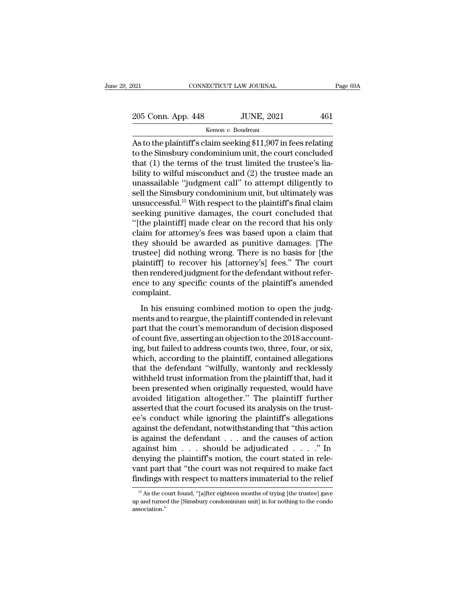205 Conn. App. 448 JUNE, 2021 <sup>461</sup>

Kemon *v.* Boudreau

O21 CONNECTICUT LAW JOURNAL Page 69A<br>
205 Conn. App. 448 JUNE, 2021 461<br>
Kemon v. Boudreau<br>
As to the plaintiff's claim seeking \$11,907 in fees relating<br>
to the Simsbury condominium unit, the court concluded<br>
that (1) the 205 Conn. App. 448 JUNE, 2021 461<br>
Kemon v. Boudreau<br>
As to the plaintiff's claim seeking \$11,907 in fees relating<br>
to the Simsbury condominium unit, the court concluded<br>
that (1) the terms of the trust limited the truste 205 Conn. App. 448 JUNE, 2021 461<br>
Kemon v. Boudreau<br>
As to the plaintiff's claim seeking \$11,907 in fees relating<br>
to the Simsbury condominium unit, the court concluded<br>
that (1) the terms of the trust limited the truste 205 Conn. App. 448 JUNE, 2021 461<br>
Kemon v. Boudreau<br>
As to the plaintiff's claim seeking \$11,907 in fees relating<br>
to the Simsbury condominium unit, the court concluded<br>
that (1) the terms of the trust limited the truste EVENCE THE THE TRIM SERVICE TO THE TRIM AS to the plaintiff's claim seeking \$11,907 in fees relating<br>to the Simsbury condominium unit, the court concluded<br>that (1) the terms of the trust limited the trustee's lia-<br>bility sell the Simsbury condominium unit, the court concluded<br>
that (1) the terms of the trust limited the trustee's lia-<br>
bility to wilful misconduct and (2) the trustee made an<br>
unassailable "judgment call" to attempt diligen As to the plaintiff's claim seeking \$11,907 in fees relating<br>to the Simsbury condominium unit, the court concluded<br>that (1) the terms of the trust limited the trustee's lia-<br>bility to wilful misconduct and (2) the trustee to the Simsbury condominium unit, the court concluded<br>that (1) the terms of the trust limited the trustee's lia-<br>bility to wilful misconduct and (2) the trustee made an<br>unassailable "judgment call" to attempt diligently to that (1) the terms of the trust limited the trustee's liability to wilful misconduct and (2) the trustee made an unassailable "judgment call" to attempt diligently to sell the Simsbury condominium unit, but ultimately was bility to wilful misconduct and (2) the trustee made an unassailable "judgment call" to attempt diligently to sell the Simsbury condominium unit, but ultimately was unsuccessful.<sup>15</sup> With respect to the plaintiff's final c unassailable "judgment call" to attempt diligently to<br>sell the Simsbury condominium unit, but ultimately was<br>unsuccessful.<sup>15</sup> With respect to the plaintiff's final claim<br>seeking punitive damages, the court concluded that<br> sell the Simsbury condominium unit, but ultimately was<br>unsuccessful.<sup>15</sup> With respect to the plaintiff's final claim<br>seeking punitive damages, the court concluded that<br>"[the plaintiff] made clear on the record that his onl unsuccessful.<sup>15</sup> With respect to the plaintiff's final claim<br>seeking punitive damages, the court concluded that<br>"[the plaintiff] made clear on the record that his only<br>claim for attorney's fees was based upon a claim that seeking punitive damages, the court concluded that<br>"[the plaintiff] made clear on the record that his only<br>claim for attorney's fees was based upon a claim that<br>they should be awarded as punitive damages. [The<br>trustee] did "[the plaintiff] made clear on the record that his only claim for attorney's fees was based upon a claim that<br>they should be awarded as punitive damages. [The<br>trustee] did nothing wrong. There is no basis for [the<br>plaintif complaint. Expectively should be awarded as panalyo damages. [The ustee] did nothing wrong. There is no basis for [the aintiff] to recover his [attorney's] fees." The court<br>en rendered judgment for the defendant without refer-<br>ce to ments and to recover his [attorney's] fees." The court<br>plaintiff] to recover his [attorney's] fees." The court<br>then rendered judgment for the defendant without refer-<br>ence to any specific counts of the plaintiff's amended<br>

planting to recover the platform of the defendant without reference to any specific counts of the plaintiff's amended<br>complaint.<br>In his ensuing combined motion to open the judg-<br>ments and to reargue, the plaintiff contende and the metallical material material metallical entired<br>ence to any specific counts of the plaintiff's amended<br>complaint.<br>In his ensuing combined motion to open the judg-<br>ments and to reargue, the plaintiff contended in re complaint.<br>
In his ensuing combined motion to open the judg-<br>
ments and to reargue, the plaintiff contended in relevant<br>
part that the court's memorandum of decision disposed<br>
of count five, asserting an objection to the 2 In his ensuing combined motion to open the judg-<br>ments and to reargue, the plaintiff contended in relevant<br>part that the court's memorandum of decision disposed<br>of count five, asserting an objection to the 2018 account-<br>in In his ensuing combined motion to open the judg-<br>ments and to reargue, the plaintiff contended in relevant<br>part that the court's memorandum of decision disposed<br>of count five, asserting an objection to the 2018 account-<br>in ments and to reargue, the plaintiff contended in relevant<br>part that the court's memorandum of decision disposed<br>of count five, asserting an objection to the 2018 account-<br>ing, but failed to address counts two, three, four, part that the court's memorandum of decision disposed<br>of count five, asserting an objection to the 2018 account-<br>ing, but failed to address counts two, three, four, or six,<br>which, according to the plaintiff, contained alle of count five, asserting an objection to the 2018 account-<br>ing, but failed to address counts two, three, four, or six,<br>which, according to the plaintiff, contained allegations<br>that the defendant "wilfully, wantonly and rec ing, but failed to address counts two, three, four, or six, which, according to the plaintiff, contained allegations that the defendant "wilfully, wantonly and recklessly withheld trust information from the plaintiff that, which, according to the plaintiff, contained allegations<br>that the defendant "wilfully, wantonly and recklessly<br>withheld trust information from the plaintiff that, had it<br>been presented when originally requested, would have that the defendant "wilfully, wantonly and recklessly<br>withheld trust information from the plaintiff that, had it<br>been presented when originally requested, would have<br>avoided litigation altogether." The plaintiff further<br>as withheld trust information from the plaintiff that, had it<br>been presented when originally requested, would have<br>avoided litigation altogether." The plaintiff further<br>asserted that the court focused its analysis on the trus been presented when originally requested, would have<br>avoided litigation altogether." The plaintiff further<br>asserted that the court focused its analysis on the trust-<br>ee's conduct while ignoring the plaintiff's allegations<br> avoided litigation altogether." The plaintiff further<br>asserted that the court focused its analysis on the trust-<br>ee's conduct while ignoring the plaintiff's allegations<br>against the defendant , notwithstanding that "this a asserted that the court focused its analysis on the trust-<br>ee's conduct while ignoring the plaintiff's allegations<br>against the defendant, notwithstanding that "this action<br>is against him . . . should be adjudicated . . . . ee's conduct while ignoring the plaintiff's allegations<br>against the defendant, notwithstanding that "this action<br>is against the defendant . . . and the causes of action<br>against him . . . should be adjudicated . . . . ." I <sup>15</sup> As the court found, ''[a]fter eighteen months of trying [the trustee] gave denying the plaintiff's motion, the court stated in relevant part that "the court was not required to make fact findings with respect to matters immaterial to the relief  $\frac{15}{15}$  As the court found, "[a]fter eighteen mo

association.''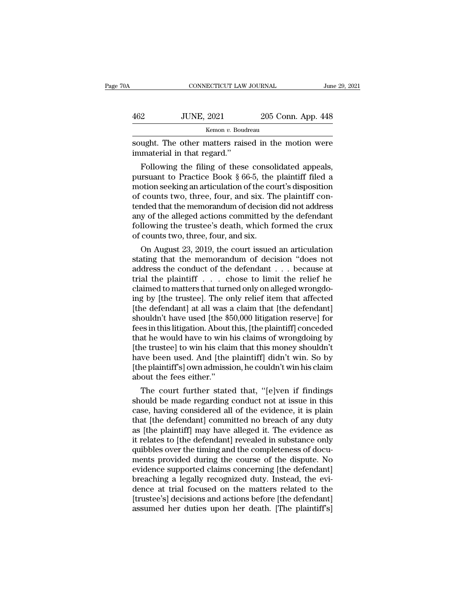| 0A  | CONNECTICUT LAW JOURNAL                                                            |                    | June 29, 2021 |
|-----|------------------------------------------------------------------------------------|--------------------|---------------|
| 462 | <b>JUNE, 2021</b>                                                                  | 205 Conn. App. 448 |               |
|     | Kemon v. Boudreau                                                                  |                    |               |
|     | sought. The other matters raised in the motion were<br>immaterial in that regard." |                    |               |
|     | Following the filing of these consolidated appeals,                                |                    |               |

Following the filing of these consolidated appeals,<br>
The other matters raised in the motion were<br>
imaterial in that regard."<br>
Following the filing of these consolidated appeals,<br>
in the Fractice Book § 66-5, the plaintiff Fractice Book § 66-5, the plaintiff con-<br>  $\frac{462}{205}$  Conn. App. 448<br>
sought. The other matters raised in the motion were<br>
immaterial in that regard."<br>
Following the filing of these consolidated appeals,<br>
pursuant to Pr Example 18 Kemon v. Boudreau<br>
Sought. The other matters raised in the motion were<br>
immaterial in that regard."<br>
Following the filing of these consolidated appeals,<br>
pursuant to Practice Book § 66-5, the plaintiff filed a<br> sought. The other matters raised in the motion were<br>immaterial in that regard."<br>Following the filing of these consolidated appeals,<br>pursuant to Practice Book § 66-5, the plaintiff filed a<br>motion seeking an articulation of sought. The other matters raised in the motion were<br>immaterial in that regard."<br>Following the filing of these consolidated appeals,<br>pursuant to Practice Book § 66-5, the plaintiff filed a<br>motion seeking an articulation of minaterial in that regard.<br>
Following the filing of these consolidated appeals,<br>
pursuant to Practice Book § 66-5, the plaintiff filed a<br>
motion seeking an articulation of the court's disposition<br>
of counts two, three, fou Following the filing of these consolidated appeals,<br>pursuant to Practice Book § 66-5, the plaintiff filed a<br>motion seeking an articulation of the court's disposition<br>of counts two, three, four, and six. The plaintiff conpursuant to Practice Book § 66-5, the<br>motion seeking an articulation of the courf<br>of counts two, three, four, and six. Th<br>tended that the memorandum of decision<br>any of the alleged actions committed b<br>following the trustee' Duon seeking an articulation of the court's disposition<br>counts two, three, four, and six. The plaintiff con-<br>aded that the memorandum of decision did not address<br>y of the alleged actions committed by the defendant<br>llowing or counts two, three, rour, and six. The plaintiff con-<br>tended that the memorandum of decision did not address<br>any of the alleged actions committed by the defendant<br>following the trustee's death, which formed the crux<br>of c

tended that the memorandum of decision did not address<br>any of the alleged actions committed by the defendant<br>following the trustee's death, which formed the crux<br>of counts two, three, four, and six.<br>On August 23, 2019, th any or the alleged actions committed by the defendant<br>following the trustee's death, which formed the crux<br>of counts two, three, four, and six.<br>On August 23, 2019, the court issued an articulation<br>stating that the memorand rollowing the trustee's death, which formed the crux<br>of counts two, three, four, and six.<br>On August 23, 2019, the court issued an articulation<br>stating that the memorandum of decision "does not<br>address the conduct of the de or counts two, three, four, and six.<br>
On August 23, 2019, the court issued an articulation<br>
stating that the memorandum of decision "does not<br>
address the conduct of the defendant  $\ldots$  because at<br>
trial the plaintiff  $\ld$ On August 23, 2019, the court issued an articulation<br>stating that the memorandum of decision "does not<br>address the conduct of the defendant  $\ldots$  because at<br>trial the plaintiff  $\ldots$  chose to limit the relief he<br>claimed t stating that the memorandum of decision "does not address the conduct of the defendant  $\ldots$  because at trial the plaintiff  $\ldots$  chose to limit the relief he claimed to matters that turned only on alleged wrongdoing by [ address the conduct of the defendant . . . because at<br>trial the plaintiff . . . chose to limit the relief he<br>claimed to matters that turned only on alleged wrongdo-<br>ing by [the trustee]. The only relief item that affected<br> trial the plaintiff  $\ldots$  chose to limit the relief he claimed to matters that turned only on alleged wrongdoing by [the trustee]. The only relief item that affected [the defendant] at all was a claim that [the defendant] claimed to matters that turned only on alleged wrongdo-<br>ing by [the trustee]. The only relief item that affected<br>[the defendant] at all was a claim that [the defendant]<br>shouldn't have used [the \$50,000 litigation reserve] ing by [the trustee]. The only relief item that affected<br>[the defendant] at all was a claim that [the defendant]<br>shouldn't have used [the \$50,000 litigation reserve] for<br>fees in this litigation. About this, [the plaintiff] [the defendant] at all was a claim that [the defendant]<br>shouldn't have used [the \$50,000 litigation reserve] for<br>fees in this litigation. About this, [the plaintiff] conceded<br>that he would have to win his claims of wrongdo shouldn't have used [the \$50,000 litigation reserve] for<br>fees in this litigation. About this, [the plaintiff] conceded<br>that he would have to win his claims of wrongdoing by<br>[the trustee] to win his claim that this money s es in this intigation. About this, [the plaintiff] conceded<br>at he would have to win his claims of wrongdoing by<br>he trustee] to win his claim that this money shouldn't<br>we been used. And [the plaintiff] didn't win. So by<br>he that he would have to win his claims of wrongdoing by<br>
[the trustee] to win his claim that this money shouldn't<br>
have been used. And [the plaintiff] didn't win. So by<br>
[the plaintiff's] own admission, he couldn't win his c

[the trustee] to win his claim that this money shouldn't<br>have been used. And [the plaintiff] didn't win. So by<br>[the plaintiff's] own admission, he couldn't win his claim<br>about the fees either."<br>The court further stated tha have been used. And [the plaintiff] didn't win. So by<br>
[the plaintiff's] own admission, he couldn't win his claim<br>
about the fees either."<br>
The court further stated that, "[e]ven if findings<br>
should be made regarding condu [the plaintiff s] own admission, he couldn't win his claim<br>about the fees either."<br>The court further stated that, "[e]ven if findings<br>should be made regarding conduct not at issue in this<br>case, having considered all of the about the rees either.<br>
The court further stated that, "[e]ven if findings<br>
should be made regarding conduct not at issue in this<br>
case, having considered all of the evidence, it is plain<br>
that [the defendant] committed no The court further stated that, "[e]ven if findings<br>should be made regarding conduct not at issue in this<br>case, having considered all of the evidence, it is plain<br>that [the defendant] committed no breach of any duty<br>as [the should be made regarding conduct not at issue in this<br>case, having considered all of the evidence, it is plain<br>that [the defendant] committed no breach of any duty<br>as [the plaintiff] may have alleged it. The evidence as<br>it case, having considered all of the evidence, it is plain<br>that [the defendant] committed no breach of any duty<br>as [the plaintiff] may have alleged it. The evidence as<br>it relates to [the defendant] revealed in substance only that [the defendant] committed no breach of any duty<br>as [the plaintiff] may have alleged it. The evidence as<br>it relates to [the defendant] revealed in substance only<br>quibbles over the timing and the completeness of docu-<br>m as [the plaintiff] may have alleged it. The evidence as<br>it relates to [the defendant] revealed in substance only<br>quibbles over the timing and the completeness of docu-<br>ments provided during the course of the dispute. No<br>ev it relates to [the defendant] revealed in substance only<br>quibbles over the timing and the completeness of docu-<br>ments provided during the course of the dispute. No<br>evidence supported claims concerning [the defendant]<br>breac quibbles over the timing and the completeness of documents provided during the course of the dispute. No evidence supported claims concerning [the defendant] breaching a legally recognized duty. Instead, the evidence at tr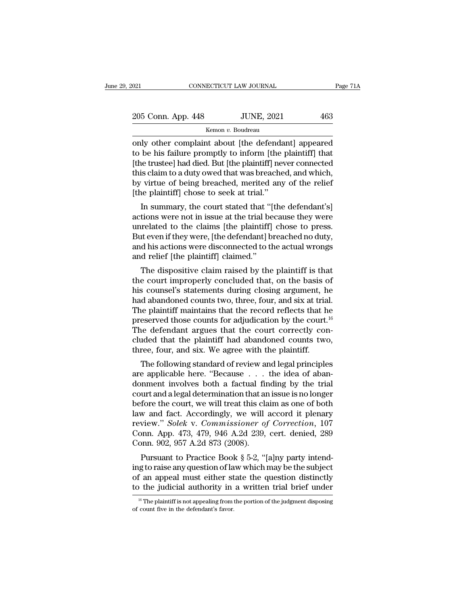| 2021               | CONNECTICUT LAW JOURNAL | Page 71A |
|--------------------|-------------------------|----------|
| 205 Conn. App. 448 | <b>JUNE, 2021</b>       | 463      |
|                    | Kemon v. Boudreau       |          |

only other complaint about [the defendant] appeared to be his failure promptly to inform [the plaintiff] that 205 Conn. App. 448 JUNE, 2021 463<br>
Kemon v. Boudreau<br>
only other complaint about [the defendant] appeared<br>
to be his failure promptly to inform [the plaintiff] that<br>
[the trustee] had died. But [the plaintiff] never conne  $\frac{205 \text{ Conn. App. 448}}{\text{Kemon } v. \text{ Boudreau}}$ <br>
Only other complaint about [the defendant] appeared<br>
to be his failure promptly to inform [the plaintiff] that<br>
[the trustee] had died. But [the plaintiff] never connected<br>
this claim 205 Conn. App. 448 JUNE, 2021 463<br>
Kemon v. Boudreau<br>
only other complaint about [the defendant] appeared<br>
to be his failure promptly to inform [the plaintiff] that<br>
[the trustee] had died. But [the plaintiff] never conne Kennon v. Boudreau<br>
South Lipscher Constant about [the defendant] appeared<br>
to be his failure promptly to inform [the plaintiff] that<br>
[the trustee] had died. But [the plaintiff] never connected<br>
this claim to a duty owed  $\frac{1}{2}$  Kemon v. Boudreau<br>
only other complaint about [the defenda<br>
to be his failure promptly to inform [the ]<br>
[the trustee] had died. But [the plaintiff] nev<br>
this claim to a duty owed that was breache<br>
by virtue of In summary, the court stated that "[the defendant] appeared<br>the trustee] had died. But [the plaintiff] never connected<br>is claim to a duty owed that was breached, and which,<br>virtue of being breached, merited any of the reli to be fils failure promptly to morm [the plaintiff] mat<br>[the trustee] had died. But [the plaintiff] never connected<br>this claim to a duty owed that was breached, and which,<br>by virtue of being breached, merited any of the re

[the trustee] had thed. But [the plaintiff] rever connected<br>this claim to a duty owed that was breached, and which,<br>by virtue of being breached, merited any of the relief<br>[the plaintiff] chose to seek at trial."<br>In summary this claim to a duty owed that was breached, and which,<br>by virtue of being breached, merited any of the relief<br>[the plaintiff] chose to seek at trial."<br>In summary, the court stated that "[the defendant's]<br>actions were not by virtue of being breached, inerited any of the reflect<br>[the plaintiff] chose to seek at trial."<br>In summary, the court stated that "[the defendant's]<br>actions were not in issue at the trial because they were<br>unrelated to t In summary, the court stated that "[actions were not in issue at the trial be unrelated to the claims [the plaintiff] But even if they were, [the defendant] b. and his actions were disconnected to the and relief [the plain In summary, the court stated that [the defendant s]<br>tions were not in issue at the trial because they were<br>related to the claims [the plaintiff] chose to press.<br>tt even if they were, [the defendant] breached no duty,<br>d his actions were not in issue at the trial because they were<br>unrelated to the claims [the plaintiff] chose to press.<br>But even if they were, [the defendant] breached no duty,<br>and his actions were disconnected to the actual wron

merated to the claims [the plantiff] chose to press.<br>But even if they were, [the defendant] breached no duty,<br>and his actions were disconnected to the actual wrongs<br>and relief [the plaintiff] claimed."<br>The dispositive clai But even if they were, [the defendant] breached no duty,<br>and his actions were disconnected to the actual wrongs<br>and relief [the plaintiff] claimed."<br>The dispositive claim raised by the plaintiff is that<br>the court improper and its actions were disconnected to the actual wrongs<br>and relief [the plaintiff] claimed."<br>The dispositive claim raised by the plaintiff is that<br>the court improperly concluded that, on the basis of<br>his counsel's statemen The dispositive claim raised by the plaintiff is that<br>the court improperly concluded that, on the basis of<br>his counsel's statements during closing argument, he<br>had abandoned counts two, three, four, and six at trial.<br>The The dispositive claim raised by the plaintiff is that<br>the court improperly concluded that, on the basis of<br>his counsel's statements during closing argument, he<br>had abandoned counts two, three, four, and six at trial.<br>The the court improperly concluded that, on the basis of<br>his counsel's statements during closing argument, he<br>had abandoned counts two, three, four, and six at trial.<br>The plaintiff maintains that the record reflects that he<br>pr his counsel's statements during closing argument, h<br>had abandoned counts two, three, four, and six at tria<br>The plaintiff maintains that the record reflects that h<br>preserved those counts for adjudication by the court.<br>The d a abandoned counts two, three, four, and six at trial.<br>
are plaintiff maintains that the record reflects that he<br>
eserved those counts for adjudication by the court.<sup>16</sup><br>
ie defendant argues that the court correctly con-<br> The plaintin maintains that the record renects that he<br>preserved those counts for adjudication by the court.<sup>16</sup><br>The defendant argues that the court correctly con-<br>cluded that the plaintiff had abandoned counts two,<br>three,

preserved those counts for adjudication by the court.<br>The defendant argues that the court correctly concluded that the plaintiff had abandoned counts two,<br>three, four, and six. We agree with the plaintiff.<br>The following st The detendant argues that the court correctly concluded that the plaintiff had abandoned counts two,<br>three, four, and six. We agree with the plaintiff.<br>The following standard of review and legal principles<br>are applicable h cluded that the plaintin had abandoned counts two,<br>three, four, and six. We agree with the plaintiff.<br>The following standard of review and legal principles<br>are applicable here. "Because  $\ldots$  the idea of aban-<br>donment inv The following standard of review and legal principles<br>are applicable here. "Because  $\ldots$  the idea of aban-<br>donment involves both a factual finding by the trial<br>court and a legal determination that an issue is no longer<br>b The following standard of review and legal principles<br>are applicable here. "Because  $\ldots$  the idea of aban-<br>donment involves both a factual finding by the trial<br>court and a legal determination that an issue is no longer<br>b are applicable here. "Because . . . the idea of aban-<br>donment involves both a factual finding by the trial<br>court and a legal determination that an issue is no longer<br>before the court, we will treat this claim as one of bot donment involves both a factual fir<br>court and a legal determination that ar<br>before the court, we will treat this cla<br>law and fact. Accordingly, we will<br>review." *Solek* v. Commissioner of<br>Conn. App. 473, 479, 946 A.2d 239, unt and a legal determination that an issue is no longer<br>fore the court, we will treat this claim as one of both<br>w and fact. Accordingly, we will accord it plenary<br>view." *Solek v. Commissioner of Correction*, 107<br>pnn. App before the court, we will treat this claim as one of both<br>law and fact. Accordingly, we will accord it plenary<br>review." *Solek v. Commissioner of Correction*, 107<br>Conn. App. 473, 479, 946 A.2d 239, cert. denied, 289<br>Conn.

review." Solek v. Commissioner of Correction, 107<br>Conn. App. 473, 479, 946 A.2d 239, cert. denied, 289<br>Conn. 902, 957 A.2d 873 (2008).<br>Pursuant to Practice Book § 5-2, "[a]ny party intend-<br>ing to raise any question of law teview. Solek v. Commissioner by Correction, 107<br>Conn. App. 473, 479, 946 A.2d 239, cert. denied, 289<br>Conn. 902, 957 A.2d 873 (2008).<br>Pursuant to Practice Book § 5-2, "[a]ny party intend-<br>ing to raise any question of law Pursuant to Practice Book § 5-2, "[a]ny party intend-<br>g to raise any question of law which may be the subject<br>f an appeal must either state the question distinctly<br>b the judicial authority in a written trial brief under<br><sup></sup> ing to raise any question of la<br>of an appeal must either st<br>to the judicial authority in<br><sup>16</sup> The plaintiff is not appealing from<br>of count five in the defendant's favor.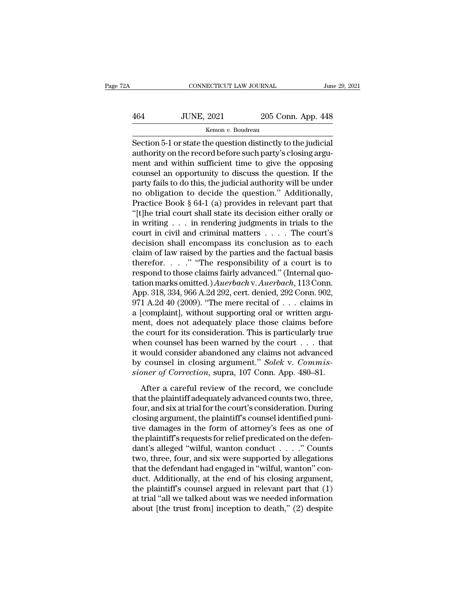# $\begin{tabular}{l l l l} \multicolumn{2}{c| l l} \multicolumn{2}{c| l} \multicolumn{2}{c| l} \multicolumn{2}{c| l} \multicolumn{2}{c| l} \multicolumn{2}{c| l} \multicolumn{2}{c| l} \multicolumn{2}{c| l} \multicolumn{2}{c| l} \multicolumn{2}{c| l} \multicolumn{2}{c| l} \multicolumn{2}{c| l} \multicolumn{2}{c| l} \multicolumn{2}{c| l} \multicolumn{2}{c| l} \multicolumn{2}{c| l} \multicolumn{2}{c| l} \multicolumn{2}{c| l} \multicolumn{2}{c| l$ Kemon *v.* Boudreau

CONNECTICUT LAW JOURNAL June 29, 20<br>
464 JUNE, 2021 205 Conn. App. 448<br>
Kemon v. Boudreau<br>
Section 5-1 or state the question distinctly to the judicial<br>
authority on the record before such party's closing argument and with 464 JUNE, 2021 205 Conn. App. 448<br>
Kemon v. Boudreau<br>
Section 5-1 or state the question distinctly to the judicial<br>
authority on the record before such party's closing argu-<br>
ment and within sufficient time to give the opp  $\frac{464}{\text{Kemon } v. \text{ Boudreau}}$   $\frac{\text{Kemon } v. \text{ Boudreau}}{\text{Section 5-1 or state the question distinctly to the judicial authority on the record before such party's closing argument and within sufficient time to give the opposing course! an opportunity to discuss the question. If the next fails to do this, the judicial authority will be under.$  $\frac{464}{\text{Kemon } v. \text{ Boudreau}}$   $\frac{205 \text{ Conn. App. } 448}{\text{Kemon } v. \text{ Boudreau}}$ <br>
Section 5-1 or state the question distinctly to the judicial<br>
authority on the record before such party's closing argument and within sufficient time to give For the section 5-1 or state the question distinctly to the judicial<br>Section 5-1 or state the question distinctly to the judicial<br>authority on the record before such party's closing argu-<br>ment and within sufficient time t Example 18 and the question distinctly to the judicial<br>authority on the record before such party's closing argu-<br>ment and within sufficient time to give the opposing<br>counsel an opportunity to discuss the question. If the<br> Section 5-1 or state the question distinctly to the judicial<br>authority on the record before such party's closing argu-<br>ment and within sufficient time to give the opposing<br>counsel an opportunity to discuss the question. I authority on the record before such party's closing argument and within sufficient time to give the opposing<br>counsel an opportunity to discuss the question. If the<br>party fails to do this, the judicial authority will be und ment and within sufficient time to give the opposing<br>counsel an opportunity to discuss the question. If the<br>party fails to do this, the judicial authority will be under<br>no obligation to decide the question." Additionally, counsel an opportunity to discuss the question. If the<br>party fails to do this, the judicial authority will be under<br>no obligation to decide the question." Additionally,<br>Practice Book § 64-1 (a) provides in relevant part t party fails to do this, the judicial authority will be under<br>no obligation to decide the question." Additionally,<br>Practice Book § 64-1 (a) provides in relevant part that<br>"[t]he trial court shall state its decision either no obligation to decide the question." Additionally,<br>Practice Book § 64-1 (a) provides in relevant part that<br>"[t]he trial court shall state its decision either orally or<br>in writing . . . in rendering judgments in trials t Practice Book § 64-1 (a) provides in relevant part that<br>"[t]he trial court shall state its decision either orally or<br>in writing . . . in rendering judgments in trials to the<br>court in civil and criminal matters . . . . The "[t]he trial court shall state its decision either orally or<br>in writing . . . in rendering judgments in trials to the<br>court in civil and criminal matters . . . . The court's<br>decision shall encompass its conclusion as to e in writing . . . in rendering judgments in trials to the<br>court in civil and criminal matters . . . . The court's<br>decision shall encompass its conclusion as to each<br>claim of law raised by the parties and the factual basis<br> court in civil and criminal matters . . . . . The court's<br>decision shall encompass its conclusion as to each<br>claim of law raised by the parties and the factual basis<br>therefor. . . . " "The responsibility of a court is to<br> decision shall encompass its conclusion as to each<br>claim of law raised by the parties and the factual basis<br>therefor. . . . . " "The responsibility of a court is to<br>respond to those claims fairly advanced." (Internal quo-<br> App. 318, 334, 966 A.2d 292, cert. denied, 292 Conn. 902, 971 A.2d 40 (2009). "The mere recital of  $\,\ldots$  claims in a [complaint], without supporting oral or written argument, does not adequately place those claims before therefor. . . ." "The responsibility of a court is to<br>respond to those claims fairly advanced." (Internal quo-<br>tation marks omitted.) Auerbach v. Auerbach, 113 Conn.<br>App. 318, 334, 966 A.2d 292, cert. denied, 292 Conn. 90 respond to those claims fairly advanced." (Internal quotation marks omitted.) Auerbach v. Auerbach, 113 Conn.<br>App. 318, 334, 966 A.2d 292, cert. denied, 292 Conn. 902,<br>971 A.2d 40 (2009). "The mere recital of  $\ldots$  claims tation marks omitted.) Auerbach v. Auerbach, 113 Conn.<br>App. 318, 334, 966 A.2d 292, cert. denied, 292 Conn. 902,<br>971 A.2d 40 (2009). "The mere recital of . . . claims in<br>a [complaint], without supporting oral or written a App. 318, 334, 966 A.2d 292, cert. denied, 292 Conn. 902, 971 A.2d 40 (2009). "The mere recital of . . . claims in a [complaint], without supporting oral or written argument, does not adequately place those claims before 971 A.2d 40 (2009). "The mere recital of . . . claims in a [complaint], without supporting oral or written argument, does not adequately place those claims before the court for its consideration. This is particularly true a [complaint], without supporting oral or written argument, does not adequately place those claims before the court for its consideration. This is particularly true when counsel has been warned by the court . . . that it w be court for its consideration. This is particularly true<br>
nen counsel has been warned by the court  $\dots$  that<br>
would consider abandoned any claims not advanced<br>
counsel in closing argument." Solek v. Commis-<br>
pner of Corr when counsel has been warned by the court  $\ldots$  that<br>it would consider abandoned any claims not advanced<br>by counsel in closing argument." Solek v. Commis-<br>sioner of Correction, supra, 107 Conn. App. 480–81.<br>After a carefu

when courser has been warhed by due court  $\cdots$  and it would consider abandoned any claims not advanced<br>by counsel in closing argument." Solek v. Commis-<br>sioner of Correction, supra, 107 Conn. App. 480–81.<br>After a careful to wousel in closing argument." Solek v. Commissioner of Correction, supra, 107 Conn. App. 480–81.<br>
After a careful review of the record, we conclude<br>
that the plaintiff adequately advanced counts two, three,<br>
four, and si sioner of Correction, supra, 107 Conn. App. 480–81.<br>After a careful review of the record, we conclude<br>that the plaintiff adequately advanced counts two, three,<br>four, and six at trial for the court's consideration. During<br> After a careful review of the record, we conclude<br>that the plaintiff adequately advanced counts two, three,<br>four, and six at trial for the court's consideration. During<br>closing argument, the plaintiff's counsel identified After a careful review of the record, we conclude<br>that the plaintiff adequately advanced counts two, three,<br>four, and six at trial for the court's consideration. During<br>closing argument, the plaintiff's counsel identified that the plaintiff adequately advanced counts two, three,<br>four, and six at trial for the court's consideration. During<br>closing argument, the plaintiff's counsel identified puni-<br>tive damages in the form of attorney's fees four, and six at trial for the court's consideration. During<br>closing argument, the plaintiff's counsel identified puni-<br>tive damages in the form of attorney's fees as one of<br>the plaintiff's requests for relief predicated closing argument, the plaintiff's counsel identified punitive damages in the form of attorney's fees as one of<br>the plaintiff's requests for relief predicated on the defen-<br>dant's alleged "wilful, wanton conduct  $\ldots$ ..." tive damages in the form of attorney's fees as one of<br>the plaintiff's requests for relief predicated on the defen-<br>dant's alleged "wilful, wanton conduct  $\ldots$ ." Counts<br>two, three, four, and six were supported by allegati the plaintiff's requests for relief predicated on the defendant's alleged "wilful, wanton conduct  $\ldots$ " Counts two, three, four, and six were supported by allegations that the defendant had engaged in "wilful, wanton" co dant's alleged "wilful, wanton conduct  $\ldots$ " Counts<br>two, three, four, and six were supported by allegations<br>that the defendant had engaged in "wilful, wanton" con-<br>duct. Additionally, at the end of his closing argument,<br>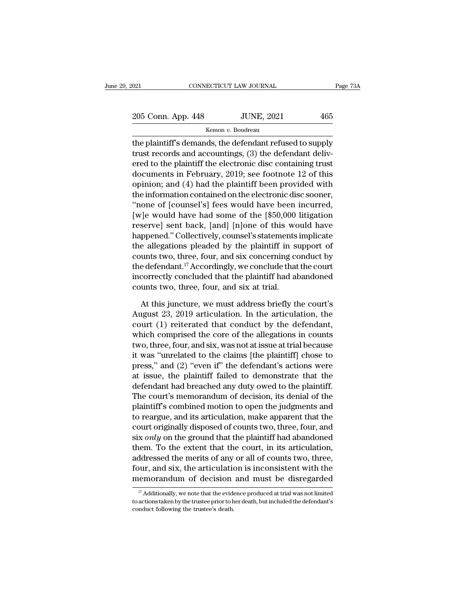021 CONNECTICUT LAW JOURNAL Page 73A<br>
205 Conn. App. 448 JUNE, 2021 465<br>
Kemon v. Boudreau

Kemon *v.* Boudreau

The plaintiff's demands, the defendant refused to supply<br>trust records and accountings, (3) the defendant delivered to show that has been to the plaintiff's demands, (3) the defendant delivered to supply trust records and 205 Conn. App. 448 JUNE, 2021 465<br>
Kemon v. Boudreau<br>
the plaintiff's demands, the defendant refused to supply<br>
trust records and accountings, (3) the defendant deliv-<br>
ered to the plaintiff the electronic disc containing 205 Conn. App. 448 JUNE, 2021 465<br>
Kemon *v.* Boudreau<br>
the plaintiff's demands, the defendant refused to supply<br>
trust records and accountings, (3) the defendant deliv-<br>
ered to the plaintiff the electronic disc containi 205 Conn. App. 448 JUNE, 2021 465<br>
Kemon v. Boudreau<br>
the plaintiff's demands, the defendant refused to supply<br>
trust records and accountings, (3) the defendant deliv-<br>
ered to the plaintiff the electronic disc containing Kemon v. Boudreau<br>the plaintiff's demands, the defendant refused to supply<br>trust records and accountings, (3) the defendant deliv-<br>ered to the plaintiff the electronic disc containing trust<br>documents in February, 2019; se the plaintiff's demands, the defendant refused to supply<br>trust records and accountings, (3) the defendant deliv-<br>ered to the plaintiff the electronic disc containing trust<br>documents in February, 2019; see footnote 12 of t the plaintiff's demands, the defendant refused to supply<br>trust records and accountings, (3) the defendant deliv-<br>ered to the plaintiff the electronic disc containing trust<br>documents in February, 2019; see footnote 12 of th trust records and accountings, (3) the defendant delivered to the plaintiff the electronic disc containing trust<br>documents in February, 2019; see footnote 12 of this<br>opinion; and (4) had the plaintiff been provided with<br>th ered to the plaintiff the electronic disc containing trust<br>documents in February, 2019; see footnote 12 of this<br>opinion; and (4) had the plaintiff been provided with<br>the information contained on the electronic disc sooner, documents in February, 2019; see footnote 12 of this<br>opinion; and (4) had the plaintiff been provided with<br>the information contained on the electronic disc sooner,<br>"none of [counsel's] fees would have been incurred,<br>[w]e w opinion; and (4) had the plaintiff been provided with<br>the information contained on the electronic disc sooner,<br>"none of [counsel's] fees would have been incurred,<br>[w]e would have had some of the [\$50,000 litigation<br>reserve the information contained on the electronic disc sooner,<br>"none of [counsel's] fees would have been incurred,<br>[w]e would have had some of the [\$50,000 litigation<br>reserve] sent back, [and] [n]one of this would have<br>happened. "none of [counsel's] fees would have been incurred,<br>[w]e would have had some of the [\$50,000 litigation<br>reserve] sent back, [and] [n]one of this would have<br>happened." Collectively, counsel's statements implicate<br>the alleg [w]e would have had some of the [\$50,000 litigation<br>reserve] sent back, [and] [n]one of this would have<br>happened." Collectively, counsel's statements implicate<br>the allegations pleaded by the plaintiff in support of<br>counts reserve] sent back, [and] [n]one of this wo<br>happened." Collectively, counsel's statements<br>the allegations pleaded by the plaintiff in s<br>counts two, three, four, and six concerning co<br>the defendant.<sup>17</sup> Accordingly, we conc e allegations pleaded by the plaintiff in support of<br>unts two, three, four, and six concerning conduct by<br>e defendant.<sup>17</sup> Accordingly, we conclude that the court<br>correctly concluded that the plaintiff had abandoned<br>unts t counts two, three, four, and six concerning conduct by<br>the defendant.<sup>17</sup> Accordingly, we conclude that the court<br>incorrectly concluded that the plaintiff had abandoned<br>counts two, three, four, and six at trial.<br>At this ju

the defendant.<sup>17</sup> Accordingly, we conclude that the court<br>incorrectly concluded that the plaintiff had abandoned<br>counts two, three, four, and six at trial.<br>At this juncture, we must address briefly the court's<br>August 23, incorrectly concluded that the plaintiff had abandoned<br>counts two, three, four, and six at trial.<br>At this juncture, we must address briefly the court's<br>August 23, 2019 articulation. In the articulation, the<br>court (1) reite counts two, three, four, and six at trial.<br>At this juncture, we must address briefly the court's<br>August 23, 2019 articulation. In the articulation, the<br>court (1) reiterated that conduct by the defendant,<br>which comprised t At this juncture, we must address briefly the court's<br>August 23, 2019 articulation. In the articulation, the<br>court (1) reiterated that conduct by the defendant,<br>which comprised the core of the allegations in counts<br>two, th At this juncture, we must address briefly the court's<br>August 23, 2019 articulation. In the articulation, the<br>court (1) reiterated that conduct by the defendant,<br>which comprised the core of the allegations in counts<br>two, th August 23, 2019 articulation. In the articulation, the<br>court (1) reiterated that conduct by the defendant,<br>which comprised the core of the allegations in counts<br>two, three, four, and six, was not at issue at trial because<br> court (1) reiterated that conduct by the defendant,<br>which comprised the core of the allegations in counts<br>two, three, four, and six, was not at issue at trial because<br>it was "unrelated to the claims [the plaintiff] chose t which comprised the core of the allegations in counts<br>two, three, four, and six, was not at issue at trial because<br>it was "unrelated to the claims [the plaintiff] chose to<br>press," and (2) "even if" the defendant's actions two, three, four, and six, was not at issue at trial because<br>it was "unrelated to the claims [the plaintiff] chose to<br>press," and (2) "even if" the defendant's actions were<br>at issue, the plaintiff failed to demonstrate tha it was "unrelated to the claims [the plaintiff] chose to<br>press," and (2) "even if" the defendant's actions were<br>at issue, the plaintiff failed to demonstrate that the<br>defendant had breached any duty owed to the plaintiff.<br> press," and (2) "even if" the defendant's actions were<br>at issue, the plaintiff failed to demonstrate that the<br>defendant had breached any duty owed to the plaintiff.<br>The court's memorandum of decision, its denial of the<br>pl at issue, the plaintiff failed to demonstrate that the<br>defendant had breached any duty owed to the plaintiff.<br>The court's memorandum of decision, its denial of the<br>plaintiff's combined motion to open the judgments and<br>to r defendant had breached any duty owed to the plaintiff.<br>The court's memorandum of decision, its denial of the<br>plaintiff's combined motion to open the judgments and<br>to reargue, and its articulation, make apparent that the<br>co The court's memorandum of decision, its denial of the plaintiff's combined motion to open the judgments and to reargue, and its articulation, make apparent that the court originally disposed of counts two, three, four, an plaintiff's combined motion to open the judgments and<br>to reargue, and its articulation, make apparent that the<br>court originally disposed of counts two, three, four, and<br>six *only* on the ground that the plaintiff had aband to reargue, and its articulation, make apparent that the<br>court originally disposed of counts two, three, four, and<br>six *only* on the ground that the plaintiff had abandoned<br>them. To the extent that the court, in its artic them. To the extent that the court, in its articulation, addressed the merits of any or all of counts two, three, four, and six, the articulation is inconsistent with the memorandum of decision and must be disregarded  $\frac$ addressed the merits of any or all of counts two, three,<br>four, and six, the articulation is inconsistent with the<br>memorandum of decision and must be disregarded<br><sup>17</sup> Additionally, we note that the evidence produced at tria four, and six, the articulation<br>memorandum of decision<br> $\frac{17}{17}$  Additionally, we note that the evide<br>to actions taken by the trustee's death.<br>conduct following the trustee's death.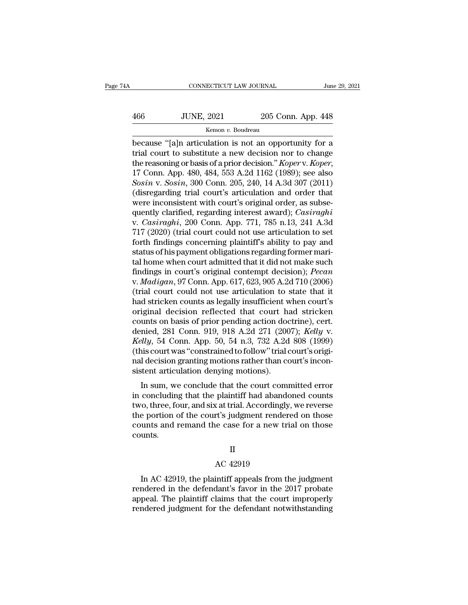# $\begin{tabular}{ll} \multicolumn{2}{l}{{\small\textbf{COMRECTICUT LAW JOURNAL}}} & \multicolumn{2}{l}{\textbf{June 29, 2021}}\\ \hline & {\small\textbf{JUNE, 2021}} & \multicolumn{2}{l}{\textbf{205 Conn. App. 448}}\\ & \multicolumn{2}{l}{\textbf{Kemon $v$. Boudreau}} \end{tabular}$

### Kemon *v.* Boudreau

CONNECTICUT LAW JOURNAL June 29, 2021<br>
466 JUNE, 2021 205 Conn. App. 448<br>
Kemon v. Boudreau<br>
because "[a]n articulation is not an opportunity for a<br>
trial court to substitute a new decision nor to change<br>
the reasoning or 166 JUNE, 2021 205 Conn. App. 448<br>
Kemon v. Boudreau<br>
because "[a]n articulation is not an opportunity for a<br>
trial court to substitute a new decision nor to change<br>
the reasoning or basis of a prior decision." *Koper* v. the reasoning or basis of a prior decision. App. 448<br> **EXECUTE:** *Kemon v. Boudreau*<br>
because "[a]n articulation is not an opportunity for a<br>
trial court to substitute a new decision nor to change<br>
the reasoning or basis o *Sosia, 2021*<br>*Somme v. Boudreau*<br>*Secause "*[a]n articulation is not an opportunity for a<br>trial court to substitute a new decision nor to change<br>the reasoning or basis of a prior decision." *Koper* v. *Koper*,<br>17 Conn. Ap Example 18 and the mean of the measure "[a]n articulation is not an opportunity for a trial court to substitute a new decision nor to change the reasoning or basis of a prior decision." *Koper* v. *Koper*, 17 Conn. App. 4 because "[a]n articulation is not an opportunity for a<br>trial court to substitute a new decision nor to change<br>the reasoning or basis of a prior decision." *Koper* v. *Koper*,<br>17 Conn. App. 480, 484, 553 A.2d 1162 (1989); trial court to substitute a new decision nor to change<br>the reasoning or basis of a prior decision." *Koper* v. *Koper*,<br>17 Conn. App. 480, 484, 553 A.2d 1162 (1989); see also<br>*Sosin* v. *Sosin*, 300 Conn. 205, 240, 14 A.3d the reasoning or basis of a prior decision." *Koper* v. *Koper*,<br>17 Conn. App. 480, 484, 553 A.2d 1162 (1989); see also<br>*Sosin* v. *Sosin*, 300 Conn. 205, 240, 14 A.3d 307 (2011)<br>(disregarding trial court's articulation an 17 Conn. App. 480, 484, 553 A.2d 1162 (1989); see also<br> *Sosin v. Sosin*, 300 Conn. 205, 240, 14 A.3d 307 (2011)<br>
(disregarding trial court's articulation and order that<br>
were inconsistent with court's original order, as *Sosin v. Sosin*, 300 Conn. 205, 240, 14 A.3d 307 (2011)<br>(disregarding trial court's articulation and order that<br>were inconsistent with court's original order, as subse-<br>quently clarified, regarding interest award); *Casi* (disregarding trial court's articulation and order that<br>were inconsistent with court's original order, as subse-<br>quently clarified, regarding interest award); *Casiraghi*<br>v. *Casiraghi*, 200 Conn. App. 771, 785 n.13, 241 were inconsistent with court's original order, as subsequently clarified, regarding interest award); *Casiraghi*<br>v. *Casiraghi*, 200 Conn. App. 771, 785 n.13, 241 A.3d<br>717 (2020) (trial court could not use articulation to quently clarified, regarding interest award); *Casiraghi*<br>v. *Casiraghi*, 200 Conn. App. 771, 785 n.13, 241 A.3d<br>717 (2020) (trial court could not use articulation to set<br>forth findings concerning plaintiff's ability to pa v. *Casiraghi*, 200 Conn. App. 771, 785 n.13, 241 A.3d<br>717 (2020) (trial court could not use articulation to set<br>forth findings concerning plaintiff's ability to pay and<br>status of his payment obligations regarding former m 717 (2020) (trial court could not use articulation to set<br>forth findings concerning plaintiff's ability to pay and<br>status of his payment obligations regarding former mari-<br>tal home when court admitted that it did not make forth findings concerning plaintiff's ability to pay and<br>status of his payment obligations regarding former mari-<br>tal home when court admitted that it did not make such<br>findings in court's original contempt decision); *Pec* status of his payment obligations regarding former mari-<br>tal home when court admitted that it did not make such<br>findings in court's original contempt decision); *Pecan*<br>v. *Madigan*, 97 Conn. App. 617, 623, 905 A.2d 710 (2 tal home when court admitted that it did not make such<br>findings in court's original contempt decision); *Pecan*<br>v. *Madigan*, 97 Conn. App. 617, 623, 905 A.2d 710 (2006)<br>(trial court could not use articulation to state th findings in court's original contempt decision); *Pecan*<br>v. *Madigan*, 97 Conn. App. 617, 623, 905 A.2d 710 (2006)<br>(trial court could not use articulation to state that it<br>had stricken counts as legally insufficient when c *K. Madigan, 97 Conn. App. 617, 623, 905 A.2d 710 (2006)*<br>
(trial court could not use articulation to state that it<br>
had stricken counts as legally insufficient when court's<br>
original decision reflected that court had stri (trial court could not use articulation to state that it<br>had stricken counts as legally insufficient when court's<br>original decision reflected that court had stricken<br>counts on basis of prior pending action doctrine), cert. had stricken counts as legally insufficient when court's<br>original decision reflected that court had stricken<br>counts on basis of prior pending action doctrine), cert.<br>denied, 281 Conn. 919, 918 A.2d 271 (2007); *Kelly* v.<br> original decision reflected that court has<br>counts on basis of prior pending action doc<br>denied, 281 Conn. 919, 918 A.2d 271 (200<br>*Kelly*, 54 Conn. App. 50, 54 n.3, 732 A.2d<br>(this court was "constrained to follow" trial c<br>na inied, 281 Conn. 919, 918 A.2d 271 (2007); *Kelly v.*<br> *illy*, 54 Conn. App. 50, 54 n.3, 732 A.2d 808 (1999)<br>
is court was "constrained to follow" trial court's origi-<br>
I decision granting motions rather than court's incon defiled, 251 Colum. 919, 916 A.2d 271 (2007), Retty v.<br> *Kelly*, 54 Conn. App. 50, 54 n.3, 732 A.2d 808 (1999)<br>
(this court was "constrained to follow" trial court's original<br>
decision granting motions rather than court's

the court was "constrained to follow" trial court's original decision granting motions rather than court's inconsistent articulation denying motions).<br>In sum, we conclude that the court committed error in concluding that (this court was "constrained to follow" trial court s original decision granting motions rather than court's inconsistent articulation denying motions).<br>In sum, we conclude that the court committed error in concluding that radiate that the court since<br>sistent articulation denying motions).<br>In sum, we conclude that the court committed error<br>in concluding that the plaintiff had abandoned counts<br>two, three, four, and six at trial. Accordingly, counts. X at trial. Accordingly<br>The Sudgment render<br>He case for a new tringle<br>II<br>AC 42919<br>Intiff appeals from t Experiment of the court's judgment rendered on those<br>unts and remand the case for a new trial on those<br>unts.<br>II<br>AC 42919<br>In AC 42919, the plaintiff appeals from the judgment<br>indered in the defendant's favor in the 2017 pro

### II

rendered in the defendant's favor in the 2017 probate<br>appeal. The plaintiff appeals from the judgment<br>rendered in the defendant's favor in the 2017 probate<br>appeal. The plaintiff claims that the court improperly<br>rendered ju appeal. The plaintiff claims from the judgment rendered in the defendant's favor in the 2017 probate appeal. The plaintiff claims that the court improperly rendered judgment for the defendant notwithstanding II<br>AC 42919<br>In AC 42919, the plaintiff appeals from the judgment<br>rendered in the defendant's favor in the 2017 probate<br>appeal. The plaintiff claims that the court improperly<br>rendered judgment for the defendant notwithstand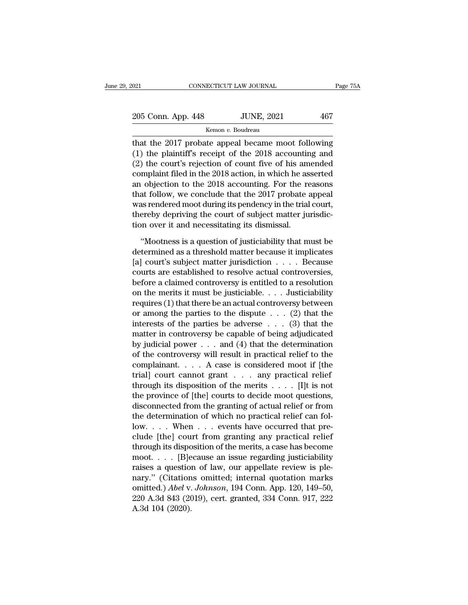| 021                | CONNECTICUT LAW JOURNAL | Page 75A |
|--------------------|-------------------------|----------|
| 205 Conn. App. 448 | <b>JUNE, 2021</b>       | 467      |
|                    | Kemon v. Boudreau       |          |

The 2017 probate appeal became moot following<br>
(1) the plaintiff's receipt of the 2018 accounting and<br>
(2) the court's projection of count five of his amonded<br>
(2) the court's pointion of count five of his amonded 205 Conn. App. 448 JUNE, 2021 467<br>
Kemon v. Boudreau<br>
that the 2017 probate appeal became moot following<br>
(1) the plaintiff's receipt of the 2018 accounting and<br>
(2) the court's rejection of count five of his amended<br>
com 205 Conn. App. 448 JUNE, 2021 467<br>
Kemon v. Boudreau<br>
that the 2017 probate appeal became moot following<br>
(1) the plaintiff's receipt of the 2018 accounting and<br>
(2) the court's rejection of count five of his amended<br>
com 205 Conn. App. 448 JUNE, 2021 467<br>
Kemon v. Boudreau<br>
that the 2017 probate appeal became moot following<br>
(1) the plaintiff's receipt of the 2018 accounting and<br>
(2) the court's rejection of count five of his amended<br>
com Example 12 Kemon v. Boudreau<br>
and that the 2017 probate appeal became moot following<br>
(1) the plaintiff's receipt of the 2018 accounting and<br>
(2) the court's rejection of count five of his amended<br>
complaint filed in the Renon *v*. Boudeau<br>
that the 2017 probate appeal became moot following<br>
(1) the plaintiff's receipt of the 2018 accounting and<br>
(2) the court's rejection of count five of his amended<br>
complaint filed in the 2018 accounting that the 2017 probate appeal became moot following<br>(1) the plaintiff's receipt of the 2018 accounting and<br>(2) the court's rejection of count five of his amended<br>complaint filed in the 2018 action, in which he asserted<br>an o (1) the plaintiff's receipt of the 2018 accounting and (2) the court's rejection of count five of his amended complaint filed in the 2018 accounting. For the asserted an objection to the 2018 accounting. For the reasons t (2) the court's rejection of count five of his am complaint filed in the 2018 action, in which he as an objection to the 2018 accounting. For the reduction, we conclude that the 2017 probate is was rendered moot during it Objection to the 2018 accounting. For the reasons<br>at follow, we conclude that the 2017 probate appeal<br>as rendered moot during its pendency in the trial court,<br>ereby depriving the court of subject matter jurisdic-<br>mover it that follow, we conclude that the 2017 probate appeal<br>was rendered moot during its pendency in the trial court,<br>thereby depriving the court of subject matter jurisdic-<br>tion over it and necessitating its dismissal.<br>"Mootne

was rendered moot during its pendency in the trial court,<br>thereby depriving the court of subject matter jurisdic-<br>tion over it and necessitating its dismissal.<br>"Mootness is a question of justiciability that must be<br>determ thereby depriving the court of subject matter jurisdiction over it and necessitating its dismissal.<br>
"Mootness is a question of justiciability that must be determined as a threshold matter because it implicates<br>
[a] court' tion over it and necessitating its dismissal.<br>
"Mootness is a question of justiciability that must be<br>
determined as a threshold matter because it implicates<br>
[a] court's subject matter jurisdiction  $\dots$ . Because<br>
courts "Mootness is a question of justiciability that must be<br>determined as a threshold matter because it implicates<br>[a] court's subject matter jurisdiction . . . . Because<br>courts are established to resolve actual controversies, "Mootness is a question of justiciability that must be<br>determined as a threshold matter because it implicates<br>[a] court's subject matter jurisdiction . . . . Because<br>courts are established to resolve actual controversies, determined as a threshold matter because it implicates<br>
[a] court's subject matter jurisdiction . . . . Because<br>
courts are established to resolve actual controversies,<br>
before a claimed controversy is entitled to a resol [a] court's subject matter jurisdiction . . . . Because<br>courts are established to resolve actual controversies,<br>before a claimed controversy is entitled to a resolution<br>on the merits it must be justiciable. . . . Justicia courts are established to resolve actual controversies,<br>before a claimed controversy is entitled to a resolution<br>on the merits it must be justiciable.... Justiciability<br>requires (1) that there be an actual controversy bet before a claimed controversy is entitled to a resolution<br>on the merits it must be justiciable.... Justiciability<br>requires (1) that there be an actual controversy between<br>or among the parties to the dispute ... (2) that th on the merits it must be justiciable.... Justiciability<br>requires (1) that there be an actual controversy between<br>or among the parties to the dispute ... (2) that the<br>interests of the parties be adverse ... (3) that the<br>ma requires (1) that there be an actual controversy between<br>or among the parties to the dispute . . . (2) that the<br>interests of the parties be adverse . . . (3) that the<br>matter in controversy be capable of being adjudicated<br> or among the parties to the dispute . . . (2) that the<br>interests of the parties be adverse . . . (3) that the<br>matter in controversy be capable of being adjudicated<br>by judicial power . . . and (4) that the determination<br>of interests of the parties be adverse . . . (3) that the<br>matter in controversy be capable of being adjudicated<br>by judicial power . . . and (4) that the determination<br>of the controversy will result in practical relief to the matter in controversy be capable of being adjudicated<br>by judicial power . . . and (4) that the determination<br>of the controversy will result in practical relief to the<br>complainant. . . . A case is considered moot if [the<br>t by judicial power  $\dots$  and (4) that the determination<br>of the controversy will result in practical relief to the<br>complainant.  $\dots$  A case is considered moot if [the<br>trial] court cannot grant  $\dots$  any practical relief<br>throu of the controversy will result in practical relief to the complainant. . . . A case is considered moot if [the trial] court cannot grant . . . any practical relief through its disposition of the merits . . . . [I]t is not complainant. . . . . A case is considered moot if [the trial] court cannot grant . . . . any practical relief through its disposition of the merits . . . . [I]t is not the province of [the] courts to decide moot questions trial] court cannot grant  $\dots$  any practical relief<br>through its disposition of the merits  $\dots$ . [I]t is not<br>the province of [the] courts to decide moot questions,<br>disconnected from the granting of actual relief or from<br>th through its disposition of the merits  $\dots$  [1]t is not<br>the province of [the] courts to decide moot questions,<br>disconnected from the granting of actual relief or from<br>the determination of which no practical relief can folthe province of [the] courts to decide moot questions,<br>disconnected from the granting of actual relief or from<br>the determination of which no practical relief can fol-<br>low.... When ... events have occurred that pre-<br>clude disconnected from the granting of actual relief or from<br>the determination of which no practical relief can fol-<br>low. . . . When . . . events have occurred that pre-<br>clude [the] court from granting any practical relief<br>thr the determination of which no practical relief can fol-<br>low.... When ... events have occurred that pre-<br>clude [the] court from granting any practical relief<br>through its disposition of the merits, a case has become<br>moot... low.... When ... events have occurred that pre-<br>clude [the] court from granting any practical relief<br>through its disposition of the merits, a case has become<br>moot.... [B]ecause an issue regarding justiciability<br>raises a qu clude [the] court from granting any practical relief<br>through its disposition of the merits, a case has become<br>moot. . . . [B]ecause an issue regarding justiciability<br>raises a question of law, our appellate review is ple-<br> through its dispose moot.  $\ldots$  [B]<br>maises a question nary." (Citation omitted.) Abel v.<br>220 A.3d 843 (20 A.3d 104 (2020).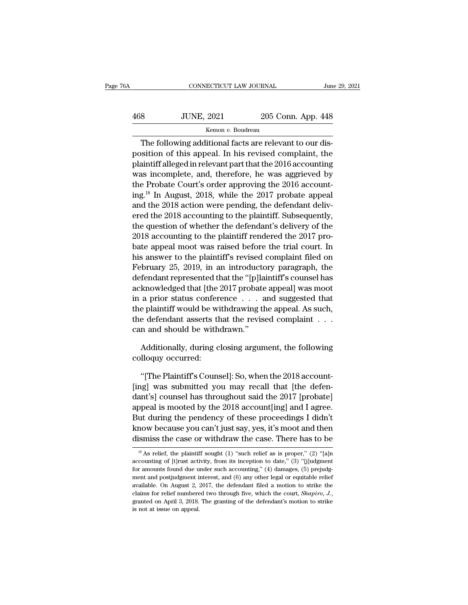| 6A  | CONNECTICUT LAW JOURNAL |                    | June 29, 2021 |
|-----|-------------------------|--------------------|---------------|
| 468 | <b>JUNE, 2021</b>       | 205 Conn. App. 448 |               |
|     | Kemon v. Boudreau       |                    |               |

CONNECTICUT LAW JOURNAL<br>
SUINE, 2021 205 Conn. App. 448<br>
Kemon v. Boudreau<br>
The following additional facts are relevant to our dis-<br>
sition of this appeal. In his revised complaint, the 168 JUNE, 2021 205 Conn. App. 448<br>
Kemon v. Boudreau<br>
The following additional facts are relevant to our dis-<br>
position of this appeal. In his revised complaint, the<br>
plaintiff alleged in relevant part that the 2016 accoun  $\frac{468}{\text{Kemon } v. \text{ Boudreau}}$  205 Conn. App. 448<br>
The following additional facts are relevant to our disposition of this appeal. In his revised complaint, the plaintiff alleged in relevant part that the 2016 accounting was inc  $\frac{468}{\text{Kemon } v. \text{ Boudreau}}$  205 Conn. App. 448<br>  $\frac{448}{\text{Kemon } v. \text{ Boudreau}}$ <br>
The following additional facts are relevant to our dis-<br>
position of this appeal. In his revised complaint, the<br>
plaintiff alleged in relevant part th **EXECUTE:** Kemon *v.* Boudreau<br>The following additional facts are relevant to our dis-<br>position of this appeal. In his revised complaint, the<br>plaintiff alleged in relevant part that the 2016 accounting<br>was incomplete, and The following additional facts are relevant to our dis-<br>position of this appeal. In his revised complaint, the<br>plaintiff alleged in relevant part that the 2016 accounting<br>was incomplete, and, therefore, he was aggrieved by The following additional facts are relevant to our dis-<br>position of this appeal. In his revised complaint, the<br>plaintiff alleged in relevant part that the 2016 accounting<br>was incomplete, and, therefore, he was aggrieved b position of this appeal. In his revised complaint, the<br>plaintiff alleged in relevant part that the 2016 accounting<br>was incomplete, and, therefore, he was aggrieved by<br>the Probate Court's order approving the 2016 account-<br>i plaintiff alleged in relevant part that the 2016 accounting<br>was incomplete, and, therefore, he was aggrieved by<br>the Probate Court's order approving the 2016 account-<br>ing.<sup>18</sup> In August, 2018, while the 2017 probate appeal<br> was incomplete, and, therefore, he was aggrieved by<br>the Probate Court's order approving the 2016 account-<br>ing.<sup>18</sup> In August, 2018, while the 2017 probate appeal<br>and the 2018 accounting to the plaintiff. Subsequently,<br>the the Probate Court's order approving the 2016 account-<br>ing.<sup>18</sup> In August, 2018, while the 2017 probate appeal<br>and the 2018 action were pending, the defendant deliv-<br>ered the 2018 accounting to the plaintiff. Subsequently,<br> ing.<sup>10</sup> In August, 2018, while the 2017 probate appeal<br>and the 2018 action were pending, the defendant deliv-<br>ered the 2018 accounting to the plaintiff. Subsequently,<br>the question of whether the defendant's delivery of th and the 2018 action were pending, the defendant delivered the 2018 accounting to the plaintiff. Subsequently, the question of whether the defendant's delivery of the 2018 accounting to the plaintiff rendered the 2017 proba ered the 2018 accounting to the plaintiff. Subsequently,<br>the question of whether the defendant's delivery of the<br>2018 accounting to the plaintiff rendered the 2017 pro-<br>bate appeal moot was raised before the trial court. I the question of whether the detendant's delivery of the<br>2018 accounting to the plaintiff rendered the 2017 pro-<br>bate appeal moot was raised before the trial court. In<br>his answer to the plaintiff's revised complaint filed o 2018 accounting to the plaintiff rendered the 2017 pro-<br>bate appeal moot was raised before the trial court. In<br>his answer to the plaintiff's revised complaint filed on<br>February 25, 2019, in an introductory paragraph, the<br>d bate appeal moot was raised before the trial court. In<br>his answer to the plaintiff's revised complaint filed on<br>February 25, 2019, in an introductory paragraph, the<br>defendant represented that the "[p]laintiff's counsel has has answer to the plaintiff's revised complaint filed on<br>February 25, 2019, in an introductory paragraph, the<br>defendant represented that the "[p]laintiff's counsel has<br>acknowledged that [the 2017 probate appeal] was moot<br>i rebruary 25, 2019, in an introductd<br>defendant represented that the "[p]la<br>acknowledged that [the 2017 probate<br>in a prior status conference . . . . a<br>the plaintiff would be withdrawing th<br>the defendant asserts that the revi knowledged that [the 2017 probate appeal] was moot<br>a prior status conference . . . and suggested that<br>e plaintiff would be withdrawing the appeal. As such,<br>e defendant asserts that the revised complaint . . .<br>n and should in a prior status confer<br>the plaintiff would be wi<br>the defendant asserts th<br>can and should be with<br>Additionally, during c<br>colloquy occurred:<br>"The Plaintiff's Couns

e defendant asserts that the revised complaint . . .<br>
in and should be withdrawn."<br>
Additionally, during closing argument, the following<br>
lloquy occurred:<br>
"[The Plaintiff's Counsel]: So, when the 2018 account-<br>
ugl was su can and should be withdrawn."<br>Additionally, during closing argument, the following<br>colloquy occurred:<br>"[The Plaintiff's Counsel]: So, when the 2018 account-<br>[ing] was submitted you may recall that [the defen-<br>dant's] couns Additionally, during closing argument, the following<br>
colloquy occurred:<br>
"[The Plaintiff's Counsel]: So, when the 2018 account-<br>
[ing] was submitted you may recall that [the defen-<br>
dant's] counsel has throughout said the Additionally, during closing argument, the following<br>colloquy occurred:<br>"[The Plaintiff's Counsel]: So, when the 2018 account-<br>[ing] was submitted you may recall that [the defen-<br>dant's] counsel has throughout said the 201 colloquy occurred:<br>
"[The Plaintiff's Counsel]: So, when the 2018 account-<br>
[ing] was submitted you may recall that [the defen-<br>
dant's] counsel has throughout said the 2017 [probate]<br>
appeal is mooted by the 2018 account[ "[The Plaintiff's Counsel]: So, when the 2018 account-<br>[ing] was submitted you may recall that [the defen-<br>dant's] counsel has throughout said the 2017 [probate]<br>appeal is mooted by the 2018 account[ing] and I agree.<br>But d "[The Plaintiff's Counsel]: So, when the 2018 account-<br>[ing] was submitted you may recall that [the defen-<br>dant's] counsel has throughout said the 2017 [probate]<br>appeal is mooted by the 2018 account[ing] and I agree.<br>But 18 As relief, the plaintiff sought (1) "such relief as is proper," (2) "[a]n counting of [t]<sub>rust</sub> activity, from its inception to date," (3) "[j]] independence of [t]<sub>rust</sub> activity, from its inception to date," (3) "[j] But during the pendency of these proceedings I didn't<br>know because you can't just say, yes, it's moot and then<br>dismiss the case or withdraw the case. There has to be<br> $\frac{1}{8}$  As relief, the plaintiff sought (1) "such rel

know because you can't just say, yes, it's moot and then<br>dismiss the case or withdraw the case. There has to be<br> $\frac{18}{18}$  As relief, the plaintiff sought (1) "such relief as is proper," (2) "[a]n<br>accounting of [t]rust a dismiss the case or withdraw the case. There has to be<br>
<sup>18</sup> As relief, the plaintiff sought (1) "such relief as is proper," (2) "[a]n<br>
accounting of [t]rust activity, from its inception to date," (3) "[j]udgment<br>
for amo assessment to the plaintiff sought (1) "such relief as is proper," (2) "[a]n accounting of [t]rust activity, from its inception to date," (3) "[j]udgment for amounts found due under such accounting," (4) damages, (5) prej <sup>18</sup> As relief, the plaintiff sought (1) "such relief as is proper," (2) "[a]n accounting of [t]rust activity, from its inception to date," (3) "[j]udgment for amounts found due under such accounting," (4) damages, (5) pr accounting of [t]<br>rust activity, from its inception to date," (3) "[j]udgment for amounts found due under such accounting," (4) damages, (5) prejudgment and postjudgment interest, and (6) any other legal or equitable reli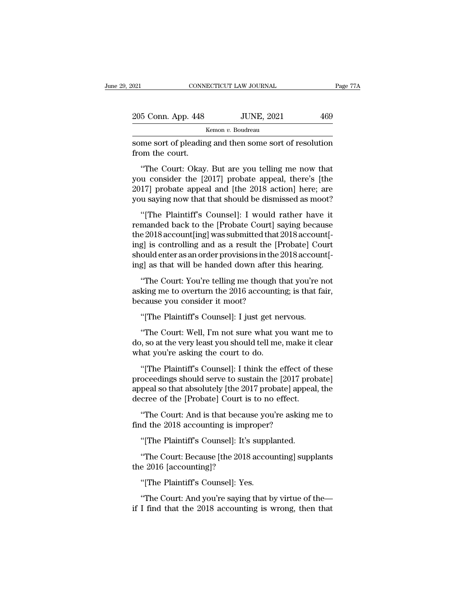| 2021               | CONNECTICUT LAW JOURNAL | Page 77A |
|--------------------|-------------------------|----------|
| 205 Conn. App. 448 | <b>JUNE, 2021</b>       | 469      |
|                    | Kemon v. Boudreau       |          |

on the connect of pleading and then some sort of resolution<br>from the court.<br>Some sort of pleading and then some sort of resolution<br>from the court. 205 Conn. App. 448<br>
some sort of pleadin<br>
from the court.<br>
"The Court: Okay.

 $\frac{5 \text{ Conn. App. 448}}{\text{Kemon } v. \text{ Boudreau}}$ The Soudreau<br>
The Court: Okay. But are you telling me now that<br>
"The Court: Okay. But are you telling me now that<br>
"The Court: Okay. But are you telling me now that<br>
u consider the  $[2017$ 205 Conn. App. 448 JUNE, 2021 469<br>
Kemon v. Boudreau<br>
Some sort of pleading and then some sort of resolution<br>
from the court.<br>
"The Court: Okay. But are you telling me now that<br>
you consider the [2017] probate appeal, the  $\frac{1}{2}$ <br>
some sort of pleading and then some sort of resolution<br>
from the court.<br>
"The Court: Okay. But are you telling me now that<br>
you consider the [2017] probate appeal, there's [the<br>
2017] probate appeal and [the 20 some sort of pleading and then some sort of resolution<br>from the court.<br>"The Court: Okay. But are you telling me now that<br>you consider the [2017] probate appeal, there's [the<br>2017] probate appeal and [the 2018 action] here; % "The Court: Okay. But are you telling me now that<br>u consider the [2017] probate appeal, there's [the<br>17] probate appeal and [the 2018 action] here; are<br>u saying now that that should be dismissed as moot?<br>"[The Plaintiff' "The Court: Okay. But are you telling me now that<br>you consider the [2017] probate appeal, there's [the<br>2017] probate appeal and [the 2018 action] here; are<br>you saying now that that should be dismissed as moot?<br>"[The Plaint

you consider the [2017] probate appeal, there's [the 2017] probate appeal and [the 2018 action] here; are you saying now that that should be dismissed as moot?<br>"[The Plaintiff's Counsel]: I would rather have it remanded b 2017] probate appeal and [the 2018 action] here; are<br>2017] probate appeal and [the 2018 action] here; are<br>you saying now that that should be dismissed as moot?<br>"[The Plaintiff's Counsel]: I would rather have it<br>remanded b show that that should be dismissed as moot?<br>"[The Plaintiff's Counsel]: I would rather have it<br>remanded back to the [Probate Court] saying because<br>the 2018 account[ing] was submitted that 2018 account[-<br>ing] is controllin "[The Plaintiff's Counsel]: I would rather have it remanded back to the [Probate Court] saying because the 2018 account[ing] was submitted that  $2018$  account[ing] is controlling and as a result the [Probate] Court should The Court of the IProbate Court] saying because<br>
e 2018 account[ing] was submitted that 2018 account[-<br>
g] is controlling and as a result the [Probate] Court<br>
ould enter as an order provisions in the 2018 account[-<br>
g] as asking me to overturn the 2018 account<br>the 2018 account[ing] was submitted that 2018 account[-<br>ing] is controlling and as a result the [Probate] Court<br>should enter as an order provisions in the 2018 account[-<br>ing] as that ing] is controlling and as a result the [I]<br>should enter as an order provisions in the<br>ing] as that will be handed down after t<br>"The Court: You're telling me though i<br>asking me to overturn the 2016 accounti<br>because you con

ould enter as an order provisions in the 2018 account g] as that will be handed down after this hearing.<br>"The Court: You're telling me though that you're need king me to overturn the 2016 accounting; is that facause you co "The Court: You're telling me though that you're not<br>king me to overturn the 2016 accounting; is that fair,<br>cause you consider it moot?<br>"[The Plaintiff's Counsel]: I just get nervous.<br>"The Court: Well, I'm not sure what yo

"The Court: You're telling me though that you're not<br>asking me to overturn the 2016 accounting; is that fair,<br>because you consider it moot?<br>"[The Plaintiff's Counsel]: I just get nervous.<br>"The Court: Well, I'm not sure wha asking me to overturn the 2016 accountir<br>because you consider it moot?<br>"[The Plaintiff's Counsel]: I just get ne<br>"The Court: Well, I'm not sure what yc<br>do, so at the very least you should tell me,<br>what you're asking the co "[The Plaintiff's Counsel]: I just get nervous.<br>"The Court: Well, I'm not sure what you want me to<br>o, so at the very least you should tell me, make it clear<br>nat you're asking the court to do.<br>"[The Plaintiff's Counsel]: I

"[The Plaintiff's Counsel]: I just get nervous.<br>"The Court: Well, I'm not sure what you want me to<br>do, so at the very least you should tell me, make it clear<br>what you're asking the court to do.<br>"[The Plaintiff's Counsel]: "The Court: Well, I'm not sure what you want me to<br>do, so at the very least you should tell me, make it clear<br>what you're asking the court to do.<br>"[The Plaintiff's Counsel]: I think the effect of these<br>proceedings should s do, so at the very least you should tell me, make it c<br>what you're asking the court to do.<br>"[The Plaintiff's Counsel]: I think the effect of th<br>proceedings should serve to sustain the [2017 prob<br>appeal so that absolutely [ nat you're asking the court to do.<br>
"[The Plaintiff's Counsel]: I think the effect of these<br>
oceedings should serve to sustain the [2017 probate]<br>
peal so that absolutely [the 2017 probate] appeal, the<br>
cree of the [Probat "[The Plaintiff's Counsel]: I think the effect c<br>proceedings should serve to sustain the [2017 p<br>appeal so that absolutely [the 2017 probate] app<br>decree of the [Probate] Court is to no effect.<br>"The Court: And is that becau oceedings should serve to sustain the [2017 pro<br>peal so that absolutely [the 2017 probate] appea<br>cree of the [Probate] Court is to no effect.<br>"The Court: And is that because you're asking r<br>id the 2018 accounting is improp

cree of the [Probate] Court is to no effect.<br>"The Court: And is that because you're asking me to<br>id the 2018 accounting is improper?<br>"[The Plaintiff's Counsel]: It's supplanted.<br>"The Court: Because [the 2018 accounting] su "The Court: And is that becau<br>find the 2018 accounting is imp<br>"[The Plaintiff's Counsel]: It's<br>"The Court: Because [the 2018<br>the 2016 [accounting]?<br>"[The Plaintiff's Counsel]: Yes find the 2018 accounting is improper?<br>
"[The Plaintiff's Counsel]: It's supplanted.<br>
"The Court: Because [the 2018 accounting] supplants<br>
the 2016 [accounting]?<br>
"[The Plaintiff's Counsel]: Yes.<br>
"The Court: And you're say The Court: Because [the 2018 accounting] supplants<br>the 2016 [accounting]?<br>"[The Plaintiff's Counsel]: Yes.<br>"The Court: And you're saying that by virtue of the<br>if I find that the 2018 accounting is wrong, then that

"[The Plaintiff's Counsel]: It's supplanted.<br>"The Court: Because [the 2018 accounting] supplants<br>e 2016 [accounting]?<br>"[The Plaintiff's Counsel]: Yes.<br>"The Court: And you're saying that by virtue of the—<br>I find that the 20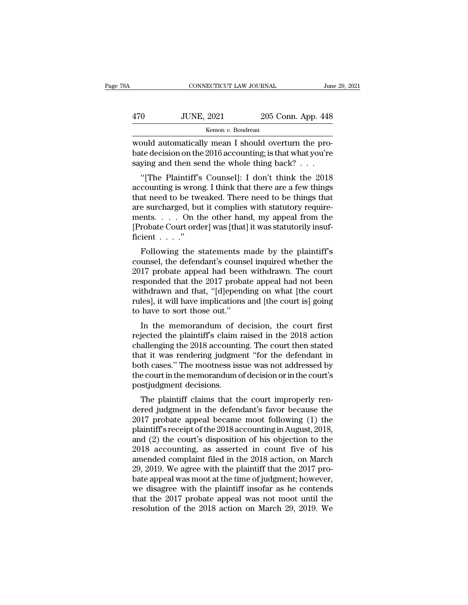| šΑ  | CONNECTICUT LAW JOURNAL |                    | June 29, 2021 |
|-----|-------------------------|--------------------|---------------|
|     |                         |                    |               |
| 470 | <b>JUNE, 2021</b>       | 205 Conn. App. 448 |               |
|     | Kemon v. Boudreau       |                    |               |

CONNECTICUT LAW JOURNAL<br>
470 JUNE, 2021 205 Conn. App. 448<br>
<sup>Kemon v.</sup> Boudreau<br>
would automatically mean I should overturn the pro-<br>
bate decision on the 2016 accounting; is that what you're decision on the 2016 accounting; is that what you're saying and then send the whole thing back? saying and then send the whole thing back? . . .  $\frac{1}{100}$  JUNE, 2021 205 Conn. App. 448<br>  $\frac{1}{100}$  Kemon v. Boudreau<br>
Duld automatically mean I should overturn the pro-<br>
te decision on the 2016 accounting; is that what you're<br>
ying and then send the whole thing bac

Example 18 Kemon v. Boudreau<br>
would automatically mean I should overturn the pro-<br>
bate decision on the 2016 accounting; is that what you're<br>
saying and then send the whole thing back?<br>
... "[The Plaintiff's Counsel]: I d would automatically mean I should overturn the pro-<br>bate decision on the 2016 accounting; is that what you're<br>saying and then send the whole thing back?  $\ldots$ <br>"[The Plaintiff's Counsel]: I don't think the 2018<br>accounting would allomate<br>any mean 1 should overturn the probate decision on the 2016 accounting; is that what you're<br>saying and then send the whole thing back? . . .<br>"[The Plaintiff's Counsel]: I don't think the 2018<br>accounting is bate decision on the 2010 accounting, is that what you re<br>saying and then send the whole thing back? . . .<br>"[The Plaintiff's Counsel]: I don't think the 2018<br>accounting is wrong. I think that there are a few things<br>that ne saying and then send the whole timg back:  $\ldots$ <br>"[The Plaintiff's Counsel]: I don't think the 2018<br>accounting is wrong. I think that there are a few things<br>that need to be tweaked. There need to be things that<br>are surchar "[The Plaintiff's<br>accounting is wron<br>that need to be tw<br>are surcharged, bu<br>ments. . . . On tl<br>[Probate Court ord<br>ficient . . . ."<br>Following the s Following the statements made by the plaintiff's<br>Following the statements made for the statements and the statements of the other hand, my appeal from the<br>robate Court order] was [that] it was statutorily insuf-<br>ient . . counsel, the defendant's counsel had not hear<br>
results are surcharged, but it complies with statutory require-<br>
ments.... On the other hand, my appeal from the<br>
[Probate Court order] was [that] it was statutorily insuf-<br>

are suicharged, but it complies what statutory requirements.... On the other hand, my appeal from the [Probate Court order] was [that] it was statutorily insufficient . . . ."<br>Following the statements made by the plaintiff responded that the 2017 probate appeal is and the court of the plaintiff's<br>counsel, the defendant's counsel inquired whether the<br>2017 probate appeal had been withdrawn. The court<br>responded that the 2017 probate appeal had Following the statements made by the plaintiff's<br>counsel, the defendant's counsel inquired whether the<br>2017 probate appeal had been withdrawn. The court<br>responded that the 2017 probate appeal had not been<br>withdrawn and th Following the statements made by the plaintiff's<br>counsel, the defendant's counsel inquired whether the<br>2017 probate appeal had been withdrawn. The court<br>responded that the 2017 probate appeal had not been<br>withdrawn and th Following the statements n<br>counsel, the defendant's counse<br>2017 probate appeal had been<br>responded that the 2017 proba<br>withdrawn and that, "[d]epend<br>rules], it will have implications<br>to have to sort those out."<br>In the memor IT probate appeal had been withdrawn. The court<br>sponded that the 2017 probate appeal had not been<br>thdrawn and that, "[d]epending on what [the court<br>les], it will have implications and [the court is] going<br>have to sort thos 2017 probate appear natricent withdrawn. The court<br>responded that the 2017 probate appeal had not been<br>withdrawn and that, "[d]epending on what [the court<br>rules], it will have implications and [the court is] going<br>to have

responded that the 2017 probate appear had not been<br>withdrawn and that, "[d]epending on what [the court<br>rules], it will have implications and [the court is] going<br>to have to sort those out."<br>In the memorandum of decision, withdrawn and that, [u]epending on what [the court]<br>rules], it will have implications and [the court is] going<br>to have to sort those out."<br>In the memorandum of decision, the court first<br>rejected the plaintiff's claim raise rues], it will have impincations and [the court is] going<br>to have to sort those out."<br>In the memorandum of decision, the court first<br>rejected the plaintiff's claim raised in the 2018 action<br>challenging the 2018 accounting. to have to sort those out.<br>In the memorandum of decision, the court first<br>rejected the plaintiff's claim raised in the 2018 action<br>challenging the 2018 accounting. The court then stated<br>that it was rendering judgment "for In the memorandum of c<br>rejected the plaintiff's claim<br>challenging the 2018 accounti<br>that it was rendering judgme<br>both cases." The mootness iss<br>the court in the memorandum c<br>postjudgment decisions.<br>The plaintiff claims that rected the plaintiff s claim raised in the 2016 action<br>allenging the 2018 accounting. The court then stated<br>at it was rendering judgment "for the defendant in<br>th cases." The mootness issue was not addressed by<br>e court in t channeliging the 2013 accounting. The court then stated<br>that it was rendering judgment "for the defendant in<br>both cases." The mootness issue was not addressed by<br>the court in the memorandum of decision or in the court's<br>p

Findering Judgment Tof the detendant in<br>both cases." The mootness issue was not addressed by<br>the court in the memorandum of decision or in the court's<br>postjudgment decisions.<br>The plaintiff claims that the court improperly both cases. The moothess issue was not addressed by<br>the court in the memorandum of decision or in the court's<br>postjudgment decisions.<br>The plaintiff claims that the court improperly ren-<br>dered judgment in the defendant's fa method (2) the court in the internolation of decision of in the court is<br>postjudgment decisions.<br>The plaintiff claims that the court improperly ren-<br>dered judgment in the defendant's favor because the<br>2017 probate appeal b post<sub>y</sub> dignient decisions.<br>
The plaintiff claims that the court improperly ren-<br>
dered judgment in the defendant's favor because the<br>
2017 probate appeal became moot following (1) the<br>
plaintiff's receipt of the 2018 acco The plaintiff claims that the court improperly rendered judgment in the defendant's favor because the 2017 probate appeal became moot following (1) the plaintiff's receipt of the 2018 accounting in August, 2018, and (2) th dered judgment in the defendant's favor because the<br>2017 probate appeal became moot following (1) the<br>plaintiff's receipt of the 2018 accounting in August, 2018,<br>and (2) the court's disposition of his objection to the<br>2018 2017 probate appeal became moot following (1) the plaintiff's receipt of the 2018 accounting in August, 2018, and (2) the court's disposition of his objection to the 2018 accounting, as asserted in count five of his amende plaintiff's receipt of the 2018 accounting in August, 2018,<br>and (2) the court's disposition of his objection to the<br>2018 accounting, as asserted in count five of his<br>amended complaint filed in the 2018 action, on March<br>29, and (2) the court's disposition of his objection to the 2018 accounting, as asserted in count five of his amended complaint filed in the 2018 action, on March 29, 2019. We agree with the plaintiff that the 2017 probate app 2018 accounting, as asserted in count five of his<br>amended complaint filed in the 2018 action, on March<br>29, 2019. We agree with the plaintiff that the 2017 pro-<br>bate appeal was moot at the time of judgment; however,<br>we disa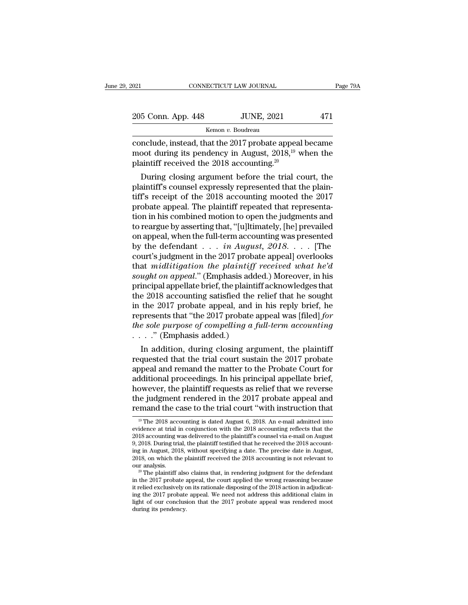| 2021               | CONNECTICUT LAW JOURNAL | Page 79A |
|--------------------|-------------------------|----------|
| 205 Conn. App. 448 | <b>JUNE, 2021</b>       | 471      |
|                    | Kemon v. Boudreau       |          |

conclude, instead, that the 2017 probate appeal became<br>
moot during its pendency in August, 2018,<sup>19</sup> when the<br>
plaintiff required the 2018 accounting 2018. 205 Conn. App. 448 JUNE, 2021 471<br>
Kemon v. Boudreau<br>
conclude, instead, that the 2017 probate appeal became<br>
moot during its pendency in August, 2018,<sup>19</sup> when the<br>
plaintiff received the 2018 accounting.<sup>20</sup> 205 Conn. App. 448 JUNE, 2021<br>
Kemon v. Boudreau<br>
conclude, instead, that the 2017 probate appeal<br>
moot during its pendency in August, 2018,<sup>19</sup> v<br>
plaintiff received the 2018 accounting.<sup>20</sup><br>
During closing argument befo  $\frac{5 \text{ Conn. App. 448}}{\text{Kemon } v. \text{ Boudreau}}$ <br>
nclude, instead, that the 2017 probate appeal became<br>
oot during its pendency in August, 2018,<sup>19</sup> when the<br>
aintiff received the 2018 accounting.<sup>20</sup><br>
During closing argument before the

Expressly represented that the mood during its pendency in August,  $2018$ ,  $^{19}$  when the plaintiff received the 2018 accounting.<sup>20</sup><br>During closing argument before the trial court, the plaintiff's counsel expressly repr conclude, instead, that the 2017 probate appeal became<br>moot during its pendency in August, 2018,<sup>19</sup> when the<br>plaintiff received the 2018 accounting.<sup>20</sup><br>During closing argument before the trial court, the<br>plaintiff's cou conclude, instead, that the 2017 probate appeal became<br>moot during its pendency in August,  $2018^{19}$  when the<br>plaintiff received the  $2018$  accounting.<sup>20</sup><br>During closing argument before the trial court, the<br>plaintiff's moot during its pendency in August, 2018,<sup>20</sup> when the plaintiff received the 2018 accounting.<sup>20</sup><br>During closing argument before the trial court, the plaintiff's counsel expressly represented that the plain-<br>tiff's recei plaintiff's counsel expressly represented that the plaintiff's counsel expressly represented that the plaintiff's receipt of the 2018 accounting mooted the 2017<br>probate appeal. The plaintiff repeated that representation i During closing argument before the trial court, the plaintiff's counsel expressly represented that the plaintiff's receipt of the 2018 accounting mooted the 2017 probate appeal. The plaintiff repeated that representation plaintiff's counsel expressly represented that the plaintiff's receipt of the 2018 accounting mooted the 2017<br>probate appeal. The plaintiff repeated that representa-<br>tion in his combined motion to open the judgments and<br>to tiff's receipt of the 2018 accounting mooted the 2017<br>probate appeal. The plaintiff repeated that representa-<br>tion in his combined motion to open the judgments and<br>to reargue by asserting that, "[u]ltimately, [he] prevail probate appeal. The plaintiff repeated that representation in his combined motion to open the judgments and<br>to reargue by asserting that, "[u]ltimately, [he] prevailed<br>on appeal, when the full-term accounting was presented tion in his combined motion to open the judgments and<br>to reargue by asserting that, "[u]ltimately, [he] prevailed<br>on appeal, when the full-term accounting was presented<br>by the defendant . . . *in August, 2018*. . . . [The<br> to reargue by asserting that, "[u]ltimately, [he] prevailed<br>on appeal, when the full-term accounting was presented<br>by the defendant . . . *in August, 2018*. . . . [The<br>court's judgment in the 2017 probate appeal] overlook on appeal, when the full-term accounting was presented<br>by the defendant . . . *in August*, 2018. . . . [The<br>court's judgment in the 2017 probate appeal] overlooks<br>that *midlitigation the plaintiff received what he'd*<br>soug by the defendant  $\dots$  *in August, 2018*.  $\dots$  [The court's judgment in the 2017 probate appeal] overlooks that *midlitigation the plaintiff received what he'd sought on appeal.*" (Emphasis added.) Moreover, in his princ court's judgment in the 2017 probate appeal] overlooks<br>that *midlitigation the plaintiff received what he'd*<br>sought on appeal." (Emphasis added.) Moreover, in his<br>principal appellate brief, the plaintiff acknowledges that<br> that *midlitigation the plaintiff received what he'd*<br>sought on appeal." (Emphasis added.) Moreover, in his<br>principal appellate brief, the plaintiff acknowledges that<br>the 2018 accounting satisfied the relief that he sough sought on appeal." (Emphasis addeprincipal appellate brief, the plaintif<br>the 2018 accounting satisfied the in the 2017 probate appeal, and is<br>represents that "the 2017 probate a<br>the sole purpose of compelling a f<br> $\ldots$ ." Incipal appenate brief, the plaintiff acknowledges that<br>
e 2018 accounting satisfied the relief that he sought<br>
the 2017 probate appeal, and in his reply brief, he<br>
presents that "the 2017 probate appeal was [filed] for<br> the 2018 accounting satisfied the reflect that the sought<br>in the 2017 probate appeal, and in his reply brief, he<br>represents that "the 2017 probate appeal was [filed] *for<br>the sole purpose of compelling a full-term account* 

In the 2017 probate appeal, and in his reply brief, he<br>represents that "the 2017 probate appeal was [filed] for<br>the sole purpose of compelling a full-term accounting<br> $\ldots$ " (Emphasis added.)<br>In addition, during closing ar represents that the 2017 probate appear was [filed] for<br>the sole purpose of compelling a full-term accounting<br> $\dots$ ." (Emphasis added.)<br>In addition, during closing argument, the plaintiff<br>requested that the trial court sus *the sole purpose of competuing a juu-term accounting*<br>  $\ldots$  ." (Emphasis added.)<br>
In addition, during closing argument, the plaintiff<br>
requested that the trial court sustain the 2017 probate<br>
appeal and remand the matte In addition, during closing argument, the plaintiff<br>requested that the trial court sustain the 2017 probate<br>appeal and remand the matter to the Probate Court for<br>additional proceedings. In his principal appellate brief,<br>h In addition, during closing argument, the plaintiff<br>requested that the trial court sustain the 2017 probate<br>appeal and remand the matter to the Probate Court for<br>additional proceedings. In his principal appellate brief,<br>h dditional proceedings. In his principal appellate brief,<br>owever, the plaintiff requests as relief that we reverse<br>le judgment rendered in the 2017 probate appeal and<br>mand the case to the trial court "with instruction that however, the plaintiff requests as relief that we reverse<br>the judgment rendered in the 2017 probate appeal and<br>remand the case to the trial court "with instruction that<br> $\frac{19 \text{ T} \text{m}}{2018}$  accounting is dated August 6

Example 1.1 and the case to the trial court "with instruction that remained the case to the trial court "with instruction that  $\frac{10}{10}$  The 2018 accounting is dated August 6, 2018. An e-mail admitted into evidence at t The Judgment rendered in the 2017 probate appeal and remand the case to the trial court "with instruction that  $\frac{10}{10}$  The 2018 accounting is dated August 6, 2018. An e-mail admitted into evidence at trial in conjunct remand the case to the trial court "with instruction that  $\frac{10}{10}$  The 2018 accounting is dated August 6, 2018. An e-mail admitted into evidence at trial in conjunction with the 2018 accounting reflects that the 2018 a <sup>19</sup> The 2018 accounting is dated August 6, 2018. An e-mail admitted into evidence at trial in conjunction with the 2018 accounting reflects that the 2018 accounting was delivered to the plaintiff's counsel via e-mail on <sup>19</sup> The 2018 accounting is dated August 6, 2018. An e-mail admitted into evidence at trial in conjunction with the 2018 accounting reflects that the 2018 accounting was delivered to the plaintiff's counsel via e-mail on 2018 accounting was delivered to the plaintiff's counsel via e-mail on August 9, 2018. During trial, the plaintiff testified that he received the 2018 accounting in August, 2018, without specifying a date. The precise date

<sup>9, 2018.</sup> During trial, the plaintiff testified that he received the 2018 accounting in August, 2018, on which the plaintiff received the 2018 accounting is not relevant to our analysis.<br><sup>2018</sup> The plaintiff also claims th ing in August, 2018, without specifying a date. The precise date in August, 2018, on which the plaintiff received the 2018 accounting is not relevant to our analysis.<br><sup>20</sup> The plaintiff also claims that, in rendering judgm 2018, on which the plaintiff received the 2018 accounting is not relevant to our analysis.<br><sup>20</sup> The plaintiff also claims that, in rendering judgment for the defendant in the 2017 probate appeal, the court applied the wro in the 2017 probate appeal, the court applied the wrong reasoning because it relied exclusively on its rationale disposing of the  $2018$  action in adjudicating the  $2017$  probate appeal. We need not address this additiona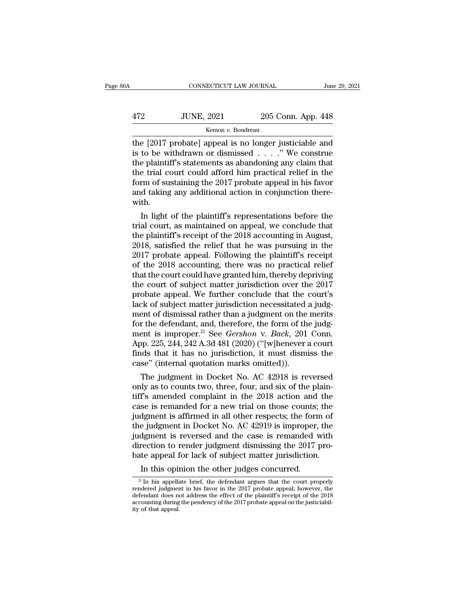# $\begin{tabular}{ll} \multicolumn{2}{l}{{\small\bf CONNECTICUT LAW JOURNAL}} & June 29, 2021\\ \hline \end{tabular}$   $\begin{tabular}{ll} \multicolumn{2}{l}{{\small\bf HURB}} \end{tabular} \begin{tabular}{ll} \multicolumn{2}{l}{{\small\bf Line 29, 2021}}\\ \multicolumn{2}{l}{\small\bf 205 Conn. App. 448}\\ \multicolumn{2}{l}{\small\bf 205 Conn. App. 448}\\ \multicolumn{2}{l}{\small\bf 205 Conn.} & \multicolumn{2}{l}{\small\bf 205 Conn.} \end{tab$ Kemon *v.* Boudreau

CONNECTICUT LAW JOURNAL June 29, 2021<br>
472 JUNE, 2021 205 Conn. App. 448<br>
Kemon v. Boudreau<br>
the [2017 probate] appeal is no longer justiciable and<br>
is to be withdrawn or dismissed . . . ." We construe<br>
the plaintiff's sta IUNE, 2021 205 Conn. App. 448<br>
Kemon v. Boudreau<br>
the [2017 probate] appeal is no longer justiciable and<br>
is to be withdrawn or dismissed . . . .'' We construe<br>
the plaintiff's statements as abandoning any claim that<br>
the 472 JUNE, 2021 205 Conn. App. 448<br>
Kemon v. Boudreau<br>
the [2017 probate] appeal is no longer justiciable and<br>
is to be withdrawn or dismissed . . . ." We construe<br>
the plaintiff's statements as abandoning any claim that<br>  $\frac{472}{2000}$  JUNE, 2021 205 Conn. App. 448<br>  $\frac{472}{2017}$  probate] appeal is no longer justiciable and<br>
is to be withdrawn or dismissed . . . ." We construe<br>
the plaintiff's statements as abandoning any claim that<br>
the Form *v*. Boudreau<br> **EXECUTE:** The Secretary of the 2017 probate] appeal is no longer justiciable and<br>
is to be withdrawn or dismissed . . . ." We construe<br>
the plaintiff's statements as abandoning any claim that<br>
the tri the [2017 probate] appeal is no longer justiciable and<br>is to be withdrawn or dismissed  $\ldots$ ." We construe<br>the plaintiff's statements as abandoning any claim that<br>the trial court could afford him practical relief in the<br>f with. In the plaintiff's statements as abandoning any claim that<br>  $\epsilon$  trial court could afford him practical relief in the<br>  $\epsilon$  trial court could afford him practical relief in the<br>  $\epsilon$  the plaintiff's accounting the conjunc the plaintiff's statements as abandoning any claim that<br>the trial court could afford him practical relief in the<br>form of sustaining the 2017 probate appeal in his favor<br>and taking any additional action in conjunction there

the trial court could afford full practical refler in the<br>form of sustaining the 2017 probate appeal in his favor<br>and taking any additional action in conjunction there-<br>with.<br>In light of the plaintiff's representations bef From or sustaining the 2017 probate appear in his favor<br>and taking any additional action in conjunction there-<br>with.<br>In light of the plaintiff's representations before the<br>trial court, as maintained on appeal, we conclude and taking any additional action in conjunction therewith.<br>
In light of the plaintiff's representations before the<br>
trial court, as maintained on appeal, we conclude that<br>
the plaintiff's receipt of the 2018 accounting in with.<br>
In light of the plaintiff's representations before the<br>
trial court, as maintained on appeal, we conclude that<br>
the plaintiff's receipt of the 2018 accounting in August,<br>
2018, satisfied the relief that he was pursu In light of the plaintiff's representations before the<br>trial court, as maintained on appeal, we conclude that<br>the plaintiff's receipt of the 2018 accounting in August,<br>2018, satisfied the relief that he was pursuing in the trial court, as maintained on appeal, we conclude that<br>the plaintiff's receipt of the 2018 accounting in August,<br>2018, satisfied the relief that he was pursuing in the<br>2017 probate appeal. Following the plaintiff's receipt the plaintiff's receipt of the 2018 accounting in August,<br>2018, satisfied the relief that he was pursuing in the<br>2017 probate appeal. Following the plaintiff's receipt<br>of the 2018 accounting, there was no practical relief<br> 2018, satisfied the relief that he was pursuing in the 2017 probate appeal. Following the plaintiff's receipt<br>of the 2018 accounting, there was no practical relief<br>that the court could have granted him, thereby depriving<br>t 2017 probate appeal. Following the plaintiff's receipt<br>of the 2018 accounting, there was no practical relief<br>that the court could have granted him, thereby depriving<br>the court of subject matter jurisdiction over the 2017<br> of the 2018 accounting, there was no practical relief<br>that the court could have granted him, thereby depriving<br>the court of subject matter jurisdiction over the 2017<br>probate appeal. We further conclude that the court's<br>la that the court could have granted him, thereby depriving<br>the court of subject matter jurisdiction over the 2017<br>probate appeal. We further conclude that the court's<br>lack of subject matter jurisdiction necessitated a judg-<br> the court of subject matter jurisdiction over the 2017<br>probate appeal. We further conclude that the court's<br>lack of subject matter jurisdiction necessitated a judg-<br>ment of dismissal rather than a judgment on the merits<br>fo probate appeal. We further conclude that the court's<br>lack of subject matter jurisdiction necessitated a judg-<br>ment of dismissal rather than a judgment on the merits<br>for the defendant, and, therefore, the form of the judg-<br> lack of subject matter jurisdiction necessitated<br>ment of dismissal rather than a judgment on the<br>for the defendant, and, therefore, the form of th<br>ment is improper.<sup>21</sup> See *Gershon* v. *Back*, 201<br>App. 225, 244, 242 A.3d ent of dismissal rather than a judgment on the merits<br>r the defendant, and, therefore, the form of the judgment<br>is improper.<sup>21</sup> See *Gershon* v. *Back*, 201 Conn.<br>pp. 225, 244, 242 A.3d 481 (2020) ("[w]henever a court<br>ids for the detendant, and, therefore, the form of the judgment is improper.<sup>21</sup> See *Gershon* v. *Back*, 201 Conn.<br>App. 225, 244, 242 A.3d 481 (2020) ("[w]henever a court<br>finds that it has no jurisdiction, it must dismiss the

ment is improper.<sup>22</sup> See *Gershon* V. *Back*, 201 Conn.<br>App. 225, 244, 242 A.3d 481 (2020) ("[w]henever a court<br>finds that it has no jurisdiction, it must dismiss the<br>case" (internal quotation marks omitted)).<br>The judgmen App. 225, 244, 242 A.3d 481 (2020) ( [w]nenever a court<br>finds that it has no jurisdiction, it must dismiss the<br>case" (internal quotation marks omitted)).<br>The judgment in Docket No. AC 42918 is reversed<br>only as to counts t mas that it has no jurisdiction, it must dismiss the<br>case" (internal quotation marks omitted)).<br>The judgment in Docket No. AC 42918 is reversed<br>only as to counts two, three, four, and six of the plain-<br>tiff's amended compl case (internal quotation marks omitted)).<br>The judgment in Docket No. AC 42918 is reversed<br>only as to counts two, three, four, and six of the plain-<br>tiff's amended complaint in the 2018 action and the<br>case is remanded for The judgment in Docket No. AC 42918 is reversed<br>only as to counts two, three, four, and six of the plain-<br>tiff's amended complaint in the 2018 action and the<br>case is remanded for a new trial on those counts; the<br>judgment i only as to counts two, three, four, and six of the plain-<br>tiff's amended complaint in the 2018 action and the<br>case is remanded for a new trial on those counts; the<br>judgment is affirmed in all other respects; the form of<br>th tiff's amended complaint in the 2018 action and the case is remanded for a new trial on those counts; the judgment is affirmed in all other respects; the form of the judgment in Docket No. AC 42919 is improper, the judgmen Se is remanded for a new trial on those counts;<br>dgment is affirmed in all other respects; the form<br>e judgment in Docket No. AC 42919 is improper,<br>dgment is reversed and the case is remanded v<br>rection to render judgment dis judgment is reversed and the case is remanded with direction to render judgment dismissing the 2017 probate appeal for lack of subject matter jurisdiction.<br>In this opinion the other judges concurred.<br> $\frac{21 \text{ In his appellate brief, the defendant argues that the$ 

direction to render judgment dismissing the 2017 probate appeal for lack of subject matter jurisdiction.<br>
In this opinion the other judges concurred.<br>
<sup>21</sup> In his appellate brief, the defendant argues that the court prope bate appeal for lack of subject matter jurisdiction.<br>
In this opinion the other judges concurred.<br>
<sup>21</sup> In his appellate brief, the defendant argues that the court properly<br>
rendered judgment in his favor in the 2017 prob accounting during during the other judges concurred.<br>In this opinion the other judges concurred.<br> $\frac{21 \text{ In}}{21 \text{ In}}$  his appellate brief, the defendant argues that the court properly<br>rendered judgment in his favor in the In this opin<br>  $\frac{1}{21}$  In his appelland in the same defendant does not<br>
accounting during<br>
ity of that appeal.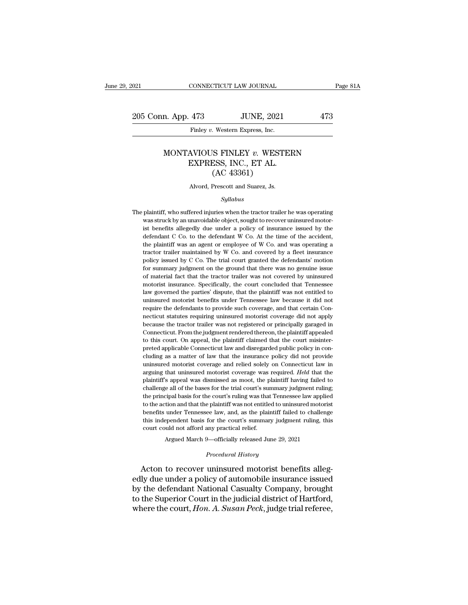### n. App. 473 JUNE, 2021 473<br>Finley *v.* Western Express, Inc.<br>MONTAVIOUS FINLEY *v.* WESTERN<br>EXPRESS, INC., ET AL.  $\begin{tabular}{ll} \bf 473 & \tt JUNE, 2021 \\ \hline \bf Fmley $v$. Western Express, Inc. \\ \bf AVIOUS FINLEY $v$. WESTER \\ \bf EXPRESS, INC., ET AL. \\ (AC 43361) \end{tabular}$ JUNE, 2021<br>
Western Express, Inc.<br>
SIS FINLEY v. WEST<br>
SSS, INC., ET AL.<br>
(AC 43361)<br>
Prescott and Suarez, Js. MONTAVIOUS FINLEY v. WESTERN<br>EXPRESS, INC., ET AL.<br>(AC 43361)<br>Alvord, Prescott and Suarez, Js.

### *Syllabus*

 $(AC\ 43361)$ <br>Alvord, Prescott and Suarez, Js.<br>Syllabus<br>The plaintiff, who suffered injuries when the tractor trailer he was operating<br>was struck by an unavoidable object, sought to recover uninsured motor-The plaintiff, who suffered injuries when the tractor trailer he was operating was struck by an unavoidable object, sought to recover uninsured motor-<br>ist benefits allegedly due under a policy of insurance issued by the de Alvord, Prescott and Suarez, Js.<br> *Syllabus*<br>
plaintiff, who suffered injuries when the tractor trailer he was operating<br>
was struck by an unavoidable object, sought to recover uninsured motor-<br>
ist benefits allegedly due  $Syllabus$  plaintiff, who suffered injuries when the tractor trailer he was operating<br>was struck by an unavoidable object, sought to recover uninsured motor-<br>ist benefits allegedly due under a policy of insurance issued by the Syllabus<br>plaintiff, who suffered injuries when the tractor trailer he was operating<br>was struck by an unavoidable object, sought to recover uninsured motor-<br>ist benefits allegedly due under a policy of insurance issued by t plaintiff, who suffered injuries when the tractor trailer he was operating was struck by an unavoidable object, sought to recover uninsured motorist benefits allegedly due under a policy of insurance issued by the defendan policy is an unavoidable object, sought to recover uninsured motor-<br>ist benefits allegedly due under a policy of insurance issued by the<br>defendant C Co. to the defendant W Co. At the time of the accident,<br>the plaintiff was For summary judgment on the ground that there was no genuine issued by the defendant C Co. to the defendant W Co. At the time of the accident, the plaintiff was an agent or employee of W Co. and was operating a tractor tr defendant C Co. to the defendant W Co. At the time of the accident, the plaintiff was an agent or employee of W Co. and was operating a tractor trailer maintained by W Co. and covered by a fleet insurance policy issued by the plaintiff was an agent or employee of W Co. and was operating a tractor trailer maintained by W Co. and covered by a fleet insurance policy issued by C Co. The trial court granted the defendants' motion for summary jud tractor trailer maintained by W Co. and covered by a fleet insurance policy issued by C Co. The trial court granted the defendants' motion for summary judgment on the ground that there was no genuine issue of material fac policy issued by C Co. The trial court granted the defendants' motion for summary judgment on the ground that there was no genuine issue of material fact that the tractor trailer was not covered by uninsured motorist insur policy issued by C Co. The trial court granted the defendants' motion for summary judgment on the ground that there was no genuine issue of material fact that the tractor trailer was not covered by uninsured motorist insur For butthermal fact that the tractor trailer was not covered by uninsured motorist insurance. Specifically, the court concluded that Tennessee law governed the parties' dispute, that the plaintiff was not entitled to unins motorist insurance. Specifically, the court concluded that Tennessee<br>law governed the parties' dispute, that the plaintiff was not entitled to<br>uninsured motorist benefits under Tennessee law because it did not<br>require the In a serve that the parties' dispute, that the plaintiff was not entitled to uninsured motorist benefits under Tennessee law because it did not require the defendants to provide such coverage, and that certain Connecticut the uninsured motorist benefits under Tennessee law because it did not<br>require the defendants to provide such coverage, and that certain Con-<br>necticut statutes requiring uninsured motorist coverage did not apply<br>because th require the defendants to provide such coverage, and that certain Connecticut statutes requiring uninsured motorist coverage did not apply because the tractor trailer was not registered or principally garaged in Connecticu recticut statutes requiring uninsured motorist coverage did not apply<br>hecause the tractor trailer was not registered or principally garaged in<br>Connecticut. From the judgment rendered thereon, the plaintiff appealed<br>to this because the tractor trailer was not registered or principally garaged in Connecticut. From the judgment rendered thereon, the plaintiff appealed to this court. On appeal, the plaintiff claimed that the court misinterpreted Connecticut. From the judgment rendered thereon, the plaintiff appealed to this court. On appeal, the plaintiff claimed that the court misinterpreted applicable Connecticut law and disregarded public policy in concluding a to this court. On appeal, the plaintiff claimed that the court misinter-<br>preted applicable Connecticut law and disregarded public policy in con-<br>cluding as a matter of law that the insurance policy did not provide<br>uninsure to this court. On appeal, the plaintiff claimed that the court misinter-<br>preted applicable Connecticut law and disregarded public policy in concluding as a matter of law that the insurance policy did not provide<br>uninsured From a matter of law that the insurance policy did not provide uninsured motorist coverage and relied solely on Connecticut law in arguing that uninsured motorist coverage was required. *Held* that the plaintiff's appeal w uninsured motorist coverage and relied solely on Connecticut law in arguing that uninsured motorist coverage was required. *Held* that the plaintiff's appeal was dismissed as moot, the plaintiff having failed to challenge arguing that uninsured motorist coverage was required. Held that the plaintiff's appeal was dismissed as moot, the plaintiff having failed to challenge all of the bases for the trial court's summary judgment ruling, the pr this independent basis for the court's summary judgment ruling, this praise challenge all of the bases for the trial court's sure<br>thallenge all of the bases for the trial court's sure<br>the principal basis for the court's ruling was that<br>to the action and that the plaintiff was not entitle<br>be Expairing was that Tennessee law applies<br>tion and that the plaintiff was not entitled to uninsured motori<br>under Tennessee law, and, as the plaintiff failed to challeng<br>pendent basis for the court's summary judgment ruling, **Procedural Asset Separation**<br>
for the court's summary judge<br> **Procedural History**<br> **Procedural History**<br> **Procedural History**<br> **Procedural History** to all action tall that the plantin was not childred to diffuse<br>benefits under Tennessee law, and, as the plaintiff failed to challenge<br>this independent basis for the court's summary judgment ruling, this<br>court could not a

this independent basis for the court's summary judgment ruling, this<br>court could not afford any practical relief.<br>Argued March 9—officially released June 29, 2021<br>*Procedural History*<br>Acton to recover uninsured motorist be court could not afford any practical relief.<br>
Argued March 9—officially released June 29, 2021<br>
Procedural History<br>
Acton to recover uninsured motorist benefits alleg-<br>
edly due under a policy of automobile insurance issue Argued March 9—officially released June 29, 2021<br>
Procedural History<br>
Acton to recover uninsured motorist benefits alleg-<br>
edly due under a policy of automobile insurance issued<br>
by the defendant National Casualty Company, *Procedural History*<br>Acton to recover uninsured motorist benefits alleg-<br>edly due under a policy of automobile insurance issued<br>by the defendant National Casualty Company, brought<br>to the Superior Court in the judicial dist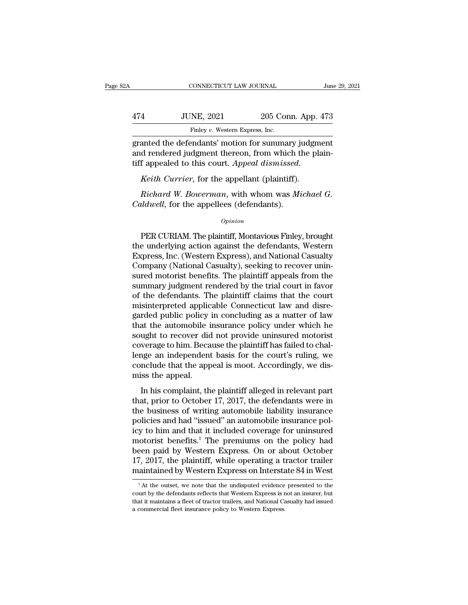| 2A  | CONNECTICUT LAW JOURNAL                                                                                                                                             |                    | June 29, 2021 |
|-----|---------------------------------------------------------------------------------------------------------------------------------------------------------------------|--------------------|---------------|
|     |                                                                                                                                                                     |                    |               |
| 474 | <b>JUNE, 2021</b>                                                                                                                                                   | 205 Conn. App. 473 |               |
|     | Finley v. Western Express, Inc.                                                                                                                                     |                    |               |
|     | granted the defendants' motion for summary judgment<br>and rendered judgment thereon, from which the plain-<br>tiff annoaled to this court, <i>Annoal dismissed</i> |                    |               |

474 JUNE, 2021 205 Conn. App. 473<br>Finley v. Western Express, Inc.<br>granted the defendants' motion for summary judgment<br>and rendered judgment thereon, from which the plain-<br>tiff appealed to this court. Appeal dismissed. 474 JUNE, 2021 205 Conn. App. 4<br>
Finley v. Western Express, Inc.<br>
granted the defendants' motion for summary judgment<br>
and rendered judgment thereon, from which the pla<br>
tiff appealed to this court. *Appeal dismissed.*<br> *K Keith Currier*, for the appellant (plaintiff).<br>*Keith Currier*, for summary judged rendered judgment thereon, from which the planet (plaintiff).<br>*Keith Currier*, for the appellant (plaintiff).<br>*Richard W. Bowerman*, with *Riney v. western Express, nic.*<br>
anted the defendants' motion for summary judgment<br>
d rendered judgment thereon, from which the plain-<br>
f appealed to this court. Appeal dismissed.<br> *Keith Currier*, for the appellant (plai granted the defendants' motion for summary ju<br>and rendered judgment thereon, from which the<br>tiff appealed to this court. Appeal dismissed.<br>*Keith Currier*, for the appellant (plaintiff).<br>*Richard W. Bowerman*, with whom wa

### *Opinion*

*Keith Currier*, for the appellant (plaintiff).<br> *Richard W. Bowerman*, with whom was *Michael G.*<br> *ddwell*, for the appellees (defendants).<br> *Opinion*<br>
PER CURIAM. The plaintiff, Montavious Finley, brought<br>
e underlying Richard W. Bowerman, with whom was Michael G.<br>Caldwell, for the appellees (defendants).<br>Opinion<br>PER CURIAM. The plaintiff, Montavious Finley, brought<br>the underlying action against the defendants, Western<br>Express, Inc. (Wes Richard W. Bowerman, with whom was Michael G.<br>Caldwell, for the appellees (defendants).<br>Opinion<br>PER CURIAM. The plaintiff, Montavious Finley, brought<br>the underlying action against the defendants, Western<br>Express, Inc. (Wes  $Caldwell$ , for the appellees (defendants).<br>  $\begin{array}{l} Opinion \end{array}$ <br>
PER CURIAM. The plaintiff, Montavious Finley, brought<br>
the underlying action against the defendants, Western<br>
Express, Inc. (Western Express), and National Casual opinion<br>
opinion<br>
PER CURIAM. The plaintiff, Montavious Finley, brought<br>
the underlying action against the defendants, Western<br>
Express, Inc. (Western Express), and National Casualty<br>
Company (National Casualty), seeking t FER CURIAM. The plaintiff, Montavious Finley, brought<br>the underlying action against the defendants, Western<br>Express, Inc. (Western Express), and National Casualty<br>Company (National Casualty), seeking to recover unin-<br>sured PER CURIAM. The plaintiff, Montavious Finley, brought<br>the underlying action against the defendants, Western<br>Express, Inc. (Western Express), and National Casualty<br>Company (National Casualty), seeking to recover unin-<br>sured the underlying action against the defendants, Western Express, Inc. (Western Express), and National Casualty Company (National Casualty), seeking to recover uninsured motorist benefits. The plaintiff appeals from the summa Express, Inc. (Western Express), and National Casualty<br>Company (National Casualty), seeking to recover unin-<br>sured motorist benefits. The plaintiff appeals from the<br>summary judgment rendered by the trial court in favor<br>of Company (National Casualty), seeking to recover unin-<br>sured motorist benefits. The plaintiff appeals from the<br>summary judgment rendered by the trial court in favor<br>of the defendants. The plaintiff claims that the court<br>mis sured motorist benefits. The plaintiff appeals from the<br>summary judgment rendered by the trial court in favor<br>of the defendants. The plaintiff claims that the court<br>misinterpreted applicable Connecticut law and disre-<br>gard summary judgment rendered by the trial court in favor<br>of the defendants. The plaintiff claims that the court<br>misinterpreted applicable Connecticut law and disre-<br>garded public policy in concluding as a matter of law<br>that t of the defendants. The plaintiff claims that the court<br>misinterpreted applicable Connecticut law and disre-<br>garded public policy in concluding as a matter of law<br>that the automobile insurance policy under which he<br>sought t misinterpreted applicable Connecticut law and disregarded public policy in concluding as a matter of law that the automobile insurance policy under which he sought to recover did not provide uninsured motorist coverage to garded public policy<br>that the automobile i<br>sought to recover did<br>coverage to him. Beca<br>lenge an independent<br>conclude that the app<br>miss the appeal.<br>In his complaint, th In the datomological misulative poney and the misure of ught to recover did not provide uninsured motorist<br>verage to him. Because the plaintiff has failed to chal-<br>nge an independent basis for the court's ruling, we<br>dis-<br>i to version that, here is a more provide annisated instants<br>coverage to him. Because the plaintiff has failed to chal-<br>lenge an independent basis for the court's ruling, we<br>conclude that the appeal is moot. Accordingly, we

the business of minimized be contrighted that the appeal is moot. Accordingly, we dismiss the appeal.<br>In his complaint, the plaintiff alleged in relevant part<br>that, prior to October 17, 2017, the defendants were in<br>the bus policies and had the appeal is moot. Accordingly, we dismiss the appeal.<br>In his complaint, the plaintiff alleged in relevant part<br>that, prior to October 17, 2017, the defendants were in<br>the business of writing automobile l is the appear is most. Recordingly, we discussed<br>miss the appeal.<br>In his complaint, the plaintiff alleged in relevant part<br>that, prior to October 17, 2017, the defendants were in<br>the business of writing automobile liabili In his complaint, the plaintiff alleged in relevant part<br>that, prior to October 17, 2017, the defendants were in<br>the business of writing automobile liability insurance<br>policies and had "issued" an automobile insurance pol In his complaint, the plaintiff alleged in relevant part<br>that, prior to October 17, 2017, the defendants were in<br>the business of writing automobile liability insurance<br>policies and had "issued" an automobile insurance pol that, prior to October 17, 2017, the defendants were in<br>the business of writing automobile liability insurance<br>policies and had "issued" an automobile insurance pol-<br>icy to him and that it included coverage for uninsured<br>m the business of writing automobile liability insurance<br>policies and had "issued" an automobile insurance pol-<br>icy to him and that it included coverage for uninsured<br>motorist benefits.<sup>1</sup> The premiums on the policy had<br>been 1 At the outset, we note that the undisputed evidence presented to the understanding of the unit of the understanding a tractor trailer value of the unitained by Western Express on Interstate 84 in West  $^{1}$ At the outset, been paid by Western Express. On or about October 17, 2017, the plaintiff, while operating a tractor trailer maintained by Western Express on Interstate 84 in West  $\frac{1}{4}$  At the outset, we note that the undisputed evid

<sup>17, 2017,</sup> the plaintiff, while operating a tractor trailer maintained by Western Express on Interstate 84 in West  $^{-1}$ At the outset, we note that the undisputed evidence presented to the court by the defendants reflects and the presence policies in the maintained by Western Express on Interstand and the maintained by Western Express is that it maintains a fleet of tractor trailers, and National Canadie and commercial fleet insurance polic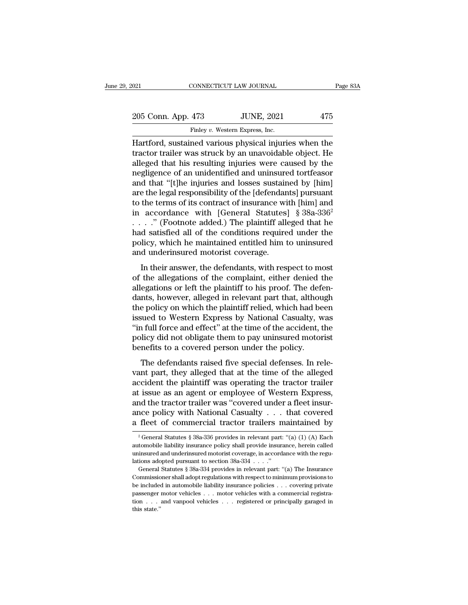| 021 |                    | CONNECTICUT LAW JOURNAL                                | Page 83A |
|-----|--------------------|--------------------------------------------------------|----------|
|     | 205 Conn. App. 473 | <b>JUNE, 2021</b>                                      | 475      |
|     |                    | Finley v. Western Express, Inc.                        |          |
|     |                    | Hartford, sustained various physical injuries when the |          |

CONNECTICUT LAW JOURNAL Page 83A<br>
205 Conn. App. 473 JUNE, 2021 475<br>
Finley v. Western Express, Inc.<br>
Hartford, sustained various physical injuries when the<br>
tractor trailer was struck by an unavoidable object. He<br>
alloged 205 Conn. App. 473 JUNE, 2021 475<br>Finley v. Western Express, Inc.<br>Hartford, sustained various physical injuries when the<br>tractor trailer was struck by an unavoidable object. He<br>alleged that his resulting injuries were caus 205 Conn. App. 473 JUNE, 2021 475<br>
Finley v. Western Express, Inc.<br>
Hartford, sustained various physical injuries when the<br>
tractor trailer was struck by an unavoidable object. He<br>
alleged that his resulting injuries were 205 Conn. App. 473 JUNE, 2021 475<br>
Finley v. Western Express, Inc.<br>
Hartford, sustained various physical injuries when the<br>
tractor trailer was struck by an unavoidable object. He<br>
alleged that his resulting injuries were Finley v. Western Express, Inc.<br>
Hartford, sustained various physical injuries when the<br>
tractor trailer was struck by an unavoidable object. He<br>
alleged that his resulting injuries were caused by the<br>
negligence of an uni Finley v. Western Express, Inc.<br>
Hartford, sustained various physical injuries when the<br>
tractor trailer was struck by an unavoidable object. He<br>
alleged that his resulting injuries were caused by the<br>
negligence of an un Hartford, sustained various physical injuries when the<br>tractor trailer was struck by an unavoidable object. He<br>alleged that his resulting injuries were caused by the<br>negligence of an unidentified and uninsured tortfeasor<br>a tractor trailer was struck by an unavoidable object. He alleged that his resulting injuries were caused by the negligence of an unidentified and uninsured tortfeasor and that "[t]he injuries and losses sustained by [him] alleged that his resulting injuries were caused by the<br>negligence of an unidentified and uninsured tortfeasor<br>and that "[t]he injuries and losses sustained by [him]<br>are the legal responsibility of the [defendants] pursuant negligence of an unidentified and uninsured tortfeasor<br>and that "[t]he injuries and losses sustained by [him]<br>are the legal responsibility of the [defendants] pursuant<br>to the terms of its contract of insurance with [him] a and that "[t]he injuries and losses sustained by [him]<br>are the legal responsibility of the [defendants] pursuant<br>to the terms of its contract of insurance with [him] and<br>in accordance with [General Statutes] §  $38a-336^2$ are the legal responsibility of the [defendant to the terms of its contract of insurance wi<br>in accordance with [General Statutes . . . . ." (Footnote added.) The plaintiff all had satisfied all of the conditions require<br>p accordance with [General Statutes] § 38a-336<sup>2</sup><br>  $\therefore$  (Footnote added.) The plaintiff alleged that he<br>
d satisfied all of the conditions required under the<br>
hicy, which he maintained entitled him to uninsured<br>
d underins In accordance with [central baladies]  $\frac{1}{3}$  sold solve ....." (Footnote added.) The plaintiff alleged that he had satisfied all of the conditions required under the policy, which he maintained entitled him to uninsure

allegations of the conditions required under the policy, which he maintained entitled him to uninsured and underinsured motorist coverage.<br>In their answer, the defendants, with respect to most of the allegations of the co rad satisfied an of the conditions required under the<br>policy, which he maintained entitled him to uninsured<br>and underinsured motorist coverage.<br>In their answer, the defendants, with respect to most<br>of the allegations of th policy, which it maintained entried into to antisated<br>and underinsured motorist coverage.<br>In their answer, the defendants, with respect to most<br>of the allegations or left the plaintiff to his proof. The defen-<br>dants, howev In their answer, the defendants, with respect to most<br>of the allegations of the complaint, either denied the<br>allegations or left the plaintiff to his proof. The defen-<br>dants, however, alleged in relevant part that, althoug In their answer, the defendants, with respect to most<br>of the allegations of the complaint, either denied the<br>allegations or left the plaintiff to his proof. The defen-<br>dants, however, alleged in relevant part that, althoug of the allegations of the complaint, either denied the<br>allegations or left the plaintiff to his proof. The defen-<br>dants, however, alleged in relevant part that, although<br>the policy on which the plaintiff relied, which had allegations or left the plaintiff to his proof. The deferants, however, alleged in relevant part that, althou<br>the policy on which the plaintiff relied, which had be<br>issued to Western Express by National Casualty, w<br>"in ful Fig. 1. The defendants raised five special defenses. In relevant parts and been<br>sued to Western Express by National Casualty, was<br>a full force and effect" at the time of the accident, the<br>licy did not obligate them to pay issued to Western Express by National Casualty, was<br>
"in full force and effect" at the time of the accident, the<br>
policy did not obligate them to pay uninsured motorist<br>
benefits to a covered person under the policy.<br>
The

assued to western Express by radiomal elastarity, was<br>
"in full force and effect" at the time of the accident, the<br>
policy did not obligate them to pay uninsured motorist<br>
benefits to a covered person under the policy.<br>
T man force and crect at the time of the accident, the<br>policy did not obligate them to pay uninsured motorist<br>benefits to a covered person under the policy.<br>The defendants raised five special defenses. In rele-<br>vant part, th benefits to a covered person under the policy.<br>The defendants raised five special defenses. In relevant part, they alleged that at the time of the alleged<br>accident the plaintiff was operating the tractor trailer<br>at issue a The defendants raised five special defenses. In relevant part, they alleged that at the time of the alleged accident the plaintiff was operating the tractor trailer at issue as an agent or employee of Western Express, and The defendants raised five special defenses. In relevant part, they alleged that at the time of the alleged accident the plaintiff was operating the tractor trailer at issue as an agent or employee of Western Express, and at issue as an agent or employee of Western Express,<br>and the tractor trailer was "covered under a fleet insur-<br>ance policy with National Casualty . . . that covered<br>a fleet of commercial tractor trailers maintained by<br> $\frac$ and the tractor trailer was "covered under a fleet insur-<br>ance policy with National Casualty . . . that covered<br>a fleet of commercial tractor trailers maintained by<br> $\frac{1}{2}$  General Statutes § 38a-336 provides in relevan

ance policy with National Casualty . . . that covered<br>a fleet of commercial tractor trailers maintained by<br> $\frac{1}{2}$  General Statutes § 38a-336 provides in relevant part: "(a) (1) (A) Each<br>automobile liability insurance p a fleet of commercial tractor trailers n<br>
<sup>2</sup> General Statutes § 38a-336 provides in relevant part:<br>
automobile liability insurance policy shall provide insura<br>
uninsured and underinsured motorist coverage, in accord<br>
lati Freet Of Commercial tractor transiers inalificantly by<br>
<sup>2</sup> General Statutes § 38a-336 provides in relevant part: "(a) (1) (A) Each<br>
tomobile liability insurance policy shall provide insurance, herein called<br>
insured and <sup>2</sup> General Statutes § 38a-336 provides in relevant part: "(a) (1) (A) Each automobile liability insurance policy shall provide insurance, herein called uninsured and underinsured motorist coverage, in accordance with the

automobile liability insurance policy shall provide insurance, herein called<br>uninsured and underinsured motorist coverage, in accordance with the regu-<br>lations adopted pursuant to section  $38a-334$ ...."<br>General Statutes § uninsured and under<br>insured motorist coverage, in accordance with the regulations adopted pursuant to section<br> $38a-334$ ...."<br>General Statutes  $\S 38a-334$  provides in relevant part: "(a) The Insurance<br>Commissioner shall ad tion . . . and vanpool vehicles . . . registered or principally garaged in Commissioner shall adopt regulations with respect to minimum provisions to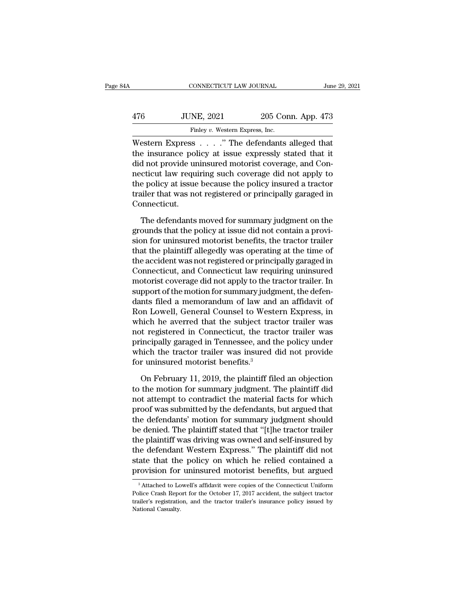| 4А  | CONNECTICUT LAW JOURNAL                                                                                                                                        |                    | June 29, 2021 |
|-----|----------------------------------------------------------------------------------------------------------------------------------------------------------------|--------------------|---------------|
| 476 | <b>JUNE, 2021</b>                                                                                                                                              | 205 Conn. App. 473 |               |
|     | Finley v. Western Express, Inc.                                                                                                                                |                    |               |
|     | Western Express " The defendants alleged that<br>the insurance policy at issue expressly stated that it<br>did not provide uningured meteriat equation and Con |                    |               |

176 JUNE, 2021 205 Conn. App. 473<br>Finley v. Western Express, Inc.<br>Western Express . . . . ." The defendants alleged that<br>the insurance policy at issue expressly stated that it<br>did not provide uninsured motorist coverage, a  $\frac{476}{2021}$  205 Conn. App. 473<br>
Finley v. Western Express, Inc.<br>
Western Express . . . . ." The defendants alleged that<br>
the insurance policy at issue expressly stated that it<br>
did not provide uninsured motorist covera  $\frac{176}{2021}$  and  $\frac{205}{202}$  Conn. App. 473<br>  $\frac{173}{202}$  Finley v. Western Express, Inc.<br>
Western Express . . . . . " The defendants alleged that<br>
the insurance policy at issue expressly stated that it<br>
did not prov Finley  $v$ . Western Express, Inc.<br>
Western Express  $\ldots$  ." The defendants alleged that<br>
the insurance policy at issue expressly stated that it<br>
did not provide uninsured motorist coverage, and Con-<br>
necticut law requirin Finley *v.* western Express, inc.<br>Western Express  $\ldots$ ." The defendants alleged that<br>the insurance policy at issue expressly stated that it<br>did not provide uninsured motorist coverage, and Con-<br>necticut law requiring suc Connecticut. d not provide uninsured motorist coverage, and Concricut law requiring such coverage did not apply to<br>e policy at issue because the policy insured a tractor<br>niler that was not registered or principally garaged in<br>nnnecticu mecticut law requiring such coverage did not apply to<br>the policy at issue because the policy insured a tractor<br>trailer that was not registered or principally garaged in<br>Connecticut.<br>The defendants moved for summary judgmen

the policy at issue because the policy insured a tractor<br>trailer that was not registered or principally garaged in<br>Connecticut.<br>The defendants moved for summary judgment on the<br>grounds that the policy at issue did not cont trailer that was not registered or principally garaged in<br>Connecticut.<br>The defendants moved for summary judgment on the<br>grounds that the policy at issue did not contain a provi-<br>sion for uninsured motorist benefits, the tr Connecticut.<br>The defendants moved for summary judgment on the<br>grounds that the policy at issue did not contain a provi-<br>sion for uninsured motorist benefits, the tractor trailer<br>that the plaintiff allegedly was operating a The defendants moved for summary judgment on the<br>grounds that the policy at issue did not contain a provi-<br>sion for uninsured motorist benefits, the tractor trailer<br>that the plaintiff allegedly was operating at the time of The defendants moved for summary judgment on the<br>grounds that the policy at issue did not contain a provi-<br>sion for uninsured motorist benefits, the tractor trailer<br>that the plaintiff allegedly was operating at the time of grounds that the policy at issue did not contain a provision for uninsured motorist benefits, the tractor trailer<br>that the plaintiff allegedly was operating at the time of<br>the accident was not registered or principally gar sion for uninsured motorist benefits, the tractor trailer<br>that the plaintiff allegedly was operating at the time of<br>the accident was not registered or principally garaged in<br>Connecticut, and Connecticut law requiring unins that the plaintiff allegedly was operating at the time of<br>the accident was not registered or principally garaged in<br>Connecticut, and Connecticut law requiring uninsured<br>motorist coverage did not apply to the tractor traile the accident was not registered or principally garaged in<br>Connecticut, and Connecticut law requiring uninsured<br>motorist coverage did not apply to the tractor trailer. In<br>support of the motion for summary judgment, the defe Connecticut, and Connecticut law requiring uninsured<br>motorist coverage did not apply to the tractor trailer. In<br>support of the motion for summary judgment, the defen-<br>dants filed a memorandum of law and an affidavit of<br>Ron motorist coverage did not apply to the tractor trailer. In<br>support of the motion for summary judgment, the defen-<br>dants filed a memorandum of law and an affidavit of<br>Ron Lowell, General Counsel to Western Express, in<br>which support of the motion for summary judgment, the defen-<br>dants filed a memorandum of law and an affidavit of<br>Ron Lowell, General Counsel to Western Express, in<br>which he averred that the subject tractor trailer was<br>not regist dants filed a memorandum of law and<br>Ron Lowell, General Counsel to West<br>which he averred that the subject tran<br>not registered in Connecticut, the tran<br>principally garaged in Tennessee, and t<br>which the tractor trailer was i inch he averred that the subject tractor trailer was<br>to registered in Connecticut, the tractor trailer was<br>incipally garaged in Tennessee, and the policy under<br>nich the tractor trailer was insured did not provide<br>r uninsur not registered in Connecticut, the tractor trailer was<br>principally garaged in Tennessee, and the policy under<br>which the tractor trailer was insured did not provide<br>for uninsured motorist benefits.<sup>3</sup><br>On February 11, 2019,

principally garaged in Tennessee, and the policy under<br>which the tractor trailer was insured did not provide<br>for uninsured motorist benefits.<sup>3</sup><br>On February 11, 2019, the plaintiff filed an objection<br>to the motion for summ which the tractor trailer was insured did not provide<br>for uninsured motorist benefits.<sup>3</sup><br>On February 11, 2019, the plaintiff filed an objection<br>to the motion for summary judgment. The plaintiff did<br>not attempt to contrad for uninsured motorist benefits.<sup>3</sup><br>On February 11, 2019, the plaintiff filed an objection<br>to the motion for summary judgment. The plaintiff did<br>not attempt to contradict the material facts for which<br>proof was submitted by On February 11, 2019, the plaintiff filed an objection<br>to the motion for summary judgment. The plaintiff did<br>not attempt to contradict the material facts for which<br>proof was submitted by the defendants, but argued that<br>the On February 11, 2019, the plaintiff filed an objection<br>to the motion for summary judgment. The plaintiff did<br>not attempt to contradict the material facts for which<br>proof was submitted by the defendants, but argued that<br>the to the motion for summary judgment. The plaintiff did<br>not attempt to contradict the material facts for which<br>proof was submitted by the defendants, but argued that<br>the defendants' motion for summary judgment should<br>be deni not attempt to contradict the material facts for which<br>proof was submitted by the defendants, but argued that<br>the defendants' motion for summary judgment should<br>be denied. The plaintiff stated that "[t]he tractor trailer<br>t proof was submitted by the defendants, but argued that<br>the defendants' motion for summary judgment should<br>be denied. The plaintiff stated that "[t]he tractor trailer<br>the plaintiff was driving was owned and self-insured by<br> ie plaintiff was driving was owned and self-insured by<br>the defendant Western Express." The plaintiff did not<br>ate that the policy on which he relied contained a<br>rovision for uninsured motorist benefits, but argued<br> $\frac{3}{2}$ the defendant Western Express." The plaintiff did not state that the policy on which he relied contained a provision for uninsured motorist benefits, but argued  $\frac{3}{4}$  Attached to Lowell's affidavit were copies of the C

state that the policy on which he relied contained a<br>provision for uninsured motorist benefits, but argued<br><sup>3</sup>Attached to Lowell's affidavit were copies of the Connecticut Uniform<br>Police Crash Report for the October 17, 20 Provision for<br>
<sup>3</sup> Attached to Lo<br>
Police Crash Repo<br>
trailer's registratic<br>
National Casualty.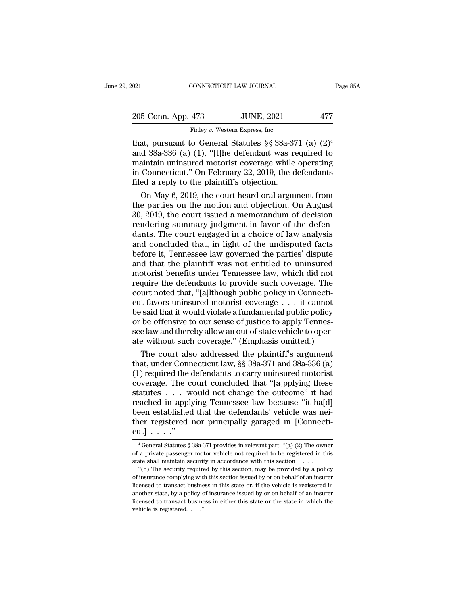| 2021               | CONNECTICUT LAW JOURNAL         |                                                           | Page 85A |
|--------------------|---------------------------------|-----------------------------------------------------------|----------|
| 205 Conn. App. 473 |                                 | <b>JUNE, 2021</b>                                         | 477      |
|                    | Finley v. Western Express, Inc. |                                                           |          |
|                    |                                 | that, pursuant to General Statutes §§ 38a-371 (a) $(2)^4$ |          |

021 CONNECTICUT LAW JOURNAL Page 85<br>
205 Conn. App. 473 JUNE, 2021 477<br>
Finley v. Western Express, Inc.<br>
that, pursuant to General Statutes §§ 38a-371 (a)  $(2)^4$ <br>
and 38a-336 (a) (1), "[t]he defendant was required to<br>
mai 205 Conn. App. 473 JUNE, 2021 477<br>Finley v. Western Express, Inc.<br>that, pursuant to General Statutes  $\S$  38a-371 (a)  $(2)^4$ <br>and 38a-336 (a) (1), "[t]he defendant was required to<br>maintain uninsured motorist coverage while 205 Conn. App. 473 JUNE, 2021 477<br>Finley v. Western Express, Inc.<br>that, pursuant to General Statutes §§ 38a-371 (a)  $(2)^4$ <br>and 38a-336 (a) (1), "[t]he defendant was required to<br>maintain uninsured motorist coverage while o 205 Conn. App. 473 JUNE, 2021 477<br>
Finley v. Western Express, Inc.<br>
that, pursuant to General Statutes §§ 38a-371 (a)  $(2)^4$ <br>
and 38a-336 (a) (1), "[t]he defendant was required to<br>
maintain uninsured motorist coverage whi Finley v. Western Express, Inc.<br>
that, pursuant to General Statutes §§ 38a-37<br>
and 38a-336 (a) (1), "[t]he defendant was re<br>
maintain uninsured motorist coverage while<br>
in Connecticut." On February 22, 2019, the d<br>
filed a That, at measure heavy and the court issue.<br>
at, pursuant to General Statutes §§ 38a-371 (a)  $(2)^4$ <br>
d 38a-336 (a) (1), "[t]he defendant was required to<br>
aintain uninsured motorist coverage while operating<br>
Connecticut." that, pursuant to General Statutes  $\S$ § 38a-371 (a) (2)<sup>\*</sup><br>and 38a-336 (a) (1), "[t]he defendant was required to<br>maintain uninsured motorist coverage while operating<br>in Connecticut." On February 22, 2019, the defendants<br>f

and 38a-336 (a) (1), "[t]he defendant was required to<br>maintain uninsured motorist coverage while operating<br>in Connecticut." On February 22, 2019, the defendants<br>filed a reply to the plaintiff's objection.<br>On May 6, 2019, maintain uninsured motorist coverage while operating<br>in Connecticut." On February 22, 2019, the defendants<br>filed a reply to the plaintiff's objection.<br>On May 6, 2019, the court heard oral argument from<br>the parties on the m in Connecticut." On February 22, 2019, the defendants<br>filed a reply to the plaintiff's objection.<br>On May 6, 2019, the court heard oral argument from<br>the parties on the motion and objection. On August<br>30, 2019, the court i filed a reply to the plaintiff's objection.<br>
On May 6, 2019, the court heard oral argument from<br>
the parties on the motion and objection. On August<br>
30, 2019, the court issued a memorandum of decision<br>
rendering summary ju On May 6, 2019, the court heard oral argument from<br>the parties on the motion and objection. On August<br>30, 2019, the court issued a memorandum of decision<br>rendering summary judgment in favor of the defen-<br>dants. The court e the parties on the motion and objection. On August 30, 2019, the court issued a memorandum of decision rendering summary judgment in favor of the defendants. The court engaged in a choice of law analysis and concluded that 30, 2019, the court issued a memorandum of decision<br>rendering summary judgment in favor of the defen-<br>dants. The court engaged in a choice of law analysis<br>and concluded that, in light of the undisputed facts<br>before it, Ten rendering summary judgment in favor of the defendants. The court engaged in a choice of law analysis<br>and concluded that, in light of the undisputed facts<br>before it, Tennessee law governed the parties' dispute<br>and that the dants. The court engaged in a choice of law analysis<br>and concluded that, in light of the undisputed facts<br>before it, Tennessee law governed the parties' dispute<br>and that the plaintiff was not entitled to uninsured<br>motorist and concluded that, in light of the undisputed facts<br>before it, Tennessee law governed the parties' dispute<br>and that the plaintiff was not entitled to uninsured<br>motorist benefits under Tennessee law, which did not<br>require before it, Tennessee law governed the parties' dispute<br>and that the plaintiff was not entitled to uninsured<br>motorist benefits under Tennessee law, which did not<br>require the defendants to provide such coverage. The<br>court no and that the plaintiff was not entitled to uninsured<br>motorist benefits under Tennessee law, which did not<br>require the defendants to provide such coverage. The<br>court noted that, "[a]lthough public policy in Connecti-<br>cut fa motorist benefits under Tennessee law, which did not<br>require the defendants to provide such coverage. The<br>court noted that, "[a]lthough public policy in Connecti-<br>cut favors uninsured motorist coverage . . . it cannot<br>be s require the defendants to provide such coverage. The<br>court noted that, "[a]lthough public policy in Connecti-<br>cut favors uninsured motorist coverage . . . it cannot<br>be said that it would violate a fundamental public policy urt noted that, "[a]lthough public policy in Connecti-<br>t favors uninsured motorist coverage . . . it cannot<br>said that it would violate a fundamental public policy<br>be offensive to our sense of justice to apply Tennes-<br>e law cut favors uninsured motorist coverage . . . it cannot<br>be said that it would violate a fundamental public policy<br>or be offensive to our sense of justice to apply Tennes-<br>see law and thereby allow an out of state vehicle to

be said that it would violate a fundamental public policy<br>or be offensive to our sense of justice to apply Tennes-<br>see law and thereby allow an out of state vehicle to oper-<br>ate without such coverage." (Emphasis omitted.)<br> or be offensive to our sense of justice to apply Tennes-<br>see law and thereby allow an out of state vehicle to oper-<br>ate without such coverage." (Emphasis omitted.)<br>The court also addressed the plaintiff's argument<br>that, un see law and thereby allow an out of state vehicle to operate without such coverage." (Emphasis omitted.)<br>The court also addressed the plaintiff's argument<br>that, under Connecticut law, §§ 38a-371 and 38a-336 (a)<br>(1) require ate without such coverage." (Emphasis omitted.)<br>
The court also addressed the plaintiff's argument<br>
that, under Connecticut law, §§ 38a-371 and 38a-336 (a)<br>
(1) required the defendants to carry uninsured motorist<br>
coverage The court also addressed the plaintiff's argument<br>that, under Connecticut law,  $\S$  38a-371 and 38a-336 (a)<br>(1) required the defendants to carry uninsured motorist<br>coverage. The court concluded that "[a]pplying these<br>statu that, under Connecticut law, §§ 38a-371 and 38a-336 (a) (1) required the defendants to carry uninsured motorist coverage. The court concluded that "[a]pplying these statutes . . . would not change the outcome" it had reac (1) required the  $\epsilon$ <br>coverage. The  $\epsilon$ <br>statutes . . . w<br>reached in appl<br>been established<br>ther registered<br>cut] . . . ."<br> $\frac{1}{4}$  General Statutes § exached in applying Tennessee law because "it ha[d]<br>
een established that the defendants' vehicle was nei-<br>
eer registered nor principally garaged in [Connecti-<br>  $x^4$  General Statutes § 38a-371 provides in relevant part: been established that the defendants' vehicle was nei-<br>ther registered nor principally garaged in [Connecti-<br>cut] . . . ."<br> $\frac{1}{4}$  General Statutes § 38a-371 provides in relevant part: "(a) (2) The owner<br>of a private pa

ther registered nor principally garaged in [Connecticut] . . . . "<br>
"General Statutes § 38a-371 provides in relevant part: "(a) (2) The owner of a private passenger motor vehicle not required to be registered in this stat The security required by this section, may be provided by a policy insurance complying with this section, may be provided by a policy insurance complying with this section, may be provided by a policy insurance complying

of insurance complying with this section issued by or on behalf of an insurer <sup>4</sup> General Statutes § 38a-371 provides in relevant part: "(a) (2) The owner of a private passenger motor vehicle not required to be registered in this state shall maintain security in accordance with this section  $\dots$  "( % of a private passenger motor vehicle not required to be registered in this state shall maintain security in accordance with this section . . . . . "(b) The security required by this section, may be provided by a policy State shall maintain security in accordance with this section  $\ldots$  "(b) The security required by this section, may be provided by a policy of insurance complying with this section issued by or on behalf of an insurer lic of insurance complying with this section issued by or on behalf of an insurer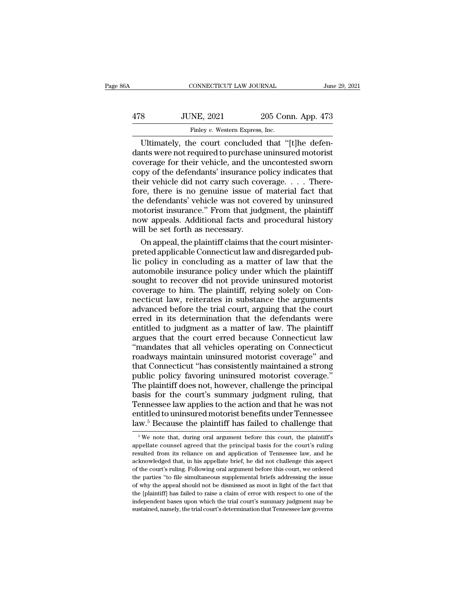| 36A | CONNECTICUT LAW JOURNAL                                                                                                                                              |                    | June 29, 2021 |
|-----|----------------------------------------------------------------------------------------------------------------------------------------------------------------------|--------------------|---------------|
| 478 | <b>JUNE, 2021</b>                                                                                                                                                    | 205 Conn. App. 473 |               |
|     | Finley v. Western Express, Inc.                                                                                                                                      |                    |               |
|     | Ultimately, the court concluded that "[t]he defen-<br>dants were not required to purchase uninsured motorist<br>coverage for their vehicle and the uncontested sworn |                    |               |

478 JUNE, 2021 205 Conn. App. 473<br>Finley v. Western Express, Inc.<br>Ultimately, the court concluded that "[t]he defendants were not required to purchase uninsured motorist<br>coverage for their vehicle, and the uncontested swor  $\frac{478}{\text{Fmley } v. \text{ Western Express, Inc.}}$ <br>
Ultimately, the court concluded that "[t]he defendants were not required to purchase uninsured motorist<br>
coverage for their vehicle, and the uncontested sworn<br>
copy of the defendants' insuranc 478 JUNE, 2021 205 Conn. App. 473<br>Finley v. Western Express, Inc.<br>Ultimately, the court concluded that "[t]he defendants were not required to purchase uninsured motorist<br>coverage for their vehicle, and the uncontested swo Finley v. Western Express, Inc.<br>
Ultimately, the court concluded that "[t]he defendants were not required to purchase uninsured motorist<br>
coverage for their vehicle, and the uncontested sworn<br>
copy of the defendants' insu Finley v. Western Express, Inc.<br>
Ultimately, the court concluded that "[t]he defendants were not required to purchase uninsured motorist<br>
coverage for their vehicle, and the uncontested sworn<br>
copy of the defendants' insu Ultimately, the court concluded that "[t]he defen-<br>dants were not required to purchase uninsured motorist<br>coverage for their vehicle, and the uncontested sworn<br>copy of the defendants' insurance policy indicates that<br>their dants were not required to purchase uninsured motorist<br>coverage for their vehicle, and the uncontested sworn<br>copy of the defendants' insurance policy indicates that<br>their vehicle did not carry such coverage. . . . There-<br>f coverage for their vehicle, and the uncontested sworn<br>copy of the defendants' insurance policy indicates that<br>their vehicle did not carry such coverage. . . . There-<br>fore, there is no genuine issue of material fact that<br>th copy of the defendants' insurance p<br>their vehicle did not carry such cov<br>fore, there is no genuine issue of<br>the defendants' vehicle was not co<br>motorist insurance." From that jud<br>now appeals. Additional facts and<br>will be se eir vehicle did not carry such coverage. . . . There-<br>re, there is no genuine issue of material fact that<br>e defendants' vehicle was not covered by uninsured<br>otorist insurance." From that judgment, the plaintiff<br>w appeals. fore, there is no genuine issue of material fact that<br>the defendants' vehicle was not covered by uninsured<br>motorist insurance." From that judgment, the plaintiff<br>now appeals. Additional facts and procedural history<br>will be

the defendants' vehicle was not covered by uninsured<br>motorist insurance." From that judgment, the plaintiff<br>now appeals. Additional facts and procedural history<br>will be set forth as necessary.<br>On appeal, the plaintiff clai motorist insurance." From that judgment, the plaintiff<br>now appeals. Additional facts and procedural history<br>will be set forth as necessary.<br>On appeal, the plaintiff claims that the court misinter-<br>preted applicable Connect now appeals. Additional facts and procedural history<br>will be set forth as necessary.<br>On appeal, the plaintiff claims that the court misinter-<br>preted applicable Connecticut law and disregarded pub-<br>lic policy in concluding will be set forth as necessary.<br>
On appeal, the plaintiff claims that the court misinter-<br>
preted applicable Connecticut law and disregarded pub-<br>
lic policy in concluding as a matter of law that the<br>
automobile insurance On appeal, the plaintiff claims that the court misinter-<br>preted applicable Connecticut law and disregarded pub-<br>lic policy in concluding as a matter of law that the<br>automobile insurance policy under which the plaintiff<br>sou preted applicable Connecticut law and disregarded pub-<br>lic policy in concluding as a matter of law that the<br>automobile insurance policy under which the plaintiff<br>sought to recover did not provide uninsured motorist<br>coverag ic policy in concluding as a matter of law that the<br>automobile insurance policy under which the plaintiff<br>sought to recover did not provide uninsured motorist<br>coverage to him. The plaintiff, relying solely on Con-<br>necticut automobile insurance policy under which the plaintiff<br>sought to recover did not provide uninsured motorist<br>coverage to him. The plaintiff, relying solely on Con-<br>necticut law, reiterates in substance the arguments<br>advanced sought to recover did not provide uninsured motorist<br>coverage to him. The plaintiff, relying solely on Con-<br>necticut law, reiterates in substance the arguments<br>advanced before the trial court, arguing that the court<br>erred coverage to him. The plaintiff, relying solely on Connecticut law, reiterates in substance the arguments<br>advanced before the trial court, arguing that the court<br>erred in its determination that the defendants were<br>entitled necticut law, reiterates in substance the arguments<br>advanced before the trial court, arguing that the court<br>erred in its determination that the defendants were<br>entitled to judgment as a matter of law. The plaintiff<br>argues advanced before the trial court, arguing that the court<br>erred in its determination that the defendants were<br>entitled to judgment as a matter of law. The plaintiff<br>argues that the court erred because Connecticut law<br>"mandat erred in its determination that the defendants were<br>entitled to judgment as a matter of law. The plaintiff<br>argues that the court erred because Connecticut law<br>"mandates that all vehicles operating on Connecticut<br>roadways m entitled to judgment as a matter of law. The plaintiff<br>argues that the court erred because Connecticut law<br>"mandates that all vehicles operating on Connecticut<br>roadways maintain uninsured motorist coverage" and<br>that Connec argues that the court erred because Connecticut law<br>
"mandates that all vehicles operating on Connecticut<br>
roadways maintain uninsured motorist coverage" and<br>
that Connecticut "has consistently maintained a strong<br>
public "mandates that all vehicles operating on Connecticut<br>roadways maintain uninsured motorist coverage" and<br>that Connecticut "has consistently maintained a strong<br>public policy favoring uninsured motorist coverage."<br>The plaint roadways maintain uninsured motorist coverage" and<br>that Connecticut "has consistently maintained a strong<br>public policy favoring uninsured motorist coverage."<br>The plaintiff does not, however, challenge the principal<br>basis that Connecticut "has consistently maintained a strong public policy favoring uninsured motorist coverage."<br>The plaintiff does not, however, challenge the principal basis for the court's summary judgment ruling, that Tenn asis for the court's summary judgment ruling, that<br>ennessee law applies to the action and that he was not<br>titled to uninsured motorist benefits under Tennessee<br>w.<sup>5</sup> Because the plaintiff has failed to challenge that<br> $\frac{$ Tennessee law applies to the action and that he was not entitled to uninsured motorist benefits under Tennessee law.<sup>5</sup> Because the plaintiff has failed to challenge that  $\frac{1}{100}$  we note that, during oral argument bef

entitled to uninsured motorist benefits under Tennessee<br>law.<sup>5</sup> Because the plaintiff has failed to challenge that<br> $\frac{1}{100}$   $\frac{1}{100}$   $\frac{1}{100}$   $\frac{1}{100}$   $\frac{1}{100}$   $\frac{1}{100}$   $\frac{1}{100}$   $\frac{1}{100}$   $\frac{1}{100}$ law.<sup>5</sup> Because the plaintiff has failed to challenge that  $\frac{1}{100}$  we note that, during oral argument before this court, the plaintiff's appellate counsel agreed that the principal basis for the court's ruling resulte EVALUATE: The courting oral argument before this court, the plaintiff's appellate counsel agreed that the principal basis for the court's ruling resulted from its reliance on and application of Tennessee law, and he ackno <sup>5</sup> We note that, during oral argument before this court, the plaintiff's appellate counsel agreed that the principal basis for the court's ruling resulted from its reliance on and application of Tennessee law, and he ack appellate counsel agreed that the principal basis for the court's ruling<br>resulted from its reliance on and application of Tennessee law, and he<br>acknowledged that, in his appellate brief, he did not challenge this aspect<br>of dependent from its reliance on and application of Tennessee law, and he acknowledged that, in his appellate brief, he did not challenge this aspect of the court's ruling. Following oral argument before this court, we order independent has a summary increase that, in his appellate brief, he did not challenge this aspect of the court's ruling. Following oral argument before this court, we ordered the parties "to file simultaneous supplemental of the court's ruling. Following oral argument before this court, we ordered the parties "to file simultaneous supplemental briefs addressing the issue of why the appeal should not be dismissed as moot in light of the fact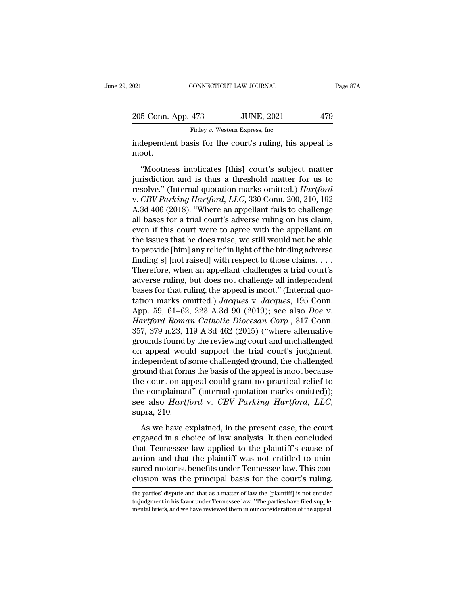| 021                | CONNECTICUT LAW JOURNAL                                | Page 87A |
|--------------------|--------------------------------------------------------|----------|
|                    |                                                        |          |
| 205 Conn. App. 473 | <b>JUNE, 2021</b>                                      | 479      |
|                    | Finley v. Western Express, Inc.                        |          |
|                    | independent hasis for the court's ruling his anneal is |          |

independent basis for the court's ruling, his appeal is<br>
independent basis for the court's ruling, his appeal is<br>
independent basis for the court's ruling, his appeal is<br>
independent basis for the court's ruling, his appea moot.

<sup>5</sup> Conn. App. 473 JUNE, 2021 479<br>
Finley v. Western Express, Inc.<br>
dependent basis for the court's ruling, his appeal is<br>
oot.<br>
"Mootness implicates [this] court's subject matter<br>
risdiction and is thus a threshold matter 205 Conn. App. 473 JUNE, 2021 479<br>
Finley v. Western Express, Inc.<br>
independent basis for the court's ruling, his appeal is<br>
moot.<br>
"Mootness implicates [this] court's subject matter<br>
jurisdiction and is thus a threshold Finley v. Western Express, Inc.<br>
independent basis for the court's ruling, his appeal is<br>
moot.<br>
"Mootness implicates [this] court's subject matter<br>
jurisdiction and is thus a threshold matter for us to<br>
resolve." (Interna independent basis for the court's ruling, his appeal is<br>moot.<br>"Mootness implicates [this] court's subject matter<br>jurisdiction and is thus a threshold matter for us to<br>resolve." (Internal quotation marks omitted.) *Hartford* moot.<br>
"Mootness implicates [this] court's subject matter<br>
jurisdiction and is thus a threshold matter for us to<br>
resolve." (Internal quotation marks omitted.) *Hartford*<br>
v. *CBV Parking Hartford*, *LLC*, 330 Conn. 200, 2 "Wootness implicates [this] court's subject matter<br>jurisdiction and is thus a threshold matter for us to<br>resolve." (Internal quotation marks omitted.) *Hartford*<br>v. *CBV Parking Hartford*, *LLC*, 330 Conn. 200, 210, 192<br>A "Mootness implicates [this] court's subject matter<br>jurisdiction and is thus a threshold matter for us to<br>resolve." (Internal quotation marks omitted.) *Hartford*<br>v. *CBV Parking Hartford*, *LLC*, 330 Conn. 200, 210, 192<br>A jurisdiction and is thus a threshold matter for us to<br>resolve." (Internal quotation marks omitted.) *Hartford*<br>v. *CBV Parking Hartford*, *LLC*, 330 Conn. 200, 210, 192<br>A.3d 406 (2018). "Where an appellant fails to challen resolve." (Internal quotation marks omitted.) *Hartford*<br>v. *CBV Parking Hartford*, *LLC*, 330 Conn. 200, 210, 192<br>A.3d 406 (2018). "Where an appellant fails to challenge<br>all bases for a trial court's adverse ruling on his v. *CBV Parking Hartford, LLC*, 330 Conn. 200, 210, 192<br>A.3d 406 (2018). "Where an appellant fails to challenge<br>all bases for a trial court's adverse ruling on his claim,<br>even if this court were to agree with the appellant A.3d 406 (2018). "Where an appellant fails to challenge<br>all bases for a trial court's adverse ruling on his claim,<br>even if this court were to agree with the appellant on<br>the issues that he does raise, we still would not be all bases for a trial court's adverse ruling on his claim,<br>even if this court were to agree with the appellant on<br>the issues that he does raise, we still would not be able<br>to provide [him] any relief in light of the bindin even if this court were to agree with the appellant on<br>the issues that he does raise, we still would not be able<br>to provide [him] any relief in light of the binding adverse<br>finding[s] [not raised] with respect to those cl the issues that he does raise, we still would not be able<br>to provide [him] any relief in light of the binding adverse<br>finding[s] [not raised] with respect to those claims. . . .<br>Therefore, when an appellant challenges a tr to provide [him] any relief in light of the binding adverse<br>finding[s] [not raised] with respect to those claims. . . .<br>Therefore, when an appellant challenges a trial court's<br>adverse ruling, but does not challenge all ind finding[s] [not raised] with respect to those claims. . . . Therefore, when an appellant challenges a trial court's adverse ruling, but does not challenge all independent bases for that ruling, the appeal is moot." (Intern Therefore, when an appellant challenges a trial court's<br>adverse ruling, but does not challenge all independent<br>bases for that ruling, the appeal is moot." (Internal quo-<br>tation marks omitted.) Jacques v. Jacques, 195 Conn. adverse ruling, but does not challenge all independent<br>bases for that ruling, the appeal is moot." (Internal quo-<br>tation marks omitted.) Jacques v. Jacques, 195 Conn.<br>App. 59, 61–62, 223 A.3d 90 (2019); see also *Doe* v.<br>H bases for that ruling, the appeal is moot." (Internal quotation marks omitted.) Jacques v. Jacques, 195 Conn.<br>App. 59, 61–62, 223 A.3d 90 (2019); see also *Doe* v.<br>Hartford Roman Catholic Diocesan Corp., 317 Conn.<br>357, 37 tation marks omitted.) Jacques v. Jacques, 195 Conn.<br>App. 59, 61–62, 223 A.3d 90 (2019); see also *Doe* v.<br>Hartford Roman Catholic Diocesan Corp., 317 Conn.<br>357, 379 n.23, 119 A.3d 462 (2015) ("where alternative<br>grounds fo App. 59, 61–62, 223 A.3d 90 (2019); see also *Doe* v.<br>Hartford Roman Catholic Diocesan Corp., 317 Conn.<br>357, 379 n.23, 119 A.3d 462 (2015) ("where alternative<br>grounds found by the reviewing court and unchallenged<br>on appea *Hartford Roman Catholic Diocesan Corp.*, 317 Conn.<br>357, 379 n.23, 119 A.3d 462 (2015) ("where alternative<br>grounds found by the reviewing court and unchallenged<br>on appeal would support the trial court's judgment,<br>independ 357, 379 n.23, 119 A.3d 462 (2015) ("where alternative<br>grounds found by the reviewing court and unchallenged<br>on appeal would support the trial court's judgment,<br>independent of some challenged ground, the challenged<br>ground grounds found by the reviewing court and unchallenged<br>on appeal would support the trial court's judgment,<br>independent of some challenged ground, the challenged<br>ground that forms the basis of the appeal is moot because<br>the bound that forms the basis of the appeal is moot because<br>
e court on appeal could grant no practical relief to<br>
e complainant" (internal quotation marks omitted));<br>
e also *Hartford* v. *CBV Parking Hartford*, *LLC*,<br>
pra, the court on appeal could grant no practical relief to<br>the complainant" (internal quotation marks omitted));<br>see also *Hartford* v. *CBV Parking Hartford*, *LLC*,<br>supra, 210.<br>As we have explained, in the present case, the

the complainant" (internal quotation marks omitted));<br>see also *Hartford* v. *CBV Parking Hartford*, *LLC*,<br>supra, 210.<br>As we have explained, in the present case, the court<br>engaged in a choice of law analysis. It then conc see also *Hartford v. CBV Parking Hartford, LLC,*<br>supra, 210.<br>As we have explained, in the present case, the court<br>engaged in a choice of law analysis. It then concluded<br>that Tennessee law applied to the plaintiff's cause supra, 210.<br>As we have explained, in the present case, the court<br>engaged in a choice of law analysis. It then concluded<br>that Tennessee law applied to the plaintiff's cause of<br>action and that the plaintiff was not entitled As we have explained, in the present case, the court<br>engaged in a choice of law analysis. It then concluded<br>that Tennessee law applied to the plaintiff's cause of<br>action and that the plaintiff was not entitled to unin-<br>su that Tennessee law applied to the plaintiff's cause of<br>action and that the plaintiff was not entitled to unin-<br>sured motorist benefits under Tennessee law. This con-<br>clusion was the principal basis for the court's ruling.<br> action and that the plaintiff was not entitled to uninsured motorist benefits under Tennessee law. This conclusion was the principal basis for the court's ruling.<br>
the parties' dispute and that as a matter of law the [plai sured motorist benefits under Tennessee law. This conclusion was the principal basis for the court's ruling.<br>
the parties' dispute and that as a matter of law the [plaintiff] is not entitled<br>
to judgment in his favor under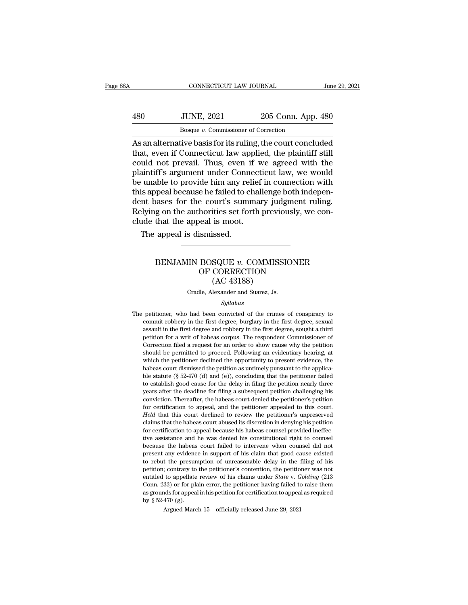CONNECTICUT LAW JOURNAL June 29, 2021<br>480 JUNE, 2021 205 Conn. App. 480<br>Bosque v. Commissioner of Correction CONNECTICUT LAW JOURNAL<br>JUNE, 2021 205 Conn. App<br>Bosque *v.* Commissioner of Correction<br>tive basis for its ruling the court concli

CONNECTICUT LAW JOURNAL June 29, 2021<br>
480 JUNE, 2021 205 Conn. App. 480<br>
Bosque v. Commissioner of Correction<br>
As an alternative basis for its ruling, the court concluded<br>
that, even if Connecticut law applied, the plaint 180 JUNE, 2021 205 Conn. App. 480<br>Bosque v. Commissioner of Correction<br>As an alternative basis for its ruling, the court concluded<br>that, even if Connecticut law applied, the plaintiff still<br>could not prevail. Thus, even if  $\frac{1}{200}$  JUNE, 2021 205 Conn. App. 480<br>Bosque v. Commissioner of Correction<br>As an alternative basis for its ruling, the court concluded<br>that, even if Connecticut law applied, the plaintiff still<br>could not prevail. Thus  $\frac{360}{205}$  JUNE, 2021  $\frac{205}{205}$  Conn. App. 480<br>  $\frac{1}{205}$  Bosque v. Commissioner of Correction<br>
As an alternative basis for its ruling, the court concluded<br>
that, even if Connecticut law applied, the plaintiff st bester to provide the connection<br>Bosque v. Commissioner of Correction<br>As an alternative basis for its ruling, the court concluded<br>that, even if Connecticut law applied, the plaintiff still<br>could not prevail. Thus, even if Bosque  $v$ . Commissioner of Correction<br>As an alternative basis for its ruling, the court concluded<br>that, even if Connecticut law applied, the plaintiff still<br>could not prevail. Thus, even if we agreed with the<br>plaintiff's As an alternative basis for its ruling, the court concluded<br>that, even if Connecticut law applied, the plaintiff still<br>could not prevail. Thus, even if we agreed with the<br>plaintiff's argument under Connecticut law, we woul that, even if Connecticut law applied, the plaintiff still<br>could not prevail. Thus, even if we agreed with the<br>plaintiff's argument under Connecticut law, we would<br>be unable to provide him any relief in connection with<br>thi could not prevail. Thus, even if we<br>plaintiff's argument under Connect<br>be unable to provide him any relief<br>this appeal because he failed to chall<br>dent bases for the court's summar<br>Relying on the authorities set forth<br>clude aintiff's argument under Conner<br>
unable to provide him any rel<br>
is appeal because he failed to c<br>
ont bases for the court's sumi<br>
lying on the authorities set for<br>
ude that the appeal is moot.<br>
The appeal is dismissed. %)<br>asses for the court's summary judgment ruling.<br>g on the authorities set forth previously, we con-<br>that the appeal is moot.<br>appeal is dismissed.<br><br>**BENJAMIN BOSQUE v. COMMISSIONER**<br>OF CORRECTION<br>(AC 43188)

# horities set forth previously, we c<br>
beal is moot.<br>
ismissed.<br> **BOSQUE v. COMMISSIONER**<br>
OF CORRECTION<br>
(AC 43188) is moot.<br>
issed.<br>
SQUE v. COMMISS<br>
CORRECTION<br>
(AC 43188)<br>
lexander and Suarez, Js. BENJAMIN BOSQUE  $v$ . COMMISSIONER<br>OF CORRECTION<br>(AC 43188)<br>Cradle, Alexander and Suarez, Js.

### *Syllabus*

OF CORRECTION<br>
(AC 43188)<br>
Cradle, Alexander and Suarez, Js.<br>
Syllabus<br>
The petitioner, who had been convicted of the crimes of conspiracy to<br>
commit robbery in the first degree, burglary in the first degree, sexual The petitioner, who had been convicted of the crimes of conspiracy to commit robbery in the first degree, burglary in the first degree, sexual assault in the first degree and robbery in the first degree, sought a third First degree and Suarez, Js.<br>Syllabus<br>petitioner, who had been convicted of the crimes of conspiracy to<br>commit robbery in the first degree, burglary in the first degree, sexual<br>assault in the first degree and robbery in th Cradle, Alexander and Suarez, Js.<br>Syllabus<br>petitioner, who had been convicted of the crimes of conspiracy to<br>commit robbery in the first degree, burglary in the first degree, sexual<br>assault in the first degree and robbery Syllabus<br>
Syllabus<br>
petitioner, who had been convicted of the crimes of conspiracy to<br>
commit robbery in the first degree, burglary in the first degree, sexual<br>
assault in the first degree and robbery in the first degree, petitioner, who had been convicted of the crimes of conspiracy to commit robbery in the first degree, burglary in the first degree, sexual assault in the first degree and robbery in the first degree, sought a third petitio petutioner, who had been convicted of the crimes of conspiracy to commit robbery in the first degree, burglary in the first degree, sexual assault in the first degree and robbery in the first degree, sought a third petitio commut robbery in the inst degree, buggary in the first degree, sexual assault in the first degree and robbery in the first degree, sought a third petition for a writ of habeas corpus. The respondent Commissioner of Corre assaut in the first degree and footery in the first degree, sought a time<br>petition for a writ of habeas corpus. The respondent Commissioner of<br>Correction filed a request for an order to show cause why the petition<br>should b betation for a writ of nabeas corpus. The respondent commissioner of Correction filed a request for an order to show cause why the petition should be permitted to proceed. Following an evidentiary hearing, at which the pet should be permitted to proceed. Following an evidentiary hearing, at which the petitioner declined the opportunity to present evidence, the habeas court dismissed the petition as untimely pursuant to the applicable statut should be perintited to proceed. Following an evidentiary nearing, at which the petitioner declined the opportunity to present evidence, the habeas court dismissed the petition as untimely pursuant to the applicable statu which the pethology declined the opportunity to present evidence, the habeas court dismissed the petition as untimely pursuant to the applica-<br>ble statute (§ 52-470 (d) and (e)), concluding that the petitioner failed<br>to e *Habeas court usinissed the petition as untimery pursuant to the appinca-*<br>ble statute ( $\S$  52-470 (d) and (e)), concluding that the petitioner failed<br>to establish good cause for the delay in filing the petition challengi be statue ( $g_{22+10}$  ( $d$ ) and  $(e)$ ), concluding that the petition rand to establish good cause for the delay in filing the petition rearly three years after the deadline for filing a subsequent petition challenging his for example of cause in the dealy in ming the petition relary the<br>gears after the deadline for filing a subsequent petition challenging his<br>conviction. Thereafter, the habeas court denied the petitioner's petition<br>for cert years after the deadline for lining a subsequent petition challenging his conviction. Thereafter, the habeas court denied the petitioner's petition for certification to appeal, and the petitioner's unpreserved claims that for certification to appeal, and the petitioner appealed to this court.<br> *Held* that this court declined to review the petitioner's unpreserved<br>
claims that the habeas court abused its discretion in denying his petition<br>
f between the habeas court and the perisoner appeared to this court.<br>Held that this court declined to review the petitioner's unpreserved<br>claims that the habeas court abused its discretion in denying his petition<br>for certifi The transies that the habeas court abused its discretion in denying his petition for certification to appeal because his habeas counsel provided ineffective assistance and he was denied his constitutional right to counsel claims that the habeas court abused its discretion in denying his petition for certification to appeal because his habeas counsel provided ineffective assistance and he was denied his constitutional right to counsel becau for certification to appear because its habeas counser provided inerfec-<br>tive assistance and he was denied his constitutional right to counsel<br>because the habeas court failed to intervene when counsel did not<br>present any e the assistance and he was defied its constitutional right to course<br>because the habeas court failed to intervene when coursel did not<br>present any evidence in support of his claim that good cause existed<br>to rebut the presum because the habeas court ranea to intervene when courser and not present any evidence in support of his claim that good cause existed to rebut the presumption of unreasonable delay in the filing of his petition; contrary to rebut the presumption of unreasonable delay in the filing of his petition; contrary to the petitioner's contention, the petitioner was not entitled to appellate review of his claims under *State* v. *Golding* (213 Conn as grounds for appeal in his petition for certification to appeal as required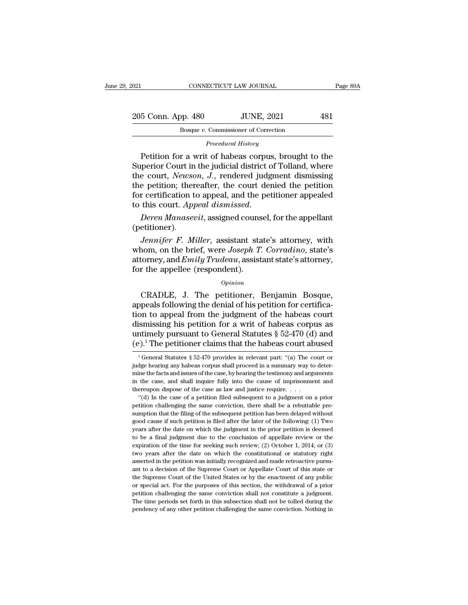| 2021               | CONNECTICUT LAW JOURNAL              | Page 89A |
|--------------------|--------------------------------------|----------|
| 205 Conn. App. 480 | <b>JUNE, 2021</b>                    | 481      |
|                    | Bosque v. Commissioner of Correction |          |
|                    | Procedural History                   |          |

Bosque *v*. Commissioner of Correction<br>*Procedural History*<br>Petition for a writ of habeas corpus, brought to the France Commissioner of Correction<br>
Posque v. Commissioner of Correction<br>
Procedural History<br>
Petition for a writ of habeas corpus, brought to the<br>
perior Court in the judicial district of Tolland, where<br>
Petition of Meynem  $\frac{205 \text{ Conn. App. } 480}{\text{Boque } v. \text{ Commissioner of Correction}}$ <br>Procedural History<br>Petition for a writ of habeas corpus, brought to the<br>Superior Court in the judicial district of Tolland, where<br>the court, *Newson*, *J*., rendered judgment dismissi 205 Conn. App. 480 JUNE, 2021 481<br>
Bosque v. Commissioner of Correction<br> *Procedural History*<br>
Petition for a writ of habeas corpus, brought to the<br>
Superior Court in the judicial district of Tolland, where<br>
the court, *Ne* Bosque v. Commissioner of Correction<br>
Procedural History<br>
Petition for a writ of habeas corpus, brought to the<br>
Superior Court in the judicial district of Tolland, where<br>
the court, Newson, J., rendered judgment dismissing Forcedural History<br>
Forcedural History<br>
Petition for a writ of habeas corpus, brought to the<br>
Superior Court in the judicial district of Tolland, where<br>
the court, Newson, J., rendered judgment dismissing<br>
the petition; th Procedural History<br>
Petition for a writ of habeas corpus, brought to the<br>
Superior Court in the judicial district of Tolland, where<br>
the court, *Newson*, *J*., rendered judgment dismissing<br>
the petition; thereafter, the co *Jennifer F. Miller, assistant state's attorney and Emily Trudeau* assistant state's attorney and *Figures* and *Figures* and the petitioner appealed this court. *Appeal dismissed.*<br>*Deren Manasevit, assigned counsel, for* 

(petitioner).

the pethon, thereafter, the court defiled the pethon<br>for certification to appeal, and the petitioner appealed<br>to this court. Appeal dismissed.<br>Deren Manasevit, assigned counsel, for the appellant<br>(petitioner).<br>Jennifer F. For Certification to appear, and the petitioner appealed<br>to this court. Appeal dismissed.<br>Deren Manasevit, assigned counsel, for the appellant<br>(petitioner).<br>Jennifer F. Miller, assistant state's attorney, with<br>whom, on the for the appellent as messed.<br> *Deren Manasevit*, assigned couns<br>
(petitioner).<br> *Jennifer F. Miller*, assistant sta<br>
whom, on the brief, were *Joseph T*.<br>
attorney, and *Emily Trudeau*, assist<br>
for the appellee (respondent *Jennifer F. Miller*, assistant state's attorney, with<br>nom, on the brief, were *Joseph T. Corradino*, state's<br>torney, and *Emily Trudeau*, assistant state's attorney,<br>r the appellee (respondent).<br>*Opinion*<br>CRADLE, J. The p

*Opinion*

Figure 1. Intert, assistant state's attorney, with<br>whom, on the brief, were Joseph T. Corradino, state's<br>attorney, and *Emily Trudeau*, assistant state's attorney,<br>for the appellee (respondent).<br> $o_{pinion}$ <br>CRADLE, J. The pet Miont, of the biter, were boseph 1. Corradino, state s<br>attorney, and *Emily Trudeau*, assistant state's attorney,<br>for the appellee (respondent).<br> $opinion$ <br> $CRADLE$ , J. The petitioner, Benjamin Bosque,<br>appeals following the denial distortey, and *Dhug* Tradeaa, assistant state s attortey,<br>for the appellee (respondent).<br> $opinion$ <br>CRADLE, J. The petitioner, Benjamin Bosque,<br>appeals following the denial of his petition for certifica-<br>tion to appeal from th UNITELLEVIRTHLE CONTROVIDE CONTROVIDED CONTROVIDED SUPPOSES (DEADLE, J. The petitioner, Benjamin Bosque, appeals following the denial of his petition for certification to appeal from the judgment of the habeas court dismi Opinion<br>
CRADLE, J. The petitioner, Benjamin Bosque,<br>
appeals following the denial of his petition for certifica-<br>
tion to appeal from the judgment of the habeas court<br>
dismissing his petition for a writ of habeas corpus on to appeal from the judgment of the habeas court<br>ismissing his petition for a writ of habeas corpus as<br>ntimely pursuant to General Statutes § 52-470 (d) and<br> $9$ . The petitioner claims that the habeas court abused<br> $\frac{1}{$ dismissing his petition for a writ of habeas corpus as<br>untimely pursuant to General Statutes § 52-470 (d) and<br> $(e)^1$  The petitioner claims that the habeas court abused<br> $\frac{1}{1}$  General Statutes § 52-470 provides in releva

untimely pursuant to General Statutes § 52-470 (d) and  $(e)$ .<sup>1</sup> The petitioner claims that the habeas court abused<br><sup>1</sup> General Statutes § 52-470 provides in relevant part: "(a) The court or judge hearing any habeas corpus (e).<sup>1</sup> The petitioner claims that the habeas court abused<br>
<sup>1</sup> General Statutes § 52-470 provides in relevant part: "(a) The court or<br>
judge hearing any habeas corpus shall proceed in a summary way to deter-<br>
mine the fa (e). The petitioner claims that the habeas court at  $\frac{1}{1}$  General Statutes § 52-470 provides in relevant part: "(a) The cound general and proceed in a summary way to mine the facts and issues of the case, by hearing t <sup>1</sup> General Statutes § 52-470 provides in relevant part: "(a) The court or dge hearing any habeas corpus shall proceed in a summary way to deterine the facts and issues of the case, by hearing the testimony and arguments pudge hearing any habeas corpus shall proceed in a summary way to deter-<br>mine the facts and issues of the case, by hearing the testimony and arguments<br>in the case, and shall inquire fully into the cause of imprisonment and

sumption that filing of the case, by hearing the testimony and arguments in the case, and shall inquire fully into the cause of imprisonment and thereupon dispose of the case as law and justice require.  $\ldots$  "(d) In the in the case, and shall inquire fully into the cause of imprisonment and thereupon dispose of the case as law and justice require.  $\dots$  "(d) In the case of a petition filed subsequent to a judgment on a prior petition chal In the date on which the date on which the judgment on a prior (d) In the case of a petition filed subsequent to a judgment on a prior petition challenging the same conviction, there shall be a rebuttable presumption that "(d) In the case of a petition filed subsequent to a judgment on a prior<br>petition challenging the same conviction, there shall be a rebuttable pre-<br>sumption that the filing of the subsequent petition has been delayed with petition challenging the same conviction, there shall be a rebuttable pre-<br>sumption that the filing of the subsequent petition has been delayed without<br>good cause if such petition is filed after the later of the following: sumption that the filing of the subsequent petition has been delayed without good cause if such petition is filed after the later of the following: (1) Two years after the date on which the judgment in the prior petition i good cause if such petition is filed after the later of the following: (1) Two years after the date on which the judgment in the prior petition is deemed to be a final judgment due to the conclusion of appellate review or beams after the date on which the judgment in the prior petition is deemed to be a final judgment due to the conclusion of appellate review or the expiration of the time for seeking such review; (2) October 1, 2014; or (3 to be a final judgment due to the conclusion of appellate review or the expiration of the time for seeking such review; (2) October 1, 2014; or (3) two years after the date on which the constitutional or statutory right a to be a final judgment due to the conclusion of appellate review or the expiration of the time for seeking such review; (2) October 1, 2014; or (3) two years after the date on which the constitutional or statutory right a two years after the date on which the constitutional or statutory right asserted in the petition was initially recognized and made retroactive pursuant to a decision of the Supreme Court or Appellate Court of this state or asserted in the petition was initially recognized and made retroactive pursuant to a decision of the Supreme Court or Appellate Court of this state or the Supreme Court of the United States or by the enactment of any publi ant to a decision of the Supreme Court or Appellate Court of this state or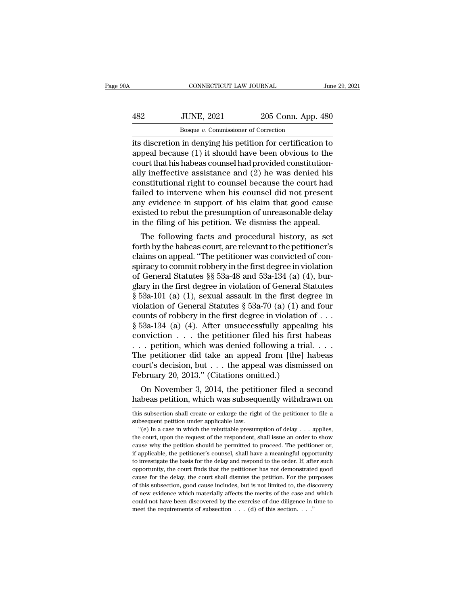| ЭA  | CONNECTICUT LAW JOURNAL                                     |                    | June 29, 2021 |
|-----|-------------------------------------------------------------|--------------------|---------------|
| 482 | <b>JUNE, 2021</b>                                           | 205 Conn. App. 480 |               |
|     | Bosque v. Commissioner of Correction                        |                    |               |
|     | its discretion in denving his netition for certification to |                    |               |

CONNECTICUT LAW JOURNAL June 29, 2021<br>  $\begin{array}{r} \text{June 29, 2021} \\ \text{IO 205 Conn. App. 480} \\ \hline \text{Bosque } v. \text{ Commissioner of Correction} \\ \text{its discretion in denying his pettition for certification to appeal because (1) it should have been obvious to the court that his phones caused hard provided constitution.} \end{array}$  $\begin{array}{r} \text{JUNE, 2021} \\ \text{Boseque } v. \text{ Commissioner of Correction} \\ \text{its discretion in denying his pertinent for certification to appeal because (1) it should have been obvious to the court that his habeas course, and (2) he was denied his.} \end{array}$ 482 JUNE, 2021 205 Conn. App. 480<br>Bosque  $v$ . Commissioner of Correction<br>its discretion in denying his petition for certification to<br>appeal because (1) it should have been obvious to the<br>court that his habeas counsel had  $\frac{482}{\text{Boaque } v. \text{ Commissioner of Correction}}$ <br>Its discretion in denying his petition for certification to<br>appeal because (1) it should have been obvious to the<br>court that his habeas counsel had provided constitution-<br>ally ineffective assist Bosque v. Commissioner of Correction<br>its discretion in denying his petition for certification to<br>appeal because (1) it should have been obvious to the<br>court that his habeas counsel had provided constitution-<br>ally ineffect  $\frac{\text{Bosque } v. \text{ Commonssoner of Correction}}{\text{Sts}}$ <br>its discretion in denying his petition for certification to<br>appeal because (1) it should have been obvious to the<br>court that his habeas counsel had provided constitution-<br>ally ineffective ass its discretion in denying his petition for certification to<br>appeal because (1) it should have been obvious to the<br>court that his habeas counsel had provided constitution-<br>ally ineffective assistance and (2) he was denied h appeal because (1) it should have been obvious to the<br>court that his habeas counsel had provided constitution-<br>ally ineffective assistance and (2) he was denied his<br>constitutional right to counsel because the court had<br>fai court that his habeas counsel had provided constitutionally ineffective assistance and (2) he was denied his constitutional right to counsel because the court had failed to intervene when his counsel did not present any ev The following facts and procedural history, as set the following facts are reported to intervene when his counsel did not present y evidence in support of his claim that good cause isted to rebut the presumption of unreas constructional right to courser because the court had<br>failed to intervene when his counsel did not present<br>any evidence in support of his claim that good cause<br>existed to rebut the presumption of unreasonable delay<br>in the

raned to intervene when his counser and not present<br>any evidence in support of his claim that good cause<br>existed to rebut the presumption of unreasonable delay<br>in the filing of his petition. We dismiss the appeal.<br>The fol any evidence in support of his claim that good cause<br>existed to rebut the presumption of unreasonable delay<br>in the filing of his petition. We dismiss the appeal.<br>The following facts and procedural history, as set<br>forth by Existed to rebut the presumption of unreasonable delay<br>in the filing of his petition. We dismiss the appeal.<br>The following facts and procedural history, as set<br>forth by the habeas court, are relevant to the petitioner's<br>c In the fining of first petition. We unsities the appear.<br>The following facts and procedural history, as set<br>forth by the habeas court, are relevant to the petitioner's<br>claims on appeal. "The petitioner was convicted of co The following facts and procedural history, as set<br>forth by the habeas court, are relevant to the petitioner's<br>claims on appeal. "The petitioner was convicted of con-<br>spiracy to commit robbery in the first degree in viola forth by the habeas court, are relevant to the petitioner's<br>claims on appeal. "The petitioner was convicted of con-<br>spiracy to commit robbery in the first degree in violation<br>of General Statutes § 53a-48 and 53a-134 (a) ( claims on appeal. "The petitioner was convicted of conspiracy to commit robbery in the first degree in violation<br>of General Statutes  $\S$  53a-48 and 53a-134 (a) (4), burglary in the first degree in violation of General Sta spiracy to commit robbery in the first degree in violation<br>of General Statutes § 53a-48 and 53a-134 (a) (4), bur-<br>glary in the first degree in violation of General Statutes<br>§ 53a-101 (a) (1), sexual assault in the first d of General Statutes §§ 53a-48 and 53a-134 (a) (4), burglary in the first degree in violation of General Statutes § 53a-101 (a) (1), sexual assault in the first degree in violation of General Statutes § 53a-70 (a) (1) and glary in the first degree in violation of General Statutes  $\S$  53a-101 (a) (1), sexual assault in the first degree in violation of General Statutes  $\S$  53a-70 (a) (1) and four counts of robbery in the first degree in viol § 53a-101 (a) (1), sexual assault in the first degree in violation of General Statutes § 53a-70 (a) (1) and four counts of robbery in the first degree in violation of . . . § 53a-134 (a) (4). After unsuccessfully appealin violation of General Statutes § 53a-70 (a) (1) and four<br>counts of robbery in the first degree in violation of . . .<br>§ 53a-134 (a) (4). After unsuccessfully appealing his<br>conviction . . . the petitioner filed his first hab counts of robbery in the first degree in violation  $\S$  53a-134 (a) (4). After unsuccessfully appeali conviction . . . the petitioner filed his first h . . . petition, which was denied following a tria The petitioner did t obsa-154 (a) (4). After unsuccessity appealing its<br>mviction . . . the petitioner filed his first habeas<br>. petition, which was denied following a trial. . . .<br>ne petitioner did take an appeal from [the] habeas<br>urt's decisi conviction  $\ldots$  the petitioner lied its first habeas  $\ldots$  petition, which was denied following a trial.  $\ldots$  The petitioner did take an appeal from [the] habeas court's decision, but  $\ldots$  the appeal was dismissed on F

February 20, 2013." (Citations omitted.)<br>
On November 3, 2014, the petitioner filed a second<br>
habeas petition, which was subsequently withdrawn on<br>
this subsection shall create or enlarge the right of the petitioner to fi February 20, 2015. (Chatrons on<br>On November 3, 2014, the petit<br>habeas petition, which was subsequent<br>this subsection shall create or enlarge the right<br>subsequent petition under applicable law.<br>"(e) In a case in which the r

On November 3, 2014, the petitioner filed a second<br>abeas petition, which was subsequently withdrawn on<br>is subsection shall create or enlarge the right of the petitioner to file a<br>bsequent petition under applicable law.<br>"( the court, which was subsequently withdrawn on<br>this subsection shall create or enlarge the right of the petitioner to file a<br>subsequent petition under applicable law.<br>"(e) In a case in which the rebuttable presumption of d Tradecas petition, whild was subsequently whild awit on<br>this subsequent petition under applicable law.<br>"(e) In a case in which the rebuttable presumption of delay . . . applies,<br>the court, upon the request of the responden this subsection shall create or enlarge the right of the petitioner to file a<br>subsequent petition under applicable law.<br>"(e) In a case in which the rebuttable presumption of delay  $\ldots$  applies,<br>the court, upon the reques subsequent petition under applicable law.<br>
"(e) In a case in which the rebuttable presumption of delay  $\ldots$  applies,<br>
the court, upon the request of the respondent, shall issue an order to show<br>
cause why the petition sh "(e) In a case in which the rebuttable presumption of delay  $\ldots$  applies, the court, upon the request of the respondent, shall issue an order to show cause why the petition should be permitted to proceed. The petitioner the court, upon the request of the respondent, shall issue an order to show cause why the petition should be permitted to proceed. The petitioner or, if applicable, the petitioner's counsel, shall have a meaningful opportu cause why the petition should be permitted to proceed. The petitioner or, if applicable, the petitioner's counsel, shall have a meaningful opportunity to investigate the basis for the delay and respond to the order. If, af of applicable, the petitioner's counsel, shall have a meaningful opportunity to investigate the basis for the delay and respond to the order. If, after such opportunity, the court finds that the petitioner has not demonstr represention to investigate the basis for the delay and respond to the order. If, after such opportunity, the court finds that the petitioner has not demonstrated good cause for the delay, the court shall dismiss the peti to investigate the basis for the delay and respond to the order. If, after such opportunity, the court finds that the petitioner has not demonstrated good cause for the delay, the court shall dismiss the petition. For the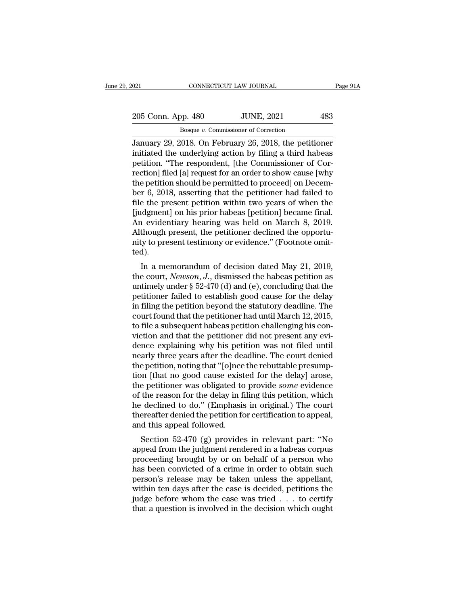CONNECTICUT LAW JOURNAL Page 91A<br>
205 Conn. App. 480 JUNE, 2021 483<br>
Bosque v. Commissioner of Correction<br>
January 29, 2018. On February 26, 2018, the petitioner<br>
initiated the underlying action by filing a third habeas<br>
p 205 Conn. App. 480 JUNE, 2021 483<br>Bosque v. Commissioner of Correction<br>January 29, 2018. On February 26, 2018, the petitioner<br>initiated the underlying action by filing a third habeas<br>petition. "The respondent, [the Commiss 205 Conn. App. 480 JUNE, 2021 483<br>
Bosque v. Commissioner of Correction<br>
January 29, 2018. On February 26, 2018, the petitioner<br>
initiated the underlying action by filing a third habeas<br>
petition. "The respondent, [the Co 205 Conn. App. 480 JUNE, 2021 483<br>
Bosque v. Commissioner of Correction<br>
January 29, 2018. On February 26, 2018, the petitioner<br>
initiated the underlying action by filing a third habeas<br>
petition. "The respondent, [the Co Bosque v. Commissioner of Correction<br>January 29, 2018. On February 26, 2018, the petitioner<br>initiated the underlying action by filing a third habeas<br>petition. "The respondent, [the Commissioner of Cor-<br>rection] filed [a] Bosque v. Commissioner of Correction<br>January 29, 2018. On February 26, 2018, the petitioner<br>initiated the underlying action by filing a third habeas<br>petition. "The respondent, [the Commissioner of Cor-<br>rection] filed [a] January 29, 2018. On February 26, 2018, the petitioner<br>initiated the underlying action by filing a third habeas<br>petition. "The respondent, [the Commissioner of Cor-<br>rection] filed [a] request for an order to show cause [wh initiated the underlying action by filing a third habeas<br>petition. "The respondent, [the Commissioner of Cor-<br>rection] filed [a] request for an order to show cause [why<br>the petition should be permitted to proceed] on Decem petition. "The respondent, [the Commissioner of Correction] filed [a] request for an order to show cause [why<br>the petition should be permitted to proceed] on Decem-<br>ber 6, 2018, asserting that the petitioner had failed to<br> rection] filed [a] request for an order to show cause [why<br>the petition should be permitted to proceed] on Decem-<br>ber 6, 2018, asserting that the petitioner had failed to<br>file the present petition within two years of when the petition should be permitted to proceed] on December 6, 2018, asserting that the petitioner had failed to file the present petition within two years of when the [judgment] on his prior habeas [petition] became final. A ted). Le the present pethod within two years of when the<br>idgment] on his prior habeas [petition] became final.<br>
1 evidentiary hearing was held on March 8, 2019.<br>
though present testimony or evidence." (Footnote omit-<br>
d).<br>
In a Indigment] on his prior habeas [petition] became mia.<br>An evidentiary hearing was held on March 8, 2019.<br>Although present, the petitioner declined the opportu-<br>nity to present testimony or evidence." (Footnote omit-<br>ted).<br>I

Although present, the petitioner declined the opportunity to present testimony or evidence." (Footnote omitted).<br>
In a memorandum of decision dated May 21, 2019,<br>
the court, *Newson*, *J*., dismissed the habeas petition a Autiough present, the petitioner declined the opportunity to present testimony or evidence." (Footnote omitted).<br>
In a memorandum of decision dated May 21, 2019,<br>
the court, *Newson*, *J*., dismissed the habeas petition a inty to present testimony or evidence. (Footnote onlited).<br>
In a memorandum of decision dated May 21, 2019,<br>
the court, *Newson*, *J*., dismissed the habeas petition as<br>
untimely under  $\S 52-470$  (d) and (e), concluding t Leu).<br>
In a memorandum of decision dated May 21, 2019,<br>
the court, *Newson*, *J*., dismissed the habeas petition as<br>
untimely under  $\S 52-470$  (d) and (e), concluding that the<br>
petitioner failed to establish good cause fo In a memorandum of decision dated May 21, 2019,<br>the court, *Newson*, *J*., dismissed the habeas petition as<br>untimely under § 52-470 (d) and (e), concluding that the<br>petitioner failed to establish good cause for the delay<br> the court, *Newson*, *J.*, dismissed the habeas petition as<br>untimely under  $\S$  52-470 (d) and (e), concluding that the<br>petitioner failed to establish good cause for the delay<br>in filing the petition beyond the statutory de untimely under § 52-470 (d) and (e), concluding that the<br>petitioner failed to establish good cause for the delay<br>in filing the petition beyond the statutory deadline. The<br>court found that the petitioner had until March 12, petitioner failed to establish good cause for the delay<br>in filing the petition beyond the statutory deadline. The<br>court found that the petitioner had until March 12, 2015,<br>to file a subsequent habeas petition challenging h in filing the petition beyond the statutory deadline. The court found that the petitioner had until March 12, 2015, to file a subsequent habeas petition challenging his conviction and that the petitioner did not present an court found that the petitioner had until March 12, 2015,<br>to file a subsequent habeas petition challenging his con-<br>viction and that the petitioner did not present any evi-<br>dence explaining why his petition was not filed u to file a subsequent habeas petition challenging his conviction and that the petitioner did not present any evidence explaining why his petition was not filed until nearly three years after the deadline. The court denied t viction and that the petitioner did not present any evi-<br>dence explaining why his petition was not filed until<br>nearly three years after the deadline. The court denied<br>the petition, noting that "[o]nce the rebuttable presum dence explaining why his petition was not filed until<br>nearly three years after the deadline. The court denied<br>the petition, noting that "[o]nce the rebuttable presump-<br>tion [that no good cause existed for the delay] arose, nearly three years after the deadline. The court denied<br>the petition, noting that "[o]nce the rebuttable presump-<br>tion [that no good cause existed for the delay] arose,<br>the petitioner was obligated to provide *some* eviden the petition, noting that "[o]nce<br>tion [that no good cause exist<br>the petitioner was obligated to<br>of the reason for the delay in fi<br>he declined to do." (Emphasis<br>thereafter denied the petition fo<br>and this appeal followed.<br>S In [ulat no good cause existed for the delay] afose,<br>e petitioner was obligated to provide *some* evidence<br>the reason for the delay in filing this petition, which<br>declined to do." (Emphasis in original.) The court<br>ereafter the petholier was obligated to provide some evidence<br>of the reason for the delay in filing this petition, which<br>he declined to do." (Emphasis in original.) The court<br>thereafter denied the petition for certification to appe

brought brought brought by the declined to do." (Emphasis in original.) The court<br>thereafter denied the petition for certification to appeal,<br>and this appeal followed.<br>Section 52-470 (g) provides in relevant part: "No<br>appe he declined to do. (Emphasis in original.) The court<br>thereafter denied the petition for certification to appeal,<br>and this appeal followed.<br>Section 52-470 (g) provides in relevant part: "No<br>appeal from the judgment rendered mereater denied the perthon for certification to appeal,<br>and this appeal followed.<br>Section 52-470 (g) provides in relevant part: "No<br>appeal from the judgment rendered in a habeas corpus<br>proceeding brought by or on behalf o Section 52-470 (g) provides in relevant part: "No<br>appeal from the judgment rendered in a habeas corpus<br>proceeding brought by or on behalf of a person who<br>has been convicted of a crime in order to obtain such<br>person's relea Section 52-470 (g) provides in relevant part: "No<br>appeal from the judgment rendered in a habeas corpus<br>proceeding brought by or on behalf of a person who<br>has been convicted of a crime in order to obtain such<br>person's rele appeal from the judgment rendered in a habeas corpus<br>proceeding brought by or on behalf of a person who<br>has been convicted of a crime in order to obtain such<br>person's release may be taken unless the appellant,<br>within ten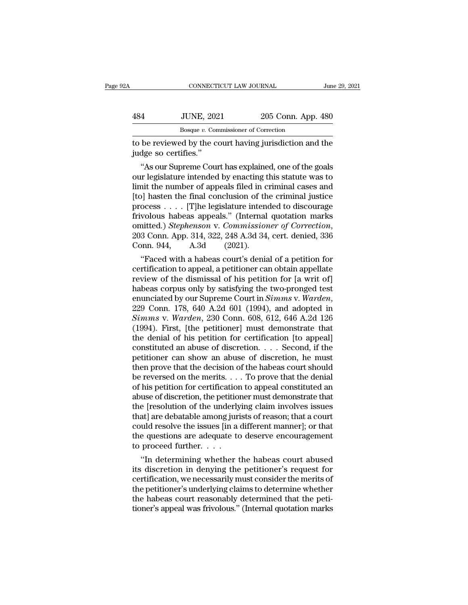|     | CONNECTICUT LAW JOURNAL                                                         |                    | June 29, 2021 |
|-----|---------------------------------------------------------------------------------|--------------------|---------------|
| 484 | <b>JUNE, 2021</b>                                                               | 205 Conn. App. 480 |               |
|     | Bosque v. Commissioner of Correction                                            |                    |               |
|     | to be reviewed by the court having jurisdiction and the<br>judge so certifies." |                    |               |
|     | "As our Supreme Court has explained, one of the goals                           |                    |               |

<sup>4</sup><br>
<sup>Bosque *v*. Commissioner of Correction<br>
be reviewed by the court having jurisdiction and the<br>
dge so certifies."<br>
"As our Supreme Court has explained, one of the goals<br>
in legislature intended by enacting this statut</sup>  $\frac{484}{\text{Bosque }v}$ . Commissioner of Correction<br>to be reviewed by the court having jurisdiction and the<br>judge so certifies."<br>"As our Supreme Court has explained, one of the goals<br>our legislature intended by enacting this s Bosque  $v$ . Commissioner of Correction<br>
to be reviewed by the court having jurisdiction and the<br>
judge so certifies."<br>
"As our Supreme Court has explained, one of the goals<br>
our legislature intended by enacting this statu to be reviewed by the court having jurisdiction and the<br>judge so certifies."<br>"As our Supreme Court has explained, one of the goals<br>our legislature intended by enacting this statute was to<br>limit the number of appeals filed to be reviewed by the court having jurisdiction and the<br>judge so certifies."<br>"As our Supreme Court has explained, one of the goals<br>our legislature intended by enacting this statute was to<br>limit the number of appeals filed judge so certines.<br>
"As our Supreme Court has explained, one of the goals<br>
our legislature intended by enacting this statute was to<br>
limit the number of appeals filed in criminal cases and<br>
[to] hasten the final conclusio "As our Supreme Court has explained, one of the goals<br>our legislature intended by enacting this statute was to<br>limit the number of appeals filed in criminal cases and<br>[to] hasten the final conclusion of the criminal justic limit the number of appeals filed in c<br>[to] hasten the final conclusion of th<br>process . . . . [T]he legislature inten<br>frivolous habeas appeals." (Internal<br>omitted.) *Stephenson* v. *Commissior*<br>203 Conn. App. 314, 322, 24 beyonds a halo conclusion of the criminal justice<br>
ocess . . . . [T]he legislature intended to discourage<br>
volous habeas appeals." (Internal quotation marks<br>
nitted.) *Stephenson* v. *Commissioner of Correction*,<br>
3 Conn. process  $\ldots$  [T]ne legislature intended to discourage<br>frivolous habeas appeals." (Internal quotation marks<br>omitted.) *Stephenson v. Commissioner of Correction*,<br>203 Conn. App. 314, 322, 248 A.3d 34, cert. denied, 336<br>Con

rrivolous nabeas appeais. (internal quotation marks<br>
comitted.) *Stephenson v. Commissioner of Correction*,<br>
203 Conn. App. 314, 322, 248 A.3d 34, cert. denied, 336<br>
Conn. 944, A.3d (2021).<br>
"Faced with a habeas court's d omitted.) *Stephenson* v. Commissioner of Correction,<br>203 Conn. App. 314, 322, 248 A.3d 34, cert. denied, 336<br>Conn. 944, A.3d (2021).<br>"Faced with a habeas court's denial of a petition for<br>certification to appeal, a petiti 203 Conn. App. 314, 322, 248 A.3d 34, cert. denied, 350<br>Conn. 944, A.3d (2021).<br>
"Faced with a habeas court's denial of a petition for<br>
certification to appeal, a petitioner can obtain appellate<br>
review of the dismissal of "Faced with a habeas court's denial of a petition for certification to appeal, a petitioner can obtain appellate review of the dismissal of his petition for [a writ of] habeas corpus only by satisfying the two-pronged test certification to appeal, a petitioner can obtain appellate<br>review of the dismissal of his petition for [a writ of]<br>habeas corpus only by satisfying the two-pronged test<br>enunciated by our Supreme Court in *Simms* v. *Warden* review of the dismissal of his petition for [a writ of]<br>habeas corpus only by satisfying the two-pronged test<br>enunciated by our Supreme Court in *Simms v. Warden*,<br>229 Conn. 178, 640 A.2d 601 (1994), and adopted in<br>*Simms* habeas corpus only by satisfying the two-pronged test<br>enunciated by our Supreme Court in *Simms v. Warden*,<br>229 Conn. 178, 640 A.2d 601 (1994), and adopted in<br>*Simms v. Warden*, 230 Conn. 608, 612, 646 A.2d 126<br>(1994). Fir enunciated by our Supreme Court in *Simms v. Warden*, 229 Conn. 178, 640 A.2d 601 (1994), and adopted in *Simms v. Warden*, 230 Conn. 608, 612, 646 A.2d 126 (1994). First, [the petitioner] must demonstrate that the denial 229 Conn. 178, 640 A.2d 601 (1994), and adopted in  $Simms$  v. Warden, 230 Conn. 608, 612, 646 A.2d 126 (1994). First, [the petitioner] must demonstrate that the denial of his petition for certification [to appeal] constitute Simms v. Warden, 230 Conn. 608, 612, 646 A.2d 126 (1994). First, [the petitioner] must demonstrate that the denial of his petition for certification [to appeal] constituted an abuse of discretion. . . . Second, if the pet (1994). First, [the petitioner] must demonstrate that<br>the denial of his petition for certification [to appeal]<br>constituted an abuse of discretion. . . . Second, if the<br>petitioner can show an abuse of discretion, he must<br>t the denial of his petition for certification [to appeal]<br>constituted an abuse of discretion. . . . Second, if the<br>petitioner can show an abuse of discretion, he must<br>then prove that the decision of the habeas court should constituted an abuse of discretion. . . . Second, if the petitioner can show an abuse of discretion, he must<br>then prove that the decision of the habeas court should<br>be reversed on the merits. . . . To prove that the denia petitioner can show an abuse of discretion, he must<br>then prove that the decision of the habeas court should<br>be reversed on the merits. . . . To prove that the denial<br>of his petition for certification to appeal constituted then prove that the decision of the habeas court should<br>be reversed on the merits. . . . To prove that the denial<br>of his petition for certification to appeal constituted an<br>abuse of discretion, the petitioner must demonst be reversed on the merits. . . . To prove that the denial<br>of his petition for certification to appeal constituted an<br>abuse of discretion, the petitioner must demonstrate that<br>the [resolution of the underlying claim involve of his petition for certification<br>abuse of discretion, the petition<br>the [resolution of the underly<br>that] are debatable among juri<br>could resolve the issues [in a<br>the questions are adequate to<br>to proceed further....<br>"In dete use of discretion, the petitioner must demonstrate that<br>
e [resolution of the underlying claim involves issues<br>
at] are debatable among jurists of reason; that a court<br>
uld resolve the issues [in a different manner]; or th the [resolution of the underlying claim involves issues<br>that] are debatable among jurists of reason; that a court<br>could resolve the issues [in a different manner]; or that<br>the questions are adequate to deserve encouragemen

that are deparable among jurists of reason; that a court<br>could resolve the issues [in a different manner]; or that<br>the questions are adequate to deserve encouragement<br>to proceed further....<br>"In determining whether the hab could resolve the issues [in a different manner]; or that<br>the questions are adequate to deserve encouragement<br>to proceed further. . . .<br>"In determining whether the habeas court abused<br>its discretion in denying the petition the questions are adequate to deserve encouragement<br>to proceed further.  $\dots$ .<br>"In determining whether the habeas court abused<br>its discretion in denying the petitioner's request for<br>certification, we necessarily must consi to proceed further....<br>
"In determining whether the habeas court abused<br>
its discretion in denying the petitioner's request for<br>
certification, we necessarily must consider the merits of<br>
the petitioner's underlying claims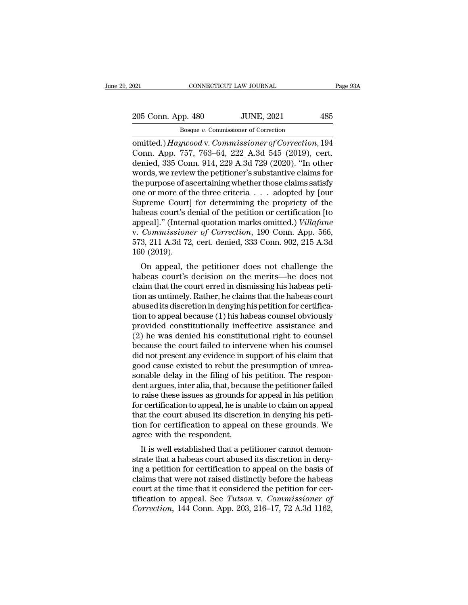omitted.) *Haywood* v. Commissioner of Correction<br> **Example 1980**<br> **Example 1980**<br> **Example 1980**<br> **Example 1980**<br> **Example 1980**<br> **Example 1980**<br> **Example 1980**<br> **Example 1980**<br> **Example 1980**<br> **Example 1980**<br> **Example 19** 205 Conn. App. 480 JUNE, 2021 485<br>
Bosque v. Commissioner of Correction<br>
contited.) Haywood v. Commissioner of Correction, 194<br>
Conn. App. 757, 763–64, 222 A.3d 545 (2019), cert.<br>
denied, 335 Conn. 914, 229 A.3d 729 (2020) 205 Conn. App. 480 JUNE, 2021 485<br>
Bosque v. Commissioner of Correction<br>
omitted.) Haywood v. Commissioner of Correction, 194<br>
Conn. App. 757, 763–64, 222 A.3d 545 (2019), cert.<br>
denied, 335 Conn. 914, 229 A.3d 729 (2020) 205 Conn. App. 480 JUNE, 2021 485<br>
Bosque v. Commissioner of Correction<br>
omitted.) Haywood v. Commissioner of Correction, 194<br>
Conn. App. 757, 763–64, 222 A.3d 545 (2019), cert.<br>
denied, 335 Conn. 914, 229 A.3d 729 (2020) Bosque v. Commissioner of Correction<br>
omitted.) Haywood v. Commissioner of Correction, 194<br>
Conn. App. 757, 763–64, 222 A.3d 545 (2019), cert.<br>
denied, 335 Conn. 914, 229 A.3d 729 (2020). "In other<br>
words, we review the p Bosque v. Commissioner of Correction<br>
comitted.) Haywood v. Commissioner of Correction, 194<br>
Conn. App. 757, 763–64, 222 A.3d 545 (2019), cert.<br>
denied, 335 Conn. 914, 229 A.3d 729 (2020). "In other<br>
words, we review the omitted.) Haywood v. Commissioner of Correction, 194<br>Conn. App. 757, 763–64, 222 A.3d 545 (2019), cert.<br>denied, 335 Conn. 914, 229 A.3d 729 (2020). "In other<br>words, we review the petitioner's substantive claims for<br>the pur Conn. App. 757, 763–64, 222 A.3d 545 (2019), cert.<br>denied, 335 Conn. 914, 229 A.3d 729 (2020). "In other<br>words, we review the petitioner's substantive claims for<br>the purpose of ascertaining whether those claims satisfy<br>on denied, 335 Conn. 914, 229 A.3d 729 (2020). "In other<br>words, we review the petitioner's substantive claims for<br>the purpose of ascertaining whether those claims satisfy<br>one or more of the three criteria . . . adopted by [ou words, we review the petitioner's substantive claims for<br>the purpose of ascertaining whether those claims satisfy<br>one or more of the three criteria . . . adopted by [our<br>Supreme Court] for determining the propriety of the<br> the purpose of ascertaining whether those claims satisfy<br>one or more of the three criteria . . . adopted by [our<br>Supreme Court] for determining the propriety of the<br>habeas court's denial of the petition or certification [t one or more of t<br>
Supreme Court]<br>
habeas court's d<br>
appeal].'' (Intern<br>
v. *Commissione*<br>
573, 211 A.3d 72<br>
160 (2019).<br>
On appeal, th beas court's denial of the petition or certification [to peal]." (Internal quotation marks omitted.) *Villafane*<br>Commissioner of Correction, 190 Conn. App. 566,<br>3, 211 A.3d 72, cert. denied, 333 Conn. 902, 215 A.3d<br>0 (2019 habeas court's denial of the permit of certification [to]<br>appeal]." (Internal quotation marks omitted.) *Villafane*<br>v. *Commissioner of Correction*, 190 Conn. App. 566,<br>573, 211 A.3d 72, cert. denied, 333 Conn. 902, 215 A.

appear). (Internal quotation marks onlited.) *Valigane*<br>v. *Commissioner of Correction*, 190 Conn. App. 566,<br>573, 211 A.3d 72, cert. denied, 333 Conn. 902, 215 A.3d<br>160 (2019).<br>On appeal, the petitioner does not challenge v. Commissioner of Correction, 150 Confl. App. 500, 573, 211 A.3d 72, cert. denied, 333 Conn. 902, 215 A.3d 160 (2019).<br>On appeal, the petitioner does not challenge the habeas court's decision on the merits—he does not cl abused its discretion in denying his petition in dependence and discretion in dependence of the habeas court's decision on the merits—he does not claim that the court erred in dismissing his habeas petition as untimely. R for appeal, the petitioner does not challenge the<br>habeas court's decision on the merits—he does not<br>claim that the court erred in dismissing his habeas peti-<br>tion as untimely. Rather, he claims that the habeas court<br>abuse On appeal, the petitioner does not challenge the<br>habeas court's decision on the merits—he does not<br>claim that the court erred in dismissing his habeas peti-<br>tion as untimely. Rather, he claims that the habeas court<br>abused habeas court's decision on the merits—he does not<br>claim that the court erred in dismissing his habeas peti-<br>tion as untimely. Rather, he claims that the habeas court<br>abused its discretion in denying his petition for certif claim that the court erred in dismissing his habeas petition as untimely. Rather, he claims that the habeas court abused its discretion in denying his petition for certification to appeal because (1) his habeas counsel obv tion as untimely. Rather, he claims that the habeas court<br>abused its discretion in denying his petition for certifica-<br>tion to appeal because (1) his habeas counsel obviously<br>provided constitutionally ineffective assistanc abused its discretion in denying his petition for certification to appeal because (1) his habeas counsel obviously provided constitutionally ineffective assistance and (2) he was denied his constitutional right to counsel tion to appeal because (1) his habeas counsel obviously<br>provided constitutionally ineffective assistance and<br>(2) he was denied his constitutional right to counsel<br>because the court failed to intervene when his counsel<br>did provided constitutionally ineffective assistance and<br>(2) he was denied his constitutional right to counsel<br>because the court failed to intervene when his counsel<br>did not present any evidence in support of his claim that<br>go (2) he was denied his constitutional right to counsel<br>because the court failed to intervene when his counsel<br>did not present any evidence in support of his claim that<br>good cause existed to rebut the presumption of unrea-<br>s because the court failed to intervene when his counsel<br>did not present any evidence in support of his claim that<br>good cause existed to rebut the presumption of unrea-<br>sonable delay in the filing of his petition. The respon did not present any evidence in support of his claim that good cause existed to rebut the presumption of unreasonable delay in the filing of his petition. The respondent argues, inter alia, that, because the petitioner fai good cause existed to rebut the presumption of unreasonable delay in the filing of his petition. The respondent argues, inter alia, that, because the petitioner failed to raise these issues as grounds for appeal in his pet sonable delay in the filing of his<br>dent argues, inter alia, that, becau<br>to raise these issues as grounds for<br>for certification to appeal, he is un<br>that the court abused its discreti<br>tion for certification to appeal<br>agree w In argues, inter ana, that, because the petitioner ranear<br>raise these issues as grounds for appeal in his petition<br>r certification to appeal, he is unable to claim on appeal<br>at the court abused its discretion in denying hi to rase these issues as grounds for appear in his pethod<br>for certification to appeal, he is unable to claim on appeal<br>that the court abused its discretion in denying his peti-<br>tion for certification to appeal on these grou

for certification to appear, he is unable to claim on appear<br>that the court abused its discretion in denying his peti-<br>tion for certification to appeal on these grounds. We<br>agree with the respondent.<br>It is well established claims that were not raised its discretion in deriying ins peution for certification to appeal on these grounds. We agree with the respondent.<br>It is well established that a petitioner cannot demonstrate that a habeas cour Example 100 in the test<br>agree with the respondent.<br>It is well established that a petitioner cannot demonstrate that a habeas court abused its discretion in deny-<br>ing a petition for certification to appeal on the basis of<br> It is well established that a petitioner cannot demonstrate that a habeas court abused its discretion in denying a petition for certification to appeal on the basis of claims that were not raised distinctly before the habe It is well established that a petitioner cannot demonstrate that a habeas court abused its discretion in denying a petition for certification to appeal on the basis of claims that were not raised distinctly before the habe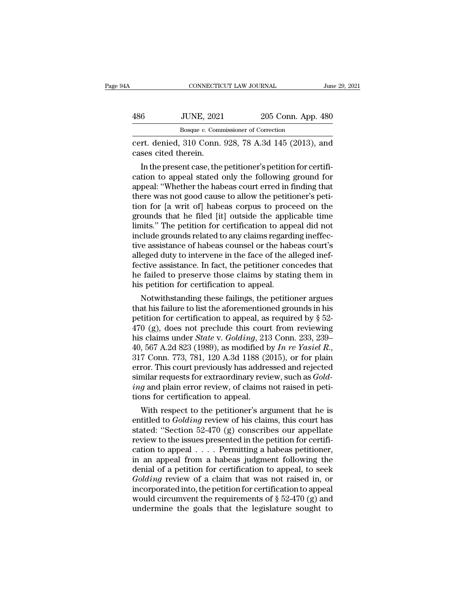| ŀΑ  | CONNECTICUT LAW JOURNAL                                                                                                                                                         |                    | June 29, 2021 |
|-----|---------------------------------------------------------------------------------------------------------------------------------------------------------------------------------|--------------------|---------------|
|     |                                                                                                                                                                                 |                    |               |
| 486 | <b>JUNE, 2021</b>                                                                                                                                                               | 205 Conn. App. 480 |               |
|     | Bosque v. Commissioner of Correction                                                                                                                                            |                    |               |
|     | cert. denied, 310 Conn. 928, 78 A.3d 145 (2013), and<br>cases cited therein.                                                                                                    |                    |               |
|     | In the present case, the petitioner's petition for certifi-<br>cation to appeal stated only the following ground for<br>appeal: "Whother the habess court erred in finding that |                    |               |

486 JUNE, 2021 205 Conn. App. 480<br>Bosque v. Commissioner of Correction<br>cert. denied, 310 Conn. 928, 78 A.3d 145 (2013), and<br>cases cited therein.<br>In the present case, the petitioner's petition for certifi-<br>cation to appeal Bosque v. Commissioner of Correction<br>
cert. denied, 310 Conn. 928, 78 A.3d 145 (2013), and<br>
cases cited therein.<br>
In the present case, the petitioner's petition for certifi-<br>
cation to appeal stated only the following gro There was not good cause of allo Connectors and cases cited therein.<br>
In the present case, the petitioner's petition for certification to appeal stated only the following ground for appeal: "Whether the habeas court erred cert. denied, 310 Conn. 928, 78 A.3d 145 (2013), and<br>cases cited therein.<br>In the present case, the petitioner's petition for certifi-<br>cation to appeal stated only the following ground for<br>appeal: "Whether the habeas court cases cited therein.<br>
In the present case, the petitioner's petition for certification to appeal stated only the following ground for<br>
appeal: "Whether the habeas court erred in finding that<br>
there was not good cause to al In the present case, the petitioner's petition for certification to appeal stated only the following ground for appeal: "Whether the habeas court erred in finding that there was not good cause to allow the petitioner's pet cation to appeal stated only the following ground for<br>appeal: "Whether the habeas court erred in finding that<br>there was not good cause to allow the petitioner's peti-<br>tion for [a writ of] habeas corpus to proceed on the<br>gr appeal: "Whether the habeas court erred in finding that<br>there was not good cause to allow the petitioner's peti-<br>tion for [a writ of] habeas corpus to proceed on the<br>grounds that he filed [it] outside the applicable time<br>l there was not good cause to allow the petitioner's petition for [a writ of] habeas corpus to proceed on the grounds that he filed [it] outside the applicable time limits." The petition for certification to appeal did not i tion for [a writ of] habeas corpus to proceed on the grounds that he filed [it] outside the applicable time limits." The petition for certification to appeal did not include grounds related to any claims regarding ineffect grounds that he filed [it] outside the applicable time<br>limits." The petition for certification to appeal did not<br>include grounds related to any claims regarding ineffec-<br>tive assistance of habeas counsel or the habeas cour limits." The petition for certification to appendicular include grounds related to any claims regard tive assistance of habeas counsel or the habealleged duty to intervene in the face of the afective assistance. In fact, t Equivale grounds related to any claims regarding inentective assistance of habeas counsel or the habeas court's eged duty to intervene in the face of the alleged inef-<br>tive assistance. In fact, the petitioner concedes tha the assistance of nabeas counsel or the nabeas court's<br>alleged duty to intervene in the face of the alleged inef-<br>fective assistance. In fact, the petitioner concedes that<br>he failed to preserve those claims by stating the

alleged duty to intervene in the race of the alleged iner-<br>fective assistance. In fact, the petitioner concedes that<br>he failed to preserve those claims by stating them in<br>his petition for certification to appeal.<br>Notwiths Fective assistance. In fact, the petitioner concedes that<br>he failed to preserve those claims by stating them in<br>his petition for certification to appeal.<br>Notwithstanding these failings, the petitioner argues<br>that his fail his petition for certification to appeal.<br>
Notwithstanding these failings, the petitioner argues<br>
that his failure to list the aforementioned grounds in his<br>
petition for certification to appeal, as required by § 52-<br>
470 ms petition for certification to appeal.<br>
Notwithstanding these failings, the petitioner argues<br>
that his failure to list the aforementioned grounds in his<br>
petition for certification to appeal, as required by § 52-<br>
470 ( that his failure to list the aforementioned grounds in his<br>petition for certification to appeal, as required by  $\S$  52-<br>470 (g), does not preclude this court from reviewing<br>his claims under *State* v. *Golding*, 213 Conn. petition for certification to appeal, as required by § 52-<br>470 (g), does not preclude this court from reviewing<br>his claims under *State* v. *Golding*, 213 Conn. 233, 239-<br>40, 567 A.2d 823 (1989), as modified by *In re Yasi* 470 (g), does not preclude this court from reviewing<br>his claims under *State* v. *Golding*, 213 Conn. 233, 239–<br>40, 567 A.2d 823 (1989), as modified by *In re Yasiel R.*,<br>317 Conn. 773, 781, 120 A.3d 1188 (2015), or for pl his claims under *State* v. *Golding*, 21:<br>40, 567 A.2d 823 (1989), as modified b<br>317 Conn. 773, 781, 120 A.3d 1188 (2<br>error. This court previously has addre<br>similar requests for extraordinary revi<br>ing and plain error revi , 507 A.2d 823 (1989), as modified by *In re Yasiet R.*,<br>7 Conn. 773, 781, 120 A.3d 1188 (2015), or for plain<br>ror. This court previously has addressed and rejected<br>nilar requests for extraordinary review, such as *Gold-*<br> 317 Conn. 773, 781, 120 A.3d 1188 (2015), or for plain<br>error. This court previously has addressed and rejected<br>similar requests for extraordinary review, such as *Gold-*<br>*ing* and plain error review, of claims not raised i

error. This court previously has addressed and rejected<br>
similar requests for extraordinary review, such as  $Gold-$ <br>  $ing$  and plain error review, of claims not raised in peti-<br>
tions for certification to appeal.<br>
With respect simuar requests for extraordinary review, such as *Gold-*<br>*ing* and plain error review, of claims not raised in peti-<br>tions for certification to appeal.<br>With respect to the petitioner's argument that he is<br>entitled to *Go thay* and plain error review, or claims not raised in petitions for certification to appeal.<br>
With respect to the petitioner's argument that he is<br>
entitled to *Golding* review of his claims, this court has<br>
stated: "Sec tions for certification to appeal.<br>
With respect to the petitioner's argument that he is<br>
entitled to *Golding* review of his claims, this court has<br>
stated: "Section 52-470 (g) conscribes our appellate<br>
review to the iss With respect to the petitioner's argument that he is<br>entitled to *Golding* review of his claims, this court has<br>stated: "Section 52-470 (g) conscribes our appellate<br>review to the issues presented in the petition for certi entitled to *Golding* review of his claims, this court has<br>stated: "Section 52-470 (g) conscribes our appellate<br>review to the issues presented in the petition for certifi-<br>cation to appeal . . . . Permitting a habeas peti stated: "Section 52-470 (g) conscribes our appellate<br>review to the issues presented in the petition for certifi-<br>cation to appeal  $\ldots$ . Permitting a habeas petitioner,<br>in an appeal from a habeas judgment following the<br>de review to the issues presented in the petition for certification to appeal . . . . Permitting a habeas petitioner, in an appeal from a habeas judgment following the denial of a petition for certification to appeal, to see cation to appeal  $\dots$ . Permitting a habeas petitioner,<br>in an appeal from a habeas judgment following the<br>denial of a petition for certification to appeal, to seek<br>*Golding* review of a claim that was not raised in, or<br>inc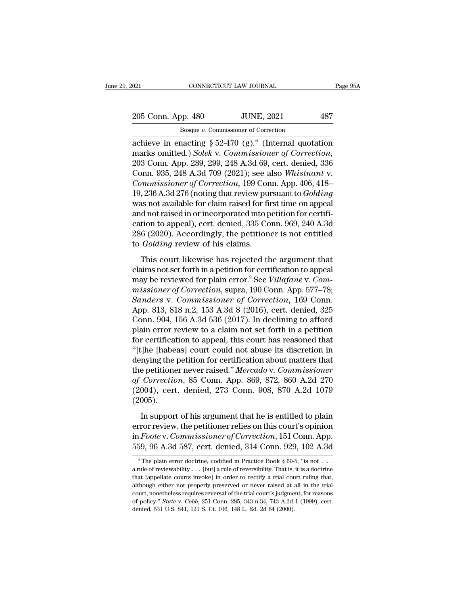021 CONNECTICUT LAW JOURNAL Page 95A<br>
205 Conn. App. 480 JUNE, 2021 487<br>
Bosque v. Commissioner of Correction<br>
achieve in enacting § 52-470 (g)." (Internal quotation<br>
marks omitted.) *Solek v. Commissioner of Correction*,<br> 205 Conn. App. 480 JUNE, 2021 487<br>
Bosque v. Commissioner of Correction<br>
achieve in enacting § 52-470 (g)." (Internal quotation<br>
marks omitted.) *Solek* v. *Commissioner of Correction*,<br>
203 Conn. App. 289, 299, 248 A.3d 6 205 Conn. App. 480 JUNE, 2021 487<br>
Bosque v. Commissioner of Correction<br>
achieve in enacting § 52-470 (g)." (Internal quotation<br>
marks omitted.) Solek v. Commissioner of Correction,<br>
203 Conn. App. 289, 299, 248 A.3d 69, c 205 Conn. App. 480 JUNE, 2021 487<br>
Bosque v. Commissioner of Correction<br>
achieve in enacting § 52-470 (g)." (Internal quotation<br>
marks omitted.) *Solek* v. *Commissioner of Correction*,<br>
203 Conn. App. 289, 299, 248 A.3d 6 *Bosque v. Commissioner of Correction*<br>
achieve in enacting § 52-470 (g)." (Internal quotation<br>
marks omitted.) *Solek v. Commissioner of Correction*,<br>
203 Conn. App. 289, 299, 248 A.3d 69, cert. denied, 336<br>
Conn. 935, 24 Bosque *v.* Commissioner of Correction<br>achieve in enacting § 52-470 (g)." (Internal quotation<br>marks omitted.) Solek v. Commissioner of Correction,<br>203 Conn. App. 289, 299, 248 A.3d 69, cert. denied, 336<br>Conn. 935, 248 A.3d achieve in enacting § 52-470 (g)." (Internal quotation<br>marks omitted.) *Solek v. Commissioner of Correction*,<br>203 Conn. App. 289, 299, 248 A.3d 69, cert. denied, 336<br>Conn. 935, 248 A.3d 709 (2021); see also *Whistnant v.<br>* marks omitted.) *Solek v. Commissioner of Correction*, 203 Conn. App. 289, 299, 248 A.3d 69, cert. denied, 336 Conn. 935, 248 A.3d 709 (2021); see also *Whistnant v. Commissioner of Correction*, 199 Conn. App. 406, 418–19, 203 Conn. App. 289, 299, 248 A.3d 69, cert. denied, 336<br>Conn. 935, 248 A.3d 709 (2021); see also Whistnant v.<br>Commissioner of Correction, 199 Conn. App. 406, 418–<br>19, 236 A.3d 276 (noting that review pursuant to *Golding*<br> Conn. 935, 248 A.3d 709 (2021); see also Whistnant v.<br>Commissioner of Correction, 199 Conn. App. 406, 418–<br>19, 236 A.3d 276 (noting that review pursuant to *Golding*<br>was not available for claim raised for first time on app Commissioner of Correction, 199 Con<br>19, 236 A.3d 276 (noting that review pur<br>was not available for claim raised for fir<br>and not raised in or incorporated into p<br>cation to appeal), cert. denied, 335 Co<br>286 (2020). According As not available for claim raised for first time on appeal<br>d not raised in or incorporated into petition for certifi-<br>tion to appeal), cert. denied, 335 Conn. 969, 240 A.3d<br>6 (2020). Accordingly, the petitioner is not ent and not raised in or incorporated into petition for certification to appeal), cert. denied, 335 Conn. 969, 240 A.3d<br>286 (2020). Accordingly, the petitioner is not entitled<br>to *Golding* review of his claims.<br>This court lik

mation to appeal), cert. denied, 335 Conn. 969, 240 A.3d<br>286 (2020). Accordingly, the petitioner is not entitled<br>to *Golding* review of his claims.<br>This court likewise has rejected the argument that<br>claims not set forth in 286 (2020). Accordingly, the petitioner is not entitled<br>to *Golding* review of his claims.<br>This court likewise has rejected the argument that<br>claims not set forth in a petition for certification to appeal<br>may be reviewed f *Sanders* v. *Colling* review of his claims.<br>
This court likewise has rejected the argument that<br>
claims not set forth in a petition for certification to appeal<br>
may be reviewed for plain error.<sup>2</sup> See *Villafane* v. *Comm* This court likewise has rejected the argument that<br>claims not set forth in a petition for certification to appeal<br>may be reviewed for plain error.<sup>2</sup> See *Villafane* v. *Com-*<br>missioner of Correction, supra, 190 Conn. App. This court likewise has rejected the argument that<br>claims not set forth in a petition for certification to appeal<br>may be reviewed for plain error.<sup>2</sup> See *Villafane* v. *Commissioner of Correction*, supra, 190 Conn. App. 5 claims not set forth in a petition for certification to appeal<br>may be reviewed for plain error.<sup>2</sup> See *Villafane* v. *Commissioner of Correction*, supra, 190 Conn. App. 577–78;<br>*Sanders* v. *Commissioner of Correction*, 1 may be reviewed for plain error.<sup>2</sup> See Villafane v. Commissioner of Correction, supra, 190 Conn. App. 577–78;<br>Sanders v. Commissioner of Correction, 169 Conn.<br>App. 813, 818 n.2, 153 A.3d 8 (2016), cert. denied, 325<br>Conn. missioner of Correction, supra, 190 Conn. App. 577–78;<br>
Sanders v. Commissioner of Correction, 169 Conn.<br>
App. 813, 818 n.2, 153 A.3d 8 (2016), cert. denied, 325<br>
Conn. 904, 156 A.3d 536 (2017). In declining to afford<br>
pla Sanders v. Commissioner of Correction, 169 Conn.<br>App. 813, 818 n.2, 153 A.3d 8 (2016), cert. denied, 325<br>Conn. 904, 156 A.3d 536 (2017). In declining to afford<br>plain error review to a claim not set forth in a petition<br>for App. 813, 818 n.2, 153 A.3d 8 (2016), cert. denied, 325<br>Conn. 904, 156 A.3d 536 (2017). In declining to afford<br>plain error review to a claim not set forth in a petition<br>for certification to appeal, this court has reasoned Conn. 904, 156 A.3d 536 (2017). In declining to afford<br>plain error review to a claim not set forth in a petition<br>for certification to appeal, this court has reasoned that<br>"[t]he [habeas] court could not abuse its discretio plain error review to a claim not set forth in a petition<br>for certification to appeal, this court has reasoned that<br>"[t]he [habeas] court could not abuse its discretion in<br>denying the petition for certification about matte (2005). mying the petition for certification about matters that<br>
e petitioner never raised." Mercado v. Commissioner<br>
Correction, 85 Conn. App. 869, 872, 860 A.2d 270<br>
004), cert. denied, 273 Conn. 908, 870 A.2d 1079<br>
005).<br>
In s the petitioner never raised." Mercado v. Commissioner<br>of Correction, 85 Conn. App. 869, 872, 860 A.2d 270<br>(2004), cert. denied, 273 Conn. 908, 870 A.2d 1079<br>(2005).<br>In support of his argument that he is entitled to plain<br>

of Correction, 85 Conn. App. 869, 872, 860 A.2d 270 (2004), cert. denied, 273 Conn. 908, 870 A.2d 1079 (2005).<br>In support of his argument that he is entitled to plain error review, the petitioner relies on this court's opi (2004), cert. denied, 273 Conn. 908, 870 A.2d 1079<br>(2005).<br>In support of his argument that he is entitled to plain<br>error review, the petitioner relies on this court's opinion<br>in *Foote* v. *Commissioner of Correction*, 15 In support of nis argument that he is entitled to plain<br>roor review, the petitioner relies on this court's opinion<br> $Foote$  v. Commissioner of Correction, 151 Conn. App.<br>59, 96 A.3d 587, cert. denied, 314 Conn. 929, 102 A.3d error review, the petitioner relies on this court's opinion<br>in *Foote* v. *Commissioner of Correction*, 151 Conn. App.<br>559, 96 A.3d 587, cert. denied, 314 Conn. 929, 102 A.3d<br><sup>2</sup> The plain error doctrine, codified in Prac

in *Foote* v. *Commissioner of Correction*, 151 Conn. App.<br>559, 96 A.3d 587, cert. denied, 314 Conn. 929, 102 A.3d<br><sup>2</sup> The plain error doctrine, codified in Practice Book § 60-5, "is not . . .<br>a rule of reviewability . . 559, 96 A.3d 587, cert. denied, 314 Conn. 929, 102 A.3d<br>
<sup>2</sup> The plain error doctrine, codified in Practice Book § 60-5, "is not . . .<br>
a rule of reviewability . . . [but] a rule of reversibility. That is, it is a doctrin <sup>20</sup> The plain error doctrine, codified in Practice Book § 60-5, "is not . . . . a rule of reviewability . . . [but] a rule of reversibility. That is, it is a doctrine that [appellate courts invoke] in order to rectify a <sup>2</sup> The plain error doctrine, codified in Practice Book  $\S$  60-5, "is not . . . a rule of reviewability . . . [but] a rule of reversibility. That is, it is a doctrine that [appellate courts invoke] in order to rectify a t a rule of reviewability . . . [but] a rule of reversibility. That is, it is a doctrine that [appellate courts invoke] in order to rectify a trial court ruling that, although either not properly preserved or never raised a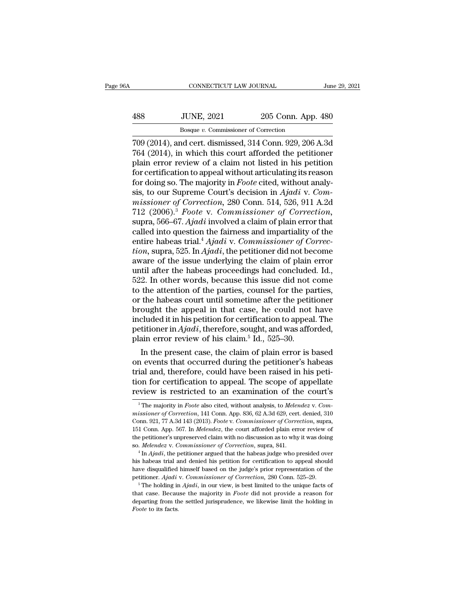# CONNECTICUT LAW JOURNAL June 29, 2021<br>488 JUNE, 2021 205 Conn. App. 480<br>Bosque v. Commissioner of Correction EXECTICUT LAW JOURNAL<br>JUNE, 2021 205 Conn. App<br>Bosque *v.* Commissioner of Correction<br>nd cert. dismissed 314 Conn. 929-206

CONNECTICUT LAW JOURNAL June 29, 2021<br>
488 JUNE, 2021 205 Conn. App. 480<br>
Bosque v. Commissioner of Correction<br>
709 (2014), and cert. dismissed, 314 Conn. 929, 206 A.3d<br>
764 (2014), in which this court afforded the petitio 188 JUNE, 2021 205 Conn. App. 480<br>
<sup>Bosque v. Commissioner of Correction</sup><br>
709 (2014), and cert. dismissed, 314 Conn. 929, 206 A.3d<br>
764 (2014), in which this court afforded the petitioner<br>
plain error review of a claim no 488 JUNE, 2021 205 Conn. App. 480<br>Bosque v. Commissioner of Correction<br>709 (2014), and cert. dismissed, 314 Conn. 929, 206 A.3d<br>764 (2014), in which this court afforded the petitioner<br>plain error review of a claim not lis 488 JUNE, 2021 205 Conn. App. 480<br>Bosque v. Commissioner of Correction<br>709 (2014), and cert. dismissed, 314 Conn. 929, 206 A.3d<br>764 (2014), in which this court afforded the petitioner<br>plain error review of a claim not lis For doing solven, 1911<br>Bosque v. Commissioner of Correction<br>709 (2014), and cert. dismissed, 314 Conn. 929, 206 A.3d<br>764 (2014), in which this court afforded the petitioner<br>plain error review of a claim not listed in his p Bosque *v.* Commissioner of Correction<br>
709 (2014), and cert. dismissed, 314 Conn. 929, 206 A.3d<br>
764 (2014), in which this court afforded the petitioner<br>
plain error review of a claim not listed in his petition<br>
for certi 709 (2014), and cert. dismissed, 314 Conn. 929, 206 A.3d<br>764 (2014), in which this court afforded the petitioner<br>plain error review of a claim not listed in his petition<br>for certification to appeal without articulating its 764 (2014), in which this court afforded the petitioner<br>plain error review of a claim not listed in his petition<br>for certification to appeal without articulating its reason<br>for doing so. The majority in *Foote* cited, with plain error review of a claim not listed in his petition<br>for certification to appeal without articulating its reason<br>for doing so. The majority in *Foote* cited, without analy-<br>sis, to our Supreme Court's decision in *Ajad* for certification to appeal without articulating its reason<br>for doing so. The majority in *Foote* cited, without analy-<br>sis, to our Supreme Court's decision in *Ajadi* v. *Com-*<br>missioner of Correction, 280 Conn. 514, 526, for doing so. The majority in *Foote* cited, without analysis, to our Supreme Court's decision in *Ajadi* v. *Commissioner of Correction*, 280 Conn. 514, 526, 911 A.2d 712 (2006).<sup>3</sup> *Foote* v. *Commissioner of Correction* sis, to our Supreme Court's decision in *Ajadi* v. *Commissioner of Correction*, 280 Conn. 514, 526, 911 A.2d<br>712 (2006).<sup>3</sup> *Foote* v. *Commissioner of Correction*,<br>supra, 566–67. *Ajadi* involved a claim of plain error t missioner of Correction, 280 Conn. 514, 526, 911 A.2d<br>712 (2006).<sup>3</sup> Foote v. Commissioner of Correction,<br>supra, 566–67. Ajadi involved a claim of plain error that<br>called into question the fairness and impartiality of the<br> 712 (2006).<sup>3</sup> *Foote v. Commissioner of Correction*, supra, 566–67. *Ajadi* involved a claim of plain error that called into question the fairness and impartiality of the entire habeas trial.<sup>4</sup> *Ajadi v. Commissioner of* supra, 566–67. Ajadi involved a claim of plain error that<br>called into question the fairness and impartiality of the<br>entire habeas trial.<sup>4</sup> Ajadi v. Commissioner of Correc-<br>tion, supra, 525. In Ajadi, the petitioner did no called into question the fairness and impartiality of the<br>entire habeas trial.<sup>4</sup> Ajadi v. Commissioner of Correc-<br>tion, supra, 525. In Ajadi, the petitioner did not become<br>aware of the issue underlying the claim of plain entire habeas trial.<sup>4</sup> *Ajadi* v. *Commissioner of Correction*, supra, 525. In *Ajadi*, the petitioner did not become aware of the issue underlying the claim of plain error until after the habeas proceedings had concluded tion, supra, 525. In *Ajadi*, the petitioner did not become<br>aware of the issue underlying the claim of plain error<br>until after the habeas proceedings had concluded. Id.,<br>522. In other words, because this issue did not come aware of the issue underlying the claim of plain error<br>until after the habeas proceedings had concluded. Id.,<br>522. In other words, because this issue did not come<br>to the attention of the parties, counsel for the parties,<br> until after the habeas proceedings had concluded. Id., 522. In other words, because this issue did not come to the attention of the parties, counsel for the parties, or the habeas court until sometime after the petitioner 522. In other words, because this issue did not to the attention of the parties, counsel for the pa<br>or the habeas court until sometime after the petit<br>brought the appeal in that case, he could not<br>included it in his petit the attention of the parties, counsel for the parties,<br>the habeas court until sometime after the petitioner<br>ought the appeal in that case, he could not have<br>cluded it in his petition for certification to appeal. The<br>titio or the habeas court until sometime after the petitioner<br>brought the appeal in that case, he could not have<br>included it in his petition for certification to appeal. The<br>petitioner in  $Ajadi$ , therefore, sought, and was afford

brought the appeal in that case, he could not have<br>included it in his petition for certification to appeal. The<br>petitioner in  $Ajadi$ , therefore, sought, and was afforded,<br>plain error review of his claim.<sup>5</sup> Id., 525–30.<br>In included it in his petition for certification to appeal. The<br>petitioner in  $Ajadi$ , therefore, sought, and was afforded,<br>plain error review of his claim.<sup>5</sup> Id., 525–30.<br>In the present case, the claim of plain error is base petitioner in *Ajaat*, therefore, sought, and was afforded,<br>plain error review of his claim.<sup>5</sup> Id., 525–30.<br>In the present case, the claim of plain error is based<br>on events that occurred during the petitioner's habeas<br>tr ial and, therefore, could have been raised in his peti-<br>ion for certification to appeal. The scope of appellate<br>view is restricted to an examination of the court's<br><sup>3</sup>The majority in *Foote* also cited, without analysis, t *trial and, therefore, could have been raised in his petition for certification to appeal. The scope of appellate review is restricted to an examination of the court's <sup>3</sup>The majority in <i>Foote also cited, without analysis* 

tion for certification to appeal. The scope of appellate<br>review is restricted to an examination of the court's<br><sup>3</sup>The majority in *Foote* also cited, without analysis, to *Melendez* v. *Commissioner of Correction*, 141 Con review is restricted to an examination of the court's<br>
<sup>3</sup>The majority in *Foote* also cited, without analysis, to *Melendez* v. *Commissioner of Correction*, 141 Conn. App. 836, 62 A.3d 629, cert. denied, 310<br>
Conn. 921, Teview IS Testricted to all examination of the court S<br>
<sup>3</sup> The majority in *Foote* also cited, without analysis, to *Melendez v. Commissioner of Correction*, 141 Conn. App. 836, 62 A.3d 629, cert. denied, 310<br>
Conn. 921, <sup>3</sup> The majority in *Foote* also cited, without analysis, to *Melendez* v. *Commissioner of Correction*, 141 Conn. App. 836, 62 A.3d 629, cert. denied, 310 Conn. 921, 77 A.3d 143 (2013). *Foote* v. *Commissioner of Correct* Conn. 921, 77 A.3d 143 (2013). *Foote v. Commissioner of Correction*, supra, 151 Conn. App. 567. In *Melendez*, the court afforded plain error review of the petitioner's unpreserved claim with no discussion as to why it w

<sup>151</sup> Conn. App. 567. In *Melendez*, the court afforded plain error review of the petitioner's unpreserved claim with no discussion as to why it was doing so. *Melendez* v. *Commissioner of Correction*, supra, 841.<br>
<sup>4</sup> In petitioner's unpreserved claim with no discussion as to why it was doing<br>to. *Melendez* v. *Commissioner of Correction*, supra, 841.<br><sup>4</sup> In *Ajadi*, the petitioner argued that the habeas judge who presided over<br>his habeas <sup>4</sup> In *Ajadi*, the petitioner argued that the habeas judge who presided over his habeas trial and denied his petition for certification to appeal should have disqualified himself based on the judge's prior representation have disqualified himself based on the judge's prior representation of the

departial and denied his petition for certification to appeal should have disqualified himself based on the judge's prior representation of the petitioner. Ajadi v. Commissioner of Correction, 280 Conn. 525–29.<br><sup>5</sup> The hol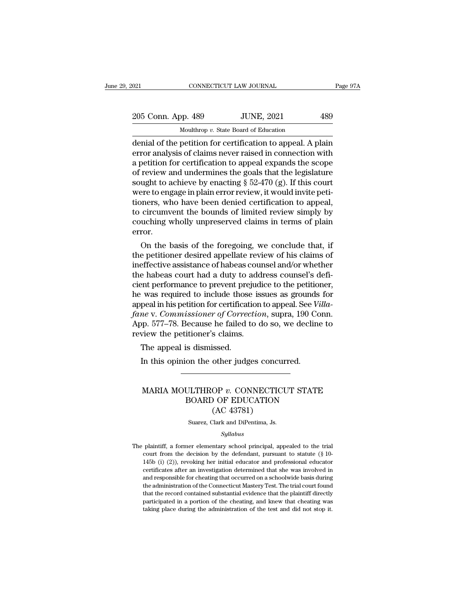| 021 |                    | CONNECTICUT LAW JOURNAL                                     | Page 97A |
|-----|--------------------|-------------------------------------------------------------|----------|
|     |                    |                                                             |          |
|     | 205 Conn. App. 489 | <b>JUNE, 2021</b>                                           | 489      |
|     |                    | Moulthrop v. State Board of Education                       |          |
|     |                    | denial of the netition for certification to anneal. A nlain |          |

on the petition for certification for annual of the scope<br>  $\frac{1}{\text{10}}$  and the petition for certification<br>
denial of the petition for certification to appeal. A plain<br>
error analysis of claims never raised in connection 205 Conn. App. 489 JUNE, 2021 489<br>Moulthrop v. State Board of Education<br>denial of the petition for certification to appeal. A plain<br>error analysis of claims never raised in connection with<br>a petition for certification to a 205 Conn. App. 489 JUNE, 2021 489<br>
Moulthrop v. State Board of Education<br>
denial of the petition for certification to appeal. A plain<br>
error analysis of claims never raised in connection with<br>
a petition for certification 205 Conn. App. 489 JUNE, 2021 489<br>
Moulthrop v. State Board of Education<br>
denial of the petition for certification to appeal. A plain<br>
error analysis of claims never raised in connection with<br>
a petition for certification Moulthrop v. State Board of Education<br>denial of the petition for certification to appeal. A plain<br>error analysis of claims never raised in connection with<br>a petition for certification to appeal expands the scope<br>of review Moulthrop v. State Board of Education<br>denial of the petition for certification to appeal. A plain<br>error analysis of claims never raised in connection with<br>a petition for certification to appeal expands the scope<br>of review denial of the petition for certification to appeal. A plain<br>error analysis of claims never raised in connection with<br>a petition for certification to appeal expands the scope<br>of review and undermines the goals that the legi error analysis of claims never raised in connection with<br>a petition for certification to appeal expands the scope<br>of review and undermines the goals that the legislature<br>sought to achieve by enacting § 52-470 (g). If this a petition for certification to appeal expands the scope<br>of review and undermines the goals that the legislature<br>sought to achieve by enacting § 52-470 (g). If this court<br>were to engage in plain error review, it would invi error. Ught to achieve by enacting  $\S$  52-470 (g). If this court<br>ere to engage in plain error review, it would invite peti-<br>oners, who have been denied certification to appeal,<br>circumvent the bounds of limited review simply by<br>u were to engage in piam error review, it would invite petitioners, who have been denied certification to appeal,<br>to circumvent the bounds of limited review simply by<br>couching wholly unpreserved claims in terms of plain<br>erro

tioners, who have been denied certification to appeal,<br>to circumvent the bounds of limited review simply by<br>couching wholly unpreserved claims in terms of plain<br>error.<br>On the basis of the foregoing, we conclude that, if<br>th to circumvent the bounds of imited review simply by<br>couching wholly unpreserved claims in terms of plain<br>error.<br>On the basis of the foregoing, we conclude that, if<br>the petitioner desired appellate review of his claims of<br>i couching wholly unpreserved claims in terms of plain<br>error.<br>On the basis of the foregoing, we conclude that, if<br>the petitioner desired appellate review of his claims of<br>ineffective assistance of habeas counsel and/or whet error.<br>
On the basis of the foregoing, we conclude that, if<br>
the petitioner desired appellate review of his claims of<br>
ineffective assistance of habeas counsel and/or whether<br>
the habeas court had a duty to address counsel On the basis of the foregoing, we conclude that, if<br>the petitioner desired appellate review of his claims of<br>ineffective assistance of habeas counsel and/or whether<br>the habeas court had a duty to address counsel's defi-<br>ci the petitioner desired appellate review of his claims of<br>ineffective assistance of habeas counsel and/or whether<br>the habeas court had a duty to address counsel's defi-<br>cient performance to prevent prejudice to the petition ineffective assistance of habeas counsel and/or whether<br>the habeas court had a duty to address counsel's defi-<br>cient performance to prevent prejudice to the petitioner,<br>he was required to include those issues as grounds fo the habeas court had a duty to add<br>cient performance to prevent prejudi<br>he was required to include those iss<br>appeal in his petition for certification<br>fane v. Commissioner of Correction<br>App. 577–78. Because he failed to d<br>r Profile to prevent prepare to the vas required to include those<br>peal in his petition for certificat<br>me v. Commissioner of Correc<br>pp. 577–78. Because he failed t<br>view the petitioner's claims.<br>The appeal is dismissed.<br>In thi peal in his petition for certification to appeal. See *V*<br> *Me* v. *Commissioner of Correction*, supra, 190 Co<br>
pp. 577–78. Because he failed to do so, we declin<br>
view the petitioner's claims.<br>
The appeal is dismissed.<br>
In

### The appeal is dismissed.<br>
In this opinion the other judges concurred.<br>
MARIA MOULTHROP *v*. CONNECTICUT STATE<br>
BOARD OF EDUCATION<br>
(AC 43781) is dismissed.<br>
on the other judges concurred.<br>
ULTHROP v. CONNECTICUT STATE<br>
BOARD OF EDUCATION<br>
(AC 43781) ssea.<br>
other judges concu<br>
OP v. CONNECTIC<br>
OF EDUCATION<br>
(AC 43781)<br>
Clark and DiPentima, Js. MARIA MOULTHROP  $v$ . CONNECTICUT STATE<br>BOARD OF EDUCATION<br>(AC 43781)<br>Suarez, Clark and DiPentima, Js.

### *Syllabus*

BOAKD OF EDUCATION<br>
(AC 43781)<br>
Suarez, Clark and DiPentima, Js.<br>
Syllabus<br>
The plaintiff, a former elementary school principal, appealed to the trial<br>
court from the decision by the defendant, pursuant to statute (§ 10-(AC 43781)<br>
Suarez, Clark and DiPentima, Js.<br> *Syllabus*<br>
plaintiff, a former elementary school principal, appealed to the trial<br>
court from the decision by the defendant, pursuant to statute (§ 10-<br>
145b (i) (2)), revoki 145 Suarez, Clark and DiPentima, Js.<br>
145 Syllabus<br>
145 Syllabus<br>
1456 (i) (2)), revoking her initial educator and professional educator<br>
145 (i) (2)), revoking her initial educator and professional educator<br>
145 Circles Syllabus<br>Syllabus<br>plaintiff, a former elementary school principal, appealed to the trial<br>court from the decision by the defendant, pursuant to statute (§ 10-<br>145b (i) (2)), revoking her initial educator and professional ed Syllabus<br>
Syllabus<br>
plaintiff, a former elementary school principal, appealed to the trial<br>
court from the decision by the defendant, pursuant to statute (§ 10-<br>
145b (i) (2)), revoking her initial educator and professiona plaintiff, a former elementary school principal, appealed to the trial court from the decision by the defendant, pursuant to statute (§ 10-145b (i) (2)), revoking her initial educator and professional educator certificates plantari, a folder elementary schoof philepal, appeared to the that court from the decision by the defendant, pursuant to statute  $(\S 10-145b)$  (i) (2)), revoking her initial educator and professional educator certificate particle in a model in a decision of the decisional educator certificates after an investigation determined that she was involved in and responsible for cheating that occurred on a schoolwide basis during the administrati 145b (i) (2)), revoking her initial educator and professional educator certificates after an investigation determined that she was involved in and responsible for cheating that occurred on a schoolwide basis during the ad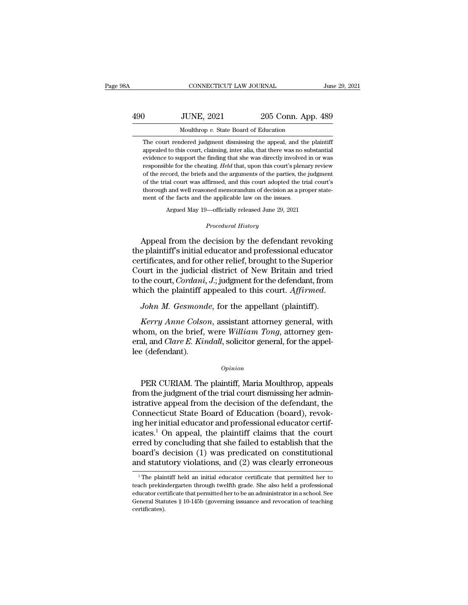# CONNECTICUT LAW JOURNAL June 29, 2021<br>490 JUNE, 2021 205 Conn. App. 489<br>Moulthrop v. State Board of Education CONNECTICUT LAW JOURNAL Jun<br>
10<br>
10<br>
10<br>
Moulthrop *v.* State Board of Education<br>
10<br>
The court rendered judgment dismissing the appeal, and the plaintiff JUNE, 2021 205 Conn. App. 489<br>Moulthrop v. State Board of Education<br>The court rendered judgment dismissing the appeal, and the plaintiff<br>appealed to this court, claiming, inter alia, that there was no substantial

JUNE, 2021 205 Conn. App. 489<br>Moulthrop v. State Board of Education<br>The court rendered judgment dismissing the appeal, and the plaintiff<br>appealed to this court, claiming, inter alia, that there was no substantial<br>evidence JUNE, 2021 205 Conn. App. 489<br>Moulthrop v. State Board of Education<br>The court rendered judgment dismissing the appeal, and the plaintiff<br>appealed to this court, claiming, inter alia, that there was no substantial<br>evidence Free Court rendered judgment dismissing the appeal, and the plaintiff appealed to this court, claiming, inter alia, that there was no substantial evidence to support the finding that she was directly involved in or was res Moulthrop  $v$ . State Board of Education<br>The court rendered judgment dismissing the appeal, and the plaintiff<br>appealed to this court, claiming, inter alia, that there was no substantial<br>evidence to support the finding that The court rendered judgment dismissing the appeal, and the plaintiff appealed to this court, claiming, inter alia, that there was no substantial evidence to support the finding that she was directly involved in or was resp and appealed to this court, claiming, inter alia, that there was no substantial apvience to support the finding that she was directly involved in or was responsible for the cheating. *Held* that, upon this court's plenary evidence to support the finding that she was directly involved in or was responsible for the cheating. *Held* that, upon this court's plenary review of the record, the briefs and the arguments of the parties, the judgment % of the record, the briefs and the arguments of the parties, the judgment of the trial court was affirmed, and this court adopted the trial court's thorough and well reasoned memorandum of decision as a proper statement ment of the facts and the applicable law on the issues.<br> *Argued May 19—officially released June 29, 2021*<br> *Procedural History*<br> *Procedural History* of the trial court was affirmed, and this court adopted the trial court's<br>thorough and well reasoned memorandum of decision as a proper state-<br>ment of the facts and the applicable law on the issues.<br>Argued May 19—officiall

thorough and well reasoned memorandum of decision as a proper statement of the facts and the applicable law on the issues.<br>Argued May 19—officially released June 29, 2021<br>*Procedural History*<br>Appeal from the decision by th ment of the facts and the applicable law on the issues.<br>
Argued May 19—officially released June 29, 2021<br>
Procedural History<br>
Appeal from the decision by the defendant revoking<br>
the plaintiff's initial educator and profess Argued May 19—officially released June 29, 2021<br>
Procedural History<br>
Appeal from the decision by the defendant revoking<br>
the plaintiff's initial educator and professional educator<br>
certificates, and for other relief, broug *Procedural History*<br>Appeal from the decision by the defendant revoking<br>the plaintiff's initial educator and professional educator<br>certificates, and for other relief, brought to the Superior<br>Court in the judicial district Appeal from the decision by the defendant revoking<br>the plaintiff's initial educator and professional educator<br>certificates, and for other relief, brought to the Superior<br>Court in the judicial district of New Britain and tr rtificates, and for other relief, brought to the Superior<br>
ourt in the judicial district of New Britain and tried<br>
the court, *Cordani*, *J*.; judgment for the defendant, from<br>
nich the plaintiff appealed to this court. *A* 

Court in the judicial district of New Britain and tried<br>to the court, *Cordani*, *J*.; judgment for the defendant, from<br>which the plaintiff appealed to this court. *Affirmed.*<br>*John M. Gesmonde*, for the appellant (plainti to the court, *Cordani*, *J*.; judgment for the defendant, from which the plaintiff appealed to this court. *Affirmed.*<br> *John M. Gesmonde*, for the appellant (plaintiff).<br> *Kerry Anne Colson*, assistant attorney general, which the plaintiff a<br>*John M. Gesmond*<br>*Kerry Anne Colso*<br>whom, on the brief,<br>eral, and *Clare E. Kin*<br>lee (defendant). Kerry Anne Colson, assistant attorney general, with<br>nom, on the brief, were William Tong, attorney gen-<br>al, and Clare E. Kindall, solicitor general, for the appel-<br>e (defendant).<br>Opinion<br>PER CURIAM. The plaintiff, Maria Mo

### *Opinion*

whom, on the brief, were William Tong, attorney general, and *Clare E. Kindall*, solicitor general, for the appel-<br>lee (defendant).<br>*Opinion*<br>PER CURIAM. The plaintiff, Maria Moulthrop, appeals<br>from the judgment of the tri eral, and *Clare E. Kindall*, solicitor general, for the appel-<br>lee (defendant).<br>*Opinion*<br>PER CURIAM. The plaintiff, Maria Moulthrop, appeals<br>from the judgment of the trial court dismissing her administrative appeal from  $\Omega_{\rm{spinion}}$ <br>
Common Definition (Definition of the trial court dismissing her administrative appeal from the decision of the defendant, the<br>
Connecticut State Board of Education (board), revok-<br>
ing her initial educator an *Opinion*<br>
PER CURIAM. The plaintiff, Maria Moulthrop, appeals<br>
from the judgment of the trial court dismissing her administrative appeal from the decision of the defendant, the<br>
Connecticut State Board of Education (boar FER CURIAM. The plaintiff, Maria Moulthrop, appeals<br>from the judgment of the trial court dismissing her administrative appeal from the decision of the defendant, the<br>Connecticut State Board of Education (board), revok-<br>ing PER CURIAM. The plaintiff, Maria Moulthrop, appeals<br>from the judgment of the trial court dismissing her administrative appeal from the decision of the defendant, the<br>Connecticut State Board of Education (board), revok-<br>in from the judgment of the trial court dismissing her administrative appeal from the decision of the defendant, the Connecticut State Board of Education (board), revoking her initial educator and professional educator certi istrative appeal from the decision of the defendant, the Connecticut State Board of Education (board), revoking her initial educator and professional educator certificates.<sup>1</sup> On appeal, the plaintiff claims that the cour ates.<sup>1</sup> On appeal, the plaintiff claims that the court<br>red by concluding that she failed to establish that the<br>pard's decision (1) was predicated on constitutional<br>ind statutory violations, and (2) was clearly erroneous<br><sup></sup> erred by concluding that she failed to establish that the board's decision (1) was predicated on constitutional and statutory violations, and (2) was clearly erroneous  $\frac{1}{1}$ The plaintiff held an initial educator certi

board's decision  $(1)$  was predicated on constitutional<br>and statutory violations, and  $(2)$  was clearly erroneous<br> $\frac{1}{1}$ The plaintiff held an initial educator certificate that permitted her to<br>teach prekindergarten thr and statutory violations, and  $(2)$  was clearly erroneous<br>  $\overline{ }$ <sup>1</sup>The plaintiff held an initial educator certificate that permitted her to<br>
teach prekindergarten through twelfth grade. She also held a professional<br>
edu certificates).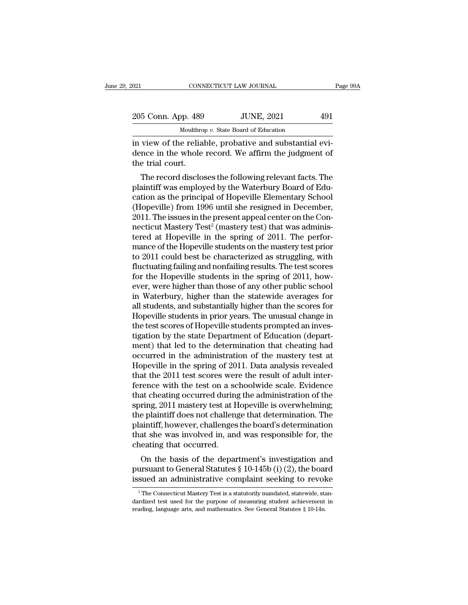| 021 |                    | CONNECTICUT LAW JOURNAL                                | Page 99A |
|-----|--------------------|--------------------------------------------------------|----------|
|     |                    |                                                        |          |
|     | 205 Conn. App. 489 | <b>JUNE, 2021</b>                                      | 491      |
|     |                    | Moulthrop v. State Board of Education                  |          |
|     |                    | in view of the reliable probative and substantial evi- |          |

olehorana in view of the reliable, probative and substantial evi-<br>dence in the whole record. We affirm the judgment of<br>the reliable record. We affirm the judgment of<br>the trial court 205 Conn. App. 489 JUNE, 2021 491<br>Moulthrop v. State Board of Education<br>in view of the reliable, probative and substantial evi-<br>dence in the whole record. We affirm the judgment of<br>the trial court. 205 Conn. App. 489<br>Moulthrom<br>in view of the relial<br>dence in the whole<br>the trial court.<br>The record disclos  $\frac{5 \text{ Conn. App. } 489}$  JUNE, 2021 491<br>
Moulthrop v. State Board of Education<br>
view of the reliable, probative and substantial evi-<br>
nce in the whole record. We affirm the judgment of<br>
e trial court.<br>
The record discloses the

Moulthrop  $v$ . State Board of Education<br>in view of the reliable, probative and substantial evi-<br>dence in the whole record. We affirm the judgment of<br>the trial court.<br>The record discloses the following relevant facts. The<br> in view of the reliable, probative and substantial evidence in the whole record. We affirm the judgment of<br>the trial court.<br>The record discloses the following relevant facts. The<br>plaintiff was employed by the Waterbury Boa In view of the Fenable, probative and substantial evidence in the whole record. We affirm the judgment of<br>the trial court.<br>The record discloses the following relevant facts. The<br>plaintiff was employed by the Waterbury Boar defice in the whole record. We arrifly the judgment of<br>the trial court.<br>The record discloses the following relevant facts. The<br>plaintiff was employed by the Waterbury Board of Edu-<br>cation as the principal of Hopeville Elem The record discloses the following relevant facts. The plaintiff was employed by the Waterbury Board of Education as the principal of Hopeville Elementary School (Hopeville) from 1996 until she resigned in December, 2011. The record discloses the following relevant facts. The plaintiff was employed by the Waterbury Board of Education as the principal of Hopeville Elementary School (Hopeville) from 1996 until she resigned in December, 2011. plaintiff was employed by the Waterbury Board of Education as the principal of Hopeville Elementary School (Hopeville) from 1996 until she resigned in December, 2011. The issues in the present appeal center on the Connecti cation as the principal of Hopeville Elementary School<br>(Hopeville) from 1996 until she resigned in December,<br>2011. The issues in the present appeal center on the Con-<br>necticut Mastery Test<sup>2</sup> (mastery test) that was admini (Hopeville) from 1996 until she resigned in December,<br>2011. The issues in the present appeal center on the Con-<br>necticut Mastery Test<sup>2</sup> (mastery test) that was adminis-<br>tered at Hopeville in the spring of 2011. The perfor 2011. The issues in the present appeal center on the Connecticut Mastery Test<sup>2</sup> (mastery test) that was administered at Hopeville in the spring of 2011. The performance of the Hopeville students on the mastery test prior necticut Mastery Test<sup>2</sup> (mastery test) that was administered at Hopeville in the spring of 2011. The performance of the Hopeville students on the mastery test prior to 2011 could best be characterized as struggling, with tered at Hopeville in the spring of 2011. The performance of the Hopeville students on the mastery test prior<br>to 2011 could best be characterized as struggling, with<br>fluctuating failing and nonfailing results. The test sco mance of the Hopeville students on the mastery test prior<br>to 2011 could best be characterized as struggling, with<br>fluctuating failing and nonfailing results. The test scores<br>for the Hopeville students in the spring of 2011 to 2011 could best be characterized as struggling, with<br>fluctuating failing and nonfailing results. The test scores<br>for the Hopeville students in the spring of 2011, how-<br>ever, were higher than those of any other public sc fluctuating failing and nonfailing results. The test scores<br>for the Hopeville students in the spring of 2011, how-<br>ever, were higher than those of any other public school<br>in Waterbury, higher than the statewide averages fo for the Hopeville students in the spring of 2011, however, were higher than those of any other public school<br>in Waterbury, higher than the statewide averages for<br>all students, and substantially higher than the scores for<br>H ever, were higher than those of any other public school<br>in Waterbury, higher than the statewide averages for<br>all students, and substantially higher than the scores for<br>Hopeville students in prior years. The unusual change in Waterbury, higher than the statewide averages for<br>all students, and substantially higher than the scores for<br>Hopeville students in prior years. The unusual change in<br>the test scores of Hopeville students prompted an inv all students, and substantially higher than the scores for<br>Hopeville students in prior years. The unusual change in<br>the test scores of Hopeville students prompted an inves-<br>tigation by the state Department of Education (de Hopeville students in prior years. The unusual change in<br>the test scores of Hopeville students prompted an inves-<br>tigation by the state Department of Education (depart-<br>ment) that led to the determination that cheating had the test scores of Hopeville students prompted an investigation by the state Department of Education (department) that led to the determination that cheating had occurred in the administration of the mastery test at Hopevi tigation by the state Department of Education (department) that led to the determination that cheating had occurred in the administration of the mastery test at Hopeville in the spring of 2011. Data analysis revealed that ment) that led to the determination that cheating had<br>occurred in the administration of the mastery test at<br>Hopeville in the spring of 2011. Data analysis revealed<br>that the 2011 test scores were the result of adult inter-<br> occurred in the administration of the mastery test at Hopeville in the spring of 2011. Data analysis revealed<br>that the 2011 test scores were the result of adult inter-<br>ference with the test on a schoolwide scale. Evidence<br> Hopeville in the spring of 2011. Data analysis revealed<br>that the 2011 test scores were the result of adult inter-<br>ference with the test on a schoolwide scale. Evidence<br>that cheating occurred during the administration of th that the 2011 test scores were the result of adult inter-<br>ference with the test on a schoolwide scale. Evidence<br>that cheating occurred during the administration of the<br>spring, 2011 mastery test at Hopeville is overwhelming ference with the test on a so<br>that cheating occurred during<br>spring, 2011 mastery test at H<br>the plaintiff does not challeng<br>plaintiff, however, challenges<br>that she was involved in, and<br>cheating that occurred.<br>On the basis o at cheating occurred during the administration of the<br>ring, 2011 mastery test at Hopeville is overwhelming;<br>e plaintiff does not challenge that determination. The<br>aintiff, however, challenges the board's determination<br>at spring, 2011 mastery test at nopevine is overwhentung,<br>the plaintiff does not challenge that determination. The<br>plaintiff, however, challenges the board's determination<br>that she was involved in, and was responsible for, th the plaintiff, however, challenges the board's determination. The<br>plaintiff, however, challenges the board's determination<br>that she was involved in, and was responsible for, the<br>cheating that occurred.<br>On the basis of the

On the basis of the department's investigation and<br>ursuant to General Statutes  $\S$  10-145b (i) (2), the board<br>sued an administrative complaint seeking to revoke<br> $\frac{1}{2}$ The Connecticut Mastery Test is a statutorily manda On the basis of the department's investigation and<br>pursuant to General Statutes § 10-145b (i) (2), the board<br>issued an administrative complaint seeking to revoke<br> $\frac{1}{2}$ The Connecticut Mastery Test is a statutorily mand pursuant to General Statutes § 10-145b (i) (2), the boardissued an administrative complaint seeking to revolence are all and mathematics. The Connecticut Mastery Test is a statutorily mandated, statewide, staturalized tes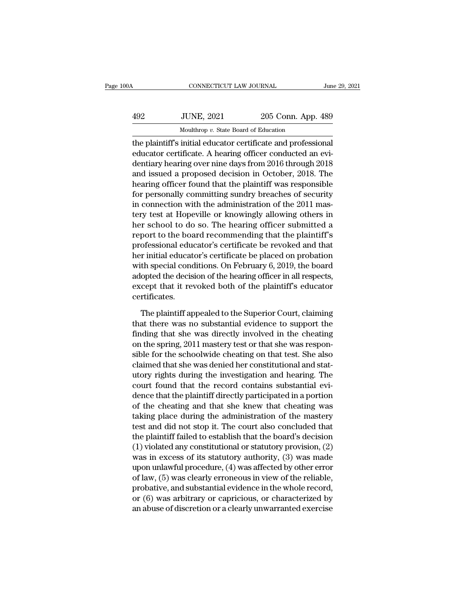| 0A  | CONNECTICUT LAW JOURNAL                                       |                    | June 29, 2021 |
|-----|---------------------------------------------------------------|--------------------|---------------|
| 492 | <b>JUNE, 2021</b>                                             | 205 Conn. App. 489 |               |
|     | Moulthrop v. State Board of Education                         |                    |               |
|     | the plaintiff's initial educator certificate and professional |                    |               |

CONNECTICUT LAW JOURNAL June 29, 20<br>
492 JUNE, 2021 205 Conn. App. 489<br>
Moulthrop v. State Board of Education<br>
the plaintiff's initial educator certificate and professional<br>
educator certificate. A hearing officer conducte 492 JUNE, 2021 205 Conn. App. 489<br>Moulthrop v. State Board of Education<br>the plaintiff's initial educator certificate and professional<br>educator certificate. A hearing officer conducted an evi-<br>dentiary hearing over nine day  $\frac{492}{400}$  JUNE, 2021 205 Conn. App. 489<br>
Moulthrop v. State Board of Education<br>
the plaintiff's initial educator certificate and professional<br>
educator certificate. A hearing officer conducted an evi-<br>
dentiary hearin  $\frac{492}{482}$  JUNE, 2021 205 Conn. App. 489<br>
Moulthrop v. State Board of Education<br>
the plaintiff's initial educator certificate and professional<br>
educator certificate. A hearing officer conducted an evi-<br>
dentiary hearin Moulthrop v. State Board of Education<br>the plaintiff's initial educator certificate and professional<br>educator certificate. A hearing officer conducted an evi-<br>dentiary hearing over nine days from 2016 through 2018<br>and issu  $\frac{1}{2}$  modulatop *v*. state board of Education<br>the plaintiff's initial educator certificate and professional<br>educator certificate. A hearing officer conducted an evi-<br>dentiary hearing over nine days from 2016 through 2 the plaintiff's initial educator certificate and professional<br>educator certificate. A hearing officer conducted an evi-<br>dentiary hearing over nine days from 2016 through 2018<br>and issued a proposed decision in October, 2018 educator certificate. A hearing officer conducted an evi-<br>dentiary hearing over nine days from 2016 through 2018<br>and issued a proposed decision in October, 2018. The<br>hearing officer found that the plaintiff was responsible dentiary hearing over nine days from 2016 through 2018<br>and issued a proposed decision in October, 2018. The<br>hearing officer found that the plaintiff was responsible<br>for personally committing sundry breaches of security<br>in and issued a proposed decision in October, 2018. The<br>hearing officer found that the plaintiff was responsible<br>for personally committing sundry breaches of security<br>in connection with the administration of the 2011 mas-<br>ter hearing officer found that the plaintiff was responsible<br>for personally committing sundry breaches of security<br>in connection with the administration of the 2011 mas-<br>tery test at Hopeville or knowingly allowing others in<br>h for personally committing sundry breaches of security<br>in connection with the administration of the 2011 mas-<br>tery test at Hopeville or knowingly allowing others in<br>her school to do so. The hearing officer submitted a<br>repor in connection with the administration of the 2011 mas-<br>tery test at Hopeville or knowingly allowing others in<br>her school to do so. The hearing officer submitted a<br>report to the board recommending that the plaintiff's<br>profe tery test at Hopeville or knowingly allowing others in<br>her school to do so. The hearing officer submitted a<br>report to the board recommending that the plaintiff's<br>professional educator's certificate be revoked and that<br>her her school to do so. The hearing officer submitted a<br>report to the board recommending that the plaintiff's<br>professional educator's certificate be revoked and that<br>her initial educator's certificate be placed on probation<br>w certificates. r initial educator's certificate be placed on probation<br>th special conditions. On February 6, 2019, the board<br>opted the decision of the hearing officer in all respects,<br>cept that it revoked both of the plaintiff's educator with special conditions. On February 6, 2019, the board<br>adopted the decision of the hearing officer in all respects,<br>except that it revoked both of the plaintiff's educator<br>certificates.<br>The plaintiff appealed to the Super

adopted the decision of the hearing officer in all respects,<br>except that it revoked both of the plaintiff's educator<br>certificates.<br>The plaintiff appealed to the Superior Court, claiming<br>that there was no substantial eviden except that it revoked both of the plaintiff's educator<br>certificates.<br>The plaintiff appealed to the Superior Court, claiming<br>that there was no substantial evidence to support the<br>finding that she was directly involved in t certificates.<br>The plaintiff appealed to the Superior Court, claiming<br>that there was no substantial evidence to support the<br>finding that she was directly involved in the cheating<br>on the spring, 2011 mastery test or that she The plaintiff appealed to the Superior Court, claiming<br>that there was no substantial evidence to support the<br>finding that she was directly involved in the cheating<br>on the spring, 2011 mastery test or that she was respon-<br>s The plaintiff appealed to the Superior Court, claiming<br>that there was no substantial evidence to support the<br>finding that she was directly involved in the cheating<br>on the spring, 2011 mastery test or that she was respon-<br>s that there was no substantial evidence to support the<br>finding that she was directly involved in the cheating<br>on the spring, 2011 mastery test or that she was respon-<br>sible for the schoolwide cheating on that test. She also finding that she was directly involved in the cheating<br>on the spring, 2011 mastery test or that she was respon-<br>sible for the schoolwide cheating on that test. She also<br>claimed that she was denied her constitutional and st on the spring, 2011 mastery test or that she was responsible for the schoolwide cheating on that test. She also claimed that she was denied her constitutional and statutory rights during the investigation and hearing. The sible for the schoolwide cheating on that test. She also<br>claimed that she was denied her constitutional and stat-<br>utory rights during the investigation and hearing. The<br>court found that the record contains substantial eviclaimed that she was denied her constitutional and stat-<br>utory rights during the investigation and hearing. The<br>court found that the record contains substantial evi-<br>dence that the plaintiff directly participated in a por utory rights during the investigation and hearing. The<br>court found that the record contains substantial evi-<br>dence that the plaintiff directly participated in a portion<br>of the cheating and that she knew that cheating was<br>t court found that the record contains substantial evi-<br>dence that the plaintiff directly participated in a portion<br>of the cheating and that she knew that cheating was<br>taking place during the administration of the mastery<br>te dence that the plaintiff directly participated in a portion<br>of the cheating and that she knew that cheating was<br>taking place during the administration of the mastery<br>test and did not stop it. The court also concluded that of the cheating and that she knew that cheating was<br>taking place during the administration of the mastery<br>test and did not stop it. The court also concluded that<br>the plaintiff failed to establish that the board's decision<br> taking place during the administration of the mastery<br>test and did not stop it. The court also concluded that<br>the plaintiff failed to establish that the board's decision<br>(1) violated any constitutional or statutory provis test and did not stop it. The court also concluded that<br>the plaintiff failed to establish that the board's decision<br>(1) violated any constitutional or statutory provision, (2)<br>was in excess of its statutory authority, (3) the plaintiff failed to establish that the board's decision<br>(1) violated any constitutional or statutory provision, (2)<br>was in excess of its statutory authority, (3) was made<br>upon unlawful procedure, (4) was affected by ot (1) violated any constitutional or statutory provision, (2) was in excess of its statutory authority, (3) was made upon unlawful procedure, (4) was affected by other error of law, (5) was clearly erroneous in view of the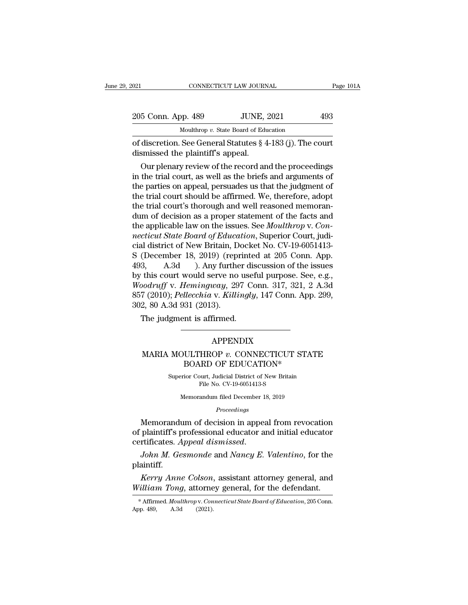| 2021 |                                   | CONNECTICUT LAW JOURNAL                                       | Page 101A |
|------|-----------------------------------|---------------------------------------------------------------|-----------|
|      | 205 Conn. App. 489                | <b>JUNE, 2021</b>                                             | 493       |
|      |                                   | Moulthrop v. State Board of Education                         |           |
|      | dismissed the plaintiff's appeal. | of discretion. See General Statutes $\S$ 4-183 (j). The court |           |
|      |                                   | Our plenary review of the record and the proceedings          |           |

 $\frac{5 \text{ Conn. App. 489}}{\text{Moulthrop } v. \text{ State Board of Education}}$ <br>discretion. See General Statutes § 4-183 (j). The court<br>smissed the plaintiff's appeal.<br>Our plenary review of the record and the proceedings<br>the trial court, as well as the briefs and 205 Conn. App. 489 JUNE, 2021 493<br>
Moulthrop v. State Board of Education<br>
of discretion. See General Statutes § 4-183 (j). The court<br>
dismissed the plaintiff's appeal.<br>
Our plenary review of the record and the proceedings Moulthrop v. State Board of Education<br>
of discretion. See General Statutes  $\S$  4-183 (j). The court<br>
dismissed the plaintiff's appeal.<br>
Our plenary review of the record and the proceedings<br>
in the trial court, as well as of discretion. See General Statutes § 4-183 (j). The court<br>dismissed the plaintiff's appeal.<br>Our plenary review of the record and the proceedings<br>in the trial court, as well as the briefs and arguments of<br>the parties on ap or discretion. See General statutes  $\S$  4-183 (J). The court<br>dismissed the plaintiff's appeal.<br>Our plenary review of the record and the proceedings<br>in the trial court, as well as the briefs and arguments of<br>the parties on dum of the record and the proceedings<br>in the trial court, as well as the briefs and arguments of<br>the parties on appeal, persuades us that the judgment of<br>the trial court should be affirmed. We, therefore, adopt<br>the trial Our plenary review of the record and the proceedings<br>in the trial court, as well as the briefs and arguments of<br>the parties on appeal, persuades us that the judgment of<br>the trial court should be affirmed. We, therefore, ad in the trial court, as well as the briefs and arguments of<br>the parties on appeal, persuades us that the judgment of<br>the trial court should be affirmed. We, therefore, adopt<br>the trial court's thorough and well reasoned memo the parties on appeal, persuades us that the judgment of<br>the trial court should be affirmed. We, therefore, adopt<br>the trial court's thorough and well reasoned memoran-<br>dum of decision as a proper statement of the facts an the trial court should be affirmed. We, therefore, adopt<br>the trial court's thorough and well reasoned memoran-<br>dum of decision as a proper statement of the facts and<br>the applicable law on the issues. See *Moulthrop* v. *Co* the trial court's thorough and well reasoned memorandum of decision as a proper statement of the facts and<br>the applicable law on the issues. See *Moulthrop v. Connecticut State Board of Education*, Superior Court, judi-<br>c dum of decision as a proper statement of the facts and<br>the applicable law on the issues. See *Moulthrop* v. *Con-*<br>necticut State Board of Education, Superior Court, judi-<br>cial district of New Britain, Docket No. CV-19-605 the applicable law on the issues. See *Moulthrop v. Connecticut State Board of Education*, Superior Court, judicial district of New Britain, Docket No. CV-19-6051413-<br>
S (December 18, 2019) (reprinted at 205 Conn. App.<br>
49 necticut State Board of Education, Superior Court, judicial district of New Britain, Docket No. CV-19-6051413-<br>S (December 18, 2019) (reprinted at 205 Conn. App.<br>493, A.3d ). Any further discussion of the issues<br>by this co cial district of New Britain, D<br>S (December 18, 2019) (repr<br>493, A.3d ). Any furthe<br>by this court would serve no<br>Woodruff v. Hemingway, 29<br>857 (2010); Pellecchia v. Killi<br>302, 80 A.3d 931 (2013).<br>The judgment is affirmed. (December 18, 2019) (reprime<br>
3, A.3d ). Any further dis<br>
this court would serve no use<br>
bodruff v. *Hemingway*, 297 Co<br>
7 (2010); *Pellecchia* v. *Killingly*<br>
2, 80 A.3d 931 (2013).<br>
The judgment is affirmed. 7 (2010); *Pellecchia* v. *Killingly*, 147 Conn. App. 299,<br>2, 80 A.3d 931 (2013).<br>The judgment is affirmed.<br>APPENDIX<br>MARIA MOULTHROP v. CONNECTICUT STATE<br>BOARD OF EDUCATION\*

### APPENDIX

## 31 (2013).<br>
Int is affirmed.<br>
APPENDIX<br>
ULTHROP v. CONNECTICUT STAT<br>
BOARD OF EDUCATION\*<br>
File No. CV 19.6051413.8  $\begin{minipage}{0.9\linewidth} \textbf{APPENDIX} \\ \textbf{MOULTHROP}\ v. \textbf{CONNECTICUT STATE} \\ \textbf{BOARD OF EDUCATION*} \\ \textbf{Superior Court, Judicial District of New Britain} \\ \textbf{File No. CV-19-6051413-S} \end{minipage}$  $\rm{APPENDIX} \ \rm{HROP} \ \emph{v. CONNECTICUT} \ \rm{RD} \ \rm{OF} \ \rm{EDUCATION*} \ \rm{but, \ \it{Judicial \ \it District \ of \ New \ \textrm{ Britain} \ \rm{File No. \ \rm{CV-19-6051413-S}} \ \rm{andum \ \rm{field \ \rm December \ 18. \ 2019}} \ \rm{and} \ \rm{on} \ \rm{file} \ \rm{December \ 18. \ 2019} \ \rm{and} \ \rm{in} \ \rm{f.} \ \rm{C} \ \rm{S} \ \rm{C} \ \rm{C} \ \rm{C} \ \rm{C} \$ DULTHROP v. CONNECTICUT STA<br>BOARD OF EDUCATION\*<br>rior Court, Judicial District of New Britain<br>File No. CV-19-6051413-S<br>Memorandum filed December 18, 2019<br>Proceedinas

### *Proceedings*

BOARD OF EDUCATION\*<br>
Superior Court, Judicial District of New Britain<br>
File No. CV-19-6051413-S<br>
Memorandum filed December 18, 2019<br> *Proceedings*<br>
Memorandum of decision in appeal from revocation<br>
plaintiff's professional Superior Court, Judicial District of New Britain<br>File No. CV-19-6051413-S<br>Memorandum filed December 18, 2019<br>*Proceedings*<br>Memorandum of decision in appeal from revocation<br>of plaintiff's professional educator and initial e File No. CV-19-6051413-S<br>File No. CV-19-6051413-S<br>*Proceedings*<br>Memorandum of decision in appeal from revocation<br>of plaintiff's professional educator and initial educator<br>certificates. Appeal dismissed.<br>*John M. Gesmonde Memorandum of decision in appeal from revocation*<br>plaintiff's professional educator and initial educator<br>rtificates. Appeal dismissed.<br>John M. Gesmonde and Nancy E. Valentino, for the<br>aintiff.<br>Kerry Anne Colson, assistant *Membrandam of decision in appear from revocation*<br>of plaintiff's professional educator and initial educator<br>certificates. *Appeal dismissed.*<br>*John M. Gesmonde and Nancy E. Valentino*, for the<br>plaintiff.<br>*Kerry Anne Colso* 

plaintiff.

*Kerry Anne Colson*, assistant attorney general, and *William Tong*, attorney general, for the defendant.<br>
\* Affirmed *Moulthropy*. *Connecticut State Board of Education*, 205 Conn.<br>
App. 489, A.3d (2021).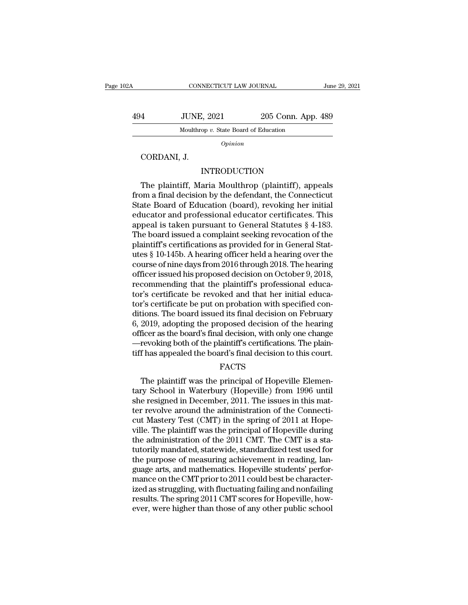CONNECTICUT LAW JOURNAL June 29, 2021<br>494 JUNE, 2021 205 Conn. App. 489<br>Moulthrop v. State Board of Education CONNECTICUT LAW JOURNAL<br>JUNE, 2021 205 Conn. App<br>Moulthrop *v.* State Board of Education 4 JUNE,<br>
Moulthrop<br>
CORDANI, J.<br>
IN

*Opinion*

### INTRODUCTION

Moulthrop v. State Board of Education<br>
Opinion<br>
CORDANI, J.<br>
INTRODUCTION<br>
The plaintiff, Maria Moulthrop (plaintiff), appeals<br>
om a final decision by the defendant, the Connecticut<br>
ato Board of Education (board), revolvi From a final decision by the defendant, the Connecticut<br>State Board of Education by the plaintiff, Maria Moulthrop (plaintiff), appeals<br>from a final decision by the defendant, the Connecticut<br>State Board of Education (boar  $\begin{array}{c} \text{Option} \ \text{CORDANI, J.} \end{array}$ <br>  $\begin{array}{c} \text{INTRODUCTION} \ \text{The plaintiff, Maria Moulthrop (plaintext), appeals} \ \text{from a final decision by the defendant, the Connecticut} \ \text{State Board of Education (board), revolving her initial educator and professional educator certificates. This: \ \text{append} is taken invariant to General Statistics 8.4.183. \end{array}$ cord Cord Maria Moulthrop (plaintiff), appeals<br>The plaintiff, Maria Moulthrop (plaintiff), appeals<br>from a final decision by the defendant, the Connecticut<br>State Board of Education (board), revoking her initial<br>educator and INTRODUCTION<br>
The plaintiff, Maria Moulthrop (plaintiff), appeals<br>
from a final decision by the defendant, the Connecticut<br>
State Board of Education (board), revoking her initial<br>
educator and professional educator certifi The plaintiff, Maria Moulthrop (plaintiff), appeals<br>from a final decision by the defendant, the Connecticut<br>State Board of Education (board), revoking her initial<br>educator and professional educator certificates. This<br>appea The plaintiff, Maria Moulthrop (plaintiff), appeals<br>from a final decision by the defendant, the Connecticut<br>State Board of Education (board), revoking her initial<br>educator and professional educator certificates. This<br>appe from a final decision by the defendant, the Connecticut<br>State Board of Education (board), revoking her initial<br>educator and professional educator certificates. This<br>appeal is taken pursuant to General Statutes § 4-183.<br>The State Board of Education (board), revoking her initial<br>educator and professional educator certificates. This<br>appeal is taken pursuant to General Statutes § 4-183.<br>The board issued a complaint seeking revocation of the<br>plai educator and professional educator certificates. This<br>appeal is taken pursuant to General Statutes § 4-183.<br>The board issued a complaint seeking revocation of the<br>plaintiff's certifications as provided for in General Statappeal is taken pursuant to General Statutes  $\S$  4-183.<br>The board issued a complaint seeking revocation of the<br>plaintiff's certifications as provided for in General Stat-<br>utes  $\S$  10-145b. A hearing officer held a hearing The board issued a complaint seeking revocation of the plaintiff's certifications as provided for in General Statutes § 10-145b. A hearing officer held a hearing over the course of nine days from 2016 through 2018. The hea plaintiff's certifications as provided for in General Statutes § 10-145b. A hearing officer held a hearing over the course of nine days from 2016 through 2018. The hearing officer issued his proposed decision on October 9, utes § 10-145b. A hearing officer held a hearing over the<br>course of nine days from 2016 through 2018. The hearing<br>officer issued his proposed decision on October 9, 2018,<br>recommending that the plaintiff's professional educ course of nine days from 2016 through 2018. The hearing<br>officer issued his proposed decision on October 9, 2018,<br>recommending that the plaintiff's professional educa-<br>tor's certificate be revoked and that her initial educa officer issued his proposed decision on October 9, 2018,<br>recommending that the plaintiff's professional educa-<br>tor's certificate be revoked and that her initial educa-<br>tor's certificate be put on probation with specified c recommending that the plaintiff's professional educator's certificate be revoked and that her initial educator's certificate be put on probation with specified conditions. The board issued its final decision on February 6, tor's certificate be revoked and that her initial educator's certificate be put on probation with specified conditions. The board issued its final decision on February 6, 2019, adopting the proposed decision of the hearing 2019, adopting the proposed decision of the hearing<br>ficer as the board's final decision, with only one change<br>revoking both of the plaintiff's certifications. The plain-<br>f has appealed the board's final decision to this co

### FACTS

tary School in Waterbury (Hopeville) from 1996 until revoking both of the plaintiff's certifications. The plaintiff has appealed the board's final decision to this court.<br>FACTS<br>The plaintiff was the principal of Hopeville Elementary School in Waterbury (Hopeville) from 1996 tiff has appealed the board's final decision to this court.<br>FACTS<br>The plaintiff was the principal of Hopeville Elementary School in Waterbury (Hopeville) from 1996 until<br>she resigned in December, 2011. The issues in this m FACTS<br>
The plaintiff was the principal of Hopeville Elementary School in Waterbury (Hopeville) from 1996 until<br>
she resigned in December, 2011. The issues in this matter<br>
revolve around the administration of the Connecti-<br> rac. The plaintiff was the principal of Hopeville Elementary School in Waterbury (Hopeville) from 1996 until<br>she resigned in December, 2011. The issues in this matter revolve around the administration of the Connecti-<br>cut The plaintiff was the principal of Hopeville Elementary School in Waterbury (Hopeville) from 1996 until she resigned in December, 2011. The issues in this matter revolve around the administration of the Connecticut Mastery tary School in Waterbury (Hopeville) from 1996 until<br>she resigned in December, 2011. The issues in this mat-<br>ter revolve around the administration of the Connecti-<br>cut Mastery Test (CMT) in the spring of 2011 at Hope-<br>vill she resigned in December, 2011. The issues in this matter revolve around the administration of the Connecticut Mastery Test (CMT) in the spring of 2011 at Hope-<br>ville. The plaintiff was the principal of Hopeville during<br>th ter revolve around the administration of the Connecticut Mastery Test (CMT) in the spring of 2011 at Hopeville. The plaintiff was the principal of Hopeville during the administration of the 2011 CMT. The CMT is a statutori cut Mastery Test (CMT) in the spring of 2011 at Hope-<br>ville. The plaintiff was the principal of Hopeville during<br>the administration of the 2011 CMT. The CMT is a sta-<br>tutorily mandated, statewide, standardized test used fo ville. The plaintiff was the principal of Hopeville during<br>the administration of the 2011 CMT. The CMT is a sta-<br>tutorily mandated, statewide, standardized test used for<br>the purpose of measuring achievement in reading, lan the administration of the 2011 CMT. The CMT is a statutorily mandated, statewide, standardized test used for the purpose of measuring achievement in reading, language arts, and mathematics. Hopeville students' performance tutorily mandated, statewide, standardized test used for<br>the purpose of measuring achievement in reading, language arts, and mathematics. Hopeville students' perfor-<br>mance on the CMT prior to 2011 could best be character-<br>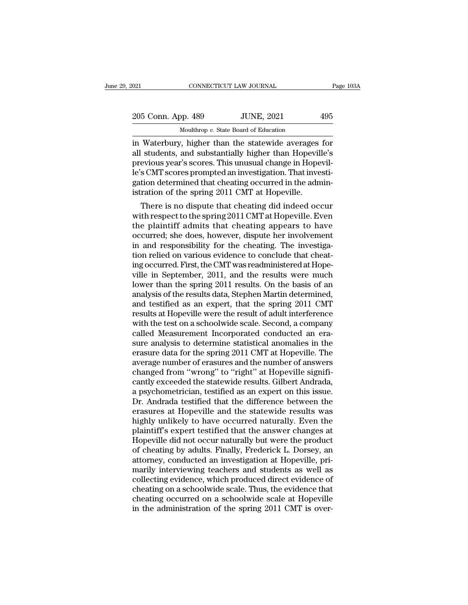| 021 |                    | CONNECTICUT LAW JOURNAL                              | Page 103A |
|-----|--------------------|------------------------------------------------------|-----------|
|     |                    |                                                      |           |
|     | 205 Conn. App. 489 | <b>JUNE, 2021</b>                                    | 495       |
|     |                    | Moulthrop v. State Board of Education                |           |
|     |                    | in Waterbury, higher than the statewide averages for |           |

Fage 103A<br>
1021 CONNECTICUT LAW JOURNAL Page 103A<br>
205 Conn. App. 489 JUNE, 2021 495<br>
1021 Moulthrop v. State Board of Education<br>
1031 Materbury, higher than the statewide averages for<br>
1031 Students, and substantially hig 205 Conn. App. 489 JUNE, 2021 495<br>Moulthrop v. State Board of Education<br>in Waterbury, higher than the statewide averages for<br>all students, and substantially higher than Hopeville's<br>previous year's scores. This unusual chan 205 Conn. App. 489 JUNE, 2021 495<br>Moulthrop v. State Board of Education<br>in Waterbury, higher than the statewide averages for<br>all students, and substantially higher than Hopeville's<br>previous year's scores. This unusual chan 205 Conn. App. 489 JUNE, 2021 495<br>
Moulthrop v. State Board of Education<br>
in Waterbury, higher than the statewide averages for<br>
all students, and substantially higher than Hopeville's<br>
previous year's scores. This unusual Moulthrop v. State Board of Education<br>in Waterbury, higher than the statewide averages for<br>all students, and substantially higher than Hopeville's<br>previous year's scores. This unusual change in Hopevil-<br>le's CMT scores pr Mouthrop v. State Board of Education<br>in Waterbury, higher than the statewide averages<br>all students, and substantially higher than Hopevil<br>previous year's scores. This unusual change in Hope<br>le's CMT scores prompted an inve waterbury, higher than the statewide averages for<br>students, and substantially higher than Hopeville's<br>evious year's scores. This unusual change in Hopevil-<br>s CMT scores prompted an investigation. That investi-<br>tion determi all students, and substantially higher than Hopeville's<br>previous year's scores. This unusual change in Hopevil-<br>le's CMT scores prompted an investigation. That investi-<br>gation determined that cheating occurred in the admin

previous year s scores. This unusual change in Hopevil-<br>le's CMT scores prompted an investigation. That investi-<br>gation determined that cheating occurred in the administration of the spring 2011 CMT at Hopeville.<br>There is re s CM1 scores prompted an investigation. That investigation determined that cheating occurred in the administration of the spring 2011 CMT at Hopeville.<br>There is no dispute that cheating did indeed occur<br>with respect to gation determined that cheating occurred in the administration of the spring 2011 CMT at Hopeville.<br>There is no dispute that cheating did indeed occur<br>with respect to the spring 2011 CMT at Hopeville. Even<br>the plaintiff ad Istration of the spring 2011 CMT at Hopeville.<br>There is no dispute that cheating did indeed occur<br>with respect to the spring 2011 CMT at Hopeville. Even<br>the plaintiff admits that cheating appears to have<br>occurred; she does There is no dispute that cheating did indeed occur<br>with respect to the spring 2011 CMT at Hopeville. Even<br>the plaintiff admits that cheating appears to have<br>occurred; she does, however, dispute her involvement<br>in and respo with respect to the spring 2011 CMT at Hopeville. Even<br>the plaintiff admits that cheating appears to have<br>occurred; she does, however, dispute her involvement<br>in and responsibility for the cheating. The investiga-<br>tion rel the plaintiff admits that cheating appears to have<br>occurred; she does, however, dispute her involvement<br>in and responsibility for the cheating. The investiga-<br>tion relied on various evidence to conclude that cheat-<br>ing occ occurred; she does, however, dispute her involvement<br>in and responsibility for the cheating. The investiga-<br>tion relied on various evidence to conclude that cheat-<br>ing occurred. First, the CMT was readministered at Hope-<br>v in and responsibility for the cheating. The investigation relied on various evidence to conclude that cheating occurred. First, the CMT was readministered at Hopeville in September, 2011, and the results were much lower th tion relied on various evidence to conclude that cheating occurred. First, the CMT was readministered at Hopeville in September, 2011, and the results were much lower than the spring 2011 results. On the basis of an analys ing occurred. First, the CMT was readministered at Hope-<br>ville in September, 2011, and the results were much<br>lower than the spring 2011 results. On the basis of an<br>analysis of the results data, Stephen Martin determined,<br>a ville in September, 2011, and the results were much<br>lower than the spring 2011 results. On the basis of an<br>analysis of the results data, Stephen Martin determined,<br>and testified as an expert, that the spring 2011 CMT<br>resul lower than the spring 2011 results. On the basis of an analysis of the results data, Stephen Martin determined, and testified as an expert, that the spring 2011 CMT results at Hopeville were the result of adult interferenc analysis of the results data, Stephen Martin determined,<br>and testified as an expert, that the spring 2011 CMT<br>results at Hopeville were the result of adult interference<br>with the test on a schoolwide scale. Second, a compan and testified as an expert, that the spring 2011 CMT<br>results at Hopeville were the result of adult interference<br>with the test on a schoolwide scale. Second, a company<br>called Measurement Incorporated conducted an era-<br>sure results at Hopeville were the result of adult interference<br>with the test on a schoolwide scale. Second, a company<br>called Measurement Incorporated conducted an era-<br>sure analysis to determine statistical anomalies in the<br>er with the test on a schoolwide scale. Second, a company<br>called Measurement Incorporated conducted an era-<br>sure analysis to determine statistical anomalies in the<br>erasure data for the spring 2011 CMT at Hopeville. The<br>averag called Measurement Incorporated conducted an era-<br>sure analysis to determine statistical anomalies in the<br>erasure data for the spring 2011 CMT at Hopeville. The<br>average number of erasures and the number of answers<br>changed sure analysis to determine statistical anomalies in the<br>erasure data for the spring 2011 CMT at Hopeville. The<br>average number of erasures and the number of answers<br>changed from "wrong" to "right" at Hopeville signifi-<br>cant erasure data for the spring 2011 CMT at Hopeville. The<br>average number of erasures and the number of answers<br>changed from "wrong" to "right" at Hopeville signifi-<br>cantly exceeded the statewide results. Gilbert Andrada,<br>a ps average number of erasures and the number of answers<br>changed from "wrong" to "right" at Hopeville signifi-<br>cantly exceeded the statewide results. Gilbert Andrada,<br>a psychometrician, testified as an expert on this issue.<br>Dr changed from "wrong" to "right" at Hopeville significantly exceeded the statewide results. Gilbert Andrada, a psychometrician, testified as an expert on this issue.<br>Dr. Andrada testified that the difference between the era cantly exceeded the statewide results. Gilbert Andrada,<br>a psychometrician, testified as an expert on this issue.<br>Dr. Andrada testified that the difference between the<br>erasures at Hopeville and the statewide results was<br>hig a psychometrician, testified as an expert on this issue.<br>Dr. Andrada testified that the difference between the<br>erasures at Hopeville and the statewide results was<br>highly unlikely to have occurred naturally. Even the<br>plaint Dr. Andrada testified that the difference between the erasures at Hopeville and the statewide results was highly unlikely to have occurred naturally. Even the plaintiff's expert testified that the answer changes at Hopevil erasures at Hopeville and the statewide results was<br>highly unlikely to have occurred naturally. Even the<br>plaintiff's expert testified that the answer changes at<br>Hopeville did not occur naturally but were the product<br>of che highly unlikely to have occurred naturally. Even the plaintiff's expert testified that the answer changes at Hopeville did not occur naturally but were the product of cheating by adults. Finally, Frederick L. Dorsey, an at plaintiff's expert testified that the answer changes at<br>Hopeville did not occur naturally but were the product<br>of cheating by adults. Finally, Frederick L. Dorsey, an<br>attorney, conducted an investigation at Hopeville, pri-Hopeville did not occur naturally but were the product<br>of cheating by adults. Finally, Frederick L. Dorsey, an<br>attorney, conducted an investigation at Hopeville, pri-<br>marily interviewing teachers and students as well as<br>co of cheating by adults. Finally, Frederick L. Dorsey, an attorney, conducted an investigation at Hopeville, primarily interviewing teachers and students as well as collecting evidence, which produced direct evidence of chea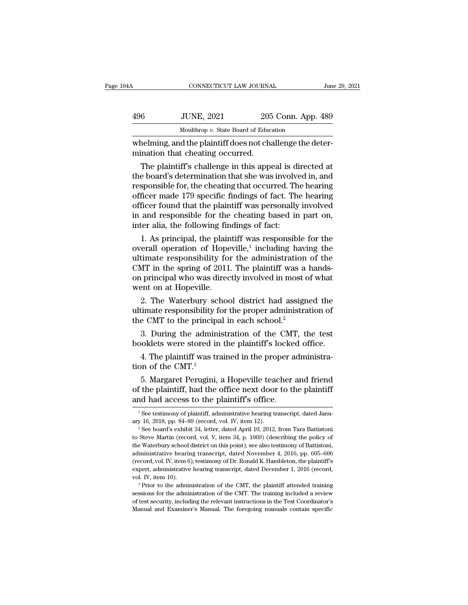| A <sub>A</sub> | CONNECTICUT LAW JOURNAL                                                                       |                    | June 29, 2021 |
|----------------|-----------------------------------------------------------------------------------------------|--------------------|---------------|
| 496            | <b>JUNE, 2021</b>                                                                             | 205 Conn. App. 489 |               |
|                | Moulthrop v. State Board of Education                                                         |                    |               |
|                | whelming, and the plaintiff does not challenge the deter-<br>mination that cheating occurred. |                    |               |
|                | The plaint if is challenge in this appeal is directed at                                      |                    |               |

 $\frac{3000 \text{ JUNE}}{10000 \text{ J}}$   $\frac{3021}{205}$   $\frac{205 \text{ Conn.}$  App. 489<br>  $\frac{3000 \text{ Mouthrop } v.$  State Board of Education<br>  $\frac{30000 \text{ A}}{2000 \text{ A}}$   $\frac{3000 \text{ A}}{2000 \text{ A}}$  and  $\frac{30000 \text{ A}}{2000 \text{ A}}$   $\frac{30000 \text{ A}}{2000 \text{ A}}$   $\frac{1000}{205 \text{ Conn.} \text{ App. } 489}$ <br>  $\frac{1000}{205 \text{ Count.} \text{ App. } 489}$ <br>  $\frac{1000}{205 \text{ Count.} \text{ App. } 489}$ <br>  $\frac{1000}{205 \text{ children}}$ <br>  $\frac{1000}{205 \text{ children}}$ <br>  $\frac{1000}{205 \text{ children}}$ <br>  $\frac{1000}{205 \text{ children}}$ <br>  $\frac{1000}{205 \text{ month}}$ <br>  $\frac{1000}{205 \text{ month}}$ <br>  $\frac{1$ Moulthrop  $v$ . State Board of Education<br>
whelming, and the plaintiff does not challenge the deter-<br>
mination that cheating occurred.<br>
The plaintiff's challenge in this appeal is directed at<br>
the board's determination that of the plaintiff does not challenge the deter-<br>mination that cheating occurred.<br>The plaintiff's challenge in this appeal is directed at<br>the board's determination that she was involved in, and<br>responsible for, the cheating whelming, and the plaintiff does not challenge the deter-<br>mination that cheating occurred.<br>The plaintiff's challenge in this appeal is directed at<br>the board's determination that she was involved in, and<br>responsible for, th mination that cheating occurred.<br>
The plaintiff's challenge in this appeal is directed at<br>
the board's determination that she was involved in, and<br>
responsible for, the cheating that occurred. The hearing<br>
officer made 179 The plaintiff's challenge in this appeal is different or the board's determination that she was involved responsible for, the cheating that occurred. Therefore made 179 specific findings of fact. Therefore found that the p e board's determination that she was involved in, and<br>sponsible for, the cheating that occurred. The hearing<br>ficer made 179 specific findings of fact. The hearing<br>ficer found that the plaintiff was personally involved<br>and responsible for, the cheating that occur<br>officer made 179 specific findings of fa<br>officer found that the plaintiff was per:<br>in and responsible for the cheating ba<br>inter alia, the following findings of fac<br>1. As principal, including the nearing<br>is of fact. The hearing<br>including based in part on,<br>of fact:<br>is responsible for the<br>including having the<br>dministration of the<br>plaintiff was a hands

officer made 179 spectic findings of fact. The hearing<br>officer found that the plaintiff was personally involved<br>in and responsible for the cheating based in part on,<br>inter alia, the following findings of fact:<br>1. As princ officer found that the plaintiff was personally involved<br>in and responsible for the cheating based in part on,<br>inter alia, the following findings of fact:<br>1. As principal, the plaintiff was responsible for the<br>overall oper in and responsible for the cheating based in part on,<br>inter alia, the following findings of fact:<br>1. As principal, the plaintiff was responsible for the<br>overall operation of Hopeville,<sup>1</sup> including having the<br>ultimate res mter ana, the following fin<br>1. As principal, the plain<br>overall operation of Hope<br>ultimate responsibility for<br>CMT in the spring of 2011<br>on principal who was direc<br>went on at Hopeville.<br>2. The Waterbury schoo 1. As principal, the plaintiff was responsible for the<br>erall operation of Hopeville,<sup>1</sup> including having the<br>timate responsibility for the administration of the<br>MT in the spring of 2011. The plaintiff was a hands-<br>princip overall operation of Hopeville,<sup>1</sup> including naving the<br>ultimate responsibility for the administration of the<br>CMT in the spring of 2011. The plaintiff was a hands-<br>on principal who was directly involved in most of what<br>wen ultimate responsibility for the administration<br>CMT in the spring of 2011. The plaintiff was a<br>on principal who was directly involved in most c<br>went on at Hopeville.<br>2. The Waterbury school district had assign<br>ultimate resp

3. During of 2011. The plant was a natural principal who was directly involved in most of what ent on at Hopeville.<br>
2. The Waterbury school district had assigned the timate responsibility for the proper administration of booklets when the was already involved in these of what<br>went on at Hopeville.<br>2. The Waterbury school district had assigned the<br>ultimate responsibility for the proper administration of<br>the CMT to the principal in each scho 2. The Waterbury school district had assigned the timate responsibility for the proper administration of e CMT to the principal in each school.<sup>2</sup><br>3. During the administration of the CMT, the test ooklets were stored in t The *Materials* of the CMT to the principal<br>3. During the admin.<br>booklets were stored in<br>4. The plaintiff was tr<br>tion of the CMT.<sup>3</sup><br>5. Margaret Perugini,

e CMT to the principal in each school.<sup>2</sup><br>
3. During the administration of the CMT, the test<br>
oklets were stored in the plaintiff's locked office.<br>
4. The plaintiff was trained in the proper administra-<br>
on of the CMT.<sup>3</sup><br> % 3. During the administration of the CMT, the test booklets were stored in the plaintiff's locked office.<br>4. The plaintiff was trained in the proper administration of the CMT.<sup>3</sup><br>5. Margaret Perugini, a Hopeville teacher booklets were stored in the plaintiff's locke<br>4. The plaintiff was trained in the proper a<br>tion of the CMT.<sup>3</sup><br>5. Margaret Perugini, a Hopeville teacher<br>of the plaintiff, had the office next door to the<br>and had access to 5. Margaret Perugini, a Hopeville teacher and friend<br>f the plaintiff, had the office next door to the plaintiff<br>ind had access to the plaintiff's office.<br> $\frac{1}{1}$ See testimony of plaintiff, administrative hearing transcr 5. Margaret Perugini, a Hopeville teacher and friend<br>of the plaintiff, had the office next door to the plaintiff<br>and had access to the plaintiff's office.<br> $\frac{1}{1}$ See testimony of plaintiff, administrative hearing transc

of the plantim, that the office field door to the plantim<br>and had access to the plaintiff's office.<br>The set estimony of plaintiff, administrative hearing transcript, dated January 16, 2018, pp. 84–89 (record, vol. IV, item The Waterbury school district on this point); see also testimony of plaintiff, administrative hearing transcript, dated January 16, 2018, pp. 84–89 (record, vol. IV, item 12).<br>
<sup>2</sup> See board's exhibit 34, letter, dated Ap <sup>1</sup> See testimony of plaintiff, administrative hearing transcript, dated January 16, 2018, pp. 84–89 (record, vol. IV, item 12).<br><sup>2</sup> See board's exhibit 34, letter, dated April 10, 2012, from Tara Battistoni to Steve Mart ary 16, 2018, pp. 84–89 (record, vol. IV, item 12).<br>
<sup>2</sup> See board's exhibit 34, letter, dated April 10, 2012, from Tara Battistoni<br>
to Steve Martin (record, vol. V, item 34, p. 1069) (describing the policy of<br>
the Waterbu expert, administrative hearing transcript, dated December 1, 2016, pp. 605–606 (record, vol. IV, item 34, p. 1069) (describing the policy of the Waterbury school district on this point); see also testimony of Battistoni, to Steve Martin (record, vol. V, item 34, p. 1069) (describing the policy of the Waterbury school district on this point); see also testimony of Battistoni, administrative hearing transcript, dated November 4, 2016, pp. 6 administrative hearing transcript, dated November 4, 2016, pp. 605–606 (record, vol. IV, item 6); testimony of Dr. Ronald K. Hambleton, the plaintiff's expert, administrative hearing transcript, dated December 1, 2016 (rec administrative hearing transcript, dated November 4, 2016, pp. 605–606 (record, vol. IV, item 6); testimony of Dr. Ronald K. Hambleton, the plaintiff's expert, administrative hearing transcript, dated December 1, 2016 (rec expert, administrative hearing transcript, dated December 1, 2016 (record,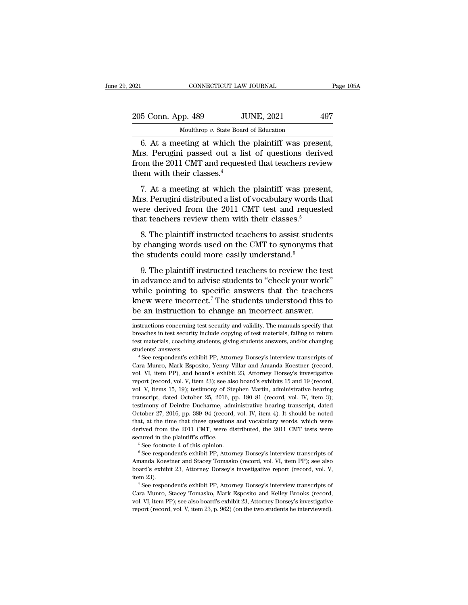| 2021                                                                                                          | CONNECTICUT LAW JOURNAL                             | Page 105A |
|---------------------------------------------------------------------------------------------------------------|-----------------------------------------------------|-----------|
| 205 Conn. App. 489                                                                                            | <b>JUNE, 2021</b>                                   | 497       |
|                                                                                                               | Moulthrop v. State Board of Education               |           |
| Mrs. Perugini passed out a list of questions derived<br>from the 2011 CMT and requested that topology raviour | 6. At a meeting at which the plaintiff was present, |           |

205 Conn. App. 489 JUNE, 2021 497<br>Moulthrop v. State Board of Education<br>6. At a meeting at which the plaintiff was present,<br>Mrs. Perugini passed out a list of questions derived<br>from the 2011 CMT and requested that teachers From 2013 Conn. App. 489 JUNE, 2021 497<br>
Moulthrop v. State Board of Education<br>
6. At a meeting at which the plaintiff was present,<br>
Mrs. Perugini passed out a list of questions derived<br>
from the 2011 CMT and requested th 205 Conn. App. 489 JJ<br>
Moulthrop v. State Board<br>
6. At a meeting at which the Mrs. Perugini passed out a list<br>
from the 2011 CMT and request<br>
them with their classes.<sup>4</sup><br>
7. At a meeting at which the Moulthrop v. State Board of Education<br>
6. At a meeting at which the plaintiff was present,<br>
rs. Perugini passed out a list of questions derived<br>
bom the 2011 CMT and requested that teachers review<br>
em with their classes.<sup></sup> 6. At a meeting at which the plaintiff was present,<br>Mrs. Perugini passed out a list of questions derived<br>from the 2011 CMT and requested that teachers review<br>them with their classes.<sup>4</sup><br>7. At a meeting at which the plaint

Mrs. Perugini passed out a list of questions derived<br>from the 2011 CMT and requested that teachers review<br>them with their classes.<sup>4</sup><br>7. At a meeting at which the plaintiff was present,<br>Mrs. Perugini distributed a list of From the 2011 CMT and requested that teachers review them with their classes.<sup>4</sup><br>7. At a meeting at which the plaintiff was present Mrs. Perugini distributed a list of vocabulary words there derived from the 2011 CMT test 9. The plaintiff was present,<br>
1. At a meeting at which the plaintiff was present,<br>
1. The plaintificant instructed a list of vocabulary words that<br>
1. The plaintiff instructed teachers to assist students<br>
1. The plaintif 7. At a meeting at which the plaintiff was present,<br>Mrs. Perugini distributed a list of vocabulary words that<br>were derived from the 2011 CMT test and requested<br>that teachers review them with their classes.<sup>5</sup><br>8. The plain The students could more that the students were derived from the 2011 CMT test and requesthat teachers review them with their classes.<sup>5</sup><br>8. The plaintiff instructed teachers to assist studely changing words used on the CMT

Pre derived from the 2011 CMT test and requested<br>at teachers review them with their classes.<sup>5</sup><br>8. The plaintiff instructed teachers to assist students<br>changing words used on the CMT to synonyms that<br>at e students could mo

that teachers review them with their classes.<sup>9</sup><br>8. The plaintiff instructed teachers to assist students<br>by changing words used on the CMT to synonyms that<br>the students could more easily understand.<sup>6</sup><br>9. The plaintiff in 8. The plaintiff instructed teachers to assist students<br>by changing words used on the CMT to synonyms that<br>the students could more easily understand.<sup>6</sup><br>9. The plaintiff instructed teachers to review the test<br>in advance a by changing words used on the CMT to synonyms that<br>the students could more easily understand.<sup>6</sup><br>9. The plaintiff instructed teachers to review the test<br>in advance and to advise students to "check your work"<br>while pointin be an instruction to change an incorrect answer.<br>
The plaintiff instructed teachers to review the test<br>
in advance and to advise students to "check your work"<br>
while pointing to specific answers that the teachers<br>
knew we in advance and to advise students to "check your work"<br>while pointing to specific answers that the teachers<br>knew were incorrect.<sup>7</sup> The students understood this to<br>be an instruction to change an incorrect answer.<br>instructi while pointing to specific answers that the teachers<br>knew were incorrect.<sup>7</sup> The students understood this to<br>be an instruction to change an incorrect answer.<br>instructions concerning test security and validity. The manuals

that, at the time that these questions and vocabulary words, which were<br>derived from the 2011 CMT, were distributed, the 2011 CMT tests were<br>secured in the plaintiff's office.<br><sup>5</sup> See footnote 4 of this opinion.<br><sup>6</sup> See re that, at the time that these questions and vocabulary words, which were derived from the 2011 CMT, were distributed, the 2011 CMT tests were secured in the plaintiff's office.<br>
<sup>5</sup> See footnote 4 of this opinion.<br>
<sup>6</sup> See secured in the plaintiff's office.<br>
<sup>5</sup> See footnote 4 of this opinion.<br>
<sup>6</sup> See respondent's exhibit PP, Attorney Dorsey's interview transcripts of<br>
Amanda Koestner and Stacey Tomasko (record, vol. VI, item PP); see also<br> board's exhibit 23, Attorney Dorsey's investigative report (record, vol. V,

Amanda Koestner and Stacey Tomasko (record, vol. VI, item PP); see also<br>board's exhibit 23, Attorney Dorsey's investigative report (record, vol. V,<br>item 23).<br><sup>7</sup> See respondent's exhibit PP, Attorney Dorsey's interview tra Amanda Koestner and Stacey Tomasko (record, vol. VI, item PP); see also board's exhibit 23, Attorney Dorsey's investigative report (record, vol. V, item 23).<br>
<sup>7</sup> See respondent's exhibit PP, Attorney Dorsey's interview tr

knew were incorrect.<sup>7</sup> The students understood this to<br>be an instruction to change an incorrect answer.<br>instructions concerning test security and validity. The manuals specify that<br>breaches in test security include copyin be an instruction to change an incorrect answer.<br>
instructions concerning test security and validity. The manuals specify that<br>
breaches in test security include copying of test materials, failing to return<br>
test materials instructions concerning test security and validity. The manuals specify that<br>breaches in test security include copying of test materials, failing to return<br>test materials, coaching students, giving students answers, and/or

breaches in test security include copying of test materials, failing to return<br>test materials, coaching students, giving students answers, and/or changing<br>students' answers.<br>"See respondent's exhibit PP, Attorney Dorsey's rest materials, coaching students, giving students answers, and/or changing students' answers.<br>
<sup>4</sup> See respondent's exhibit PP, Attorney Dorsey's interview transcripts of Cara Munro, Mark Esposito, Yenny Villar and Amanda students' answers.<br>
<sup>4</sup> See respondent's exhibit PP, Attorney Dorsey's interview transcripts of<br>
<sup>4</sup> See respondent's exhibit PP, Attorney Dorsey's interview transcripts of<br>
Cara Munro, Mark Esposito, Yenny Villar and Aman <sup>4</sup> See respondent's exhibit PP, Attorney Dorsey's interview transcripts of Cara Munro, Mark Esposito, Yenny Villar and Amanda Koestner (record, vol. VI, item PP), and board's exhibit 23, Attorney Dorsey's investigative re Cara Munro, Mark Esposito, Yenny Villar and Amanda Koestner (record, vol. VI, item PP), and board's exhibit 23, Attorney Dorsey's investigative report (record, vol. V, item 23); see also board's exhibits 15 and 19 (record, vol. VI, item PP), and board's exhibit 23, Attorney Dorsey's investigative report (record, vol. V, item 23); see also board's exhibits 15 and 19 (record, vol. V, items 15, 19); testimony of Stephen Martin, administrative h that, at the time that, at the time that these questions and vocabulary words, which were derived by, items 15, 19); testimony of Stephen Martin, administrative hearing transcript, dated October 25, 2016, pp. 180–81 (reco vel. V, items 15, 19); testimony of Stephen Martin, administrative hearing transcript, dated October 25, 2016, pp. 180–81 (record, vol. IV, item 3); testimony of Deirdre Ducharme, administrative hearing transcript, dated O transcript, dated October 25, 2016, pp. 180–81 (record, vol. IV, item 3);<br>testimony of Deirdre Ducharme, administrative hearing transcript, dated<br>October 27, 2016, pp. 389–94 (record, vol. IV, item 4). It should be noted<br>t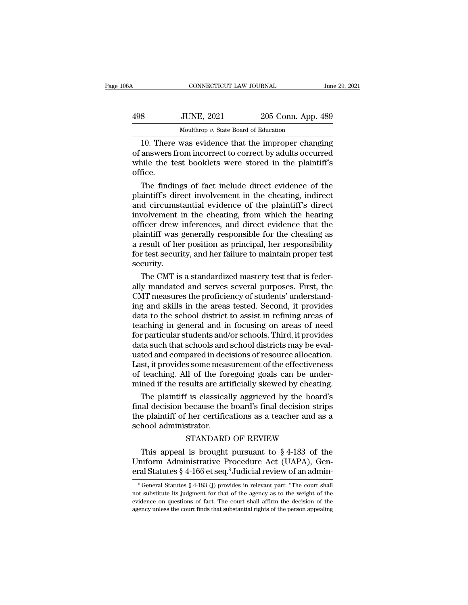| 06A | CONNECTICUT LAW JOURNAL                                                                                                                                                |                    | June 29, 2021 |
|-----|------------------------------------------------------------------------------------------------------------------------------------------------------------------------|--------------------|---------------|
| 498 | <b>JUNE, 2021</b>                                                                                                                                                      | 205 Conn. App. 489 |               |
|     | Moulthrop v. State Board of Education                                                                                                                                  |                    |               |
|     | 10. There was evidence that the improper changing<br>of answers from incorrect to correct by adults occurred<br>while the test heaklets were stored in the plaintiff's |                    |               |

198 JUNE, 2021 205 Conn. App. 489<br>
Moulthrop v. State Board of Education<br>
10. There was evidence that the improper changing<br>
of answers from incorrect to correct by adults occurred<br>
while the test booklets were stored in t  $\frac{498}{\text{Mouthrop } v. \text{ State Board of Education}}$ <br>
Moulthrop v. State Board of Education<br>
10. There was evidence that the improper changing<br>
of answers from incorrect to correct by adults occurred<br>
while the test booklets were stored in the pl office. Moulthrop  $v$ . State Board of Education<br>
10. There was evidence that the improper changing<br>
answers from incorrect to correct by adults occurred<br>
ile the test booklets were stored in the plaintiff's<br>
fice.<br>
The findings o probability a state state of statements.<br>
10. There was evidence that the improper changing<br>
of answers from incorrect to correct by adults occurred<br>
while the test booklets were stored in the plaintiff's<br>
office.<br>
The fin

10. There was evidence that the improper changing<br>of answers from incorrect to correct by adults occurred<br>while the test booklets were stored in the plaintiff's<br>office.<br>The findings of fact include direct evidence of the<br>p of answers from incorrect to correct by adults occurred<br>while the test booklets were stored in the plaintiff's<br>office.<br>The findings of fact include direct evidence of the<br>plaintiff's direct involvement in the cheating, ind while the test booklets were stored in the plaintiff's<br>office.<br>The findings of fact include direct evidence of the<br>plaintiff's direct involvement in the cheating, indirect<br>and circumstantial evidence of the plaintiff's dir office.<br>The findings of fact include direct evidence of the<br>plaintiff's direct involvement in the cheating, indirect<br>and circumstantial evidence of the plaintiff's direct<br>involvement in the cheating, from which the hearing The findings of fact include direct evidence of the plaintiff's direct involvement in the cheating, indirect and circumstantial evidence of the plaintiff's direct involvement in the cheating, from which the hearing officer plaintiff's direct involvement in the cheating, indirect<br>and circumstantial evidence of the plaintiff's direct<br>involvement in the cheating, from which the hearing<br>officer drew inferences, and direct evidence that the<br>plain security. volvement in the cheating, from which the hearing<br>ficer drew inferences, and direct evidence that the<br>aintiff was generally responsible for the cheating as<br>result of her position as principal, her responsibility<br>r test sec officer drew inferences, and direct evidence that the<br>plaintiff was generally responsible for the cheating as<br>a result of her position as principal, her responsibility<br>for test security, and her failure to maintain proper

plaintiff was generally responsible for the cheating as<br>a result of her position as principal, her responsibility<br>for test security, and her failure to maintain proper test<br>security.<br>The CMT is a standardized mastery test a result of her position as principal, her responsibility<br>for test security, and her failure to maintain proper test<br>security.<br>The CMT is a standardized mastery test that is feder-<br>ally mandated and serves several purposes for test security, and her failure to maintain proper test<br>security.<br>The CMT is a standardized mastery test that is feder-<br>ally mandated and serves several purposes. First, the<br>CMT measures the proficiency of students' und security.<br>
The CMT is a standardized mastery test that is feder-<br>
ally mandated and serves several purposes. First, the<br>
CMT measures the proficiency of students' understand-<br>
ing and skills in the areas tested. Second, it The CMT is a standardized mastery test that is federally mandated and serves several purposes. First, the CMT measures the proficiency of students' understanding and skills in the areas tested. Second, it provides data to ally mandated and serves several purposes. First, the CMT measures the proficiency of students' understanding and skills in the areas tested. Second, it provides data to the school district to assist in refining areas of t CMT measures the proficiency of students' understanding and skills in the areas tested. Second, it provides data to the school district to assist in refining areas of teaching in general and in focusing on areas of need fo ing and skills in the areas tested. Second, it provides<br>data to the school district to assist in refining areas of<br>teaching in general and in focusing on areas of need<br>for particular students and/or schools. Third, it prov data to the school district to assist in refining areas of<br>teaching in general and in focusing on areas of need<br>for particular students and/or schools. Third, it provides<br>data such that schools and school districts may be teaching in general and in focusing on areas of need<br>for particular students and/or schools. Third, it provides<br>data such that schools and school districts may be eval-<br>uated and compared in decisions of resource allocatio r particular students and/or schools. Third, it provides<br>ta such that schools and school districts may be eval-<br>ted and compared in decisions of resource allocation.<br>st, it provides some measurement of the effectiveness<br>te data such that schools and school districts may be evaluated and compared in decisions of resource allocation.<br>Last, it provides some measurement of the effectiveness<br>of teaching. All of the foregoing goals can be under-<br>m

uated and compared in decisions of resource allocation.<br>Last, it provides some measurement of the effectiveness<br>of teaching. All of the foregoing goals can be under-<br>mined if the results are artificially skewed by cheating Last, it provides some measure of teaching. All of the formined if the results are art<br>The plaintiff is classical<br>final decision because the<br>the plaintiff of her certific:<br>school administrator.<br>STANDARD sults are artificially skewed by cheating.<br>Sults are artificially skewed by cheating.<br>Soecause the board's final decision strips<br>her certifications as a teacher and as a<br>strator.<br>STANDARD OF REVIEW<br>is brought pursuant to The plaintiff is classically aggrieved by the board's<br>
ial decision because the board's final decision strips<br>
e plaintiff of her certifications as a teacher and as a<br>
hool administrator.<br>
STANDARD OF REVIEW<br>
This appeal The plaintiff is classically aggreved by the board's<br>final decision because the board's final decision strips<br>the plaintiff of her certifications as a teacher and as a<br>school administrator.<br>STANDARD OF REVIEW<br>This appeal

Final decision because the board's final decision strips<br>the plaintiff of her certifications as a teacher and as a<br>school administrator.<br>STANDARD OF REVIEW<br>This appeal is brought pursuant to  $\S$  4-183 of the<br>Uniform Admin STANDARD OF REVIEW<br>This appeal is brought pursuant to § 4-183 of the<br>niform Administrative Procedure Act (UAPA), Gen-<br>ral Statutes § 4-166 et seq.<sup>8</sup> Judicial review of an admin-<br> ${}^8$  General Statutes § 4-183 (j) provide This appeal is brought pursuant to § 4-183 of the Uniform Administrative Procedure Act (UAPA), General Statutes § 4-166 et seq.<sup>8</sup> Judicial review of an administrative  $\frac{1}{6}$  General Statutes § 4-183 (j) provides in re

Uniform Administrative Procedure Act (UAPA), General Statutes  $\S$  4-166 et seq.<sup>8</sup> Judicial review of an admin-<br><sup>8</sup>General Statutes  $\S$  4-183 (j) provides in relevant part: "The court shall not substitute its judgment for eral Statutes § 4-166 et seq.<sup>8</sup> Judicial review of an admin-<br><sup>8</sup> General Statutes § 4-183 (j) provides in relevant part: "The court shall<br>not substitute its judgment for that of the agency as to the weight of the<br>evidenc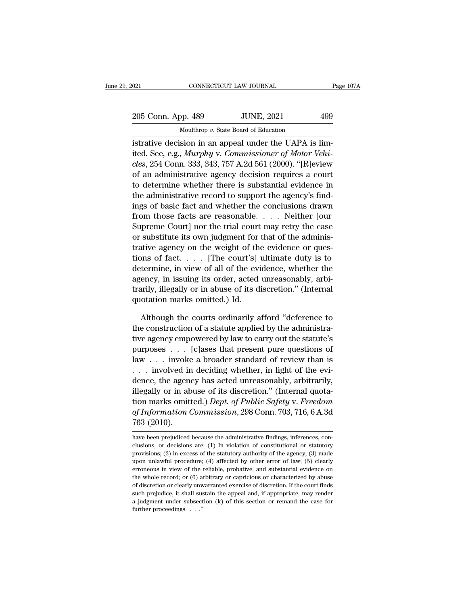021 CONNECTICUT LAW JOURNAL Page 107A<br>
205 Conn. App. 489 JUNE, 2021 499<br>
Moulthrop v. State Board of Education CONNECTICUT LAW JOURNAL<br>Dp. 489 JUNE, 2021<br>Moulthrop *v.* State Board of Education<br>sion in an anneal under the HAPA is

istrative decision in an appeal under the UAPA is limited. See, e.g., *Murphy v. Commissioner of Motor Vehisles* 254 Comp 222, 242, 757 A 24.561 (2000) "Uplariance 205 Conn. App. 489 JUNE, 2021 499<br>
Moulthrop *v*. State Board of Education<br>
istrative decision in an appeal under the UAPA is lim-<br>
ited. See, e.g., *Murphy* v. *Commissioner of Motor Vehi-*<br> *cles*, 254 Conn. 333, 343, 75 *clear 16 Conn. App. 489*<br> *conn. App. 489*<br> *conductory v. State Board of Education*<br> *cless, e.g., Murphy v. Commissioner of Motor Vehicles, 254 Conn. 333, 343, 757 A.2d 561 (2000). "[R]eview*<br> *cless, 254 Conn. 333, 343* 205 Conn. App. 489 JUNE, 2021 499<br>
Moulthrop v. State Board of Education<br>
istrative decision in an appeal under the UAPA is lim-<br>
ited. See, e.g., *Murphy* v. *Commissioner of Motor Vehi-*<br>
cles, 254 Conn. 333, 343, 757 A Mouthrop v. State Board of Education<br>
istrative decision in an appeal under the UAPA is lim-<br>
ited. See, e.g., *Murphy* v. *Commissioner of Motor Vehi-*<br> *cles*, 254 Conn. 333, 343, 757 A.2d 561 (2000). "[R]eview<br>
of an a istrative decision in an appeal under the UAPA is limited. See, e.g., *Murphy v. Commissioner of Motor Vehi-cles*, 254 Conn. 333, 343, 757 A.2d 561 (2000). "[R]eview of an administrative agency decision requires a court to istrative decision in an appeal under the UAPA is limited. See, e.g., *Murphy* v. *Commissioner of Motor Vehi-cles*, 254 Conn. 333, 343, 757 A.2d 561 (2000). "[R]eview of an administrative agency decision requires a court from those facts are reasonable. . . . . Neither for the case, and administrative agency decision requires a court<br>to determine whether there is substantial evidence in<br>the administrative record to support the agency's fin cles, 254 Conn. 333, 343, 757 A.2d 561 (2000). "[K]eview<br>of an administrative agency decision requires a court<br>to determine whether there is substantial evidence in<br>the administrative record to support the agency's find-<br> or an administrative agency decision requires a court<br>to determine whether there is substantial evidence in<br>the administrative record to support the agency's find-<br>ings of basic fact and whether the conclusions drawn<br>from to determine whether there is substantial evidence in<br>the administrative record to support the agency's find-<br>ings of basic fact and whether the conclusions drawn<br>from those facts are reasonable. . . . Neither [our<br>Suprem the administrative record to support the agency's findings of basic fact and whether the conclusions drawn<br>from those facts are reasonable. . . . Neither [our<br>Supreme Court] nor the trial court may retry the case<br>or subst mgs or basic ract and whether the conclusions drawn<br>from those facts are reasonable. . . . . Neither [our<br>Supreme Court] nor the trial court may retry the case<br>or substitute its own judgment for that of the adminis-<br>trativ From those racts are reasonable.  $\ldots$  Netther [our Supreme Court] nor the trial court may retry the case or substitute its own judgment for that of the administrative agency on the weight of the evidence or questions of Supreme Court] nor the trial court may retry the case<br>or substitute its own judgment for that of the adminis-<br>trative agency on the weight of the evidence or ques-<br>tions of fact. . . . [The court's] ultimate duty is to<br>det or substitute its own judgment for<br>trative agency on the weight of th<br>tions of fact. . . . [The court's]<br>determine, in view of all of the evi<br>agency, in issuing its order, acted<br>trarily, illegally or in abuse of its d<br>quot by the court's contribution of fact.  $\ldots$  . [The court's] ultimate duty is to termine, in view of all of the evidence, whether the ency, in issuing its order, acted unreasonably, arbi-<br>arily, illegally or in abuse of its determine, in view of all of the evidence, whether the agency, in issuing its order, acted unreasonably, arbitrarily, illegally or in abuse of its discretion." (Internal quotation marks omitted.) Id.<br>Although the courts or

agency, in issuing its order, acted unreasonably, arbi-<br>trarily, illegally or in abuse of its discretion." (Internal<br>quotation marks omitted.) Id.<br>Although the courts ordinarily afford "deference to<br>the construction of a s trarily, illegally or in abuse of its discretion." (Internal<br>quotation marks omitted.) Id.<br>Although the courts ordinarily afford "deference to<br>the construction of a statute applied by the administra-<br>tive agency empowered quotation marks omitted.) Id.<br>
Although the courts ordinarily afford "deference to<br>
the construction of a statute applied by the administra-<br>
tive agency empowered by law to carry out the statute's<br>
purposes . . . [c]ases Although the courts ordinarily afford "deference to<br>the construction of a statute applied by the administra-<br>tive agency empowered by law to carry out the statute's<br>purposes  $\dots$ . [c]ases that present pure questions of<br>la Atthough the courts ordinarity attora deference to<br>the construction of a statute applied by the administra-<br>tive agency empowered by law to carry out the statute's<br>purposes  $\dots$  [c]ases that present pure questions of<br>law the construction of a statute applied by the administrative agency empowered by law to carry out the statute's<br>purposes  $\ldots$  [c]ases that present pure questions of<br>law  $\ldots$  involved in deciding whether, in light of the tive agency empowered by law to carry out the statute's<br>purposes . . . [c]ases that present pure questions of<br>law . . . invoke a broader standard of review than is<br>. . . involved in deciding whether, in light of the evi-<br>d purposes . . . . [c]ases that present pure questions of<br>law . . . involved in deciding whether, in light of the evi-<br>dence, the agency has acted unreasonably, arbitrarily,<br>illegally or in abuse of its discretion." (Interna Taw . . . Invoke<br>. . . involved in<br>dence, the agene<br>illegally or in ab<br>tion marks omitt<br>of Information (<br>763 (2010).<br>have been prejudiced megany of in abuse of its discretion. (internat quotation marks omitted.) Dept. of Public Safety v. Freedom<br>of Information Commission, 298 Conn. 703, 716, 6 A.3d<br>763 (2010).<br>have been prejudiced because the administrative tion marks omitted.) *Dept. of Public Safety v. Freedom*<br>of Information Commission, 298 Conn. 703, 716, 6 A.3d<br>763 (2010).<br>have been prejudiced because the administrative findings, inferences, con-<br>clusions, or decisions

of Information Commission, 298 Conn. 703, 716, 6 A.3d<br>763 (2010).<br>have been prejudiced because the administrative findings, inferences, conclusions, or decisions are: (1) In violation of constitutional or statutory<br>provisi  $763$  (2010).<br>have been prejudiced because the administrative findings, inferences, conclusions, or decisions are: (1) In violation of constitutional or statutory<br>provisions; (2) in excess of the statutory authority of th FOD ( $2010$ ).<br>have been prejudiced because the administrative findings, inferences, conclusions, or decisions are: (1) In violation of constitutional or statutory provisions; (2) in excess of the statutory authority of th have been prejudiced because the administrative findings, inferences, conclusions, or decisions are: (1) In violation of constitutional or statutory provisions; (2) in excess of the statutory authority of the agency; (3) m have been prejudiced because the administrative findings, inferences, conclusions, or decisions are: (1) In violation of constitutional or statutory provisions; (2) in excess of the statutory authority of the agency; (3) provisions; (2) in excess of the statutory authority of the agency; (3) made upon unlawful procedure; (4) affected by other error of law; (5) clearly erroneous in view of the reliable, probative, and substantial evidence upon unlawful procedure; (4) affected by other error of law; (5) clearly erroneous in view of the reliable, probative, and substantial evidence on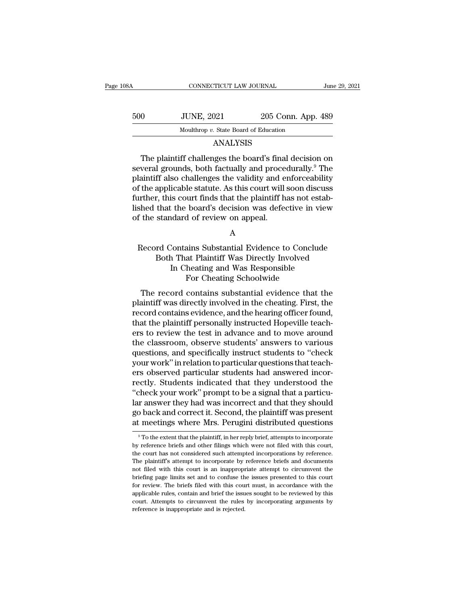| 108A | CONNECTICUT LAW JOURNAL                                                                                                                                                                   |                    | June 29, 2021 |
|------|-------------------------------------------------------------------------------------------------------------------------------------------------------------------------------------------|--------------------|---------------|
|      |                                                                                                                                                                                           |                    |               |
| 500  | <b>JUNE, 2021</b>                                                                                                                                                                         | 205 Conn. App. 489 |               |
|      | Moulthrop v. State Board of Education                                                                                                                                                     |                    |               |
|      | <b>ANALYSIS</b>                                                                                                                                                                           |                    |               |
|      | The plaintiff challenges the board's final decision on<br>several grounds, both factually and procedurally. <sup>9</sup> The<br>plaintiff also challenges the validity and enforceability |                    |               |

### ANALYSIS

SOO JUNE, 2021 205 Conn. App. 489<br>Moulthrop v. State Board of Education<br>ANALYSIS<br>The plaintiff challenges the board's final decision on<br>several grounds, both factually and procedurally.<sup>9</sup> The<br>plaintiff also challenges the plaintiff also challenges the validity and enforceability Moulthrop v. State Board of Education<br>ANALYSIS<br>The plaintiff challenges the board's final decision on<br>several grounds, both factually and procedurally.<sup>9</sup> The<br>plaintiff also challenges the validity and enforceability<br>of th ANALYSIS<br>The plaintiff challenges the board's final decision on<br>several grounds, both factually and procedurally.<sup>9</sup> The<br>plaintiff also challenges the validity and enforceability<br>of the applicable statute. As this court wi The plaintiff challenges the board's final decision on<br>several grounds, both factually and procedurally.<sup>9</sup> The<br>plaintiff also challenges the validity and enforceability<br>of the applicable statute. As this court will soon d The plaintiff challenges the board's fina<br>several grounds, both factually and proce<br>plaintiff also challenges the validity and e<br>of the applicable statute. As this court will<br>further, this court finds that the plaintiff h<br> If the applicable statute. As this court will soon discuss<br>arther, this court finds that the plaintiff has not estab-<br>shed that the board's decision was defective in view<br>f the standard of review on appeal.<br>A<br>Record Contai

A

r, this court finds that the plaintiff has not estab-<br>that the board's decision was defective in view<br>standard of review on appeal.<br>A<br>rd Contains Substantial Evidence to Conclude<br>Both That Plaintiff Was Directly Involved<br>I It the board's decision was defective in view<br>
In Cheating and Was Responsible<br>
In Cheating and Was Responsible<br>
For Cheating Schoolwide<br>
For Cheating Schoolwide d of review on appeal.<br>A<br>A<br>ains Substantial Evidence to Conclu<br>at Plaintiff Was Directly Involved<br>heating and Was Responsible<br>For Cheating Schoolwide<br>contains substantial evidence that A<br>
Record Contains Substantial Evidence to Conclude<br>
Both That Plaintiff Was Directly Involved<br>
In Cheating and Was Responsible<br>
For Cheating Schoolwide<br>
The record contains substantial evidence that the<br>
aintiff was direc Record Contains Substantial Evidence to Conclude<br>
Both That Plaintiff Was Directly Involved<br>
In Cheating and Was Responsible<br>
For Cheating Schoolwide<br>
The record contains substantial evidence that the<br>
plaintiff was direct

Record contains substantial Evidence to Conclude<br>Both That Plaintiff Was Directly Involved<br>In Cheating and Was Responsible<br>For Cheating Schoolwide<br>The record contains substantial evidence that the<br>plaintiff was directly in In Cheating and Was Responsible<br>For Cheating Schoolwide<br>The record contains substantial evidence that the<br>plaintiff was directly involved in the cheating. First, the<br>record contains evidence, and the hearing officer found, For Cheating and was responsible<br>For Cheating Schoolwide<br>The record contains substantial evidence that the<br>plaintiff was directly involved in the cheating. First, the<br>record contains evidence, and the hearing officer found The record contains substantial evidence that the<br>plaintiff was directly involved in the cheating. First, the<br>record contains evidence, and the hearing officer found,<br>that the plaintiff personally instructed Hopeville teac The record contains substantial evidence that the<br>plaintiff was directly involved in the cheating. First, the<br>record contains evidence, and the hearing officer found,<br>that the plaintiff personally instructed Hopeville teac plaintiff was directly involved in the cheating. First, the record contains evidence, and the hearing officer found, that the plaintiff personally instructed Hopeville teachers to review the test in advance and to move aro record contains evidence, and the hearing officer found,<br>that the plaintiff personally instructed Hopeville teach-<br>ers to review the test in advance and to move around<br>the classroom, observe students' answers to various<br>qu that the plaintiff personally instructed Hopeville teachers to review the test in advance and to move around<br>the classroom, observe students' answers to various<br>questions, and specifically instruct students to "check<br>your ers to review the test in advance and to move around<br>the classroom, observe students' answers to various<br>questions, and specifically instruct students to "check<br>your work" in relation to particular questions that teach-<br>er the classroom, observe students' answers to various<br>questions, and specifically instruct students to "check<br>your work" in relation to particular questions that teach-<br>ers observed particular students had answered incor-<br>re questions, and specifically instruct students to "check<br>your work" in relation to particular questions that teach-<br>ers observed particular students had answered incor-<br>rectly. Students indicated that they understood the<br>"c your work" in relation to particular questions that teachers observed particular students had answered incorrectly. Students indicated that they understood the "check your work" prompt to be a signal that a particular answ "check your work" prompt to be a signal that a particular answer they had was incorrect and that they should go back and correct it. Second, the plaintiff was present at meetings where Mrs. Perugini distributed questions lar answer they had was incorrect and that they should<br>go back and correct it. Second, the plaintiff was present<br>at meetings where Mrs. Perugini distributed questions<br><sup>9</sup>To the extent that the plaintiff, in her reply brief

go back and correct it. Second, the plaintiff was present<br>at meetings where Mrs. Perugini distributed questions<br><sup>9</sup>To the extent that the plaintiff, in her reply brief, attempts to incorporate<br>by reference briefs and other at meetings where Mrs. Perugini distributed questions<br>
<sup>9</sup> To the extent that the plaintiff, in her reply brief, attempts to incorporate<br>
by reference briefs and other filings which were not filed with this court,<br>
the cou at filed with the plaintiff, in her reply brief, attempts to incorporate by reference briefs and other filings which were not filed with this court, the court has not considered such attempted incorporations by reference. <sup>9</sup> To the extent that the plaintiff, in her reply brief, attempts to incorporate by reference briefs and other filings which were not filed with this court, the court has not considered such attempted incorporations by r by reference briefs and other filings which were not filed with this court, the court has not considered such attempted incorporations by reference. The plaintiff's attempt to incorporate by reference briefs and documents the court has not considered such attempted incorporations by reference. The plaintiff's attempt to incorporate by reference briefs and documents not filed with this court is an inappropriate attempt to circumvent the brie The plaintiff's attempt to incorporate by reference briefs and documents not filed with this court is an inappropriate attempt to circumvent the briefing page limits set and to confuse the issues presented to this court fo not filed with this court is an inappropriate attempt to circumvent the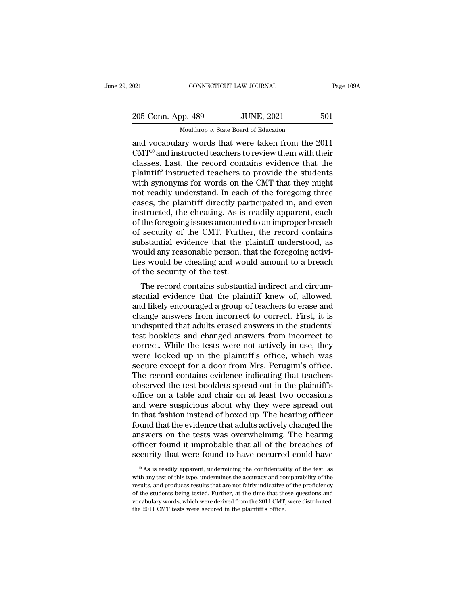| 2021               | CONNECTICUT LAW JOURNAL                            |     |
|--------------------|----------------------------------------------------|-----|
| 205 Conn. App. 489 | <b>JUNE, 2021</b>                                  | 501 |
|                    | Moulthrop $v$ . State Board of Education           |     |
|                    | and vocabulary words that were taken from the 2011 |     |

 $\begin{array}{|l|l|} \hline \text{COMPECTICUT LAW JOURNAL} \qquad \text{Page 109A} \ \hline \end{array}$ <br>  $\begin{array}{|l|} \hline \text{Moulthrop } v. \text{ State Board of Education} \ \hline \text{and vocabulary words that were taken from the 2011} \ \text{CMT}^{10} \text{ and instructed teachers to review them with their classes. Let the record contains evidence that the$  $\frac{205 \text{ Conn. App. 489}}{$  Moulthrop v. State Board of Education<br>and vocabulary words that were taken from the 2011<br>CMT<sup>10</sup> and instructed teachers to review them with their<br>classes. Last, the record contains evidence that the 205 Conn. App. 489 JUNE, 2021 501<br>Moulthrop v. State Board of Education<br>and vocabulary words that were taken from the 2011<br>CMT<sup>10</sup> and instructed teachers to review them with their<br>classes. Last, the record contains evide 205 Conn. App. 489 JUNE, 2021 501<br>
Mouthrop v. State Board of Education<br>
and vocabulary words that were taken from the 2011<br>
CMT<sup>10</sup> and instructed teachers to review them with their<br>
classes. Last, the record contains ev Moulthrop v. State Board of Education<br>and vocabulary words that were taken from the 2011<br>CMT<sup>10</sup> and instructed teachers to review them with their<br>classes. Last, the record contains evidence that the<br>plaintiff instructed t Mouthrop v. state Board of Education<br>and vocabulary words that were taken from the 2011<br>CMT<sup>10</sup> and instructed teachers to review them with their<br>classes. Last, the record contains evidence that the<br>plaintiff instructed t and vocabulary words that were taken from the 2011<br>CMT<sup>10</sup> and instructed teachers to review them with their<br>classes. Last, the record contains evidence that the<br>plaintiff instructed teachers to provide the students<br>with s CMT<sup>10</sup> and instructed teachers to review them with their classes. Last, the record contains evidence that the plaintiff instructed teachers to provide the students with synonyms for words on the CMT that they might not r classes. Last, the record contains evidence that the plaintiff instructed teachers to provide the students with synonyms for words on the CMT that they might not readily understand. In each of the foregoing three cases, th plaintiff instructed teachers to provide the students<br>with synonyms for words on the CMT that they might<br>not readily understand. In each of the foregoing three<br>cases, the plaintiff directly participated in, and even<br>instru with synonyms for words on the CMT that they might<br>not readily understand. In each of the foregoing three<br>cases, the plaintiff directly participated in, and even<br>instructed, the cheating. As is readily apparent, each<br>of th not readily understand. In each of the foregoing three<br>cases, the plaintiff directly participated in, and even<br>instructed, the cheating. As is readily apparent, each<br>of the foregoing issues amounted to an improper breach<br>o cases, the plaintiff directly participated in, and even<br>instructed, the cheating. As is readily apparent, each<br>of the foregoing issues amounted to an improper breach<br>of security of the CMT. Further, the record contains<br>sub instructed, the cheating. As is<br>of the foregoing issues amounted<br>of security of the CMT. Furthe<br>substantial evidence that the p<br>would any reasonable person, th<br>ties would be cheating and wou<br>of the security of the test.<br>Th the roregong issues amounted to an improper breach<br>security of the CMT. Further, the record contains<br>bstantial evidence that the plaintiff understood, as<br>ould any reasonable person, that the foregoing activi-<br>s would be ch or security of the CMT. Further, the record contains<br>substantial evidence that the plaintiff understood, as<br>would be cheating and would amount to a breach<br>of the security of the test.<br>The record contains substantial indire

substantial evidence that the plaintin' understood, as<br>would any reasonable person, that the foregoing activi-<br>ties would be cheating and would amount to a breach<br>of the security of the test.<br>The record contains substantia would any reasonable person, that the foregoing activities would be cheating and would amount to a breach<br>of the security of the test.<br>The record contains substantial indirect and circum-<br>stantial evidence that the plainti uses would be cheating and would antount to a breach<br>of the security of the test.<br>The record contains substantial indirect and circum-<br>stantial evidence that the plaintiff knew of, allowed,<br>and likely encouraged a group of of the security of the test.<br>The record contains substantial indirect and circumstantial evidence that the plaintiff knew of, allowed,<br>and likely encouraged a group of teachers to erase and<br>change answers from incorrect to The record contains substantial indirect and circum-<br>stantial evidence that the plaintiff knew of, allowed,<br>and likely encouraged a group of teachers to erase and<br>change answers from incorrect to correct. First, it is<br>undi stantial evidence that the plaintiff knew of, allowed,<br>and likely encouraged a group of teachers to erase and<br>change answers from incorrect to correct. First, it is<br>undisputed that adults erased answers in the students'<br>te and likely encouraged a group of teachers to erase and<br>change answers from incorrect to correct. First, it is<br>undisputed that adults erased answers in the students'<br>test booklets and changed answers from incorrect to<br>corre change answers from incorrect to correct. First, it is<br>undisputed that adults erased answers in the students'<br>test booklets and changed answers from incorrect to<br>correct. While the tests were not actively in use, they<br>were undisputed that adults erased answers in the students'<br>test booklets and changed answers from incorrect to<br>correct. While the tests were not actively in use, they<br>were locked up in the plaintiff's office, which was<br>secure test booklets and changed answers from incorrect to<br>correct. While the tests were not actively in use, they<br>were locked up in the plaintiff's office, which was<br>secure except for a door from Mrs. Perugini's office.<br>The reco correct. While the tests were not actively in use, they<br>were locked up in the plaintiff's office, which was<br>secure except for a door from Mrs. Perugini's office.<br>The record contains evidence indicating that teachers<br>observ were locked up in the plaintiff's office, which was<br>secure except for a door from Mrs. Perugini's office.<br>The record contains evidence indicating that teachers<br>observed the test booklets spread out in the plaintiff's<br>offic secure except for a door from Mrs. Perugini's office.<br>The record contains evidence indicating that teachers<br>observed the test booklets spread out in the plaintiff's<br>office on a table and chair on at least two occasions<br>and The record contains evidence indicating that teachers<br>observed the test booklets spread out in the plaintiff's<br>office on a table and chair on at least two occasions<br>and were suspicious about why they were spread out<br>in tha observed the test booklets spread out in the plaintiff's<br>office on a table and chair on at least two occasions<br>and were suspicious about why they were spread out<br>in that fashion instead of boxed up. The hearing officer<br>fou office on a table and chair on at least two occasions<br>and were suspicious about why they were spread out<br>in that fashion instead of boxed up. The hearing officer<br>found that the evidence that adults actively changed the<br>an bund that the evidence that adults actively changed the inswers on the tests was overwhelming. The hearing fficer found it improbable that all of the breaches of ecurity that were found to have occurred could have  $\frac{10}{$ answers on the tests was overwhelming. The hearing officer found it improbable that all of the breaches of security that were found to have occurred could have  $\frac{10}{10}$  As is readily apparent, undermining the confident

officer found it improbable that all of the breaches of security that were found to have occurred could have  $\frac{10}{10}$  As is readily apparent, undermining the confidentiality of the test, as with any test of this type, security that were found to have occurred could have<br> $\frac{10}{10}$  As is readily apparent, undermining the confidentiality of the test, as<br>with any test of this type, undermines the accuracy and comparability of the<br>results <sup>10</sup> As is readily apparent, undermining the confidentiality of the test, as with any test of this type, undermines the accuracy and comparability of the results, and produces results that are not fairly indicative of the  $^{10}$  As is readily apparent, undermining the confidential with any test of this type, undermines the accuracy and corresults, and produces results that are not fairly indicative of the students being tested. Further, at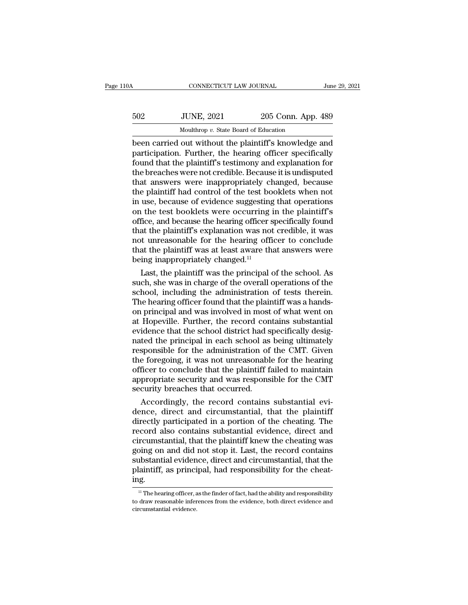| 10A | CONNECTICUT LAW JOURNAL                                |                    | June 29, 2021 |
|-----|--------------------------------------------------------|--------------------|---------------|
| 502 | <b>JUNE, 2021</b>                                      | 205 Conn. App. 489 |               |
|     | Moulthrop v. State Board of Education                  |                    |               |
|     | heen carried out without the plaintiff's knowledge and |                    |               |

CONNECTICUT LAW JOURNAL June 29, 2021<br>
502 JUNE, 2021 205 Conn. App. 489<br>
Moulthrop v. State Board of Education<br>
been carried out without the plaintiff's knowledge and<br>
participation. Further, the hearing officer specifica For the heart of Education.<br>
Further, the board of Education<br>
been carried out without the plaintiff's knowledge and<br>
participation. Further, the hearing officer specifically<br>
found that the plaintiff's testimony and expla  $502$  JUNE,  $2021$   $205$  Conn. App. 489<br>
Moulthrop v. State Board of Education<br>
been carried out without the plaintiff's knowledge and<br>
participation. Further, the hearing officer specifically<br>
found that the plaintiff's  $\frac{1}{202}$  JUNE, 2021 205 Conn. App. 489<br>
Mouthrop v. State Board of Education<br>
been carried out without the plaintiff's knowledge and<br>
participation. Further, the hearing officer specifically<br>
found that the plaintiff's Moulthrop v. State Board of Education<br>been carried out without the plaintiff's knowledge and<br>participation. Further, the hearing officer specifically<br>found that the plaintiff's testimony and explanation for<br>the breaches w Moulthrop v. State Board of Education<br>been carried out without the plaintiff's knowledge and<br>participation. Further, the hearing officer specifically<br>found that the plaintiff's testimony and explanation for<br>the breaches we been carried out without the plaintiff's knowledge and<br>participation. Further, the hearing officer specifically<br>found that the plaintiff's testimony and explanation for<br>the breaches were not credible. Because it is undispu participation. Further, the hearing officer specifically<br>found that the plaintiff's testimony and explanation for<br>the breaches were not credible. Because it is undisputed<br>that answers were inappropriately changed, because<br> found that the plaintiff's testimony and explanation for<br>the breaches were not credible. Because it is undisputed<br>that answers were inappropriately changed, because<br>the plaintiff had control of the test booklets when not<br>i the breaches were not credible. Because it is undisputed<br>that answers were inappropriately changed, because<br>the plaintiff had control of the test booklets when not<br>in use, because of evidence suggesting that operations<br>on that answers were inappropriately changed, because<br>the plaintiff had control of the test booklets when not<br>in use, because of evidence suggesting that operations<br>on the test booklets were occurring in the plaintiff's<br>offi the plaintiff had control of the test booklets when not<br>in use, because of evidence suggesting that operations<br>on the test booklets were occurring in the plaintiff's<br>office, and because the hearing officer specifically fou in use, because of evidence suggesting<br>on the test booklets were occurring i<br>office, and because the hearing officer s<br>that the plaintiff's explanation was not<br>not unreasonable for the hearing offic<br>that the plaintiff was Last the test booklets were occurring in the plaintiff's<br>fice, and because the hearing officer specifically found<br>at the plaintiff's explanation was not credible, it was<br>t unreasonable for the hearing officer to conclude<br> office, and because the hearing officer specifically found<br>that the plaintiff's explanation was not credible, it was<br>not unreasonable for the hearing officer to conclude<br>that the plaintiff was at least aware that answers w

that the plaintiff's explanation was not credible, it was<br>not unreasonable for the hearing officer to conclude<br>that the plaintiff was at least aware that answers were<br>being inappropriately changed.<sup>11</sup><br>Last, the plaintiff not unreasonable for the hearing officer to conclude<br>that the plaintiff was at least aware that answers were<br>being inappropriately changed.<sup>11</sup><br>Last, the plaintiff was the principal of the school. As<br>such, she was in charg that the plaintiff was at least aware that answers were<br>being inappropriately changed.<sup>11</sup><br>Last, the plaintiff was the principal of the school. As<br>such, she was in charge of the overall operations of the<br>school, including being inappropriately changed.<sup>11</sup><br>Last, the plaintiff was the principal of the school. As<br>such, she was in charge of the overall operations of the<br>school, including the administration of tests therein.<br>The hearing officer Last, the plaintiff was the principal of the school. As<br>such, she was in charge of the overall operations of the<br>school, including the administration of tests therein.<br>The hearing officer found that the plaintiff was a han such, she was in charge of the overall operations of the school, including the administration of tests therein.<br>The hearing officer found that the plaintiff was a hands-<br>on principal and was involved in most of what went o school, including the administration of tests therein.<br>The hearing officer found that the plaintiff was a hands-<br>on principal and was involved in most of what went on<br>at Hopeville. Further, the record contains substantial<br> The hearing officer found that the plaintiff was a hands-<br>on principal and was involved in most of what went on<br>at Hopeville. Further, the record contains substantial<br>evidence that the school district had specifically desi on principal and was involved in most of what went on<br>at Hopeville. Further, the record contains substantial<br>evidence that the school district had specifically desig-<br>nated the principal in each school as being ultimately<br> at Hopeville. Further, the record contains substantial<br>evidence that the school district had specifically desig-<br>nated the principal in each school as being ultimately<br>responsible for the administration of the CMT. Given<br>t evidence that the school district had s<br>nated the principal in each school as<br>responsible for the administration of<br>the foregoing, it was not unreasonabl<br>officer to conclude that the plaintiff f<br>appropriate security and wa ted the principal in each school as being ultimately<br>sponsible for the administration of the CMT. Given<br>e foregoing, it was not unreasonable for the hearing<br>ficer to conclude that the plaintiff failed to maintain<br>propriate responsible for the administration of the CMT. Given<br>the foregoing, it was not unreasonable for the hearing<br>officer to conclude that the plaintiff failed to maintain<br>appropriate security and was responsible for the CMT<br>sec

the foregoing, it was not unreasonable for the hearing<br>officer to conclude that the plaintiff failed to maintain<br>appropriate security and was responsible for the CMT<br>security breaches that occurred.<br>Accordingly, the record officer to conclude that the plaintiff failed to maintain<br>appropriate security and was responsible for the CMT<br>security breaches that occurred.<br>Accordingly, the record contains substantial evi-<br>dence, direct and circumstan appropriate security and was responsible for the CMT<br>security breaches that occurred.<br>Accordingly, the record contains substantial evi-<br>dence, direct and circumstantial, that the plaintiff<br>directly participated in a portio security breaches that occurred.<br>
Accordingly, the record contains substantial evi-<br>
dence, direct and circumstantial, that the plaintiff<br>
directly participated in a portion of the cheating. The<br>
record also contains subst Accordingly, the record contains substantial evi-<br>dence, direct and circumstantial, that the plaintiff<br>directly participated in a portion of the cheating. The<br>record also contains substantial evidence, direct and<br>circumsta dence, direct and circumstantial, that the plaintiff<br>directly participated in a portion of the cheating. The<br>record also contains substantial evidence, direct and<br>circumstantial, that the plaintiff knew the cheating was<br>go ing. bing on and did not stop it. Last, the record contains<br>ubstantial evidence, direct and circumstantial, that the<br>laintiff, as principal, had responsibility for the cheat-<br>g.<br><sup>11</sup> The hearing officer, as the finder of fact, substantial evidence, direct and circumstantial, that the plaintiff, as principal, had responsibility for the cheating.<br>
<sup>11</sup> The hearing officer, as the finder of fact, had the ability and responsibility to draw reasonabl

plaintiff, as princi<br>ing.<br><sup>11</sup> The hearing officer, a<br>to draw reasonable infer<br>circumstantial evidence.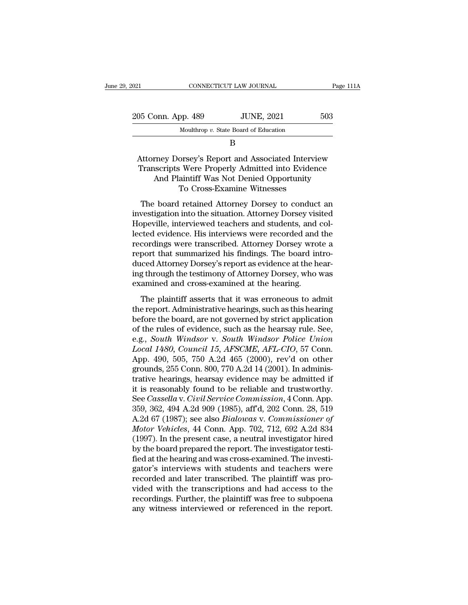| 2021               | CONNECTICUT LAW JOURNAL               | Page 111A |
|--------------------|---------------------------------------|-----------|
| 205 Conn. App. 489 | <b>JUNE, 2021</b>                     | 503       |
|                    | Moulthrop v. State Board of Education |           |
|                    |                                       |           |

B

### 05 Conn. App. 489 JUNE, 2021 503<br>Moulthrop v. State Board of Education<br>B<br>Attorney Dorsey's Report and Associated Interview<br>Transcripts Were Properly Admitted into Evidence<br>And Plaintiff Was Not Doniod Omortunity 35 Conn. App. 489 JUNE, 2021 503<br>Moulthrop v. State Board of Education<br>B<br>Attorney Dorsey's Report and Associated Interview<br>Transcripts Were Properly Admitted into Evidence<br>And Plaintiff Was Not Denied Opportunity<br>To Cross onn. App. 489 JUNE, 2021 503<br>
Moulthrop v. State Board of Education<br>
B<br>
Trney Dorsey's Report and Associated Interview<br>
scripts Were Properly Admitted into Evidence<br>
And Plaintiff Was Not Denied Opportunity<br>
To Cross-Exami Moulthrop v. State Board of Education<br>
B<br>
Orsey's Report and Associated Intervie<br>
Si Were Properly Admitted into Eviden<br>
aintiff Was Not Denied Opportunity<br>
To Cross-Examine Witnesses<br>
I retained Attorney Dorsey to conduct B<br>Attorney Dorsey's Report and Associated Interview<br>Transcripts Were Properly Admitted into Evidence<br>And Plaintiff Was Not Denied Opportunity<br>To Cross-Examine Witnesses<br>The board retained Attorney Dorsey to conduct an<br>west Attorney Dorsey's Report and Associated Interview<br>Transcripts Were Properly Admitted into Evidence<br>And Plaintiff Was Not Denied Opportunity<br>To Cross-Examine Witnesses<br>The board retained Attorney Dorsey to conduct an<br>invest

Transcripts Were Properly Admitted into Evidence<br>And Plaintiff Was Not Denied Opportunity<br>To Cross-Examine Witnesses<br>The board retained Attorney Dorsey to conduct an<br>investigation into the situation. Attorney Dorsey visite Franseripas were Froperty Transfere and Evidence.<br>
And Plaintiff Was Not Denied Opportunity<br>
To Cross-Examine Witnesses<br>
The board retained Attorney Dorsey to conduct an<br>
investigation into the situation. Attorney Dorsey v That Flaman was two Beflext opportunty<br>To Cross-Examine Witnesses<br>The board retained Attorney Dorsey to conduct an<br>investigation into the situation. Attorney Dorsey visited<br>Hopeville, interviewed teachers and students, and The board retained Attorney Dorsey to conduct an investigation into the situation. Attorney Dorsey visited Hopeville, interviewed teachers and students, and collected evidence. His interviews were recorded and the recordin The board retained Attorney Dorsey to conduct an investigation into the situation. Attorney Dorsey visited Hopeville, interviewed teachers and students, and collected evidence. His interviews were recorded and the recordin investigation into the situation. Attorney Dorsey visited<br>Hopeville, interviewed teachers and students, and collected evidence. His interviews were recorded and the<br>recordings were transcribed. Attorney Dorsey wrote a<br>repo Hopeville, interviewed teachers and students, and lected evidence. His interviews were recorded and recordings were transcribed. Attorney Dorsey wrot report that summarized his findings. The board in duced Attorney Dorsey' cordings were transcribed. Attorney Dorsey wrote a<br>port that summarized his findings. The board intro-<br>iced Attorney Dorsey's report as evidence at the hear-<br>g through the testimony of Attorney Dorsey, who was<br>amined and c the report that summarized his findings. The board introduced Attorney Dorsey's report as evidence at the hearing through the testimony of Attorney Dorsey, who was examined and cross-examined at the hearing.<br>The plaintiff

before the board, are not governed by strict board and duced Attorney Dorsey's report as evidence at the hearing through the testimony of Attorney Dorsey, who was examined and cross-examined at the hearing.<br>The plaintiff a ing through the testimony of Attorney Dorsey, who was<br>examined and cross-examined at the hearing.<br>The plaintiff asserts that it was erroneous to admit<br>the report. Administrative hearings, such as this hearing<br>before the b examined and cross-examined at the hearing.<br>
The plaintiff asserts that it was erroneous to admit<br>
the report. Administrative hearings, such as this hearing<br>
before the board, are not governed by strict application<br>
of the The plaintiff asserts that it was erroneous to admit<br>the report. Administrative hearings, such as this hearing<br>before the board, are not governed by strict application<br>of the rules of evidence, such as the hearsay rule. Se The plaintiff asserts that it was erroneous to admit<br>the report. Administrative hearings, such as this hearing<br>before the board, are not governed by strict application<br>of the rules of evidence, such as the hearsay rule. Se the report. Administrative hearings, such as this hearing<br>before the board, are not governed by strict application<br>of the rules of evidence, such as the hearsay rule. See,<br>e.g., *South Windsor v. South Windsor Police Union* before the board, are not governed by strict application<br>of the rules of evidence, such as the hearsay rule. See,<br>e.g., *South Windsor v. South Windsor Police Union*<br>Local 1480, Council 15, AFSCME, AFL-CIO, 57 Conn.<br>App. 4 of the rules of evidence, such as the hearsay rule. See,<br>e.g., *South Windsor v. South Windsor Police Union*<br>Local 1480, *Council 15, AFSCME, AFL-CIO*, 57 Conn.<br>App. 490, 505, 750 A.2d 465 (2000), rev'd on other<br>grounds, 2 e.g., *South Windsor v. South Windsor Police Union*<br>Local 1480, Council 15, AFSCME, AFL-CIO, 57 Conn.<br>App. 490, 505, 750 A.2d 465 (2000), rev'd on other<br>grounds, 255 Conn. 800, 770 A.2d 14 (2001). In adminis-<br>trative heari Local 1480, Council 15, AFSCME, AFL-CIO, 57 Conn.<br>App. 490, 505, 750 A.2d 465 (2000), rev'd on other<br>grounds, 255 Conn. 800, 770 A.2d 14 (2001). In adminis-<br>trative hearings, hearsay evidence may be admitted if<br>it is reaso App. 490, 505, 750 A.2d 465 (2000), rev'd on other<br>grounds, 255 Conn. 800, 770 A.2d 14 (2001). In adminis-<br>trative hearings, hearsay evidence may be admitted if<br>it is reasonably found to be reliable and trustworthy.<br>See *C* grounds, 255 Conn. 800, 770 A.2d 14 (2001). In administrative hearings, hearsay evidence may be admitted if<br>it is reasonably found to be reliable and trustworthy.<br>See *Cassella* v. *Civil Service Commission*, 4 Conn. App.<br> trative hearings, hearsay evidence may be admitted if<br>it is reasonably found to be reliable and trustworthy.<br>See *Cassella* v. *Civil Service Commission*, 4 Conn. App.<br>359, 362, 494 A.2d 909 (1985), aff<sup>1</sup>d, 202 Conn. 28, it is reasonably found to be reliable and trustworthy.<br>See *Cassella* v. *Civil Service Commission*, 4 Conn. App.<br>359, 362, 494 A.2d 909 (1985), aff'd, 202 Conn. 28, 519<br>A.2d 67 (1987); see also *Bialowas* v. *Commissioner* See *Cassella* v. *Civil Service Commission*, 4 Conn. App.<br>359, 362, 494 A.2d 909 (1985), aff'd, 202 Conn. 28, 519<br>A.2d 67 (1987); see also *Bialowas* v. *Commissioner of*<br>*Motor Vehicles*, 44 Conn. App. 702, 712, 692 A.2d 359, 362, 494 A.2d 909 (1985), aff'd, 202 Conn. 28, 519<br>A.2d 67 (1987); see also *Bialowas v. Commissioner of*<br>*Motor Vehicles*, 44 Conn. App. 702, 712, 692 A.2d 834<br>(1997). In the present case, a neutral investigator hire A.2d 67 (1987); see also *Bialowas v. Commissioner of Motor Vehicles*, 44 Conn. App. 702, 712, 692 A.2d 834 (1997). In the present case, a neutral investigator hired by the board prepared the report. The investigator testi Motor Vehicles, 44 Conn. App. 702, 712, 692 A.2d 834<br>(1997). In the present case, a neutral investigator hired<br>by the board prepared the report. The investigator testi-<br>fied at the hearing and was cross-examined. The inves (1997). In the present case, a neutral investigator hired<br>by the board prepared the report. The investigator testi-<br>fied at the hearing and was cross-examined. The investi-<br>gator's interviews with students and teachers wer by the board prepared the report. The investigator testified at the hearing and was cross-examined. The investigator's interviews with students and teachers were recorded and later transcribed. The plaintiff was provided w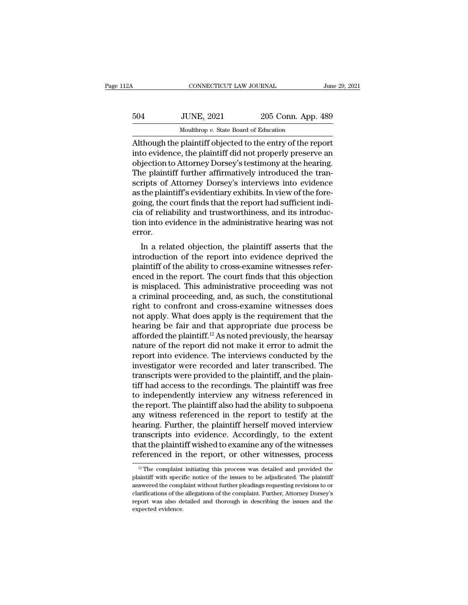| 2Α  | CONNECTICUT LAW JOURNAL                                    |                    | June 29, 2021 |
|-----|------------------------------------------------------------|--------------------|---------------|
| 504 | <b>JUNE, 2021</b>                                          | 205 Conn. App. 489 |               |
|     | Moulthrop v. State Board of Education                      |                    |               |
|     | Although the plaintiff objected to the entry of the report |                    |               |

CONNECTICUT LAW JOURNAL June 29, 202<br>
504 JUNE, 2021 205 Conn. App. 489<br>
Moulthrop v. State Board of Education<br>
Although the plaintiff objected to the entry of the report<br>
into evidence, the plaintiff did not properly pres IUNE, 2021 205 Conn. App. 489<br>
Moulthrop v. State Board of Education<br>
Although the plaintiff objected to the entry of the report<br>
into evidence, the plaintiff did not properly preserve an<br>
objection to Attorney Dorsey's te  $\frac{504}{5000}$  JUNE, 2021 205 Conn. App. 489<br>Mouthrop v. State Board of Education<br>Although the plaintiff objected to the entry of the report<br>into evidence, the plaintiff did not properly preserve an<br>objection to Attorney 504 JUNE, 2021 205 Conn. App. 489<br>Moulthrop v. State Board of Education<br>Although the plaintiff objected to the entry of the report<br>into evidence, the plaintiff did not properly preserve an<br>objection to Attorney Dorsey's te Moulthrop v. State Board of Education<br>Although the plaintiff objected to the entry of the report<br>into evidence, the plaintiff did not properly preserve an<br>objection to Attorney Dorsey's testimony at the hearing.<br>The plaint Mouthrop  $v$ . State Board of Education<br>Although the plaintiff objected to the entry of the report<br>into evidence, the plaintiff did not properly preserve an<br>objection to Attorney Dorsey's testimony at the hearing.<br>The plai Although the plaintiff objected to the entry of the report<br>into evidence, the plaintiff did not properly preserve an<br>objection to Attorney Dorsey's testimony at the hearing.<br>The plaintiff further affirmatively introduced t into evidence, the plaintiff did not properly preserve an objection to Attorney Dorsey's testimony at the hearing.<br>The plaintiff further affirmatively introduced the transcripts of Attorney Dorsey's interviews into evidenc objection to Attorney Dorsey's testimony at the hearing.<br>The plaintiff further affirmatively introduced the transcripts of Attorney Dorsey's interviews into evidence<br>as the plaintiff's evidentiary exhibits. In view of the error. In a related objection, the plaintiff asserts that the report had sufficient indi-<br>a of reliability and trustworthiness, and its introduc-<br>n into evidence in the administrative hearing was not<br>ror.<br>In a related objection, as the plantiff sevidentiary exhibits. In view of the fore-<br>going, the court finds that the report had sufficient indi-<br>cia of reliability and trustworthiness, and its introduc-<br>tion into evidence in the administrative hea

going, the court intus that the report had sufficient indi-<br>cia of reliability and trustworthiness, and its introduc-<br>tion into evidence in the administrative hearing was not<br>error.<br>In a related objection, the plaintiff as Enable in the administrative hearing was not<br>error.<br>In a related objection, the plaintiff asserts that the<br>introduction of the report into evidence deprived the<br>plaintiff of the ability to cross-examine witnesses refer-<br>en is misplaced. This missimum is missimally was not error.<br>
In a related objection, the plaintiff asserts that the<br>
introduction of the report into evidence deprived the<br>
plaintiff of the ability to cross-examine witnesses r In a related objection, the plaintiff asserts that the<br>introduction of the report into evidence deprived the<br>plaintiff of the ability to cross-examine witnesses refer-<br>enced in the report. The court finds that this objecti In a related objection, the plaintiff asserts that the<br>introduction of the report into evidence deprived the<br>plaintiff of the ability to cross-examine witnesses refer-<br>enced in the report. The court finds that this objecti introduction of the report into evidence deprived the plaintiff of the ability to cross-examine witnesses referenced in the report. The court finds that this objection is misplaced. This administrative proceeding was not plaintiff of the ability to cross-examine witnesses referenced in the report. The court finds that this objection<br>is misplaced. This administrative proceeding was not<br>a criminal proceeding, and, as such, the constitutional enced in the report. The court finds that this objection<br>is misplaced. This administrative proceeding was not<br>a criminal proceeding, and, as such, the constitutional<br>right to confront and cross-examine witnesses does<br>not a is misplaced. This administrative proceeding was not<br>a criminal proceeding, and, as such, the constitutional<br>right to confront and cross-examine witnesses does<br>not apply. What does apply is the requirement that the<br>hearin a criminal proceeding, and, as such, the constitutional<br>right to confront and cross-examine witnesses does<br>not apply. What does apply is the requirement that the<br>hearing be fair and that appropriate due process be<br>afforded right to confront and cross-examine witnesses does<br>not apply. What does apply is the requirement that the<br>hearing be fair and that appropriate due process be<br>afforded the plaintiff.<sup>12</sup> As noted previously, the hearsay<br>nat not apply. What does apply is the requirement that the hearing be fair and that appropriate due process be afforded the plaintiff.<sup>12</sup> As noted previously, the hearsay nature of the report did not make it error to admit t hearing be fair and that appropriate due process be<br>afforded the plaintiff.<sup>12</sup> As noted previously, the hearsay<br>nature of the report did not make it error to admit the<br>report into evidence. The interviews conducted by the afforded the plaintiff.<sup>12</sup> As noted previously, the hearsay<br>nature of the report did not make it error to admit the<br>report into evidence. The interviews conducted by the<br>investigator were recorded and later transcribed. T nature of the report did not make it error to admit the<br>report into evidence. The interviews conducted by the<br>investigator were recorded and later transcribed. The<br>transcripts were provided to the plaintiff, and the plainreport into evidence. The interviews conducted by the<br>investigator were recorded and later transcribed. The<br>transcripts were provided to the plaintiff, and the plain-<br>tiff had access to the recordings. The plaintiff was fr investigator were recorded and later transcribed. The<br>transcripts were provided to the plaintiff, and the plain-<br>tiff had access to the recordings. The plaintiff was free<br>to independently interview any witness referenced i transcripts were provided to the plaintiff, and the plaintiff had access to the recordings. The plaintiff was free<br>to independently interview any witness referenced in<br>the report. The plaintiff also had the ability to subp tiff had access to the recordings. The plaintiff was free<br>to independently interview any witness referenced in<br>the report. The plaintiff also had the ability to subpoena<br>any witness referenced in the report to testify at t to independently interview any witness referenced in<br>the report. The plaintiff also had the ability to subpoena<br>any witness referenced in the report to testify at the<br>hearing. Further, the plaintiff herself moved intervie earing. Further, the plaintiff herself moved interview<br>anscripts into evidence. Accordingly, to the extent<br>aat the plaintiff wished to examine any of the witnesses<br>ferenced in the report, or other witnesses, process<br><sup>12</sup> T transcripts into evidence. Accordingly, to the extent<br>that the plaintiff wished to examine any of the witnesses<br>referenced in the report, or other witnesses, process<br> $\frac{p}{p}$  The complaint initiating this process was det

that the plaintiff wished to examine any of the witnesses referenced in the report, or other witnesses, process  $\frac{p}{p}$  The complaint initiating this process was detailed and provided the plaintiff with specific notice referenced in the report, or other witnesses, process<br>
<sup>12</sup> The complaint initiating this process was detailed and provided the<br>
plaintiff with specific notice of the issues to be adjudicated. The plaintiff<br>
answered the c <sup>12</sup> The complaint initiating this process was detailed and provided the plaintiff with specific notice of the issues to be adjudicated. The plaintiff answered the complaint without further pleadings requesting revisions <sup>12</sup> The complaint<br>plaintiff with special property answered the completer<br>clarifications of the report was also de<br>expected evidence.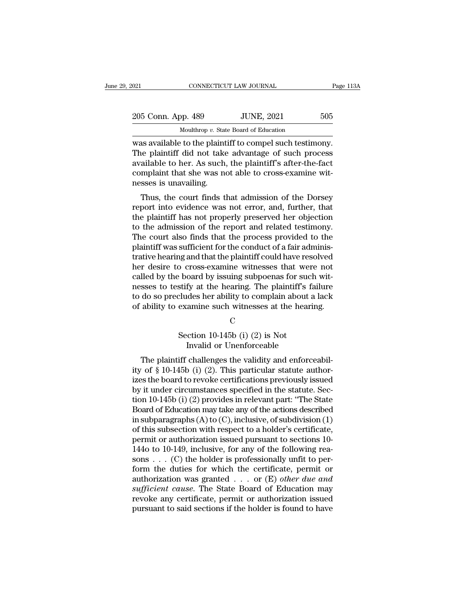| :021               | CONNECTICUT LAW JOURNAL                                 | Page 113A |
|--------------------|---------------------------------------------------------|-----------|
| 205 Conn. App. 489 | <b>JUNE, 2021</b>                                       | 505       |
|                    | Moulthrop $v$ . State Board of Education                |           |
|                    | was available to the plaintiff to compel such testimony |           |

CONNECTICUT LAW JOURNAL Page 11<br>
205 Conn. App. 489 JUNE, 2021 505<br>
Moulthrop v. State Board of Education<br>
was available to the plaintiff to compel such testimony.<br>
The plaintiff did not take advantage of such process<br>
ava 205 Conn. App. 489 JUNE, 2021 505<br>Moulthrop v. State Board of Education<br>was available to the plaintiff to compel such testimony.<br>The plaintiff did not take advantage of such process<br>available to her. As such, the plaintiff 205 Conn. App. 489 JUNE, 2021 505<br>
Moulthrop v. State Board of Education<br>
was available to the plaintiff to compel such testimony.<br>
The plaintiff did not take advantage of such process<br>
available to her. As such, the plai 205 Conn. App. 489 JUNE, 2021 505<br>
Moulthrop v. State Board of Education<br>
was available to the plaintiff to compel such testimony.<br>
The plaintiff did not take advantage of such process<br>
available to her. As such, the plai  $\frac{1}{\text{Moulthrop }v. \text{ Stat}}$   $\frac{1}{\text{Moulthrop }v. \text{ Stat}}$   $\frac{1}{\text{Moulthrop }v. \text{ Stat}}$   $\frac{1}{\text{Moulthrop }v. \text{ Stat}}$   $\frac{1}{\text{Moulthrop }v. \text{ Stat}}$   $\frac{1}{\text{Moulthrop }v. \text{ Stat}}$   $\frac{1}{\text{Moulthrop }v. \text{ Stat}}$   $\frac{1}{\text{Moulthrop }v. \text{ Stat}}$   $\frac{1}{\text{Moulthrop }v. \text{Stat}$   $\frac{1}{\text{Moulthrop }$ as available to the plaintiff to compel such testimony.<br>
ie plaintiff did not take advantage of such process<br>
ailable to her. As such, the plaintiff's after-the-fact<br>
mplaint that she was not able to cross-examine wit-<br>
ss was avanable to the plantiff to complet such test<br>finding. The plaintiff did not take advantage of such process<br>available to her. As such, the plaintiff's after-the-fact<br>complaint that she was not able to cross-examine wit

The plaintiff did not take advantage of such process<br>available to her. As such, the plaintiff's after-the-fact<br>complaint that she was not able to cross-examine wit-<br>nesses is unavailing.<br>Thus, the court finds that admissio available to her. As such, the plaintin's after-the-fact<br>complaint that she was not able to cross-examine wit-<br>nesses is unavailing.<br>Thus, the court finds that admission of the Dorsey<br>report into evidence was not error, an Complaint that site was not able to cross-examine whenesses is unavailing.<br>Thus, the court finds that admission of the Dorsey<br>report into evidence was not error, and, further, that<br>the plaintiff has not properly preserved resses is unavaning.<br>Thus, the court finds that admission of the Dorsey<br>report into evidence was not error, and, further, that<br>the plaintiff has not properly preserved her objection<br>to the admission of the report and relat Thus, the court finds that admission of the Dorsey<br>report into evidence was not error, and, further, that<br>the plaintiff has not properly preserved her objection<br>to the admission of the report and related testimony.<br>The cou report into evidence was not error, and, further, that<br>the plaintiff has not properly preserved her objection<br>to the admission of the report and related testimony.<br>The court also finds that the process provided to the<br>plai the plaintiff has not properly preserved her objection<br>to the admission of the report and related testimony.<br>The court also finds that the process provided to the<br>plaintiff was sufficient for the conduct of a fair administo the admission of the report and related testimony.<br>The court also finds that the process provided to the<br>plaintiff was sufficient for the conduct of a fair adminis-<br>trative hearing and that the plaintiff could have reso The court also finds that the process provided to the plaintiff was sufficient for the conduct of a fair administrative hearing and that the plaintiff could have resolved her desire to cross-examine witnesses that were not plaintiff was sufficient for the conduct of a fair administrative hearing and that the plaintiff could have resolved<br>her desire to cross-examine witnesses that were not<br>called by the board by issuing subpoenas for such wit board by issuing subpoenas for successify at the hearing. The plaintiff's formulation is cludes her ability to complain about and examine such witnesses at the hearing C<br>Section 10-145b (i) (2) is Not Invalid or Unenforcea fy at the hearing. The plaintiff's failed the arbility to complain about a<br>amine such witnesses at the hearing<br>C<br>ction 10-145b (i) (2) is Not<br>Invalid or Unenforceable<br>challenges the validity and enforce

### C<sub>c</sub>

The plaintiff challenges the validity and enforceabil-<br>The plaintiff challenges the validity and enforceabil-<br>The plaintiff challenges the validity and enforceabil-<br>The plaintiff challenges the validity and enforceabil-<br>Th or abiny to examine such witnesses at the hearing.<br>
C<br>
Section 10-145b (i) (2) is Not<br>
Invalid or Unenforceable<br>
The plaintiff challenges the validity and enforceabil-<br>
ity of § 10-145b (i) (2). This particular statute aut C<br>
Section 10-145b (i) (2) is Not<br>
Invalid or Unenforceable<br>
The plaintiff challenges the validity and enforceabil-<br>
ity of § 10-145b (i) (2). This particular statute author-<br>
izes the board to revoke certifications previ Section 10-145b (i) (2) is Not<br>Invalid or Unenforceable<br>The plaintiff challenges the validity and enforceabil-<br>ity of § 10-145b (i) (2). This particular statute author-<br>izes the board to revoke certifications previously is From 10-145b (i) (2) is not<br>Invalid or Unenforceable<br>The plaintiff challenges the validity and enforceabil-<br>ity of § 10-145b (i) (2). This particular statute author-<br>izes the board to revoke certifications previously issu The plaintiff challenges the validity and enforceability of § 10-145b (i) (2). This particular statute authorizes the board to revoke certifications previously issued by it under circumstances specified in the statute. Se The plaintiff challenges the validity and enforceabil-<br>ity of § 10-145b (i) (2). This particular statute author-<br>izes the board to revoke certifications previously issued<br>by it under circumstances specified in the statute ity of § 10-145b (i) (2). This particular statute authorizes the board to revoke certifications previously issued<br>by it under circumstances specified in the statute. Section 10-145b (i) (2) provides in relevant part: "The izes the board to revoke certifications previously issued<br>by it under circumstances specified in the statute. Sec-<br>tion 10-145b (i) (2) provides in relevant part: "The State<br>Board of Education may take any of the actions by it under circumstances specified in the statute. Section 10-145b (i) (2) provides in relevant part: "The State Board of Education may take any of the actions described in subparagraphs (A) to (C), inclusive, of subdivis tion 10-145b (i) (2) provides in relevant part: "The State<br>Board of Education may take any of the actions described<br>in subparagraphs (A) to (C), inclusive, of subdivision (1)<br>of this subsection with respect to a holder's Board of Education may take any of the actions described<br>in subparagraphs (A) to (C), inclusive, of subdivision (1)<br>of this subsection with respect to a holder's certificate,<br>permit or authorization issued pursuant to sec in subparagraphs  $(A)$  to  $(C)$ , inclusive, of subdivision  $(1)$ <br>of this subsection with respect to a holder's certificate,<br>permit or authorization issued pursuant to sections 10-<br>144o to 10-149, inclusive, for any of the f of this subsection with respect to a holder's certificate,<br>permit or authorization issued pursuant to sections 10-<br>144o to 10-149, inclusive, for any of the following rea-<br>sons . . . (C) the holder is professionally unfit permit or authorization issued pursuant to sections 10-<br>144o to 10-149, inclusive, for any of the following reasons . . . (C) the holder is professionally unfit to per-<br>form the duties for which the certificate, permit or 144o to 10-149, inclusive, for any of the following reasons . . . (C) the holder is professionally unfit to perform the duties for which the certificate, permit or authorization was granted . . . or (E) *other due and suf*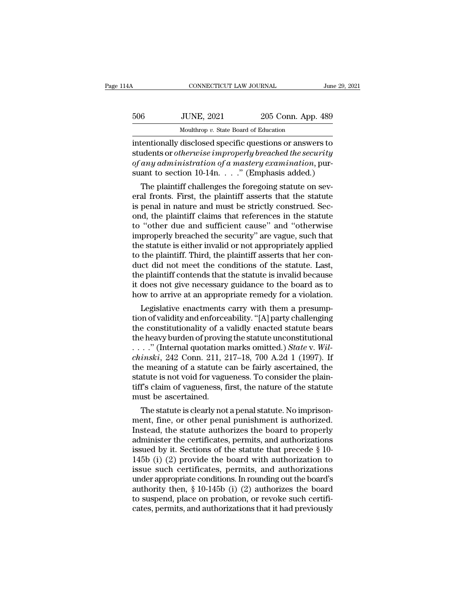| 1A  | CONNECTICUT LAW JOURNAL                                  |                    | June 29, 2021 |
|-----|----------------------------------------------------------|--------------------|---------------|
| 506 | <b>JUNE, 2021</b>                                        | 205 Conn. App. 489 |               |
|     | Moulthrop v. State Board of Education                    |                    |               |
|     | intentionally disclosed specific questions or answers to |                    |               |

CONNECTICUT LAW JOURNAL June 29, 2021<br>
506 JUNE, 2021 205 Conn. App. 489<br>
Moulthrop v. State Board of Education<br>
intentionally disclosed specific questions or answers to<br>
students or *otherwise improperly breached the secu* students or *otherwise improperly breached the security*<br>
students or *otherwise improperly breached the security*<br>
of *any administration of a mastery examination*, pur-<br>
suant to section 10.14n .......................... *Sof any administration of a mastery examinationally disclosed specific questions or answers to* students or *otherwise improperly breached the security of any administration of a mastery examination*, pursuant to section suant to section 10-14n. . . .'' (Emphasis added.) Moulthrop v. State Board of Education<br>tentionally disclosed specific questions or answers to<br>idents or *otherwise improperly breached the security*<br>any administration of a mastery examination, pur-<br>ant to section 10-14n. intentionally disclosed specific questions or answers to<br>students or *otherwise improperly breached the security*<br>of *any administration of a mastery examination*, pur-<br>suant to section 10-14n. . . . ." (Emphasis added.)<br>T

is permitted in the security of any administration of a mastery examination, pursuant to section 10-14n. . . . " (Emphasis added.)<br>The plaintiff challenges the foregoing statute on several fronts. First, the plaintiff asse students or *otherwise improperty oreached the security*<br>of *any administration of a mastery examination*, pur-<br>suant to section 10-14n.  $\ldots$ ." (Emphasis added.)<br>The plaintiff challenges the foregoing statute on sev-<br>era of any aaministration of a mastery examination, pursuant to section 10-14n.  $\ldots$ ." (Emphasis added.)<br>The plaintiff challenges the foregoing statute on several fronts. First, the plaintiff asserts that the statute<br>is pena suant to section 10-14n. . . . . (Emphasis added.)<br>The plaintiff challenges the foregoing statute on sev-<br>eral fronts. First, the plaintiff asserts that the statute<br>is penal in nature and must be strictly construed. Sec-<br>o The plaintiff challenges the foregoing statute on several fronts. First, the plaintiff asserts that the statute<br>is penal in nature and must be strictly construed. Sec-<br>ond, the plaintiff claims that references in the statu eral fronts. First, the plaintiff asserts that the statute<br>is penal in nature and must be strictly construed. Sec-<br>ond, the plaintiff claims that references in the statute<br>to "other due and sufficient cause" and "otherwise is penal in nature and must be strictly construed. Second, the plaintiff claims that references in the statute<br>to "other due and sufficient cause" and "otherwise<br>improperly breached the security" are vague, such that<br>the s ond, the plaintiff claims that references in the statute<br>to "other due and sufficient cause" and "otherwise<br>improperly breached the security" are vague, such that<br>the statute is either invalid or not appropriately applied<br> to "other due and sufficient cause" and "otherwise<br>improperly breached the security" are vague, such that<br>the statute is either invalid or not appropriately applied<br>to the plaintiff. Third, the plaintiff asserts that her c improperly breached the security" are vague, such that<br>the statute is either invalid or not appropriately applied<br>to the plaintiff. Third, the plaintiff asserts that her con-<br>duct did not meet the conditions of the statute Example is either invalid or not appropriately applied<br>the plaintiff. Third, the plaintiff asserts that her con-<br>lect did not meet the conditions of the statute. Last,<br>e plaintiff contends that the statute is invalid becau to the plaintiff. Third, the plaintiff asserts that her conduct did not meet the conditions of the statute. Last, the plaintiff contends that the statute is invalid because it does not give necessary guidance to the board

duct did not meet the conditions of the statute. Last,<br>the plaintiff contends that the statute is invalid because<br>it does not give necessary guidance to the board as to<br>how to arrive at an appropriate remedy for a violati the plaintiff contends that the statute is invalid because<br>it does not give necessary guidance to the board as to<br>how to arrive at an appropriate remedy for a violation.<br>Legislative enactments carry with them a presump-<br>t It does not give necessary guidance to the board as to<br>how to arrive at an appropriate remedy for a violation.<br>Legislative enactments carry with them a presump-<br>tion of validity and enforceability. "[A] party challenging<br>t *chinski* enactments carry with them a presumption of validity and enforceability. "[A] party challenging the constitutionality of a validly enacted statute bears the heavy burden of proving the statute unconstitutional . Legislative enactments carry with them a presumption of validity and enforceability. "[A] party challenging<br>the constitutionality of a validly enacted statute bears<br>the heavy burden of proving the statute unconstitutional tion of validity and enforceability. "[A] party challenging<br>the constitutionality of a validly enacted statute bears<br>the heavy burden of proving the statute unconstitutional<br> $\ldots$ ." (Internal quotation marks omitted.) Sta the constitutionality of a validly enacted statute bears<br>the heavy burden of proving the statute unconstitutional<br>..." (Internal quotation marks omitted.) State v. Wil-<br>chinski, 242 Conn. 211, 217–18, 700 A.2d 1 (1997). I must be ascertained. ... (Internal quotation marks omitted.) *State V. Wu-*<br>*inski*, 242 Conn. 211, 217–18, 700 A.2d 1 (1997). If<br>e meaning of a statute can be fairly ascertained, the<br>statute is not void for vagueness. To consider the plain-<br> *CRURSKI*, 242 CORN. 211, 217–18, 700 A.2d 1 (1997). If<br>the meaning of a statute can be fairly ascertained, the<br>statute is not void for vagueness. To consider the plain-<br>tiff's claim of vagueness, first, the nature of the

the meaning of a statute can be fairly ascertained, the<br>statute is not void for vagueness. To consider the plain-<br>tiff's claim of vagueness, first, the nature of the statute<br>must be ascertained.<br>The statute is clearly not statute is not void for vagueness. To consider the plain-<br>tiff's claim of vagueness, first, the nature of the statute<br>must be ascertained.<br>The statute is clearly not a penal statute. No imprison-<br>ment, fine, or other pena the statute must be ascertained.<br>
The statute is clearly not a penal statute. No imprisonment, fine, or other penal punishment is authorized.<br>
Instead, the statute authorizes the board to properly<br>
administer the certifica must be ascertained.<br>
The statute is clearly not a penal statute. No imprison-<br>
ment, fine, or other penal punishment is authorized.<br>
Instead, the statute authorizes the board to properly<br>
administer the certificates, perm The statute is clearly not a penal statute. No imprison-<br>ment, fine, or other penal punishment is authorized.<br>Instead, the statute authorizes the board to properly<br>administer the certificates, permits, and authorizations<br> ment, fine, or other penal punishment is authorized.<br>Instead, the statute authorizes the board to properly<br>administer the certificates, permits, and authorizations<br>issued by it. Sections of the statute that precede  $\S$  10 Instead, the statute authorizes the board to properly<br>administer the certificates, permits, and authorizations<br>issued by it. Sections of the statute that precede  $\S$  10-<br>145b (i) (2) provide the board with authorization t administer the certificates, permits, and authorizations<br>issued by it. Sections of the statute that precede  $\S$  10-<br>145b (i) (2) provide the board with authorization to<br>issue such certificates, permits, and authorizations issued by it. Sections of the statute that precede  $\S$  10-145b (i) (2) provide the board with authorization to issue such certificates, permits, and authorizations under appropriate conditions. In rounding out the board's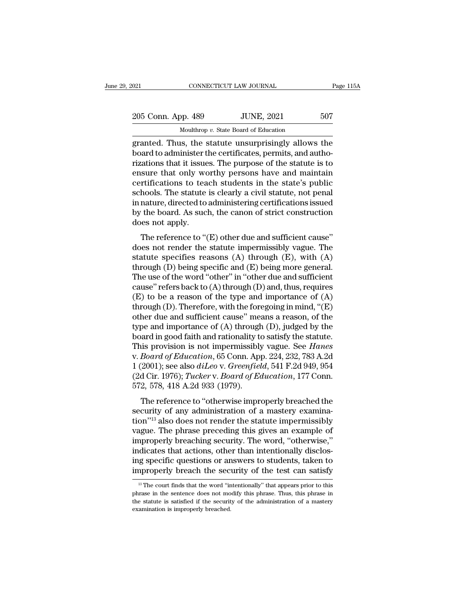| 2021               | CONNECTICUT LAW JOURNAL                             | Page 115A |
|--------------------|-----------------------------------------------------|-----------|
| 205 Conn. App. 489 | <b>JUNE, 2021</b>                                   | 507       |
|                    | Moulthrop $v$ . State Board of Education            |           |
|                    | graphed. Thus the statute unsurprisingly allows the |           |

on the status of the status of the status of the status of the status of the status of the status of Education of the status of Education of the status of Educations that it issues. The purpose of the statute is to status 205 Conn. App. 489 JUNE, 2021 507<br>
Moulthrop v. State Board of Education<br>
granted. Thus, the statute unsurprisingly allows the<br>
board to administer the certificates, permits, and autho-<br>
rizations that it issues. The purp 205 Conn. App. 489 JUNE, 2021 507<br>
Moulthrop v. State Board of Education<br>
granted. Thus, the statute unsurprisingly allows the<br>
board to administer the certificates, permits, and autho-<br>
rizations that it issues. The purp 205 Conn. App. 489 JUNE, 2021 507<br>
Moulthrop v. State Board of Education<br>
granted. Thus, the statute unsurprisingly allows the<br>
board to administer the certificates, permits, and autho-<br>
rizations that it issues. The purp Moulthrop v. State Board of Education<br>granted. Thus, the statute unsurprisingly allows the<br>board to administer the certificates, permits, and autho-<br>rizations that it issues. The purpose of the statute is to<br>ensure that o Mouthrop v. State Board of Education<br>granted. Thus, the statute unsurprisingly allows the<br>board to administer the certificates, permits, and autho-<br>rizations that it issues. The purpose of the statute is to<br>ensure that onl granted. Thus, the statute unsurprisingly allows the<br>board to administer the certificates, permits, and autho-<br>rizations that it issues. The purpose of the statute is to<br>ensure that only worthy persons have and maintain<br>ce board to administer the certificates, permits, and authorizations that it issues. The purpose of the statute is to ensure that only worthy persons have and maintain certifications to teach students in the state's public sc rizations that it issue<br>ensure that only we<br>certifications to tea<br>schools. The statute<br>in nature, directed to<br>by the board. As suc<br>does not apply.<br>The reference to "( sure that only worthy persons have and maintain<br>rtifications to teach students in the state's public<br>hools. The statute is clearly a civil statute, not penal<br>nature, directed to administering certifications issued<br>the boa schools. The statute is clearly a civil statute, not penal<br>in nature, directed to administering certifications issued<br>by the board. As such, the canon of strict construction<br>does not apply.<br>The reference to "(E) other due

schools. The statute is elearly a civilisation, not penal<br>in nature, directed to administering certifications issued<br>by the board. As such, the canon of strict construction<br>does not apply.<br>The reference to "(E) other due a thriatate, anceted to administering ecrimeators issued<br>by the board. As such, the canon of strict construction<br>does not apply.<br>The reference to "(E) other due and sufficient cause"<br>does not render the statute impermissibl By the board. As such, the canon of state construction<br>does not apply.<br>The reference to "(E) other due and sufficient cause"<br>does not render the statute impermissibly vague. The<br>statute specifies reasons (A) through (E), The reference to "(E) other due and sufficient cause"<br>does not render the statute impermissibly vague. The<br>statute specifies reasons (A) through (E), with (A)<br>through (D) being specific and (E) being more general.<br>The use The reference to "(E) other due and sufficient cause"<br>does not render the statute impermissibly vague. The<br>statute specifies reasons (A) through (E), with (A)<br>through (D) being specific and (E) being more general.<br>The use does not render the statute impermissibly vague. The<br>statute specifies reasons (A) through (E), with (A)<br>through (D) being specific and (E) being more general.<br>The use of the word "other" in "other due and sufficient<br>caus statute specifies reasons (A) through (E), with (A)<br>through (D) being specific and (E) being more general.<br>The use of the word "other" in "other due and sufficient<br>cause" refers back to (A) through (D) and, thus, requires<br> through (D) being specific and (E) being more general.<br>The use of the word "other" in "other due and sufficient<br>cause" refers back to (A) through (D) and, thus, requires<br>(E) to be a reason of the type and importance of (A The use of the word "other" in "other due and sufficient<br>cause" refers back to (A) through (D) and, thus, requires<br>(E) to be a reason of the type and importance of (A)<br>through (D). Therefore, with the foregoing in mind, " cause" refers back to (A) through (D) and, thus, requires (E) to be a reason of the type and importance of (A) through (D). Therefore, with the foregoing in mind, "(E) other due and sufficient cause" means a reason, of th (E) to be a reason of the type and importance of (A)<br>through (D). Therefore, with the foregoing in mind, "(E)<br>other due and sufficient cause" means a reason, of the<br>type and importance of (A) through (D), judged by the<br>boa through (D). Therefore, with the foregoing in mind, "(E)<br>other due and sufficient cause" means a reason, of the<br>type and importance of (A) through (D), judged by the<br>board in good faith and rationality to satisfy the statu other due and sufficient cause" means a reason, of the<br>type and importance of (A) through (D), judged by the<br>board in good faith and rationality to satisfy the statute.<br>This provision is not impermissibly vague. See *Hanes* type and importance of (A) through<br>board in good faith and rationality to<br>This provision is not impermissibly<br>v. *Board of Education*, 65 Conn. Ap<br>1 (2001); see also diLeo v. *Greenfiel*<br>(2d Cir. 1976); *Tucker* v. *Board* and in good rath and rationally to satisfy the statute.<br>
is provision is not impermissibly vague. See *Hanes*<br> *Board of Education*, 65 Conn. App. 224, 232, 783 A.2d<br>
(2001); see also diLeo v. *Greenfield*, 541 F.2d 949, 9 rias provision is not imperimissibly vague. See *Tranes*<br>v. *Board of Education*, 65 Conn. App. 224, 232, 783 A.2d<br>1 (2001); see also diLeo v. *Greenfield*, 541 F.2d 949, 954<br>(2d Cir. 1976); *Tucker* v. *Board of Education* 

the status of Education, 60 collinity Energy and 1 (2001); see also dileo v. Greenfield, 541 F.2d 949, 954 (2d Cir. 1976); *Tucker v. Board of Education*, 177 Conn.<br>572, 578, 418 A.2d 933 (1979).<br>The reference to "otherwi r (2001), see also differ v. Greenfield, 941 P.2d 945, 594<br>(2d Cir. 1976); *Tucker v. Board of Education*, 177 Conn.<br>572, 578, 418 A.2d 933 (1979).<br>The reference to "otherwise improperly breached the<br>security of any admin (2d CH: 1570), *Tacker v. Board of Blaucation*, 177 Colli.<br>572, 578, 418 A.2d 933 (1979).<br>The reference to "otherwise improperly breached the<br>security of any administration of a mastery examina-<br>tion"<sup>13</sup> also does not re The reference to "otherwise improperly breached the<br>security of any administration of a mastery examina-<br>tion<sup>313</sup> also does not render the statute impermissibly<br>vague. The phrase preceding this gives an example of<br>improp The reference to "otherwise improperly breached the<br>security of any administration of a mastery examina-<br>tion"<sup>13</sup> also does not render the statute impermissibly<br>vague. The phrase preceding this gives an example of<br>imprope security of any administration of a mastery examination"<sup>13</sup> also does not render the statute impermissibly vague. The phrase preceding this gives an example of improperly breaching security. The word, "otherwise," indica may the court finds that actions, other than intentionally disclosing specific questions or answers to students, taken to approperly breach the security of the test can satisfy  $\frac{13}{10}$  The court finds that the word "in indicates that actions, other than intentionally disclosing specific questions or answers to students, taken to improperly breach the security of the test can satisfy  $\frac{1}{12}$  The court finds that the word "intentionall

ing specific questions or answers to students, taken to improperly breach the security of the test can satisfy  $\frac{B}{B}$  The court finds that the word "intentionally" that appears prior to this phrase in the sentence does improperly breach the sec-<br>  $\frac{1}{13}$  The court finds that the word "in<br>
phrase in the sentence does not mo<br>
the statute is satisfied if the securit<br>
examination is improperly breached.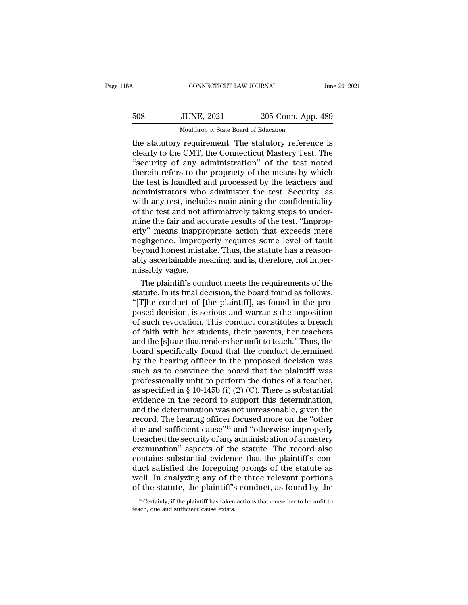| 116A | CONNECTICUT LAW JOURNAL                               |                    | June 29, 2021 |
|------|-------------------------------------------------------|--------------------|---------------|
| 508  | <b>JUNE, 2021</b>                                     | 205 Conn. App. 489 |               |
|      | Moulthrop v. State Board of Education                 |                    |               |
|      | the statutory requirement. The statutory reference is |                    |               |

CONNECTICUT LAW JOURNAL June 29, 2021<br>
508 JUNE, 2021 205 Conn. App. 489<br>
Moulthrop v. State Board of Education<br>
the statutory requirement. The statutory reference is<br>
clearly to the CMT, the Connecticut Mastery Test. The<br> 508 JUNE, 2021 205 Conn. App. 489<br>Moulthrop v. State Board of Education<br>the statutory requirement. The statutory reference is<br>clearly to the CMT, the Connecticut Mastery Test. The<br>"security of any administration" of the te  $\frac{508}{\text{Mouthrop }v. \text{ State Board of Education}}$ <br>
Mouthrop  $v. \text{ State Board of Education}}$ <br>
the statutory requirement. The statutory reference is<br>
clearly to the CMT, the Connecticut Mastery Test. The<br>
"security of any administration" of the test noted<br>
therein  $_{\text{Mouthrop}}$   $v$ . State Board of Education<br>
the statutory requirement. The statutory reference is<br>
clearly to the CMT, the Connecticut Mastery Test. The<br>
"security of any administration" of the test noted<br>
therein refers to Moulthrop v. State Board of Education<br>the statutory requirement. The statutory reference is<br>clearly to the CMT, the Connecticut Mastery Test. The<br>"security of any administration" of the test noted<br>therein refers to the pr Moulthrop v. State Board of Education<br>the statutory requirement. The statutory reference is<br>clearly to the CMT, the Connecticut Mastery Test. The<br>"security of any administration" of the test noted<br>therein refers to the pro the statutory requirement. The statutory reference is<br>clearly to the CMT, the Connecticut Mastery Test. The<br>"security of any administration" of the test noted<br>therein refers to the propriety of the means by which<br>the test clearly to the CMT, the Connecticut Mastery Test. The<br>"security of any administration" of the test noted<br>therein refers to the propriety of the means by which<br>the test is handled and processed by the teachers and<br>administr "security of any administration" of the test noted<br>therein refers to the propriety of the means by which<br>the test is handled and processed by the teachers and<br>administrators who administer the test. Security, as<br>with any t therein refers to the propriety of the means by which<br>the test is handled and processed by the teachers and<br>administrators who administer the test. Security, as<br>with any test, includes maintaining the confidentiality<br>of th the test is handled and processed by the teachers and administrators who administer the test. Security, as with any test, includes maintaining the confidentiality of the test and not affirmatively taking steps to undermine administrators who administer the test. Security, as<br>with any test, includes maintaining the confidentiality<br>of the test and not affirmatively taking steps to under-<br>mine the fair and accurate results of the test. "Impropwith any test, includes maintaining the confidentiality<br>of the test and not affirmatively taking steps to under-<br>mine the fair and accurate results of the test. "Improp-<br>erly" means inappropriate action that exceeds mere<br>n of the test and not a<br>mine the fair and accerly" means inappro<br>negligence. Improp<br>beyond honest mista<br>ably ascertainable me<br>missibly vague.<br>The plaintiff's conc In the fair and accurate results of the test. "Improp-<br>ly" means inappropriate action that exceeds mere<br>gligence. Improperly requires some level of fault<br>yond honest mistake. Thus, the statute has a reason-<br>ly ascertainabl erly" means inappropriate action that exceeds mere<br>negligence. Improperly requires some level of fault<br>beyond honest mistake. Thus, the statute has a reason-<br>ably ascertainable meaning, and is, therefore, not imper-<br>missib

negligence. Improperly requires some level of fault<br>beyond honest mistake. Thus, the statute has a reason-<br>ably ascertainable meaning, and is, therefore, not imper-<br>missibly vague.<br>The plaintiff's conduct meets the require beyond honest mistake. Thus, the statute has a reason-<br>ably ascertainable meaning, and is, therefore, not imper-<br>missibly vague.<br>The plaintiff's conduct meets the requirements of the<br>statute. In its final decision, the boa ably ascertainable meaning, and is, therefore, not imper-<br>missibly vague.<br>The plaintiff's conduct meets the requirements of the<br>statute. In its final decision, the board found as follows:<br>"[T]he conduct of [the plaintiff], missibly vague.<br>
The plaintiff's conduct meets the requirements of the<br>
statute. In its final decision, the board found as follows:<br>
"[T]he conduct of [the plaintiff], as found in the pro-<br>
posed decision, is serious and w The plaintiff's conduct meets the requirements of the<br>statute. In its final decision, the board found as follows:<br>"[T]he conduct of [the plaintiff], as found in the pro-<br>posed decision, is serious and warrants the impositi statute. In its final decision, the board found as follows:<br>"[T]he conduct of [the plaintiff], as found in the pro-<br>posed decision, is serious and warrants the imposition<br>of such revocation. This conduct constitutes a brea "[T]he conduct of [the plaintiff], as found in the pro-<br>posed decision, is serious and warrants the imposition<br>of such revocation. This conduct constitutes a breach<br>of faith with her students, their parents, her teachers<br>a posed decision, is serious and warrants the imposition<br>of such revocation. This conduct constitutes a breach<br>of faith with her students, their parents, her teachers<br>and the [s]tate that renders her unfit to teach." Thus, of such revocation. This conduct constitutes a breach<br>of faith with her students, their parents, her teachers<br>and the [s]tate that renders her unfit to teach." Thus, the<br>board specifically found that the conduct determined of faith with her students, their parents, her teachers<br>and the [s]tate that renders her unfit to teach." Thus, the<br>board specifically found that the conduct determined<br>by the hearing officer in the proposed decision was<br>s and the [s]tate that renders her unfit to teach." Thus, the<br>board specifically found that the conduct determined<br>by the hearing officer in the proposed decision was<br>such as to convince the board that the plaintiff was<br>prof board specifically found that the conduct determined<br>by the hearing officer in the proposed decision was<br>such as to convince the board that the plaintiff was<br>professionally unfit to perform the duties of a teacher,<br>as spe by the hearing officer in the proposed decision was<br>such as to convince the board that the plaintiff was<br>professionally unfit to perform the duties of a teacher,<br>as specified in § 10-145b (i) (2) (C). There is substantial<br> such as to convince the board that the plaintiff was<br>professionally unfit to perform the duties of a teacher,<br>as specified in § 10-145b (i) (2) (C). There is substantial<br>evidence in the record to support this determinatio professionally unfit to perform the duties of a teacher,<br>as specified in § 10-145b (i) (2) (C). There is substantial<br>evidence in the record to support this determination,<br>and the determination was not unreasonable, given as specified in § 10-145b (i) (2) (C). There is substantial<br>evidence in the record to support this determination,<br>and the determination was not unreasonable, given the<br>record. The hearing officer focused more on the "othe evidence in the record to support this determination,<br>and the determination was not unreasonable, given the<br>record. The hearing officer focused more on the "other<br>due and sufficient cause"<sup>14</sup> and "otherwise improperly<br>bre and the determination was not unreasonable, given the record. The hearing officer focused more on the "other due and sufficient cause"<sup>14</sup> and "otherwise improperly breached the security of any administration of a mastery record. The hearing officer focused more on the "other<br>due and sufficient cause"<sup>14</sup> and "otherwise improperly<br>breached the security of any administration of a mastery<br>examination" aspects of the statute. The record also<br>c due and sufficient cause"<sup>14</sup> and "otherwise improperly<br>breached the security of any administration of a mastery<br>examination" aspects of the statute. The record also<br>contains substantial evidence that the plaintiff's con-<br> ontains substantial evidence that the plaintiff's con-<br>uct satisfied the foregoing prongs of the statute as<br>ell. In analyzing any of the three relevant portions<br>f the statute, the plaintiff's conduct, as found by the<br><sup>14</sup> duct satisfied the foregoing<br>well. In analyzing any of the of the statute, the plaintiff's<br> $\frac{14 \text{ Certainly, if the plaintiff has taken}}{4 \text{teach, due and sufficient cause exists.}}$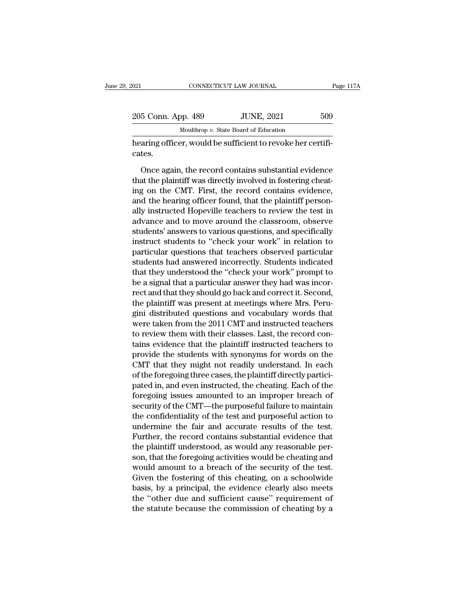| 021                | CONNECTICUT LAW JOURNAL                                                                                                                                                   | Page 117A |
|--------------------|---------------------------------------------------------------------------------------------------------------------------------------------------------------------------|-----------|
|                    |                                                                                                                                                                           |           |
| 205 Conn. App. 489 | <b>JUNE, 2021</b>                                                                                                                                                         | 509       |
|                    | Moulthrop v. State Board of Education                                                                                                                                     |           |
| cates.             | hearing officer, would be sufficient to revoke her certifi-                                                                                                               |           |
|                    | Once again, the record contains substantial evidence<br>that the plaintiff was directly involved in fostering cheat-<br>ing on the CMT Eirst the recent contains evidence |           |

 $t_{\text{JOLNE}}$ ,  $2021$   $-309$ <br>Moulthrop v. State Board of Education<br>hearing officer, would be sufficient to revoke her certifi-<br>cates.<br>Once again, the record contains substantial evidence<br>that the plaintiff was directly invo Moulthrop  $v$ . State Board of Education<br>
hearing officer, would be sufficient to revoke her certificates.<br>
Once again, the record contains substantial evidence<br>
that the plaintiff was directly involved in fostering cheathearing officer, would be sufficient to revoke her certificates.<br>
Once again, the record contains substantial evidence<br>
that the plaintiff was directly involved in fostering cheat-<br>
ing on the CMT. First, the record contai cates.<br>
Once again, the record contains substantial evidence<br>
that the plaintiff was directly involved in fostering cheat-<br>
ing on the CMT. First, the record contains evidence,<br>
and the hearing officer found, that the plai Once again, the record contains substantial evidence<br>that the plaintiff was directly involved in fostering cheat-<br>ing on the CMT. First, the record contains evidence,<br>and the hearing officer found, that the plaintiff perso Once again, the record contains substantial evidence<br>that the plaintiff was directly involved in fostering cheat-<br>ing on the CMT. First, the record contains evidence,<br>and the hearing officer found, that the plaintiff perso that the plaintiff was directly involved in fostering cheating on the CMT. First, the record contains evidence, and the hearing officer found, that the plaintiff personally instructed Hopeville teachers to review the test ing on the CMT. First, the record contains evidence,<br>and the hearing officer found, that the plaintiff person-<br>ally instructed Hopeville teachers to review the test in<br>advance and to move around the classroom, observe<br>stud and the hearing officer found, that the plaintiff person-<br>ally instructed Hopeville teachers to review the test in<br>advance and to move around the classroom, observe<br>students' answers to various questions, and specifically<br> ally instructed Hopeville teachers to review the test in<br>advance and to move around the classroom, observe<br>students' answers to various questions, and specifically<br>instruct students to "check your work" in relation to<br>part advance and to move around the classroom, observe<br>students' answers to various questions, and specifically<br>instruct students to "check your work" in relation to<br>particular questions that teachers observed particular<br>studen students' answers to various questions, and specifically<br>instruct students to "check your work" in relation to<br>particular questions that teachers observed particular<br>students had answered incorrectly. Students indicated<br>th instruct students to "check your work" in relation to<br>particular questions that teachers observed particular<br>students had answered incorrectly. Students indicated<br>that they understood the "check your work" prompt to<br>be a s particular questions that teachers observed particular<br>students had answered incorrectly. Students indicated<br>that they understood the "check your work" prompt to<br>be a signal that a particular answer they had was incor-<br>rec students had answered incorrectly. Students indicated<br>that they understood the "check your work" prompt to<br>be a signal that a particular answer they had was incor-<br>rect and that they should go back and correct it. Second,<br> that they understood the "check your work" prompt to<br>be a signal that a particular answer they had was incor-<br>rect and that they should go back and correct it. Second,<br>the plaintiff was present at meetings where Mrs. Perube a signal that a particular answer they had was incorrect and that they should go back and correct it. Second, the plaintiff was present at meetings where Mrs. Perugini distributed questions and vocabulary words that wer rect and that they should go back and correct it. Second,<br>the plaintiff was present at meetings where Mrs. Peru-<br>gini distributed questions and vocabulary words that<br>were taken from the 2011 CMT and instructed teachers<br>to the plaintiff was present at meetings where Mrs. Peru-<br>gini distributed questions and vocabulary words that<br>were taken from the 2011 CMT and instructed teachers<br>to review them with their classes. Last, the record con-<br>tain gini distributed questions and vocabulary words that<br>were taken from the 2011 CMT and instructed teachers<br>to review them with their classes. Last, the record con-<br>tains evidence that the plaintiff instructed teachers to<br>pr were taken from the 2011 CMT and instructed teachers<br>to review them with their classes. Last, the record con-<br>tains evidence that the plaintiff instructed teachers to<br>provide the students with synonyms for words on the<br>CMT to review them with their classes. Last, the record contains evidence that the plaintiff instructed teachers to provide the students with synonyms for words on the CMT that they might not readily understand. In each of the tains evidence that the plaintiff instructed teachers to<br>provide the students with synonyms for words on the<br>CMT that they might not readily understand. In each<br>of the foregoing three cases, the plaintiff directly participrovide the students with synonyms for words on the<br>CMT that they might not readily understand. In each<br>of the foregoing three cases, the plaintiff directly partici-<br>pated in, and even instructed, the cheating. Each of the CMT that they might not readily understand. In each<br>of the foregoing three cases, the plaintiff directly partici-<br>pated in, and even instructed, the cheating. Each of the<br>foregoing issues amounted to an improper breach of<br> of the foregoing three cases, the plaintiff directly partici-<br>pated in, and even instructed, the cheating. Each of the<br>foregoing issues amounted to an improper breach of<br>security of the CMT—the purposeful failure to mainta pated in, and even instructed, the cheating. Each of the<br>foregoing issues amounted to an improper breach of<br>security of the CMT—the purposeful failure to maintain<br>the confidentiality of the test and purposeful action to<br>un foregoing issues amounted to an improper breach of<br>security of the CMT—the purposeful failure to maintain<br>the confidentiality of the test and purposeful action to<br>undermine the fair and accurate results of the test.<br>Furthe security of the CMT—the purposeful failure to maintain<br>the confidentiality of the test and purposeful action to<br>undermine the fair and accurate results of the test.<br>Further, the record contains substantial evidence that<br>th the confidentiality of the test and purposeful action to<br>undermine the fair and accurate results of the test.<br>Further, the record contains substantial evidence that<br>the plaintiff understood, as would any reasonable per-<br>so undermine the fair and accurate results of the test.<br>Further, the record contains substantial evidence that<br>the plaintiff understood, as would any reasonable per-<br>son, that the foregoing activities would be cheating and<br>wo Further, the record contains substantial evidence that<br>the plaintiff understood, as would any reasonable per-<br>son, that the foregoing activities would be cheating and<br>would amount to a breach of the security of the test.<br>G the plaintiff understood, as would any reasonable per-<br>son, that the foregoing activities would be cheating and<br>would amount to a breach of the security of the test.<br>Given the fostering of this cheating, on a schoolwide<br>ba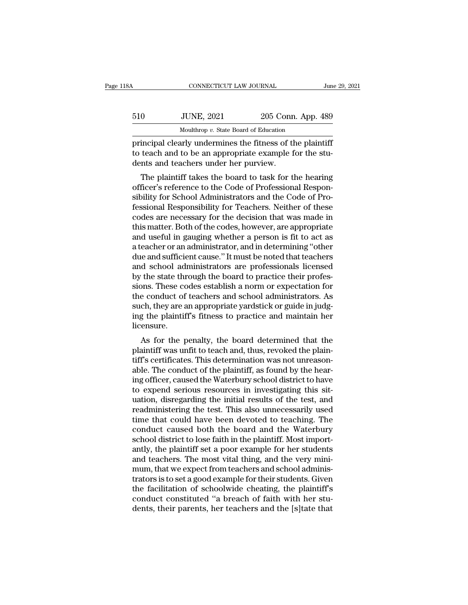| l8A | CONNECTICUT LAW JOURNAL               |                    | June 29, 2021 |
|-----|---------------------------------------|--------------------|---------------|
| 510 | <b>JUNE, 2021</b>                     | 205 Conn. App. 489 |               |
|     | Moulthrop v. State Board of Education |                    |               |

to teach and to be an appropriate example for the students and teachers under her purview.<br>
The students and to be an appropriate example for the students and teachers under her purview. 510 JUNE, 2021 205 Conn<br>
Moulthrop v. State Board of Education<br>
principal clearly undermines the fitness of the<br>
to teach and to be an appropriate example f<br>
dents and teachers under her purview.<br>
The plaintiff takes the b  $\frac{1}{2021}$   $\frac{205}{205}$  Conn. App. 489<br>  $\frac{1}{2021}$  Moulthrop v. State Board of Education<br>
incipal clearly undermines the fitness of the plaintiff<br>
teach and to be an appropriate example for the stu-<br>
onts and teacher

Moulthrop  $v$ . State Board of Education<br>
principal clearly undermines the fitness of the plaintiff<br>
to teach and to be an appropriate example for the stu-<br>
dents and teachers under her purview.<br>
The plaintiff takes the bo principal clearly undermines the fitness of the plaintiff<br>to teach and to be an appropriate example for the stu-<br>dents and teachers under her purview.<br>The plaintiff takes the board to task for the hearing<br>officer's referen principal clearly undernines the miless of the plantific<br>to teach and to be an appropriate example for the stu-<br>dents and teachers under her purview.<br>The plaintiff takes the board to task for the hearing<br>officer's referenc to teach and to be an appropriate example for the stu-<br>dents and teachers under her purview.<br>The plaintiff takes the board to task for the hearing<br>officer's reference to the Code of Professional Respon-<br>sibility for School The plaintiff takes the board to task for the hearing<br>officer's reference to the Code of Professional Respon-<br>sibility for School Administrators and the Code of Pro-<br>fessional Responsibility for Teachers. Neither of these<br> The plaintiff takes the board to task for the hearing<br>officer's reference to the Code of Professional Respon-<br>sibility for School Administrators and the Code of Pro-<br>fessional Responsibility for Teachers. Neither of these<br> officer's reference to the Code of Professional Responsibility for School Administrators and the Code of Professional Responsibility for Teachers. Neither of these codes are necessary for the decision that was made in this sibility for School Administrators and the Code of Pro-<br>fessional Responsibility for Teachers. Neither of these<br>codes are necessary for the decision that was made in<br>this matter. Both of the codes, however, are appropriate fessional Responsibility for Teachers. Neither of these<br>codes are necessary for the decision that was made in<br>this matter. Both of the codes, however, are appropriate<br>and useful in gauging whether a person is fit to act as codes are necessary for the decision that was made in<br>this matter. Both of the codes, however, are appropriate<br>and useful in gauging whether a person is fit to act as<br>a teacher or an administrator, and in determining "othe this matter. Both of the codes, however, are appropriate<br>and useful in gauging whether a person is fit to act as<br>a teacher or an administrator, and in determining "other<br>due and sufficient cause." It must be noted that tea and useful in gauging whether a person is fit to act as<br>a teacher or an administrator, and in determining "other<br>due and sufficient cause." It must be noted that teachers<br>and school administrators are professionals license a teacher or an administrator, and in determining "other<br>due and sufficient cause." It must be noted that teachers<br>and school administrators are professionals licensed<br>by the state through the board to practice their profe due and sufficient cause." It must be noted that teachers<br>and school administrators are professionals licensed<br>by the state through the board to practice their profes-<br>sions. These codes establish a norm or expectation for licensure. the state unough the board to practice then profes-<br>ons. These codes establish a norm or expectation for<br>e conduct of teachers and school administrators. As<br>ch, they are an appropriate yardstick or guide in judg-<br>g the pla sions. These codes establish a norm of expectation for<br>the conduct of teachers and school administrators. As<br>such, they are an appropriate yardstick or guide in judg-<br>ing the plaintiff's fitness to practice and maintain he

the conduct of teachers and school administrators. As<br>such, they are an appropriate yardstick or guide in judg-<br>ing the plaintiff's fitness to practice and maintain her<br>licensure.<br>As for the penalty, the board determined t such, they are an appropriate yardstick or guide in judg-<br>ing the plaintiff's fitness to practice and maintain her<br>licensure.<br>As for the penalty, the board determined that the<br>plaintiff was unfit to teach and, thus, revoke ing the plantin's intless to practice and maintain her<br>licensure.<br>As for the penalty, the board determined that the<br>plaintiff was unfit to teach and, thus, revoked the plain-<br>tiff's certificates. This determination was not As for the penalty, the board determined that the<br>plaintiff was unfit to teach and, thus, revoked the plain-<br>tiff's certificates. This determination was not unreason-<br>able. The conduct of the plaintiff, as found by the hea As for the penalty, the board determined that the plaintiff was unfit to teach and, thus, revoked the plaintiff's certificates. This determination was not unreasonable. The conduct of the plaintiff, as found by the hearing plaintiff was unfit to teach and, thus, revoked the plaintiff's certificates. This determination was not unreasonable. The conduct of the plaintiff, as found by the hearing officer, caused the Waterbury school district to tiff's certificates. This determination was not unreasonable. The conduct of the plaintiff, as found by the hearing officer, caused the Waterbury school district to have to expend serious resources in investigating this si able. The conduct of the plaintiff, as found by the hear-<br>ing officer, caused the Waterbury school district to have<br>to expend serious resources in investigating this sit-<br>uation, disregarding the initial results of the tes ing officer, caused the Waterbury school district to have<br>to expend serious resources in investigating this sit-<br>uation, disregarding the initial results of the test, and<br>readministering the test. This also unnecessarily u to expend serious resources in investigating this situation, disregarding the initial results of the test, and<br>readministering the test. This also unnecessarily used<br>time that could have been devoted to teaching. The<br>condu uation, disregarding the initial results of the test, and<br>readministering the test. This also unnecessarily used<br>time that could have been devoted to teaching. The<br>conduct caused both the board and the Waterbury<br>school dis readministering the test. This also unnecessarily used<br>time that could have been devoted to teaching. The<br>conduct caused both the board and the Waterbury<br>school district to lose faith in the plaintiff. Most import-<br>antly, time that could have been devoted to teaching. The<br>conduct caused both the board and the Waterbury<br>school district to lose faith in the plaintiff. Most import-<br>antly, the plaintiff set a poor example for her students<br>and t conduct caused both the board and the Waterbury<br>school district to lose faith in the plaintiff. Most import-<br>antly, the plaintiff set a poor example for her students<br>and teachers. The most vital thing, and the very mini-<br>m school district to lose faith in the plaintiff. Most importantly, the plaintiff set a poor example for her students<br>and teachers. The most vital thing, and the very mini-<br>mum, that we expect from teachers and school admini antly, the plaintiff set a poor example for her students<br>and teachers. The most vital thing, and the very mini-<br>mum, that we expect from teachers and school adminis-<br>trators is to set a good example for their students. Giv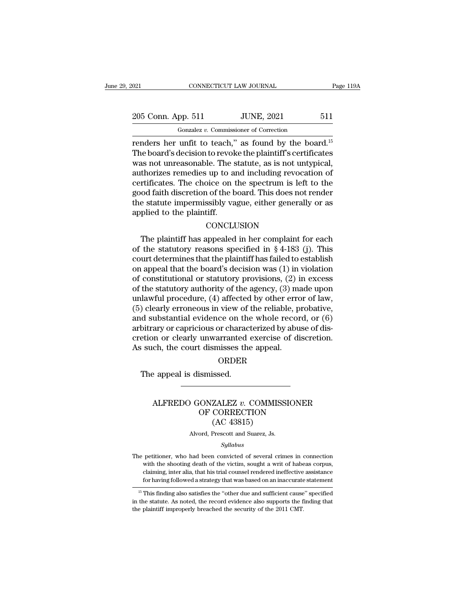# 021 CONNECTICUT LAW JOURNAL Page 119A<br>
205 Conn. App. 511 JUNE, 2021 511<br>
Gonzalez v. Commissioner of Correction

Fage 119<br>
<u>Gonalez *v.* Commissioner of Correction</u><br>
renders her unfit to teach," as found by the board.<sup>15</sup><br>
The board's decision to revoke the plaintiff's certificates<br>
was not unreasonable. The statute as is not untanic 205 Conn. App. 511 JUNE, 2021 511<br>
Gonzalez v. Commissioner of Correction<br>
Tenders her unfit to teach," as found by the board.<sup>15</sup><br>
The board's decision to revoke the plaintiff's certificates<br>
was not unreasonable. The st 205 Conn. App. 511 JUNE, 2021 511<br>
Gonzalez v. Commissioner of Correction<br>
renders her unfit to teach," as found by the board.<sup>15</sup><br>
The board's decision to revoke the plaintiff's certificates<br>
was not unreasonable. The st 205 Conn. App. 511 JUNE, 2021 511<br>
Gonzalez v. Commissioner of Correction<br>
renders her unfit to teach," as found by the board.<sup>15</sup><br>
The board's decision to revoke the plaintiff's certificates<br>
was not unreasonable. The st Gonzalez v. Commissioner of Correction<br>
renders her unfit to teach," as found by the board.<sup>15</sup><br>
The board's decision to revoke the plaintiff's certificates<br>
was not unreasonable. The statute, as is not untypical,<br>
author Gonzalez v. Commissioner of Correction<br>
renders her unfit to teach," as found by the board.<sup>15</sup><br>
The board's decision to revoke the plaintiff's certificates<br>
was not unreasonable. The statute, as is not untypical,<br>
author renders her unfit to teach," as found by the board.<sup>15</sup><br>The board's decision to revoke the plaintiff's certificates<br>was not unreasonable. The statute, as is not untypical,<br>authorizes remedies up to and including revocation The board's decision to revoke the plaintiff's certificates<br>was not unreasonable. The statute, as is not untypical,<br>authorizes remedies up to and including revocation of<br>certificates. The choice on the spectrum is left to Trificates. The choice on the spectrum is left to the<br>od faith discretion of the board. This does not render<br>e statute impermissibly vague, either generally or as<br>plied to the plaintiff.<br>CONCLUSION<br>The plaintiff has appea

### **CONCLUSION**

good faith discretion of the board. This does not render<br>the statute impermissibly vague, either generally or as<br>applied to the plaintiff.<br>CONCLUSION<br>The plaintiff has appealed in her complaint for each<br>of the statutory r the statute impermissibly vague, either generally or as<br>applied to the plaintiff.<br>CONCLUSION<br>The plaintiff has appealed in her complaint for each<br>of the statutory reasons specified in § 4-183 (j). This<br>court determines th applied to the plaintiff.<br>
CONCLUSION<br>
The plaintiff has appealed in her complaint for each<br>
of the statutory reasons specified in § 4-183 (j). This<br>
court determines that the plaintiff has failed to establish<br>
on appeal CONCLUSION<br>CONCLUSION<br>The plaintiff has appealed in her complaint for each<br>of the statutory reasons specified in § 4-183 (j). This<br>court determines that the plaintiff has failed to establish<br>on appeal that the board's dec CONCLUSION<br>
The plaintiff has appealed in her complaint for each<br>
of the statutory reasons specified in § 4-183 (j). This<br>
court determines that the plaintiff has failed to establish<br>
on appeal that the board's decision w The plaintiff has appealed in her complaint for each<br>of the statutory reasons specified in § 4-183 (j). This<br>court determines that the plaintiff has failed to establish<br>on appeal that the board's decision was (1) in viola of the statutory reasons specified in § 4-183 (j). This<br>court determines that the plaintiff has failed to establish<br>on appeal that the board's decision was (1) in violation<br>of constitutional or statutory provisions, (2) i court determines that the plaintiff has failed to establish<br>on appeal that the board's decision was (1) in violation<br>of constitutional or statutory provisions, (2) in excess<br>of the statutory authority of the agency, (3) ma on appeal that the board's decision was  $(1)$  in violation<br>of constitutional or statutory provisions,  $(2)$  in excess<br>of the statutory authority of the agency,  $(3)$  made upon<br>unlawful procedure,  $(4)$  affected by other e of constitutional or statutory provisions, (2) in excess<br>of the statutory authority of the agency, (3) made upon<br>unlawful procedure, (4) affected by other error of law,<br>(5) clearly erroneous in view of the reliable, probat of the statutory authority of the agency, (3) maintawful procedure, (4) affected by other error (5) clearly erroneous in view of the reliable, p and substantial evidence on the whole recordarbitrary or capricious or charac The appeal is dismissed.<br>The appeal is dismissed.<br>The appeal is dismissed.<br>The appeal is dismissed.

### ORDER

### ALFREDO GONZALEZ *v.* COMMISSIONER<br>
ORDER<br>
ALFREDO GONZALEZ *v.* COMMISSIONER<br>
OF CORRECTION ORDER<br>
SERIESSES die deppedie<br>
SISSES<br>
CONZALEZ v. COMMISSIONER<br>
OF CORRECTION<br>
(AC 43815) ORDER<br>issed.<br>ZALEZ v. COMMIS<br>CORRECTION<br>(AC 43815)<br>Prescott and Suarez, Js. ALFREDO GONZALEZ  $v$ . COMMISSIONER<br>OF CORRECTION<br>(AC 43815)<br>Alvord, Prescott and Suarez, Js.

### *Syllabus*

OF CORRECTION<br>
(AC 43815)<br>
Alvord, Prescott and Suarez, Js.<br>
Syllabus<br>
The petitioner, who had been convicted of several crimes in connection<br>
with the shooting death of the victim, sought a writ of habeas corpus,  $\rm (AC~43815)$ <br>Alvord, Prescott and Suarez, Js.<br> $Syllabus$ <br>petitioner, who had been convicted of several crimes in connection<br>with the shooting death of the victim, sought a writ of habeas corpus,<br>claiming, inter alia, that hi Alvord, Prescott and Suarez, Js.<br>Syllabus<br>petitioner, who had been convicted of several crimes in connection<br>with the shooting death of the victim, sought a writ of habeas corpus,<br>claiming, inter alia, that his trial couns The petitioner, who had been convicted of several crimes in connection<br>with the shooting death of the victim, sought a writ of habeas corpus,<br>claiming, inter alia, that his trial counsel rendered ineffective assistance<br>for the petitioner, who had been convicted of several crimes in connection<br>with the shooting death of the victim, sought a writ of habeas corpus,<br>claiming, inter alia, that his trial counsel rendered ineffective assistance<br>for The petitioner, who had been convicted of several crimes in connection<br>with the shooting death of the victim, sought a writ of habeas corpus,<br>claiming, inter alia, that his trial counsel rendered ineffective assistance<br>fo

with the shooting death of the victim, sought a writ of habe<br>claiming, inter alia, that his trial counsel rendered ineffective<br>for having followed a strategy that was based on an inaccurate<br>in the statute. As noted, the re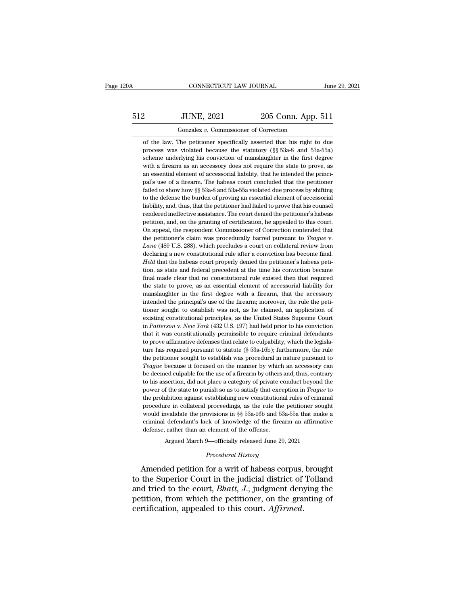# CONNECTICUT LAW JOURNAL June 29, 2021<br>512 JUNE, 2021 205 Conn. App. 511<br>Gonzalez v. Commissioner of Correction

CONNECTICUT LAW JOURNAL<br>JUNE, 2021 205 Conn. App.<br>Gonzalez *v.* Commissioner of Correction<br>The petitioner specifically asserted that his right to COLORET 2021 205 Conn. App. 511<br>
Conzalez v. Commissioner of Correction<br>
of the law. The petitioner specifically asserted that his right to due<br>
process was violated because the statutory (§§ 53a-8 and 53a-55a) From Contact 2021 205 Conn. App. 511<br>
9205 Conn. App. 511<br>
9205 Conn. App. 511<br>
9205 Conn. App. 511<br>
9205 Conn. App. 511<br>
9205 Conn. App. 511<br>
9205 Conn. App. 511<br>
9205 Conne is conviction of the statutory (§§ 53a-8 and 53 SUNE, 2021 205 Conn. App. 511<br>
Gonzalez v. Commissioner of Correction<br>
of the law. The petitioner specifically asserted that his right to due<br>
process was violated because the statutory (§§ 53a-8 and 53a-55a)<br>
scheme under Gonzalez v. Commissioner of Correction<br>
of the law. The petitioner specifically asserted that his right to due<br>
process was violated because the statutory ( $\S$ § 53a-8 and 53a-55a)<br>
scheme underlying his conviction of mans Gonzalez v. Commissioner of Correction<br>of the law. The petitioner specifically asserted that his right to due<br>process was violated because the statutory (§§ 53a-8 and 53a-55a)<br>scheme underlying his conviction of manslaught of the law. The petitioner specifically asserted that his right to due process was violated because the statutory  $(\S \S 53a-8)$  and  $53a-55a$ ) scheme underlying his conviction of manslaughter in the first degree with a fi process was violated because the statutory ( $\S$ § 53a-8 and 53a-55a) scheme underlying his conviction of manslaughter in the first degree with a firearm as an accessory does not require the state to prove, as an essential From underlying his conviction of manslaughter in the first degree with a firearm as an accessory does not require the state to prove, as an essential element of accessorial liability, that he intended the principal's use with a firearm as an accessory does not require the state to prove, as an essential element of accessorial liability, that he intended the principal's use of a firearm. The habeas court concluded that the petitioner faile Frame as messential element of accessorial liability, that he intended the principal's use of a firearm. The habeas court concluded that the petitioner failed to show how  $\S$  53a-8 and 53a-55a violated due process by shif and's use of a firearm. The habeas court concluded that the petitioner failed to show how §§ 53a-8 and 53a-55a violated due process by shifting to the defense the burden of proving an essential element of accessorial liabi failed to show how §§ 53a-8 and 53a-55a violated due process by shifting to the defense the burden of proving an essential element of accessorial liability, and, thus, that the petitioner had failed to prove that his coun to the defense the burden of proving an essential element of accessorial liability, and, thus, that the petitioner had failed to prove that his counsel rendered ineffective assistance. The court denied the petitioner's hab rendered ineffective assistance. The court denied the petitioner's habeas petition, and, on the granting of certification, he appealed to this court.<br>On appeal, the respondent Commissioner of Correction contended that<br>the rendered ineffective assistance. The court denied the petitioner's habeas petition, and, on the granting of certification, he appealed to this court. On appeal, the respondent Commissioner of Correction contended that the pour<br>one appeal, the respondent Commissioner of Correction contended that<br>the petitioner's claim was procedurally barred pursuant to *Teague* v.<br>*Lane* (489 U.S. 288), which precludes a court on collateral review from<br>decl En application was procedurally barred pursuant to *Teague* v.<br> *Lane* (489 U.S. 288), which precludes a court on collateral review from<br>
declaring a new constitutional rule after a conviction has become final.<br> *Held* th Lane (489 U.S. 288), which precludes a court on collateral review from<br>declaring a new constitutional rule after a conviction has become final.<br>Held that the habeas court properly denied the petitioner's habeas peti-<br>tion, declaring a new constitutional rule after a conviction has become final.<br>Held that the habeas court properly denied the petitioner's habeas petition, as state and federal precedent at the time his conviction became<br>final m *Held* that the habeas court properly denied the petitioner's habeas petition, as state and federal precedent at the time his conviction became final made clear that no constitutional rule existed then that required the st tion, as state and federal precedent at the time his conviction became<br>final made clear that no constitutional rule existed then that required<br>the state to prove, as an essential element of accessorial liability for<br>mansla final made clear that no constitutional rule existed then that required the state to prove, as an essential element of accessorial liability for manslaughter in the first degree with a firearm, that the accessory intended the state to prove, as an essential element of accessorial liability for manslaughter in the first degree with a firearm, that the accessory intended the principal's use of the firearm; moreover, the rule the petitioner so manslaughter in the first degree with a firearm, that the accessory intended the principal's use of the firearm; moreover, the rule the petitioner sought to establish was not, as he claimed, an application of existing con intended the principal's use of the firearm; moreover, the rule the petitioner sought to establish was not, as he claimed, an application of existing constitutional principles, as the United States Supreme Court in *Patte* ture from the pursuant to establish was not, as he claimed, an application of existing constitutional principles, as the United States Supreme Court in *Patterson v. New York* (432 U.S. 197) had held prior to his convicti existing constitutional principles, as the United States Supreme Court<br>in Patterson v. New York (432 U.S. 197) had held prior to his conviction<br>that it was constitutionally permissible to require criminal defendants<br>to pr in *Patterson v. New York* (432 U.S. 197) had held prior to his conviction<br>that it was constitutionally permissible to require criminal defendants<br>to prove affirmative defenses that relate to culpability, which the legisla that it was constitutionally permissible to require criminal defendants that it was constitutionally permissible to require criminal defendants to prove affirmative defenses that relate to culpability, which the legislatu to prove affirmative defenses that relate to culpability, which the legislature has required pursuant to statute (§ 53a-16b); furthermore, the rule the petitioner sought to establish was procedural in nature pursuant to bure has required pursuant to statute (§ 53a-16b); furthermore, the rule<br>the petitioner sought to establish was procedural in nature pursuant to<br>*Teague* because it focused on the manner by which an accessory can<br>be deemed Teague because it focused on the manner by which an accessory can<br>be deemed culpable for the use of a firearm by others and, thus, contrary<br>to his assertion, did not place a category of private conduct beyond the<br>power of *Teague* because it focused on the manner by which an accessory can be deemed culpable for the use of a firearm by others and, thus, contrary to his assertion, did not place a category of private conduct beyond the power be deemed culpable for the use of a firearm by others and, thus, contrary<br>be deemed culpable for the use of a firearm by others and, thus, contrary<br>to his assertion, did not place a category of private conduct beyond the<br> to his assertion, did not place a category of private conduct beyond the power of the state to punish so as to satisfy that exception in *Teague* to the prohibition against establishing new constitutional rules of crimina between of the state to punish so as to satisfy that exception against establishing new constitutions procedure in collateral proceedings, as the rule the would invalidate the provisions in §§ 53a-16b and 53 criminal defen ibition against establishing new constitutional rules of crimin<br>re in collateral proceedings, as the rule the petitioner soug<br>validate the provisions in §§ 53a-16b and 53a-55a that make<br>defendant's lack of knowledge of th ovisions in §§ 53a-16b and 53a-<br>ck of knowledge of the firearr<br>element of the offense.<br>*Procedural History*<br>for a writ of babeas corre procedure in collateral proceedings, as the rule the petitioner sought<br>would invalidate the provisions in §§ 53a-16b and 53a-55a that make a<br>criminal defendant's lack of knowledge of the firearm an affirmative<br>defense, ra

to the Superior Court in the judicial district of Tolland<br>
and tried to the Superior Court in the judicial district of Tolland<br>
and tried to the court, *Bhatt*, *J*.; judgment denying the<br>
protion for a writing provision o defense, rather than an element of the offense.<br>
Argued March 9—officially released June 29, 2021<br> *Procedural History*<br> **Amended petition for a writ of habeas corpus, brought<br>
to the Superior Court in the judicial distric** Argued March 9—officially released June 29, 2021<br> *Procedural History*<br> **Amended petition for a writ of habeas corpus, brought**<br>
to the Superior Court in the judicial district of Tolland<br>
and tried to the court, *Bhatt*, J *Procedural History*<br>Amended petition for a writ of habeas corpus,<br>to the Superior Court in the judicial district of<br>and tried to the court, *Bhatt*, *J*.; judgment deny<br>petition, from which the petitioner, on the gra<br>cert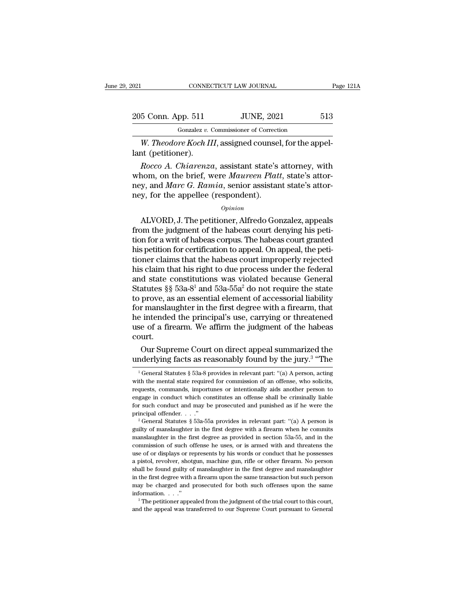| 021                | CONNECTICUT LAW JOURNAL                                    | Page 121A |
|--------------------|------------------------------------------------------------|-----------|
| 205 Conn. App. 511 | <b>JUNE, 2021</b>                                          | 513       |
|                    | Gonzalez v. Commissioner of Correction                     |           |
|                    | W <i>Theodore Koch III</i> assigned counsel for the annel- |           |

*CONNECTICUT LAW JOURNAL*<br> *Gonzalez v. Commissioner of Correction*<br> *W. Theodore Koch III*, assigned counsel, for the appel-<br>
at (petitioner). 205 Conn. App. 511<br>
Gonzalez v. (<br>
W. *Theodore Koch II*<br>
lant (petitioner).<br> *Rocco A. Chiarenzo* 

<sup>5</sup> Conn. App. 511 *JUNE*, 2021 513<br> *Gonzalez v. Commissioner of Correction*<br> *W. Theodore Koch III*, assigned counsel, for the appel-<br> *Rocco A. Chiarenza*, assistant state's attorney, with<br>
nom, on the brief, were *Maur* 205 Conn. App. 511 JUNE, 2021 513<br>
Gonzalez *v.* Commissioner of Correction<br> *W. Theodore Koch III*, assigned counsel, for the appel-<br>
lant (petitioner).<br> *Rocco A. Chiarenza*, assistant state's attorney, with<br>
whom, on th Gonzalez v. Commissioner of Correction<br>W. Theodore Koch III, assigned counsel, for the appel-<br>lant (petitioner).<br>Rocco A. Chiarenza, assistant state's attorney, with<br>whom, on the brief, were Maureen Platt, state's attor-<br>n W. Theodore Koch III, assigned counsel<br>lant (petitioner).<br>Rocco A. Chiarenza, assistant state's<br>whom, on the brief, were Maureen Plati<br>ney, and Marc G. Ramia, senior assistan<br>ney, for the appellee (respondent).<br>opinion Rocco A. Chiarenza, assistant state's attorney, with<br>nom, on the brief, were Maureen Platt, state's attor-<br>y, and Marc G. Ramia, senior assistant state's attor-<br>y, for the appellee (respondent).<br> $o_{pinion}$ <br>ALVORD, J. The peti

### *Opinion*

Frocco A. Chattenza, assistant state's attoriey, while<br>whom, on the brief, were *Maureen Platt*, state's attor-<br>ney, and *Marc G. Ramia*, senior assistant state's attor-<br>ney, for the appellee (respondent).<br>*Opinion*<br>ALVORD whold, on the blief, were *matreen*  $I$  and, state's attor-<br>ney, and *Marc G. Ramia*, senior assistant state's attor-<br>ney, for the appellee (respondent).<br> $opinion$ <br> $AlVORD, J. The pettioner, Alfredo Gonzalez, appears  
from the judgment of the habeas court denying his peti-  
tion for a writ of habeas corpus. The habeas court granted  
his pettion for certification$ his period is rained, senior assistant state's attor-<br>ney, for the appellee (respondent).<br>*Opinion*<br>ALVORD, J. The petitioner, Alfredo Gonzalez, appeals<br>from the judgment of the habeas court denying his peti-<br>tion for a wr opinion<br>
opinion<br>
ALVORD, J. The petitioner, Alfredo Gonzalez, appeals<br>
from the judgment of the habeas court denying his peti-<br>
tion for a writ of habeas corpus. The habeas court granted<br>
his petition for certification to *Opinion*<br>ALVORD, J. The petitioner, Alfredo Gonzalez, appeals<br>from the judgment of the habeas court denying his peti-<br>tion for a writ of habeas corpus. The habeas court granted<br>his petition for certification to appeal. O ALVORD, J. The petitioner, Alfredo Gonzalez, appeals<br>from the judgment of the habeas court denying his peti-<br>tion for a writ of habeas corpus. The habeas court granted<br>his petitioner claims that the habeas court improperl from the judgment of the habeas court denying his petition for a writ of habeas corpus. The habeas court granted<br>his petition for certification to appeal. On appeal, the petitioner claims that the habeas court improperly tion for a writ of habeas corpus. The habeas court granted<br>his petition for certification to appeal. On appeal, the peti-<br>tioner claims that the habeas court improperly rejected<br>his claim that his right to due process unde his petition for certification to appeal. On appeal, the petitioner claims that the habeas court improperly rejected<br>his claim that his right to due process under the federal<br>and state constitutions was violated because G tioner claims that the habeas court improperly rejected<br>his claim that his right to due process under the federal<br>and state constitutions was violated because General<br>Statutes §§ 53a-8<sup>1</sup> and 53a-55a<sup>2</sup> do not require the his claim that his right to due process under the federal<br>and state constitutions was violated because General<br>Statutes §§ 53a-8<sup>1</sup> and 53a-55a<sup>2</sup> do not require the state<br>to prove, as an essential element of accessorial l court. atutes §§ 53a-8<sup>1</sup> and 53a-55a<sup>2</sup> do not require the state<br>prove, as an essential element of accessorial liability<br>r manslaughter in the first degree with a firearm, that<br>intended the principal's use, carrying or threatene to prove, as an essential element of accessorial liability<br>for manslaughter in the first degree with a firearm, that<br>he intended the principal's use, carrying or threatened<br>use of a firearm. We affirm the judgment of the

''The

burt.<br>
Our Supreme Court on direct appeal summarized the<br>
nderlying facts as reasonably found by the jury.<sup>3</sup> "The<br>
<sup>1</sup>General Statutes § 53a-8 provides in relevant part: "(a) A person, acting<br>
th the mental state required court.<br>
Our Supreme Court on direct appeal summarized the<br>
underlying facts as reasonably found by the jury.<sup>3</sup> "The<br>
<sup>1</sup> General Statutes § 53a-8 provides in relevant part: "(a) A person, acting<br>
with the mental state re Our Supreme Court on direct appeal summarized the<br>underlying facts as reasonably found by the jury.<sup>3</sup> "The<br> $\frac{1}{1}$ General Statutes § 53a-8 provides in relevant part: "(a) A person, acting<br>with the mental state required Underlying facts as reasonably found by the jury.<sup>3</sup> "The<br>
<sup>1</sup> General Statutes § 53a-8 provides in relevant part: "(a) A person, acting<br>
with the mental state required for commission of an offense, who solicits,<br>
request For such conduct and may be prosecuted and punished as if he were the principal offender...,  $\frac{1}{2}$ <br>and  $\frac{1}{2}$  General Statutes § 53a-8 provides in relevant part: "(a) A person, acting with the mental state required <sup>1</sup> General Statutes § 53a-8 provides in relevant part: "(a) A person, acting with the mental state required for commission of an offense, who solicits, requests, commands, importunes or intentionally aids another person requests, commands, importunes or intentionally aids another person to engage in conduct which constitutes an offense shall be criminally liable for such conduct and may be prosecuted and punished as if he were the princi

requase in conduct which constitutes an offense shall be criminally liable<br>for such conduct and may be prosecuted and punished as if he were the<br>principal offender...."<br> $2^{\circ}$  General Statutes § 53a-55a provides in relev compared commission of such order and purished as if he were the principal offender. . . ."<br>
<sup>2</sup> General Statutes § 53a-55a provides in relevant part: "(a) A person is guilty of manslaughter in the first degree with a fir principal offender. . . ."<br>
<sup>2</sup> General Statutes § 53a-55a provides in relevant part: "(a) A person is<br>
guilty of manslaughter in the first degree with a firearm when he commits<br>
manslaughter in the first degree as provid <sup>2</sup> General Statutes § 53a-55a provides in relevant part: "(a) A person is guilty of manslaughter in the first degree with a firearm when he commits manslaughter in the first degree as provided in section 53a-55, and in t guilty of manslaughter in the first degree with a firearm when he commits manslaughter in the first degree as provided in section 53a-55, and in the commission of such offense he uses, or is armed with and threatens the us manslaughter in the first degree as provided in section 53a-55, and in the commission of such offense he uses, or is armed with and threatens the use of or displays or represents by his words or conduct that he possesses a commission of such offense he uses, or is armed with and threatens the commission of such offense he uses, or is armed with and threatens the use of or displays or represents by his words or conduct that he possesses a pis information. . . .'' <sup>3</sup> The petitioner appealed from the judgment of the trial court to this court, a pistol, revolver, shotgun, machine gun, rifle or other firearm. No person shall be found guilty of manslaughter in the first degree and manslaughter in the first degree with a firearm upon the same transaction but such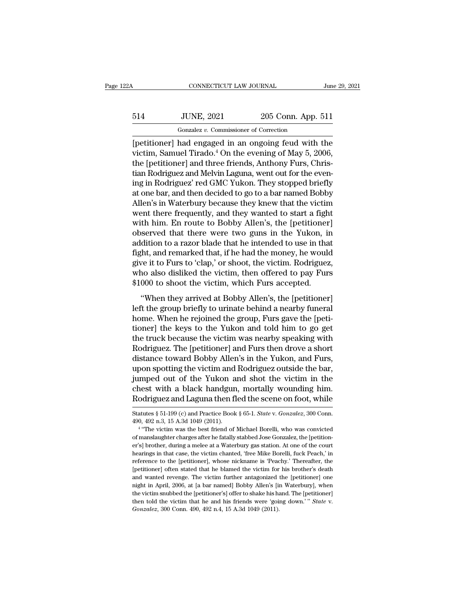## CONNECTICUT LAW JOURNAL June 29, 2021<br>514 JUNE, 2021 205 Conn. App. 511<br>Gonzalez v. Commissioner of Correction CONNECTICUT LAW JOURNAL<br>JUNE, 2021 205 Conn. App.<br>Gonzalez *v.* Commissioner of Correction<br>had engaged in an ongoing feud with

CONNECTICUT LAW JOURNAL June 29, 2021<br>
514 JUNE, 2021 205 Conn. App. 511<br>
Gonzalez v. Commissioner of Correction<br>
[petitioner] had engaged in an ongoing feud with the<br>
victim, Samuel Tirado.<sup>4</sup> On the evening of May 5, 200 Victor 1914<br>
victim, Samuel Tirado.<sup>4</sup> On the evening of May 5, 2006,<br>
the [petitioner] and three friends, Anthony Furs, Christian Bodrians and Makin Langua work out for the evening<br>
tion Bodrians and Makin Langua work out 514 JUNE, 2021 205 Conn. App. 511<br>  $\frac{6 \text{or} \text{zalez } v. \text{ Commissioner of Correction}}{[petitioner] had engaged in an ongoing feudal with the victim, Samuel Tirado.<sup>4</sup> On the evening of May 5, 2006, the [petitioner] and three friends, Anthony Furs, Christian Rodriguez and Melvin Laguna, went out for the evening in Redriques' rod GMC Yukron. Thus, the use of the use of the design of the design.$ 514 JUNE,  $2021$  205 Conn. App. 511<br>
Gonzalez v. Commissioner of Correction<br>
[petitioner] had engaged in an ongoing feud with the<br>
victim, Samuel Tirado.<sup>4</sup> On the evening of May 5, 2006,<br>
the [petitioner] and three frien Gonzalez v. Commissioner of Correction<br>
[petitioner] had engaged in an ongoing feud with the<br>
victim, Samuel Tirado.<sup>4</sup> On the evening of May 5, 2006,<br>
the [petitioner] and three friends, Anthony Furs, Chris-<br>
tian Rodrigu Gonzalez v. Commissioner of Correction<br>
[petitioner] had engaged in an ongoing feud with the<br>
victim, Samuel Tirado.<sup>4</sup> On the evening of May 5, 2006,<br>
the [petitioner] and three friends, Anthony Furs, Chris-<br>
tian Rodrig [petitioner] had engaged in an ongoing feud with the<br>victim, Samuel Tirado.<sup>4</sup> On the evening of May 5, 2006,<br>the [petitioner] and three friends, Anthony Furs, Chris-<br>tian Rodriguez and Melvin Laguna, went out for the even victim, Samuel Tirado.<sup>4</sup> On the evening of May 5, 2006,<br>the [petitioner] and three friends, Anthony Furs, Christian Rodriguez and Melvin Laguna, went out for the even-<br>ing in Rodriguez' red GMC Yukon. They stopped briefly the [petitioner] and three friends, Anthony Furs, Christian Rodriguez and Melvin Laguna, went out for the evening in Rodriguez' red GMC Yukon. They stopped briefly at one bar, and then decided to go to a bar named Bobby Al tian Rodriguez and Melvin Laguna, went out for the evening in Rodriguez' red GMC Yukon. They stopped briefly<br>at one bar, and then decided to go to a bar named Bobby<br>Allen's in Waterbury because they knew that the victim<br>we ing in Rodriguez' red GMC Yukon. They stopped briefly<br>at one bar, and then decided to go to a bar named Bobby<br>Allen's in Waterbury because they knew that the victim<br>went there frequently, and they wanted to start a fight<br>w at one bar, and then decided to go to a bar named Bobby<br>Allen's in Waterbury because they knew that the victim<br>went there frequently, and they wanted to start a fight<br>with him. En route to Bobby Allen's, the [petitioner]<br>o Allen's in Waterbury because they knew that the victim<br>went there frequently, and they wanted to start a fight<br>with him. En route to Bobby Allen's, the [petitioner]<br>observed that there were two guns in the Yukon, in<br>additi went there frequently, and they wanted to start a fight<br>with him. En route to Bobby Allen's, the [petitioner]<br>observed that there were two guns in the Yukon, in<br>addition to a razor blade that he intended to use in that<br>fig with him. En route to Bobby Allen's, the [petitioner observed that there were two guns in the Yukon, in addition to a razor blade that he intended to use in tha fight, and remarked that, if he had the money, he would give Served and ancreasing button galax in the Takon, in<br>
dition to a razor blade that he intended to use in that<br>
the, and remarked that, if he had the money, he would<br>
ve it to Furs to 'clap,' or shoot, the victim. Rodriguez, dialation to a rialist blade dual ite interfaced to disc in that<br>fight, and remarked that, if he had the money, he would<br>give it to Furs to 'clap,' or shoot, the victim. Rodriguez,<br>who also disliked the victim, then offere

home. When he rejoined the group, Furs gave the results also disliked the victim, then offered to pay Furs \$1000 to shoot the victim, which Furs accepted.<br>
"When they arrived at Bobby Allen's, the [petitioner]<br>
left the gr give it is 1 ans to elapt, of shoot, are vielant hold gas to also disliked the victim, then offered to pay Furs \$1000 to shoot the victim, which Furs accepted.<br>
"When they arrived at Bobby Allen's, the [petitioner]<br>
left t  $\frac{1}{2}$  and  $\frac{1}{2}$  and  $\frac{1}{2}$  and  $\frac{1}{2}$  and  $\frac{1}{2}$  are  $\frac{1}{2}$  and  $\frac{1}{2}$  are  $\frac{1}{2}$  are  $\frac{1}{2}$  are  $\frac{1}{2}$  are  $\frac{1}{2}$  are  $\frac{1}{2}$  are  $\frac{1}{2}$  are  $\frac{1}{2}$  are  $\frac{1}{2}$  are  $\frac{1}{2}$  a "When they arrived at Bobby Allen's, the [petitioner]<br>left the group briefly to urinate behind a nearby funeral<br>home. When he rejoined the group, Furs gave the [peti-<br>tioner] the keys to the Yukon and told him to go get<br>th "When they arrived at Bobby Allen's, the [petitioner]<br>left the group briefly to urinate behind a nearby funeral<br>home. When he rejoined the group, Furs gave the [peti-<br>tioner] the keys to the Yukon and told him to go get<br>th left the group briefly to urinate behind a nearby funeral<br>home. When he rejoined the group, Furs gave the [peti-<br>tioner] the keys to the Yukon and told him to go get<br>the truck because the victim was nearby speaking with<br>Ro home. When he rejoined the group, Furs gave the [petitioner] the keys to the Yukon and told him to go get<br>the truck because the victim was nearby speaking with<br>Rodriguez. The [petitioner] and Furs then drove a short<br>distan tioner] the keys to the Yukon and told him to go get<br>the truck because the victim was nearby speaking with<br>Rodriguez. The [petitioner] and Furs then drove a short<br>distance toward Bobby Allen's in the Yukon, and Furs,<br>upon the truck because the victim was nearby speaking with<br>Rodriguez. The [petitioner] and Furs then drove a short<br>distance toward Bobby Allen's in the Yukon, and Furs,<br>upon spotting the victim and Rodriguez outside the bar,<br>ju upon spotting the victim and Rodriguez outside the bar,<br>jumped out of the Yukon and shot the victim in the<br>chest with a black handgun, mortally wounding him.<br>Rodriguez and Laguna then fled the scene on foot, while<br>statutes % jumped out of the Yukon a<br>chest with a black handgun<br>Rodriguez and Laguna then fl<br>Statutes  $\S~51-199$  (c) and Practice Book<br>490, 492 n.3, 15 A.3d 1049 (2011).<br><sup>4</sup> "The victim was the best friend of est with a black handgun, mortally wounding him.<br>
driguez and Laguna then fled the scene on foot, while<br>
tutes § 51-199 (c) and Practice Book § 65-1. *State v. Gonzalez*, 300 Conn.<br>
, 492 n.3, 15 A.3d 1049 (2011).<br>
"The vi

Foodriguez and Laguna then fled the scene on foot, while<br>Statutes § 51-199 (c) and Practice Book § 65-1. *State v. Gonzalez*, 300 Conn.<br>490, 492 n.3, 15 A.3d 1049 (2011).<br><sup>4</sup> "The victim was the best friend of Michael Bore of manslaughter charges after he fatally stabbed Jose Gonzalez, the [petition-<br>er's] brother, during a melee at a Waterbury gas station. At one of the court<br>hearings in that case, the victim chanted, 'free Mike Borelli, fu Statutes § 51-199 (c) and Practice Book § 65-1. *State* v. *Gonzalez*, 300 Conn.<br>490, 492 n.3, 15 A.3d 1049 (2011).<br><sup>4</sup> "The victim was the best friend of Michael Borelli, who was convicted<br>of manslaughter charges after h 490, 492 n.3, 15 A.3d 1049 (2011).<br>
<sup>4</sup> "The victim was the best friend of Michael Borelli, who was convicted<br>
of manslaughter charges after he fatally stabbed Jose Gonzalez, the [petition-<br>
er's] brother, during a melee a <sup>1</sup> "The victim was the best friend of Michael Borelli, who was convicted of manslaughter charges after he fatally stabbed Jose Gonzalez, the [petition-<br>er's] brother, during a melee at a Waterbury gas station. At one of t of manslaughter charges after he fatally stabbed Jose Gonzalez, the [petition-<br>er's] brother, during a melee at a Waterbury gas station. At one of the court<br>hearings in that case, the victim chanted, 'free Mike Borelli, fu er's] brother, during a melee at a Waterbury gas station. At one of the court<br>hearings in that case, the victim chanted, 'free Mike Borelli, fuck Peach,' in<br>reference to the [petitioner], whose nickname is 'Peachy.' Therea hearings in that case, the victim chanted, 'free Mike Borelli, fuck Peach,' in reference to the [petitioner], whose nickname is 'Peachy.' Thereafter, the [petitioner] often stated that he blamed the victim for his brother reference to the [petitioner], whose nickname is 'Peachy.' Thereafter, the [petitioner] often stated that he blamed the victim for his brother's death and wanted revenge. The victim further antagonized the [petitioner] one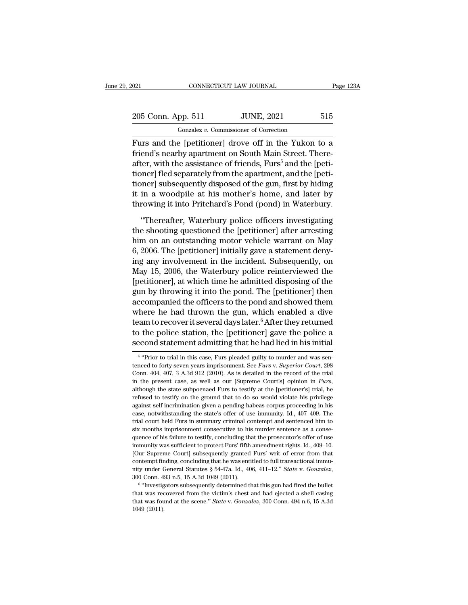## 021 CONNECTICUT LAW JOURNAL Page 123A<br>
205 Conn. App. 511 JUNE, 2021 515<br>
Gonzalez v. Commissioner of Correction CONNECTICUT LAW JOURNAL<br>
pp. 511 JUNE, 2021<br>
Gonzalez *v.* Commissioner of Correction<br>
e Inetitioner1 drove off in the Yukon

Fage 123A<br>
The Equal CONNECTICUT LAW JOURNAL Page 123A<br>
The Equal Consistence of Correction<br>
Furs and the [petitioner] drove off in the Yukon to a<br>
friend's nearby apartment on South Main Street. There-205 Conn. App. 511 JUNE, 2021 515<br>
Gonzalez v. Commissioner of Correction<br>
Furs and the [petitioner] drove off in the Yukon to a<br>
friend's nearby apartment on South Main Street. There-<br>
after, with the assistance of friend 205 Conn. App. 511 JUNE, 2021 515<br>  $\frac{1}{2}$  Gonzalez v. Commissioner of Correction<br>
Furs and the [petitioner] drove off in the Yukon to a<br>
friend's nearby apartment on South Main Street. There-<br>
after, with the assistanc 205 Conn. App. 511 JUNE, 2021 515<br>
Gonzalez v. Commissioner of Correction<br>
Furs and the [petitioner] drove off in the Yukon to a<br>
friend's nearby apartment on South Main Street. There-<br>
after, with the assistance of frien Gonzalez v. Commissioner of Correction<br>
Furs and the [petitioner] drove off in the Yukon to a<br>
friend's nearby apartment on South Main Street. There-<br>
after, with the assistance of friends, Furs<sup>5</sup> and the [peti-<br>
tioner] Furs and the [petitioner] drove off in the Yukon to a<br>friend's nearby apartment on South Main Street. There-<br>after, with the assistance of friends, Furs<sup>5</sup> and the [peti-<br>tioner] fled separately from the apartment, and th Furs and the [petitioner] drove off in the Yukon to a<br>friend's nearby apartment on South Main Street. There-<br>after, with the assistance of friends, Furs<sup>5</sup> and the [peti-<br>tioner] fled separately from the apartment, and the ter, with the assistance of friends, Furs<sup>5</sup> and the [peti-<br>
inner] fled separately from the apartment, and the [peti-<br>
inner] subsequently disposed of the gun, first by hiding<br>
in a woodpile at his mother's home, and late tioner] fled separately from the apartment, and the [petitioner] subsequently disposed of the gun, first by hiding<br>it in a woodpile at his mother's home, and later by<br>throwing it into Pritchard's Pond (pond) in Waterbury.<br>

tioner] subsequently disposed of the gun, first by hiding<br>it in a woodpile at his mother's home, and later by<br>throwing it into Pritchard's Pond (pond) in Waterbury.<br>"Thereafter, Waterbury police officers investigating<br>the it in a woodpile at his mother's home, and later by<br>throwing it into Pritchard's Pond (pond) in Waterbury.<br>"Thereafter, Waterbury police officers investigating<br>the shooting questioned the [petitioner] after arresting<br>him o throwing it into Pritchard's Pond (pond) in Waterbury.<br>
"Thereafter, Waterbury police officers investigating<br>
the shooting questioned the [petitioner] after arresting<br>
him on an outstanding motor vehicle warrant on May<br>
6, "Thereafter, Waterbury police officers investigating<br>the shooting questioned the [petitioner] after arresting<br>him on an outstanding motor vehicle warrant on May<br>6, 2006. The [petitioner] initially gave a statement deny-<br>i "Thereafter, Waterbury police officers investigating<br>the shooting questioned the [petitioner] after arresting<br>him on an outstanding motor vehicle warrant on May<br>6, 2006. The [petitioner] initially gave a statement deny-<br>in the shooting questioned the [petitioner] after arresting<br>him on an outstanding motor vehicle warrant on May<br>6, 2006. The [petitioner] initially gave a statement deny-<br>ing any involvement in the incident. Subsequently, on<br>M him on an outstanding motor vehicle warrant on May<br>6, 2006. The [petitioner] initially gave a statement deny-<br>ing any involvement in the incident. Subsequently, on<br>May 15, 2006, the Waterbury police reinterviewed the<br>[pet 6, 2006. The [petitioner] initially gave a statement deny-<br>ing any involvement in the incident. Subsequently, on<br>May 15, 2006, the Waterbury police reinterviewed the<br>[petitioner], at which time he admitted disposing of th ing any involvement in the incident. Subsequently, on<br>May 15, 2006, the Waterbury police reinterviewed the<br>[petitioner], at which time he admitted disposing of the<br>gun by throwing it into the pond. The [petitioner] then<br>ac May 15, 2006, the Waterbury police reinterviewed the<br>[petitioner], at which time he admitted disposing of the<br>gun by throwing it into the pond. The [petitioner] then<br>accompanied the officers to the pond and showed them<br>wh [petitioner], at which time he admitted disposing of the<br>gun by throwing it into the pond. The [petitioner] then<br>accompanied the officers to the pond and showed them<br>where he had thrown the gun, which enabled a dive<br>team there are made unrown the gun, which enabled a diveryon to trial in this case, functioner and the police and statement admitting that he had lied in his initial "Prior to trial in this case, Furs pleaded guilty to murder a team to recover it several days later.<sup>6</sup> After they returned<br>to the police station, the [petitioner] gave the police a<br>second statement admitting that he had lied in his initial<br><sup>5</sup> "Prior to trial in this case, Furs plea

<sup>&</sup>lt;sup>5</sup> "Prior to trial in this case, Furs pleaded guilty to murder and was sento the police station, the [petitioner] gave the police a second statement admitting that he had lied in his initial  $\frac{1}{5}$  "Prior to trial in this case, Furs pleaded guilty to murder and was sentenced to forty-seven y second statement admitting that he had lied in his initial  $\frac{1}{5}$  "Prior to trial in this case, Furs pleaded guilty to murder and was sentenced to forty-seven years imprisonment. See *Furs v. Superior Court*, 298 Conn. <sup>5</sup> "Prior to trial in this case, Furs pleaded guilty to murder and was sentenced to forty-seven years imprisonment. See *Furs v. Superior Court*, 298 Conn. 404, 407, 3 A.3d 912 (2010). As is detailed in the record of the tenced to forty-seven years imprisonment. See *Furs v. Superior Court*, 298 Conn. 404, 407, 3 A.3d 912 (2010). As is detailed in the record of the trial in the present case, as well as our [Supreme Court's] opinion in *Fu* com. 404, 407, 3 A.3d 912 (2010). As is detailed in the record of the trial<br>in the present case, as well as our [Supreme Court's] opinion in *Furs*,<br>although the state subpoenaed Furs to testify at the [petitioner's] tria in the present case, as well as our [Supreme Court's] opinion in *Furs*, although the state subpoenaed Furs to testify at the [petitioner's] trial, he refused to testify on the ground that to do so would violate his privil and though the state subpoenaed Furs to testify at the [petitioner's] trial, he refused to testify on the ground that to do so would violate his privilege against self-incrimination given a pending habeas corpus proceeding refused to testify on the ground that to do so would violate his privilege against self-incrimination given a pending habeas corpus proceeding in his case, notwithstanding the state's offer of use immunity. Id.,  $407-409$ image against self-incrimination given a pending habeas corpus proceeding in his case, notwithstanding the state's offer of use immunity. Id., 407–409. The trial court held Furs in summary criminal contempt and sentenced h ease, notwithstanding the state's offer of use immunity. Id., 407–409. The trial court held Furs in summary criminal contempt and sentenced him to six months imprisonment consecutive to his murder sentence as a consequence trial court held Furs in summary criminal contempt and sentenced him to<br>six months imprisonment consecutive to his murder sentence as a conse-<br>quence of his failure to testify, concluding that the prosecutor's offer of us nity under General Statutes § 54-47a. Id., 406, 411–12." *State* v. *Gonzalez*, 300 Conn. 493 n.5, 15 A.3d 1049 (2011). <sup>406</sup> The state of the bullet sensor and conserver of this failure to testify, concluding that the pro immunity was sufficient to protect Furs' fifth amendment rights. Id., 409–10. [Our Supreme Court] subsequently granted Furs' writ of error from that contempt finding, concluding that he was entitled to full transactional Four Suppreme Court] subsequently granted Furs' writ of error from that contempt finding, concluding that he was entitled to full transactional immunity under General Statutes § 54-47a. Id., 406, 411–12." *State* v. *Gonz* 

contempt finding, concluding that he was entitled to full transactional immu-<br>nity under General Statutes § 54-47a. Id., 406, 411–12." *State* v. *Gonzalez*,<br>300 Conn. 493 n.5, 15 A.3d 1049 (2011).<br><sup>6</sup> "Investigators subse nity under General Statutes § 54-47a. Id., 406, 411–12." State v. Gonzalez, 300 Conn. 493 n.5, 15 A.3d 1049 (2011).<br>
"Through that this gun had fired the bullet that was recovered from the victim's chest and had ejected a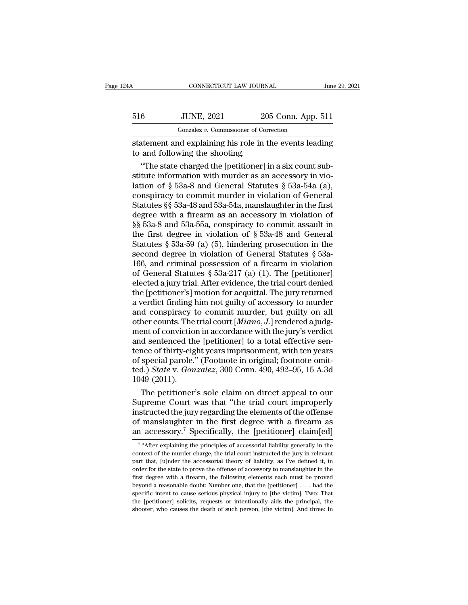| 4Α  | CONNECTICUT LAW JOURNAL                                                                   |                    | June 29, 2021 |
|-----|-------------------------------------------------------------------------------------------|--------------------|---------------|
| 516 | <b>JUNE, 2021</b>                                                                         | 205 Conn. App. 511 |               |
|     | Gonzalez v. Commissioner of Correction                                                    |                    |               |
|     | statement and explaining his role in the events leading<br>to and following the shooting. |                    |               |
|     | "The state charged the [petitioner] in a six count sub-                                   |                    |               |

<sup>6</sup><br>
<sup>Gonzalez v. Commissioner of Correction<br>
atement and explaining his role in the events leading<br>
and following the shooting.<br>
"The state charged the [petitioner] in a six count sub-<br>
tute information with murder as an</sup> 516 JUNE, 2021 205 Conn. App. 511<br>
Gonzalez v. Commissioner of Correction<br>
statement and explaining his role in the events leading<br>
to and following the shooting.<br>
"The state charged the [petitioner] in a six count substi Gonzalez v. Commissioner of Correction<br>
statement and explaining his role in the events leading<br>
to and following the shooting.<br>
"The state charged the [petitioner] in a six count sub-<br>
stitute information with murder as statement and explaining his role in the events leading<br>to and following the shooting.<br>"The state charged the [petitioner] in a six count sub-<br>stitute information with murder as an accessory in vio-<br>lation of § 53a-8 and G statement and explaining his role in the events leading<br>to and following the shooting.<br>"The state charged the [petitioner] in a six count sub-<br>stitute information with murder as an accessory in vio-<br>lation of §§ 53a-8 and to and following the shooting.<br>
"The state charged the [petitioner] in a six count substitute information with murder as an accessory in violation of § 53a-8 and General Statutes § 53a-54a (a), conspiracy to commit murder "The state charged the [petitioner] in a six count substitute information with murder as an accessory in violation of § 53a-8 and General Statutes § 53a-54a (a), conspiracy to commit murder in violation of General Statute stitute information with murder as an accessory in violation of § 53a-8 and General Statutes § 53a-54a (a), conspiracy to commit murder in violation of General Statutes §§ 53a-48 and 53a-54a, manslaughter in the first deg lation of § 53a-8 and General Statutes § 53a-54a (a),<br>conspiracy to commit murder in violation of General<br>Statutes §§ 53a-48 and 53a-54a, manslaughter in the first<br>degree with a firearm as an accessory in violation of<br>§§ conspiracy to commit murder in violation of General Statutes §§ 53a-48 and 53a-54a, manslaughter in the first degree with a firearm as an accessory in violation of §§ 53a-8 and 53a-55a, conspiracy to commit assault in the Statutes §§ 53a-48 and 53a-54a, manslaughter in the first<br>degree with a firearm as an accessory in violation of<br>§§ 53a-8 and 53a-55a, conspiracy to commit assault in<br>the first degree in violation of § 53a-48 and General<br>S degree with a firearm as an accessory in violation of  $\S$ § 53a-8 and 53a-55a, conspiracy to commit assault in the first degree in violation of  $\S$  53a-48 and General Statutes  $\S$  53a-59 (a) (5), hindering prosecution in t §§ 53a-8 and 53a-55a, conspiracy to commit assault in<br>the first degree in violation of § 53a-48 and General<br>Statutes § 53a-59 (a) (5), hindering prosecution in the<br>second degree in violation of General Statutes § 53a-<br>166 the first degree in violation of  $\S$  53a-48 and General<br>Statutes  $\S$  53a-59 (a) (5), hindering prosecution in the<br>second degree in violation of General Statutes  $\S$  53a-<br>166, and criminal possession of a firearm in violat Statutes § 53a-59 (a) (5), hindering prosecution in the<br>second degree in violation of General Statutes § 53a-<br>166, and criminal possession of a firearm in violation<br>of General Statutes § 53a-217 (a) (1). The [petitioner]<br> second degree in violation of General Statutes  $\S$  53a-166, and criminal possession of a firearm in violation<br>of General Statutes  $\S$  53a-217 (a) (1). The [petitioner]<br>elected a jury trial. After evidence, the trial court of General Statutes § 53a-217 (a) (1). The [petitioner]<br>elected a jury trial. After evidence, the trial court denied<br>the [petitioner's] motion for acquittal. The jury returned<br>a verdict finding him not guilty of accessory of General Statutes § 53a-217 (a) (1). The [petitioner]<br>elected a jury trial. After evidence, the trial court denied<br>the [petitioner's] motion for acquittal. The jury returned<br>a verdict finding him not guilty of accessory elected a jury trial. After evidence, the trial court denied<br>the [petitioner's] motion for acquittal. The jury returned<br>a verdict finding him not guilty of accessory to murder<br>and conspiracy to commit murder, but guilty on the [petitioner's] motion for acquittal. The jury returned<br>a verdict finding him not guilty of accessory to murder<br>and conspiracy to commit murder, but guilty on all<br>other counts. The trial court [*Miano*, *J*.] rendered a a verdict finding him not guilty of accessory to murder<br>and conspiracy to commit murder, but guilty on all<br>other counts. The trial court [*Miano*, *J*.] rendered a judg-<br>ment of conviction in accordance with the jury's ve and conspiracy to commit murder, but guilty on all<br>other counts. The trial court [*Miano*, *J*.] rendered a judg-<br>ment of conviction in accordance with the jury's verdict<br>and sentenced the [petitioner] to a total effective other counts. The<br>ment of convictio<br>and sentenced th<br>tence of thirty-eig<br>of special parole.'<br>ted.) *State* v. *Gon*<br>1049 (2011).<br>The petitioner' ent of conviction in accordance with the jury's verdict<br>d sentenced the [petitioner] to a total effective sen-<br>nce of thirty-eight years imprisonment, with ten years<br>special parole." (Footnote in original; footnote omit-<br>d and sentenced the [petitioner] to a total effective sentence of thirty-eight years imprisonment, with ten years<br>of special parole." (Footnote in original; footnote omit-<br>ted.) State v. Gonzalez, 300 Conn. 490, 492–95, 15 A

tence of thirty-eight years imprisonment, with ten years<br>of special parole." (Footnote in original; footnote omit-<br>ted.) *State* v. *Gonzalez*, 300 Conn. 490, 492–95, 15 A.3d<br>1049 (2011).<br>The petitioner's sole claim on di of special parole." (Footnote in original; footnote omit-<br>ted.) *State* v. *Gonzalez*, 300 Conn. 490, 492–95, 15 A.3d<br>1049 (2011).<br>The petitioner's sole claim on direct appeal to our<br>Supreme Court was that "the trial court ted.) *State* v. *Gonzalez*, 300 Conn. 490, 492–95, 15 A.3d<br>1049 (2011).<br>The petitioner's sole claim on direct appeal to our<br>Supreme Court was that "the trial court improperly<br>instructed the jury regarding the elements of preme Court was that "the trial court improperly<br>structed the jury regarding the elements of the offense<br>manslaughter in the first degree with a firearm as<br>accessory.<sup>7</sup> Specifically, the [petitioner] claim[ed]<br>"After expl instructed the jury regarding the elements of the offense<br>of manslaughter in the first degree with a firearm as<br>an accessory.<sup>7</sup> Specifically, the [petitioner] claim[ed]<br> $\frac{1}{4}$ <br> $\frac{1}{4}$ <br> $\frac{1}{4}$   $\frac{1}{4}$   $\frac{1}{4}$ 

 $7$  "  $\Lambda$  ft  $\Omega$ of manslaughter in the first degree with a firearm as<br>an accessory.<sup>7</sup> Specifically, the [petitioner] claim[ed]<br> $\frac{1}{4}$ <br> $\frac{1}{4}$   $\frac{1}{4}$   $\frac{1}{4}$   $\frac{1}{4}$   $\frac{1}{4}$   $\frac{1}{4}$   $\frac{1}{4}$   $\frac{1}{4}$   $\frac{1}{4}$   $\frac{1}{4}$ or manisialization in the mist degree with a meanin as<br>an accessory.<sup>7</sup> Specifically, the [petitioner] claim[ed]<br> $\frac{1}{100}$ <br> $\frac{1}{100}$   $\frac{1}{100}$   $\frac{1}{100}$  are principles of accessorial liability generally in the<br>con First degree with a firearm, the following elements each must be proved beyond a reasonable doubt: Number one, that the forest proved beyond a reasonable doubt: Number one, that the [petitioner]  $\ldots$  had the first degree <sup>7</sup> "After explaining the principles of accessorial liability generally in the context of the murder charge, the trial court instructed the jury in relevant part that, [u]nder the accessorial theory of liability, as I've context of the murder charge, the trial court instructed the jury in relevant part that, [u]nder the accessorial theory of liability, as I've defined it, in order for the state to prove the offense of accessory to manslau part that, [u]nder the accessorial theory of liability, as I've defined it, in order for the state to prove the offense of accessory to manslaughter in the first degree with a firearm, the following elements each must be order for the state to prove the offense of accessory to manslaughter in the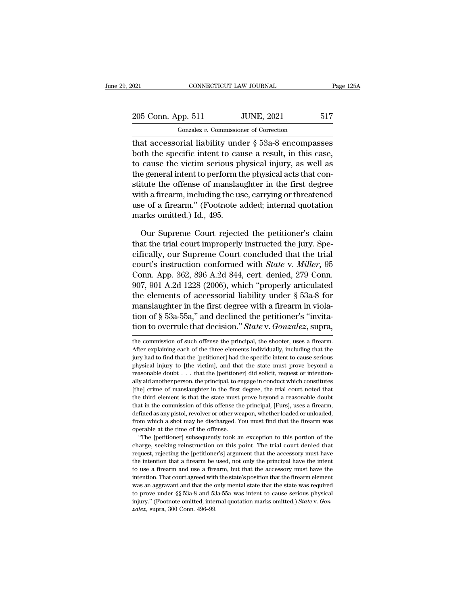| 2021                                                 | CONNECTICUT LAW JOURNAL                | Page 125A |
|------------------------------------------------------|----------------------------------------|-----------|
| 205 Conn. App. 511                                   | <b>JUNE, 2021</b>                      | 517       |
|                                                      | Gonzalez v. Commissioner of Correction |           |
| that accessorial liability under 8.53a-8 encompasses |                                        |           |

 $\begin{array}{lll}\n \text{021} & \text{CONRECTICUT LAW JOURNAL} & \text{Page 125A} \\
 \hline\n & \text{205 Conn. App. 511} & \text{JUNE, 2021} & \text{517} \\
 \hline\n & \text{Gonzalez } v. \text{ Commissioner of Correction} \\
 \text{that accessible in this case, both the specific intent to cause a result, in this case,}\n \end{array}$ 205 Conn. App. 511 JUNE, 2021 517<br>
Gonzalez v. Commissioner of Correction<br>
that accessorial liability under  $\S$  53a-8 encompasses<br>
both the specific intent to cause a result, in this case,<br>
to cause the victim serious phy 205 Conn. App. 511 JUNE, 2021 517<br>
Conzalez v. Commissioner of Correction<br>
that accessorial liability under  $\S$  53a-8 encompasses<br>
both the specific intent to cause a result, in this case,<br>
to cause the victim serious phy 205 Conn. App. 511 JUNE, 2021 517<br>
Gonzalez v. Commissioner of Correction<br>
that accessorial liability under  $\S$  53a-8 encompasses<br>
both the specific intent to cause a result, in this case,<br>
to cause the victim serious phy Gonzalez v. Commissioner of Correction<br>that accessorial liability under § 53a-8 encompasses<br>both the specific intent to cause a result, in this case,<br>to cause the victim serious physical injury, as well as<br>the general int with a firearm, including the use, carrying or threatend use of a firearm, including the use, carrying or threatened use of a firearm, including the use, carrying or threatened use of a firearm." (Footnote added; internal that accessorial liability under  $\S$  53a-8 encompasses<br>both the specific intent to cause a result, in this case,<br>to cause the victim serious physical injury, as well as<br>the general intent to perform the physical acts that both the specific intent to cau<br>to cause the victim serious pl<br>the general intent to perform ti<br>stitute the offense of manslau<br>with a firearm, including the us<br>use of a firearm." (Footnote a<br>marks omitted.) Id., 495.<br>Our S e general intent to perform the physical acts that contrate the offense of manslaughter in the first degree<br>th a firearm, including the use, carrying or threatened<br>e of a firearm." (Footnote added; internal quotation<br>arks stitute the offense of manslaughter in the first degree<br>with a firearm, including the use, carrying or threatened<br>use of a firearm." (Footnote added; internal quotation<br>marks omitted.) Id., 495.<br>Our Supreme Court rejected

with a firearm, including the use, carrying or threatened<br>use of a firearm." (Footnote added; internal quotation<br>marks omitted.) Id., 495.<br>Our Supreme Court rejected the petitioner's claim<br>that the trial court improperly use of a firearm." (Footnote added; internal quotation<br>marks omitted.) Id., 495.<br>Our Supreme Court rejected the petitioner's claim<br>that the trial court improperly instructed the jury. Spe-<br>cifically, our Supreme Court conc marks omitted.) Id., 495.<br>
Our Supreme Court rejected the petitioner's claim<br>
that the trial court improperly instructed the jury. Spe-<br>
cifically, our Supreme Court concluded that the trial<br>
court's instruction conformed Our Supreme Court rejected the petitioner's claim<br>that the trial court improperly instructed the jury. Spe-<br>cifically, our Supreme Court concluded that the trial<br>court's instruction conformed with *State* v. *Miller*, 95<br> Our Supreme Court rejected the petitioner's claim<br>that the trial court improperly instructed the jury. Spe-<br>cifically, our Supreme Court concluded that the trial<br>court's instruction conformed with *State* v. *Miller*, 95<br> that the trial court improperly instructed the jury. Specifically, our Supreme Court concluded that the trial court's instruction conformed with *State* v. *Miller*, 95 Conn. App. 362, 896 A.2d 844, cert. denied, 279 Conn cifically, our Supreme Court concluded that the trial<br>court's instruction conformed with *State* v. *Miller*, 95<br>Conn. App. 362, 896 A.2d 844, cert. denied, 279 Conn.<br>907, 901 A.2d 1228 (2006), which "properly articulated<br> court's instruction conformed with *State* v. *Muller*, 95<br>Conn. App. 362, 896 A.2d 844, cert. denied, 279 Conn.<br>907, 901 A.2d 1228 (2006), which "properly articulated<br>the elements of accessorial liability under § 53a-8 fo the elements of accessorial nability under § 53a-8 for<br>manslaughter in the first degree with a firearm in viola-<br>tion of § 53a-55a," and declined the petitioner's "invita-<br>tion to overrule that decision." *State* v. *Gonza* manslaughter in the first degree with a firearm in violation of § 53a-55a," and declined the petitioner's "invitation to overrule that decision." *State* v. *Gonzalez*, supra, the commission of such offense the principal,

defined as any pistol, revolver or other weapon, whether loaded or unloaded, from which a shot may be discharged. You must find that the firearm was operable at the time of the offense.<br>"The [petitioner] subsequently took from which a shot may be discharged. You must find that the firearm was operable at the time of the offense.<br>
"The [petitioner] subsequently took an exception to this portion of the charge, seeking reinstruction on this po from the act of the offense.<br>
"The [petitioner] subsequently took an exception to this portion of the<br>
charge, seeking reinstruction on this point. The trial court denied that<br>
request, rejecting the [petitioner's] argumen "The [petitioner] subsequently took an exception to this portion of the charge, seeking reinstruction on this point. The trial court denied that request, rejecting the [petitioner's] argument that the accessory must have t charge, seeking reinstruction on this point. The trial court denied that request, rejecting the [petitioner's] argument that the accessory must have the intention that a firearm be used, not only the principal have the int request, rejecting the [petitioner's] argument that the accessory must have the intention that a firearm be used, not only the principal have the intent to use a firearm and use a firearm, but that the accessory must have the intention that a firearm be used, not only the principal have the intent to use a firearm and use a firearm, but that the accessory must have the intention. That court agreed with the state's position that the firearm to use a firearm and use a firearm, but that the accessory must have the

tion of § 53a-55a," and declined the petitioner's "invitation to overrule that decision." *State* v. *Gonzalez*, supra, the commission of such offense the principal, the shooter, uses a firearm. After explaining each of t tion to overrule that decision." *State* v. *Gonzalez*, supra,<br>the commission of such offense the principal, the shooter, uses a firearm.<br>After explaining each of the three elements individually, including that the<br>jury h reasonable doubt . . . . that the perincipal, the shooter, uses a firearm.<br>After explaining each of the three elements individually, including that the<br>jury had to find that the [petitioner] had the specific intent to caus the commission of such offense the principal, the shooter, uses a firearm.<br>After explaining each of the three elements individually, including that the<br>jury had to find that the [petitioner] had the specific intent to caus After explaining each of the three elements individually, including that the jury had to find that the [petitioner] had the specific intent to cause serious physical injury to [the victim], and that the state must prove b The third element is that the state must prove beyond a reasonable doubt  $\ldots$  that the [petitioner] had the state must prove beyond a reasonable doubt  $\ldots$  that the [petitioner] did solicit, request or intentionally aid between in the commission of the victim], and that the state must prove beyond a reasonable doubt  $\ldots$  that the [petitioner] did solicit, request or intentionally aid another person, the principal, to engage in conduct w problem as any between the interioner] did solicit, request or intentionally aid another person, the principal, to engage in conduct which constitutes [the] crime of manslaughter in the first degree, the trial court noted From which a shot may be discharged. You must find that the firearm was operable during that the third element is that the state must prove beyond a reasonable doubt that in the commission of this offense the principal, [F ally aid another person, the principal, to engage in conduct which constitutes [the] crime of manslaughter in the first degree, the trial court noted that the third element is that the state must prove beyond a reasonable Figure 2.1 The entire state must prove beyond a reasonable doubt<br>at in the commission of this offense the principal, [Furs], uses a firearm,<br>fined as any pistol, revolver or other weapon, whether loaded or unloaded,<br>om whi that in the commission of this offense the principal, [Furs], uses a firearm, defined as any pistol, revolver or other weapon, whether loaded or unloaded, from which a shot may be discharged. You must find that the firearm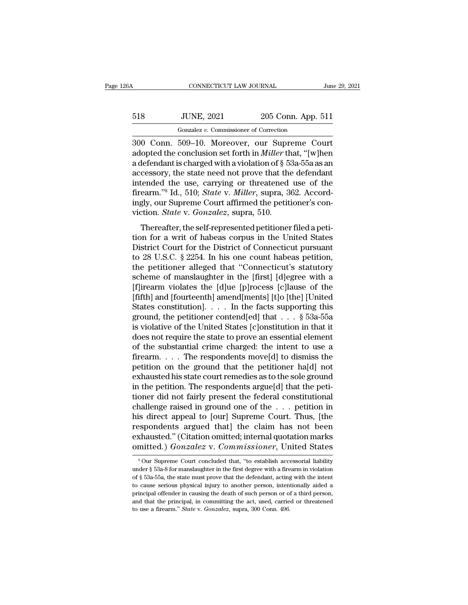| 26A         | CONNECTICUT LAW JOURNAL                |                                   | June 29, 2021 |  |
|-------------|----------------------------------------|-----------------------------------|---------------|--|
| 518         | <b>JUNE, 2021</b>                      | 205 Conn. App. 511                |               |  |
|             | Gonzalez v. Commissioner of Correction |                                   |               |  |
| 30O<br>Conn |                                        | 509–10 Moreover our Supreme Court |               |  |

CONNECTICUT LAW JOURNAL June 29, 202<br>
300 Conn. 509–10. Moreover, our Supreme Court<br>
300 Conn. 509–10. Moreover, our Supreme Court<br>
300 Conn. 509–10. Moreover, our Supreme Court<br>
adopted the conclusion set forth in *Miller* adopted the conclusion set for the conclusion set for the conclusion set for the conclusion set for the *Miller* that, "[w]hen a defendant is charged with a violation of § 53a-55a as an accessory the state need not prove t 518 JUNE, 2021 205 Conn. App. 511<br>
Gonzalez v. Commissioner of Correction<br>
300 Conn. 509–10. Moreover, our Supreme Court<br>
adopted the conclusion set forth in *Miller* that, "[w]hen<br>
a defendant is charged with a violation 518 JUNE, 2021 205 Conn. App. 511<br>
Gonzalez v. Commissioner of Correction<br>
300 Conn. 509–10. Moreover, our Supreme Court<br>
adopted the conclusion set forth in *Miller* that, "[w]hen<br>
a defendant is charged with a violation Gonzalez v. Commissioner of Correction<br>300 Conn. 509–10. Moreover, our Supreme Court<br>adopted the conclusion set forth in *Miller* that, "[w]hen<br>a defendant is charged with a violation of § 53a-55a as an<br>accessory, the sta First United States v. Commissioner of Correction<br>300 Conn. 509–10. Moreover, our Supreme Court<br>adopted the conclusion set forth in *Miller* that, "[w]hen<br>a defendant is charged with a violation of § 53a-55a as an<br>accessor 300 Conn. 509–10. Moreover, our Supreme Court<br>adopted the conclusion set forth in *Miller* that, "[w]hen<br>a defendant is charged with a violation of  $\S$  53a-55a as an<br>accessory, the state need not prove that the defendant<br> adopted the conclusion set forth in *Miller* the adefendant is charged with a violation of § 5.<br>accessory, the state need not prove that the<br>intended the use, carrying or threatened<br>firearm."<sup>8</sup> Id., 510; *State* v. *Mille* referridant is enarged whird violation of y *soa-sola as* and<br>cessory, the state need not prove that the defendant<br>tended the use, carrying or threatened use of the<br>earm."<sup>8</sup> Id., 510; *State v. Miller*, supra, 362. Accord accessory, the state need not prove that the detendant<br>intended the use, carrying or threatened use of the<br>firearm."<sup>8</sup> Id., 510; *State* v. *Miller*, supra, 362. Accord-<br>ingly, our Supreme Court affirmed the petitioner's

michaed the tase, carrying or threatened use of the<br>firearm."<sup>8</sup> Id., 510; *State v. Miller*, supra, 362. Accord-<br>ingly, our Supreme Court affirmed the petitioner's con-<br>viction. *State v. Gonzalez*, supra, 510.<br>Thereafter the 28 U.S.C. § 2254. In his one count habeas petitioner's conviction. *State v. Gonzalez*, supra, 510.<br>Thereafter, the self-represented petitioner filed a petition for a writ of habeas corpus in the United States<br>Distric the petitioner alleged that "Connecticut's statutory<br>for a writ of habeas corpus in the United States<br>District Court for the District of Connecticut pursuant<br>to 28 U.S.C. § 2254. In his one count habeas petition,<br>the peti Thereafter, the self-represented petitioner filed a petition for a writ of habeas corpus in the United States<br>District Court for the District of Connecticut pursuant<br>to 28 U.S.C. § 2254. In his one count habeas petition,<br>t Thereafter, the self-represented petitioner filed a petition for a writ of habeas corpus in the United States<br>District Court for the District of Connecticut pursuant<br>to 28 U.S.C. § 2254. In his one count habeas petition,<br>t tion for a writ of habeas corpus in the United States<br>District Court for the District of Connecticut pursuant<br>to 28 U.S.C. § 2254. In his one count habeas petition,<br>the petitioner alleged that "Connecticut's statutory<br>sch District Court for the District of Connecticut pursuant<br>to 28 U.S.C. § 2254. In his one count habeas petition,<br>the petitioner alleged that "Connecticut's statutory<br>scheme of manslaughter in the [first] [d]egree with a<br>[f] to 28 U.S.C. § 2254. In his one count habeas petition,<br>the petitioner alleged that "Connecticut's statutory<br>scheme of manslaughter in the [first] [d]egree with a<br>[f]irearm violates the [d]ue [p]rocess [c]lause of the<br>[fif the petitioner alleged that "Connecticut's statutory<br>scheme of manslaughter in the [first] [d]egree with a<br>[f]irearm violates the [d]ue [p]rocess [c]lause of the<br>[fifth] and [fourteenth] amend[ments] [t]o [the] [United<br>St scheme of manslaughter in the [first] [d]egree with a<br>[f]irearm violates the [d]ue [p]rocess [c]lause of the<br>[fifth] and [fourteenth] amend[ments] [t]o [the] [United<br>States constitution]. . . . In the facts supporting thi [f]irearm violates the [d]ue [p]rocess [c]lause of the<br>[fifth] and [fourteenth] amend[ments] [t]o [the] [United<br>States constitution]. . . . In the facts supporting this<br>ground, the petitioner contend[ed] that . . . § 53a-[fifth] and [fourteenth] amend[ments] [t]o [the] [United States constitution]. . . . In the facts supporting this ground, the petitioner contend[ed] that . . . § 53a-55a is violative of the United States [c]onstitution in States constitution]. . . . In the facts supporting this<br>ground, the petitioner contend[ed] that . . . § 53a-55a<br>is violative of the United States [c]onstitution in that it<br>does not require the state to prove an essential ground, the petitioner contend[ed] that  $\ldots$  § 53a-55a<br>is violative of the United States [c]onstitution in that it<br>does not require the state to prove an essential element<br>of the substantial crime charged: the intent to is violative of the United States [c]onstitution in that it<br>does not require the state to prove an essential element<br>of the substantial crime charged: the intent to use a<br>firearm.....The respondents move[d] to dismiss the does not require the state to prove an essential element<br>of the substantial crime charged: the intent to use a<br>firearm.... The respondents move[d] to dismiss the<br>petition on the ground that the petitioner ha[d] not<br>exhaus of the substantial crime charged: the intent to use a<br>firearm.... The respondents move[d] to dismiss the<br>petition on the ground that the petitioner ha[d] not<br>exhausted his state court remedies as to the sole ground<br>in the firearm. . . . . The respondents move[d] to dismiss the<br>petition on the ground that the petitioner ha[d] not<br>exhausted his state court remedies as to the sole ground<br>in the petition. The respondents argue[d] that the peti petition on the ground that the petitioner ha[d] not<br>exhausted his state court remedies as to the sole ground<br>in the petition. The respondents argue[d] that the peti-<br>tioner did not fairly present the federal constitutiona exhausted his state court remedies as to the sole ground<br>in the petition. The respondents argue[d] that the peti-<br>tioner did not fairly present the federal constitutional<br>challenge raised in ground one of the  $\dots$  petitio in the petition. The respondents argue[d] that the petitioner did not fairly present the federal constitutional challenge raised in ground one of the  $\ldots$  petition in his direct appeal to [our] Supreme Court. Thus, [the is direct appeal to [our] Supreme Court. Thus, [the spondents argued that] the claim has not been shausted." (Citation omitted; internal quotation marks mitted.)  $Gonzalez$  v.  $Commissioner$ , United States  $^8$  Our Supreme Court conc respondents argued that] the claim has not been<br>exhausted." (Citation omitted; internal quotation marks<br>omitted.)  $Gonzalez$  v.  $Commissioner$ , United States<br> $80$  four Supreme Court concluded that, "to establish accessorial liability<br>u

exhausted." (Citation omitted; internal quotation marks<br>
omitted.)  $Gonzalez$  v.  $Commissioner$ , United States<br>  $s_{Our Supreme Court concluded that, "to establish accessioner] liability  
under § 53a-8 for manuscript in the first degree with a firearm in violation  
of § 53a-55a, the state must prove that the defendant, acting with the intent  
to cause serious physical injury to another person, intentionally aided a  
principal offender in causing the death of such person or of a third person,$ omitted.)  $Gonzalez$  v.  $Commissioner$ , United States<br>
sour Supreme Court concluded that, "to establish accessorial liability<br>
under § 53a-8 for manslaughter in the first degree with a firearm in violation<br>
of § 53a-55a, the state must principal offender in causing the death of such personal liability<br>sour Supreme Court concluded that, "to establish accessorial liability<br>under § 53a-8 for manslaughter in the first degree with a firearm in violation<br>of § <sup>8</sup> Our Supreme Court concluded that, "to establish accessorial liability under § 53a-8 for manslaughter in the first degree with a firearm in violation of § 53a-55a, the state must prove that the defendant, acting with t under  $\S$  53a-8 for manslaughter in the first degree with a firearm in violation<br>of  $\S$  53a-55a, the state must prove that the defendant, acting with the intent<br>to cause serious physical injury to another person, intentio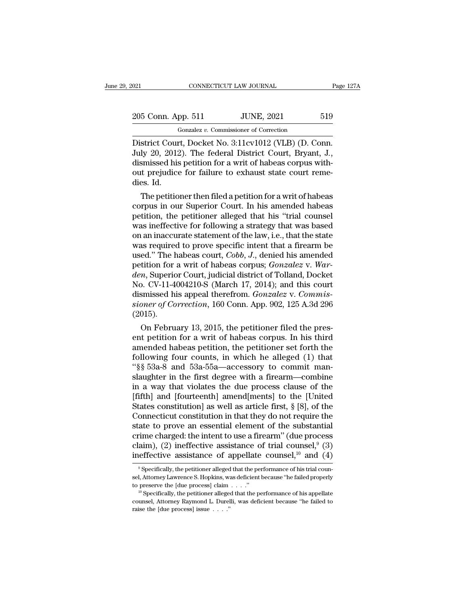| 2021               | CONNECTICUT LAW JOURNAL                                  | Page 127A |
|--------------------|----------------------------------------------------------|-----------|
| 205 Conn. App. 511 | <b>JUNE, 2021</b>                                        | 519       |
|                    | Gonzalez v. Commissioner of Correction                   |           |
|                    | District Court, Docket No. $3.11 \text{cv}1012$ (VLB) (D | C`∩nn     |

CONNECTICUT LAW JOURNAL Page 12<br>
205 Conn. App. 511 JUNE, 2021 519<br>
Gonzalez v. Commissioner of Correction<br>
District Court, Docket No. 3:11cv1012 (VLB) (D. Conn.<br>
July 20, 2012). The federal District Court, Bryant, J.,<br>
di 205 Conn. App. 511 JUNE, 2021 519<br>
<sup>Gonzalez v. Commissioner of Correction</sup><br>
District Court, Docket No. 3:11cv1012 (VLB) (D. Conn.<br>
July 20, 2012). The federal District Court, Bryant, J.,<br>
dismissed his petition for a writ 205 Conn. App. 511 JUNE, 2021 519<br>
Gonzalez v. Commissioner of Correction<br>
District Court, Docket No. 3:11cv1012 (VLB) (D. Conn.<br>
July 20, 2012). The federal District Court, Bryant, J.,<br>
dismissed his petition for a writ o District Cour<br>District Cour<br>July 20, 2012<br>dismissed his<br>out prejudice<br>dies. Id.<br>The petitio strict Court, Docket No. 3:11cv1012 (VLB) (D. Conn.<br>ly 20, 2012). The federal District Court, Bryant, J.,<br>smissed his petition for a writ of habeas corpus with-<br>it prejudice for failure to exhaust state court reme-<br>es. Id. District Court, Docket No. 3:11cV1012 (VLB) (D. Conn.<br>July 20, 2012). The federal District Court, Bryant, J.,<br>dismissed his petition for a writ of habeas corpus with-<br>out prejudice for failure to exhaust state court reme-<br>

July 20, 2012). The rederal District Court, Bryant, J., dismissed his petition for a writ of habeas corpus without prejudice for failure to exhaust state court remedies. Id.<br>The petitioner then filed a petition for a writ dismissed his petition for a writ of nabeas corpus with-<br>out prejudice for failure to exhaust state court reme-<br>dies. Id.<br>The petitioner then filed a petition for a writ of habeas<br>corpus in our Superior Court. In his amend out prejudice for failure to exhaust state court reme-<br>dies. Id.<br>The petitioner then filed a petition for a writ of habeas<br>corpus in our Superior Court. In his amended habeas<br>petition, the petitioner alleged that his "tria The petitioner then filed a petition for a writ of habeas<br>corpus in our Superior Court. In his amended habeas<br>petition, the petitioner alleged that his "trial counsel<br>was ineffective for following a strategy that was base The petitioner then filed a petition for a writ of habeas<br>corpus in our Superior Court. In his amended habeas<br>petition, the petitioner alleged that his "trial counsel<br>was ineffective for following a strategy that was based corpus in our Superior Court. In his amended habeas<br>petition, the petitioner alleged that his "trial counsel<br>was ineffective for following a strategy that was based<br>on an inaccurate statement of the law, i.e., that the sta petition, the petitioner alleged that his "trial counsel<br>was ineffective for following a strategy that was based<br>on an inaccurate statement of the law, i.e., that the state<br>was required to prove specific intent that a fire was ineffective for following a strategy that was based<br>on an inaccurate statement of the law, i.e., that the state<br>was required to prove specific intent that a firearm be<br>used." The habeas court, *Cobb*, *J.*, denied his on an inaccurate statement of the law, i.e., that the state<br>was required to prove specific intent that a firearm be<br>used." The habeas court, *Cobb*, *J*., denied his amended<br>petition for a writ of habeas corpus; *Gonzalez* was required to prove specific intent that a firearm be<br>used." The habeas court, *Cobb*, *J*., denied his amended<br>petition for a writ of habeas corpus; *Gonzalez* v. *War-<br>den*, Superior Court, judicial district of Tolland (2015). tution for a writ of nabeas corpus; *Gonzalez v. war-*<br>*n*, Superior Court, judicial district of Tolland, Docket<br>b. CV-11-4004210-S (March 17, 2014); and this court<br>smissed his appeal therefrom. *Gonzalez v. Commis-*<br>*oner* den, superior Court, judicial district of Tolland, Docket<br>No. CV-11-4004210-S (March 17, 2014); and this court<br>dismissed his appeal therefrom. *Gonzalez* v. *Commis-<br>sioner of Correction*, 160 Conn. App. 902, 125 A.3d 296<br>

No.  $CV-11-4004210-5$  (March 17, 2014); and this court<br>dismissed his appeal therefrom. *Gonzalez v. Commis-*<br>sioner of Correction, 160 Conn. App. 902, 125 A.3d 296<br>(2015).<br>On February 13, 2015, the petitioner filed the pre dismissed his appear therefrom. Gonzatez v. Commissioner of Correction, 160 Conn. App. 902, 125 A.3d 296 (2015).<br>
On February 13, 2015, the petitioner filed the present petition for a writ of habeas corpus. In his third<br> sioner of Correction, 160 Conn. App. 902, 125 A.3d 296<br>
(2015).<br>
On February 13, 2015, the petitioner filed the present petition for a writ of habeas corpus. In his third<br>
amended habeas petition, the petitioner set forth (2015).<br>
On February 13, 2015, the petitioner filed the pres-<br>
ent petition for a writ of habeas corpus. In his third<br>
amended habeas petition, the petitioner set forth the<br>
following four counts, in which he alleged (1) On February 13, 2015, the petitioner filed the present petition for a writ of habeas corpus. In his third<br>amended habeas petition, the petitioner set forth the<br>following four counts, in which he alleged (1) that<br>"§§ 53a-8 ent petition for a writ of habeas corpus. In his third<br>amended habeas petition, the petitioner set forth the<br>following four counts, in which he alleged (1) that<br>"§§ 53a-8 and 53a-55a—accessory to commit man-<br>slaughter in t amended habeas petition, the petitioner set forth the<br>following four counts, in which he alleged (1) that<br>"§§ 53a-8 and 53a-55a—accessory to commit man-<br>slaughter in the first degree with a firearm—combine<br>in a way that vi following four counts, in which he alleged (1) that<br>" $\S$  $\S$  53a-8 and 53a-55a—accessory to commit man-<br>slaughter in the first degree with a firearm—combine<br>in a way that violates the due process clause of the<br>[fifth] and "\\$\\$ 53a-8 and 53a-55a—accessory to commit man-<br>slaughter in the first degree with a firearm—combine<br>in a way that violates the due process clause of the<br>[fifth] and [fourteenth] amend[ments] to the [United<br>States consti slaughter in the first degree with a firearm—combine<br>in a way that violates the due process clause of the<br>[fifth] and [fourteenth] amend[ments] to the [United<br>States constitution] as well as article first, § [8], of the<br>C in a way that violates the due process clause of the [fifth] and [fourteenth] amend[ments] to the [United States constitution] as well as article first,  $\S$  [8], of the Connecticut constitution in that they do not require [fifth] and [fourteenth] amend[ments] to the [United States constitution] as well as article first, § [8], of the Connecticut constitution in that they do not require the state to prove an essential element of the substan ate to prove an essential element of the substantial<br>cime charged: the intent to use a firearm" (due process<br>aim), (2) ineffective assistance of trial counsel,<sup>9</sup> (3)<br>effective assistance of appellate counsel,<sup>10</sup> and (4) crime charged: the intent to use a firearm" (due process claim), (2) ineffective assistance of trial counsel,<sup>9</sup> (3) ineffective assistance of appellate counsel,<sup>10</sup> and (4) <sup>9</sup> Specifically, the petitioner alleged that t

claim), (2) ineffective assistance of trial counsel,<sup>9</sup> (3) ineffective assistance of appellate counsel,<sup>10</sup> and (4) <sup>9</sup> Specifically, the petitioner alleged that the performance of his trial counsel, Attorney Lawrence S. counsel, Attorney Raymond L. Durelli, was deficient because ''he failed to <sup>9</sup> Specifically, the petitioner alleged that the performance of his trial counsel, Attorney Lawrence S. Hopkins, was deficient because "he failed properly to preserve the [due process] claim  $\ldots$ ."<br><sup>10</sup> Specifically, th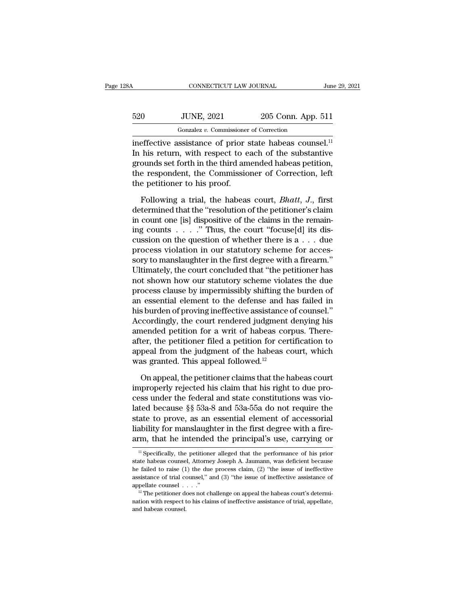| 28A<br>CONNECTICUT LAW JOURNAL |                                        |                    | June 29, 2021 |
|--------------------------------|----------------------------------------|--------------------|---------------|
| 520                            | <b>JUNE, 2021</b>                      | 205 Conn. App. 511 |               |
|                                | Gonzalez v. Commissioner of Correction |                    |               |

CONNECTICUT LAW JOURNAL June 29, 2021<br>
Gonzalez *v.* Commissioner of Correction<br>
ineffective assistance of prior state habeas counsel.<sup>11</sup><br>
In his return, with respect to each of the substantive<br>
grounds get forth in the t  $520$  JUNE,  $2021$   $205$  Conn. App. 511<br>
Gonzalez v. Commissioner of Correction<br>
ineffective assistance of prior state habeas counsel.<sup>11</sup><br>
In his return, with respect to each of the substantive<br>
grounds set forth in the  $\frac{520}{520}$  JUNE, 2021 205 Conn. App. 511<br>  $\frac{60 \text{ razalez } v. \text{ Commissioner of Correction}}{1}$ <br>
ineffective assistance of prior state habeas counsel.<sup>11</sup><br>
In his return, with respect to each of the substantive<br>
grounds set forth in the third am 520 JUNE, 2021 205 Conn. App. 511<br>
Gonzalez v. Commissioner of Correction<br>
ineffective assistance of prior state habeas counsel.<sup>11</sup><br>
In his return, with respect to each of the substantive<br>
grounds set forth in the third  $\frac{1}{\text{Gonzalez } v}$ . Commissioner<br>ineffective assistance of prior s<br>In his return, with respect to e<br>grounds set forth in the third am<br>the respondent, the Commissio<br>the petitioner to his proof.<br>Following a trial, the habeas effective assistance of prior state habeas counsel.<sup>11</sup><br>his return, with respect to each of the substantive<br>ounds set forth in the third amended habeas petition,<br>e respondent, the Commissioner of Correction, left<br>e petitio In his return, with respect to each of the substantive<br>grounds set forth in the third amended habeas petition,<br>the respondent, the Commissioner of Correction, left<br>the petitioner to his proof.<br>Following a trial, the habeas

grounds set forth in the third amended habeas petition,<br>the respondent, the Commissioner of Correction, left<br>the petitioner to his proof.<br>Following a trial, the habeas court, *Bhatt*, J., first<br>determined that the "resolut the respondent, the Commissioner of Correction, left<br>the petitioner to his proof.<br>Following a trial, the habeas court, *Bhatt*, *J*., first<br>determined that the "resolution of the petitioner's claim<br>in count one [is] dispo the petitioner to his proof.<br>
Following a trial, the habeas court, *Bhatt*, *J*., first<br>
determined that the "resolution of the petitioner's claim<br>
in count one [is] dispositive of the claims in the remain-<br>
ing counts . Following a trial, the habeas court, *Bhatt*, *J*., first<br>determined that the "resolution of the petitioner's claim<br>in count one [is] dispositive of the claims in the remain-<br>ing counts  $\ldots$ ." Thus, the court "focuse[d] Following a trial, the habeas court, *Bhatt*, *J.*, first<br>determined that the "resolution of the petitioner's claim<br>in count one [is] dispositive of the claims in the remain-<br>ing counts  $\ldots$ ." Thus, the court "focuse[d] determined that the "resolution of the petitioner's claim<br>in count one [is] dispositive of the claims in the remain-<br>ing counts . . . . . " Thus, the court "focuse[d] its dis-<br>cussion on the question of whether there is a in count one [is] dispositive of the claims in the remaining counts  $\ldots$ ." Thus, the court "focuse[d] its discussion on the question of whether there is a  $\ldots$  due process violation in our statutory scheme for accessory ing counts  $\ldots$  ." Thus, the court "focuse[d] its discussion on the question of whether there is a  $\ldots$  due<br>process violation in our statutory scheme for accessory to manslaughter in the first degree with a firearm."<br>Ul cussion on the question of whether there is a  $\dots$  due<br>process violation in our statutory scheme for accessory to manslaughter in the first degree with a firearm."<br>Ultimately, the court concluded that "the petitioner has<br> process violation in our statutory scheme for accessory to manslaughter in the first degree with a firearm."<br>Ultimately, the court concluded that "the petitioner has<br>not shown how our statutory scheme violates the due<br>proc sory to manslaughter in the first degree with a firearm."<br>Ultimately, the court concluded that "the petitioner has<br>not shown how our statutory scheme violates the due<br>process clause by impermissibly shifting the burden of<br> Ultimately, the court concluded that "the petitioner has<br>not shown how our statutory scheme violates the due<br>process clause by impermissibly shifting the burden of<br>an essential element to the defense and has failed in<br>his not shown how our statutory scheme violates the due<br>process clause by impermissibly shifting the burden of<br>an essential element to the defense and has failed in<br>his burden of proving ineffective assistance of counsel."<br>Acc process clause by impermissibly shifting the burden of<br>an essential element to the defense and has failed in<br>his burden of proving ineffective assistance of counsel."<br>Accordingly, the court rendered judgment denying his<br>am an essential element to the defense and h<br>his burden of proving ineffective assistance<br>Accordingly, the court rendered judgment<br>amended petition for a writ of habeas co<br>after, the petitioner filed a petition for cer<br>appeal coordingly, the court rendered judgment denying his<br>nended petition for a writ of habeas corpus. There-<br>ter, the petitioner filed a petition for certification to<br>peal from the judgment of the habeas court, which<br>as granted amended petition for a writ of habeas corpus. There-<br>after, the petitioner filed a petition for certification to<br>appeal from the judgment of the habeas court, which<br>was granted. This appeal followed.<sup>12</sup><br>On appeal, the pe

after, the petitioner filed a petition for certification to<br>appeal from the judgment of the habeas court, which<br>was granted. This appeal followed.<sup>12</sup><br>On appeal, the petitioner claims that the habeas court<br>improperly reje appeal from the judgment of the habeas court, which<br>was granted. This appeal followed.<sup>12</sup><br>On appeal, the petitioner claims that the habeas court<br>improperly rejected his claim that his right to due pro-<br>cess under the fede was granted. This appeal followed.<sup>12</sup><br>On appeal, the petitioner claims that the habeas court<br>improperly rejected his claim that his right to due pro-<br>cess under the federal and state constitutions was vio-<br>lated because § On appeal, the petitioner claims that the habeas court<br>improperly rejected his claim that his right to due pro-<br>cess under the federal and state constitutions was vio-<br>lated because  $\S$  53a-8 and 53a-55a do not require th On appeal, the petitioner claims that the habeas court<br>improperly rejected his claim that his right to due pro-<br>cess under the federal and state constitutions was vio-<br>lated because §§ 53a-8 and 53a-55a do not require the lated because  $\S$  53a-8 and 53a-55a do not require the state to prove, as an essential element of accessorial liability for manslaughter in the first degree with a firearm, that he intended the principal's use, carrying o state to prove, as an essential element of accessorial liability for manslaughter in the first degree with a fire-<br>arm, that he intended the principal's use, carrying or  $\frac{1}{1}$  Specifically, the petitioner alleged that

liability for manslaughter in the first degree with a fire-<br>arm, that he intended the principal's use, carrying or<br> $\frac{1}{1}$  specifically, the petitioner alleged that the performance of his prior<br>state habeas counsel, Att arm, that he intended the principal's use, carrying or<br>
<sup>11</sup> Specifically, the petitioner alleged that the performance of his prior<br>
state habeas counsel, Attorney Joseph A. Jaumann, was deficient because<br>
the failed to r <sup>11</sup> Specifically, the petitioner alleged that the performance of his prior state habeas counsel, Attorney Joseph A. Jaumann, was deficient because the failed to raise (1) the due process claim, (2) "the issue of ineffect state habeas counsel, Attorney Joseph A. Jaumann, was deficient because<br>he failed to raise (1) the due process claim, (2) "the issue of ineffective<br>assistance of trial counsel," and (3) "the issue of ineffective assistanc he failed to raise  $(1)$  the due process claim,  $(2)$  "the issue of ineffective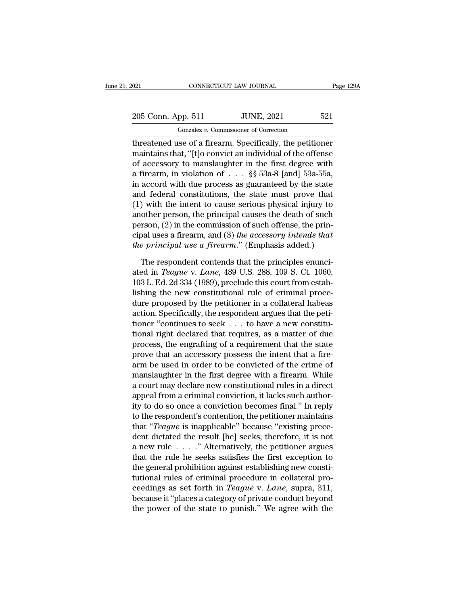## 021 CONNECTICUT LAW JOURNAL Page 129A<br>
205 Conn. App. 511 JUNE, 2021 521<br>
Gonzalez v. Commissioner of Correction CONNECTICUT LAW JOURNAL<br>pp. 511 JUNE, 2021<br>Gonzalez *v.* Commissioner of Correction<br>use of a firearm Specifically the petitic

The CONNECTICUT LAW JOURNAL Page 129A<br>
205 Conn. App. 511 JUNE, 2021 521<br>
6007 Gonzalez v. Commissioner of Correction<br>
threatened use of a firearm. Specifically, the petitioner<br>
maintains that, "[t]o convict an individual 205 Conn. App. 511 JUNE, 2021 521<br>
Gonzalez v. Commissioner of Correction<br>
threatened use of a firearm. Specifically, the petitioner<br>
maintains that, "[t]o convict an individual of the offense<br>
of accessory to manslaughte 205 Conn. App. 511 JUNE, 2021 521<br>
Conzalez v. Commissioner of Correction<br>
threatened use of a firearm. Specifically, the petitioner<br>
maintains that, "[t]o convict an individual of the offense<br>
of accessory to manslaughte 205 Conn. App. 511 JUNE, 2021 521<br>
Gonzalez v. Commissioner of Correction<br>
threatened use of a firearm. Specifically, the petitioner<br>
maintains that, "[t]o convict an individual of the offense<br>
of accessory to manslaughte Gonzalez v. Commissioner of Correction<br>threatened use of a firearm. Specifically, the petitioner<br>maintains that, "[t]o convict an individual of the offense<br>of accessory to manslaughter in the first degree with<br>a firearm, and the state of a firem. Specifically, the petitioner<br>maintains that, "[t]o convict an individual of the offense<br>of accessory to manslaughter in the first degree with<br>a firearm, in violation of  $\dots$  §§ 53a-8 [and] 53a-55 threatened use of a firearm. Specifically, the petitioner<br>maintains that, "[t]o convict an individual of the offense<br>of accessory to manslaughter in the first degree with<br>a firearm, in violation of  $\ldots$  §§ 53a-8 [and] 53 maintains that, "[t]o convict an individual of the offense<br>of accessory to manslaughter in the first degree with<br>a firearm, in violation of . . . §§ 53a-8 [and] 53a-55a,<br>in accord with due process as guaranteed by the sta of accessory to manslaughter in the first degree with<br>a firearm, in violation of . . . §§ 53a-8 [and] 53a-55a,<br>in accord with due process as guaranteed by the state<br>and federal constitutions, the state must prove that<br>(1) a firearm, in violation of . . . §§ 53a-8 [and] 53a-55a,<br>in accord with due process as guaranteed by the state<br>and federal constitutions, the state must prove that<br>(1) with the intent to cause serious physical injury to<br>an in accord with due process as guaranteed by the state<br>and federal constitutions, the state must prove that<br>(1) with the intent to cause serious physical injury to<br>another person, the principal causes the death of such<br>pers %) with the intent to cause serious physical injury to other person, the principal causes the death of such rson, (2) in the commission of such offense, the principal uses a firearm, and (3) the accessory intends that  $e$ another person, the principal causes the death of such<br>person, (2) in the commission of such offense, the prin-<br>cipal uses a firearm, and (3) *the accessory intends that*<br>*the principal use a firearm.*" (Emphasis added.)<br>T

person,  $(2)$  in the commission of such offense, the principal uses a firearm, and  $(3)$  the accessory intends that<br>the principal use a firearm." (Emphasis added.)<br>The respondent contends that the principles enunci-<br>ated cipal uses a firearm, and (3) the accessory intends that<br>the principal use a firearm." (Emphasis added.)<br>The respondent contends that the principles enunci-<br>ated in *Teague* v. *Lane*, 489 U.S. 288, 109 S. Ct. 1060,<br>103 L. the principal use a firearm." (Emphasis added.)<br>The respondent contends that the principles enunciated in *Teague v. Lane*, 489 U.S. 288, 109 S. Ct. 1060,<br>103 L. Ed. 2d 334 (1989), preclude this court from establishing the The respondent contends that the principles enunciated in *Teague* v. *Lane*, 489 U.S. 288, 109 S. Ct. 1060, 103 L. Ed. 2d 334 (1989), preclude this court from establishing the new constitutional rule of criminal procedure The respondent contends that the principles enunciated in *Teague v. Lane*, 489 U.S. 288, 109 S. Ct. 1060, 103 L. Ed. 2d 334 (1989), preclude this court from establishing the new constitutional rule of criminal procedure ated in *Teague v. Lane*, 489 U.S. 288, 109 S. Ct. 1060, 103 L. Ed. 2d 334 (1989), preclude this court from establishing the new constitutional rule of criminal procedure proposed by the petitioner in a collateral habeas 103 L. Ed. 2d 334 (1989), preclude this court from establishing the new constitutional rule of criminal procedure proposed by the petitioner in a collateral habeas action. Specifically, the respondent argues that the peti lishing the new constitutional rule of criminal procedure proposed by the petitioner in a collateral habeas action. Specifically, the respondent argues that the petitioner "continues to seek  $\ldots$  to have a new constituti dure proposed by the petitioner in a collateral habeas<br>action. Specifically, the respondent argues that the peti-<br>tioner "continues to seek . . . to have a new constitu-<br>tional right declared that requires, as a matter of action. Specifically, the respondent argues that the petitioner "continues to seek . . . to have a new constitutional right declared that requires, as a matter of due process, the engrafting of a requirement that the state tioner "continues to seek  $\ldots$  to have a new constitutional right declared that requires, as a matter of due<br>process, the engrafting of a requirement that the state<br>prove that an accessory possess the intent that a firetional right declared that requires, as a matter of due<br>process, the engrafting of a requirement that the state<br>prove that an accessory possess the intent that a fire-<br>arm be used in order to be convicted of the crime of<br>m process, the engrafting of a requirement that the state<br>prove that an accessory possess the intent that a fire-<br>arm be used in order to be convicted of the crime of<br>manslaughter in the first degree with a firearm. While<br>a prove that an accessory possess the intent that a fire-<br>arm be used in order to be convicted of the crime of<br>manslaughter in the first degree with a firearm. While<br>a court may declare new constitutional rules in a direct<br>a arm be used in order to be convicted of the crime of<br>
manslaughter in the first degree with a firearm. While<br>
a court may declare new constitutional rules in a direct<br>
appeal from a criminal conviction, it lacks such autho manslaughter in the first degree with a firearm. While<br>a court may declare new constitutional rules in a direct<br>appeal from a criminal conviction, it lacks such author-<br>ity to do so once a conviction becomes final." In re a court may declare new constitutional rules in a direct<br>appeal from a criminal conviction, it lacks such author-<br>ity to do so once a conviction becomes final." In reply<br>to the respondent's contention, the petitioner main appeal from a criminal conviction, it lacks such author-<br>ity to do so once a conviction becomes final." In reply<br>to the respondent's contention, the petitioner maintains<br>that "*Teague* is inapplicable" because "existing p ty to do so once a conviction becomes final." In reply<br>to the respondent's contention, the petitioner maintains<br>that "*Teague* is inapplicable" because "existing prece-<br>dent dictated the result [he] seeks; therefore, it i to the respondent's contention, the petitioner maintains<br>that "*Teague* is inapplicable" because "existing prece-<br>dent dictated the result [he] seeks; therefore, it is not<br>a new rule  $\ldots$ ." Alternatively, the petitioner that "*Teague* is inapplicable" because "existing prece-<br>dent dictated the result [he] seeks; therefore, it is not<br>a new rule . . . . " Alternatively, the petitioner argues<br>that the rule he seeks satisfies the first except dent dictated the result [he] seeks; therefore, it is not<br>a new rule . . . . " Alternatively, the petitioner argues<br>that the rule he seeks satisfies the first exception to<br>the general prohibition against establishing new a new rule  $\ldots$ ." Alternatively, the petitioner argues<br>that the rule he seeks satisfies the first exception to<br>the general prohibition against establishing new consti-<br>tutional rules of criminal procedure in collateral p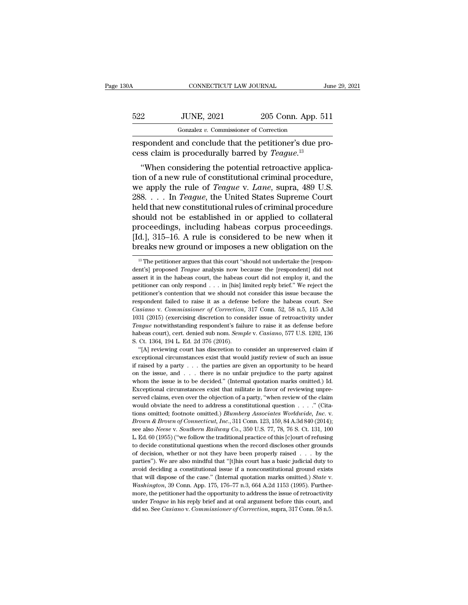| 30A | CONNECTICUT LAW JOURNAL                                                                                                      |                    | June 29, 2021 |
|-----|------------------------------------------------------------------------------------------------------------------------------|--------------------|---------------|
| 522 | <b>JUNE, 2021</b>                                                                                                            | 205 Conn. App. 511 |               |
|     | Gonzalez v. Commissioner of Correction                                                                                       |                    |               |
|     | respondent and conclude that the petitioner's due pro-<br>cess claim is procedurally barred by <i>Teague</i> . <sup>13</sup> |                    |               |
|     | "When considering the potential retroactive applica-                                                                         |                    |               |

<sup>2</sup> JUNE, 2021 <sup>205</sup> Conn. App. 511<br>
<sup>Gonzalez v. Commissioner of Correction<br>
spondent and conclude that the petitioner's due pro-<br>
ss claim is procedurally barred by *Teague*.<sup>13</sup><br>
"When considering the potential retroact</sup>  $\begin{array}{r} \text{522} & \text{JUNE, 2021} & \text{205 Conn. App. 511} \\ \hline \text{Gonzalez } v. \text{ Commissioner of Correction} \\\text{respondent and conclude that the pertinent's due process claim is procedurally barred by *Teague*.<sup>13</sup>\n "When considering the potential retroactive application of a new rule of constitutional criminal procedure, we apply the rule of *Teague v. Lane*, supra, 489 U.S. In *Teague* the United States Sumc, Court.$ Gonzalez *v*. Commissioner of Correction<br>
respondent and conclude that the petitioner's due process claim is procedurally barred by *Teague*.<sup>13</sup><br>
"When considering the potential retroactive application of a new rule of co respondent and conclude that the petitioner's due process claim is procedurally barred by *Teague*.<sup>13</sup><br>
"When considering the potential retroactive application of a new rule of constitutional criminal procedure,<br>
we apply respondent and conclude that the pethology of cases claim is procedurally barred by *Teague*.<sup>13</sup><br>
"When considering the potential retroactive application of a new rule of constitutional criminal procedure,<br>
we apply the r Example 18 procedurally barred by *Teague*.<br>
"When considering the potential retroactive application of a new rule of constitutional criminal procedure,<br>
we apply the rule of *Teague* v. *Lane*, supra, 489 U.S.<br>
288. . . "When considering the potential retroactive application of a new rule of constitutional criminal procedure, we apply the rule of *Teague* v. *Lane*, supra, 489 U.S. 288. . . . In *Teague*, the United States Supreme Court tion of a new rule of constitutional criminal procedure,<br>we apply the rule of *Teague* v. *Lane*, supra, 489 U.S.<br>288. . . . In *Teague*, the United States Supreme Court<br>held that new constitutional rules of criminal proc we apply the rule of *Teague* v. *Lane*, supra, 489 U.S.<br>288. . . . In *Teague*, the United States Supreme Court<br>held that new constitutional rules of criminal procedure<br>should not be established in or applied to collater nould not be established in or applied to collateral<br>rocceedings, including habeas corpus proceedings.<br>d.], 315–16. A rule is considered to be new when it<br>reaks new ground or imposes a new obligation on the<br><sup>13</sup> The petiti proceedings, including habeas corpus proceedings.<br>[Id.], 315–16. A rule is considered to be new when it<br>breaks new ground or imposes a new obligation on the<br><sup>13</sup> The petitioner argues that this court "should not undertake

Teague notwithstanding respondent's failure to raise it as defense before habeas court), cert. denied sub nom. Semple v. Casiano, 577 U.S. 1202, 136 S. Ct. 1364, 194 L. Ed. 2d 376 (2016).<br>
"[A] reviewing court has discret habeas court), cert. denied sub nom. *Semple* v. *Casiano*, 577 U.S. 1202, 136 S. Ct. 1364, 194 L. Ed. 2d 376 (2016).<br>
"[A] reviewing court has discretion to consider an unpreserved claim if exceptional circumstances exis S. Ct. 1364, 194 L. Ed. 2d 376 (2016).<br>
"[A] reviewing court has discretion to consider an unpreserved claim if exceptional circumstances exist that would justify review of such an issue if raised by a party . . . the part Exceptional circumstances exist that would justify review of such an issue if raised by a party  $\dots$  the parties are given an opportunity to be heard on the issue, and  $\dots$  there is no unfair prejudice to the party agains Expression circumstances exist that would justify review of such an issue<br>if raised by a party . . . the parties are given an opportunity to be heard<br>on the issue, and . . . there is no unfair prejudice to the party again if raised by a party . . . the parties are given an opportunity to be heard<br>on the issue, and . . . there is no unfair prejudice to the party against<br>whom the issue is to be decided." (Internal quotation marks omitted.) I It issue *of a* party *i.i.* are particle are given an opportantly to be hearty and on the issue, and ... there is no unfair prejudice to the party against whom the issue is to be decided." (Internal quotation marks omitte Exceptional circumstances exist that militate in favor of reviewing unpreserved claims, even over the objection of a party, "when review of the claim would obviate the need to address a constitutional question . . . . " (C Exerved claims, even over the objection of a party, "when review of the claim would obviate the need to address a constitutional question  $\ldots$ ." (Citations omitted; footnote omitted.) *Blumberg Associates Worldwide*, *In* would obviate the need to address a constitutional question  $\ldots$ ." (Citations omitted; footnote omitted.) *Blumberg Associates Worldwide*, *Inc.* v. *Brown & Brown of Connecticut*, *Inc.*, 311 Conn. 123, 159, 84 A.3d 840 tions omitted; footnote omitted.) *Blumberg Associates Worldwide, Inc.* v. *Brown & Brown of Connecticut, Inc.*, 311 Conn. 123, 159, 84 A.3d 840 (2014); see also *Neese* v. *Southern Railway Co.*, 350 U.S. 77, 78, 76 S. C *Brown & Brown of Connecticut, Inc.*, 311 Conn. 123, 159, 84 A.3d 840 (2014);<br>see also *Neese* v. *Southern Railway Co.*, 350 U.S. 77, 78, 76 S. Ct. 131, 100<br>L. Ed. 60 (1955) ("we follow the traditional practice of this [c avoid *Neese v. Southern Railway Co.*, 350 U.S. 77, 78, 76 S. Ct. 131, 100 L. Ed. 60 (1955) ("we follow the traditional practice of this [c]ourt of refusing to decide constitutional questions when the record discloses oth L. Ed. 60 (1955) ("we follow the traditional practice of this [c]ourt of refusing to decide constitutional questions when the record discloses other grounds of decision, whether or not they have been properly raised . . . of decision, whether or not they have been properly raised  $\ldots$  by the parties"). We are also mindful that "[t]his court has a basic judicial duty to avoid deciding a constitutional issue if a nonconstitutional ground ex parties"). We are also mindful that "[t]his court has a basic judicial duty to avoid deciding a constitutional issue if a nonconstitutional ground exists that will dispose of the case." (Internal quotation marks omitted.) parties"). We are also mindful that "[t]his court has a basic judicial duty to avoid deciding a constitutional issue if a nonconstitutional ground exists that will dispose of the case." (Internal quotation marks omitted.)

<sup>[</sup>Id.], 315–16. A rule is considered to be new when it breaks new ground or imposes a new obligation on the  $\frac{18}{12}$  The petitioner argues that this court "should not undertake the [respondent's] proposed *Teague* analy **period is the set of the can only respond to the set of the set of the set of the set of the set of the set of the set of the set of the set of the petitioner can only respondent is in the habeas court did not employ it,** petitioner's contention that we should not undertake the [respondent's] proposed *Teague* analysis now because the [respondent] did not assert it in the habeas court, the habeas court did not employ it, and the petitioner <sup>13</sup> The petitioner argues that this court "should not undertake the [respondent's] proposed *Teague* analysis now because the [respondent] did not assert it in the habeas court, the habeas court did not employ it, and th *Casiano Casiano Casiano Casiano Casiano Casiano Casiano Casiano Casiano Casiano Casiano Commissioner Casiano Connetioner Casiano Connetioner Casiano Connetioner Casiano Connetioner* assert it in the habeas court, the habeas court did not employ it, and the petitioner can only respond . . . in [his] limited reply brief." We reject the petitioner's contention that we should not consider this issue beca petitioner can only respond . . . in [his] limited reply brief." We reject the petitioner's contention that we should not consider this issue because the respondent failed to raise it as a defense before the habeas court. petitioner's contention that we should not consider this issue because the respondent failed to raise it as a defense before the habeas court. See *Casiano* v. *Commissioner of Correction*, 317 Conn. 52, 58 n.5, 115 A.3d 1 respondent failed to raise it as a defension contraction contracts casiano v. Commissioner of Correction, 1031 (2015) (exercising discretion to consider the numerical contraction of the numerical change of the numerical ch *usiano v. Commissioner of Correction*, 317 Conn. 52, 58 n.5, 115 A.3d 31 (2015) (exercising discretion to consider issue of retroactivity under ague notwithstanding respondent's failure to raise it as defense before beas 1031 (2015) (exercising discretion to consider issue of retroactivity under *Teague* notwithstanding respondent's failure to raise it as defense before habeas court), cert. denied sub nom. *Semple* v. *Casiano*, 577 U.S.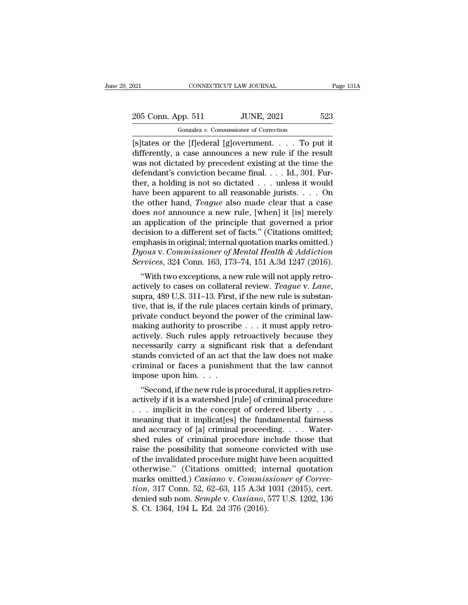021 CONNECTICUT LAW JOURNAL Page 131A<br>
205 Conn. App. 511 JUNE, 2021 523<br>
Gonzalez v. Commissioner of Correction Gonzalez *v.* Commissioner of Correction

 $\frac{1}{205}$  Conn. App. 511 JUNE, 2021 523<br>  $\frac{1}{205}$  Gonzalez v. Commissioner of Correction<br>  $\frac{1}{25}$ <br>  $\frac{1}{25}$ <br>  $\frac{1}{25}$ <br>  $\frac{1}{25}$ <br>  $\frac{1}{25}$ <br>  $\frac{1}{25}$ <br>  $\frac{1}{25}$ <br>  $\frac{1}{25}$ <br>  $\frac{1}{25}$ <br>  $\frac{1}{25}$ <br>  $\frac{1}{$ 205 Conn. App. 511 JUNE, 2021 523<br>
Gonzalez v. Commissioner of Correction<br>
[s]tates or the [f]ederal [g]overnment. . . . To put it<br>
differently, a case announces a new rule if the result<br>
was not dictated by precedent exi 205 Conn. App. 511 JUNE, 2021 523<br>
Gonzalez v. Commissioner of Correction<br>
[s]tates or the [f]ederal [g]overnment. . . . To put it<br>
differently, a case announces a new rule if the result<br>
was not dictated by precedent exi 205 Conn. App. 511 JUNE, 2021 523<br>
Gonzalez v. Commissioner of Correction<br>
[s]tates or the [f]ederal [g]overnment. . . . To put it<br>
differently, a case announces a new rule if the result<br>
was not dictated by precedent exi Gonzalez v. Commissioner of Correction<br>
[S] tates or the [f] ederal [g] overnment. . . . To put it<br>
differently, a case announces a new rule if the result<br>
was not dictated by precedent existing at the time the<br>
defendant Fonzalez v. Commissioner of Correction<br>
[S] tates or the [f] ederal [g] overnment. . . . To put it<br>
differently, a case announces a new rule if the result<br>
was not dictated by precedent existing at the time the<br>
defendant [s]tates or the [f]ederal [g]overnment. . . . . To put it differently, a case announces a new rule if the result was not dictated by precedent existing at the time the defendant's conviction became final. . . . Id., 301. differently, a case announces a new rule if the result<br>was not dictated by precedent existing at the time the<br>defendant's conviction became final. . . . Id., 301. Fur-<br>ther, a holding is not so dictated . . . unless it wou was not dictated by precedent existing at the time the defendant's conviction became final. . . . Id., 301. Further, a holding is not so dictated . . . unless it would have been apparent to all reasonable jurists. . . . O defendant's conviction became final.... Id., 301. Further, a holding is not so dictated ... unless it would<br>have been apparent to all reasonable jurists.... On<br>the other hand, *Teague* also made clear that a case<br>does *no* ther, a holding is not so dictated . . . unless it would<br>have been apparent to all reasonable jurists. . . . On<br>the other hand, *Teague* also made clear that a case<br>does *not* announce a new rule, [when] it [is] merely<br>an have been apparent to all reasonable jurists. . . . On<br>the other hand, *Teague* also made clear that a case<br>does *not* announce a new rule, [when] it [is] merely<br>an application of the principle that governed a prior<br>decisi the other hand, *Teague* also made clear that a case<br>does *not* announce a new rule, [when] it [is] merely<br>an application of the principle that governed a prior<br>decision to a different set of facts." (Citations omitted;<br>em Examplication of the principle that governed a prior cision to a different set of facts." (Citations omitted; nphasis in original; internal quotation marks omitted.) jous v. Commissioner of Mental Health & Addiction rvice

an application of the principle that governed a prior<br>decision to a different set of facts." (Citations omitted,<br>*Dyous v. Commissioner of Mental Health & Addiction*<br>*Services*, 324 Conn. 163, 173–74, 151 A.3d 1247 (2016). Eniphasis in original, internal quotation marks onlitted.)<br>
Dyous v. Commissioner of Mental Health & Addiction<br>
Services, 324 Conn. 163, 173–74, 151 A.3d 1247 (2016).<br>
"With two exceptions, a new rule will not apply retro *Byons v. Commissioner of mental field at Additetion*<br>*Services*, 324 Conn. 163, 173–74, 151 A.3d 1247 (2016).<br>
"With two exceptions, a new rule will not apply retro-<br>actively to cases on collateral review. *Teague v. Lan* making authority to proscribe . . . it must apply retro-<br>actively to cases on collateral review. Teague v. Lane,<br>supra, 489 U.S. 311–13. First, if the new rule is substan-<br>tive, that is, if the rule places certain kinds o "With two exceptions, a new rule will not apply retro-<br>actively to cases on collateral review. *Teague v. Lane*,<br>supra, 489 U.S. 311–13. First, if the new rule is substan-<br>tive, that is, if the rule places certain kinds o actively to cases on collateral review. *Teague* v. *Lane*,<br>supra, 489 U.S. 311–13. First, if the new rule is substan-<br>tive, that is, if the rule places certain kinds of primary,<br>private conduct beyond the power of the cri supra, 489 U.S. 311–13. First, if the new rule is substantive, that is, if the rule places certain kinds of primary, private conduct beyond the power of the criminal law-<br>making authority to proscribe . . . it must apply r tive, that is, if the rule places certain kinds of primary,<br>private conduct beyond the power of the criminal law-<br>making authority to proscribe  $\ldots$  it must apply retro-<br>actively. Such rules apply retroactively because t private conduct beyond the probabily making authority to proscrib<br>actively. Such rules apply r<br>necessarily carry a significa<br>stands convicted of an act th<br>criminal or faces a punishr<br>impose upon him. . . . .<br>"Second, if th  $\alpha$  axing authorhy to proscribe  $\ldots$  it intuit apply retro-<br>tively. Such rules apply retroactively because they<br>cessarily carry a significant risk that a defendant<br>ands convicted of an act that the law does not make<br>imi actively. Such rules apply retroactively because they<br>necessarily carry a significant risk that a defendant<br>stands convicted of an act that the law does not make<br>criminal or faces a punishment that the law cannot<br>impose up

recessarily carry a significant risk that a defendant<br>stands convicted of an act that the law does not make<br>criminal or faces a punishment that the law cannot<br>impose upon him. . . .<br>"Second, if the new rule is procedural, stands convicted of an act that the faw does not have<br>criminal or faces a punishment that the law cannot<br>impose upon him....<br>"Second, if the new rule is procedural, it applies retro-<br>actively if it is a watershed [rule] o criminal of faces a punisment that the faw cannot<br>impose upon him. . . .<br>"Second, if the new rule is procedural, it applies retro-<br>actively if it is a watershed [rule] of criminal procedure<br>. . . . implicit in the concept shed rules of the invalidated procedure might have been accurated those of the invalidation of criminal procedure include those that raise the possibility that someone convicted with use of the invalidated procedure might "Second, if the new rule is procedural, it applies retro-<br>actively if it is a watershed [rule] of criminal procedure<br>... implicit in the concept of ordered liberty ...<br>meaning that it implicat[es] the fundamental fairness actively if it is a watershed [rule] of criminal procedure<br>  $\dots$  implicit in the concept of ordered liberty  $\dots$ <br>
meaning that it implicat[es] the fundamental fairness<br>
and accuracy of [a] criminal proceeding.  $\dots$  Water-... implicit in the concept of ordered liberty ...<br>
meaning that it implicat[es] the fundamental fairness<br>
and accuracy of [a] criminal proceeding.... Water-<br>
shed rules of criminal procedure include those that<br>
raise the meaning that it implicat[es] the fundamental fairness<br>and accuracy of [a] criminal proceeding. . . . Water-<br>shed rules of criminal procedure include those that<br>raise the possibility that someone convicted with use<br>of the i and accuracy of [a] criminal proceeding. . . . Water-<br>shed rules of criminal procedure include those that<br>raise the possibility that someone convicted with use<br>of the invalidated procedure might have been acquitted<br>otherwi shed rules of criminal procedure include those that<br>raise the possibility that someone convicted with use<br>of the invalidated procedure might have been acquitted<br>otherwise." (Citations omitted; internal quotation<br>marks omit raise the possibility that someone conder the invalidated procedure might has otherwise." (Citations omitted; in marks omitted.) *Casiano* v. *Commistion*, 317 Conn. 52, 62–63, 115 A.3d denied sub nom. *Semple* v. *Casiano*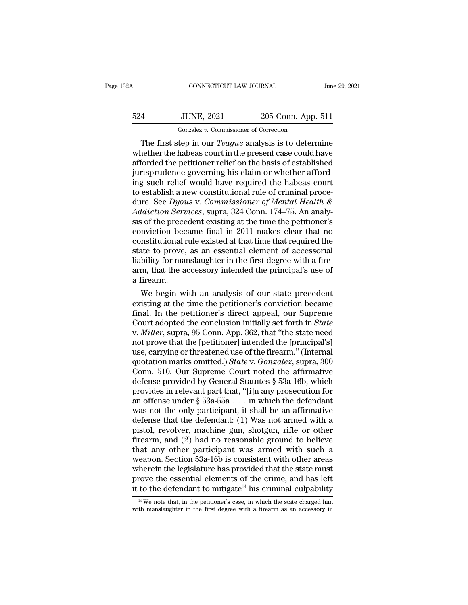| 32A | CONNECTICUT LAW JOURNAL                                      |                    | June 29, 2021 |
|-----|--------------------------------------------------------------|--------------------|---------------|
| 524 | <b>JUNE, 2021</b>                                            | 205 Conn. App. 511 |               |
|     | Gonzalez v. Commissioner of Correction                       |                    |               |
|     | The first step in our <i>Teague</i> analysis is to determine |                    |               |

CONNECTICUT LAW JOURNAL<br>
June 29, 2021<br>
The first step in our *Teague* analysis is to determine<br>
The first step in our *Teague* analysis is to determine<br>
nether the habeas court in the present case could have<br>
forded the n  $524$  JUNE,  $2021$   $205$  Conn. App. 511<br>
Gonzalez v. Commissioner of Correction<br>
The first step in our *Teague* analysis is to determine<br>
whether the habeas court in the present case could have<br>
afforded the petitioner re  $\frac{524}{524}$  JUNE, 2021 205 Conn. App. 511<br>  $\frac{6 \text{orzalez } v. \text{ Commissioner of Correction}}{2 \text{The first step in our *Teague* analysis is to determine whether the habeas court in the present case could have afforded the pertinent relief on the basis of established jury  
\nsurisprudence governing his claim or whether afford-  
\ning such relief would have required the phases court.$  $\frac{524}{100}$  JUNE, 2021 205 Conn. App. 511<br>  $\frac{60}{2}$  Conzalez v. Commissioner of Correction<br>
The first step in our *Teague* analysis is to determine<br>
whether the habeas court in the present case could have<br>
afforded th Gonzalez v. Commissioner of Correction<br>
The first step in our *Teague* analysis is to determine<br>
whether the habeas court in the present case could have<br>
afforded the petitioner relief on the basis of established<br>
jurispr Gonzalez v. Commissioner of Correction<br>
The first step in our *Teague* analysis is to determine<br>
whether the habeas court in the present case could have<br>
afforded the petitioner relief on the basis of established<br>
jurispr The first step in our *Teague* analysis is to determine<br>whether the habeas court in the present case could have<br>afforded the petitioner relief on the basis of established<br>jurisprudence governing his claim or whether afford whether the habeas court in the present case could have<br>afforded the petitioner relief on the basis of established<br>jurisprudence governing his claim or whether afford-<br>ing such relief would have required the habeas court<br>t afforded the petitioner relief on the basis of established<br>jurisprudence governing his claim or whether afford-<br>ing such relief would have required the habeas court<br>to establish a new constitutional rule of criminal procejurisprudence governing his claim or whether afford-<br>ing such relief would have required the habeas court<br>to establish a new constitutional rule of criminal proce-<br>dure. See Dyous v. Commissioner of Mental Health &<br>Addicti ing such relief would have required the habeas court<br>to establish a new constitutional rule of criminal proce-<br>dure. See  $Dyous$  v. Commissioner of Mental Health &<br>Addiction Services, supra, 324 Conn. 174–75. An analy-<br>sis to establish a new constitutional rule of criminal procedure. See  $Dyous$  v. Commissioner of Mental Health &  $Addiction$  Services, supra, 324 Conn. 174–75. An analysis of the precedent existing at the time the petitioner's convict dure. See Dyous v. Commissioner of Mental Health &<br>Addiction Services, supra, 324 Conn. 174–75. An analy-<br>sis of the precedent existing at the time the petitioner's<br>conviction became final in 2011 makes clear that no<br>const Addiction Services, supra, 324 Conn. 174–75. An analysis of the precedent existing at the time the petitioner's conviction became final in 2011 makes clear that no constitutional rule existed at that time that required the sis of the prece<br>conviction bec<br>constitutional r<br>state to prove,<br>liability for mar<br>arm, that the a<br>a firearm.<br>We begin w mviction became final in 2011 makes clear that no<br>institutional rule existed at that time that required the<br>ate to prove, as an essential element of accessorial<br>bility for manslaughter in the first degree with a fire-<br>m, t constitutional rule existed at that time that required the<br>state to prove, as an essential element of accessorial<br>liability for manslaughter in the first degree with a fire-<br>arm, that the accessory intended the principal's

state to prove, as an essential element of accessorial<br>liability for manslaughter in the first degree with a fire-<br>arm, that the accessory intended the principal's use of<br>a firearm.<br>We begin with an analysis of our state p mability for manslaughter in the first degree with a fire-<br>arm, that the accessory intended the principal's use of<br>a firearm.<br>We begin with an analysis of our state precedent<br>existing at the time the petitioner's convictio arm, that the accessory intended the principal's use of<br>a firearm.<br>We begin with an analysis of our state precedent<br>existing at the time the petitioner's conviction became<br>final. In the petitioner's direct appeal, our Supr a firearm.<br>
We begin with an analysis of our state precedent<br>
existing at the time the petitioner's conviction became<br>
final. In the petitioner's direct appeal, our Supreme<br>
Court adopted the conclusion initially set forth We begin with an analysis of our state precedent<br>existing at the time the petitioner's conviction became<br>final. In the petitioner's direct appeal, our Supreme<br>Court adopted the conclusion initially set forth in *State*<br>v. existing at the time the petitioner's conviction became<br>final. In the petitioner's direct appeal, our Supreme<br>Court adopted the conclusion initially set forth in *State*<br>v. *Miller*, supra, 95 Conn. App. 362, that "the sta final. In the petitioner's direct appeal, our Supreme<br>Court adopted the conclusion initially set forth in *State*<br>v. *Miller*, supra, 95 Conn. App. 362, that "the state need<br>not prove that the [petitioner] intended the [p Court adopted the conclusion initially set forth in *State* v. *Miller*, supra, 95 Conn. App. 362, that "the state need not prove that the [petitioner] intended the [principal's] use, carrying or threatened use of the fir v. *Miller*, supra, 95 Conn. App. 362, that "the state need<br>not prove that the [petitioner] intended the [principal's]<br>use, carrying or threatened use of the firearm." (Internal<br>quotation marks omitted.) *State* v. *Gonzal* not prove that the [petitioner] intended the [principal's]<br>use, carrying or threatened use of the firearm." (Internal<br>quotation marks omitted.) *State* v. *Gonzalez*, supra, 300<br>Conn. 510. Our Supreme Court noted the affir use, carrying or threatened use of the firearm." (Internal<br>quotation marks omitted.) *State* v. *Gonzalez*, supra, 300<br>Conn. 510. Our Supreme Court noted the affirmative<br>defense provided by General Statutes § 53a-16b, whi quotation marks omitted.) *State* v. *Gonzalez*, supra, 300<br>Conn. 510. Our Supreme Court noted the affirmative<br>defense provided by General Statutes § 53a-16b, which<br>provides in relevant part that, "[i]n any prosecution fo Conn. 510. Our Supreme Court noted the affirmative<br>defense provided by General Statutes § 53a-16b, which<br>provides in relevant part that, "[i]n any prosecution for<br>an offense under § 53a-55a . . . in which the defendant<br>wa defense provided by General Statutes § 53a-16b, which<br>provides in relevant part that, "[i]n any prosecution for<br>an offense under § 53a-55a . . . in which the defendant<br>was not the only participant, it shall be an affirmat provides in relevant part that, "[i]n any prosecution for<br>an offense under  $\S$  53a-55a . . . in which the defendant<br>was not the only participant, it shall be an affirmative<br>defense that the defendant: (1) Was not armed wi an offense under  $\S$  53a-55a . . . in which the defendant<br>was not the only participant, it shall be an affirmative<br>defense that the defendant: (1) Was not armed with a<br>pistol, revolver, machine gun, shotgun, rifle or othe was not the only participant, it shall be an affirmative<br>defense that the defendant: (1) Was not armed with a<br>pistol, revolver, machine gun, shotgun, rifle or other<br>firearm, and (2) had no reasonable ground to believe<br>tha defense that the defendant: (1) Was not armed with a<br>pistol, revolver, machine gun, shotgun, rifle or other<br>firearm, and (2) had no reasonable ground to believe<br>that any other participant was armed with such a<br>weapon. Sec pistol, revolver, machine gun, shotgun, rifle or other<br>firearm, and (2) had no reasonable ground to believe<br>that any other participant was armed with such a<br>weapon. Section 53a-16b is consistent with other areas<br>wherein t 14 eapon. Section 53a-16b is consistent with other areas<br>therein the legislature has provided that the state must<br>rove the essential elements of the crime, and has left<br>to the defendant to mitigate<sup>14</sup> his criminal culpab wherein the legislature has provided that the state must<br>prove the essential elements of the crime, and has left<br>it to the defendant to mitigate<sup>14</sup> his criminal culpability<br><sup>14</sup> We note that, in the petitioner's case, in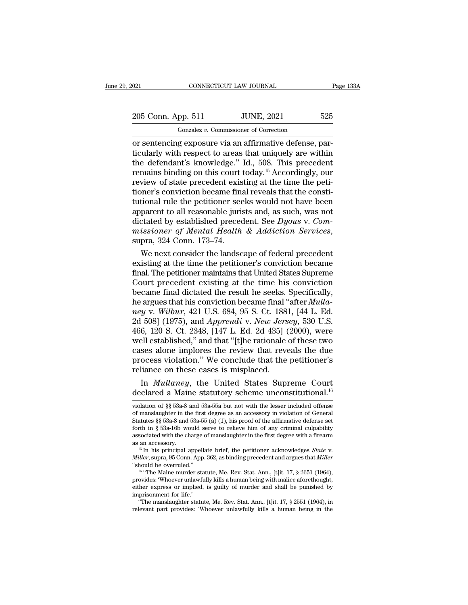## 021 CONNECTICUT LAW JOURNAL Page 133A<br>
205 Conn. App. 511 JUNE, 2021 525<br>
Gonzalez v. Commissioner of Correction Gonzalez *v.* Commissioner of Correction

or sentencing exposure via an affirmative defense, par-<br>distributed are sentencing exposure via an affirmative defense, par-<br>distributed with respect to areas that uniquely are within<br>the defendant's knowledge." Id. 508. T 205 Conn. App. 511 JUNE, 2021 525<br>
Gonzalez v. Commissioner of Correction<br>
or sentencing exposure via an affirmative defense, par-<br>
ticularly with respect to areas that uniquely are within<br>
the defendant's knowledge." Id. 205 Conn. App. 511 JUNE, 2021 525<br>  $\frac{1}{\text{Gonzalez } v. \text{ Commissioner of Correction}}$ <br>
or sentencing exposure via an affirmative defense, par-<br>
ticularly with respect to areas that uniquely are within<br>
the defendant's knowledge." Id., 508. This p 205 Conn. App. 511 JUNE, 2021 525<br>
Gonzalez *v.* Commissioner of Correction<br>
or sentencing exposure via an affirmative defense, par-<br>
ticularly with respect to areas that uniquely are within<br>
the defendant's knowledge." I Formalism of Correction<br>
of Gonzalez v. Commissioner of Correction<br>
or sentencing exposure via an affirmative defense, particularly with respect to areas that uniquely are within<br>
the defendant's knowledge." Id., 508. Thi Gonzalez v. Commissioner of Correction<br>
or sentencing exposure via an affirmative defense, par-<br>
ticularly with respect to areas that uniquely are within<br>
the defendant's knowledge." Id., 508. This precedent<br>
remains bind or sentencing exposure via an affirmative defense, particularly with respect to areas that uniquely are within<br>the defendant's knowledge." Id., 508. This precedent<br>remains binding on this court today.<sup>15</sup> Accordingly, our<br> ticularly with respect to areas that uniquely are within<br>the defendant's knowledge." Id., 508. This precedent<br>remains binding on this court today.<sup>15</sup> Accordingly, our<br>review of state precedent existing at the time the pe the defendant's knowledge." Id., 508. This precedent<br>remains binding on this court today.<sup>15</sup> Accordingly, our<br>review of state precedent existing at the time the peti-<br>tioner's conviction became final reveals that the cons remains binding on this court today.<sup>15</sup> Accordingly, our review of state precedent existing at the time the petitioner's conviction became final reveals that the constitutional rule the petitioner seeks would not have bee oner's conviction became final reveals that the constitional rule the petitioner seeks would not have been<br>parent to all reasonable jurists and, as such, was not<br>ctated by established precedent. See  $Dyous$  v. Com-<br>issioner tutional rule the petitioner seeks would not have been<br>apparent to all reasonable jurists and, as such, was not<br>dictated by established precedent. See  $Dyous$  v.  $Com-  
missioner$  of Mental Health & Addiction Services,<br>supra, 324 C

apparent to all reasonable jurists and, as such, was not<br>dictated by established precedent. See Dyous v. Com-<br>missioner of Mental Health & Addiction Services,<br>supra, 324 Conn. 173–74.<br>We next consider the landscape of fede dictated by established precedent. See *Dyous v. Commissioner of Mental Health & Addiction Services*, supra, 324 Conn. 173–74.<br>We next consider the landscape of federal precedent existing at the time the petitioner's conv missioner of Mental Health & Addiction Services,<br>supra, 324 Conn. 173–74.<br>We next consider the landscape of federal precedent<br>existing at the time the petitioner's conviction became<br>final. The petitioner maintains that Un supra, 324 Conn. 173–74.<br>We next consider the landscape of federal precedent<br>existing at the time the petitioner's conviction became<br>final. The petitioner maintains that United States Supreme<br>Court precedent existing at th We next consider the landscape of federal precedent existing at the time the petitioner's conviction became final. The petitioner maintains that United States Supreme Court precedent existing at the time his conviction bec existing at the time the petitioner's conviction became<br>final. The petitioner maintains that United States Supreme<br>Court precedent existing at the time his conviction<br>became final dictated the result he seeks. Specifically final. The petitioner maintains that United States Supreme<br>Court precedent existing at the time his conviction<br>became final dictated the result he seeks. Specifically,<br>he argues that his conviction became final "after *Mul* Court precedent existing at the time his conviction<br>became final dictated the result he seeks. Specifically,<br>he argues that his conviction became final "after *Mulla-*<br>ney v. Wilbur, 421 U.S. 684, 95 S. Ct. 1881, [44 L. Ed became final dictated the result he seeks. Specifically,<br>he argues that his conviction became final "after *Mulla-*<br>ney v. Wilbur, 421 U.S. 684, 95 S. Ct. 1881, [44 L. Ed.<br>2d 508] (1975), and *Apprendi* v. *New Jersey*, 53 he argues that his conviction became final "after *Mulla-*<br>ney v. Wilbur, 421 U.S. 684, 95 S. Ct. 1881, [44 L. Ed.<br>2d 508] (1975), and *Apprendi* v. *New Jersey*, 530 U.S.<br>466, 120 S. Ct. 2348, [147 L. Ed. 2d 435] (2000), mey v. Wilbur, 421 U.S. 684, 95 S. Ct. 188<br>2d 508] (1975), and *Apprendi* v. *New Jers*<br>466, 120 S. Ct. 2348, [147 L. Ed. 2d 435] (<br>well established," and that "[t]he rationale<br>cases alone implores the review that reve<br>pro If  $1975$ , and *Apprendiv. New Jersey*, 530 U.S.<br>6, 120 S. Ct. 2348, [147 L. Ed. 2d 435] (2000), were<br>ell established," and that "[t]he rationale of these two<br>ses alone implores the review that reveals the due<br>ocess viola 466, 120 S. Ct. 2348, [147 L. Ed. 2d 435] (2000), were<br>well established," and that "[t]he rationale of these two<br>cases alone implores the review that reveals the due<br>process violation." We conclude that the petitioner's<br>r

process violation. We conclude that the petitioner s<br>reliance on these cases is misplaced.<br>In *Mullaney*, the United States Supreme Court<br>declared a Maine statutory scheme unconstitutional.<sup>16</sup><br>violation of §§ 53a-8 and 5 reliance on these cases is misplaced.<br>
In *Mullaney*, the United States Supreme Court<br>
declared a Maine statutory scheme unconstitutional.<sup>16</sup><br>
violation of §§ 53a-8 and 53a-55a but not with the lesser included offense<br>
o In *Mullaney*, the United States Supreme Court declared a Maine statutory scheme unconstitutional.<sup>16</sup> violation of  $\S$  53a-8 and 53a-55a but not with the lesser included offense of manslaughter in the first degree as an declared a Maine statutory scheme unconstitutional.<sup>16</sup> violation of  $\S$ § 53a-8 and 53a-55a but not with the lesser included offense of manslaughter in the first degree as an accessory in violation of General Statutes  $\S$ declared a Maine statutory scheme unconstitutional.<sup>16</sup><br>violation of §§ 53a-8 and 53a-55a but not with the lesser included offense<br>of manslaughter in the first degree as an accessory in violation of General<br>Statutes §§ 53 violation of §§ 53a-8 and 53a-55a but not with the lesser included offense<br>of manslaughter in the first degree as an accessory in violation of General<br>Statutes §§ 53a-8 and 53a-55 (a) (1), his proof of the affirmative defe Statutes §§ 53a-8 and 53a-55 (a) (1), his proof of the affirmative defense set<br>forth in § 53a-16b would serve to relieve him of any criminal culpability<br>associated with the charge of manslaughter in the first degree with

associated with the charge of manslaughter in the first degree with a firearm<br>as an accessory.<br><sup>15</sup> In his principal appellate brief, the petitioner acknowledges *State* v.<br>*Miller*, supra, 95 Conn. App. 362, as binding p as an accessory.<br><sup>15</sup> In his principal appellate brief, the petitioner acknowledges *State* v.<br>*Miller*, supra, 95 Conn. App. 362, as binding precedent and argues that *Miller*<br>"should be overruled."<br><sup>16</sup> "The Maine murde <sup>15</sup> In his principal appell<br> *Miller*, supra, 95 Conn. App.<br>
"should be overruled."<br>
<sup>16</sup> "The Maine murder sta<br>
provides: 'Whoever unlawfu<br>
either express or implied,<br>
imprisonment for life.'<br>
"The manslaughter statu" iller, supra, 95 Conn. App. 362, as binding precedent and argues that *Miller* hould be overruled."<br><sup>16</sup> "The Maine murder statute, Me. Rev. Stat. Ann., [t]it. 17, § 2651 (1964), ovides: 'Whoever unlawfully kills a human b "should be overruled."<br>
<sup>16</sup> "The Maine murder statute, Me. Rev. Stat. Ann., [t]it. 17, § 2651 (1964),<br>
provides: 'Whoever unlawfully kills a human being with malice aforethought,<br>
either express or implied, is guilty of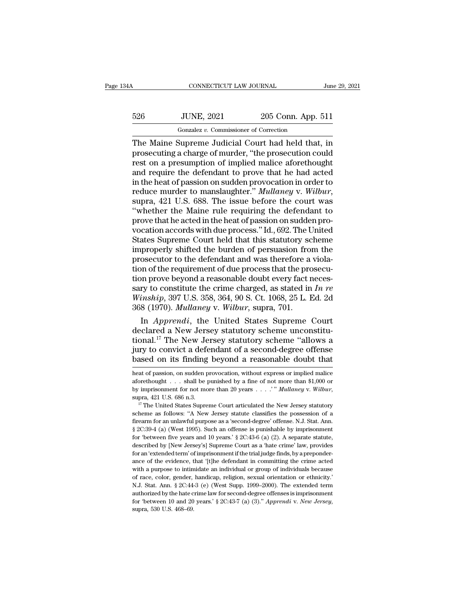## CONNECTICUT LAW JOURNAL June 29, 2021<br>526 JUNE, 2021 205 Conn. App. 511<br>Gonzalez v. Commissioner of Correction CONNECTICUT LAW JOURNAL<br>JUNE, 2021 205 Conn. App.<br>Gonzalez *v.* Commissioner of Correction<br>Supreme Judicial Court had held that

CONNECTICUT LAW JOURNAL June 29, 2021<br>
526 JUNE, 2021 205 Conn. App. 511<br>
6007alez v. Commissioner of Correction<br>
The Maine Supreme Judicial Court had held that, in<br>
prosecuting a charge of murder, "the prosecution could<br> 526 JUNE, 2021 205 Conn. App. 511<br>
Gonzalez v. Commissioner of Correction<br>
The Maine Supreme Judicial Court had held that, in<br>
prosecuting a charge of murder, "the prosecution could<br>
rest on a presumption of implied malice  $\frac{526}{100}$  JUNE, 2021 205 Conn. App. 511<br>  $\frac{60nzalez v.$  Commissioner of Correction<br>
The Maine Supreme Judicial Court had held that, in<br>
prosecuting a charge of murder, "the prosecution could<br>
rest on a presumption of imp 526 JUNE, 2021 205 Conn. App. 511<br>
Gonzalez v. Commissioner of Correction<br>
The Maine Supreme Judicial Court had held that, in<br>
prosecuting a charge of murder, "the prosecution could<br>
rest on a presumption of implied malic Goral Correction<br>
The Maine Supreme Judicial Court had held that, in<br>
prosecuting a charge of murder, "the prosecution could<br>
rest on a presumption of implied malice aforethought<br>
and require the defendant to prove that h Gonzalez v. Commissioner of Correction<br>The Maine Supreme Judicial Court had held that, in<br>prosecuting a charge of murder, "the prosecution could<br>rest on a presumption of implied malice aforethought<br>and require the defendan prosecuting a charge of murder, "the prosecution could<br>rest on a presumption of implied malice aforethought<br>and require the defendant to prove that he had acted<br>in the heat of passion on sudden provocation in order to<br>redu rest on a presumption of implied malice aforethought<br>and require the defendant to prove that he had acted<br>in the heat of passion on sudden provocation in order to<br>reduce murder to manslaughter." Mullaney v. Wilbur,<br>supra, and require the defendant to prove that he had acted<br>in the heat of passion on sudden provocation in order to<br>reduce murder to manslaughter." Mullaney v. Wilbur,<br>supra, 421 U.S. 688. The issue before the court was<br>"whether in the heat of passion on sudden provocation in order to<br>reduce murder to manslaughter." Mullaney v. Wilbur,<br>supra, 421 U.S. 688. The issue before the court was<br>"whether the Maine rule requiring the defendant to<br>prove that reduce murder to manslaughter." *Mullaney* v. *Wilbur*,<br>supra, 421 U.S. 688. The issue before the court was<br>"whether the Maine rule requiring the defendant to<br>prove that he acted in the heat of passion on sudden pro-<br>vocat supra, 421 U.S. 688. The issue before the court was<br>"whether the Maine rule requiring the defendant to<br>prove that he acted in the heat of passion on sudden pro-<br>vocation accords with due process." Id., 692. The United<br>Stat "whether the Maine rule requiring the defendant to<br>prove that he acted in the heat of passion on sudden pro-<br>vocation accords with due process." Id., 692. The United<br>States Supreme Court held that this statutory scheme<br>im prove that he acted in the heat of passion on sudden pro-<br>vocation accords with due process." Id., 692. The United<br>States Supreme Court held that this statutory scheme<br>improperly shifted the burden of persuasion from the<br> vocation accords with due process." Id., 692. The United<br>States Supreme Court held that this statutory scheme<br>improperly shifted the burden of persuasion from the<br>prosecutor to the defendant and was therefore a viola-<br>tion States Supreme Court held that this statutory scheme<br>improperly shifted the burden of persuasion from the<br>prosecutor to the defendant and was therefore a viola-<br>tion of the requirement of due process that the prosecu-<br>tion improperly shifted the burden of persuasion from<br>prosecutor to the defendant and was therefore a<br>tion of the requirement of due process that the pro<br>tion prove beyond a reasonable doubt every fact r<br>sary to constitute the osecutor to the defendant and was therefore a viola-<br>on of the requirement of due process that the prosecu-<br>on prove beyond a reasonable doubt every fact neces-<br>ry to constitute the crime charged, as stated in *In re*<br>insh tion of the requirement of due process that the prosecution prove beyond a reasonable doubt every fact necessary to constitute the crime charged, as stated in *In re Winship*, 397 U.S. 358, 364, 90 S. Ct. 1068, 25 L. Ed.

tion prove beyond a reasonable doubt every fact necessary to constitute the crime charged, as stated in  $In$   $re$   $Winship$ , 397 U.S. 358, 364, 90 S. Ct. 1068, 25 L. Ed. 2d 368 (1970).  $Mullaney$  v.  $Wilbur$ , supra, 701.<br>In  $Appendi$ , the U sary to constitute the crime charged, as stated in *In re*<br>Winship, 397 U.S. 358, 364, 90 S. Ct. 1068, 25 L. Ed. 2d<br>368 (1970). *Mullaney* v. *Wilbur*, supra, 701.<br>In *Apprendi*, the United States Supreme Court<br>declared a Winship, 397 U.S. 358, 364, 90 S. Ct. 1068, 25 L. Ed. 2d<br>368 (1970). *Mullaney* v. *Wilbur*, supra, 701.<br>In *Apprendi*, the United States Supreme Court<br>declared a New Jersey statutory scheme unconstitu-<br>tional.<sup>17</sup> The Ne declared a New Jersey statutory scheme unconstitutional.<sup>17</sup> The New Jersey statutory scheme "allows a<br>jury to convict a defendant of a second-degree offense<br>based on its finding beyond a reasonable doubt that<br>heat of pass tional.<sup>17</sup> The New Jersey statutory scheme "allows a<br>jury to convict a defendant of a second-degree offense<br>based on its finding beyond a reasonable doubt that<br>heat of passion, on sudden provocation, without express or i

by imprison its finding beyond a reasonable doubt that heat of passion, on sudden provocation, without express or implied malice aforethought . . . shall be punished by a fine of not more than \$1,000 or by imprisonment for heat of passion, on sudden provocation, without express or implied malice aforethought . . . shall be punished by a fine of not more than \$1,000 or by imprisonment for not more than 20 years . . . . " *Mullaney* v. *Wilbu* 

firect throught  $\ldots$  shall be punished by a fine of not more than \$1,000 or by imprisonment for not more than 20 years  $\ldots$ .'" Mullaney v. Wilbur, supra, 421 U.S. 686 n.3.<br>
<sup>17</sup> The United States Supreme Court articulat by imprisonment for not more than 20 years  $\ldots$ ." Mullaney v. Wilbur, supra, 421 U.S. 686 n.3.<br><sup>17</sup> The United States Supreme Court articulated the New Jersey statutory scheme as follows: "A New Jersey statute classifies for  $421$  U.S. 686 n.3.<br><sup>17</sup> The United States Supreme Court articulated the New Jersey statutory<br>scheme as follows: "A New Jersey statute classifies the possession of a<br>firearm for an unlawful purpose as a 'second-degree Fright Hubure Court articulated the New Jersey statutory<br>scheme as follows: "A New Jersey statute classifies the possession of a<br>firearm for an unlawful purpose as a 'second-degree' offense. N.J. Stat. Ann.<br> $\S 2C:39-4$  (a scheme as follows: "A New Jersey statute classifies the possession of a firearm for an unlawful purpose as a 'second-degree' offense. N.J. Stat. Ann. § 2C:39-4 (a) (West 1995). Such an offense is punishable by imprisonmen Firearm for an unlawful purpose as a 'second-degree' offense. N.J. Stat. Ann.  $\S 2C:39-4$  (a) (West 1995). Such an offense is punishable by imprisonment for 'between five years and 10 years.'  $\S 2C:43-6$  (a) (2). A separa where the with a purpose to intimidate an individual or group of individuals because  $\S 2C:39-4$  (a) (West 1995). Such an offense is punishable by imprisonment for 'between five years and 10 years.'  $\S 2C:43-6$  (a) (2). A for 'between five years and 10 years.' § 2C:43-6 (a) (2). A separate statute, described by [New Jersey's] Supreme Court as a 'hate crime' law, provides for an 'extended term' of imprisonment if the trial judge finds, by a described by [New Jersey's] Supreme Court as a 'hate crime' law, provides for an 'extended term' of imprisonment if the trial judge finds, by a preponderance of the evidence, that '[t]he defendant in committing the crime a for an 'extended term' of imprisonment if the trial judge finds, by a preponderance of the evidence, that '[t]he defendant in committing the crime acted with a purpose to intimidate an individual or group of individuals b for an extended term of the video. that '(t) the defendant in committing the crime acted with a purpose to intimidate an individual or group of individuals because of race, color, gender, handicap, religion, sexual orienta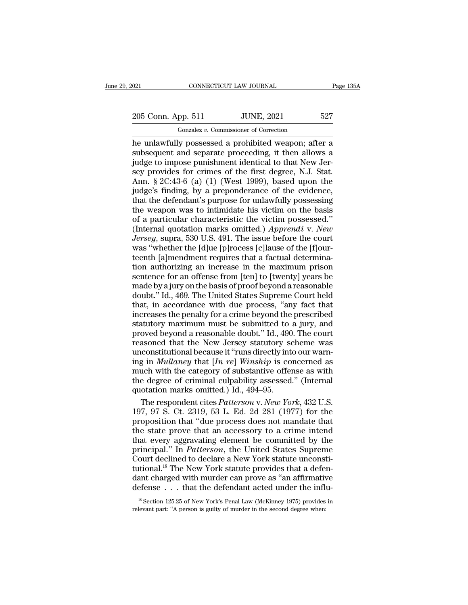021 CONNECTICUT LAW JOURNAL Page 135A<br>
205 Conn. App. 511 JUNE, 2021 527<br>
Gonzalez v. Commissioner of Correction

Gonzalez *v.* Commissioner of Correction on the unlawfully possessed a prohibited weapon; after a<br>
index to impose numishment identical to that New Jersen in the unlawfully possessed a prohibited weapon; after a<br>
subsequent and separate proceeding, it then allows 205 Conn. App. 511 JUNE, 2021 527<br>
Gonzalez v. Commissioner of Correction<br>
he unlawfully possessed a prohibited weapon; after a<br>
subsequent and separate proceeding, it then allows a<br>
judge to impose punishment identical to 205 Conn. App. 511 JUNE, 2021 527<br>
Gonzalez v. Commissioner of Correction<br>
he unlawfully possessed a prohibited weapon; after a<br>
subsequent and separate proceeding, it then allows a<br>
judge to impose punishment identical t 205 Conn. App. 511 JUNE, 2021 527<br>
Gonzalez v. Commissioner of Correction<br>
he unlawfully possessed a prohibited weapon; after a<br>
subsequent and separate proceeding, it then allows a<br>
judge to impose punishment identical t  $\frac{300 \text{ OGHL} \text{ } \text{App. 911}}{60 \text{ rades } v. \text{ Commissioner of Correction}}$ <br>
he unlawfully possessed a prohibited weapon; after a<br>
subsequent and separate proceeding, it then allows a<br>
judge to impose punishment identical to that New Jer-<br>
sey pro Gonzalez v. Commissioner of Correction<br>he unlawfully possessed a prohibited weapon; after a<br>subsequent and separate proceeding, it then allows a<br>judge to impose punishment identical to that New Jer-<br>sey provides for crime he unlawfully possessed a prohibited weapon; after a<br>subsequent and separate proceeding, it then allows a<br>judge to impose punishment identical to that New Jer-<br>sey provides for crimes of the first degree, N.J. Stat.<br>Ann. § subsequent and separate proceeding, it then allows a<br>judge to impose punishment identical to that New Jer-<br>sey provides for crimes of the first degree, N.J. Stat.<br>Ann. § 2C:43-6 (a) (1) (West 1999), based upon the<br>judge's judge to impose punishment identical to that New Jersey provides for crimes of the first degree, N.J. Stat.<br>Ann. § 2C:43-6 (a) (1) (West 1999), based upon the judge's finding, by a preponderance of the evidence, that the sey provides for crimes of the first degree, N.J. Stat.<br>Ann. § 2C:43-6 (a) (1) (West 1999), based upon the<br>judge's finding, by a preponderance of the evidence,<br>that the defendant's purpose for unlawfully possessing<br>the wea Ann. § 2C:43-6 (a) (1) (West 1999), based upon the judge's finding, by a preponderance of the evidence, that the defendant's purpose for unlawfully possessing the weapon was to intimidate his victim on the basis of a parti judge's finding, by a preponderance of the evidence,<br>that the defendant's purpose for unlawfully possessing<br>the weapon was to intimidate his victim on the basis<br>of a particular characteristic the victim possessed."<br>(Intern that the defendant's purpose for unlawfully possessing<br>the weapon was to intimidate his victim on the basis<br>of a particular characteristic the victim possessed."<br>(Internal quotation marks omitted.) Apprendi v. New<br>Jersey, the weapon was to intimidate his victim on the basis<br>of a particular characteristic the victim possessed."<br>(Internal quotation marks omitted.) *Apprendi* v. *New*<br>*Jersey*, supra, 530 U.S. 491. The issue before the court<br>w of a particular characteristic the victim possessed."<br>(Internal quotation marks omitted.) *Apprendi* v. *New*<br>*Jersey*, supra, 530 U.S. 491. The issue before the court<br>was "whether the [d]ue [p]rocess [c]lause of the [f]ou (Internal quotation marks omitted.) Apprendi v. New<br>Jersey, supra, 530 U.S. 491. The issue before the court<br>was "whether the [d]ue [p]rocess [c]lause of the [f]our-<br>teenth [a]mendment requires that a factual determina-<br>ti Jersey, supra, 530 U.S. 491. The issue before the court<br>was "whether the [d]ue [p]rocess [c]lause of the [f]our-<br>teenth [a]mendment requires that a factual determina-<br>tion authorizing an increase in the maximum prison<br>sent was "whether the [d]ue [p]rocess [c]lause of the [f]our-<br>teenth [a]mendment requires that a factual determina-<br>tion authorizing an increase in the maximum prison<br>sentence for an offense from [ten] to [twenty] years be<br>made teenth [a]mendment requires that a factual determination authorizing an increase in the maximum prison<br>sentence for an offense from [ten] to [twenty] years be<br>made by a jury on the basis of proof beyond a reasonable<br>doubt. For authorizing an increase in the maximum prison<br>sentence for an offense from [ten] to [twenty] years be<br>made by a jury on the basis of proof beyond a reasonable<br>doubt." Id., 469. The United States Supreme Court held<br>that proved beyond a reasonable doubt.'' Id., 469. The United States Supreme Court held<br>that, in accordance with due process, "any fact that<br>that, in accordance with due process, "any fact that<br>increases the penalty for a crime made by a jury on the basis of proof beyond a reasonable<br>doubt." Id., 469. The United States Supreme Court held<br>that, in accordance with due process, "any fact that<br>increases the penalty for a crime beyond the prescribed<br> mate by  $\alpha$ ,  $\beta$ . The United States Supreme Court held<br>that, in accordance with due process, "any fact that<br>increases the penalty for a crime beyond the prescribed<br>statutory maximum must be submitted to a jury, and<br>prov that, in accordance with due process, "any fact that<br>that, in accordance with due process, "any fact that<br>increases the penalty for a crime beyond the prescribed<br>statutory maximum must be submitted to a jury, and<br>proved be increases the penalty for a crime beyond the prescribed<br>statutory maximum must be submitted to a jury, and<br>proved beyond a reasonable doubt." Id., 490. The court<br>reasoned that the New Jersey statutory scheme was<br>unconstit statutory maximum must be submitted to a jury, and<br>statutory maximum must be submitted to a jury, and<br>proved beyond a reasonable doubt." Id., 490. The court<br>reasoned that the New Jersey statutory scheme was<br>unconstitutiona proved beyond a reasonable doubt." Id., 490<br>reasoned that the New Jersey statutory sounconstitutional because it "runs directly int<br>ing in *Mullaney* that  $[In re] Winship$  is co<br>much with the category of substantive offer<br>the de asoned that the New Jersey statutory scheme was<br>constitutional because it "runs directly into our warn-<br>g in *Mullaney* that [*In re*] *Winship* is concerned as<br>uch with the category of substantive offense as with<br>e degree unconstitutional because it "runs directly into our warning in *Mullaney* that  $[In re]$  *Winship* is concerned as<br>much with the category of substantive offense as with<br>the degree of criminal culpability assessed." (Internal

ing in *Mullaney* that [*In re*] Winship is concerned as<br>much with the category of substantive offense as with<br>the degree of criminal culpability assessed." (Internal<br>quotation marks omitted.) Id., 494–95.<br>The respondent much with the category of substantive offense as with<br>the degree of criminal culpability assessed." (Internal<br>quotation marks omitted.) Id., 494–95.<br>The respondent cites *Patterson v. New York*, 432 U.S.<br>197, 97 S. Ct. 231 the degree of criminal culpability assessed." (Internal<br>quotation marks omitted.) Id., 494–95.<br>The respondent cites *Patterson v. New York*, 432 U.S.<br>197, 97 S. Ct. 2319, 53 L. Ed. 2d 281 (1977) for the<br>proposition that "d quotation marks omitted.) Id., 494–95.<br>The respondent cites *Patterson* v. *New York*, 432 U.S.<br>197, 97 S. Ct. 2319, 53 L. Ed. 2d 281 (1977) for the<br>proposition that "due process does not mandate that<br>the state prove that The respondent cites *Patterson v. New York*, 432 U.S.<br>197, 97 S. Ct. 2319, 53 L. Ed. 2d 281 (1977) for the<br>proposition that "due process does not mandate that<br>the state prove that an accessory to a crime intend<br>that every 197, 97 S. Ct. 2319, 53 L. Ed. 2d 281 (1977) for the proposition that "due process does not mandate that the state prove that an accessory to a crime intend that every aggravating element be committed by the principal." I proposition that "due process does not mandate that<br>the state prove that an accessory to a crime intend<br>that every aggravating element be committed by the<br>principal." In *Patterson*, the United States Supreme<br>Court declin the state prove that an accessory to a crime intend<br>that every aggravating element be committed by the<br>principal." In *Patterson*, the United States Supreme<br>Court declined to declare a New York statute unconsti-<br>tutional. ourt declined to declare a New York statute unconstitional.<sup>18</sup> The New York statute provides that a defenant charged with murder can prove as "an affirmative efense . . . that the defendant acted under the influ-<br><sup>18</sup> Sec tutional.<sup>18</sup> The New York statute provides that a deferdant charged with murder can prove as "an affirmative defense . . . that the defendant acted under the infl<sup>18</sup> Section 125.25 of New York's Penal Law (McKinney 1975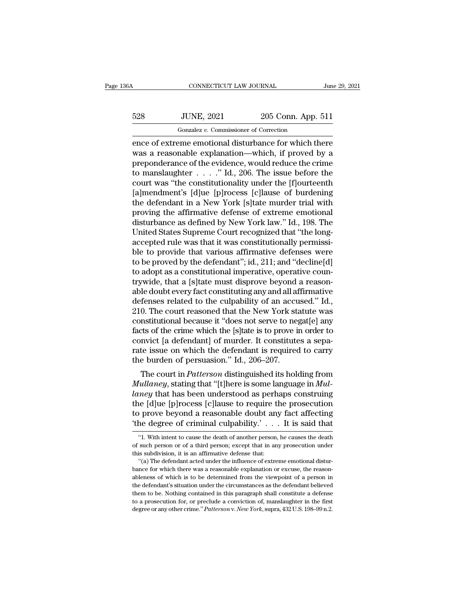## CONNECTICUT LAW JOURNAL June 29, 2021<br>528 JUNE, 2021 205 Conn. App. 511<br>Gonzalez v. Commissioner of Correction CONNECTICUT LAW JOURNAL<br>JUNE, 2021 205 Conn. App.<br>Gonzalez *v.* Commissioner of Correction<br>Peme emotional disturbance for which the

CONNECTICUT LAW JOURNAL June 29, 2021<br>
S28 JUNE, 2021 205 Conn. App. 511<br>
Gonzalez v. Commissioner of Correction<br>
ence of extreme emotional disturbance for which there<br>
was a reasonable explanation—which, if proved by a<br>
p  $\noindent\textbf{JUNE, 2021} \quad\noindent\textbf{205 Conn. App. 511} \quad\noindent\textbf{0} \quad\noindent\textbf{0} \quad\textbf{0} \quad \textbf{0} \quad\noindent\textbf{0} \quad \textbf{0} \quad \textbf{0} \quad \textbf{0} \quad \textbf{0} \quad \textbf{0} \quad \textbf{0} \quad \textbf{0} \quad \textbf{0} \quad \textbf{0} \quad \textbf{0} \quad \textbf{0} \quad \textbf{0} \quad \textbf{0} \quad \textbf{0} \quad \textbf{0} \quad \textbf{0} \quad \textbf{$  $\frac{528}{1000}$  JUNE, 2021 205 Conn. App. 511<br>  $\frac{6000 \text{ rad} \cdot \text{F}}{2 \text{ m} \cdot \text{F}}$ <br>
ence of extreme emotional disturbance for which there<br>
was a reasonable explanation—which, if proved by a<br>
preponderance of the evidence, 528 JUNE, 2021 205 Conn. App. 511<br>  $\frac{1}{2}$  Gonzalez v. Commissioner of Correction<br>
ence of extreme emotional disturbance for which there<br>
was a reasonable explanation—which, if proved by a<br>
preponderance of the evidence Gonzalez v. Commissioner of Correction<br>
ence of extreme emotional disturbance for which there<br>
was a reasonable explanation—which, if proved by a<br>
preponderance of the evidence, would reduce the crime<br>
to manslaughter . .  $\frac{1}{2}$  Gonzalez v. Commissioner of Correction<br>
ence of extreme emotional disturbance for which there<br>
was a reasonable explanation—which, if proved by a<br>
preponderance of the evidence, would reduce the crime<br>
to mansla ence of extreme emotional disturbance for which there<br>was a reasonable explanation—which, if proved by a<br>preponderance of the evidence, would reduce the crime<br>to manslaughter  $\dots$   $\cdot$  " Id., 206. The issue before the<br>cou was a reasonable explanation—which, if proved by a<br>preponderance of the evidence, would reduce the crime<br>to manslaughter  $\ldots$ ." Id., 206. The issue before the<br>court was "the constitutionality under the [f]ourteenth<br>[a]me preponderance of the evidence, would reduce the crime<br>to manslaughter . . . . ." Id., 206. The issue before the<br>court was "the constitutionality under the [f]ourteenth<br>[a]mendment's [d]ue [p]rocess [c]lause of burdening<br>th to manslaughter  $\ldots$  ." Id., 206. The issue before the court was "the constitutionality under the [f]ourteenth [a]mendment's [d]ue [p]rocess [c]lause of burdening the defendant in a New York [s]tate murder trial with pro court was "the constitutionality under the [f]ourteenth<br>[a]mendment's [d]ue [p]rocess [c]lause of burdening<br>the defendant in a New York [s]tate murder trial with<br>proving the affirmative defense of extreme emotional<br>disturb [a]mendment's [d]ue [p]rocess [c]lause of burdening<br>the defendant in a New York [s]tate murder trial with<br>proving the affirmative defense of extreme emotional<br>disturbance as defined by New York law." Id., 198. The<br>United S the defendant in a New York [s]tate murder trial with<br>proving the affirmative defense of extreme emotional<br>disturbance as defined by New York law." Id., 198. The<br>United States Supreme Court recognized that "the long-<br>accep proving the affirmative defense of extreme emotional<br>disturbance as defined by New York law." Id., 198. The<br>United States Supreme Court recognized that "the long-<br>accepted rule was that it was constitutionally permissi-<br>bl United States Supreme Court recognized that "the long-<br>accepted rule was that it was constitutionally permissi-<br>ble to provide that various affirmative defenses were<br>to be proved by the defendant"; id., 211; and "decline[d United States Supreme Court recognized that "the long-<br>accepted rule was that it was constitutionally permissi-<br>ble to provide that various affirmative defenses were<br>to be proved by the defendant"; id., 211; and "decline[d accepted rule was that it was constitutionally permissible to provide that various affirmative defenses were<br>to be proved by the defendant"; id., 211; and "decline[d]<br>to adopt as a constitutional imperative, operative coun ble to provide that various affirmative defenses were<br>to be proved by the defendant"; id., 211; and "decline[d]<br>to adopt as a constitutional imperative, operative coun-<br>trywide, that a [s]tate must disprove beyond a reason to be proved by the defendant"; id., 211; and "decline[d]<br>to adopt as a constitutional imperative, operative coun-<br>trywide, that a [s]tate must disprove beyond a reason-<br>able doubt every fact constituting any and all affir to adopt as a constitutional imperative, operative countrywide, that a [s]tate must disprove beyond a reason-<br>able doubt every fact constituting any and all affirmative<br>defenses related to the culpability of an accused." I trywide, that a [s]tate must disprove beyond a reasonable doubt every fact constituting any and all affirmative defenses related to the culpability of an accused." Id., 210. The court reasoned that the New York statute was able doubt every fact constituting any and all affirmative<br>defenses related to the culpability of an accused." Id.,<br>210. The court reasoned that the New York statute was<br>constitutional because it "does not serve to negat[e defenses related to the culpability of an accu<br>210. The court reasoned that the New York st:<br>constitutional because it "does not serve to neg<br>facts of the crime which the [s]tate is to prove i<br>convict [a defendant] of murd 0. The court reasoned that the New York statute was<br>nstitutional because it "does not serve to negat[e] any<br>rts of the crime which the [s]tate is to prove in order to<br>nvict [a defendant] of murder. It constitutes a sepa-<br>t *Multaney* facts of the crime which the [s]tate is to prove in order to convict [a defendant] of murder. It constitutes a separate issue on which the defendant is required to carry the burden of persuasion." Id., 206–207.<br>

racts of the critic which the [s] alter is to prove in order to<br>convict [a defendant] of murder. It constitutes a sepa-<br>rate issue on which the defendant is required to carry<br>the burden of persuasion." Id., 206–207.<br>The co convict [a detendant] of murder. It constitutes a separate issue on which the defendant is required to carry<br>the burden of persuasion." Id., 206–207.<br>The court in *Patterson* distinguished its holding from<br>*Mullaney*, sta rate issue on which the detendant is required to carry<br>the burden of persuasion." Id., 206–207.<br>The court in *Patterson* distinguished its holding from<br>*Mullaney*, stating that "[t]here is some language in *Mul-*<br>*laney* The court in *Patterson* distinguished its holding from *Mullaney*, stating that "[t]here is some language in *Mullaney* that has been understood as perhaps construing the [d]ue [p]rocess [c]lause to require the prosecuti The field is construing<br>
that has been understood as perhaps construing<br>  $\alpha$  prove beyond a reasonable doubt any fact affecting<br>
the degree of criminal culpability.'... It is said that<br>
"1. With intent to cause the death the [d]ue [p]rocess [c]lause to require the prosecution<br>to prove beyond a reasonable doubt any fact affecting<br>"the degree of criminal culpability."  $\dots$  It is said that<br>"1. With intent to cause the death of another person

to prove beyond a reasonable doubt and<br>
"the degree of criminal culpability."<br>
"1. With intent to cause the death of another person,<br>
of such person or of a third person; except that in an<br>
this subdivision, it is an affi The defered of criminal culpability.'... It is said that<br>"1. With intent to cause the death of another person, he causes the death<br>such person or of a third person; except that in any prosecution under<br>is subdivision, it

<sup>&</sup>quot;1. With intent to cause the death of another person, he causes the death of such person or of a third person; except that in any prosecution under this subdivision, it is an affirmative defense that: "(a) The defendant a "1. With intent to cause the death of another person, he causes the death of such person or of a third person; except that in any prosecution under this subdivision, it is an affirmative defense that: "(a) The defendant a of such person or of a third person; except that in any prosecution under<br>this subdivision, it is an affirmative defense that:<br>"(a) The defendant acted under the influence of extreme emotional distur-<br>bance for which there this subdivision, it is an affirmative defense that:<br>
"(a) The defendant acted under the influence of extreme emotional disturbance for which there was a reasonable explanation or excuse, the reason-<br>
ableness of which is "(a) The defendant acted under the influence of extreme emotional disturbance for which there was a reasonable explanation or excuse, the reasonableness of which is to be determined from the viewpoint of a person in the d degree or which there was a reasonable explanation or excuse, the reasonableness of which is to be determined from the viewpoint of a person in the defendant's situation under the circumstances as the defendant believed th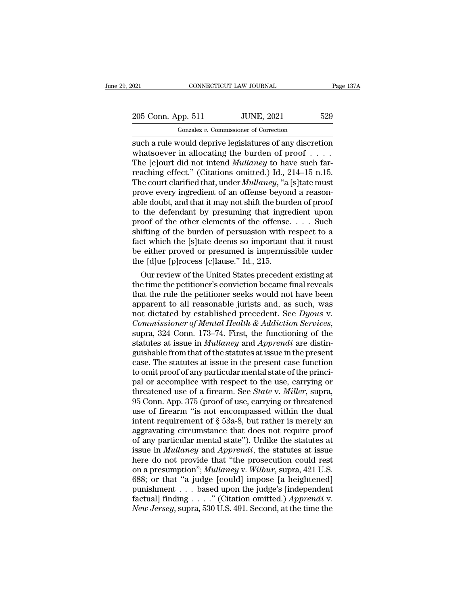021 CONNECTICUT LAW JOURNAL Page 137A<br>
205 Conn. App. 511 JUNE, 2021 529<br>
Gonzalez v. Commissioner of Correction

Gonzalez *v.* Commissioner of Correction on the connect of the such a rule would deprive legislatures of any discretion<br>such a rule would deprive legislatures of any discretion<br>whatsoever in allocating the burden of proof . . . .<br>The followt did not intend *Mulla* 205 Conn. App. 511 JUNE, 2021 529<br>
Gonzalez v. Commissioner of Correction<br>
such a rule would deprive legislatures of any discretion<br>
whatsoever in allocating the burden of proof . . . .<br>
The [c]ourt did not intend *Mullane* 205 Conn. App. 511 JUNE, 2021 529<br>
Gonzalez v. Commissioner of Correction<br>
such a rule would deprive legislatures of any discretion<br>
whatsoever in allocating the burden of proof . . . .<br>
The [c]ourt did not intend *Mullane* 205 Conn. App. 511 JUNE, 2021 529<br>
Gonzalez v. Commissioner of Correction<br>
such a rule would deprive legislatures of any discretion<br>
whatsoever in allocating the burden of proof . . . .<br>
The [c]ourt did not intend *Mullan* Gonzalez v. Commissioner of Correction<br>
such a rule would deprive legislatures of any discretion<br>
whatsoever in allocating the burden of proof . . . .<br>
The [c]ourt did not intend *Mullaney* to have such far-<br>
reaching effe Gonzalez v. Commissioner of Correction<br>such a rule would deprive legislatures of any discretion<br>whatsoever in allocating the burden of proof . . . . .<br>The [c]ourt did not intend *Mullaney* to have such far-<br>reaching effec such a rule would deprive legislatures of any discretion<br>whatsoever in allocating the burden of proof . . . .<br>The [c]ourt did not intend *Mullaney* to have such far-<br>reaching effect." (Citations omitted.) Id., 214–15 n.15 whatsoever in allocating the burden of proof . . . . . The [c]ourt did not intend *Mullaney* to have such far-<br>reaching effect." (Citations omitted.) Id., 214–15 n.15.<br>The court clarified that, under *Mullaney*, "a [s]tat The [c]ourt did not intend *Mullaney* to have such far-<br>reaching effect." (Citations omitted.) Id., 214–15 n.15.<br>The court clarified that, under *Mullaney*, "a [s]tate must<br>prove every ingredient of an offense beyond a re reaching effect." (Citations omitted.) Id., 214–15 n.15.<br>The court clarified that, under *Mullaney*, "a [s]tate must<br>prove every ingredient of an offense beyond a reason-<br>able doubt, and that it may not shift the burden o The court clarified that, under *Mullaney*, "a [s]tate must<br>prove every ingredient of an offense beyond a reason-<br>able doubt, and that it may not shift the burden of proof<br>to the defendant by presuming that ingredient upo prove every ingredient of an offense beyond a reason-<br>able doubt, and that it may not shift the burden of proof<br>to the defendant by presuming that ingredient upon<br>proof of the other elements of the offense.... Such<br>shifti able doubt, and that it may not shift the burd to the defendant by presuming that ingre<br>proof of the other elements of the offense.<br>shifting of the burden of persuasion with r<br>fact which the [s]tate deems so important<br>be e the detendant by presuming that ingredient upon<br>oof of the other elements of the offense.... Such<br>ifting of the burden of persuasion with respect to a<br>ct which the [s]tate deems so important that it must<br>either proved or proof of the other elements of the otrense. . . . Such<br>shifting of the burden of persuasion with respect to a<br>fact which the [s]tate deems so important that it must<br>be either proved or presumed is impermissible under<br>the

shifting of the burden of persuasion with respect to a<br>fact which the [s]tate deems so important that it must<br>be either proved or presumed is impermissible under<br>the [d]ue [p]rocess [c]lause." Id., 215.<br>Our review of the ract which the [s]<br>ract which the [s] are deems so important that it must<br>be either proved or presumed is impermissible under<br>the [d]<br>ue [p]rocess [c]lause." Id., 215.<br>Our review of the United States precedent existing at be either proved or presumed is impermissible under<br>the [d]ue [p]rocess [c]lause." Id., 215.<br>Our review of the United States precedent existing at<br>the time the petitioner's conviction became final reveals<br>that the rule the *Commissioner of Mental Health & Addiction Services,* suppose the state of Mental Health and the rule the petitioner seeks would not have been apparent to all reasonable jurists and, as such, was not dictated by establishe the time the petitioner's conviction became final reveals<br>that the rule the petitioner seeks would not have been<br>apparent to all reasonable jurists and, as such, was<br>not dictated by established precedent. See *Dyous v.<br>Com* that the rule the petitioner seeks would not have been<br>apparent to all reasonable jurists and, as such, was<br>not dictated by established precedent. See *Dyous v.*<br>*Commissioner of Mental Health & Addiction Services*,<br>supra, apparent to all reasonable jurists and, as such, was<br>not dictated by established precedent. See *Dyous v.*<br>*Commissioner of Mental Health & Addiction Services*,<br>supra, 324 Conn. 173–74. First, the functioning of the<br>statut not dictated by established precedent. See *Dyous* v.<br>Commissioner of Mental Health & Addiction Services,<br>supra, 324 Conn. 173–74. First, the functioning of the<br>statutes at issue in Mullaney and Apprendi are distin-<br>guish *Commissioner of Mental Health & Addiction Services,*<br>supra, 324 Conn. 173–74. First, the functioning of the<br>statutes at issue in *Mullaney* and *Apprendi* are distin-<br>guishable from that of the statutes at issue in the p supra, 324 Conn. 173–74. First, the functioning of the statutes at issue in *Mullaney* and *Apprendi* are distinguishable from that of the statutes at issue in the present case. The statutes at issue in the present case fu statutes at issue in *Mullaney* and *Apprendi* are distinguishable from that of the statutes at issue in the present case. The statutes at issue in the present case function to omit proof of any particular mental state of guishable from that of the statutes at issue in the present<br>case. The statutes at issue in the present case function<br>to omit proof of any particular mental state of the princi-<br>pal or accomplice with respect to the use, ca case. The statutes at issue in the present case function<br>to omit proof of any particular mental state of the princi-<br>pal or accomplice with respect to the use, carrying or<br>threatened use of a firearm. See *State* v. *Mille* to omit proof of any particular mental state of the princi-<br>pal or accomplice with respect to the use, carrying or<br>threatened use of a firearm. See *State* v. *Miller*, supra,<br>95 Conn. App. 375 (proof of use, carrying or pal or accomplice with respect to the use, carrying or<br>threatened use of a firearm. See *State* v. *Miller*, supra,<br>95 Conn. App. 375 (proof of use, carrying or threatened<br>use of firearm "is not encompassed within the dual threatened use of a firearm. See *State* v. *Miller*, supra, 95 Conn. App. 375 (proof of use, carrying or threatened use of firearm "is not encompassed within the dual intent requirement of § 53a-8, but rather is merely an 95 Conn. App. 375 (proof of use, carrying or threatened<br>use of firearm "is not encompassed within the dual<br>intent requirement of  $\S$  53a-8, but rather is merely an<br>aggravating circumstance that does not require proof<br>of a use of firearm "is not encompassed within the dual<br>intent requirement of § 53a-8, but rather is merely an<br>aggravating circumstance that does not require proof<br>of any particular mental state"). Unlike the statutes at<br>issue intent requirement of § 53a-8, but rather is merely an aggravating circumstance that does not require proof of any particular mental state"). Unlike the statutes at issue issue in *Mullaney* and *Apprendi*, the statutes a aggravating circumstance that does not require proof<br>of any particular mental state"). Unlike the statutes at<br>issue in *Mullaney* and *Apprendi*, the statutes at issue<br>here do not provide that "the prosecution could rest<br> of any particular mental state"). Unlike the statutes at issue in *Mullaney* and *Apprendi*, the statutes at issue here do not provide that "the prosecution could rest on a presumption"; *Mullaney* v. *Wilbur*, supra, 421 issue in *Mullaney* and *Apprendi*, the statutes at issue<br>here do not provide that "the prosecution could rest<br>on a presumption"; *Mullaney* v. *Wilbur*, supra, 421 U.S.<br>688; or that "a judge [could] impose [a heightened]<br>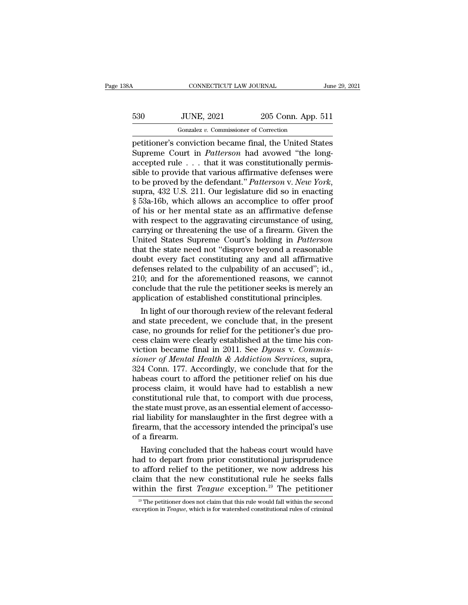## CONNECTICUT LAW JOURNAL June 29, 2021<br>530 JUNE, 2021 205 Conn. App. 511<br>Gonzalez v. Commissioner of Correction CONNECTICUT LAW JOURNAL<br>JUNE, 2021 205 Conn. App.<br>Gonzalez *v.* Commissioner of Correction<br>Conviction became final the United St

FREE CONNECTICUT LAW JOURNAL June 29, 2021<br>
FREE CONNECTICUT LAW JOURNAL June 29, 2021<br>
FREE CONSIDENT: CONVICTION CONTENTS CONVICTION BECAME FINAL SUPPER COUNT in Patterson had avowed "the long-<br>
Supperme Court in Patters Supreme Court in *Patterson* had avowed "the long-<br>
Supreme Court in *Patterson* had avowed "the long-<br>
Supreme Court in *Patterson* had avowed "the long-<br>
Supreme Court in *Patterson* had avowed "the long-<br>
Supreme court 530 JUNE, 2021 205 Conn. App. 511<br>  $\frac{1}{2}$  Gonzalez v. Commissioner of Correction<br>
petitioner's conviction became final, the United States<br>
Supreme Court in *Patterson* had avowed "the long-<br>
accepted rule . . . that it 530 JUNE, 2021 205 Conn. App. 511<br>
Gonzalez v. Commissioner of Correction<br>
petitioner's conviction became final, the United States<br>
Supreme Court in *Patterson* had avowed "the long-<br>
accepted rule . . . that it was const Form, 2021<br>
Form, 2021<br>
Petitioner's conviction became final, the United States<br>
Supreme Court in *Patterson* had avowed "the long-<br>
accepted rule . . . that it was constitutionally permis-<br>
suble to provide that various petitioner's conviction became final, the United States<br>Supreme Court in *Patterson* had avowed "the long-<br>accepted rule . . . that it was constitutionally permis-<br>sible to provide that various affirmative defenses were<br>to Supreme Court in *Patterson* had avowed "the long-<br>accepted rule . . . that it was constitutionally permis-<br>sible to provide that various affirmative defenses were<br>to be proved by the defendant." *Patterson* v. *New York* accepted rule . . . that it was constitutionally permissible to provide that various affirmative defenses were<br>to be proved by the defendant." *Patterson v. New York*,<br>supra, 432 U.S. 211. Our legislature did so in enactin sible to provide that various affirmative defenses were<br>to be proved by the defendant." Patterson v. New York,<br>supra, 432 U.S. 211. Our legislature did so in enacting<br>§ 53a-16b, which allows an accomplice to offer proof<br>of to be proved by the defendant." *Patterson* v. *New York*,<br>supra, 432 U.S. 211. Our legislature did so in enacting<br>§ 53a-16b, which allows an accomplice to offer proof<br>of his or her mental state as an affirmative defense<br>w supra, 432 U.S. 211. Our legislature did so in enacting § 53a-16b, which allows an accomplice to offer proof of his or her mental state as an affirmative defense with respect to the aggravating circumstance of using, carry  $\S$  53a-16b, which allows an accomplice to offer proof<br>of his or her mental state as an affirmative defense<br>with respect to the aggravating circumstance of using,<br>carrying or threatening the use of a firearm. Given the<br>Un of his or her mental state as an affirmative defense<br>with respect to the aggravating circumstance of using,<br>carrying or threatening the use of a firearm. Given the<br>United States Supreme Court's holding in *Patterson*<br>that with respect to the aggravating circumstance of using,<br>carrying or threatening the use of a firearm. Given the<br>United States Supreme Court's holding in *Patterson*<br>that the state need not "disprove beyond a reasonable<br>doub carrying or threatening the use of a firearm. Given the United States Supreme Court's holding in *Patterson* that the state need not "disprove beyond a reasonable doubt every fact constituting any and all affirmative defen United States Supreme Court's holding in *Patterson*<br>that the state need not "disprove beyond a reasonable<br>doubt every fact constituting any and all affirmative<br>defenses related to the culpability of an accused"; id.,<br>210; at the state need not "disprove beyond a reasonable<br>ubt every fact constituting any and all affirmative<br>fenses related to the culpability of an accused"; id.,<br>0; and for the aforementioned reasons, we cannot<br>nclude that th doubt every fact constituting any and all affirmative<br>defenses related to the culpability of an accused"; id.,<br>210; and for the aforementioned reasons, we cannot<br>conclude that the rule the petitioner seeks is merely an<br>app

defenses related to the culpability of an accused"; id.,<br>210; and for the aforementioned reasons, we cannot<br>conclude that the rule the petitioner seeks is merely an<br>application of established constitutional principles.<br>In 210; and for the aforementioned reasons, we cannot conclude that the rule the petitioner seeks is merely an application of established constitutional principles.<br>In light of our thorough review of the relevant federal and conclude that the rule the petitioner seeks is merely an application of established constitutional principles.<br>In light of our thorough review of the relevant federal<br>and state precedent, we conclude that, in the present<br>c application of established constitutional principles.<br>
In light of our thorough review of the relevant federal<br>
and state precedent, we conclude that, in the present<br>
case, no grounds for relief for the petitioner's due pr In light of our thorough review of the relevant federal<br>and state precedent, we conclude that, in the present<br>case, no grounds for relief for the petitioner's due pro-<br>cess claim were clearly established at the time his c and state precedent, we conclude that, in the present<br>case, no grounds for relief for the petitioner's due pro-<br>cess claim were clearly established at the time his con-<br>viction became final in 2011. See Dyous v. Commis-<br>si case, no grounds for relief for the petitioner's due process claim were clearly established at the time his conviction became final in 2011. See *Dyous v. Commissioner of Mental Health & Addiction Services*, supra, 324 Con cess claim were clearly established at the time his conviction became final in 2011. See  $Dyous$  v. Commissioner of Mental Health & Addiction Services, supra, 324 Conn. 177. Accordingly, we conclude that for the habeas cour viction became final in 2011. See *Dyous v. Commissioner of Mental Health & Addiction Services*, supra, 324 Conn. 177. Accordingly, we conclude that for the habeas court to afford the petitioner relief on his due process sioner of Mental Health & Addiction Services, supra,<br>324 Conn. 177. Accordingly, we conclude that for the<br>habeas court to afford the petitioner relief on his due<br>process claim, it would have had to establish a new<br>constitu 324 Conn. 177. Accordingly, we conclude that for the habeas court to afford the petitioner relief on his due process claim, it would have had to establish a new constitutional rule that, to comport with due process, the st habeas court to a<br>process claim, it<br>constitutional rule<br>the state must pro<br>rial liability for m<br>firearm, that the a<br>of a firearm.<br>Having conclud ocess claim, it would have had to establish a new<br>nstitutional rule that, to comport with due process,<br>e state must prove, as an essential element of accesso-<br>il liability for manslaughter in the first degree with a<br>earm, constitutional rule that, to comport with due process,<br>the state must prove, as an essential element of accesso-<br>rial liability for manslaughter in the first degree with a<br>firearm, that the accessory intended the principal

the state must prove, as an essential element of accessorial liability for manslaughter in the first degree with a<br>firearm, that the accessory intended the principal's use<br>of a firearm.<br>Having concluded that the habeas cou rial liability for manslaughter in the first degree with a<br>firearm, that the accessory intended the principal's use<br>of a firearm.<br>Having concluded that the habeas court would have<br>had to depart from prior constitutional j firearm, that the accessory intended the principal's use<br>of a firearm.<br>Having concluded that the habeas court would have<br>had to depart from prior constitutional jurisprudence<br>to afford relief to the petitioner, we now addr ad to depart from prior constitutional jurisprudence<br>o afford relief to the petitioner, we now address his<br>aim that the new constitutional rule he seeks falls<br>ithin the first *Teague* exception.<sup>19</sup> The petitioner<br><sup>19</sup> Th to afford relief to the petitioner, we now address his claim that the new constitutional rule he seeks falls within the first *Teague* exception.<sup>19</sup> The petitioner  $\frac{19}{12}$  The petitioner does not claim that this rule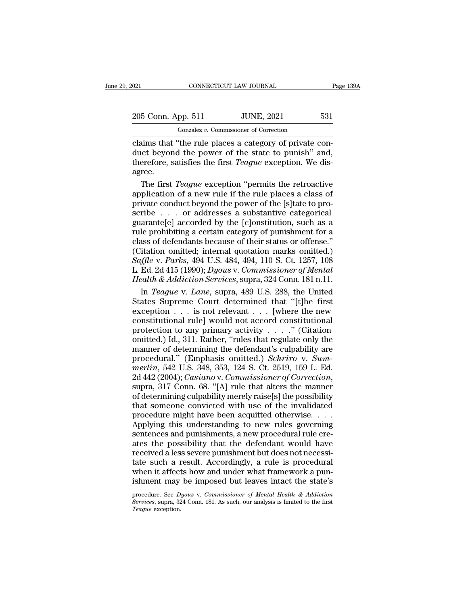021 CONNECTICUT LAW JOURNAL Page 139A<br>
205 Conn. App. 511 JUNE, 2021 531<br>
Gonzalez v. Commissioner of Correction

CONNECTICUT LAW JOURNAL<br>pp. 511 JUNE, 2021<br>Gonzalez *v.* Commissioner of Correction<br>the rule places a category of private connectricut LAW JOURNAL<br>
205 Conn. App. 511 JUNE, 2021 531<br>
Conzalez v. Commissioner of Correction<br>
Claims that "the rule places a category of private con-<br>
duct beyond the power of the state to punish" and,<br>
therefore sa 205 Conn. App. 511 JUNE, 2021 531<br>
Gonzalez v. Commissioner of Correction<br>
claims that "the rule places a category of private con-<br>
duct beyond the power of the state to punish'' and,<br>
therefore, satisfies the first *Teag* 205 Conn. App. 511 JUNE, 2021 531<br>
Conzalez *v*. Commissioner of Correction<br>
claims that "the rule places a category of private con-<br>
duct beyond the power of the state to punish" and,<br>
therefore, satisfies the first *Teag* agree. Gonzalez *v*. Commissioner of Correction<br>
aims that "the rule places a category of private con-<br>
ict beyond the power of the state to punish" and,<br>
erefore, satisfies the first *Teague* exception. We dis-<br>
ree.<br>
The first donzaez v. Commissioner of correction<br>claims that "the rule places a category of private con-<br>duct beyond the power of the state to punish" and,<br>therefore, satisfies the first *Teague* exception. We dis-<br>agree.<br>The first

claims that "the rule places a category of private conduct beyond the power of the state to punish" and, therefore, satisfies the first *Teague* exception. We disagree.<br>The first *Teague* exception "permits the retroactiv duct beyond the power of the state to punish" and,<br>therefore, satisfies the first *Teague* exception. We dis-<br>agree.<br>The first *Teague* exception "permits the retroactive<br>application of a new rule if the rule places a clas therefore, satisfies the first *Teague* exception. We disagree.<br>The first *Teague* exception "permits the retroactive<br>application of a new rule if the rule places a class of<br>private conduct beyond the power of the [s]tate agree.<br>
The first *Teague* exception "permits the retroactive<br>
application of a new rule if the rule places a class of<br>
private conduct beyond the power of the [s]tate to pro-<br>
scribe . . . or addresses a substantive categ The first *Teague* exception "permits the retroactive<br>application of a new rule if the rule places a class of<br>private conduct beyond the power of the [s]tate to pro-<br>scribe . . . or addresses a substantive categorical<br>gua application of a new rule if the rule places a class of<br>private conduct beyond the power of the [s]tate to pro-<br>scribe  $\ldots$  or addresses a substantive categorical<br>guarante[e] accorded by the [c]onstitution, such as a<br>rul *Saffle* v. *Parksonic Conduct beyond the power of the [s]tate to proscribe* . . . or addresses a substantive categorical guarante[e] accorded by the [c]onstitution, such as a rule prohibiting a certain category of punishm scribe . . . or addresses a substantive categorical<br>guarante[e] accorded by the [c]onstitution, such as a<br>rule prohibiting a certain category of punishment for a<br>class of defendants because of their status or offense."<br>(Ci *Health & Addiction Services*, supra, 489 U.S. 288, the United In Teague v. Languar Languar and Health & Addiction Services, supra, 324 Conn. 181 n.11. In Teague v. Lane, supra, 489 U.S. 288, the United In Teague v. Lane, le prohibiting a certain category of punishment for a<br>ass of defendants because of their status or offense."<br>itation omitted; internal quotation marks omitted.)<br>*Iffle* v. *Parks*, 494 U.S. 484, 494, 110 S. Ct. 1257, 108<br>E class of defendants because of their status or offense."<br>
(Citation omitted; internal quotation marks omitted.)<br>
Saffle v. Parks, 494 U.S. 484, 494, 110 S. Ct. 1257, 108<br>
L. Ed. 2d 415 (1990); Dyous v. Commissioner of Men

(Citation omitted; internal quotation marks omitted.)<br>
Saffle v. Parks, 494 U.S. 484, 494, 110 S. Ct. 1257, 108<br>
L. Ed. 2d 415 (1990); Dyous v. Commissioner of Mental<br>
Health & Addiction Services, supra, 324 Conn. 181 n.1 Saffle v. Parks, 494 U.S. 484, 494, 110 S. Ct. 1257, 108<br>L. Ed. 2d 415 (1990); Dyous v. Commissioner of Mental<br>Health & Addiction Services, supra, 324 Conn. 181 n.11.<br>In Teague v. Lane, supra, 489 U.S. 288, the United<br>Sta L. Ed. 2d 415 (1990); *Dyous v. Commissioner of Mental*<br>Health & Addiction Services, supra, 324 Conn. 181 n.11.<br>In *Teague v. Lane*, supra, 489 U.S. 288, the United<br>States Supreme Court determined that "[t]he first<br>except Health & Addiction Services, supra, 324 Conn. 181 n.11.<br>
In *Teague* v. *Lane*, supra, 489 U.S. 288, the United<br>
States Supreme Court determined that "[t]he first<br>
exception . . . is not relevant . . . [where the new<br>
con In *Teague* v. *Lane*, supra, 489 U.S. 288, the United<br>States Supreme Court determined that "[t]he first<br>exception . . . is not relevant . . . [where the new<br>constitutional rule] would not accord constitutional<br>protection In *Teague* v. *Lane*, supra, 489 U.S. 288, the United<br>States Supreme Court determined that "[t]he first<br>exception . . . is not relevant . . . [where the new<br>constitutional rule] would not accord constitutional<br>protection **Example 12.** Exception . . . is not relevant . . . [where the new constitutional rule] would not accord constitutional protection to any primary activity . . . . " (Citation omitted.) Id., 311. Rather, "rules that regulat 2004); *Casiano* v. *Commissioner of Correctional* protection to any primary activity . . . ." (Citation omitted.) Id., 311. Rather, "rules that regulate only the manner of determining the defendant's culpability are proce procedured.) Id., 311. Rather, "rules that regulate only the manner of determining the defendant's culpability are procedural." (Emphasis omitted.) *Schriro* v. *Summerlin*, 542 U.S. 348, 353, 124 S. Ct. 2519, 159 L. Ed. manner of determining the defendant's culpability are<br>procedural." (Emphasis omitted.) *Schriro* v. *Summerlin*, 542 U.S. 348, 353, 124 S. Ct. 2519, 159 L. Ed.<br>2d 442 (2004); *Casiano* v. *Commissioner of Correction*,<br>sup procedural." (Emphasis omitted.) *Schriro* v. *Summerlin*, 542 U.S. 348, 353, 124 S. Ct. 2519, 159 L. Ed.<br>2d 442 (2004); *Casiano* v. *Commissioner of Correction*, supra, 317 Conn. 68. "[A] rule that alters the manner of merlin, 542 U.S. 348, 353, 124 S. Ct. 2519, 159 L. Ed.<br>2d 442 (2004); *Casiano* v. *Commissioner of Correction*,<br>supra, 317 Conn. 68. "[A] rule that alters the manner<br>of determining culpability merely raise[s] the possibi  $2d$  442 (2004); *Casiano* v. *Commissioner of Correction*,<br>2d 442 (2004); *Casiano* v. *Commissioner of Correction*,<br>supra, 317 Conn. 68. "[A] rule that alters the manner<br>of determining culpability merely raise[s] the po Example, 317 Conn. 68. "[A] rule that alters the manner<br>supra, 317 Conn. 68. "[A] rule that alters the manner<br>of determining culpability merely raise[s] the possibility<br>that someone convicted with use of the invalidated<br>pr received a less severe punishment but does not necessi-<br>that someone convicted with use of the invalidated<br>procedure might have been acquitted otherwise. . . . .<br>Applying this understanding to new rules governing<br>sentences that someone convicted with use of the invalidated<br>procedure might have been acquitted otherwise.....<br>Applying this understanding to new rules governing<br>sentences and punishments, a new procedural rule cre-<br>ates the possi Framework being the set and under the interactional procedure might have been acquitted otherwise. . . . Applying this understanding to new rules governing sentences and punishments, a new procedural rule creates the possi Applying this understanding to new rules governing<br>sentences and punishments, a new procedural rule cre-<br>ates the possibility that the defendant would have<br>received a less severe punishment but does not necessi-<br>tate such received a less severe punishment but does not necessitate such a result. Accordingly, a rule is procedural when it affects how and under what framework a punishment may be imposed but leaves intact the state's procedure. tate such a result. Accordingly, a rule is procedural

*Teague* exception.